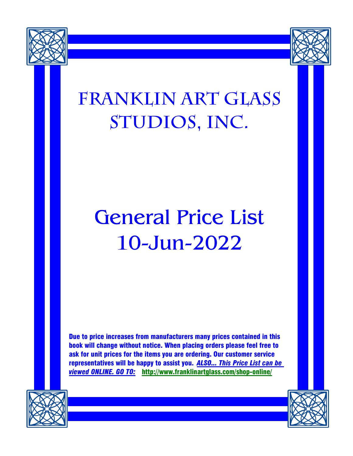



# **Franklin art glass Studios, Inc.**

# General Price List 10-Jun-2022

Due to price increases from manufacturers many prices contained in this book will change without notice. When placing orders please feel free to ask for unit prices for the items you are ordering. Our customer service representatives will be happy to assist you. *ALSO... This Price List can be viewed ONLINE. GO TO:* http://www.franklinartglass.com/shop-online/



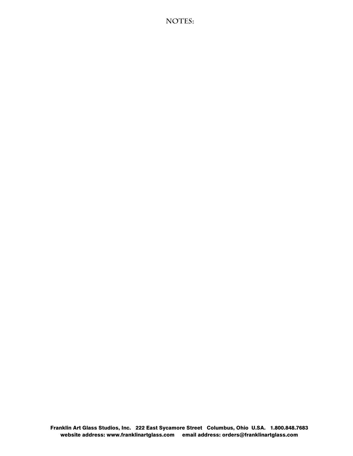NOTES: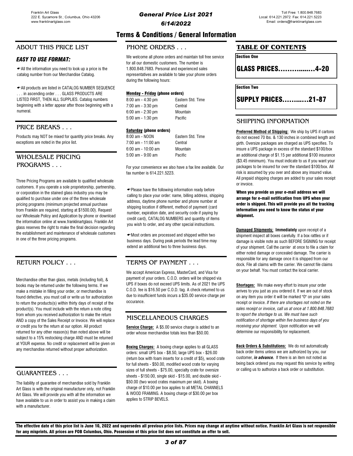# Terms & Conditions / General Information

### PHONE ORDERS

**EASY TO USE FORMAT:** We welcome all phone orders and maintain toll free service for all our domestic customers. The number is 1.800.848.7683. Personal and experienced sales representatives are available to take your phone orders during the following hours:

### Monday - Friday (phone orders)

| 8:00 am - 4:30 pm | Eastern Std. Time |
|-------------------|-------------------|
| 7:00 am - 3:30 pm | Central           |
| 6:00 am - 2:30 pm | Mountain          |
| 5:00 am - 1:30 pm | Pacific           |

### **Saturday** (phone orders)

| 8:00 am - NOON       | Eastern Std. Time |
|----------------------|-------------------|
| 7:00 am - 11:00 am   | Central           |
| $6:00$ am - 10:00 am | Mountain          |
| $5:00$ am - 9:00 am  | Pacific           |
|                      |                   |

For your convenience we also have a fax line available. Our fax number is 614.221.5223.

Please have the following information ready before calling to place your order: name, billing address, shipping address, daytime phone number and phone number at shipping location if different, method of payment (card number, expiration date, and security code if paying by credit card), CATALOG NUMBERS and quantity of items you wish to order, and any other special instructions.

Most orders are processed and shipped within two business days. During peak periods the lead time may extend an additional two to three business days.

### TERMS OF PAYMENT . . .

We accept American Express, MasterCard, and Visa for payment of your orders. C.O.D. orders will be shipped via UPS if boxes do not exceed UPS limits. As of 2021 the UPS C.O.D. fee is \$16.50 per C.O.D. tag. A check returned to us due to insufficient funds incurs a \$35.00 service charge per occurance.

### MISCELLANEOUS CHARGES

Service Charge: A \$5.00 service charge is added to an order whose merchandise totals less than \$50.00.

Boxing Charges: A boxing charge applies to all GLASS orders: small UPS box - \$8.50, large UPS box - \$26.00 (return box with foam inserts for a credit of \$5), wood crate for full sheets - \$50.00, modified wood crate for varying sizes of full sheets - \$75.00, specialty crate for oversize sheets - \$150.00, single skid - \$15.00, and double skid - \$50.00 (two wood crates maximum per skid). A boxing charge of \$10.00 per box applies to all METAL CHANNELS & WOOD FRAMING. A boxing charge of \$30.00 per box applies to STRIP BEVELS.

### TABLE OF CONTENTS

Section One GLASS PRICES……….....…4-20

Section Two

SUPPLY PRICES……...…21-87

### SHIPPING INFORMATION

**Preferred Method of Shipping:** We ship by UPS if cartons do not exceed 70 lbs. & 130 inches in combined length and girth. Oversize packages are charged as UPS specifies. To insure a UPS package in excess of the standard \$100/box an additional charge of \$1.15 per additional \$100 insurance (\$3.45 minimum). You must indicate to us if you want your packages to be insured for over the standard \$100/box. All risk is assumed by you over and above any insured value. All prepaid shipping charges are added to your sales receipt or invoice.

When you provide us your e-mail address we will arrange for e-mail notification from UPS when your order is shipped. This will provide you all the tracking information you need to know the status of your shipment.

**Damaged Shipments: Immediately upon receipt of a** shipment inspect all boxes carefully. If a box rattles or if damage is visible note as such BEFORE SIGNING for receipt of your shipment. Call the carrier at once to file a claim for either noted damage or concealed damage. The carrier is responsible for any damage once it is shipped from our dock. File all claims with the carrier. We cannot file claims on your behalf. You must contact the local carrier.

Shortages: We make every effort to insure your order arrives to you just as you ordered it. If we are out of stock on any item you order it will be marked "0" on your sales receipt or invoice. If there are shortages not noted on the sales receipt or invoice, call us at once at 1.800.848.7683 to report the shortage to us. We must have such notification of shortage within five business days of you receiving your shipment. Upon notification we will determine our responsibility for replacement.

Back Orders & Substitutions: We do not automatically back order items unless we are authorized by you, our customer, *in advance*. If there is an item not noted as being back ordered you may request this service by writing or calling us to authorize a back order or substitution.

The effective date of this price list is June 10, 2022 and supersedes all previous price lists. Prices may change at anytime without notice. Franklin Art Glass is not responsible for any misprints. All prices are FOB Columbus, Ohio. Possession of this price list does not constitute an offer to sell.

### 3 of 87

# ABOUT THIS PRICE LIST

All the information you need to look up a price is the catalog number from our Merchandise Catalog.

All products are listed in CATALOG NUMBER SEQUENCE . . . in ascending order . . . GLASS PRODUCTS ARE LISTED FIRST, THEN ALL SUPPLIES. Catalog numbers beginning with a letter appear after those beginning with a numeral.

# PRICE BREAKS . . .

Products may NOT be mixed for quantity price breaks. Any exceptions are noted in the price list.

# WHOLESALE PRICING PROGRAMS . . .

Three Pricing Programs are available to qualified wholesale customers. If you operate a sole proprietorship, partnership, or corporation in the stained glass industry you may be qualified to purchase under one of the three wholesale pricing programs (minimum projected annual purchase from Franklin are required, starting at \$1500.00). Request our Wholesale Policy and Application by phone or download the information online at www.franklinartglass. Franklin Art glass reserves the right to make the final decision regarding the establishment and maintenance of wholesale customers in one of the three pricing programs.

# RETURN POLICY . . .

Merchandise other than glass, metals (including foil), & books may be returned under the following terms. If we make a mistake in filling your order, or merchandise is found defective, you must call or write us for authorization to return the products(s) within thirty days of receipt of the product(s). You must include with the return a note citing from whom you received authorization to make the return AND a copy of the Sales Receipt or Invoice. We will replace or credit you for the return at our option. All product returned for any other reason(s) than noted above will be subject to a 15% restocking charge AND must be returned at YOUR expense. No credit or replacement will be given on any merchandise returned without proper authorization.

### GUARANTEES . . .

The liability of guarantee of merchandise sold by Franklin Art Glass is with the original manufacturer only, not Franklin Art Glass. We will provide you with all the information we have available to us in order to assist you in making a claim with a manufacturer.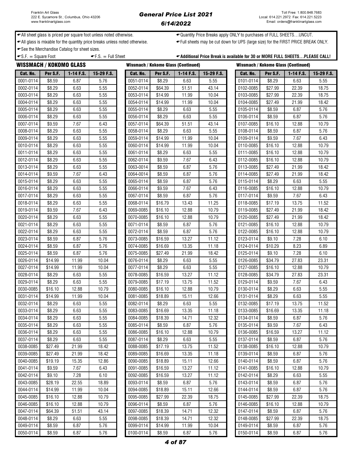### General Price List 2021 6/14/2022

← All sheet glass is priced per square foot unless noted otherwise.  $\leftarrow$ Quantity Price Breaks apply ONLY to purchases of FULL SHEETS...UNCUT.

All glass is mixable for the quantity price breaks unless noted otherwise. Full sheets may be cut down for UPS (large size) for the FIRST PRICE BREAK ONLY.

See the Merchandise Catalog for sheet sizes.

 $\text{F.S.} = \text{Full Sheet}$   $\text{F.S.} = \text{Full Sheet}$   $\text{Additional Price Break is available for 30 or MORE FULL SHEETS...PLEASE CALL!}$ 

|           | WISSMACH / KOKOMO GLASS |           |            | <b>Wissmach / Kokomo Glass (Continued)</b> |          |             |            | <b>Wissmach / Kokomo Glass (Continued)</b> |          |           |            |
|-----------|-------------------------|-----------|------------|--------------------------------------------|----------|-------------|------------|--------------------------------------------|----------|-----------|------------|
| Cat. No.  | Per S.F.                | 1-14 F.S. | 15-29 F.S. | Cat. No.                                   | Per S.F. | $1-14$ F.S. | 15-29 F.S. | Cat. No.                                   | Per S.F. | 1-14 F.S. | 15-29 F.S. |
| 0001-0114 | \$8.59                  | 6.87      | 5.76       | 0051-0114                                  | \$8.29   | 6.63        | 5.55       | 0101-0114                                  | \$8.29   | 6.63      | 5.55       |
| 0002-0114 | \$8.29                  | 6.63      | 5.55       | 0052-0114                                  | \$64.39  | 51.51       | 43.14      | 0102-0085                                  | \$27.99  | 22.39     | 18.75      |
| 0003-0114 | \$8.29                  | 6.63      | 5.55       | 0053-0114                                  | \$14.99  | 11.99       | 10.04      | 0103-0085                                  | \$27.99  | 22.39     | 18.75      |
| 0004-0114 | \$8.29                  | 6.63      | 5.55       | 0054-0114                                  | \$14.99  | 11.99       | 10.04      | 0104-0085                                  | \$27.49  | 21.99     | 18.42      |
| 0005-0114 | \$8.29                  | 6.63      | 5.55       | 0055-0114                                  | \$8.29   | 6.63        | 5.55       | 0105-0114                                  | \$8.59   | 6.87      | 5.76       |
| 0006-0114 | \$8.29                  | 6.63      | 5.55       | 0056-0114                                  | \$8.29   | 6.63        | 5.55       | 0106-0114                                  | \$8.59   | 6.87      | 5.76       |
| 0007-0114 | \$9.59                  | 7.67      | 6.43       | 0057-0114                                  | \$64.39  | 51.51       | 43.14      | 0107-0085                                  | \$16.10  | 12.88     | 10.79      |
| 0008-0114 | \$8.29                  | 6.63      | 5.55       | 0058-0114                                  | \$8.29   | 6.63        | 5.55       | 0108-0114                                  | \$8.59   | 6.87      | 5.76       |
| 0009-0114 | \$8.29                  | 6.63      | 5.55       | 0059-0114                                  | \$14.99  | 11.99       | 10.04      | 0109-0114                                  | \$9.59   | 7.67      | 6.43       |
| 0010-0114 | \$8.29                  | 6.63      | 5.55       | 0060-0114                                  | \$14.99  | 11.99       | 10.04      | 0110-0085                                  | \$16.10  | 12.88     | 10.79      |
| 0011-0114 | \$8.29                  | 6.63      | 5.55       | 0061-0114                                  | \$8.29   | 6.63        | 5.55       | 0111-0085                                  | \$16.10  | 12.88     | 10.79      |
| 0012-0114 | \$8.29                  | 6.63      | 5.55       | 0062-0114                                  | \$9.59   | 7.67        | 6.43       | 0112-0085                                  | \$16.10  | 12.88     | 10.79      |
| 0013-0114 | \$8.29                  | 6.63      | 5.55       | 0063-0014                                  | \$8.59   | 6.87        | 5.76       | 0113-0085                                  | \$27.49  | 21.99     | 18.42      |
| 0014-0114 | \$9.59                  | 7.67      | 6.43       | 0064-0014                                  | \$8.59   | 6.87        | 5.76       | 0114-0085                                  | \$27.49  | 21.99     | 18.42      |
| 0015-0114 | \$8.29                  | 6.63      | 5.55       | 0065-0114                                  | \$8.59   | 6.87        | 5.76       | 0115-0114                                  | \$8.29   | 6.63      | 5.55       |
| 0016-0114 | \$8.29                  | 6.63      | 5.55       | 0066-0114                                  | \$9.59   | 7.67        | 6.43       | 0116-0085                                  | \$16.10  | 12.88     | 10.79      |
| 0017-0114 | \$8.29                  | 6.63      | 5.55       | 0067-0114                                  | \$8.59   | 6.87        | 5.76       | 0117-0114                                  | \$9.59   | 7.67      | 6.43       |
| 0018-0114 | \$8.29                  | 6.63      | 5.55       | 0068-0114                                  | \$16.79  | 13.43       | 11.25      | 0118-0085                                  | \$17.19  | 13.75     | 11.52      |
| 0019-0114 | \$9.59                  | 7.67      | 6.43       | 0069-0085                                  | \$16.10  | 12.88       | 10.79      | 0119-0085                                  | \$27.49  | 21.99     | 18.42      |
| 0020-0114 | \$8.29                  | 6.63      | 5.55       | 0070-0085                                  | \$16.10  | 12.88       | 10.79      | 0120-0085                                  | \$27.49  | 21.99     | 18.42      |
| 0021-0114 | \$8.29                  | 6.63      | 5.55       | 0071-0114                                  | \$8.59   | 6.87        | 5.76       | 0121-0085                                  | \$16.10  | 12.88     | 10.79      |
| 0022-0114 | \$8.29                  | 6.63      | 5.55       | 0072-0114                                  | \$8.59   | 6.87        | 5.76       | 0122-0085                                  | \$16.10  | 12.88     | 10.79      |
| 0023-0114 | \$8.59                  | 6.87      | 5.76       | 0073-0085                                  | \$16.59  | 13.27       | 11.12      | 0123-0114                                  | \$9.10   | 7.28      | 6.10       |
| 0024-0114 | \$8.59                  | 6.87      | 5.76       | 0074-0085                                  | \$16.69  | 13.35       | 11.18      | 0124-0114                                  | \$10.29  | 8.23      | 6.89       |
| 0025-0114 | \$8.59                  | 6.87      | 5.76       | 0075-0085                                  | \$27.49  | 21.99       | 18.42      | 0125-0114                                  | \$9.10   | 7.28      | 6.10       |
| 0026-0114 | \$14.99                 | 11.99     | 10.04      | 0076-0114                                  | \$8.29   | 6.63        | 5.55       | 0126-0085                                  | \$34.79  | 27.83     | 23.31      |
| 0027-0114 | \$14.99                 | 11.99     | 10.04      | 0077-0114                                  | \$8.29   | 6.63        | 5.55       | 0127-0085                                  | \$16.10  | 12.88     | 10.79      |
| 0028-0114 | \$8.29                  | 6.63      | 5.55       | 0078-0085                                  | \$16.59  | 13.27       | 11.12      | 0128-0085                                  | \$34.79  | 27.83     | 23.31      |
| 0029-0114 | \$8.29                  | 6.63      | 5.55       | 0079-0085                                  | \$17.19  | 13.75       | 11.52      | 0129-0114                                  | \$9.59   | 7.67      | 6.43       |
| 0030-0085 | \$16.10                 | 12.88     | 10.79      | 0080-0085                                  | \$16.10  | 12.88       | 10.79      | 0130-0114                                  | \$8.29   | 6.63      | 5.55       |
| 0031-0114 | \$14.99                 | 11.99     | 10.04      | 0081-0085                                  | \$18.89  | 15.11       | 12.66      | 0131-0114                                  | \$8.29   | 6.63      | 5.55       |
| 0032-0114 | \$8.29                  | 6.63      | 5.55       | 0082-0114                                  | \$8.29   | 6.63        | 5.55       | 0132-0085                                  | \$17.19  | 13.75     | 11.52      |
| 0033-0114 | \$8.29                  | 6.63      | 5.55       | 0083-0085                                  | \$16.69  | 13.35       | 11.18      | 0133-0085                                  | \$16.69  | 13.35     | 11.18      |
| 0034-0114 | \$8.29                  | 6.63      | 5.55       | 0084-0085                                  | \$18.39  | 14.71       | 12.32      | 0134-0114                                  | \$8.59   | 6.87      | 5.76       |
| 0035-0114 | \$8.29                  | 6.63      | 5.55       | 0085-0114                                  | \$8.59   | 6.87        | 5.76       | 0135-0114                                  | \$9.59   | 7.67      | 6.43       |
| 0036-0114 | \$8.29                  | 6.63      | 5.55       | 0086-0085                                  | \$16.10  | 12.88       | 10.79      | 0136-0085                                  | \$16.59  | 13.27     | 11.12      |
| 0037-0114 | \$8.29                  | 6.63      | 5.55       | 0087-0114                                  | \$8.29   | 6.63        | 5.55       | 0137-0114                                  | \$8.59   | 6.87      | 5.76       |
| 0038-0085 | \$27.49                 | 21.99     | 18.42      | 0088-0085                                  | \$17.19  | 13.75       | 11.52      | 0138-0085                                  | \$16.10  | 12.88     | 10.79      |
| 0039-0085 | \$27.49                 | 21.99     | 18.42      | 0089-0085                                  | \$16.69  | 13.35       | 11.18      | 0139-0114                                  | \$8.59   | 6.87      | 5.76       |
| 0040-0085 | \$19.19                 | 15.35     | 12.86      | 0090-0085                                  | \$18.89  | 15.11       | 12.66      | 0140-0114                                  | \$8.59   | 6.87      | 5.76       |
| 0041-0114 | \$9.59                  | 7.67      | 6.43       | 0091-0085                                  | \$16.59  | 13.27       | 11.12      | 0141-0085                                  | \$16.10  | 12.88     | 10.79      |
| 0042-0114 | \$9.10                  | 7.28      | 6.10       | 0092-0085                                  | \$16.59  | 13.27       | 11.12      | 0142-0114                                  | \$8.29   | 6.63      | 5.55       |
| 0043-0085 | \$28.19                 | 22.55     | 18.89      | 0093-0114                                  | \$8.59   | 6.87        | 5.76       | 0143-0114                                  | \$8.59   | 6.87      | 5.76       |
| 0044-0114 | \$14.99                 | 11.99     | 10.04      | 0094-0085                                  | \$18.89  | 15.11       | 12.66      | 0144-0114                                  | \$8.59   | 6.87      | 5.76       |
| 0045-0085 | \$16.10                 | 12.88     | 10.79      | 0095-0085                                  | \$27.99  | 22.39       | 18.75      | 0145-0085                                  | \$27.99  | 22.39     | 18.75      |
| 0046-0085 | \$16.10                 | 12.88     | 10.79      | 0096-0114                                  | \$8.59   | 6.87        | 5.76       | 0146-0085                                  | \$16.10  | 12.88     | 10.79      |
| 0047-0114 | \$64.39                 | 51.51     | 43.14      | 0097-0085                                  | \$18.39  | 14.71       | 12.32      | 0147-0114                                  | \$8.59   | 6.87      | 5.76       |
| 0048-0114 | \$8.29                  | 6.63      | 5.55       | 0098-0085                                  | \$18.39  | 14.71       | 12.32      | 0148-0085                                  | \$27.99  | 22.39     | 18.75      |
| 0049-0114 | \$8.59                  | 6.87      | 5.76       | 0099-0114                                  | \$14.99  | 11.99       | 10.04      | 0149-0114                                  | \$8.59   | 6.87      | 5.76       |
| 0050-0114 | \$8.59                  | 6.87      | 5.76       | 0100-0114                                  | \$8.59   | 6.87        | 5.76       | 0150-0114                                  | \$8.59   | 6.87      | 5.76       |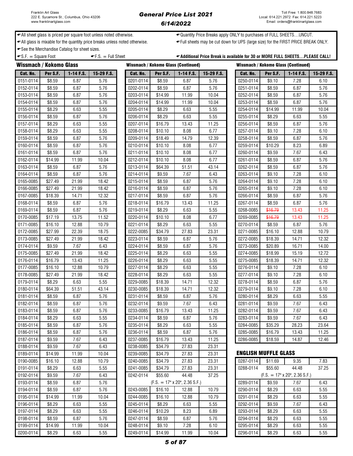### General Price List 2021 6/14/2022

◆ All sheet glass is priced per square foot unless noted otherwise. <br>◆ Quantity Price Breaks apply ONLY to purchases of FULL SHEETS…UNCUT.

All glass is mixable for the quantity price breaks unless noted otherwise. Full sheets may be cut down for UPS (large size) for the FIRST PRICE BREAK ONLY.

← See the Merchandise Catalog for sheet sizes.

 $\bullet$  S.F.  $=$  Square Foot  $\bullet$  F.S.  $=$  Full Sheet  $\bullet$  Additional Price Break is available for 30 or MORE FULL SHEETS...PLEASE CALL!

| <b>Wissmach / Kokomo Glass</b> |          |             |            | <b>Wissmach / Kokomo Glass (Continued)</b> |          |                                      |            |  | <b>Wissmach / Kokomo Glass (Continued)</b> |          |                                      |            |  |
|--------------------------------|----------|-------------|------------|--------------------------------------------|----------|--------------------------------------|------------|--|--------------------------------------------|----------|--------------------------------------|------------|--|
| Cat. No.                       | Per S.F. | $1-14$ F.S. | 15-29 F.S. | Cat. No.                                   | Per S.F. | $1-14$ F.S.                          | 15-29 F.S. |  | Cat. No.                                   | Per S.F. | $1-14$ F.S.                          | 15-29 F.S. |  |
| 0151-0114                      | \$8.59   | 6.87        | 5.76       | 0201-0114                                  | \$8.59   | 6.87                                 | 5.76       |  | 0250-0114                                  | \$9.10   | 7.28                                 | 6.10       |  |
| 0152-0114                      | \$8.59   | 6.87        | 5.76       | 0202-0114                                  | \$8.59   | 6.87                                 | 5.76       |  | 0251-0114                                  | \$8.59   | 6.87                                 | 5.76       |  |
| 0153-0114                      | \$8.59   | 6.87        | 5.76       | 0203-0114                                  | \$14.99  | 11.99                                | 10.04      |  | 0252-0114                                  | \$8.59   | 6.87                                 | 5.76       |  |
| 0154-0114                      | \$8.59   | 6.87        | 5.76       | 0204-0114                                  | \$14.99  | 11.99                                | 10.04      |  | 0253-0114                                  | \$8.59   | 6.87                                 | 5.76       |  |
| 0155-0114                      | \$8.29   | 6.63        | 5.55       | 0205-0114                                  | \$8.29   | 6.63                                 | 5.55       |  | 0254-0114                                  | \$14.99  | 11.99                                | 10.04      |  |
| 0156-0114                      | \$8.59   | 6.87        | 5.76       | 0206-0114                                  | \$8.29   | 6.63                                 | 5.55       |  | 0255-0114                                  | \$8.29   | 6.63                                 | 5.55       |  |
| 0157-0114                      | \$8.29   | 6.63        | 5.55       | 0207-0114                                  | \$16.79  | 13.43                                | 11.25      |  | 0256-0114                                  | \$8.59   | 6.87                                 | 5.76       |  |
| 0158-0114                      | \$8.29   | 6.63        | 5.55       | 0208-0114                                  | \$10.10  | 8.08                                 | 6.77       |  | 0257-0114                                  | \$9.10   | 7.28                                 | 6.10       |  |
| 0159-0114                      | \$8.59   | 6.87        | 5.76       | 0209-0114                                  | \$18.49  | 14.79                                | 12.39      |  | 0258-0114                                  | \$8.59   | 6.87                                 | 5.76       |  |
| 0160-0114                      | \$8.59   | 6.87        | 5.76       | 0210-0114                                  | \$10.10  | 8.08                                 | 6.77       |  | 0259-0114                                  | \$10.29  | 8.23                                 | 6.89       |  |
| 0161-0114                      | \$8.59   | 6.87        | 5.76       | 0211-0114                                  | \$10.10  | 8.08                                 | 6.77       |  | 0260-0114                                  | \$9.59   | 7.67                                 | 6.43       |  |
| 0162-0114                      | \$14.99  | 11.99       | 10.04      | 0212-0114                                  | \$10.10  | 8.08                                 | 6.77       |  | 0261-0114                                  | \$8.59   | 6.87                                 | 5.76       |  |
| 0163-0114                      | \$8.59   | 6.87        | 5.76       | 0213-0114                                  | \$64.39  | 51.51                                | 43.14      |  | 0262-0114                                  | \$8.59   | 6.87                                 | 5.76       |  |
| 0164-0114                      | \$8.59   | 6.87        | 5.76       | 0214-0114                                  | \$9.59   | 7.67                                 | 6.43       |  | 0263-0114                                  | \$9.10   | 7.28                                 | 6.10       |  |
| 0165-0085                      | \$27.49  | 21.99       | 18.42      | 0215-0114                                  | \$8.59   | 6.87                                 | 5.76       |  | 0264-0114                                  | \$9.10   | 7.28                                 | 6.10       |  |
| 0166-0085                      | \$27.49  | 21.99       | 18.42      | 0216-0114                                  | \$8.59   | 6.87                                 | 5.76       |  | 0265-0114                                  | \$9.10   | 7.28                                 | 6.10       |  |
| 0167-0085                      | \$18.39  | 14.71       | 12.32      | 0217-0114                                  | \$8.59   | 6.87                                 | 5.76       |  | 0266-0114                                  | \$8.59   | 6.87                                 | 5.76       |  |
| 0168-0114                      | \$8.59   | 6.87        | 5.76       | 0218-0114                                  | \$16.79  | 13.43                                | 11.25      |  | 0267-0114                                  | \$8.59   | 6.87                                 | 5.76       |  |
| 0169-0114                      | \$8.59   | 6.87        | 5.76       | 0219-0114                                  | \$8.29   | 6.63                                 | 5.55       |  | 0268-0085                                  | \$16.79  | 13.43                                | 11.25      |  |
| 0170-0085                      | \$17.19  | 13.75       | 11.52      | 0220-0114                                  | \$10.10  | 8.08                                 | 6.77       |  | 0269-0085                                  | \$16.79  | 13.43                                | 11.25      |  |
| 0171-0085                      | \$16.10  | 12.88       | 10.79      | 0221-0114                                  | \$8.29   | 6.63                                 | 5.55       |  | 0270-0114                                  | \$8.59   | 6.87                                 | 5.76       |  |
| 0172-0085                      | \$27.99  | 22.39       | 18.75      | 0222-0085                                  | \$34.79  | 27.83                                | 23.31      |  | 0271-0085                                  | \$16.10  | 12.88                                | 10.79      |  |
| 0173-0085                      | \$27.49  | 21.99       | 18.42      | 0223-0114                                  | \$8.59   | 6.87                                 | 5.76       |  | 0272-0085                                  | \$18.39  | 14.71                                | 12.32      |  |
| 0174-0114                      | \$9.59   | 7.67        | 6.43       | 0224-0114                                  | \$8.59   | 6.87                                 | 5.76       |  | 0273-0085                                  | \$20.89  | 16.71                                | 14.00      |  |
| 0175-0085                      | \$27.49  | 21.99       | 18.42      | 0225-0114                                  | \$8.29   | 6.63                                 | 5.55       |  | 0274-0085                                  | \$18.99  | 15.19                                | 12.72      |  |
| 0176-0114                      | \$16.79  | 13.43       | 11.25      | 0226-0114                                  | \$8.29   | 6.63                                 | 5.55       |  | 0275-0085                                  | \$18.39  | 14.71                                | 12.32      |  |
| 0177-0085                      | \$16.10  | 12.88       | 10.79      | 0227-0114                                  | \$8.29   | 6.63                                 | 5.55       |  | 0276-0114                                  | \$9.10   | 7.28                                 | 6.10       |  |
| 0178-0085                      | \$27.49  | 21.99       | 18.42      | 0228-0114                                  | \$8.29   | 6.63                                 | 5.55       |  | 0277-0114                                  | \$9.10   | 7.28                                 | 6.10       |  |
| 0179-0114                      | \$8.29   | 6.63        | 5.55       | 0229-0085                                  | \$18.39  | 14.71                                | 12.32      |  | 0278-0114                                  | \$8.59   | 6.87                                 | 5.76       |  |
| 0180-0114                      | \$64.39  | 51.51       | 43.14      | 0230-0085                                  | \$18.39  | 14.71                                | 12.32      |  | 0279-0114                                  | \$9.10   | 7.28                                 | 6.10       |  |
| 0181-0114                      | \$8.59   | 6.87        | 5.76       | 0231-0114                                  | \$8.59   | 6.87                                 | 5.76       |  | 0280-0114                                  | \$8.29   | 6.63                                 | 5.55       |  |
| 0182-0114                      | \$8.59   | 6.87        | 5.76       | 0232-0114                                  | \$9.59   | 7.67                                 | 6.43       |  | 0281-0114                                  | \$9.59   | 7.67                                 | 6.43       |  |
| 0183-0114                      | \$8.59   | 6.87        | 5.76       | 0233-0085                                  | \$16.79  | 13.43                                | 11.25      |  | 0282-0114                                  | \$9.59   | 7.67                                 | 6.43       |  |
| 0184-0114                      | \$8.29   | 6.63        | 5.55       | 0234-0114                                  | \$8.59   | 6.87                                 | 5.76       |  | 0283-0114                                  | \$9.59   | 7.67                                 | 6.43       |  |
| 0185-0114                      | \$8.59   | 6.87        | 5.76       | 0235-0114                                  | \$8.29   | 6.63                                 | 5.55       |  | 0284-0085                                  | \$35.29  | 28.23                                | 23.64      |  |
| 0186-0114                      | \$8.59   | 6.87        | 5.76       | 0236-0114                                  | \$8.59   | 6.87                                 | 5.76       |  | 0285-0085                                  | \$16.79  | 13.43                                | 11.25      |  |
| 0187-0114                      | \$9.59   | 7.67        | 6.43       | 0237-0085                                  | \$16.79  | 13.43                                | 11.25      |  | 0286-0085                                  | \$18.59  | 14.87                                | 12.46      |  |
| 0188-0114                      | \$9.59   | 7.67        | 6.43       | 0238-0085                                  | \$34.79  | 27.83                                | 23.31      |  |                                            |          |                                      |            |  |
| 0189-0114                      | \$14.99  | 11.99       | 10.04      | 0239-0085                                  | \$34.79  | 27.83                                | 23.31      |  | <b>ENGLISH MUFFLE GLASS</b>                |          |                                      |            |  |
| 0190-0085                      | \$16.10  | 12.88       | 10.79      | 0240-0085                                  | \$34.79  | 27.83                                | 23.31      |  | 0287-0114                                  | \$11.69  | 9.35                                 | 7.83       |  |
| 0191-0114                      | \$8.29   | 6.63        | 5.55       | 0241-0085                                  | \$34.79  | 27.83                                | 23.31      |  | 0288-0114                                  | \$55.60  | 44.48                                | 37.25      |  |
| 0192-0114                      | \$9.59   | 7.67        | 6.43       | 0242-0114                                  | \$55.60  | 44.48                                | 37.25      |  |                                            |          | $(F.S. = 17" \times 20", 2.36 S.F.)$ |            |  |
| 0193-0114                      | \$8.59   | 6.87        | 5.76       |                                            |          | $(F.S. = 17" \times 20", 2.36 S.F.)$ |            |  | 0289-0114                                  | \$9.59   | 7.67                                 | 6.43       |  |
| 0194-0114                      | \$8.59   | 6.87        | 5.76       | 0243-0085                                  | \$16.10  | 12.88                                | 10.79      |  | 0290-0114                                  | \$8.29   | 6.63                                 | 5.55       |  |
| 0195-0114                      | \$14.99  | 11.99       | 10.04      | 0244-0085                                  | \$16.10  | 12.88                                | 10.79      |  | 0291-0114                                  | \$8.29   | 6.63                                 | 5.55       |  |
| 0196-0114                      | \$8.29   | 6.63        | 5.55       | 0245-0114                                  | \$8.29   | 6.63                                 | 5.55       |  | 0292-0114                                  | \$9.59   | 7.67                                 | 6.43       |  |
| 0197-0114                      | \$8.29   | 6.63        | 5.55       | 0246-0114                                  | \$10.29  | 8.23                                 | 6.89       |  | 0293-0114                                  | \$8.29   | 6.63                                 | 5.55       |  |
| 0198-0114                      | \$8.59   | 6.87        | 5.76       | 0247-0114                                  | \$8.59   | 6.87                                 | 5.76       |  | 0294-0114                                  | \$8.29   | 6.63                                 | 5.55       |  |
| 0199-0114                      | \$14.99  | 11.99       | 10.04      | 0248-0114                                  | \$9.10   | 7.28                                 | 6.10       |  | 0295-0114                                  | \$8.29   | 6.63                                 | 5.55       |  |
| 0200-0114                      | \$8.29   | 6.63        | 5.55       | 0249-0114                                  | \$14.99  | 11.99                                | 10.04      |  | 0296-0114                                  | \$8.29   | 6.63                                 | 5.55       |  |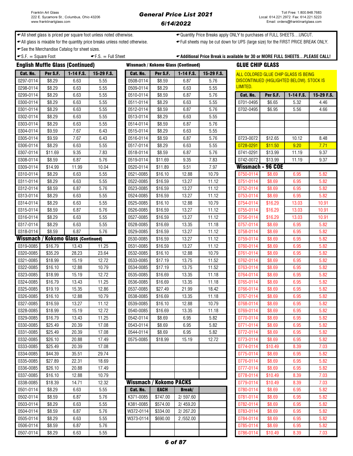← All sheet glass is priced per square foot unless noted otherwise.  $\leftarrow$ Quantity Price Breaks apply ONLY to purchases of FULL SHEETS...UNCUT.

All glass is mixable for the quantity price breaks unless noted otherwise. Full sheets may be cut down for UPS (large size) for the FIRST PRICE BREAK ONLY.

See the Merchandise Catalog for sheet sizes.

 $\bullet$  S.F.  $=$  Square Foot  $\bullet$  F.S.  $=$  Full Sheet  $\bullet$  Additional Price Break is available for 30 or MORE FULL SHEETS...PLEASE CALL!

|           |          | <b>English Muffle Glass (Continued)</b>    |            |           |                                | <b>Wissmach / Kokomo Glass (Continued)</b> |            | <b>GLUE CHIP GLASS</b> |          |                                           |            |
|-----------|----------|--------------------------------------------|------------|-----------|--------------------------------|--------------------------------------------|------------|------------------------|----------|-------------------------------------------|------------|
| Cat. No.  | Per S.F. | 1-14 F.S.                                  | 15-29 F.S. | Cat. No.  | Per S.F.                       | 1-14 F.S.                                  | 15-29 F.S. |                        |          | ALL COLORED GLUE CHIP GLASS IS BEING      |            |
| 0297-0114 | \$8.29   | 6.63                                       | 5.55       | 0508-0114 | \$8.59                         | 6.87                                       | 5.76       |                        |          | DISCONTINUED (HIGLIGHTED BELOW). STOCK IS |            |
| 0298-0114 | \$8.29   | 6.63                                       | 5.55       | 0509-0114 | \$8.29                         | 6.63                                       | 5.55       | LIMITED.               |          |                                           |            |
| 0299-0114 | \$8.29   | 6.63                                       | 5.55       | 0510-0114 | \$8.59                         | 6.87                                       | 5.76       | Cat. No.               | Per S.F. | 1-14 F.S.                                 | 15-29 F.S. |
| 0300-0114 | \$8.29   | 6.63                                       | 5.55       | 0511-0114 | \$8.29                         | 6.63                                       | 5.55       | 0701-0495              | \$6.65   | 5.32                                      | 4.46       |
| 0301-0114 | \$8.29   | 6.63                                       | 5.55       | 0512-0114 | \$8.59                         | 6.87                                       | 5.76       | 0702-0495              | \$6.95   | 5.56                                      | 4.66       |
| 0302-0114 | \$8.29   | 6.63                                       | 5.55       | 0513-0114 | \$8.29                         | 6.63                                       | 5.55       |                        |          |                                           |            |
| 0303-0114 | \$8.29   | 6.63                                       | 5.55       | 0514-0114 | \$8.59                         | 6.87                                       | 5.76       |                        |          |                                           |            |
| 0304-0114 | \$9.59   | 7.67                                       | 6.43       | 0515-0114 | \$8.29                         | 6.63                                       | 5.55       |                        |          |                                           |            |
| 0305-0114 | \$9.59   | 7.67                                       | 6.43       | 0516-0114 | \$8.59                         | 6.87                                       | 5.76       | 0723-0072              | \$12.65  | 10.12                                     | 8.48       |
| 0306-0114 | \$8.29   | 6.63                                       | 5.55       | 0517-0114 | \$8.29                         | 6.63                                       | 5.55       | 0728-0291              | \$11.50  | 9.20                                      | 7.71       |
| 0307-0114 | \$11.69  | 9.35                                       | 7.83       | 0518-0114 | \$8.59                         | 6.87                                       | 5.76       | 0741-0291              | \$13.99  | 11.19                                     | 9.37       |
| 0308-0114 | \$8.59   | 6.87                                       | 5.76       | 0519-0114 | \$11.69                        | 9.35                                       | 7.83       | 0742-0072              | \$13.99  | 11.19                                     | 9.37       |
| 0309-0114 | \$14.99  | 11.99                                      | 10.04      | 0520-0114 | \$11.89                        | 9.51                                       | 7.97       | Wissmach - 96 COE      |          |                                           |            |
| 0310-0114 | \$8.29   | 6.63                                       | 5.55       | 0521-0085 | \$16.10                        | 12.88                                      | 10.79      | 0750-0114              | \$8.69   | 6.95                                      | 5.82       |
| 0311-0114 | \$8.29   | 6.63                                       | 5.55       | 0522-0085 | \$16.59                        | 13.27                                      | 11.12      | 0751-0114              | \$8.69   | 6.95                                      | 5.82       |
| 0312-0114 | \$8.59   | 6.87                                       | 5.76       | 0523-0085 | \$16.59                        | 13.27                                      | 11.12      | 0752-0114              | \$8.69   | 6.95                                      | 5.82       |
| 0313-0114 | \$8.29   | 6.63                                       | 5.55       | 0524-0085 | \$16.59                        | 13.27                                      | 11.12      | 0753-0114              | \$8.69   | 6.95                                      | 5.82       |
| 0314-0114 | \$8.29   | 6.63                                       | 5.55       | 0525-0085 | \$16.10                        | 12.88                                      | 10.79      | 0754-0114              | \$16.29  | 13.03                                     | 10.91      |
| 0315-0114 | \$8.59   | 6.87                                       | 5.76       | 0526-0085 | \$16.59                        | 13.27                                      | 11.12      | 0755-0114              | \$16.29  | 13.03                                     | 10.91      |
| 0316-0114 | \$8.29   | 6.63                                       | 5.55       | 0527-0085 | \$16.59                        | 13.27                                      | 11.12      | 0756-0114              | \$16.29  | 13.03                                     | 10.91      |
| 0317-0114 | \$8.29   | 6.63                                       | 5.55       | 0528-0085 | \$16.69                        | 13.35                                      | 11.18      | 0757-0114              | \$8.69   | 6.95                                      | 5.82       |
| 0318-0114 | \$8.59   | 6.87                                       | 5.76       | 0529-0085 | \$16.59                        | 13.27                                      | 11.12      | 0758-0114              | \$8.69   | 6.95                                      | 5.82       |
|           |          | <b>Wissmach / Kokomo Glass (Continued)</b> |            | 0530-0085 | \$16.59                        | 13.27                                      | 11.12      | 0759-0114              | \$8.69   | 6.95                                      | 5.82       |
| 0319-0085 | \$16.79  | 13.43                                      | 11.25      | 0531-0085 | \$16.59                        | 13.27                                      | 11.12      | 0760-0114              | \$8.69   | 6.95                                      | 5.82       |
| 0320-0085 | \$35.29  | 28.23                                      | 23.64      | 0532-0085 | \$16.10                        | 12.88                                      | 10.79      | 0761-0114              | \$8.69   | 6.95                                      | 5.82       |
| 0321-0085 | \$18.99  | 15.19                                      | 12.72      | 0533-0085 | \$17.19                        | 13.75                                      | 11.52      | 0762-0114              | \$8.69   | 6.95                                      | 5.82       |
| 0322-0085 | \$16.10  | 12.88                                      | 10.79      | 0534-0085 | \$17.19                        | 13.75                                      | 11.52      | 0763-0114              | \$8.69   | 6.95                                      | 5.82       |
| 0323-0085 | \$18.99  | 15.19                                      | 12.72      | 0535-0085 | \$16.69                        | 13.35                                      | 11.18      | 0764-0114              | \$8.69   | 6.95                                      | 5.82       |
| 0324-0085 | \$16.79  | 13.43                                      | 11.25      | 0536-0085 | \$16.69                        | 13.35                                      | 11.18      | 0765-0114              | \$8.69   | 6.95                                      | 5.82       |
| 0325-0085 | \$19.19  | 15.35                                      | 12.86      | 0537-0085 | \$27.49                        | 21.99                                      | 18.42      | 0766-0114              | \$8.69   | 6.95                                      | 5.82       |
| 0326-0085 | \$16.10  | 12.88                                      | 10.79      | 0538-0085 | \$16.69                        | 13.35                                      | 11.18      | 0767-0114              | \$8.69   | 6.95                                      | 5.82       |
| 0327-0085 | \$16.59  | 13.27                                      | 11.12      | 0539-0085 | \$16.10                        | 12.88                                      | 10.79      | 0768-0114              | \$8.69   | 6.95                                      | 5.82       |
| 0328-0085 | \$18.99  | 15.19                                      | 12.72      | 0540-0085 | \$16.69                        | 13.35                                      | 11.18      | 0769-0114              | \$8.69   | 6.95                                      | 5.82       |
| 0329-0085 | \$16.79  | 13.43                                      | 11.25      | 0542-0114 | \$8.69                         | 6.95                                       | 5.82       | 0770-0114              | \$8.69   | 6.95                                      | 5.82       |
| 0330-0085 | \$25.49  | 20.39                                      | 17.08      | 0543-0114 | \$8.69                         | 6.95                                       | 5.82       | 0771-0114              | \$8.69   | 6.95                                      | 5.82       |
| 0331-0085 | \$25.49  | 20.39                                      | 17.08      | 0544-0114 | \$8.69                         | 6.95                                       | 5.82       | 0772-0114              | \$8.69   | 6.95                                      | 5.82       |
| 0332-0085 | \$26.10  | 20.88                                      | 17.49      | 0575-0085 | \$18.99                        | 15.19                                      | 12.72      | 0773-0114              | \$8.69   | 6.95                                      | 5.82       |
| 0333-0085 | \$25.49  | 20.39                                      | 17.08      |           |                                |                                            |            | 0774-0114              | \$10.49  | 8.39                                      | 7.03       |
| 0334-0085 | \$44.39  | 35.51                                      | 29.74      |           |                                |                                            |            | 0775-0114              | \$8.69   | 6.95                                      | 5.82       |
| 0335-0085 | \$27.89  | 22.31                                      | 18.69      |           |                                |                                            |            | 0776-0114              | \$8.69   | 6.95                                      | 5.82       |
| 0336-0085 | \$26.10  | 20.88                                      | 17.49      |           |                                |                                            |            | 0777-0114              | \$8.69   | 6.95                                      | 5.82       |
| 0337-0085 | \$16.10  | 12.88                                      | 10.79      |           |                                |                                            |            | 0778-0114              | \$10.49  | 8.39                                      | 7.03       |
| 0338-0085 | \$18.39  | 14.71                                      | 12.32      |           | <b>Wissmach / Kokomo PACKS</b> |                                            |            | 0779-0114              | \$10.49  | 8.39                                      | 7.03       |
| 0501-0114 | \$8.29   | 6.63                                       | 5.55       | Cat. No.  | <b>EACH</b>                    | <b>Break/</b>                              |            | 0780-0114              | \$8.69   | 6.95                                      | 5.82       |
| 0502-0114 | \$8.59   | 6.87                                       | 5.76       | K371-0085 | \$747.00                       | 2/597.60                                   |            | 0781-0114              | \$8.69   | 6.95                                      | 5.82       |
| 0503-0114 | \$8.29   | 6.63                                       | 5.55       | K381-0085 | \$574.00                       | 2/459.20                                   |            | 0782-0114              | \$8.69   | 6.95                                      | 5.82       |
| 0504-0114 | \$8.59   | 6.87                                       | 5.76       | W372-0114 | \$334.00                       | 2/267.20                                   |            | 0783-0114              | \$8.69   | 6.95                                      | 5.82       |
| 0505-0114 | \$8.29   | 6.63                                       | 5.55       | W373-0114 | \$690.00                       | 2/552.00                                   |            | 0784-0114              | \$8.69   | 6.95                                      | 5.82       |
| 0506-0114 | \$8.59   | 6.87                                       | 5.76       |           |                                |                                            |            | 0785-0114              | \$8.69   | 6.95                                      | 5.82       |

0507-0114 \$8.29 6.63 5.55 0786-0114 \$10.49 8.39 7.03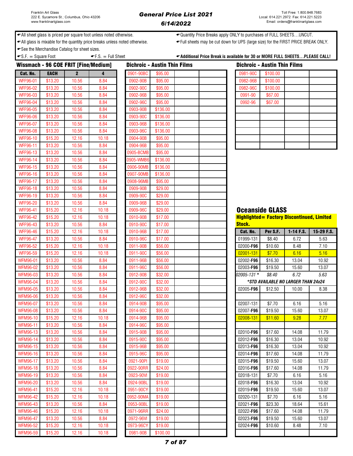◆ All sheet glass is priced per square foot unless noted otherwise. <br>◆ Quantity Price Breaks apply ONLY to purchases of FULL SHEETS…UNCUT.

All glass is mixable for the quantity price breaks unless noted otherwise. Full sheets may be cut down for UPS (large size) for the FIRST PRICE BREAK ONLY.

See the Merchandise Catalog for sheet sizes.

| square l<br>. ن | ∣ Sheet<br>. ت | PLEASE CALL!<br>$\cdot$ 30 or<br>SHEETSF<br>* MORE FULL<br>*Additional<br>e Break is available for '<br>Price |
|-----------------|----------------|---------------------------------------------------------------------------------------------------------------|
|                 |                |                                                                                                               |

| Wissmach - 96 COE FRIT [Fine/Medium] |             |              |       |           | <b>Dichroic - Austin Thin Films</b> |  |               | <b>Dichroic - Austin Thin Films</b> |                                                    |            |
|--------------------------------------|-------------|--------------|-------|-----------|-------------------------------------|--|---------------|-------------------------------------|----------------------------------------------------|------------|
| Cat. No.                             | <b>EACH</b> | $\mathbf{2}$ | 4     | 0901-90BC | \$95.00                             |  | 0981-90C      | \$100.00                            |                                                    |            |
| <b>WFF96-01</b>                      | \$13.20     | 10.56        | 8.84  | 0902-90B  | \$95.00                             |  | 0982-96B      | \$100.00                            |                                                    |            |
| <b>WFF96-02</b>                      | \$13.20     | 10.56        | 8.84  | 0902-90C  | \$95.00                             |  | 0982-96C      | \$100.00                            |                                                    |            |
| <b>WFF96-03</b>                      | \$13.20     | 10.56        | 8.84  | 0902-96B  | \$95.00                             |  | 0991-90       | \$67.00                             |                                                    |            |
| <b>WFF96-04</b>                      | \$13.20     | 10.56        | 8.84  | 0902-96C  | \$95.00                             |  | 0992-96       | \$67.00                             |                                                    |            |
| <b>WFF96-05</b>                      | \$13.20     | 10.56        | 8.84  | 0903-90B  | \$136.00                            |  |               |                                     |                                                    |            |
| <b>WFF96-06</b>                      | \$13.20     | 10.56        | 8.84  | 0903-90C  | \$136.00                            |  |               |                                     |                                                    |            |
| <b>WFF96-07</b>                      | \$13.20     | 10.56        | 8.84  | 0903-96B  | \$136.00                            |  |               |                                     |                                                    |            |
| <b>WFF96-08</b>                      | \$13.20     | 10.56        | 8.84  | 0903-96C  | \$136.00                            |  |               |                                     |                                                    |            |
| <b>WFF96-10</b>                      | \$15.20     | 12.16        | 10.18 | 0904-90B  | \$95.00                             |  |               |                                     |                                                    |            |
| <b>WFF96-11</b>                      | \$13.20     | 10.56        | 8.84  | 0904-96B  | \$95.00                             |  |               |                                     |                                                    |            |
| <b>WFF96-13</b>                      | \$13.20     | 10.56        | 8.84  | 0905-BCMB | \$95.00                             |  |               |                                     |                                                    |            |
| <b>WFF96-14</b>                      | \$13.20     | 10.56        | 8.84  | 0905-WMB6 | \$136.00                            |  |               |                                     |                                                    |            |
| <b>WFF96-15</b>                      | \$13.20     | 10.56        | 8.84  | 0906-90MB | \$136.00                            |  |               |                                     |                                                    |            |
| <b>WFF96-16</b>                      | \$13.20     | 10.56        | 8.84  | 0907-90MB | \$136.00                            |  |               |                                     |                                                    |            |
| <b>WFF96-17</b>                      | \$13.20     | 10.56        | 8.84  | 0908-96MB | \$95.00                             |  |               |                                     |                                                    |            |
| <b>WFF96-18</b>                      | \$13.20     | 10.56        | 8.84  | 0909-90B  | \$29.00                             |  |               |                                     |                                                    |            |
| <b>WFF96-19</b>                      | \$13.20     | 10.56        | 8.84  | 0909-90C  | \$29.00                             |  |               |                                     |                                                    |            |
| <b>WFF96-20</b>                      | \$13.20     | 10.56        | 8.84  | 0909-96B  | \$29.00                             |  |               |                                     |                                                    |            |
| <b>WFF96-41</b>                      | \$15.20     | 12.16        | 10.18 | 0909-96C  | \$29.00                             |  |               | <b>Oceanside GLASS</b>              |                                                    |            |
| <b>WFF96-42</b>                      | \$15.20     | 12.16        | 10.18 | 0910-90B  | \$17.00                             |  |               |                                     | <b>Highlighted = Factory Discontinued, Limited</b> |            |
| <b>WFF96-43</b>                      | \$13.20     | 10.56        | 8.84  | 0910-90C  | \$17.00                             |  | <b>Stock.</b> |                                     |                                                    |            |
| <b>WFF96-46</b>                      | \$15.20     | 12.16        | 10.18 | 0910-96B  | \$17.00                             |  | Cat. No.      | Per S.F.                            | 1-14 F.S.                                          | 15-29 F.S. |
| <b>WFF96-47</b>                      | \$13.20     | 10.56        | 8.84  | 0910-96C  | \$17.00                             |  | 01999-131     | \$8.40                              | 6.72                                               | 5.63       |
| <b>WFF96-52</b>                      | \$15.20     | 12.16        | 10.18 | 0911-90B  | \$56.00                             |  | 02000-F96     | \$10.60                             | 8.48                                               | 7.10       |
| <b>WFF96-59</b>                      | \$15.20     | 12.16        | 10.18 | 0911-90C  | \$56.00                             |  | 02001-131     | \$7.70                              | 6.16                                               | 5.16       |
| <b>WFM96-01</b>                      | \$13.20     | 10.56        | 8.84  | 0911-96B  | \$56.00                             |  | 02002-F96     | \$16.30                             | 13.04                                              | 10.92      |
| <b>WFM96-02</b>                      | \$13.20     | 10.56        | 8.84  | 0911-96C  | \$56.00                             |  | 02003-F96     | \$19.50                             | 15.60                                              | 13.07      |
| <b>WFM96-03</b>                      | \$13.20     | 10.56        | 8.84  | 0912-90B  | \$32.00                             |  | 02005-131 *   | \$8.40                              | 6.72                                               | 5.63       |
| <b>WFM96-04</b>                      | \$13.20     | 10.56        | 8.84  | 0912-90C  | \$32.00                             |  |               |                                     | *STD AVAILABLE NO LARGER THAN 24x24                |            |
| <b>WFM96-05</b>                      | \$13.20     | 10.56        | 8.84  | 0912-96B  | \$32.00                             |  | 02005-F96     | \$12.50                             | 10.00                                              | 8.38       |
| <b>WFM96-06</b>                      | \$13.20     | 10.56        | 8.84  | 0912-96C  | \$32.00                             |  |               |                                     |                                                    |            |
| <b>WFM96-07</b>                      | \$13.20     | 10.56        | 8.84  | 0914-90B  | \$95.00                             |  | 02007-131     | \$7.70                              | 6.16                                               | 5.16       |
| <b>WFM96-08</b>                      | \$13.20     | 10.56        | 8.84  | 0914-90C  | \$95.00                             |  | 02007-F96     | \$19.50                             | 15.60                                              | 13.07      |
| WFM96-10                             | \$15.20     | 12.16        | 10.18 | 0914-96B  | \$95.00                             |  | 02008-131     | \$11.60                             | 9.28                                               | 7.77       |
| <b>WFM96-11</b>                      | \$13.20     | 10.56        | 8.84  | 0914-96C  | \$95.00                             |  |               |                                     |                                                    |            |
| <b>WFM96-13</b>                      | \$13.20     | 10.56        | 8.84  | 0915-90B  | \$95.00                             |  | 02010-F96     | \$17.60                             | 14.08                                              | 11.79      |
| <b>WFM96-14</b>                      | \$13.20     | 10.56        | 8.84  | 0915-90C  | \$95.00                             |  | 02012-F96     | \$16.30                             | 13.04                                              | 10.92      |
| <b>WFM96-15</b>                      | \$13.20     | 10.56        | 8.84  | 0915-96B  | \$95.00                             |  | 02013-F96     | \$16.30                             | 13.04                                              | 10.92      |
| <b>WFM96-16</b>                      | \$13.20     | 10.56        | 8.84  | 0915-96C  | \$95.00                             |  | 02014-F96     | \$17.60                             | 14.08                                              | 11.79      |
| <b>WFM96-17</b>                      | \$13.20     | 10.56        | 8.84  | 0921-90PI | \$19.00                             |  | 02015-F96     | \$19.50                             | 15.60                                              | 13.07      |
| <b>WFM96-18</b>                      | \$13.20     | 10.56        | 8.84  | 0922-90RR | \$24.00                             |  | 02016-F96     | \$17.60                             | 14.08                                              | 11.79      |
| <b>WFM96-19</b>                      | \$13.20     | 10.56        | 8.84  | 0923-90VI | \$19.00                             |  | 02018-131     | \$7.70                              | 6.16                                               | 5.16       |
| <b>WFM96-20</b>                      | \$13.20     | 10.56        | 8.84  | 0924-90BL | \$19.00                             |  | 02018-F96     | \$16.30                             | 13.04                                              | 10.92      |
| <b>WFM96-41</b>                      | \$15.20     | 12.16        | 10.18 | 0951-90CY | \$19.00                             |  | 02019-F96     | \$19.50                             | 15.60                                              | 13.07      |
| <b>WFM96-42</b>                      | \$15.20     | 12.16        | 10.18 | 0952-90MA | \$19.00                             |  | 02020-131     | \$7.70                              | 6.16                                               | 5.16       |
| <b>WFM96-43</b>                      | \$13.20     | 10.56        | 8.84  | 0953-90BL | \$19.00                             |  | 02021-F96     | \$23.30                             | 18.64                                              | 15.61      |
| <b>WFM96-46</b>                      | \$15.20     | 12.16        | 10.18 | 0971-96RR | \$24.00                             |  | 02022-F96     | \$17.60                             | 14.08                                              | 11.79      |
| <b>WFM96-47</b>                      | \$13.20     | 10.56        | 8.84  | 0972-96VI | \$19.00                             |  | 02023-F96     | \$19.50                             | 15.60                                              | 13.07      |
| <b>WFM96-52</b>                      | \$15.20     | 12.16        | 10.18 | 0973-96CY | \$19.00                             |  | 02024-F96     | \$10.60                             | 8.48                                               | 7.10       |
| <b>WFM96-59</b>                      | \$15.20     | 12.16        | 10.18 | 0981-90B  | \$100.00                            |  |               |                                     |                                                    |            |

|          | <b>Dichroic - Austin Thin Films</b> |  |
|----------|-------------------------------------|--|
| 0981-90C | \$100.00                            |  |
| 0982-96B | \$100.00                            |  |
| 0982-96C | \$100.00                            |  |
| 0991-90  | \$67.00                             |  |
| 0992-96  | \$67.00                             |  |
|          |                                     |  |
|          |                                     |  |
|          |                                     |  |
|          |                                     |  |
|          |                                     |  |
|          |                                     |  |

# **Ceanside GLASS**

| <b>Stock.</b> | <b>Highlighted = Factory Discontinued, Limited</b> |               |            |
|---------------|----------------------------------------------------|---------------|------------|
| Cat. No.      | Per S.F.                                           | $1 - 14$ F.S. | 15-29 F.S. |
| 01999-131     | \$8.40                                             | 6.72          | 5.63       |
| 02000-F96     | \$10.60                                            | 8.48          | 7.10       |
| 02001-131     | \$7.70                                             | 6.16          | 5.16       |
| 02002-F96     | \$16.30                                            | 13.04         | 10.92      |
| 02003-F96     | \$19.50                                            | 15.60         | 13.07      |
| 02005-131 *   | \$8.40                                             | 6.72          | 5.63       |
|               | *STD AVAILABLE NO LARGER THAN 24x24                |               |            |
| 02005-F96     | \$12.50                                            | 10.00         | 8.38       |
|               |                                                    |               |            |
| 02007-131     | \$7.70                                             | 6.16          | 5.16       |
| 02007-F96     | \$19.50                                            | 15.60         | 13.07      |
| 02008-131     | \$11.60                                            | 9.28          | 7.77       |
|               |                                                    |               |            |
| 02010-F96     | \$17.60                                            | 14.08         | 11.79      |
| 02012-F96     | \$16.30                                            | 13.04         | 10.92      |
| 02013-F96     | \$16.30                                            | 13.04         | 10.92      |
| 02014-F96     | \$17.60                                            | 14.08         | 11.79      |
| 02015-F96     | \$19.50                                            | 15.60         | 13.07      |
| 02016-F96     | \$17.60                                            | 14.08         | 11.79      |
| 02018-131     | \$7.70                                             | 6.16          | 5.16       |
| 02018-F96     | \$16.30                                            | 13.04         | 10.92      |
| 02019-F96     | \$19.50                                            | 15.60         | 13.07      |
| 02020-131     | \$7.70                                             | 6.16          | 5.16       |
| 02021-F96     | \$23.30                                            | 18.64         | 15.61      |
| 02022-F96     | \$17.60                                            | 14.08         | 11.79      |
| 02023-F96     | \$19.50                                            | 15.60         | 13.07      |
| 02024-F96     | \$10.60                                            | 8.48          | 7.10       |
|               |                                                    |               |            |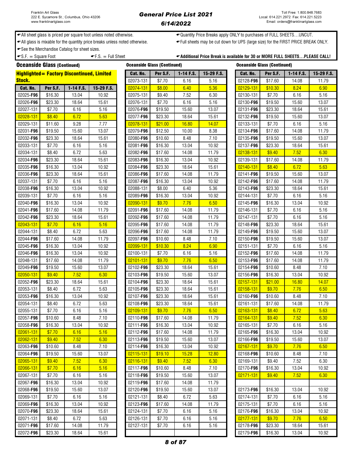### General Price List 2021 6/14/2022

All sheet glass is priced per square foot unless noted otherwise. Quantity Price Breaks apply ONLY to purchases of FULL SHEETS…UNCUT.

← All glass is mixable for the quantity price breaks unless noted otherwise. • • • Full sheets may be cut down for UPS (large size) for the FIRST PRICE BREAK ONLY.

See the Merchandise Catalog for sheet sizes.

 $\bullet$  S.F.  $=$  Square Foot  $\bullet$  F.S.  $=$  Full Sheet  $\bullet$  Additional Price Break is available for 30 or MORE FULL SHEETS...PLEASE CALL!

Oceanside Glass (Continued) Oceanside Glass (Continued) Oceanside Glass (Continued) Highlighted= Factory Discontinued, Limited Stock.

| itock.            |          |             |            | 02073-131 | \$7.70  | 6.16  | 5.16  | 02128-F96 | \$17.60 | 14.08 | 11.79 |
|-------------------|----------|-------------|------------|-----------|---------|-------|-------|-----------|---------|-------|-------|
| Cat. No.          | Per S.F. | $1-14$ F.S. | 15-29 F.S. | 02074-131 | \$8.00  | 6.40  | 5.36  | 02129-131 | \$10.30 | 8.24  | 6.90  |
| 02025-F96         | \$16.30  | 13.04       | 10.92      | 02075-131 | \$9.40  | 7.52  | 6.30  | 02130-131 | \$7.70  | 6.16  | 5.16  |
| 02026-F96         | \$23.30  | 18.64       | 15.61      | 02076-131 | \$7.70  | 6.16  | 5.16  | 02130-F96 | \$19.50 | 15.60 | 13.07 |
| 02027-131         | \$7.70   | 6.16        | 5.16       | 02076-F96 | \$19.50 | 15.60 | 13.07 | 02131-F96 | \$23.30 | 18.64 | 15.61 |
| 02028-131         | \$8.40   | 6.72        | 5.63       | 02077-F96 | \$23.30 | 18.64 | 15.61 | 02132-F96 | \$19.50 | 15.60 | 13.07 |
| 02029-131         | \$11.60  | 9.28        | 7.77       | 02078-131 | \$21.00 | 16.80 | 14.07 | 02133-131 | \$7.70  | 6.16  | 5.16  |
| 02031-F96         | \$19.50  | 15.60       | 13.07      | 02079-F96 | \$12.50 | 10.00 | 8.38  | 02134-F96 | \$17.60 | 14.08 | 11.79 |
| 02032-F96         | \$23.30  | 18.64       | 15.61      | 02080-F96 | \$10.60 | 8.48  | 7.10  | 02135-F96 | \$19.50 | 15.60 | 13.07 |
| 02033-131         | \$7.70   | 6.16        | 5.16       | 02081-F96 | \$16.30 | 13.04 | 10.92 | 02137-F96 | \$23.30 | 18.64 | 15.61 |
| 02034-131         | \$8.40   | 6.72        | 5.63       | 02082-F96 | \$17.60 | 14.08 | 11.79 | 02138-131 | \$9.40  | 7.52  | 6.30  |
| 02034- <b>F96</b> | \$23.30  | 18.64       | 15.61      | 02083-F96 | \$16.30 | 13.04 | 10.92 | 02139-131 | \$17.60 | 14.08 | 11.79 |
| 02035-F96         | \$16.30  | 13.04       | 10.92      | 02084-F96 | \$23.30 | 18.64 | 15.61 | 02140-131 | \$8.40  | 6.72  | 5.63  |
| 02036-F96         | \$23.30  | 18.64       | 15.61      | 02086-F96 | \$17.60 | 14.08 | 11.79 | 02141-F96 | \$19.50 | 15.60 | 13.07 |
| 02037-131         | \$7.70   | 6.16        | 5.16       | 02087-F96 | \$16.30 | 13.04 | 10.92 | 02142-F96 | \$17.60 | 14.08 | 11.79 |
| 02038-F96         | \$16.30  | 13.04       | 10.92      | 02088-131 | \$8.00  | 6.40  | 5.36  | 02143-F96 | \$23.30 | 18.64 | 15.61 |
| 02039-131         | \$7.70   | 6.16        | 5.16       | 02089-F96 | \$16.30 | 13.04 | 10.92 | 02144-131 | \$7.70  | 6.16  | 5.16  |
| 02040-F96         | \$16.30  | 13.04       | 10.92      | 02090-131 | \$9.70  | 7.76  | 6.50  | 02145-F96 | \$16.30 | 13.04 | 10.92 |
| 02041- <b>F96</b> | \$17.60  | 14.08       | 11.79      | 02091-F96 | \$17.60 | 14.08 | 11.79 | 02146-131 | \$7.70  | 6.16  | 5.16  |
| 02042- <b>F96</b> | \$23.30  | 18.64       | 15.61      | 02092-F96 | \$17.60 | 14.08 | 11.79 | 02147-131 | \$7.70  | 6.16  | 5.16  |
| 02043-131         | \$7.70   | 6.16        | 5.16       | 02095-F96 | \$17.60 | 14.08 | 11.79 | 02148-F96 | \$23.30 | 18.64 | 15.61 |
| 02044-131         | \$8.40   | 6.72        | 5.63       | 02096-F96 | \$17.60 | 14.08 | 11.79 | 02149-F96 | \$19.50 | 15.60 | 13.07 |
| 02044-F96         | \$17.60  | 14.08       | 11.79      | 02097-F96 | \$10.60 | 8.48  | 7.10  | 02150-F96 | \$19.50 | 15.60 | 13.07 |
| 02045-F96         | \$16.30  | 13.04       | 10.92      | 02099-131 | \$10.30 | 8.24  | 6.90  | 02151-131 | \$7.70  | 6.16  | 5.16  |
| 02046-F96         | \$16.30  | 13.04       | 10.92      | 02100-131 | \$7.70  | 6.16  | 5.16  | 02152-F96 | \$17.60 | 14.08 | 11.79 |
| 02048-131         | \$17.60  | 14.08       | 11.79      | 02101-131 | \$9.70  | 7.76  | 6.50  | 02153-F96 | \$17.60 | 14.08 | 11.79 |
| 02049-F96         | \$19.50  | 15.60       | 13.07      | 02102-F96 | \$23.30 | 18.64 | 15.61 | 02154-F96 | \$10.60 | 8.48  | 7.10  |
| 02050-131         | \$9.40   | 7.52        | 6.30       | 02103-F96 | \$19.50 | 15.60 | 13.07 | 02156-F96 | \$16.30 | 13.04 | 10.92 |
| 02052- <b>F96</b> | \$23.30  | 18.64       | 15.61      | 02104-F96 | \$23.30 | 18.64 | 15.61 | 02157-131 | \$21.00 | 16.80 | 14.07 |
| 02053-131         | \$8.40   | 6.72        | 5.63       | 02105-F96 | \$23.30 | 18.64 | 15.61 | 02158-131 | \$9.70  | 7.76  | 6.50  |
| 02053-F96         | \$16.30  | 13.04       | 10.92      | 02107-F96 | \$23.30 | 18.64 | 15.61 | 02160-F96 | \$10.60 | 8.48  | 7.10  |
| 02054-131         | \$8.40   | 6.72        | 5.63       | 02108-F96 | \$23.30 | 18.64 | 15.61 | 02161-131 | \$17.60 | 14.08 | 11.79 |
| 02055-131         | \$7.70   | 6.16        | 5.16       | 02109-131 | \$9.70  | 7.76  | 6.50  | 02163-131 | \$8.40  | 6.72  | 5.63  |
| 02057-F96         | \$10.60  | 8.48        | 7.10       | 02110-F96 | \$17.60 | 14.08 | 11.79 | 02164-131 | \$9.40  | 7.52  | 6.30  |
| 02058-F96         | \$16.30  | 13.04       | 10.92      | 02111-F96 | \$16.30 | 13.04 | 10.92 | 02165-131 | \$7.70  | 6.16  | 5.16  |
| 02061-131         | \$7.70   | 6.16        | 5.16       | 02112-F96 | \$17.60 | 14.08 | 11.79 | 02165-F96 | \$16.30 | 13.04 | 10.92 |
| 02062-131         | \$9.40   | 7.52        | 6.30       | 02113-F96 | \$19.50 | 15.60 | 13.07 | 02166-F96 | \$19.50 | 15.60 | 13.07 |
| 02063- <b>F96</b> | \$10.60  | 8.48        | 7.10       | 02114-F96 | \$16.30 | 13.04 | 10.92 | 02167-131 | \$9.70  | 7.76  | 6.50  |
| 02064-F96         | \$19.50  | 15.60       | 13.07      | 02115-131 | \$19.10 | 15.28 | 12.80 | 02168-F96 | \$10.60 | 8.48  | 7.10  |
| 02065-131         | \$9.40   | 7.52        | 6.30       | 02116-131 | \$9.40  | 7.52  | 6.30  | 02169-131 | \$9.40  | 7.52  | 6.30  |
| 02066-131         | \$7.70   | 6.16        | 5.16       | 02117-F96 | \$10.60 | 8.48  | 7.10  | 02170-F96 | \$16.30 | 13.04 | 10.92 |
| 02067-131         | \$7.70   | 6.16        | 5.16       | 02118-F96 | \$19.50 | 15.60 | 13.07 | 02171-131 | \$9.40  | 7.52  | 6.30  |
| 02067- <b>F96</b> | \$16.30  | 13.04       | 10.92      | 02119-F96 | \$17.60 | 14.08 | 11.79 |           |         |       |       |
| 02068-F96         | \$19.50  | 15.60       | 13.07      | 02120-F96 | \$19.50 | 15.60 | 13.07 | 02173-F96 | \$16.30 | 13.04 | 10.92 |
| 02069-131         | \$7.70   | 6.16        | 5.16       | 02121-131 | \$8.40  | 6.72  | 5.63  | 02174-131 | \$7.70  | 6.16  | 5.16  |
| 02069-F96         | \$16.30  | 13.04       | 10.92      | 02123-F96 | \$17.60 | 14.08 | 11.79 | 02175-131 | \$7.70  | 6.16  | 5.16  |
| 02070- <b>F96</b> | \$23.30  | 18.64       | 15.61      | 02124-131 | \$7.70  | 6.16  | 5.16  | 02176-F96 | \$16.30 | 13.04 | 10.92 |
| 02071-131         | \$8.40   | 6.72        | 5.63       | 02126-131 | \$7.70  | 6.16  | 5.16  | 02177-131 | \$9.70  | 7.76  | 6.50  |
| 02071- <b>F96</b> | \$17.60  | 14.08       | 11.79      | 02127-131 | \$7.70  | 6.16  | 5.16  | 02178-F96 | \$23.30 | 18.64 | 15.61 |
| 02072- <b>F96</b> | \$23.30  | 18.64       | 15.61      |           |         |       |       | 02179-F96 | \$16.30 | 13.04 | 10.92 |

|                  | eanside Glass (Continued) |             |            | <b>Oceanside Glass (Continued)</b> |          |             |            |
|------------------|---------------------------|-------------|------------|------------------------------------|----------|-------------|------------|
| Cat. No.         | Per S.F.                  | $1-14$ F.S. | 15-29 F.S. | Cat. No.                           | Per S.F. | $1-14$ F.S. | 15-29 F.S. |
| 2073-131         | \$7.70                    | 6.16        | 5.16       | 02128-F96                          | \$17.60  | 14.08       | 11.79      |
| 2074-131         | \$8.00                    | 6.40        | 5.36       | 02129-131                          | \$10.30  | 8.24        | 6.90       |
| 2075-131         | \$9.40                    | 7.52        | 6.30       | 02130-131                          | \$7.70   | 6.16        | 5.16       |
| 2076-131         | \$7.70                    | 6.16        | 5.16       | 02130-F96                          | \$19.50  | 15.60       | 13.07      |
| 2076-F96         | \$19.50                   | 15.60       | 13.07      | 02131-F96                          | \$23.30  | 18.64       | 15.61      |
| 2077-F96         | \$23.30                   | 18.64       | 15.61      | 02132-F96                          | \$19.50  | 15.60       | 13.07      |
| 2078-131         | \$21.00                   | 16.80       | 14.07      | 02133-131                          | \$7.70   | 6.16        | 5.16       |
| 2079-F96         | \$12.50                   | 10.00       | 8.38       | 02134-F96                          | \$17.60  | 14.08       | 11.79      |
| 2080-F96         | \$10.60                   | 8.48        | 7.10       | 02135-F96                          | \$19.50  | 15.60       | 13.07      |
| 2081-F96         | \$16.30                   | 13.04       | 10.92      | 02137-F96                          | \$23.30  | 18.64       | 15.61      |
| 2082-F96         | \$17.60                   | 14.08       | 11.79      | 02138-131                          | \$9.40   | 7.52        | 6.30       |
| 2083-F96         | \$16.30                   | 13.04       | 10.92      | 02139-131                          | \$17.60  | 14.08       | 11.79      |
| 2084-F96         | \$23.30                   | 18.64       | 15.61      | 02140-131                          | \$8.40   | 6.72        | 5.63       |
| 2086-F96         | \$17.60                   | 14.08       | 11.79      | 02141-F96                          | \$19.50  | 15.60       | 13.07      |
| 2087-F96         | \$16.30                   | 13.04       | 10.92      | 02142-F96                          | \$17.60  | 14.08       | 11.79      |
| 2088-131         | \$8.00                    | 6.40        | 5.36       | 02143-F96                          | \$23.30  | 18.64       | 15.61      |
| 2089-F96         | \$16.30                   | 13.04       | 10.92      | 02144-131                          | \$7.70   | 6.16        | 5.16       |
| 2090-131         | \$9.70                    | 7.76        | 6.50       | 02145-F96                          | \$16.30  | 13.04       | 10.92      |
| 2091-F96         | \$17.60                   | 14.08       | 11.79      | 02146-131                          | \$7.70   | 6.16        | 5.16       |
| 2092-F96         | \$17.60                   | 14.08       | 11.79      | 02147-131                          | \$7.70   | 6.16        | 5.16       |
| 2095-F96         | \$17.60                   | 14.08       | 11.79      | 02148-F96                          | \$23.30  | 18.64       | 15.61      |
| 2096-F96         | \$17.60                   | 14.08       | 11.79      | 02149-F96                          | \$19.50  | 15.60       | 13.07      |
| 2097-F96         | \$10.60                   | 8.48        | 7.10       | 02150-F96                          | \$19.50  | 15.60       | 13.07      |
| 2099-131         | \$10.30                   | 8.24        | 6.90       | 02151-131                          | \$7.70   | 6.16        | 5.16       |
| 2100-131         | \$7.70                    | 6.16        | 5.16       | 02152-F96                          | \$17.60  | 14.08       | 11.79      |
| 2101-131         | \$9.70                    | 7.76        | 6.50       | 02153-F96                          | \$17.60  | 14.08       | 11.79      |
| 2102-F96         | \$23.30                   | 18.64       | 15.61      | 02154-F96                          | \$10.60  | 8.48        | 7.10       |
| 2103-F96         | \$19.50                   | 15.60       | 13.07      | 02156-F96                          | \$16.30  | 13.04       | 10.92      |
| 2104-F96         | \$23.30                   | 18.64       | 15.61      | 02157-131                          | \$21.00  | 16.80       | 14.07      |
| 2105-F96         | \$23.30                   | 18.64       | 15.61      | 02158-131                          | \$9.70   | 7.76        | 6.50       |
| 2107-F96         | \$23.30                   | 18.64       | 15.61      | 02160-F96                          | \$10.60  | 8.48        | 7.10       |
| 2108-F96         | \$23.30                   | 18.64       | 15.61      | 02161-131                          | \$17.60  | 14.08       | 11.79      |
| 2109-131         | \$9.70                    | 7.76        | 6.50       | 02163-131                          | \$8.40   | 6.72        | 5.63       |
| 2110-F96         | \$17.60                   | 14.08       | 11.79      | 02164-131                          | \$9.40   | 7.52        | 6.30       |
| 2111- <b>F96</b> | \$16.30                   | 13.04       | 10.92      | 02165-131                          | \$7.70   | 6.16        | 5.16       |
| 2112-F96         | \$17.60                   | 14.08       | 11.79      | 02165-F96                          | \$16.30  | 13.04       | 10.92      |
| 2113-F96         | \$19.50                   | 15.60       | 13.07      | 02166-F96                          | \$19.50  | 15.60       | 13.07      |
| 2114- <b>F96</b> | \$16.30                   | 13.04       | 10.92      | 02167-131                          | \$9.70   | 7.76        | 6.50       |
| 2115-131         | \$19.10                   | 15.28       | 12.80      | 02168-F96                          | \$10.60  | 8.48        | 7.10       |
| 2116-131         | \$9.40                    | 7.52        | 6.30       | 02169-131                          | \$9.40   | 7.52        | 6.30       |
| 2117-F96         | \$10.60                   | 8.48        | 7.10       | 02170-F96                          | \$16.30  | 13.04       | 10.92      |
| 2118-F96         | \$19.50                   | 15.60       | 13.07      | 02171-131                          | \$9.40   | 7.52        | 6.30       |
| 2119-F96         | \$17.60                   | 14.08       | 11.79      |                                    |          |             |            |
| 2120-F96         | \$19.50                   | 15.60       | 13.07      | 02173-F96                          | \$16.30  | 13.04       | 10.92      |
| 2121-131         | \$8.40                    | 6.72        | 5.63       | 02174-131                          | \$7.70   | 6.16        | 5.16       |
| 2123-F96         | \$17.60                   | 14.08       | 11.79      | 02175-131                          | \$7.70   | 6.16        | 5.16       |
| 2124-131         | \$7.70                    | 6.16        | 5.16       | 02176-F96                          | \$16.30  | 13.04       | 10.92      |
| 2126-131         | \$7.70                    | 6.16        | 5.16       | 02177-131                          | \$9.70   | 7.76        | 6.50       |
| 2127-131         | \$7.70                    | 6.16        | 5.16       | 02178-F96                          | \$23.30  | 18.64       | 15.61      |
|                  |                           |             |            | 00170 E0G                          | 01000    | 120A        | 10.02      |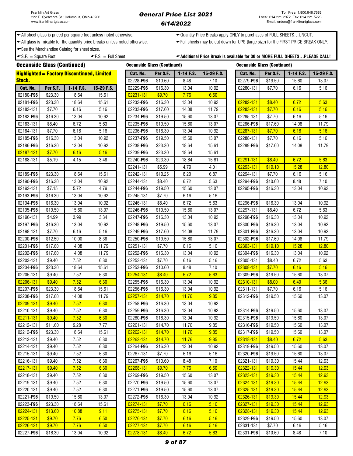← All sheet glass is priced per square foot unless noted otherwise. <br>
→ Quantity Price Breaks apply ONLY to purchases of FULL SHEETS...UNCUT.

All glass is mixable for the quantity price breaks unless noted otherwise. Full sheets may be cut down for UPS (large size) for the FIRST PRICE BREAK ONLY.

**See the Merchandise Catalog for sheet sizes.** 

 $\text{F.S.} = \text{Full Sheet}$   $\text{F.S.} = \text{Full Sheet}$   $\text{Additional Price Break is available for 30 or MORE FULL SHEETS...PLEASE CALL!}$ 

| <b>Oceanside Glass (Continued)</b> |          |                                                    |            | <b>Oceanside Glass (Continued)</b> |          |           |            | <b>Oceanside Glass (Continued)</b> |          |           |            |
|------------------------------------|----------|----------------------------------------------------|------------|------------------------------------|----------|-----------|------------|------------------------------------|----------|-----------|------------|
|                                    |          | <b>Highlighted = Factory Discontinued, Limited</b> |            | Cat. No.                           | Per S.F. | 1-14 F.S. | 15-29 F.S. | Cat. No.                           | Per S.F. | 1-14 F.S. | 15-29 F.S. |
| <b>Stock.</b>                      |          |                                                    |            | 02228-F96                          | \$10.60  | 8.48      | 7.10       | 02279-F96                          | \$19.50  | 15.60     | 13.07      |
| Cat. No.                           | Per S.F. | 1-14 F.S.                                          | 15-29 F.S. | 02229-F96                          | \$16.30  | 13.04     | 10.92      | 02280-131                          | \$7.70   | 6.16      | 5.16       |
| 02180-F96                          | \$23.30  | 18.64                                              | 15.61      | 02231-131                          | \$9.70   | 7.76      | 6.50       |                                    |          |           |            |
| 02181-F96                          | \$23.30  | 18.64                                              | 15.61      | 02232-F96                          | \$16.30  | 13.04     | 10.92      | 02282-131                          | \$8.40   | 6.72      | 5.63       |
| 02182-131                          | \$7.70   | 6.16                                               | 5.16       | 02233-F96                          | \$17.60  | 14.08     | 11.79      | 02283-131                          | \$7.70   | 6.16      | 5.16       |
| 02182-F96                          | \$16.30  | 13.04                                              | 10.92      | 02234-F96                          | \$19.50  | 15.60     | 13.07      | 02285-131                          | \$7.70   | 6.16      | 5.16       |
| 02183-131                          | \$8.40   | 6.72                                               | 5.63       | 02235-F96                          | \$19.50  | 15.60     | 13.07      | 02286-F96                          | \$17.60  | 14.08     | 11.79      |
| 02184-131                          | \$7.70   | 6.16                                               | 5.16       | 02236-F96                          | \$16.30  | 13.04     | 10.92      | 02287-131                          | \$7.70   | 6.16      | 5.16       |
| 02185-F96                          | \$16.30  | 13.04                                              | 10.92      | 02237-F96                          | \$19.50  | 15.60     | 13.07      | 02288-131                          | \$7.70   | 6.16      | 5.16       |
| 02186-F96                          | \$16.30  | 13.04                                              | 10.92      | 02238-F96                          | \$23.30  | 18.64     | 15.61      | 02289-F96                          | \$17.60  | 14.08     | 11.79      |
| 02187-131                          | \$7.70   | 6.16                                               | 5.16       | 02239-F96                          | \$23.30  | 18.64     | 15.61      |                                    |          |           |            |
| 02188-131                          | \$5.19   | 4.15                                               | 3.48       | 02240-F96                          | \$23.30  | 18.64     | 15.61      | 02291-131                          | \$8.40   | 6.72      | 5.63       |
|                                    |          |                                                    |            | 02241-131                          | \$5.99   | 4.79      | 4.01       | 02293-131                          | \$19.10  | 15.28     | 12.80      |
| 02189-F96                          | \$23.30  | 18.64                                              | 15.61      | 02242-131                          | \$10.25  | 8.20      | 6.87       | 02294-131                          | \$7.70   | 6.16      | 5.16       |
| 02190-F96                          | \$16.30  | 13.04                                              | 10.92      | 02244-131                          | \$8.40   | 6.72      | 5.63       | 02294-F96                          | \$10.60  | 8.48      | 7.10       |
| 02192-131                          | \$7.15   | 5.72                                               | 4.79       | 02244-F96                          | \$19.50  | 15.60     | 13.07      | 02295-F96                          | \$16.30  | 13.04     | 10.92      |
| 02193-F96                          | \$16.30  | 13.04                                              | 10.92      | 02245-131                          | \$7.70   | 6.16      | 5.16       |                                    |          |           |            |
| 02194-F96                          | \$16.30  | 13.04                                              | 10.92      | 02246-131                          | \$8.40   | 6.72      | 5.63       | 02296-F96                          | \$16.30  | 13.04     | 10.92      |
| 02195-F96                          | \$19.50  | 15.60                                              | 13.07      | 02246-F96                          | \$19.50  | 15.60     | 13.07      | 02297-131                          | \$8.40   | 6.72      | 5.63       |
| 02196-131                          | \$4.99   | 3.99                                               | 3.34       | 02247-F96                          | \$16.30  | 13.04     | 10.92      | 02298-F96                          | \$16.30  | 13.04     | 10.92      |
| 02197-F96                          | \$16.30  | 13.04                                              | 10.92      | 02248-F96                          | \$19.50  | 15.60     | 13.07      | 02300-F96                          | \$16.30  | 13.04     | 10.92      |
| 02198-131                          | \$7.70   | 6.16                                               | 5.16       | 02249-F96                          | \$17.60  | 14.08     | 11.79      | 02301-F96                          | \$16.30  | 13.04     | 10.92      |
| 02200-F96                          | \$12.50  | 10.00                                              | 8.38       | 02250-F96                          | \$19.50  | 15.60     | 13.07      | 02302-F96                          | \$17.60  | 14.08     | 11.79      |
| 02201-F96                          | \$17.60  | 14.08                                              | 11.79      | 02251-131                          | \$7.70   | 6.16      | 5.16       | 02303-131                          | \$19.10  | 15.28     | 12.80      |
| 02202-F96                          | \$17.60  | 14.08                                              | 11.79      | 02252-F96                          | \$16.30  | 13.04     | 10.92      | 02304-F96                          | \$16.30  | 13.04     | 10.92      |
| 02203-131                          | \$9.40   | 7.52                                               | 6.30       | 02253-131                          | \$7.70   | 6.16      | 5.16       | 02305-131                          | \$8.40   | 6.72      | 5.63       |
| 02204-F96                          | \$23.30  | 18.64                                              | 15.61      | 02253-F96                          | \$10.60  | 8.48      | 7.10       | 02308-131                          | \$7.70   | 6.16      | 5.16       |
| 02205-131                          | \$9.40   | 7.52                                               | 6.30       | 02254-131                          | \$8.40   | 6.72      | 5.63       | 02309-F96                          | \$19.50  | 15.60     | 13.07      |
| 02206-131                          | \$9.40   | 7.52                                               | 6.30       | 02255-F96                          | \$16.30  | 13.04     | 10.92      | 02310-131                          | \$8.00   | 6.40      | 5.36       |
| 02207-F96                          | \$23.30  | 18.64                                              | 15.61      | 02256-F96                          | \$16.30  | 13.04     | 10.92      | 02311-131                          | \$7.70   | 6.16      | 5.16       |
| 02208-F96                          | \$17.60  | 14.08                                              | 11.79      | 02257-131                          | \$14.70  | 11.76     | 9.85       | 02312-F96                          | \$19.50  | 15.60     | 13.07      |
| 02209-131                          | \$9.40   | 7.52                                               | 6.30       | 02258-F96                          | \$16.30  | 13.04     | 10.92      |                                    |          |           |            |
| 02210-131                          | \$9.40   | 7.52                                               | 6.30       | 02259-F96                          | \$16.30  | 13.04     | 10.92      | 02314-F96                          | \$19.50  | 15.60     | 13.07      |
| 02211-131                          | \$9.40   | 7.52                                               | 6.30       | 02260-F96                          | \$16.30  | 13.04     | 10.92      | 02315-F96                          | \$19.50  | 15.60     | 13.07      |
| 02212-131                          | \$11.60  | 9.28                                               | 7.77       | 02261-131                          | \$14.70  | 11.76     | 9.85       | 02316-F96                          | \$19.50  | 15.60     | 13.07      |
| 02212-F96                          | \$23.30  | 18.64                                              | 15.61      | 02262-131                          | \$14.70  | 11.76     | 9.85       | 02317-F96                          | \$19.50  | 15.60     | 13.07      |
| 02213-131                          | \$9.40   | 7.52                                               | 6.30       | 02263-131                          | \$14.70  | 11.76     | 9.85       | 02318-131                          | \$8.40   | 6.72      | 5.63       |
| 02214-131                          | \$9.40   | 7.52                                               | 6.30       | 02264-F96                          | \$16.30  | 13.04     | 10.92      | 02319-F96                          | \$19.50  | 15.60     | 13.07      |
| 02215-131                          | \$9.40   | 7.52                                               | 6.30       | 02267-131                          | \$7.70   | 6.16      | 5.16       | 02320-F96                          | \$19.50  | 15.60     | 13.07      |
| 02216-131                          | \$9.40   | 7.52                                               | 6.30       | 02267-F96                          | \$10.60  | 8.48      | 7.10       | 02321-131                          | \$19.30  | 15.44     | 12.93      |
| 02217-131                          | \$9.40   | 7.52                                               | 6.30       | 02268-131                          | \$9.70   | 7.76      | 6.50       | 02322-131                          | \$19.30  | 15.44     | 12.93      |
|                                    |          |                                                    |            |                                    |          |           |            |                                    |          |           |            |
| 02218-131                          | \$9.40   | 7.52                                               | 6.30       | 02269-F96                          | \$19.50  | 15.60     | 13.07      | 02323-131                          | \$19.30  | 15.44     | 12.93      |
| 02219-131<br>02220-131             | \$9.40   | 7.52                                               | 6.30       | 02270-F96                          | \$19.50  | 15.60     | 13.07      | 02324-131                          | \$19.30  | 15.44     | 12.93      |
|                                    | \$9.40   | 7.52                                               | 6.30       | 02271-F96                          | \$19.50  | 15.60     | 13.07      | 02325-131                          | \$19.30  | 15.44     | 12.93      |
| 02221-F96                          | \$19.50  | 15.60                                              | 13.07      | 02272-F96                          | \$16.30  | 13.04     | 10.92      | 02326-131                          | \$19.30  | 15.44     | 12.93      |
| 02223-F96                          | \$23.30  | 18.64                                              | 15.61      | 02274-131                          | \$7.70   | 6.16      | 5.16       | 02327-131                          | \$19.30  | 15.44     | 12.93      |
| 02224-131                          | \$13.60  | 10.88                                              | 9.11       | 02275-131                          | \$7.70   | 6.16      | 5.16       | 02328-131                          | \$19.30  | 15.44     | 12.93      |
| 02225-131                          | \$9.70   | 7.76                                               | 6.50       | 02276-131                          | \$7.70   | 6.16      | 5.16       | 02329-F96                          | \$19.50  | 15.60     | 13.07      |
| 02226-131                          | \$9.70   | 7.76                                               | 6.50       | 02277-131                          | \$7.70   | 6.16      | 5.16       | 02331-131                          | \$7.70   | 6.16      | 5.16       |
| 02227-F96                          | \$16.30  | 13.04                                              | 10.92      | 02278-131                          | \$8.40   | 6.72      | 5.63       | 02331-F96                          | \$10.60  | 8.48      | 7.10       |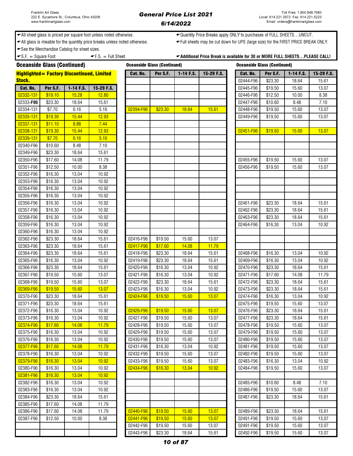Oceanside Glass (Continued) Oceanside Glass (Continued) Oceanside Glass (Continued)

◆ All sheet glass is priced per square foot unless noted otherwise. <br>◆ Quantity Price Breaks apply ONLY to purchases of FULL SHEETS…UNCUT.

All glass is mixable for the quantity price breaks unless noted otherwise. Full sheets may be cut down for UPS (large size) for the FIRST PRICE BREAK ONLY.

See the Merchandise Catalog for sheet sizes.

# $-S.F. = Square Foot$   $-F.S. = Full Sheet$   $F.S. = Full Sheet$   $Additional Price Break is available for 30 or MORE FULL SHEETS...PLEASE CALL!$

|               |          | <b>Highlighted = Factory Discontinued, Limited</b> |            | Cat. No.  | Per S.F. | $1-14$ F.S. | 15-29 F.S. | Cat. No.  | Per S.F. | $1-14$ F.S. | 15-29 F.S. |
|---------------|----------|----------------------------------------------------|------------|-----------|----------|-------------|------------|-----------|----------|-------------|------------|
| <b>Stock.</b> |          |                                                    |            |           |          |             |            | 02444-F96 | \$23.30  | 18.64       | 15.61      |
| Cat. No.      | Per S.F. | 1-14 F.S.                                          | 15-29 F.S. |           |          |             |            | 02445-F96 | \$19.50  | 15.60       | 13.07      |
| 02332-131     | \$19.10  | 15.28                                              | 12.80      |           |          |             |            | 02446-F96 | \$12.50  | 10.00       | 8.38       |
| 02333-F96     | \$23.30  | 18.64                                              | 15.61      |           |          |             |            | 02447-F96 | \$10.60  | 8.48        | 7.10       |
| 02334-131     | \$7.70   | 6.16                                               | 5.16       | 02394-F96 | \$23.30  | 18.64       | 15.61      | 02448-F96 | \$19.50  | 15.60       | 13.07      |
| 02335-131     | \$19.30  | 15.44                                              | 12.93      |           |          |             |            | 02449-F96 | \$19.50  | 15.60       | 13.07      |
| 02337-131     | \$11.10  | 8.88                                               | 7.44       |           |          |             |            |           |          |             |            |
| 02338-131     | \$19.30  | 15.44                                              | 12.93      |           |          |             |            | 02451-F96 | \$19.50  | 15.60       | 13.07      |
| 02339-131     | \$7.70   | 6.16                                               | 5.16       |           |          |             |            |           |          |             |            |
| 02340-F96     | \$10.60  | 8.48                                               | 7.10       |           |          |             |            |           |          |             |            |
| 02349-F96     | \$23.30  | 18.64                                              | 15.61      |           |          |             |            |           |          |             |            |
| 02350-F96     | \$17.60  | 14.08                                              | 11.79      |           |          |             |            | 02455-F96 | \$19.50  | 15.60       | 13.07      |
| 02351-F96     | \$12.50  | 10.00                                              | 8.38       |           |          |             |            | 02456-F96 | \$19.50  | 15.60       | 13.07      |
| 02352-F96     | \$16.30  | 13.04                                              | 10.92      |           |          |             |            |           |          |             |            |
| 02353-F96     | \$16.30  | 13.04                                              | 10.92      |           |          |             |            |           |          |             |            |
| 02354-F96     | \$16.30  | 13.04                                              | 10.92      |           |          |             |            |           |          |             |            |
| 02355-F96     | \$16.30  | 13.04                                              | 10.92      |           |          |             |            |           |          |             |            |
| 02356-F96     | \$16.30  | 13.04                                              | 10.92      |           |          |             |            | 02461-F96 | \$23.30  | 18.64       | 15.61      |
| 02357-F96     | \$16.30  | 13.04                                              | 10.92      |           |          |             |            | 02462-F96 | \$23.30  | 18.64       | 15.61      |
| 02358-F96     | \$16.30  | 13.04                                              | 10.92      |           |          |             |            | 02463-F96 | \$23.30  | 18.64       | 15.61      |
| 02359-F96     | \$16.30  | 13.04                                              | 10.92      |           |          |             |            | 02464-F96 | \$16.30  | 13.04       | 10.92      |
| 02360-F96     | \$16.30  | 13.04                                              | 10.92      |           |          |             |            |           |          |             |            |
| 02362-F96     | \$23.30  | 18.64                                              | 15.61      | 02416-F96 | \$19.50  | 15.60       | 13.07      |           |          |             |            |
| 02363-F96     | \$23.30  | 18.64                                              | 15.61      | 02417-F96 | \$17.60  | 14.08       | 11.79      |           |          |             |            |
| 02364-F96     | \$23.30  | 18.64                                              | 15.61      | 02418-F96 | \$23.30  | 18.64       | 15.61      | 02468-F96 | \$16.30  | 13.04       | 10.92      |
| 02365-F96     | \$16.30  | 13.04                                              | 10.92      | 02419-F96 | \$23.30  | 18.64       | 15.61      | 02469-F96 | \$16.30  | 13.04       | 10.92      |
| 02366-F96     | \$23.30  | 18.64                                              | 15.61      | 02420-F96 | \$16.30  | 13.04       | 10.92      | 02470-F96 | \$23.30  | 18.64       | 15.61      |
| 02367-F96     | \$19.50  | 15.60                                              | 13.07      | 02421-F96 | \$16.30  | 13.04       | 10.92      | 02471-F96 | \$17.60  | 14.08       | 11.79      |
| 02368-F96     | \$19.50  | 15.60                                              | 13.07      | 02422-F96 | \$23.30  | 18.64       | 15.61      | 02472-F96 | \$23.30  | 18.64       | 15.61      |
| 02369-F96     | \$19.50  | 15.60                                              | 13.07      | 02423-F96 | \$16.30  | 13.04       | 10.92      | 02473-F96 | \$23.30  | 18.64       | 15.61      |
| 02370-F96     | \$23.30  | 18.64                                              | 15.61      | 02424-F96 | \$19.50  | 15.60       | 13.07      | 02474-F96 | \$16.30  | 13.04       | 10.92      |
| 02371-F96     | \$23.30  | 18.64                                              | 15.61      |           |          |             |            | 02475-F96 | \$19.50  | 15.60       | 13.07      |
| 02372-F96     | \$16.30  | 13.04                                              | 10.92      | 02426-F96 | \$19.50  | 15.60       | 13.07      | 02476-F96 | \$23.30  | 18.64       | 15.61      |
| 02373-F96     | \$16.30  | 13.04                                              | 10.92      | 02427-F96 | \$19.50  | 15.60       | 13.07      | 02477-F96 | \$23.30  | 18.64       | 15.61      |
| 02374-F96     | \$17.60  | 14.08                                              | 11.79      | 02428-F96 | \$19.50  | 15.60       | 13.07      | 02478-F96 | \$19.50  | 15.60       | 13.07      |
| 02375-F96     | \$16.30  | 13.04                                              | 10.92      | 02429-F96 | \$19.50  | 15.60       | 13.07      | 02479-F96 | \$19.50  | 15.60       | 13.07      |
| 02376-F96     | \$16.30  | 13.04                                              | 10.92      | 02430-F96 | \$19.50  | 15.60       | 13.07      | 02480-F96 | \$19.50  | 15.60       | 13.07      |
| 02377-F96     | \$17.60  | 14.08                                              | 11.79      | 02431-F96 | \$16.30  | 13.04       | 10.92      | 02481-F96 | \$19.50  | 15.60       | 13.07      |
| 02378-F96     | \$16.30  | 13.04                                              | 10.92      | 02432-F96 | \$19.50  | 15.60       | 13.07      | 02482-F96 | \$19.50  | 15.60       | 13.07      |
| 02379-F96     | \$16.30  | 13.04                                              | 10.92      | 02433-F96 | \$19.50  | 15.60       | 13.07      | 02483-F96 | \$16.30  | 13.04       | 10.92      |
| 02380-F96     | \$16.30  | 13.04                                              | 10.92      | 02434-F96 | \$16.30  | 13.04       | 10.92      | 02484-F96 | \$19.50  | 15.60       | 13.07      |
| 02381-F96     | \$16.30  | 13.04                                              | 10.92      |           |          |             |            |           |          |             |            |
| 02382-F96     | \$16.30  | 13.04                                              | 10.92      |           |          |             |            | 02485-F96 | \$10.60  | 8.48        | 7.10       |
| 02383-F96     | \$16.30  | 13.04                                              | 10.92      |           |          |             |            | 02486-F96 | \$19.50  | 15.60       | 13.07      |
| 02384-F96     | \$23.30  | 18.64                                              | 15.61      |           |          |             |            | 02487-F96 | \$23.30  | 18.64       | 15.61      |
| 02385-F96     | \$17.60  | 14.08                                              | 11.79      |           |          |             |            |           |          |             |            |
| 02386-F96     | \$17.60  | 14.08                                              | 11.79      | 02440-F96 | \$19.50  | 15.60       | 13.07      | 02489-F96 | \$23.30  | 18.64       | 15.61      |
| 02387-F96     | \$12.50  | 10.00                                              | 8.38       | 02441-F96 | \$19.50  | 15.60       | 13.07      | 02491-F96 | \$19.50  | 15.60       | 13.07      |
|               |          |                                                    |            | 02442-F96 | \$19.50  |             | 13.07      | 02491-F96 | \$19.50  |             | 13.07      |
|               |          |                                                    |            |           |          | 15.60       |            |           |          | 15.60       |            |
|               |          |                                                    |            | 02443-F96 | \$23.30  | 18.64       | 15.61      | 02492-F96 | \$19.50  | 15.60       | 13.07      |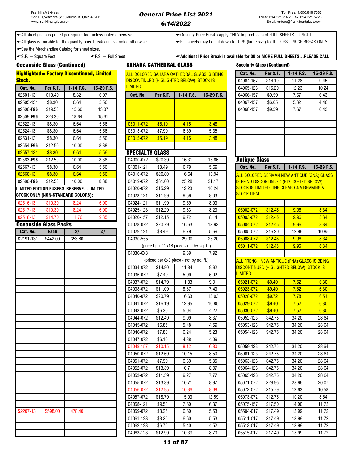Highlighted= Factory Discontinued, Limited

# General Price List 2021 6/14/2022

← All sheet glass is priced per square foot unless noted otherwise.  $\leftarrow$ Quantity Price Breaks apply ONLY to purchases of FULL SHEETS...UNCUT.

All glass is mixable for the quantity price breaks unless noted otherwise. Full sheets may be cut down for UPS (large size) for the FIRST PRICE BREAK ONLY.

See the Merchandise Catalog for sheet sizes.

 $\bullet$  S.F.  $=$  Square Foot  $\bullet$  F.S.  $=$  Full Sheet  $\bullet$  Additional Price Break is available for 30 or MORE FULL SHEETS…PLEASE CALL!

Oceanside Glass (Continued) SAHARA CATHEDRAL GLASS

# ALL COLORED SAHARA CATHEDRAL GLASS IS BEING **DISCONTINUED (HIGLIGHTED BELOW)**. STOCK IS

| <b>Stock.</b> | <u> Mighlighteu — Factory Discontinueu, Limiteu</u> |                                        |            | <u>ALL UULUKED SAHAKA UATHEDKAL GLASS IS BEI</u><br>DISCONTINUED (HIGLIGHTED BELOW). STOCK IS |          |                                           |         |
|---------------|-----------------------------------------------------|----------------------------------------|------------|-----------------------------------------------------------------------------------------------|----------|-------------------------------------------|---------|
| Cat. No.      | Per S.F.                                            | $1-14$ F.S.                            | 15-29 F.S. | LIMITED.                                                                                      |          |                                           |         |
| 02501-131     | \$10.40                                             | 8.32                                   | 6.97       | Cat. No.                                                                                      | Per S.F. | 1-14 F.S.                                 | 15-29 F |
| 02505-131     | \$8.30                                              | 6.64                                   | 5.56       |                                                                                               |          |                                           |         |
| 02506-F96     | \$19.50                                             | 15.60                                  | 13.07      |                                                                                               |          |                                           |         |
| 02509-F96     | \$23.30                                             | 18.64                                  | 15.61      |                                                                                               |          |                                           |         |
| 02522-131     | \$8.30                                              | 6.64                                   | 5.56       | 03011-072                                                                                     | \$5.19   | 4.15                                      | 3.48    |
| 02524-131     | \$8.30                                              | 6.64                                   | 5.56       | 03013-072                                                                                     | \$7.99   | 6.39                                      | 5.35    |
| 02531-131     | \$8.30                                              | 6.64                                   | 5.56       | 03015-072                                                                                     | \$5.19   | 4.15                                      | 3.48    |
| 02554-F96     | \$12.50                                             | 10.00                                  | 8.38       |                                                                                               |          |                                           |         |
| 02557-131     | \$8.30                                              | 6.64                                   | 5.56       | <b>SPECIALTY GLASS</b>                                                                        |          |                                           |         |
| 02563-F96     | \$12.50                                             | 10.00                                  | 8.38       | 04000-072                                                                                     | \$20.39  | 16.31                                     | 13.66   |
| 02567-131     | \$8.30                                              | 6.64                                   | 5.56       | 04001-121                                                                                     | \$8.49   | 6.79                                      | 5.69    |
| 02568-131     | \$8.30                                              | 6.64                                   | 5.56       | 04016-072                                                                                     | \$20.80  | 16.64                                     | 13.94   |
| 02580-F96     | \$12.50                                             | 10.00                                  | 8.38       | 04019-072                                                                                     | \$31.60  | 25.28                                     | 21.17   |
|               |                                                     | LIMITED EDITION FUSERS' RESERVELIMITED |            | 04020-072                                                                                     | \$15.29  | 12.23                                     | 10.24   |
|               |                                                     | STOCK ONLY (NON-STANDARD COLORS):      |            | 04023-121                                                                                     | \$11.99  | 9.59                                      | 8.03    |
| 02516-131     | \$10.30                                             | 8.24                                   | 6.90       | 04024-121                                                                                     | \$11.99  | 9.59                                      | 8.03    |
| 02517-131     | \$10.30                                             | 8.24                                   | 6.90       | 04025-123                                                                                     | \$12.29  | 9.83                                      | 8.23    |
| 02518-131     | \$14.70                                             | 11.76                                  | 9.85       | 04026-157                                                                                     | \$12.15  | 9.72                                      | 8.14    |
|               | <b>Oceanside Glass Packs</b>                        |                                        |            | 04028-072                                                                                     | \$20.79  | 16.63                                     | 13.93   |
| Cat. No.      | <b>Each</b>                                         | $\overline{2/}$                        | 4/         | 04029-121                                                                                     | \$8.49   | 6.79                                      | 5.69    |
| S2191-131     | \$442.00                                            | 353.60                                 |            | 04030-555                                                                                     |          | 29.00                                     | 23.20   |
|               |                                                     |                                        |            |                                                                                               |          | (priced per 12x16 piece - not by sq. ft.) |         |
|               |                                                     |                                        |            | 04030-6X8                                                                                     |          | 9.89                                      | 7.92    |
|               |                                                     |                                        |            |                                                                                               |          | (priced per 6x8 piece - not by sq. ft.)   |         |
|               |                                                     |                                        |            | 04034-072                                                                                     | \$14.80  | 11.84                                     | 9.92    |
|               |                                                     |                                        |            | 04036-072                                                                                     | \$7.49   | 5.99                                      | 5.02    |
|               |                                                     |                                        |            | 04037-072                                                                                     | \$14.79  | 11.83                                     | 9.91    |
|               |                                                     |                                        |            | 04038-072                                                                                     | \$11.09  | 8.87                                      | 7.43    |
|               |                                                     |                                        |            | 04040-072                                                                                     | \$20.79  | 16.63                                     | 13.93   |
|               |                                                     |                                        |            | 04041-072                                                                                     | \$16.19  | 12.95                                     | 10.85   |
|               |                                                     |                                        |            | 04043-072                                                                                     | \$6.30   | 5.04                                      | 4.22    |
|               |                                                     |                                        |            | 04044-072                                                                                     | \$12.49  | 9.99                                      | 8.37    |
|               |                                                     |                                        |            | 04045-072                                                                                     | \$6.85   | 5.48                                      | 4.59    |
|               |                                                     |                                        |            | 04046-072                                                                                     | \$7.80   | 6.24                                      | 5.23    |
|               |                                                     |                                        |            | 04047-072                                                                                     | \$6.10   | 4.88                                      | 4.09    |
|               |                                                     |                                        |            | 04048-157                                                                                     | \$10.15  | 8.12                                      | 6.80    |
|               |                                                     |                                        |            | 04050-072                                                                                     | \$12.69  | 10.15                                     | 8.50    |
|               |                                                     |                                        |            | 04051-072                                                                                     | \$7.99   | 6.39                                      | 5.35    |
|               |                                                     |                                        |            | 04052-072                                                                                     | \$13.39  | 10.71                                     | 8.97    |
|               |                                                     |                                        |            | 04053-072                                                                                     | \$11.59  | 9.27                                      | 7.77    |
|               |                                                     |                                        |            | 04055-072                                                                                     | \$13.39  | 10.71                                     | 8.97    |
|               |                                                     |                                        |            | 04056-072                                                                                     | \$12.95  | 10.36                                     | 8.68    |
|               |                                                     |                                        |            | 04057-072                                                                                     | \$18.79  | 15.03                                     | 12.59   |
|               |                                                     |                                        |            | 04058-121                                                                                     | \$9.50   | 7.60                                      | 6.37    |
| S2207-131     | \$598.00                                            | 478.40                                 |            | 04059-072                                                                                     | \$8.25   | 6.60                                      | 5.53    |
|               |                                                     |                                        |            | 04061-123                                                                                     | \$8.25   | 6.60                                      | 5.53    |

| .         |          |             |              |           | <u><b>DIOOONTINULD (HIGLIGHTLD DLLOW). OTOON IO</b></u> |             |            |  |           | <b>UIT.IU</b> | 11.LU | ິ∪.⊤∪ |
|-----------|----------|-------------|--------------|-----------|---------------------------------------------------------|-------------|------------|--|-----------|---------------|-------|-------|
| Cat. No.  | Per S.F. | $1-14$ F.S. | $15-29$ F.S. | LIMITED.  |                                                         |             |            |  |           | \$15.29       | 12.23 | 10.24 |
| 02501-131 | \$10.40  | 8.32        | 6.97         | Cat. No.  | Per S.F.                                                | $1-14$ F.S. | 15-29 F.S. |  | 04066-157 | \$9.59        | 7.67  | 6.43  |
| 02505-131 | \$8.30   | 6.64        | 5.56         |           |                                                         |             |            |  | 04067-157 | \$6.65        | 5.32  | 4.46  |
| 02506-F96 | \$19.50  | 15.60       | 13.07        |           |                                                         |             |            |  | 04068-157 | \$9.59        | 7.67  | 6.43  |
| 02509-F96 | \$23.30  | 18.64       | 15.61        |           |                                                         |             |            |  |           |               |       |       |
| 02522-131 | \$8.30   | 6.64        | 5.56         | 03011-072 | \$5.19                                                  | 4.15        | 3.48       |  |           |               |       |       |
| 02524-131 | \$8.30   | 6.64        | 5.56         | 03013-072 | \$7.99                                                  | 6.39        | 5.35       |  |           |               |       |       |
| 02531-131 | \$8.30   | 6.64        | 5.56         | 03015-072 | \$5.19                                                  | 4.15        | 3.48       |  |           |               |       |       |
| 02554-F96 | \$12.50  | 10.00       | 8.38         |           |                                                         |             |            |  |           |               |       |       |

# SPECIALTY GLASS

| 02563-F96 | \$12.50                                | 10.00           | 8.38 | 04000-072 | \$20.39 | 16.31                                     | 13.66 | <b>Antique Glass</b> |          |                                                  |            |
|-----------|----------------------------------------|-----------------|------|-----------|---------|-------------------------------------------|-------|----------------------|----------|--------------------------------------------------|------------|
| 02567-131 | \$8.30                                 | 6.64            | 5.56 | 04001-121 | \$8.49  | 6.79                                      | 5.69  | Cat. No.             | Per S.F. | 1-14 F.S.                                        | 15-29 F.S. |
| 02568-131 | \$8.30                                 | 6.64            | 5.56 | 04016-072 | \$20.80 | 16.64                                     | 13.94 |                      |          | ALL COLORED GERMAN NEW ANTIQUE (GNA) GLASS       |            |
| 02580-F96 | \$12.50                                | 10.00           | 8.38 | 04019-072 | \$31.60 | 25.28                                     | 21.17 |                      |          | <u>IS BEING DISCONTINUED (HIGLIGHTED BELOW).</u> |            |
|           | LIMITED EDITION FUSERS' RESERVELIMITED |                 |      | 04020-072 | \$15.29 | 12.23                                     | 10.24 |                      |          | STOCK IS LIMITED. THE CLEAR GNA REMAINS A        |            |
|           | STOCK ONLY (NON-STANDARD COLORS):      |                 |      | 04023-121 | \$11.99 | 9.59                                      | 8.03  | STOCK ITEM.          |          |                                                  |            |
| 02516-131 | \$10.30                                | 8.24            | 6.90 | 04024-121 | \$11.99 | 9.59                                      | 8.03  |                      |          |                                                  |            |
| 02517-131 | \$10.30                                | 8.24            | 6.90 | 04025-123 | \$12.29 | 9.83                                      | 8.23  | 05002-072            | \$12.45  | 9.96                                             | 8.34       |
| 02518-131 | \$14.70                                | 11.76           | 9.85 | 04026-157 | \$12.15 | 9.72                                      | 8.14  | 05003-072            | \$12.45  | 9.96                                             | 8.34       |
|           | <b>Oceanside Glass Packs</b>           |                 |      | 04028-072 | \$20.79 | 16.63                                     | 13.93 | 05004-072            | \$12.45  | 9.96                                             | 8.34       |
| Cat. No.  | <b>Each</b>                            | $\overline{2/}$ | 4/   | 04029-121 | \$8.49  | 6.79                                      | 5.69  | 05005-072            | \$16.20  | 12.96                                            | 10.85      |
| S2191-131 | \$442.00                               | 353.60          |      | 04030-555 |         | 29.00                                     | 23.20 | 05008-072            | \$12.45  | 9.96                                             | 8.34       |
|           |                                        |                 |      |           |         | (priced per 12x16 piece - not by sq. ft.) |       | 05011-072            | \$12.45  | 9.96                                             | 8.34       |
|           |                                        |                 |      | 04030-6X8 |         | 9.89                                      | 7.92  |                      |          |                                                  |            |
|           |                                        |                 |      |           |         | (priced per 6x8 piece - not by sq. ft.)   |       |                      |          | ALL FRENCH NEW ANTIQUE (FNA) GLASS IS BEING      |            |
|           |                                        |                 |      | 04034-072 | \$14.80 | 11.84                                     | 9.92  |                      |          | DISCONTINUED (HIGLIGHTED BELOW). STOCK IS        |            |
|           |                                        |                 |      | 04036-072 | \$7.49  | 5.99                                      | 5.02  | LIMITED.             |          |                                                  |            |
|           |                                        |                 |      | 04037-072 | \$14.79 | 11.83                                     | 9.91  | 05021-072            | \$9.40   | 7.52                                             | 6.30       |
|           |                                        |                 |      | 04038-072 | \$11.09 | 8.87                                      | 7.43  | 05023-072            | \$9.40   | 7.52                                             | 6.30       |
|           |                                        |                 |      | 04040-072 | \$20.79 | 16.63                                     | 13.93 | 05028-072            | \$9.72   | 7.78                                             | 6.51       |
|           |                                        |                 |      | 04041-072 | \$16.19 | 12.95                                     | 10.85 | 05029-072            | \$9.40   | 7.52                                             | 6.30       |
|           |                                        |                 |      | 04043-072 | \$6.30  | 5.04                                      | 4.22  | 05030-072            | \$9.40   | 7.52                                             | 6.30       |
|           |                                        |                 |      | 04044-072 | \$12.49 | 9.99                                      | 8.37  | 05052-123            | \$42.75  | 34.20                                            | 28.64      |
|           |                                        |                 |      | 04045-072 | \$6.85  | 5.48                                      | 4.59  | 05053-123            | \$42.75  | 34.20                                            | 28.64      |
|           |                                        |                 |      | 04046-072 | \$7.80  | 6.24                                      | 5.23  | 05054-123            | \$42.75  | 34.20                                            | 28.64      |
|           |                                        |                 |      | 04047-072 | \$6.10  | 4.88                                      | 4.09  |                      |          |                                                  |            |
|           |                                        |                 |      | 04048-157 | \$10.15 | 8.12                                      | 6.80  | 05059-123            | \$42.75  | 34.20                                            | 28.64      |
|           |                                        |                 |      | 04050-072 | \$12.69 | 10.15                                     | 8.50  | 05061-123            | \$42.75  | 34.20                                            | 28.64      |
|           |                                        |                 |      | 04051-072 | \$7.99  | 6.39                                      | 5.35  | 05063-123            | \$42.75  | 34.20                                            | 28.64      |
|           |                                        |                 |      | 04052-072 | \$13.39 | 10.71                                     | 8.97  | 05064-123            | \$42.75  | 34.20                                            | 28.64      |
|           |                                        |                 |      | 04053-072 | \$11.59 | 9.27                                      | 7.77  | 05065-123            | \$42.75  | 34.20                                            | 28.64      |
|           |                                        |                 |      | 04055-072 | \$13.39 | 10.71                                     | 8.97  | 05071-072            | \$29.95  | 23.96                                            | 20.07      |
|           |                                        |                 |      | 04056-072 | \$12.95 | 10.36                                     | 8.68  | 05072-072            | \$15.79  | 12.63                                            | 10.58      |
|           |                                        |                 |      | 04057-072 | \$18.79 | 15.03                                     | 12.59 | 05073-072            | \$12.75  | 10.20                                            | 8.54       |
|           |                                        |                 |      | 04058-121 | \$9.50  | 7.60                                      | 6.37  | 05075-157            | \$17.50  | 14.00                                            | 11.73      |
| S2207-131 | \$598.00                               | 478.40          |      | 04059-072 | \$8.25  | 6.60                                      | 5.53  | 05504-017            | \$17.49  | 13.99                                            | 11.72      |
|           |                                        |                 |      | 04061-123 | \$8.25  | 6.60                                      | 5.53  | 05511-017            | \$17.49  | 13.99                                            | 11.72      |
|           |                                        |                 |      | 04062-123 | \$6.75  | 5.40                                      | 4.52  | 05513-017            | \$17.49  | 13.99                                            | 11.72      |
|           |                                        |                 |      | 04063-123 | \$12.99 | 10.39                                     | 8.70  | 05515-017            | \$17.49  | 13.99                                            | 11.72      |

| <b>Specialty Glass (Continued)</b> |                                                    |                |                |  |  |  |  |  |
|------------------------------------|----------------------------------------------------|----------------|----------------|--|--|--|--|--|
| Cat. No.                           | Per S.F.                                           | $1-14$ F.S.    | 15-29 F.S.     |  |  |  |  |  |
| 04064-157                          | \$14.10                                            | 11.28          | 9.45           |  |  |  |  |  |
| 04065-123                          | \$15.29                                            | 12.23          | 10.24          |  |  |  |  |  |
| 04066-157                          | \$9.59                                             | 7.67           | 6.43           |  |  |  |  |  |
| 04067-157                          | \$6.65                                             | 5.32           | 4.46           |  |  |  |  |  |
| 04068-157                          | \$9.59                                             | 7.67           | 6.43           |  |  |  |  |  |
|                                    |                                                    |                |                |  |  |  |  |  |
|                                    |                                                    |                |                |  |  |  |  |  |
|                                    |                                                    |                |                |  |  |  |  |  |
|                                    |                                                    |                |                |  |  |  |  |  |
|                                    |                                                    |                |                |  |  |  |  |  |
|                                    |                                                    |                |                |  |  |  |  |  |
| <b>Antique Glass</b>               |                                                    |                |                |  |  |  |  |  |
| Cat. No.                           | Per S.F.                                           | $1-14$ F.S.    | 15-29 F.S.     |  |  |  |  |  |
|                                    | ALL COLORED GERMAN NEW ANTIQUE (GNA) GLASS         |                |                |  |  |  |  |  |
|                                    | IS BEING DISCONTINUED (HIGLIGHTED BELOW).          |                |                |  |  |  |  |  |
|                                    | STOCK IS LIMITED. THE CLEAR GNA REMAINS A          |                |                |  |  |  |  |  |
| STOCK ITEM.                        |                                                    |                |                |  |  |  |  |  |
|                                    |                                                    |                |                |  |  |  |  |  |
| 05002-072                          | \$12.45                                            | 9.96           | 8.34           |  |  |  |  |  |
| 05003-072                          | \$12.45                                            | 9.96           | 8.34           |  |  |  |  |  |
| 05004-072                          | \$12.45                                            | 9.96           | 8.34           |  |  |  |  |  |
| 05005-072                          | \$16.20                                            | 12.96          | 10.85          |  |  |  |  |  |
| 05008-072                          | \$12.45                                            | 9.96           | 8.34           |  |  |  |  |  |
| 05011-072                          | \$12.45                                            | 9.96           | 8.34           |  |  |  |  |  |
|                                    |                                                    |                |                |  |  |  |  |  |
|                                    | <u>ALL FRENCH NEW ANTIQUE (FNA) GLASS IS BEING</u> |                |                |  |  |  |  |  |
| LIMITED.                           | DISCONTINUED (HIGLIGHTED BELOW). STOCK IS          |                |                |  |  |  |  |  |
|                                    |                                                    |                |                |  |  |  |  |  |
| 05021-072                          | \$9.40                                             | 7.52           | 6.30           |  |  |  |  |  |
| 05023-072                          | \$9.40                                             | 7.52           | 6.30<br>6.51   |  |  |  |  |  |
| 05028-072                          | \$9.72                                             | 7.78           |                |  |  |  |  |  |
| 05029-072                          | \$9.40                                             | 7.52           | 6.30           |  |  |  |  |  |
| 05030-072<br>05052-123             | \$9.40<br>\$42.75                                  | 7.52<br>34.20  | 6.30<br>28.64  |  |  |  |  |  |
|                                    |                                                    |                |                |  |  |  |  |  |
| 05053-123                          | \$42.75                                            | 34.20          | 28.64          |  |  |  |  |  |
| 05054-123                          | \$42.75                                            | 34.20          | 28.64          |  |  |  |  |  |
| 05059-123                          | \$42.75                                            | 34.20          |                |  |  |  |  |  |
|                                    | \$42.75                                            | 34.20          | 28.64          |  |  |  |  |  |
| 05061-123<br>05063-123             | \$42.75                                            | 34.20          | 28.64<br>28.64 |  |  |  |  |  |
| 05064-123                          | \$42.75                                            | 34.20          | 28.64          |  |  |  |  |  |
| 05065-123                          |                                                    |                |                |  |  |  |  |  |
| 05071-072                          | \$42.75<br>\$29.95                                 | 34.20<br>23.96 | 28.64<br>20.07 |  |  |  |  |  |
| 05072-072                          | \$15.79                                            | 12.63          | 10.58          |  |  |  |  |  |
| 05073-072                          | \$12.75                                            | 10.20          | 8.54           |  |  |  |  |  |
| 05075-157                          | \$17.50                                            | 14.00          | 11.73          |  |  |  |  |  |
|                                    |                                                    |                |                |  |  |  |  |  |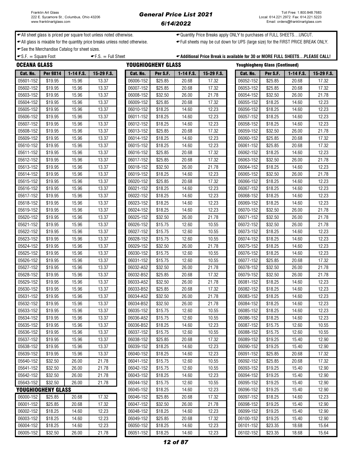### General Price List 2021 6/14/2022

← All sheet glass is priced per square foot unless noted otherwise.  $\leftarrow$ Quantity Price Breaks apply ONLY to purchases of FULL SHEETS...UNCUT.

All glass is mixable for the quantity price breaks unless noted otherwise. Full sheets may be cut down for UPS (large size) for the FIRST PRICE BREAK ONLY.

See the Merchandise Catalog for sheet sizes.

 $\bullet$  S.F.  $=$  Square Foot  $\bullet$  F.S.  $=$  Full Sheet  $\bullet$  Additional Price Break is available for 30 or MORE FULL SHEETS...PLEASE CALL!

|                        | <b>OCEANA GLASS</b><br>YOUGHIOGHENY GLASS |                |                |                        |                    |                |                | <b>Youghiogheny Glass (Continued)</b> |                    |                |                |  |
|------------------------|-------------------------------------------|----------------|----------------|------------------------|--------------------|----------------|----------------|---------------------------------------|--------------------|----------------|----------------|--|
| Cat. No.               | <b>Per 9X14</b>                           | 1-14 F.S.      | 15-29 F.S.     | Cat. No.               | Per S.F.           | 1-14 F.S.      | 15-29 F.S.     | Cat. No.                              | Per S.F.           | 1-14 F.S.      | 15-29 F.S.     |  |
| 05601-152              | \$19.95                                   | 15.96          | 13.37          | 06006-152              | \$25.85            | 20.68          | 17.32          | 06052-152                             | \$25.85            | 20.68          | 17.32          |  |
| 05602-152              | \$19.95                                   | 15.96          | 13.37          | 06007-152              | \$25.85            | 20.68          | 17.32          | 06053-152                             | \$25.85            | 20.68          | 17.32          |  |
| 05603-152              | \$19.95                                   | 15.96          | 13.37          | 06008-152              | \$32.50            | 26.00          | 21.78          | 06054-152                             | \$32.50            | 26.00          | 21.78          |  |
| 05604-152              | \$19.95                                   | 15.96          | 13.37          | 06009-152              | \$25.85            | 20.68          | 17.32          | 06055-152                             | \$18.25            | 14.60          | 12.23          |  |
| 05605-152              | \$19.95                                   | 15.96          | 13.37          | 06010-152              | \$18.25            | 14.60          | 12.23          | 06056-152                             | \$18.25            | 14.60          | 12.23          |  |
| 05606-152              | \$19.95                                   | 15.96          | 13.37          | 06011-152              | \$18.25            | 14.60          | 12.23          | 06057-152                             | \$18.25            | 14.60          | 12.23          |  |
| 05607-152              | \$19.95                                   | 15.96          | 13.37          | 06012-152              | \$18.25            | 14.60          | 12.23          | 06058-152                             | \$18.25            | 14.60          | 12.23          |  |
| 05608-152              | \$19.95                                   | 15.96          | 13.37          | 06013-152              | \$25.85            | 20.68          | 17.32          | 06059-152                             | \$32.50            | 26.00          | 21.78          |  |
| 05609-152              | \$19.95                                   | 15.96          | 13.37          | 06014-152              | \$18.25            | 14.60          | 12.23          | 06060-152                             | \$25.85            | 20.68          | 17.32          |  |
| 05610-152              | \$19.95                                   | 15.96          | 13.37          | 06015-152              | \$18.25            | 14.60          | 12.23          | 06061-152                             | \$25.85            | 20.68          | 17.32          |  |
| 05611-152              | \$19.95                                   | 15.96          | 13.37          | 06016-152              | \$25.85            | 20.68          | 17.32          | 06062-152                             | \$18.25            | 14.60          | 12.23          |  |
| 05612-152              | \$19.95                                   | 15.96          | 13.37          | 06017-152              | \$25.85            | 20.68          | 17.32          | 06063-152                             | \$32.50            | 26.00          | 21.78          |  |
| 05613-152              | \$19.95                                   | 15.96          | 13.37          | 06018-152              | \$32.50            | 26.00          | 21.78          | 06064-152                             | \$18.25            | 14.60          | 12.23          |  |
| 05614-152              | \$19.95                                   | 15.96          | 13.37          | 06019-152              | \$18.25            | 14.60          | 12.23          | 06065-152                             | \$32.50            | 26.00          | 21.78          |  |
| 05615-152              | \$19.95                                   | 15.96          | 13.37          | 06020-152              | \$25.85            | 20.68          | 17.32          | 06066-152                             | \$18.25            | 14.60          | 12.23          |  |
| 05616-152              | \$19.95                                   | 15.96          | 13.37          | 06021-152              | \$18.25            | 14.60          | 12.23          | 06067-152                             | \$18.25            | 14.60          | 12.23          |  |
| 05617-152              | \$19.95                                   | 15.96          | 13.37          | 06022-152              | \$18.25            | 14.60          | 12.23          | 06068-152                             | \$18.25            | 14.60          | 12.23          |  |
| 05618-152              | \$19.95                                   | 15.96          | 13.37          | 06023-152              | \$18.25            | 14.60          | 12.23          | 06069-152                             | \$18.25            | 14.60          | 12.23          |  |
| 05619-152              | \$19.95                                   | 15.96          | 13.37          | 06024-152              | \$18.25            | 14.60          | 12.23          | 06070-152                             | \$32.50            | 26.00          | 21.78          |  |
| 05620-152              | \$19.95                                   | 15.96          | 13.37          | 06025-152              | \$32.50            | 26.00          | 21.78          | 06071-152                             | \$32.50            | 26.00          | 21.78          |  |
| 05621-152              | \$19.95                                   | 15.96          | 13.37          | 06026-152              | \$15.75            | 12.60          | 10.55          | 06072-152                             | \$32.50            | 26.00          | 21.78          |  |
| 05622-152              | \$19.95                                   | 15.96          | 13.37          | 06027-152              | \$15.75            | 12.60          | 10.55          | 06073-152                             | \$18.25            | 14.60          | 12.23          |  |
| 05623-152              | \$19.95                                   | 15.96          | 13.37          | 06028-152              | \$15.75            | 12.60          | 10.55          | 06074-152                             | \$18.25            | 14.60          | 12.23          |  |
| 05624-152              | \$19.95                                   | 15.96          | 13.37          | 06029-152              | \$32.50            | 26.00          | 21.78          | 06075-152                             | \$18.25            | 14.60          | 12.23          |  |
| 05625-152              | \$19.95                                   | 15.96          | 13.37          | 06030-152              | \$15.75            | 12.60          | 10.55          | 06076-152                             | \$18.25            | 14.60          | 12.23          |  |
| 05626-152              | \$19.95                                   | 15.96          | 13.37          | 06031-152              | \$15.75            | 12.60          | 10.55          | 06077-152                             | \$25.85            | 20.68          | 17.32          |  |
| 05627-152              | \$19.95                                   | 15.96          | 13.37          | 06032-A52              | \$32.50            | 26.00          | 21.78          | 06078-152                             | \$32.50            | 26.00          | 21.78          |  |
| 05628-152              | \$19.95                                   | 15.96          | 13.37          | 06032-B52              | \$25.85            | 20.68          | 17.32          | 06079-152                             | \$32.50            | 26.00          | 21.78          |  |
| 05629-152              | \$19.95                                   | 15.96          | 13.37          | 06033-A52              | \$32.50            | 26.00          | 21.78          | 06081-152                             | \$18.25            | 14.60          | 12.23          |  |
| 05630-152              | \$19.95                                   | 15.96          | 13.37          | 06033-B52              | \$25.85            | 20.68          | 17.32          | 06082-152                             | \$18.25            | 14.60          | 12.23          |  |
| 05631-152              | \$19.95                                   | 15.96          | 13.37          | 06034-A52              | \$32.50            | 26.00          | 21.78          | 06083-152                             | \$18.25            | 14.60          | 12.23          |  |
| 05632-152              | \$19.95                                   | 15.96          | 13.37          | 06034-B52              | \$32.50            | 26.00          | 21.78          | 06084-152                             | \$18.25            | 14.60          | 12.23          |  |
| 05633-152              | \$19.95                                   | 15.96          | 13.37          | 06035-152              | \$15.75            | 12.60          | 10.55          | 06085-152                             | \$18.25            | 14.60          | 12.23          |  |
| 05634-152              | \$19.95                                   | 15.96          | 13.37          | 06036-A52              | \$15.75            | 12.60          | 10.55          | 06086-152                             | \$18.25            | 14.60          | 12.23          |  |
| 05635-152              | \$19.95                                   | 15.96          | 13.37          | 06036-B52              | \$18.25            | 14.60          | 12.23          | 06087-152                             | \$15.75            | 12.60          | 10.55          |  |
| 05636-152<br>05637-152 | \$19.95                                   | 15.96          | 13.37          | 06037-152              | \$15.75            | 12.60          | 10.55          | 06088-152                             | \$15.75            | 12.60          | 10.55          |  |
| 05638-152              | \$19.95<br>\$19.95                        | 15.96<br>15.96 | 13.37<br>13.37 | 06038-152<br>06039-152 | \$25.85<br>\$18.25 | 20.68<br>14.60 | 17.32<br>12.23 | 06089-152<br>06090-152                | \$19.25<br>\$19.25 | 15.40<br>15.40 | 12.90<br>12.90 |  |
| 05639-152              | \$19.95                                   | 15.96          | 13.37          | 06040-152              | \$18.25            | 14.60          | 12.23          | 06091-152                             | \$25.85            | 20.68          | 17.32          |  |
| 05640-152              | \$32.50                                   | 26.00          | 21.78          | 06041-152              | \$15.75            | 12.60          | 10.55          | 06092-152                             | \$25.85            | 20.68          | 17.32          |  |
| 05641-152              | \$32.50                                   | 26.00          | 21.78          | 06042-152              | \$15.75            | 12.60          | 10.55          | 06093-152                             | \$19.25            | 15.40          | 12.90          |  |
| 05642-152              | \$32.50                                   | 26.00          | 21.78          | 06043-152              | \$18.25            | 14.60          | 12.23          | 06094-152                             | \$19.25            | 15.40          | 12.90          |  |
| 05643-152              | \$32.50                                   | 26.00          | 21.78          | 06044-152              | \$15.75            | 12.60          | 10.55          | 06095-152                             | \$19.25            | 15.40          | 12.90          |  |
| YOUGHIOGHENY GLASS     |                                           |                |                | 06045-152              | \$18.25            | 14.60          | 12.23          | 06096-152                             | \$19.25            | 15.40          | 12.90          |  |
| 06000-152              | \$25.85                                   | 20.68          | 17.32          | 06046-152              | \$25.85            | 20.68          | 17.32          | 06097-152                             | \$18.25            | 14.60          | 12.23          |  |
| 06001-152              | \$25.85                                   | 20.68          | 17.32          | 06047-152              | \$32.50            | 26.00          | 21.78          | 06098-152                             | \$19.25            | 15.40          | 12.90          |  |
| 06002-152              | \$18.25                                   | 14.60          | 12.23          | 06048-152              | \$18.25            | 14.60          | 12.23          | 06099-152                             | \$19.25            | 15.40          | 12.90          |  |
| 06003-152              | \$18.25                                   | 14.60          | 12.23          | 06049-152              | \$25.85            | 20.68          | 17.32          | 06100-152                             | \$19.25            | 15.40          | 12.90          |  |
| 06004-152              | \$18.25                                   | 14.60          | 12.23          | 06050-152              | \$18.25            | 14.60          | 12.23          | 06101-152                             | \$23.35            | 18.68          | 15.64          |  |
| 06005-152              | \$32.50                                   | 26.00          | 21.78          | 06051-152              | \$18.25            | 14.60          | 12.23          | 06102-152                             | \$23.35            | 18.68          | 15.64          |  |
|                        |                                           |                |                |                        |                    |                |                |                                       |                    |                |                |  |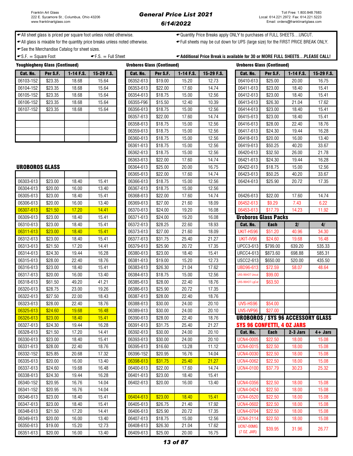# General Price List 2021 6/14/2022

Uroboros Glass (Continued)

← All sheet glass is priced per square foot unless noted otherwise.  $\leftarrow$ Quantity Price Breaks apply ONLY to purchases of FULL SHEETS...UNCUT.

All glass is mixable for the quantity price breaks unless noted otherwise. Full sheets may be cut down for UPS (large size) for the FIRST PRICE BREAK ONLY.

See the Merchandise Catalog for sheet sizes.

 $\text{F.S.} = \text{Full Sheet}$   $\text{F.S.} = \text{Full Sheet}$   $\text{Additional Price Break is available for 30 or MORE FULL SHEETS...PLEASE CALL!}$ 

|           | Youghiogheny Glass (Continued) |             |            | <b>Uroboros Glass (Continued)</b> |          |             |            | <b>Uroboros Glass (Continued)</b> |          |             |            |
|-----------|--------------------------------|-------------|------------|-----------------------------------|----------|-------------|------------|-----------------------------------|----------|-------------|------------|
| Cat. No.  | Per S.F.                       | $1-14$ F.S. | 15-29 F.S. | Cat. No.                          | Per S.F. | $1-14$ F.S. | 15-29 F.S. | Cat. No.                          | Per S.F. | $1-14$ F.S. | 15-29 F.S. |
| 06103-152 | \$23.35                        | 18.68       | 15.64      | 06352-613                         | \$19.00  | 15.20       | 12.73      | 06410-613                         | \$25.00  | 20.00       | 16.75      |
| 06104-152 | \$23.35                        | 18.68       | 15.64      | 06353-613                         | \$22.00  | 17.60       | 14.74      | 06411-613                         | \$23.00  | 18.40       | 15.41      |
| 06105-152 | \$23.35                        | 18.68       | 15.64      | 06354-613                         | \$18.75  | 15.00       | 12.56      | 06412-613                         | \$23.00  | 18.40       | 15.41      |
| 06106-152 | \$23.35                        | 18.68       | 15.64      | 06355-F96                         | \$15.50  | 12.40       | 10.39      | 06413-613                         | \$26.30  | 21.04       | 17.62      |
| 06107-152 | \$23.35                        | 18.68       | 15.64      | 06356-613                         | \$18.75  | 15.00       | 12.56      | 06414-613                         | \$23.00  | 18.40       | 15.41      |
|           |                                |             |            | 06357-613                         | \$22.00  | 17.60       | 14.74      | 06415-613                         | \$23.00  | 18.40       | 15.41      |
|           |                                |             |            | 06358-613                         | \$18.75  | 15.00       | 12.56      | 06416-613                         | \$28.00  | 22.40       | 18.76      |
|           |                                |             |            | 06359-613                         | \$18.75  | 15.00       | 12.56      | 06417-613                         | \$24.30  | 19.44       | 16.28      |
|           |                                |             |            | 06360-613                         | \$18.75  | 15.00       | 12.56      | 06418-613                         | \$20.00  | 16.00       | 13.40      |

| <b>UROBOROS GLASS</b> |         |       |       | 06364-613 | \$25.00 | 20.00 | 16.75 |
|-----------------------|---------|-------|-------|-----------|---------|-------|-------|
|                       |         |       |       | 06365-613 | \$22.00 | 17.60 | 14.74 |
| 06303-613             | \$23.00 | 18.40 | 15.41 | 06366-613 | \$18.75 | 15.00 | 12.56 |
| 06304-613             | \$20.00 | 16.00 | 13.40 | 06367-613 | \$18.75 | 15.00 | 12.56 |
| 06305-613             | \$23.00 | 18.40 | 15.41 | 06368-613 | \$22.00 | 17.60 | 14.74 |
| 06306-613             | \$20.00 | 16.00 | 13.40 | 06369-613 | \$27.00 | 21.60 | 18.09 |
| 06307-613             | \$21.50 | 17.20 | 14.41 | 06370-613 | \$24.00 | 19.20 | 16.08 |
| 06309-613             | \$23.00 | 18.40 | 15.41 | 06371-613 | \$24.00 | 19.20 | 16.08 |
| 06310-613             | \$23.00 | 18.40 | 15.41 | 06372-613 | \$28.25 | 22.60 | 18.93 |
| 06311-613             | \$23.00 | 18.40 | 15.41 | 06373-613 | \$27.00 | 21.60 | 18.09 |
| 06312-613             | \$23.00 | 18.40 | 15.41 | 06377-613 | \$31.75 | 25.40 | 21.27 |
| 06313-613             | \$21.50 | 17.20 | 14.41 | 06379-613 | \$25.90 | 20.72 | 17.35 |
| 06314-613             | \$24.30 | 19.44 | 16.28 | 06380-613 | \$23.00 | 18.40 | 15.41 |
| 06315-613             | \$28.00 | 22.40 | 18.76 | 06381-613 | \$19.00 | 15.20 | 12.73 |
| 06316-613             | \$23.00 | 18.40 | 15.41 | 06383-613 | \$26.30 | 21.04 | 17.62 |
| 06317-613             | \$20.00 | 16.00 | 13.40 | 06384-613 | \$18.75 | 15.00 | 12.56 |
| 06318-613             | \$61.50 | 49.20 | 41.21 | 06385-613 | \$28.00 | 22.40 | 18.76 |
| 06320-613             | \$28.75 | 23.00 | 19.26 | 06386-613 | \$25.90 | 20.72 | 17.35 |
| 06322-613             | \$27.50 | 22.00 | 18.43 | 06387-613 | \$28.00 | 22.40 | 18.76 |
| 06323-613             | \$28.00 | 22.40 | 18.76 | 06388-613 | \$30.00 | 24.00 | 20.10 |
| 06325-613             | \$24.60 | 19.68 | 16.48 | 06389-613 | \$30.00 | 24.00 | 20.10 |
| 06326-613             | \$23.00 | 18.40 | 15.41 | 06390-613 | \$28.00 | 22.40 | 18.76 |
| 06327-613             | \$24.30 | 19.44 | 16.28 | 06391-613 | \$31.75 | 25.40 | 21.27 |
| 06328-613             | \$21.50 | 17.20 | 14.41 | 06392-613 | \$30.00 | 24.00 | 20.10 |
| 06330-613             | \$23.00 | 18.40 | 15.41 | 06393-613 | \$30.00 | 24.00 | 20.10 |
| 06331-613             | \$28.00 | 22.40 | 18.76 | 06395-613 | \$16.60 | 13.28 | 11.12 |
| 06332-152             | \$25.85 | 20.68 | 17.32 | 06396-152 | \$20.95 | 16.76 | 14.04 |
| 06335-613             | \$20.00 | 16.00 | 13.40 | 06398-613 | \$31.75 | 25.40 | 21.27 |
| 06337-613             | \$24.60 | 19.68 | 16.48 | 06400-613 | \$22.00 | 17.60 | 14.74 |
| 06338-613             | \$24.30 | 19.44 | 16.28 | 06401-613 | \$23.00 | 18.40 | 15.41 |
| 06340-152             | \$20.95 | 16.76 | 14.04 | 06402-613 | \$20.00 | 16.00 | 13.40 |
| 06341-152             | \$20.95 | 16.76 | 14.04 |           |         |       |       |
| 06346-613             | \$23.00 | 18.40 | 15.41 | 06404-613 | \$23.00 | 18.40 | 15.41 |
| 06347-613             | \$23.00 | 18.40 | 15.41 | 06405-613 | \$26.75 | 21.40 | 17.92 |
| 06348-613             | \$21.50 | 17.20 | 14.41 | 06406-613 | \$25.90 | 20.72 | 17.35 |
| 06349-613             | \$20.00 | 16.00 | 13.40 | 06407-613 | \$18.75 | 15.00 | 12.56 |
| 06350-613             | \$19.00 | 15.20 | 12.73 | 06408-613 | \$26.30 | 21.04 | 17.62 |
| 06351-613             | \$20.00 | 16.00 | 13.40 | 06409-613 | \$25.00 | 20.00 | 16.75 |

| 0010010               |         | $\sim\!\!\sim\!$ | 10.01 | 000C UTU  | <b>PIU.UU</b> | 10.60 | . 0   | ,,,,,,,,                   | 960.UU      | ----                                     | ט ויטו     |
|-----------------------|---------|------------------|-------|-----------|---------------|-------|-------|----------------------------|-------------|------------------------------------------|------------|
| 06104-152             | \$23.35 | 18.68            | 15.64 | 06353-613 | \$22.00       | 17.60 | 14.74 | 06411-613                  | \$23.00     | 18.40                                    | 15.41      |
| 06105-152             | \$23.35 | 18.68            | 15.64 | 06354-613 | \$18.75       | 15.00 | 12.56 | 06412-613                  | \$23.00     | 18.40                                    | 15.41      |
| 06106-152             | \$23.35 | 18.68            | 15.64 | 06355-F96 | \$15.50       | 12.40 | 10.39 | 06413-613                  | \$26.30     | 21.04                                    | 17.62      |
| 06107-152             | \$23.35 | 18.68            | 15.64 | 06356-613 | \$18.75       | 15.00 | 12.56 | 06414-613                  | \$23.00     | 18.40                                    | 15.41      |
|                       |         |                  |       | 06357-613 | \$22.00       | 17.60 | 14.74 | 06415-613                  | \$23.00     | 18.40                                    | 15.41      |
|                       |         |                  |       | 06358-613 | \$18.75       | 15.00 | 12.56 | 06416-613                  | \$28.00     | 22.40                                    | 18.76      |
|                       |         |                  |       | 06359-613 | \$18.75       | 15.00 | 12.56 | 06417-613                  | \$24.30     | 19.44                                    | 16.28      |
|                       |         |                  |       | 06360-613 | \$18.75       | 15.00 | 12.56 | 06418-613                  | \$20.00     | 16.00                                    | 13.40      |
|                       |         |                  |       | 06361-613 | \$18.75       | 15.00 | 12.56 | 06419-613                  | \$50.25     | 40.20                                    | 33.67      |
|                       |         |                  |       | 06362-613 | \$18.75       | 15.00 | 12.56 | 06420-613                  | \$32.50     | 26.00                                    | 21.78      |
|                       |         |                  |       | 06363-613 | \$22.00       | 17.60 | 14.74 | 06421-613                  | \$24.30     | 19.44                                    | 16.28      |
| <b>UROBOROS GLASS</b> |         |                  |       | 06364-613 | \$25.00       | 20.00 | 16.75 | 06422-613                  | \$18.75     | 15.00                                    | 12.56      |
|                       |         |                  |       | 06365-613 | \$22.00       | 17.60 | 14.74 | 06423-613                  | \$50.25     | 40.20                                    | 33.67      |
| 06303-613             | \$23.00 | 18.40            | 15.41 | 06366-613 | \$18.75       | 15.00 | 12.56 | 06424-613                  | \$25.90     | 20.72                                    | 17.35      |
| 06304-613             | \$20.00 | 16.00            | 13.40 | 06367-613 | \$18.75       | 15.00 | 12.56 |                            |             |                                          |            |
| 06305-613             | \$23.00 | 18.40            | 15.41 | 06368-613 | \$22.00       | 17.60 | 14.74 | 06426-613                  | \$22.00     | 17.60                                    | 14.74      |
| 06306-613             | \$20.00 | 16.00            | 13.40 | 06369-613 | \$27.00       | 21.60 | 18.09 | 06452-613                  | \$9.29      | 7.43                                     | 6.22       |
| 06307-613             | \$21.50 | 17.20            | 14.41 | 06370-613 | \$24.00       | 19.20 | 16.08 | 06453-613                  | \$17.79     | 14.23                                    | 11.92      |
| 06309-613             | \$23.00 | 18.40            | 15.41 | 06371-613 | \$24.00       | 19.20 | 16.08 | Uroboros Glass Packs       |             |                                          |            |
| 06310-613             | \$23.00 | 18.40            | 15.41 | 06372-613 | \$28.25       | 22.60 | 18.93 | Cat. No.                   | <b>Each</b> | 2/                                       | 4/         |
| 06311-613             | \$23.00 | 18.40            | 15.41 | 06373-613 | \$27.00       | 21.60 | 18.09 | UKIT-HS96                  | \$51.20     | 40.96                                    | 34.30      |
| 06312-613             | \$23.00 | 18.40            | 15.41 | 06377-613 | \$31.75       | 25.40 | 21.27 | UKIT-IV96                  | \$24.60     | 19.68                                    | 16.48      |
| 06313-613             | \$21.50 | 17.20            | 14.41 | 06379-613 | \$25.90       | 20.72 | 17.35 | <b>UPCC3-613</b>           | \$799.00    | 639.20                                   | 535.33     |
| 06314-613             | \$24.30 | 19.44            | 16.28 | 06380-613 | \$23.00       | 18.40 | 15.41 | <b>URCC4-613</b>           | \$873.60    | 698.88                                   | 585.31     |
| 06315-613             | \$28.00 | 22.40            | 18.76 | 06381-613 | \$19.00       | 15.20 | 12.73 | <b>USCC2-613</b>           | \$650.00    | 520.00                                   | 435.50     |
| 06316-613             | \$23.00 | 18.40            | 15.41 | 06383-613 | \$26.30       | 21.04 | 17.62 | <b>UBD96-613</b>           | \$72.59     | 58.07                                    | 48.64      |
| 06317-613             | \$20.00 | 16.00            | 13.40 | 06384-613 | \$18.75       | 15.00 | 12.56 | UVS-96HOT Uncu             | \$99.00     |                                          |            |
| 06318-613             | \$61.50 | 49.20            | 41.21 | 06385-613 | \$28.00       | 22.40 | 18.76 | UVS-96HOT LgCul            | \$63.50     |                                          |            |
| 06320-613             | \$28.75 | 23.00            | 19.26 | 06386-613 | \$25.90       | 20.72 | 17.35 |                            |             |                                          |            |
| 06322-613             | \$27.50 | 22.00            | 18.43 | 06387-613 | \$28.00       | 22.40 | 18.76 |                            |             |                                          |            |
| 06323-613             | \$28.00 | 22.40            | 18.76 | 06388-613 | \$30.00       | 24.00 | 20.10 | UVS-HS96                   | \$54.00     |                                          |            |
| 06325-613             | \$24.60 | 19.68            | 16.48 | 06389-613 | \$30.00       | 24.00 | 20.10 | UVS-IVP96                  | \$27.00     |                                          |            |
| 06326-613             | \$23.00 | 18.40            | 15.41 | 06390-613 | \$28.00       | 22.40 | 18.76 |                            |             | <b>UROBOROS / SYS 96 ACCESSORY GLASS</b> |            |
| 06327-613             | \$24.30 | 19.44            | 16.28 | 06391-613 | \$31.75       | 25.40 | 21.27 | SYS 96 CONFETTI, 4 OZ JARS |             |                                          |            |
| 06328-613             | \$21.50 | 17.20            | 14.41 | 06392-613 | \$30.00       | 24.00 | 20.10 | Cat. No.                   | <b>Each</b> | 2-3 Jars                                 | $4 +$ Jars |
| 06330-613             | \$23.00 | 18.40            | 15.41 | 06393-613 | \$30.00       | 24.00 | 20.10 | UCN4-0005                  | \$22.50     | 18.00                                    | 15.08      |
| 06331-613             | \$28.00 | 22.40            | 18.76 | 06395-613 | \$16.60       | 13.28 | 11.12 | <b>UCN4-0015</b>           | \$22.50     | 18.00                                    | 15.08      |
| 06332-152             | \$25.85 | 20.68            | 17.32 | 06396-152 | \$20.95       | 16.76 | 14.04 | <b>UCN4-0030</b>           | \$22.50     | 18.00                                    | 15.08      |
| 06335-613             | \$20.00 | 16.00            | 13.40 | 06398-613 | \$31.75       | 25.40 | 21.27 | <b>UCN4-0062</b>           | \$22.50     | 18.00                                    | 15.08      |
| 06337-613             | \$24.60 | 19.68            | 16.48 | 06400-613 | \$22.00       | 17.60 | 14.74 | <b>UCN4-0100</b>           | \$37.79     | 30.23                                    | 25.32      |
| 06338-613             | \$24.30 | 19.44            | 16.28 | 06401-613 | \$23.00       | 18.40 | 15.41 |                            |             |                                          |            |
| 06340-152             | \$20.95 | 16.76            | 14.04 | 06402-613 | \$20.00       | 16.00 | 13.40 | <b>UCN4-0356</b>           | \$22.50     | 18.00                                    | 15.08      |
| 06341-152             | \$20.95 | 16.76            | 14.04 |           |               |       |       | <b>UCN4-0424</b>           | \$22.50     | 18.00                                    | 15.08      |
| 06346-613             | \$23.00 | 18.40            | 15.41 | 06404-613 | \$23.00       | 18.40 | 15.41 | <b>UCN4-0520</b>           | \$22.50     | 18.00                                    | 15.08      |
| 06347-613             | \$23.00 | 18.40            | 15.41 | 06405-613 | \$26.75       | 21.40 | 17.92 | <b>UCN4-0602</b>           | \$22.50     | 18.00                                    | 15.08      |
| 06348-613             | \$21.50 | 17.20            | 14.41 | 06406-613 | \$25.90       | 20.72 | 17.35 | <b>UCN4-0704</b>           | \$22.50     | 18.00                                    | 15.08      |
| 06349-613             | \$20.00 | 16.00            | 13.40 | 06407-613 | \$18.75       | 15.00 | 12.56 | <b>UCN4-2114</b>           | \$22.50     | 18.00                                    | 15.08      |
| 06350-613             | \$19.00 | 15.20            | 12.73 | 06408-613 | \$26.30       | 21.04 | 17.62 | <b>UCN7-00MG</b>           | \$39.95     | 31.96                                    | 26.77      |
| 06351-613             | \$20.00 | 16.00            | 13.40 | 06409-613 | \$25.00       | 20.00 | 16.75 | (7 OZ. JAR)                |             |                                          |            |

|                  | <b>Uroboros Glass (Continued)</b> |                                          |            |
|------------------|-----------------------------------|------------------------------------------|------------|
| Cat. No.         | Per S.F.                          | 1-14 F.S.                                | 15-29 F.S. |
| 06410-613        | \$25.00                           | 20.00                                    | 16.75      |
| 06411-613        | \$23.00                           | 18.40                                    | 15.41      |
| 06412-613        | \$23.00                           | 18.40                                    | 15.41      |
| 06413-613        | \$26.30                           | 21.04                                    | 17.62      |
| 06414-613        | \$23.00                           | 18.40                                    | 15.41      |
| 06415-613        | \$23.00                           | 18.40                                    | 15.41      |
| 06416-613        | \$28.00                           | 22.40                                    | 18.76      |
| 06417-613        | \$24.30                           | 19.44                                    | 16.28      |
| 06418-613        | \$20.00                           | 16.00                                    | 13.40      |
| 06419-613        | \$50.25                           | 40.20                                    | 33.67      |
| 06420-613        | \$32.50                           | 26.00                                    | 21.78      |
| 06421-613        | \$24.30                           | 19.44                                    | 16.28      |
| 06422-613        | \$18.75                           | 15.00                                    | 12.56      |
| 06423-613        | \$50.25                           | 40.20                                    | 33.67      |
| 06424-613        | \$25.90                           | 20.72                                    | 17.35      |
|                  |                                   |                                          |            |
| 06426-613        | \$22.00                           | 17.60                                    | 14.74      |
| 06452-613        | \$9.29                            | 7.43                                     | 6.22       |
| 06453-613        | \$17.79                           | 14.23                                    | 11.92      |
|                  | <b>Uroboros Glass Packs</b>       |                                          |            |
| <b>Cat. No.</b>  | Each                              | 2/                                       | 4/         |
| UKIT-HS96        | \$51.20                           | 40.96                                    | 34.30      |
| UKIT-IV96        | \$24.60                           | 19.68                                    | 16.48      |
| <b>UPCC3-613</b> | \$799.00                          | 639.20                                   | 535.33     |
| <b>URCC4-613</b> | \$873.60                          | 698.88                                   | 585.31     |
| <b>USCC2-613</b> | \$650.00                          | 520.00                                   | 435.50     |
| UBD96-613        | \$72.59                           | 58.07                                    | 48.64      |
| UVS-96HOT Uncut  | \$99.00                           |                                          |            |
| UVS-96HOT LgCut  | \$63.50                           |                                          |            |
|                  |                                   |                                          |            |
|                  |                                   |                                          |            |
| <b>UVS-HS96</b>  | \$54.00                           |                                          |            |
| UVS-IVP96        | \$27.00                           |                                          |            |
|                  |                                   | <b>UROBOROS / SYS 96 ACCESSORY GLASS</b> |            |
|                  | <b>SYS 96 CONFETTI, 4 OZ JARS</b> |                                          |            |
| Cat. No.         | <b>Each</b>                       | 2-3 Jars                                 | 4+ Jars    |
| <b>UCN4-0005</b> | \$22.50                           | 18.00                                    | 15.08      |
| <b>UCN4-0015</b> | \$22.50                           | 18.00                                    | 15.08      |
| <b>UCN4-0030</b> | \$22.50                           | 18.00                                    | 15.08      |
| <b>UCN4-0062</b> | \$22.50                           | 18.00                                    | 15.08      |
| <b>UCN4-0100</b> | \$37.79                           | 30.23                                    | 25.32      |
|                  |                                   |                                          |            |
| <b>UCN4-0356</b> | \$22.50                           | 18.00                                    | 15.08      |
| <b>UCN4-0424</b> | \$22.50                           | 18.00                                    | 15.08      |
| <b>UCN4-0520</b> | \$22.50                           | 18.00                                    | 15.08      |
| <b>UCN4-0602</b> | \$22.50                           | 18.00                                    | 15.08      |
| <b>UCN4-0704</b> | \$22.50                           | 18.00                                    | 15.08      |
| <b>UCN4-2114</b> | \$22.50                           | 18.00                                    | 15.08      |
| UCN7-00MG        |                                   |                                          |            |
| (7 OZ. JAR)      | \$39.95                           | 31.96                                    | 26.77      |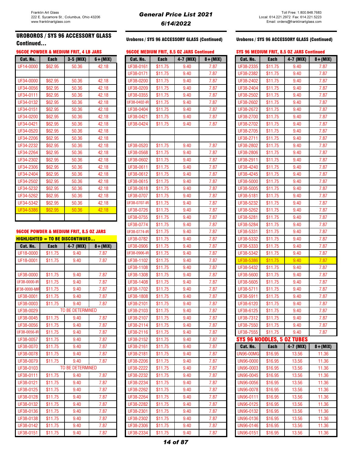### UROBOROS / SYS 96 ACCESSORY GLASS CONTINUED TO SUPPOSE THE READER OF STRANGED TO ACCESSORY GLASS (Continued) Continued...<br>Continued...

| Cat. No.  | <b>Each</b> | 3-5 (MIX) | $6 + (MIX)$ |
|-----------|-------------|-----------|-------------|
| UF14-0000 | \$62.95     | 50.36     | 42.18       |
|           |             |           |             |
| UF34-0000 | \$62.95     | 50.36     | 42.18       |
| UF34-0056 | \$62.95     | 50.36     | 42.18       |
| UF34-0111 | \$62.95     | 50.36     | 42.18       |
| UF34-0132 | \$62.95     | 50.36     | 42.18       |
| UF34-0151 | \$62.95     | 50.36     | 42.18       |
| UF34-0200 | \$62.95     | 50.36     | 42.18       |
| UF34-0421 | \$62.95     | 50.36     | 42.18       |
| UF34-0520 | \$62.95     | 50.36     | 42.18       |
| UF34-2206 | \$62.95     | 50.36     | 42.18       |
| UF34-2232 | \$62.95     | 50.36     | 42.18       |
| UF34-2264 | \$62.95     | 50.36     | 42.18       |
| UF34-2302 | \$62.95     | 50.36     | 42.18       |
| UF34-2306 | \$62.95     | 50.36     | 42.18       |
| UF34-2404 | \$62.95     | 50.36     | 42.18       |
| UF34-2502 | \$62.95     | 50.36     | 42.18       |
| UF34-5232 | \$62.95     | 50.36     | 42.18       |
| UF34-5262 | \$62.95     | 50.36     | 42.18       |
| UF34-5342 | \$62.95     | 50.36     | 42.18       |
| UF34-5386 | \$62.95     | 50.36     | 42.18       |
|           |             |           |             |

### 96COE POWDER & MEDIUM FRIT, 8.5 OZ JARS

### $HIGHLIGHTED = TO BE DISCONTINUED...$

| Cat. No.      | <b>Each</b> | 4-7 (MIX)        | $8 + (MIX)$ |
|---------------|-------------|------------------|-------------|
| UF18-0000     | \$11.75     | 9.40             | 7.87        |
| UF18-0001     | \$11.75     | 9.40             | 7.87        |
|               |             |                  |             |
| UF38-0000     | \$11.75     | 9.40             | 7.87        |
| UF38-0000-IR  | \$11.75     | 9.40             | 7.87        |
| UF38-0000-MIF | \$11.75     | 9.40             | 7.87        |
| UF38-0001     | \$11.75     | 9.40             | 7.87        |
| UF38-0003     | \$11.75     | 9.40             | 7.87        |
| UF38-0029     |             | TO BE DETERMINED |             |
| UF38-0045     | \$11.75     | 9.40             | 7.87        |
| UF38-0056     | \$11.75     | 9.40             | 7.87        |
| UF38-0056-IR  | \$11.75     | 9.40             | 7.87        |
| UF38-0057     | \$11.75     | 9.40             | 7.87        |
| UF38-0070     | \$11.75     | 9.40             | 7.87        |
| UF38-0078     | \$11.75     | 9.40             | 7.87        |
| UF38-0079     | \$11.75     | 9.40             | 7.87        |
| UF38-0103     |             | TO BE DETERMINED |             |
| UF38-0111     | \$11.75     | 9.40             | 7.87        |
| UF38-0121     | \$11.75     | 9.40             | 7.87        |
| UF38-0125     | \$11.75     | 9.40             | 7.87        |
| UF38-0128     | \$11.75     | 9.40             | 7.87        |
| UF38-0132     | \$11.75     | 9.40             | 7.87        |
| UF38-0136     | \$11.75     | 9.40             | 7.87        |
| UF38-0138     | \$11.75     | 9.40             | 7.87        |
| UF38-0142     | \$11.75     | 9.40             | 7.87        |
| UF38-0151     | \$11.75     | 9.40             | 7.87        |

### Uroboros / SYS 96 ACCESSORY GLASS (Continued)

### 96COE POWDER & MEDIUM FRIT, 4 LB JARS 96COE MEDIUM FRIT, 8.5 OZ JARS Continued SYS 96 MEDIUM FRIT, 8.5 OZ JARS Continued

| Cat. No.     | <b>Each</b> | $3-5$ (MIX)                             | $6 + (MIX)$ | Cat. No.     | <b>Each</b> | 4-7 (MIX) | $8 + (MIX)$ | Cat. No.                   | <b>Each</b> | 4-7 (MIX) | $8 + (MIX)$ |
|--------------|-------------|-----------------------------------------|-------------|--------------|-------------|-----------|-------------|----------------------------|-------------|-----------|-------------|
| UF14-0000    | \$62.95     | 50.36                                   | 42.18       | UF38-0161    | \$11.75     | 9.40      | 7.87        | UF38-2335                  | \$11.75     | 9.40      | 7.87        |
|              |             |                                         |             | UF38-0171    | \$11.75     | 9.40      | 7.87        | UF38-2382                  | \$11.75     | 9.40      | 7.87        |
| UF34-0000    | \$62.95     | 50.36                                   | 42.18       | UF38-0200    | \$11.75     | 9.40      | 7.87        | UF38-2402                  | \$11.75     | 9.40      | 7.87        |
| UF34-0056    | \$62.95     | 50.36                                   | 42.18       | UF38-0209    | \$11.75     | 9.40      | 7.87        | UF38-2404                  | \$11.75     | 9.40      | 7.87        |
| UF34-0111    | \$62.95     | 50.36                                   | 42.18       | UF38-0355    | \$11.75     | 9.40      | 7.87        | UF38-2502                  | \$11.75     | 9.40      | 7.87        |
| UF34-0132    | \$62.95     | 50.36                                   | 42.18       | UF38-0402-IR | \$11.75     | 9.40      | 7.87        | UF38-2602                  | \$11.75     | 9.40      | 7.87        |
| UF34-0151    | \$62.95     | 50.36                                   | 42.18       | UF38-0404    | \$11.75     | 9.40      | 7.87        | UF38-2672                  | \$11.75     | 9.40      | 7.87        |
| UF34-0200    | \$62.95     | 50.36                                   | 42.18       | UF38-0421    | \$11.75     | 9.40      | 7.87        | UF38-2700                  | \$11.75     | 9.40      | 7.87        |
| UF34-0421    | \$62.95     | 50.36                                   | 42.18       | UF38-0424    | \$11.75     | 9.40      | 7.87        | UF38-2702                  | \$11.75     | 9.40      | 7.87        |
| UF34-0520    | \$62.95     | 50.36                                   | 42.18       |              |             |           |             | UF38-2705                  | \$11.75     | 9.40      | 7.87        |
| UF34-2206    | \$62.95     | 50.36                                   | 42.18       |              |             |           |             | UF38-2711                  | \$11.75     | 9.40      | 7.87        |
| UF34-2232    | \$62.95     | 50.36                                   | 42.18       | UF38-0520    | \$11.75     | 9.40      | 7.87        | UF38-2802                  | \$11.75     | 9.40      | 7.87        |
| UF34-2264    | \$62.95     | 50.36                                   | 42.18       | UF38-0568    | \$11.75     | 9.40      | 7.87        | UF38-2806                  | \$11.75     | 9.40      | 7.87        |
| UF34-2302    | \$62.95     | 50.36                                   | 42.18       | UF38-0602    | \$11.75     | 9.40      | 7.87        | UF38-2911                  | \$11.75     | 9.40      | 7.87        |
| UF34-2306    | \$62.95     | 50.36                                   | 42.18       | UF38-0611    | \$11.75     | 9.40      | 7.87        | UF38-4240                  | \$11.75     | 9.40      | 7.87        |
| UF34-2404    | \$62.95     | 50.36                                   | 42.18       | UF38-0612    | \$11.75     | 9.40      | 7.87        | UF38-4245                  | \$11.75     | 9.40      | 7.87        |
| UF34-2502    | \$62.95     | 50.36                                   | 42.18       | UF38-0615    | \$11.75     | 9.40      | 7.87        | UF38-5000                  | \$11.75     | 9.40      | 7.87        |
| UF34-5232    | \$62.95     | 50.36                                   | 42.18       | UF38-0618    | \$11.75     | 9.40      | 7.87        | UF38-5005                  | \$11.75     | 9.40      | 7.87        |
| UF34-5262    | \$62.95     | 50.36                                   | 42.18       | UF38-0707    | \$11.75     | 9.40      | 7.87        | UF38-5181                  | \$11.75     | 9.40      | 7.87        |
| UF34-5342    | \$62.95     | 50.36                                   | 42.18       | UF38-0707-IR | \$11.75     | 9.40      | 7.87        | UF38-5232                  | \$11.75     | 9.40      | 7.87        |
| UF34-5386    | \$62.95     | 50.36                                   | 42.18       | UF38-0726    | \$11.75     | 9.40      | 7.87        | UF38-5262                  | \$11.75     | 9.40      | 7.87        |
|              |             |                                         |             | UF38-0755    | \$11.75     | 9.40      | 7.87        | UF38-5281                  | \$11.75     | 9.40      | 7.87        |
|              |             |                                         |             | UF38-0774    | \$11.75     | 9.40      | 7.87        | UF38-5284                  | \$11.75     | 9.40      | 7.87        |
|              |             | 96COE POWDER & MEDIUM FRIT, 8.5 OZ JARS |             | UF38-0774-IR | \$11.75     | 9.40      | 7.87        | UF38-5331                  | \$11.75     | 9.40      | 7.87        |
|              |             | $HIGHLIGHTED = TO BE DISCONTINUED$      |             | UF38-0782    | \$11.75     | 9.40      | 7.87        | UF38-5332                  | \$11.75     | 9.40      | 7.87        |
| Cat. No.     | <b>Each</b> | 4-7 (MIX)                               | $8 + (MIX)$ | UF38-0906    | \$11.75     | 9.40      | 7.87        | UF38-5333                  | \$11.75     | 9.40      | 7.87        |
| UF18-0000    | \$11.75     | 9.40                                    | 7.87        | UF38-0906-IR | \$11.75     | 9.40      | 7.87        | UF38-5342                  | \$11.75     | 9.40      | 7.87        |
| UF18-0001    | \$11.75     | 9.40                                    | 7.87        | UF38-1102    | \$11.75     | 9.40      | 7.87        | UF38-5386                  | \$11.75     | 9.40      | 7.87        |
|              |             |                                         |             | UF38-1108    | \$11.75     | 9.40      | 7.87        | UF38-5432                  | \$11.75     | 9.40      | 7.87        |
| UF38-0000    | \$11.75     | 9.40                                    | 7.87        | UF38-1308    | \$11.75     | 9.40      | 7.87        | UF38-5600                  | \$11.75     | 9.40      | 7.87        |
| UF38-0000-IR | \$11.75     | 9.40                                    | 7.87        | UF38-1408    | \$11.75     | 9.40      | 7.87        | UF38-5605                  | \$11.75     | 9.40      | 7.87        |
| JF38-0000-MI | \$11.75     | 9.40                                    | 7.87        | UF38-1702    | \$11.75     | 9.40      | 7.87        | UF38-5711                  | \$11.75     | 9.40      | 7.87        |
| UF38-0001    | \$11.75     | 9.40                                    | 7.87        | UF38-1808    | \$11.75     | 9.40      | 7.87        | UF38-5911                  | \$11.75     | 9.40      | 7.87        |
| UF38-0003    | \$11.75     | 9.40                                    | 7.87        | UF38-2101    | \$11.75     | 9.40      | 7.87        | UF38-6120                  | \$11.75     | 9.40      | 7.87        |
| UF38-0029    |             | TO BE DETERMINED                        |             | UF38-2103    | \$11.75     | 9.40      | 7.87        | UF38-6125                  | \$11.75     | 9.40      | 7.87        |
| UF38-0045    | \$11.75     | 9.40                                    | 7.87        | UF38-2107    | \$11.75     | 9.40      | 7.87        | UF38-7312                  | \$11.75     | 9.40      | 7.87        |
| UF38-0056    | \$11.75     | 9.40                                    | 7.87        | UF38-2114    | \$11.75     | 9.40      | 7.87        | UF38-7550                  | \$11.75     | 9.40      | 7.87        |
| UF38-0056-IR | \$11.75     | 9.40                                    | 7.87        | UF38-2116    | \$11.75     | 9.40      | 7.87        | UF38-7555                  | \$11.75     | 9.40      | 7.87        |
| UF38-0057    | \$11.75     | 9.40                                    | 7.87        | UF38-2152    | \$11.75     | 9.40      | 7.87        | SYS 96 NOODLES, 5 OZ TUBES |             |           |             |
| UF38-0070    | \$11.75     | 9.40                                    | 7.87        | UF38-2161    | \$11.75     | 9.40      | 7.87        | Cat. No.                   | <b>Each</b> | 4-7 (MIX) | $8 + (MIX)$ |
| UF38-0078    | \$11.75     | 9.40                                    | 7.87        | UF38-2181    | \$11.75     | 9.40      | 7.87        | <b>JN96-00MG</b>           | \$16.95     | 13.56     | 11.36       |
| UF38-0079    | \$11.75     | 9.40                                    | 7.87        | UF38-2206    | \$11.75     | 9.40      | 7.87        | UN96-0000                  | \$16.95     | 13.56     | 11.36       |
| UF38-0103    |             | <b>TO BE DETERMINED</b>                 |             | UF38-2222    | \$11.75     | 9.40      | 7.87        | UN96-0003                  | \$16.95     | 13.56     | 11.36       |
| UF38-0111    | \$11.75     | 9.40                                    | 7.87        | UF38-2232    | \$11.75     | 9.40      | 7.87        | UN96-0045                  | \$16.95     | 13.56     | 11.36       |
| UF38-0121    | \$11.75     | 9.40                                    | 7.87        | UF38-2234    | \$11.75     | 9.40      | 7.87        | UN96-0056                  | \$16.95     | 13.56     | 11.36       |
| UF38-0125    | \$11.75     | 9.40                                    | 7.87        | UF38-2262    | \$11.75     | 9.40      | 7.87        | <b>UN96-0078</b>           | \$16.95     | 13.56     | 11.36       |
| UF38-0128    | \$11.75     | 9.40                                    | 7.87        | UF38-2264    | \$11.75     | 9.40      | 7.87        | UN96-0111                  | \$16.95     | 13.56     | 11.36       |
| UF38-0132    | \$11.75     | 9.40                                    | 7.87        | UF38-2282    | \$11.75     | 9.40      | 7.87        | UN96-0125                  | \$16.95     | 13.56     | 11.36       |
| UF38-0136    | \$11.75     | 9.40                                    | 7.87        | UF38-2301    | \$11.75     | 9.40      | 7.87        | UN96-0132                  | \$16.95     | 13.56     | 11.36       |
| UF38-0138    | \$11.75     | 9.40                                    | 7.87        | UF38-2302    | \$11.75     | 9.40      | 7.87        | UN96-0136                  | \$16.95     | 13.56     | 11.36       |
| UF38-0142    | \$11.75     | 9.40                                    | 7.87        | UF38-2306    | \$11.75     | 9.40      | 7.87        | UN96-0146                  | \$16.95     | 13.56     | 11.36       |
| UF38-0151    | \$11.75     | 9.40                                    | 7.87        | UF38-2334    | \$11.75     | 9.40      | 7.87        | UN96-0151                  | \$16.95     | 13.56     | 11.36       |
|              |             |                                         |             |              |             |           |             |                            |             |           |             |

| Cat. No.                     | <b>Each</b>        | $3-5$ (MIX)                                        | $6 + (MIX)$  | Cat. No.               | Each               | 4-7 (MIX)    | $8 + (MIX)$  | Cat. No.                   | Each               | 4-7 (MIX)    | $8 + (MIX)$  |
|------------------------------|--------------------|----------------------------------------------------|--------------|------------------------|--------------------|--------------|--------------|----------------------------|--------------------|--------------|--------------|
| UF14-0000                    | \$62.95            | 50.36                                              | 42.18        | UF38-0161              | \$11.75            | 9.40         | 7.87         | UF38-2335                  | \$11.75            | 9.40         | 7.87         |
|                              |                    |                                                    |              | UF38-0171              | \$11.75            | 9.40         | 7.87         | UF38-2382                  | \$11.75            | 9.40         | 7.87         |
| UF34-0000                    | \$62.95            | 50.36                                              | 42.18        | UF38-0200              | \$11.75            | 9.40         | 7.87         | UF38-2402                  | \$11.75            | 9.40         | 7.87         |
| UF34-0056                    | \$62.95            | 50.36                                              | 42.18        | UF38-0209              | \$11.75            | 9.40         | 7.87         | UF38-2404                  | \$11.75            | 9.40         | 7.87         |
| UF34-0111                    | \$62.95            | 50.36                                              | 42.18        | UF38-0355              | \$11.75            | 9.40         | 7.87         | UF38-2502                  | \$11.75            | 9.40         | 7.87         |
| UF34-0132                    | \$62.95            | 50.36                                              | 42.18        | UF38-0402-IR           | \$11.75            | 9.40         | 7.87         | UF38-2602                  | \$11.75            | 9.40         | 7.87         |
| UF34-0151                    | \$62.95            | 50.36                                              | 42.18        | UF38-0404              | \$11.75            | 9.40         | 7.87         | UF38-2672                  | \$11.75            | 9.40         | 7.87         |
| UF34-0200                    | \$62.95            | 50.36                                              | 42.18        | UF38-0421              | \$11.75            | 9.40         | 7.87         | UF38-2700                  | \$11.75            | 9.40         | 7.87         |
| UF34-0421                    | \$62.95            | 50.36                                              | 42.18        | UF38-0424              | \$11.75            | 9.40         | 7.87         | UF38-2702                  | \$11.75            | 9.40         | 7.87         |
| UF34-0520                    | \$62.95            | 50.36                                              | 42.18        |                        |                    |              |              | UF38-2705                  | \$11.75            | 9.40         | 7.87         |
| UF34-2206                    | \$62.95            | 50.36                                              | 42.18        |                        |                    |              |              | UF38-2711                  | \$11.75            | 9.40         | 7.87         |
| UF34-2232                    | \$62.95            | 50.36                                              | 42.18        | UF38-0520              | \$11.75            | 9.40         | 7.87         | UF38-2802                  | \$11.75            | 9.40         | 7.87         |
| UF34-2264                    | \$62.95            | 50.36                                              | 42.18        | UF38-0568              | \$11.75            | 9.40         | 7.87         | UF38-2806                  | \$11.75            | 9.40         | 7.87         |
| UF34-2302                    | \$62.95            | 50.36                                              | 42.18        | UF38-0602              | \$11.75            | 9.40         | 7.87         | UF38-2911                  | \$11.75            | 9.40         | 7.87         |
| UF34-2306                    | \$62.95            | 50.36                                              | 42.18        | UF38-0611              | \$11.75            | 9.40         | 7.87         | UF38-4240                  | \$11.75            | 9.40         | 7.87         |
| UF34-2404                    | \$62.95            | 50.36                                              | 42.18        | UF38-0612              | \$11.75            | 9.40         | 7.87         | UF38-4245                  | \$11.75            | 9.40         | 7.87         |
| UF34-2502                    | \$62.95            | 50.36                                              | 42.18        | UF38-0615              | \$11.75            | 9.40         | 7.87         | UF38-5000                  | \$11.75            | 9.40         | 7.87         |
| UF34-5232                    | \$62.95            | 50.36                                              | 42.18        | UF38-0618              | \$11.75            | 9.40         | 7.87         | UF38-5005                  | \$11.75            | 9.40         | 7.87         |
| UF34-5262                    | \$62.95            | 50.36                                              | 42.18        | UF38-0707              | \$11.75            | 9.40         | 7.87         | UF38-5181                  | \$11.75            | 9.40         | 7.87         |
| UF34-5342                    | \$62.95            | 50.36                                              | 42.18        | UF38-0707-IR           | \$11.75            | 9.40         | 7.87         | UF38-5232                  | \$11.75            | 9.40         | 7.87         |
| UF34-5386                    | \$62.95            | 50.36                                              | 42.18        | UF38-0726              | \$11.75            | 9.40         | 7.87         | UF38-5262                  | \$11.75            | 9.40         | 7.87         |
|                              |                    |                                                    |              | UF38-0755              | \$11.75            | 9.40         | 7.87         | UF38-5281                  | \$11.75            | 9.40         | 7.87         |
|                              |                    |                                                    |              | UF38-0774              | \$11.75            | 9.40         | 7.87         | UF38-5284                  | \$11.75            | 9.40         | 7.87         |
|                              |                    | <b>IGCOE POWDER &amp; MEDIUM FRIT, 8.5 OZ JARS</b> |              | UF38-0774-IR           | \$11.75            | 9.40         | 7.87         | UF38-5331                  | \$11.75            | 9.40         | 7.87         |
|                              |                    | <u>IIGHLIGHTED = TO BE DISCONTINUED</u>            |              | UF38-0782              | \$11.75            | 9.40         | 7.87         | UF38-5332                  | \$11.75            | 9.40         | 7.87         |
| Cat. No.                     | <b>Each</b>        | 4-7 (MIX)                                          | $8 + (MIX)$  | UF38-0906              | \$11.75            | 9.40         | 7.87         | UF38-5333                  | \$11.75            | 9.40         | 7.87         |
| UF18-0000                    | \$11.75            | 9.40                                               | 7.87         | UF38-0906-IR           | \$11.75            | 9.40         | 7.87         | UF38-5342                  | \$11.75            | 9.40         | 7.87         |
| UF18-0001                    | \$11.75            | 9.40                                               | 7.87         | UF38-1102              | \$11.75            | 9.40         | 7.87         | UF38-5386                  | \$11.75            | 9.40         | 7.87         |
|                              |                    |                                                    |              | UF38-1108              | \$11.75            | 9.40         | 7.87         | UF38-5432                  | \$11.75            | 9.40         | 7.87         |
| UF38-0000                    | \$11.75            | 9.40                                               | 7.87         | UF38-1308              | \$11.75            | 9.40         | 7.87         | UF38-5600                  | \$11.75            | 9.40         | 7.87         |
| JF38-0000-IR<br>F38-0000-MIF | \$11.75<br>\$11.75 | 9.40                                               | 7.87         | UF38-1408              | \$11.75            | 9.40         | 7.87         | UF38-5605                  | \$11.75            | 9.40         | 7.87         |
|                              |                    | 9.40<br>9.40                                       | 7.87<br>7.87 | UF38-1702              | \$11.75<br>\$11.75 | 9.40<br>9.40 | 7.87         | UF38-5711<br>UF38-5911     | \$11.75<br>\$11.75 | 9.40<br>9.40 | 7.87<br>7.87 |
| UF38-0001<br>UF38-0003       | \$11.75<br>\$11.75 | 9.40                                               | 7.87         | UF38-1808<br>UF38-2101 | \$11.75            | 9.40         | 7.87<br>7.87 | UF38-6120                  | \$11.75            | 9.40         | 7.87         |
| UF38-0029                    |                    | TO BE DETERMINED                                   |              | UF38-2103              | \$11.75            | 9.40         | 7.87         | UF38-6125                  | \$11.75            | 9.40         | 7.87         |
| UF38-0045                    | \$11.75            | 9.40                                               | 7.87         | UF38-2107              | \$11.75            | 9.40         | 7.87         | UF38-7312                  | \$11.75            | 9.40         | 7.87         |
| UF38-0056                    | \$11.75            | 9.40                                               | 7.87         | UF38-2114              | \$11.75            | 9.40         | 7.87         | UF38-7550                  | \$11.75            | 9.40         | 7.87         |
| JF38-0056-IR                 | \$11.75            | 9.40                                               | 7.87         | UF38-2116              | \$11.75            | 9.40         | 7.87         | UF38-7555                  | \$11.75            | 9.40         | 7.87         |
| UF38-0057                    | \$11.75            | 9.40                                               | 7.87         | UF38-2152              | \$11.75            | 9.40         | 7.87         | SYS 96 NOODLES, 5 OZ TUBES |                    |              |              |
| UF38-0070                    | \$11.75            | 9.40                                               | 7.87         | UF38-2161              | \$11.75            | 9.40         | 7.87         | Cat. No.                   | Each               | 4-7 (MIX)    | $8 + (MIX)$  |
| UF38-0078                    | \$11.75            | 9.40                                               | 7.87         | UF38-2181              | \$11.75            | 9.40         | 7.87         | <b>UN96-00MG</b>           | \$16.95            | 13.56        | 11.36        |
| UF38-0079                    | \$11.75            | 9.40                                               | 7.87         | UF38-2206              | \$11.75            | 9.40         | 7.87         | <b>UN96-0000</b>           | \$16.95            | 13.56        | 11.36        |
| UF38-0103                    |                    | TO BE DETERMINED                                   |              | UF38-2222              | \$11.75            | 9.40         | 7.87         | UN96-0003                  | \$16.95            | 13.56        | 11.36        |
| UF38-0111                    | \$11.75            | 9.40                                               | 7.87         | UF38-2232              | \$11.75            | 9.40         | 7.87         | UN96-0045                  | \$16.95            | 13.56        | 11.36        |
| UF38-0121                    | \$11.75            | 9.40                                               | 7.87         | UF38-2234              | \$11.75            | 9.40         | 7.87         | UN96-0056                  | \$16.95            | 13.56        | 11.36        |
| UF38-0125                    | \$11.75            | 9.40                                               | 7.87         | UF38-2262              | \$11.75            | 9.40         | 7.87         | UN96-0078                  | \$16.95            | 13.56        | 11.36        |
| UF38-0128                    | \$11.75            | 9.40                                               | 7.87         | UF38-2264              | \$11.75            | 9.40         | 7.87         | UN96-0111                  | \$16.95            | 13.56        | 11.36        |
| UF38-0132                    | \$11.75            | 9.40                                               | 7.87         | UF38-2282              | \$11.75            | 9.40         | 7.87         | UN96-0125                  | \$16.95            | 13.56        | 11.36        |
| UF38-0136                    | \$11.75            | 9.40                                               | 7.87         | UF38-2301              | \$11.75            | 9.40         | 7.87         | UN96-0132                  | \$16.95            | 13.56        | 11.36        |
| UF38-0138                    | \$11.75            | 9.40                                               | 7.87         | UF38-2302              | \$11.75            | 9.40         | 7.87         | UN96-0136                  | \$16.95            | 13.56        | 11.36        |
| UF38-0142                    | \$11.75            | 9.40                                               | 7.87         | UF38-2306              | \$11.75            | 9.40         | 7.87         | UN96-0146                  | \$16.95            | 13.56        | 11.36        |
| UF38-0151                    | \$11.75            | 9.40                                               | 7.87         | UF38-2334              | \$11.75            | 9.40         | 7.87         | UN96-0151                  | \$16.95            | 13.56        | 11.36        |
|                              |                    |                                                    |              |                        |                    |              |              |                            |                    |              |              |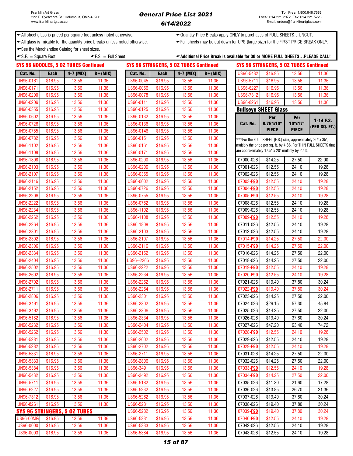$(FT.)$ 

← All sheet glass is priced per square foot unless noted otherwise.  $\leftarrow$ Quantity Price Breaks apply ONLY to purchases of FULL SHEETS...UNCUT.

All glass is mixable for the quantity price breaks unless noted otherwise. Full sheets may be cut down for UPS (large size) for the FIRST PRICE BREAK ONLY.

See the Merchandise Catalog for sheet sizes.

| $-S.F. = Square Foot$ |             |                                             | $\blacktriangleright$ F.S. = Full Sheet |            |             |                                               |             | ←Additional Price Break is available for 30 or MORE FULL SHEETSPLEASE CALL! |                                                             |              |                                                                   |
|-----------------------|-------------|---------------------------------------------|-----------------------------------------|------------|-------------|-----------------------------------------------|-------------|-----------------------------------------------------------------------------|-------------------------------------------------------------|--------------|-------------------------------------------------------------------|
|                       |             | <b>SYS 96 NOODLES, 5 OZ TUBES Continued</b> |                                         |            |             | <b>SYS 96 STRINGERS, 5 OZ TUBES Continued</b> |             |                                                                             | <b>SYS 96 STRINGERS, 5 OZ TUBES Continued</b>               |              |                                                                   |
| Cat. No.              | <b>Each</b> | 4-7 (MIX)                                   | $8 + (MIX)$                             | Cat. No.   | <b>Each</b> | 4-7 (MIX)                                     | $8 + (MIX)$ | US96-5432                                                                   | \$16.95                                                     | 13.56        | 11.36                                                             |
| UN96-0161             | \$16.95     | 13.56                                       | 11.36                                   | US96-0045  | \$16.95     | 13.56                                         | 11.36       | US96-5711                                                                   | \$16.95                                                     | 13.56        | 11.36                                                             |
| UN96-0171             | \$16.95     | 13.56                                       | 11.36                                   | US96-0056  | \$16.95     | 13.56                                         | 11.36       | US96-6227                                                                   | \$16.95                                                     | 13.56        | 11.36                                                             |
| UN96-0200             | \$16.95     | 13.56                                       | 11.36                                   | US96-0078  | \$16.95     | 13.56                                         | 11.36       | US96-7312                                                                   | \$16.95                                                     | 13.56        | 11.36                                                             |
| UN96-0209             | \$16.95     | 13.56                                       | 11.36                                   | US96-0111  | \$16.95     | 13.56                                         | 11.36       | US96-8261                                                                   | \$16.95                                                     | 13.56        | 11.36                                                             |
| UN96-0355             | \$16.95     | 13.56                                       | 11.36                                   | US96-0125  | \$16.95     | 13.56                                         | 11.36       |                                                                             | <b>Bullseye SHEET Glass</b>                                 |              |                                                                   |
| UN96-0602             | \$16.95     | 13.56                                       | 11.36                                   | US96-0132  | \$16.95     | 13.56                                         | 11.36       |                                                                             | Per                                                         | Per          |                                                                   |
| UN96-0726             | \$16.95     | 13.56                                       | 11.36                                   | US96-0136  | \$16.95     | 13.56                                         | 11.36       | Cat. No.                                                                    | 8.75"x10"                                                   | 10"x17"      | $1-14$ F.S.<br>(PER SQ. FT.)                                      |
| UN96-0755             | \$16.95     | 13.56                                       | 11.36                                   | US96-0146  | \$16.95     | 13.56                                         | 11.36       |                                                                             | <b>PIECE</b>                                                | <b>PIECE</b> |                                                                   |
| UN96-0782             | \$16.95     | 13.56                                       | 11.36                                   | US96-0151  | \$16.95     | 13.56                                         | 11.36       |                                                                             | ***For the FULL SHEET (F.S.) size, approximately 20" x 35", |              |                                                                   |
| UN96-1102             | \$16.95     | 13.56                                       | 11.36                                   | US96-0161  | \$16.95     | 13.56                                         | 11.36       |                                                                             |                                                             |              | multiply the price per sq. ft. by 4.86. For THIN FULL SHEETS that |
| UN96-1108             | \$16.95     | 13.56                                       | 11.36                                   | US96-0171  | \$16.95     | 13.56                                         | 11.36       |                                                                             | are approximately 17.5" x 20" multiply by 2.43.             |              |                                                                   |
| UN96-1808             | \$16.95     | 13.56                                       | 11.36                                   | US96-0200  | \$16.95     | 13.56                                         | 11.36       | 07000-026                                                                   | \$14.25                                                     | 27.50        | 22.00                                                             |
| UN96-2103             | \$16.95     | 13.56                                       | 11.36                                   | US96-0209  | \$16.95     | 13.56                                         | 11.36       | 07001-026                                                                   | \$12.55                                                     | 24.10        | 19.28                                                             |
| UN96-2107             | \$16.95     | 13.56                                       | 11.36                                   | US96-0355  | \$16.95     | 13.56                                         | 11.36       | 07002-026                                                                   | \$12.55                                                     | 24.10        | 19.28                                                             |
| UN96-2116             | \$16.95     | 13.56                                       | 11.36                                   | US96-0602  | \$16.95     | 13.56                                         | 11.36       | 07003-F90                                                                   | \$12.55                                                     | 24.10        | 19.28                                                             |
| UN96-2152             | \$16.95     | 13.56                                       | 11.36                                   | US96-0726  | \$16.95     | 13.56                                         | 11.36       | 07004-F90                                                                   | \$12.55                                                     | 24.10        | 19.28                                                             |
| <b>UN96-2206</b>      | \$16.95     | 13.56                                       | 11.36                                   | US96-0755  | \$16.95     | 13.56                                         | 11.36       | 07005-F90                                                                   | \$12.55                                                     | 24.10        | 19.28                                                             |
| <b>UN96-2222</b>      | \$16.95     | 13.56                                       | 11.36                                   | US96-0782  | \$16.95     | 13.56                                         | 11.36       | 07008-026                                                                   | \$12.55                                                     | 24.10        | 19.28                                                             |
| UN96-2234             | \$16.95     | 13.56                                       | 11.36                                   | US96-1102  | \$16.95     | 13.56                                         | 11.36       | 07009-026                                                                   | \$12.55                                                     | 24.10        | 19.28                                                             |
| <b>UN96-2262</b>      | \$16.95     | 13.56                                       | 11.36                                   | US96-1108  | \$16.95     | 13.56                                         | 11.36       | 07009-F90                                                                   | \$12.55                                                     | 24.10        | 19.28                                                             |
| <b>UN96-2264</b>      | \$16.95     | 13.56                                       | 11.36                                   | US96-1808  | \$16.95     | 13.56                                         | 11.36       | 07011-026                                                                   | \$12.55                                                     | 24.10        | 19.28                                                             |
| UN96-2301             | \$16.95     | 13.56                                       | 11.36                                   | US96-2103  | \$16.95     | 13.56                                         | 11.36       | 07012-026                                                                   | \$12.55                                                     | 24.10        | 19.28                                                             |
| UN96-2302             | \$16.95     | 13.56                                       | 11.36                                   | US96-2107  | \$16.95     | 13.56                                         | 11.36       | 07014-F90                                                                   | \$14.25                                                     | 27.50        | 22.00                                                             |
| UN96-2306             | \$16.95     | 13.56                                       | 11.36                                   | US96-2116  | \$16.95     | 13.56                                         | 11.36       | 07015-F90                                                                   | \$14.25                                                     | 27.50        | 22.00                                                             |
| UN96-2334             | \$16.95     | 13.56                                       | 11.36                                   | US96-2152  | \$16.95     | 13.56                                         | 11.36       | 07016-026                                                                   | \$14.25                                                     | 27.50        | 22.00                                                             |
| UN96-2404             | \$16.95     | 13.56                                       | 11.36                                   | US96--2206 | \$16.95     | 13.56                                         | 11.36       | 07018-026                                                                   | \$14.25                                                     | 27.50        | 22.00                                                             |
| <b>UN96-2502</b>      | \$16.95     | 13.56                                       | 11.36                                   | US96-2222  | \$16.95     | 13.56                                         | 11.36       | 07019-F90                                                                   | \$12.55                                                     | 24.10        | 19.28                                                             |
| UN96-2602             | \$16.95     | 13.56                                       | 11.36                                   | US96-2234  | \$16.95     | 13.56                                         | 11.36       | 07020-F90                                                                   | \$12.55                                                     | 24.10        | 19.28                                                             |
| UN96-2702             | \$16.95     | 13.56                                       | 11.36                                   | US96-2262  | \$16.95     | 13.56                                         | 11.36       | 07021-026                                                                   | \$19.40                                                     | 37.80        | 30.24                                                             |
| UN96-2711             | \$16.95     | 13.56                                       | 11.36                                   | US96-2264  | \$16.95     | 13.56                                         | 11.36       | 07022-F90                                                                   | \$19.40                                                     | 37.80        | 30.24                                                             |
| <b>UN96-2806</b>      | \$16.95     | 13.56                                       | 11.36                                   | US96-2301  | \$16.95     | 13.56                                         | 11.36       | 07023-026                                                                   | \$14.25                                                     | 27.50        | 22.00                                                             |
| UN96-3491             | \$16.95     | 13.56                                       | 11.36                                   | US96-2302  | \$16.95     | 13.56                                         | 11.36       | 07024-026                                                                   | \$29.15                                                     | 57.30        | 45.84                                                             |
| UN96-3492             | \$16.95     | 13.56                                       | 11.36                                   | US96-2306  | \$16.95     | 13.56                                         | 11.36       | 07025-026                                                                   | \$14.25                                                     | 27.50        | 22.00                                                             |
| UN96-5182             | \$16.95     | 13.56                                       | 11.36                                   | US96-2334  | \$16.95     | 13.56                                         | 11.36       | 07026-026                                                                   | \$19.40                                                     | 37.80        | 30.24                                                             |
| UN96-5232             | \$16.95     | 13.56                                       | 11.36                                   | US96-2404  | \$16.95     | 13.56                                         | 11.36       | 07027-026                                                                   | \$47.20                                                     | 93.40        | 74.72                                                             |
| UN96-5262             | \$16.95     | 13.56                                       | 11.36                                   | US96-2502  | \$16.95     | 13.56                                         | 11.36       | 07028-F90                                                                   | \$12.55                                                     | 24.10        | 19.28                                                             |
| UN96-5281             | \$16.95     | 13.56                                       | 11.36                                   | US96-2602  | \$16.95     | 13.56                                         | 11.36       | 07029-026                                                                   | \$12.55                                                     | 24.10        | 19.28                                                             |
| <b>UN96-5282</b>      | \$16.95     | 13.56                                       | 11.36                                   | US96-2702  | \$16.95     | 13.56                                         | 11.36       | 07029-F90                                                                   | \$12.55                                                     | 24.10        | 19.28                                                             |
| UN96-5331             | \$16.95     | 13.56                                       | 11.36                                   | US96-2711  | \$16.95     | 13.56                                         | 11.36       | 07031-026                                                                   | \$14.25                                                     | 27.50        | 22.00                                                             |
| UN96-5333             | \$16.95     | 13.56                                       | 11.36                                   | US96-2806  | \$16.95     | 13.56                                         | 11.36       | 07032-026                                                                   | \$14.25                                                     | 27.50        | 22.00                                                             |
| UN96-5384             | \$16.95     | 13.56                                       | 11.36                                   | US96-3491  | \$16.95     | 13.56                                         | 11.36       | 07033-F90                                                                   | \$12.55                                                     | 24.10        | 19.28                                                             |
| UN96-5432             | \$16.95     | 13.56                                       | 11.36                                   | US96-3492  | \$16.95     | 13.56                                         | 11.36       | 07034-F90                                                                   | \$14.25                                                     | 27.50        | 22.00                                                             |
| UN96-5711             | \$16.95     | 13.56                                       | 11.36                                   | US96-5182  | \$16.95     | 13.56                                         | 11.36       | 07035-026                                                                   | \$11.30                                                     | 21.60        | 17.28                                                             |
| UN96-6227             | \$16.95     | 13.56                                       | 11.36                                   | US96-5232  | \$16.95     | 13.56                                         | 11.36       | 07036-026                                                                   | \$13.85                                                     | 26.70        | 21.36                                                             |
| UN96-7312             | \$16.95     | 13.56                                       | 11.36                                   | US96-5262  | \$16.95     | 13.56                                         | 11.36       | 07037-026                                                                   | \$19.40                                                     | 37.80        | 30.24                                                             |
| UN96-8261             | \$16.95     | 13.56                                       | 11.36                                   | US96-5281  | \$16.95     | 13.56                                         | 11.36       | 07038-026                                                                   | \$19.40                                                     | 37.80        | 30.24                                                             |
|                       |             | SYS 96 STRINGERS, 5 OZ TUBES                |                                         | US96-5282  | \$16.95     | 13.56                                         | 11.36       | 07039-F90                                                                   | \$19.40                                                     | 37.80        | 30.24                                                             |

### US96-00MG \$16.95 | 13.56 | 11.36 | US96-5331 \$16.95 | 13.56 | 11.36 | 07040-<mark>F90</mark> \$12.55 | 24.10 | 19.28 US96-0000 \$16.95 13.56 11.36 US96-5333 \$16.95 13.56 11.36 07042-026 \$12.55 24.10 19.28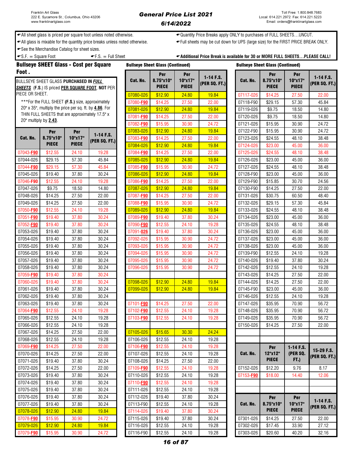### General Price List 2021 6/14/2022

← All sheet glass is priced per square foot unless noted otherwise.  $\leftarrow$ Quantity Price Breaks apply ONLY to purchases of FULL SHEETS...UNCUT.

All glass is mixable for the quantity price breaks unless noted otherwise. Full sheets may be cut down for UPS (large size) for the FIRST PRICE BREAK ONLY.

See the Merchandise Catalog for sheet sizes.

 $\bullet$  S.F.  $=$  Square Foot  $\bullet$  F.S.  $=$  Full Sheet  $\bullet$  Additional Price Break is available for 30 or MORE FULL SHEETS...PLEASE CALL!

|                       | <b>Bullseye SHEET Glass - Cost per Square</b>                  |              |                                                         |           | <b>Bullseye Sheet Glass (Continued)</b> |                         |               | <b>Bullseye Sheet Glass (Continued)</b> |                           |                         |               |
|-----------------------|----------------------------------------------------------------|--------------|---------------------------------------------------------|-----------|-----------------------------------------|-------------------------|---------------|-----------------------------------------|---------------------------|-------------------------|---------------|
| Foot.                 |                                                                |              |                                                         |           | Per                                     | Per                     | $1-14$ F.S.   |                                         | Per                       | Per                     | $1-14$ F.S.   |
|                       | BULLSEYE SHEET GLASS PURCHASED IN FULL                         |              |                                                         | Cat. No.  | 8.75"x10"<br><b>PIECE</b>               | 10"x17"<br><b>PIECE</b> | (PER SQ. FT.) | Cat. No.                                | 8.75"x10"<br><b>PIECE</b> | 10"x17"<br><b>PIECE</b> | (PER SQ. FT.) |
| PIECE OR SHEET.       |                                                                |              | <b>SHEETS</b> (F.S.) IS priced PER SQUARE FOOT, NOT PER | 07080-026 | \$12.90                                 | 24.80                   | 19.84         | 07117-026                               | \$14.25                   | 27.50                   | 22.00         |
|                       | ***For the FULL SHEET (F.S.) size, approximately               |              |                                                         | 07080-F90 | \$14.25                                 | 27.50                   | 22.00         | 07118-F90                               | \$29.15                   | 57.30                   | 45.84         |
|                       | 20" x 35", multiply the price per sq. ft. by <b>4.86</b> . For |              |                                                         | 07081-026 | \$12.90                                 | 24.80                   | 19.84         | 07119-026                               | \$9.75                    | 18.50                   | 14.80         |
|                       | THIN FULL SHEETS that are approximately 17.5" x                |              |                                                         | 07081-F90 | \$14.25                                 | 27.50                   | 22.00         | 07120-026                               | \$9.75                    | 18.50                   | 14.80         |
| 20" multiply by 2.43. |                                                                |              |                                                         | 07082-F90 | \$15.95                                 | 30.90                   | 24.72         | 07121-026                               | \$15.95                   | 30.90                   | 24.72         |
|                       | Per                                                            | Per          |                                                         | 07083-026 | \$12.90                                 | 24.80                   | 19.84         | 07122-F90                               | \$15.95                   | 30.90                   | 24.72         |
| Cat. No.              | 8.75"x10"                                                      | 10"x17"      | $1-14$ F.S.                                             | 07083-F90 | \$14.25                                 | 27.50                   | 22.00         | 07123-026                               | \$24.55                   | 48.10                   | 38.48         |
|                       | <b>PIECE</b>                                                   | <b>PIECE</b> | (PER SQ. FT.)                                           | 07084-026 | \$12.90                                 | 24.80                   | 19.84         | 07124-026                               | \$23.00                   | 45.00                   | 36.00         |
| 07043-F90             | \$12.55                                                        | 24.10        | 19.28                                                   | 07084-F90 | \$14.25                                 | 27.50                   | 22.00         | 07125-026                               | \$24.55                   | 48.10                   | 38.48         |
| 07044-026             | \$29.15                                                        | 57.30        | 45.84                                                   | 07085-026 | \$12.90                                 | 24.80                   | 19.84         | 07126-026                               | \$23.00                   | 45.00                   | 36.00         |
| 07044-F90             | \$29.15                                                        | 57.30        | 45.84                                                   | 07085-F90 | \$15.95                                 | 30.90                   | 24.72         | 07127-026                               | \$24.55                   | 48.10                   | 38.48         |
| 07045-026             | \$19.40                                                        | 37.80        | 30.24                                                   | 07086-026 | \$12.90                                 | 24.80                   | 19.84         | 07128-F90                               | \$23.00                   | 45.00                   | 36.00         |
| 07046-F90             | \$12.55                                                        | 24.10        | 19.28                                                   | 07086-F90 | \$14.25                                 | 27.50                   | 22.00         | 07129-F90                               | \$15.85                   | 30.70                   | 24.56         |
| 07047-026             | \$9.75                                                         | 18.50        | 14.80                                                   | 07087-026 | \$12.90                                 | 24.80                   | 19.84         | 07130-F90                               | \$14.25                   | 27.50                   | 22.00         |
| 07048-026             | \$14.25                                                        | 27.50        | 22.00                                                   | 07087-F90 | \$14.25                                 | 27.50                   | 22.00         | 07131-026                               | \$30.75                   | 60.50                   | 48.40         |
| 07049-026             | \$14.25                                                        | 27.50        | 22.00                                                   | 07088-F90 | \$15.95                                 | 30.90                   | 24.72         | 07132-026                               | \$29.15                   | 57.30                   | 45.84         |
| 07050-F90             | \$12.55                                                        | 24.10        | 19.28                                                   | 07089-026 | \$12.90                                 | 24.80                   | 19.84         | 07133-026                               | \$24.55                   | 48.10                   | 38.48         |
| 07051-F90             | \$19.40                                                        | 37.80        | 30.24                                                   | 07089-F90 | \$19.40                                 | 37.80                   | 30.24         | 07134-026                               | \$23.00                   | 45.00                   | 36.00         |
| 07052-F90             | \$19.40                                                        | 37.80        | 30.24                                                   | 07090-F90 | \$12.55                                 | 24.10                   | 19.28         | 07135-026                               | \$24.55                   | 48.10                   | 38.48         |
| 07053-026             | \$19.40                                                        | 37.80        | 30.24                                                   | 07091-026 | \$19.40                                 | 37.80                   | 30.24         | 07136-026                               | \$23.00                   | 45.00                   | 36.00         |
| 07054-026             | \$19.40                                                        | 37.80        | 30.24                                                   | 07092-026 | \$15.95                                 | 30.90                   | 24.72         | 07137-026                               | \$23.00                   | 45.00                   | 36.00         |
| 07055-026             | \$19.40                                                        | 37.80        | 30.24                                                   | 07093-026 | \$15.95                                 | 30.90                   | 24.72         | 07138-026                               | \$23.00                   | 45.00                   | 36.00         |
| 07056-026             | \$19.40                                                        | 37.80        | 30.24                                                   | 07094-026 | \$15.95                                 | 30.90                   | 24.72         | 07139-F90                               | \$12.55                   | 24.10                   | 19.28         |
| 07057-026             | \$19.40                                                        | 37.80        | 30.24                                                   | 07095-026 | \$15.95                                 | 30.90                   | 24.72         | 07140-026                               | \$19.40                   | 37.80                   | 30.24         |
| 07058-026             | \$19.40                                                        | 37.80        | 30.24                                                   | 07096-026 | \$15.95                                 | 30.90                   | 24.72         | 07142-026                               | \$12.55                   | 24.10                   | 19.28         |
| 07059-F90             | \$19.40                                                        | 37.80        | 30.24                                                   |           |                                         |                         |               | 07143-026                               | \$14.25                   | 27.50                   | 22.00         |
| 07060-026             | \$19.40                                                        | 37.80        | 30.24                                                   | 07098-026 | \$12.90                                 | 24.80                   | 19.84         | 07144-026                               | \$14.25                   | 27.50                   | 22.00         |
| 07061-026             | \$19.40                                                        | 37.80        | 30.24                                                   | 07099-026 | \$12.90                                 | 24.80                   | 19.84         | 07145-F90                               | \$23.00                   | 45.00                   | 36.00         |
| 07062-026             | \$19.40                                                        | 37.80        | 30.24                                                   |           |                                         |                         |               | 07146-026                               | \$12.55                   | 24.10                   | 19.28         |
| 07063-026             | \$19.40                                                        | 37.80        | 30.24                                                   | 07101-F90 | \$14.25                                 | 27.50                   | 22.00         | 07147-026                               | \$35.95                   | 70.90                   | 56.72         |
| 07064-F90             | \$12.55                                                        | 24.10        | 19.28                                                   | 07102-F90 | \$12.55                                 | 24.10                   | 19.28         | 07148-026                               | \$35.95                   | 70.90                   | 56.72         |
| 07065-026             | \$12.55                                                        | 24.10        | 19.28                                                   | 07103-F90 | \$12.55                                 | 24.10                   | 19.28         | 07149-026                               | \$35.95                   | 70.90                   | 56.72         |
| 07066-026             | \$12.55                                                        | 24.10        | 19.28                                                   |           |                                         |                         |               | 07150-026                               | \$14.25                   | 27.50                   | 22.00         |
| 07067-026             | \$14.25                                                        | 27.50        | 22.00                                                   | 07105-026 | \$15.65                                 | 30.30                   | 24.24         |                                         |                           |                         |               |
| 07068-026             | \$12.55                                                        | 24.10        | 19.28                                                   | 07106-026 | \$12.55                                 | 24.10                   | 19.28         |                                         |                           |                         |               |
| 07069-F90             | \$14.25                                                        | 27.50        | 22.00                                                   | 07106-F90 | \$12.55                                 | 24.10                   | 19.28         |                                         | Per                       | $1-14$ F.S.             | 15-29 F.S.    |
| 07070-026             | \$14.25                                                        | 27.50        | 22.00                                                   | 07107-026 | \$12.55                                 | 24.10                   | 19.28         | Cat. No.                                | 12"x12"                   | (PER SQ.                | (PER SQ. FT.) |
| 07071-026             | \$19.40                                                        | 37.80        | 30.24                                                   | 07108-026 | \$14.25                                 | 27.50                   | 22.00         |                                         | <b>PIECE</b>              | <b>FT.)</b>             |               |
| 07072-026             | \$14.25                                                        | 27.50        | 22.00                                                   | 07109-F90 | \$12.55                                 | 24.10                   | 19.28         | 07152-026                               | \$12.20                   | 9.76                    | 8.17          |
| 07073-026             | \$19.40                                                        | 37.80        | 30.24                                                   | 07110-026 | \$12.55                                 | 24.10                   | 19.28         | 07153-F90                               | \$18.00                   | 14.40                   | 12.06         |
| 07074-026             | \$19.40                                                        | 37.80        | 30.24                                                   | 07110-F90 | \$12.55                                 | 24.10                   | 19.28         |                                         |                           |                         |               |
| 07075-026             | \$19.40                                                        | 37.80        | 30.24                                                   | 07111-026 | \$12.55                                 | 24.10                   | 19.28         |                                         |                           |                         |               |
| 07076-026             | \$19.40                                                        | 37.80        | 30.24                                                   | 07112-026 | \$19.40                                 | 37.80                   | 30.24         |                                         | Per                       | Per                     | $1-14$ F.S.   |
| 07077-026             | \$19.40                                                        | 37.80        | 30.24                                                   | 07113-F90 | \$12.55                                 | 24.10                   | 19.28         | Cat. No.                                | 8.75"x10"                 | 10"x17"                 | (PER SQ. FT.) |
| 07078-026             | \$12.90                                                        | 24.80        | 19.84                                                   | 07114-026 | \$19.40                                 | 37.80                   | 30.24         |                                         | <b>PIECE</b>              | <b>PIECE</b>            |               |
| 07078-F90             | \$15.95                                                        | 30.90        | 24.72                                                   | 07115-026 | \$19.40                                 | 37.80                   | 30.24         | 07301-026                               | \$14.25                   | 27.50                   | 22.00         |
| 07079-026             | \$12.90                                                        | 24.80        | 19.84                                                   | 07116-026 | \$12.55                                 | 24.10                   | 19.28         | 07302-026                               | \$17.45                   | 33.90                   | 27.12         |
| 07079-F90             | \$15.95                                                        | 30.90        | 24.72                                                   | 07116-F90 | \$12.55                                 | 24.10                   | 19.28         | 07303-026                               | \$20.60                   | 40.20                   | 32.16         |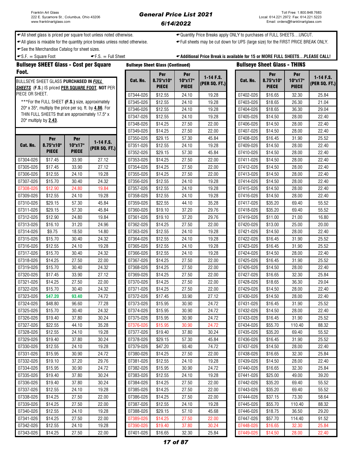### General Price List 2021 6/14/2022

◆ All sheet glass is priced per square foot unless noted otherwise. <br>◆ Quantity Price Breaks apply ONLY to purchases of FULL SHEETS…UNCUT.

All glass is mixable for the quantity price breaks unless noted otherwise. Full sheets may be cut down for UPS (large size) for the FIRST PRICE BREAK ONLY.

See the Merchandise Catalog for sheet sizes.

| $\bullet$ S.F. = Square Foot           | $\blacktriangleright$ F.S. = Full Sheet |                                         | ← Additional Price Break is available for 15 or MORE FULL SHEETSPLEASE CALL! |
|----------------------------------------|-----------------------------------------|-----------------------------------------|------------------------------------------------------------------------------|
| Bullseve SHEET Glass - Cost ner Square |                                         | <b>Rullseve Sheet Glass (Continued)</b> | <b>Bullseve Sheet Glass - THINS</b>                                          |

|                       | <b>Bullseye SHEET Glass - Cost per Square</b>          |              |                                                         |           | <b>Bullseye Sheet Glass (Continued)</b> |                |               | <b>Bullseye Sheet Glass - THINS</b> |           |                  |                       |               |
|-----------------------|--------------------------------------------------------|--------------|---------------------------------------------------------|-----------|-----------------------------------------|----------------|---------------|-------------------------------------|-----------|------------------|-----------------------|---------------|
| Foot.                 | BULLSEYE SHEET GLASS PURCHASED IN FULL                 |              |                                                         | Cat. No.  | Per<br>8.75"x10"                        | Per<br>10"x17" | $1-14$ F.S.   |                                     | Cat. No.  | Per<br>8.75"x10" | <b>Per</b><br>10"x17" | $1-14$ F.S.   |
|                       |                                                        |              | <b>SHEETS</b> (F.S.) IS priced PER SQUARE FOOT, NOT PER |           | <b>PIECE</b>                            | <b>PIECE</b>   | (PER SQ. FT.) |                                     |           | <b>PIECE</b>     | <b>PIECE</b>          | (PER SQ. FT.) |
| PIECE OR SHEET.       |                                                        |              |                                                         | 07344-026 | \$12.55                                 | 24.10          | 19.28         |                                     | 07402-026 | \$16.65          | 32.30                 | 25.84         |
|                       | ***For the FULL SHEET (F.S.) size, approximately       |              |                                                         | 07345-026 | \$12.55                                 | 24.10          | 19.28         |                                     | 07403-026 | \$18.65          | 26.30                 | 21.04         |
|                       | 20" x 35", multiply the price per sq. ft. by 4.86. For |              |                                                         | 07346-026 | \$12.55                                 | 24.10          | 19.28         |                                     | 07404-026 | \$18.65          | 36.30                 | 29.04         |
|                       | THIN FULL SHEETS that are approximately 17.5" x        |              |                                                         | 07347-026 | \$12.55                                 | 24.10          | 19.28         |                                     | 07405-026 | \$14.50          | 28.00                 | 22.40         |
| 20" multiply by 2.43. |                                                        |              |                                                         | 07348-026 | \$14.25                                 | 27.50          | 22.00         |                                     | 07406-026 | \$14.50          | 28.00                 | 22.40         |
|                       |                                                        |              |                                                         | 07349-026 | \$14.25                                 | 27.50          | 22.00         |                                     | 07407-026 | \$14.50          | 28.00                 | 22.40         |
|                       | Per                                                    | Per          |                                                         | 07350-026 | \$29.15                                 | 57.30          | 45.84         |                                     | 07408-026 | \$16.45          | 31.90                 | 25.52         |
| Cat. No.              | 8.75"x10"                                              | 10"x17"      | 1-14 F.S.                                               | 07351-026 | \$12.55                                 | 24.10          | 19.28         |                                     | 07409-026 | \$14.50          | 28.00                 | 22.40         |
|                       | <b>PIECE</b>                                           | <b>PIECE</b> | (PER SQ. FT.)                                           | 07352-026 | \$29.15                                 | 57.30          | 45.84         |                                     | 07410-026 | \$14.50          | 28.00                 | 22.40         |
| 07304-026             | \$17.45                                                | 33.90        | 27.12                                                   | 07353-026 | \$14.25                                 | 27.50          | 22.00         |                                     | 07411-026 | \$14.50          | 28.00                 | 22.40         |
| 07305-026             | \$17.45                                                | 33.90        | 27.12                                                   | 07354-026 | \$14.25                                 | 27.50          | 22.00         |                                     | 07412-026 | \$14.50          | 28.00                 | 22.40         |
| 07306-026             | \$12.55                                                | 24.10        | 19.28                                                   | 07355-026 | \$14.25                                 | 27.50          | 22.00         |                                     | 07413-026 | \$14.50          | 28.00                 | 22.40         |
| 07307-026             | \$15.70                                                | 30.40        | 24.32                                                   | 07356-026 | \$12.55                                 | 24.10          | 19.28         |                                     | 07414-026 | \$14.50          | 28.00                 | 22.40         |
| 07308-026             | \$12.90                                                | 24.80        | 19.84                                                   | 07357-026 | \$12.55                                 | 24.10          | 19.28         |                                     | 07415-026 | \$14.50          | 28.00                 | 22.40         |
| 07309-026             | \$12.55                                                | 24.10        | 19.28                                                   | 07358-026 | \$12.55                                 | 24.10          | 19.28         |                                     | 07416-026 | \$14.50          | 28.00                 | 22.40         |
| 07310-026             | \$29.15                                                | 57.30        | 45.84                                                   | 07359-026 | \$22.55                                 | 44.10          | 35.28         |                                     | 07417-026 | \$35.20          | 69.40                 | 55.52         |
| 07311-026             | \$29.15                                                | 57.30        | 45.84                                                   | 07360-026 | \$19.10                                 | 37.20          | 29.76         |                                     | 07418-026 | \$35.20          | 69.40                 | 55.52         |
| 07312-026             | \$12.90                                                | 24.80        | 19.84                                                   | 07361-026 | \$19.10                                 | 37.20          | 29.76         |                                     | 07419-026 | \$11.00          | 21.00                 | 16.80         |
| 07313-026             | \$16.10                                                | 31.20        | 24.96                                                   | 07362-026 | \$14.25                                 | 27.50          | 22.00         |                                     | 07420-026 | \$13.00          | 25.00                 | 20.00         |
| 07314-026             | \$9.75                                                 | 18.50        | 14.80                                                   | 07363-026 | \$12.55                                 | 24.10          | 19.28         |                                     | 07421-026 | \$14.50          | 28.00                 | 22.40         |
| 07315-026             | \$15.70                                                | 30.40        | 24.32                                                   | 07364-026 | \$12.55                                 | 24.10          | 19.28         |                                     | 07422-026 | \$16.45          | 31.90                 | 25.52         |
| 07316-026             | \$12.55                                                | 24.10        | 19.28                                                   | 07365-026 | \$12.55                                 | 24.10          | 19.28         |                                     | 07423-026 | \$16.45          | 31.90                 | 25.52         |
| 07317-026             | \$15.70                                                | 30.40        | 24.32                                                   | 07366-026 | \$12.55                                 | 24.10          | 19.28         |                                     | 07424-026 | \$14.50          | 28.00                 | 22.40         |
| 07318-026             | \$14.25                                                | 27.50        | 22.00                                                   | 07367-026 | \$14.25                                 | 27.50          | 22.00         |                                     | 07425-026 | \$16.45          | 31.90                 | 25.52         |
| 07319-026             | \$15.70                                                | 30.40        | 24.32                                                   | 07368-026 | \$14.25                                 | 27.50          | 22.00         |                                     | 07426-026 | \$14.50          | 28.00                 | 22.40         |
| 07320-026             | \$17.45                                                | 33.90        | 27.12                                                   | 07369-026 | \$14.25                                 | 27.50          | 22.00         |                                     | 07427-026 | \$16.65          | 32.30                 | 25.84         |
| 07321-026             | \$14.25                                                | 27.50        | 22.00                                                   | 07370-026 | \$14.25                                 | 27.50          | 22.00         |                                     | 07428-026 | \$18.65          | 36.30                 | 29.04         |
| 07322-026             | \$15.70                                                | 30.40        | 24.32                                                   | 07371-026 | \$14.25                                 | 27.50          | 22.00         |                                     | 07429-026 | \$14.50          | 28.00                 | 22.40         |
| 07323-026             | \$47.20                                                | 93.40        | 74.72                                                   | 07372-026 | $\overline{$}17.45$                     | 33.90          | 27.12         |                                     | 07430-026 | \$14.50          | 28.00                 | 22.40         |
| 07324-026             | \$48.80                                                | 96.60        | 77.28                                                   | 07373-026 | \$15.95                                 | 30.90          | 24.72         |                                     | 07431-026 | \$16.45          | 31.90                 | 25.52         |
| 07325-026             | \$15.70                                                | 30.40        | 24.32                                                   | 07374-026 | \$15.95                                 | 30.90          | 24.72         |                                     | 07432-026 | \$14.50          | 28.00                 | 22.40         |
| 07326-026             | \$19.40                                                | 37.80        | 30.24                                                   | 07375-026 | \$15.95                                 | 30.90          | 24.72         |                                     | 07433-026 | \$16.45          | 31.90                 | 25.52         |
| 07327-026             | \$22.55                                                | 44.10        | 35.28                                                   | 07376-026 | \$15.95                                 | 30.90          | 24.72         |                                     | 07434-026 | \$55.70          | 110.40                | 88.32         |
| 07328-026             | \$12.55                                                | 24.10        | 19.28                                                   | 07377-026 | \$19.40                                 | 37.80          | 30.24         |                                     | 07435-026 | \$35.20          | 69.40                 | 55.52         |
| 07329-026             | \$19.40                                                | 37.80        | 30.24                                                   | 07378-026 | \$29.15                                 | 57.30          | 45.84         |                                     | 07436-026 | \$16.45          | 31.90                 | 25.52         |
| 07330-026             | \$12.55                                                | 24.10        | 19.28                                                   | 07379-026 | \$47.20                                 | 93.40          | 74.72         |                                     | 07437-026 | \$14.50          | 28.00                 | 22.40         |
| 07331-026             | \$15.95                                                | 30.90        | 24.72                                                   | 07380-026 | \$14.25                                 | 27.50          | 22.00         |                                     | 07438-026 | \$16.65          | 32.30                 | 25.84         |
| 07332-026             | \$19.10                                                | 37.20        | 29.76                                                   | 07381-026 | \$12.55                                 | 24.10          | 19.28         |                                     | 07439-026 | \$14.50          | 28.00                 | 22.40         |
| 07334-026             | \$15.95                                                | 30.90        | 24.72                                                   | 07382-026 | \$15.95                                 | 30.90          | 24.72         |                                     | 07440-026 | \$16.65          | 32.30                 | 25.84         |
| 07335-026             | \$19.40                                                | 37.80        | 30.24                                                   | 07383-026 | \$12.55                                 | 24.10          | 19.28         |                                     | 07441-026 | \$25.00          | 49.00                 | 39.20         |
| 07336-026             | \$19.40                                                | 37.80        | 30.24                                                   | 07384-026 | \$14.25                                 | 27.50          | 22.00         |                                     | 07442-026 | \$35.20          | 69.40                 | 55.52         |
| 07337-026             | \$12.55                                                | 24.10        | 19.28                                                   | 07385-026 | \$14.25                                 | 27.50          | 22.00         |                                     | 07443-026 | \$35.20          | 69.40                 | 55.52         |
| 07338-026             | \$14.25                                                | 27.50        | 22.00                                                   | 07386-026 | \$14.25                                 | 27.50          | 22.00         |                                     | 07444-026 | \$37.15          | 73.30                 | 58.64         |
| 07339-026             | \$14.25                                                | 27.50        | 22.00                                                   | 07387-026 | \$12.55                                 | 24.10          | 19.28         |                                     | 07445-026 | \$55.70          | 110.40                | 88.32         |
| 07340-026             | \$12.55                                                | 24.10        | 19.28                                                   | 07388-026 | \$29.15                                 | 57.10          | 45.68         |                                     | 07446-026 | \$18.75          | 36.50                 | 29.20         |
| 07341-026             | \$14.25                                                | 27.50        | 22.00                                                   | 07389-026 | \$14.25                                 | 27.50          | 22.00         |                                     | 07447-026 | \$57.70          | 114.40                | 91.52         |
| 07342-026             | \$12.55                                                | 24.10        | 19.28                                                   | 07390-026 | \$19.40                                 | 37.80          | 30.24         |                                     | 07448-026 | \$16.65          | 32.30                 | 25.84         |
| 07343-026             | \$14.25                                                | 27.50        | 22.00                                                   | 07401-026 | \$16.65                                 | 32.30          | 25.84         |                                     | 07449-026 | \$14.50          | 28.00                 | 22.40         |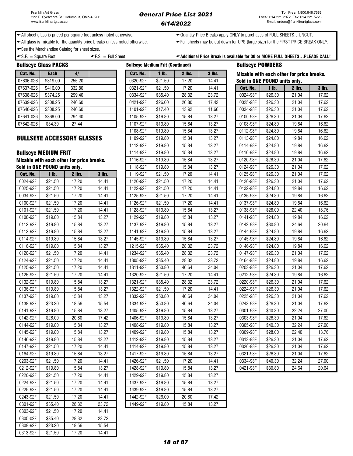← All sheet glass is priced per square foot unless noted otherwise.  $\leftarrow$ Quantity Price Breaks apply ONLY to purchases of FULL SHEETS...UNCUT.

All glass is mixable for the quantity price breaks unless noted otherwise. Full sheets may be cut down for UPS (large size) for the FIRST PRICE BREAK ONLY.

← See the Merchandise Catalog for sheet sizes.

### $\texttt{-S}$ .F. = Square Foot  $\texttt{-F}$ .S. = Full Sheet  $\texttt{-A}$   $\texttt{-A}$   $\texttt{A}$   $\texttt{A}$  and  $\texttt{B}$  Price Break is available for 30 or MORE FULL SHEETS...PLEASE CALL!

| <b>Bullseye Glass PACKS</b> |             |        |          | <b>Bullseye Medium Frit (Continued)</b> |          | <b>Bullseye POWDERS</b> |          |                             |
|-----------------------------|-------------|--------|----------|-----------------------------------------|----------|-------------------------|----------|-----------------------------|
| Cat. No.                    | <b>Each</b> | 4/     | Cat. No. | 1 <sub>lb</sub>                         | $2$ lbs. | $3$ lbs.                |          | <b>Mixable with each ot</b> |
| 07636-026                   | \$319.00    | 255.20 | 0320-92F | \$21.50                                 | 17.20    | 14.41                   |          | Sold in ONE POUND u         |
| 07637-026                   | \$416.00    | 332.80 | 0321-92F | \$21.50                                 | 17.20    | 14.41                   | Cat. No. | 1 <sub>lb</sub>             |
| 07638-026                   | \$374.25    | 299.40 | 0334-92F | \$35.40                                 | 28.32    | 23.72                   | 0024-98F | \$26.30                     |
| 07639-026                   | \$308.25    | 246.60 | 0421-92F | \$26.00                                 | 20.80    | 17.42                   | 0025-98F | \$26.30                     |
| 07640-026                   | \$308.25    | 246.60 | 1101-92F | \$17.40                                 | 13.92    | 11.66                   | 0034-98F | \$26.30                     |
| 07641-026                   | \$368.00    | 294.40 | 1105-92F | \$19.80                                 | 15.84    | 13.27                   | 0100-98F | \$26.30                     |
| 07642-026                   | \$34.30     | 27.44  | 1107-92F | \$19.80                                 | 15.84    | 13.27                   | 0108-98F | \$24.80                     |

### **BULLSEYE ACCESSORY GLASSES**

### **Bullseye MEDIUM FRIT**

| Cat. No. | 1 lb.   | 2 lbs. | <b>3 lbs.</b> | 1119-92F | \$21.50 | 17.20 | 14.41 |
|----------|---------|--------|---------------|----------|---------|-------|-------|
| 0024-92F | \$21.50 | 17.20  | 14.41         | 1120-92F | \$21.50 | 17.20 | 14.41 |
| 0025-92F | \$21.50 | 17.20  | 14.41         | 1122-92F | \$21.50 | 17.20 | 14.41 |
| 0034-92F | \$21.50 | 17.20  | 14.41         | 1125-92F | \$21.50 | 17.20 | 14.41 |
| 0100-92F | \$21.50 | 17.20  | 14.41         | 1126-92F | \$21.50 | 17.20 | 14.41 |
| 0101-92F | \$21.50 | 17.20  | 14.41         | 1128-92F | \$19.80 | 15.84 | 13.27 |
| 0108-92F | \$19.80 | 15.84  | 13.27         | 1129-92F | \$19.80 | 15.84 | 13.27 |
| 0112-92F | \$19.80 | 15.84  | 13.27         | 1137-92F | \$19.80 | 15.84 | 13.27 |
| 0113-92F | \$19.80 | 15.84  | 13.27         | 1141-92F | \$19.80 | 15.84 | 13.27 |
| 0114-92F | \$19.80 | 15.84  | 13.27         | 1145-92F | \$19.80 | 15.84 | 13.27 |
| 0116-92F | \$19.80 | 15.84  | 13.27         | 1215-92F | \$35.40 | 28.32 | 23.72 |
| 0120-92F | \$21.50 | 17.20  | 14.41         | 1234-92F | \$35.40 | 28.32 | 23.72 |
| 0124-92F | \$21.50 | 17.20  | 14.41         | 1305-92F | \$35.40 | 28.32 | 23.72 |
| 0125-92F | \$21.50 | 17.20  | 14.41         | 1311-92F | \$50.80 | 40.64 | 34.04 |
| 0126-92F | \$21.50 | 17.20  | 14.41         | 1320-92F | \$21.50 | 17.20 | 14.41 |
| 0132-92F | \$19.80 | 15.84  | 13.27         | 1321-92F | \$35.40 | 28.32 | 23.72 |
| 0136-92F | \$19.80 | 15.84  | 13.27         | 1322-92F | \$21.50 | 17.20 | 14.41 |
| 0137-92F | \$19.80 | 15.84  | 13.27         | 1332-92F | \$50.80 | 40.64 | 34.04 |
| 0138-92F | \$23.20 | 18.56  | 15.54         | 1334-92F | \$50.80 | 40.64 | 34.04 |
| 0141-92F | \$19.80 | 15.84  | 13.27         | 1405-92F | \$19.80 | 15.84 | 13.27 |
| 0142-92F | \$26.00 | 20.80  | 17.42         | 1406-92F | \$19.80 | 15.84 | 13.27 |
| 0144-92F | \$19.80 | 15.84  | 13.27         | 1408-92F | \$19.80 | 15.84 | 13.27 |
| 0145-92F | \$19.80 | 15.84  | 13.27         | 1409-92F | \$19.80 | 15.84 | 13.27 |
| 0146-92F | \$19.80 | 15.84  | 13.27         | 1412-92F | \$19.80 | 15.84 | 13.27 |
| 0147-92F | \$21.50 | 17.20  | 14.41         | 1414-92F | \$19.80 | 15.84 | 13.27 |
| 0164-92F | \$19.80 | 15.84  | 13.27         | 1417-92F | \$19.80 | 15.84 | 13.27 |
| 0203-92F | \$21.50 | 17.20  | 14.41         | 1426-92F | \$21.50 | 17.20 | 14.41 |
| 0212-92F | \$19.80 | 15.84  | 13.27         | 1428-92F | \$19.80 | 15.84 | 13.27 |
| 0220-92F | \$21.50 | 17.20  | 14.41         | 1429-92F | \$19.80 | 15.84 | 13.27 |
| 0224-92F | \$21.50 | 17.20  | 14.41         | 1437-92F | \$19.80 | 15.84 | 13.27 |
| 0225-92F | \$21.50 | 17.20  | 14.41         | 1439-92F | \$19.80 | 15.84 | 13.27 |
| 0243-92F | \$21.50 | 17.20  | 14.41         | 1442-92F | \$26.00 | 20.80 | 17.42 |
| 0301-92F | \$35.40 | 28.32  | 23.72         | 1449-92F | \$19.80 | 15.84 | 13.27 |
| 0303-92F | \$21.50 | 17.20  | 14.41         |          |         |       |       |
| 0305-02F | \$35.40 | 28.32  | 23.72         |          |         |       |       |
| 0309-92F | \$23.20 | 18.56  | 15.54         |          |         |       |       |
| 0313-92F | \$21.50 | 17.20  | 14.41         |          |         |       |       |

| Gat. No.        | Each                                 | 4/                                        |               | Gat. No. | 1 ID.   | <b>Z IDS.</b> | 3 IDS. |                               |         | Mixable with each other for price breaks. |          |
|-----------------|--------------------------------------|-------------------------------------------|---------------|----------|---------|---------------|--------|-------------------------------|---------|-------------------------------------------|----------|
| 07636-026       | \$319.00                             | 255.20                                    |               | 0320-92F | \$21.50 | 17.20         | 14.41  | Sold in ONE POUND units only. |         |                                           |          |
| 07637-026       | \$416.00                             | 332.80                                    |               | 0321-92F | \$21.50 | 17.20         | 14.41  | Cat. No.                      | $1$ lb. | 2 lbs.                                    | $3$ lbs. |
| 07638-026       | \$374.25                             | 299.40                                    |               | 0334-92F | \$35.40 | 28.32         | 23.72  | 0024-98F                      | \$26.30 | 21.04                                     | 17.62    |
| 07639-026       | \$308.25                             | 246.60                                    |               | 0421-92F | \$26.00 | 20.80         | 17.42  | 0025-98F                      | \$26.30 | 21.04                                     | 17.62    |
| 07640-026       | \$308.25                             | 246.60                                    |               | 1101-92F | \$17.40 | 13.92         | 11.66  | 0034-98F                      | \$26.30 | 21.04                                     | 17.62    |
| 07641-026       | \$368.00                             | 294.40                                    |               | 1105-92F | \$19.80 | 15.84         | 13.27  | 0100-98F                      | \$26.30 | 21.04                                     | 17.62    |
| 07642-026       | \$34.30                              | 27.44                                     |               | 1107-92F | \$19.80 | 15.84         | 13.27  | 0108-98F                      | \$24.80 | 19.84                                     | 16.62    |
|                 |                                      |                                           |               | 1108-92F | \$19.80 | 15.84         | 13.27  | 0112-98F                      | \$24.80 | 19.84                                     | 16.62    |
|                 |                                      | BULLSEYE ACCESSORY GLASSES                |               | 1109-92F | \$19.80 | 15.84         | 13.27  | 0113-98F                      | \$24.80 | 19.84                                     | 16.62    |
|                 |                                      |                                           |               | 1112-92F | \$19.80 | 15.84         | 13.27  | 0114-98F                      | \$24.80 | 19.84                                     | 16.62    |
|                 | <b>Bullseye MEDIUM FRIT</b>          |                                           |               | 1114-92F | \$19.80 | 15.84         | 13.27  | 0116-98F                      | \$24.80 | 19.84                                     | 16.62    |
|                 |                                      | Mixable with each other for price breaks. |               | 1116-92F | \$19.80 | 15.84         | 13.27  | 0120-98F                      | \$26.30 | 21.04                                     | 17.62    |
|                 | <b>Sold in ONE POUND units only.</b> |                                           |               | 1118-92F | \$19.80 | 15.84         | 13.27  | 0124-98F                      | \$26.30 | 21.04                                     | 17.62    |
| <b>Cat. No.</b> | 1 <sub>lh</sub>                      | <b>2 lbs.</b>                             | <b>3 lbs.</b> | 1119-92F | \$21.50 | 17.20         | 14.41  | 0125-98F                      | \$26.30 | 21.04                                     | 17.62    |
| 0024-92F        | \$21.50                              | 17.20                                     | 14.41         | 1120-92F | \$21.50 | 17.20         | 14.41  | 0126-98F                      | \$26.30 | 21.04                                     | 17.62    |
| 0025-92F        | \$21.50                              | 17.20                                     | 14.41         | 1122-92F | \$21.50 | 17.20         | 14.41  | 0132-98F                      | \$24.80 | 19.84                                     | 16.62    |
| 0034-92F        | \$21.50                              | 17.20                                     | 14.41         | 1125-92F | \$21.50 | 17.20         | 14.41  | 0136-98F                      | \$24.80 | 19.84                                     | 16.62    |
| 0100-92F        | \$21.50                              | 17.20                                     | 14.41         | 1126-92F | \$21.50 | 17.20         | 14.41  | 0137-98F                      | \$24.80 | 19.84                                     | 16.62    |
| 0101-92F        | \$21.50                              | 17.20                                     | 14.41         | 1128-92F | \$19.80 | 15.84         | 13.27  | 0138-98F                      | \$28.00 | 22.40                                     | 18.76    |
| 0108-92F        | \$19.80                              | 15.84                                     | 13.27         | 1129-92F | \$19.80 | 15.84         | 13.27  | 0141-98F                      | \$24.80 | 19.84                                     | 16.62    |
| 0112-92F        | \$19.80                              | 15.84                                     | 13.27         | 1137-92F | \$19.80 | 15.84         | 13.27  | 0142-98F                      | \$30.80 | 24.64                                     | 20.64    |
| 0113-92F        | \$19.80                              | 15.84                                     | 13.27         | 1141-92F | \$19.80 | 15.84         | 13.27  | 0144-98F                      | \$24.80 | 19.84                                     | 16.62    |
| 0114-92F        | \$19.80                              | 15.84                                     | 13.27         | 1145-92F | \$19.80 | 15.84         | 13.27  | 0145-98F                      | \$24.80 | 19.84                                     | 16.62    |
| 0116-92F        | \$19.80                              | 15.84                                     | 13.27         | 1215-92F | \$35.40 | 28.32         | 23.72  | 0146-98F                      | \$24.80 | 19.84                                     | 16.62    |
| 0120-92F        | \$21.50                              | 17.20                                     | 14.41         | 1234-92F | \$35.40 | 28.32         | 23.72  | 0147-98F                      | \$26.30 | 21.04                                     | 17.62    |
| 0124-92F        | \$21.50                              | 17.20                                     | 14.41         | 1305-92F | \$35.40 | 28.32         | 23.72  | 0164-98F                      | \$24.80 | 19.84                                     | 16.62    |
| 0125-92F        | \$21.50                              | 17.20                                     | 14.41         | 1311-92F | \$50.80 | 40.64         | 34.04  | 0203-98F                      | \$26.30 | 21.04                                     | 17.62    |
| 0126-92F        | \$21.50                              | 17.20                                     | 14.41         | 1320-92F | \$21.50 | 17.20         | 14.41  | 0212-98F                      | \$24.80 | 19.84                                     | 16.62    |
| 0132-92F        | \$19.80                              | 15.84                                     | 13.27         | 1321-92F | \$35.40 | 28.32         | 23.72  | 0220-98F                      | \$26.30 | 21.04                                     | 17.62    |
| 0136-92F        | \$19.80                              | 15.84                                     | 13.27         | 1322-92F | \$21.50 | 17.20         | 14.41  | 0224-98F                      | \$26.30 | 21.04                                     | 17.62    |
| 0137-92F        | \$19.80                              | 15.84                                     | 13.27         | 1332-92F | \$50.80 | 40.64         | 34.04  | 0225-98F                      | \$26.30 | 21.04                                     | 17.62    |
| 0138-92F        | \$23.20                              | 18.56                                     | 15.54         | 1334-92F | \$50.80 | 40.64         | 34.04  | 0243-98F                      | \$26.30 | 21.04                                     | 17.62    |
| 0141-92F        | \$19.80                              | 15.84                                     | 13.27         | 1405-92F | \$19.80 | 15.84         | 13.27  | 0301-98F                      | \$40.30 | 32.24                                     | 27.00    |
| 0142-92F        | \$26.00                              | 20.80                                     | 17.42         | 1406-92F | \$19.80 | 15.84         | 13.27  | 0303-98F                      | \$26.30 | 21.04                                     | 17.62    |
| 0144-92F        | \$19.80                              | 15.84                                     | 13.27         | 1408-92F | \$19.80 | 15.84         | 13.27  | 0305-98F                      | \$40.30 | 32.24                                     | 27.00    |
| 0145-92F        | \$19.80                              | 15.84                                     | 13.27         | 1409-92F | \$19.80 | 15.84         | 13.27  | 0309-98F                      | \$28.00 | 22.40                                     | 18.76    |
| 0146-92F        | \$19.80                              | 15.84                                     | 13.27         | 1412-92F | \$19.80 | 15.84         | 13.27  | 0313-98F                      | \$26.30 | 21.04                                     | 17.62    |
| 0147-92F        | \$21.50                              | 17.20                                     | 14.41         | 1414-92F | \$19.80 | 15.84         | 13.27  | 0320-98F                      | \$26.30 | 21.04                                     | 17.62    |
| 0164-92F        | \$19.80                              | 15.84                                     | 13.27         | 1417-92F | \$19.80 | 15.84         | 13.27  | 0321-98F                      | \$26.30 | 21.04                                     | 17.62    |
| 0203-92F        | \$21.50                              | 17.20                                     | 14.41         | 1426-92F | \$21.50 | 17.20         | 14.41  | 0334-98F                      | \$40.30 | 32.24                                     | 27.00    |
| 0212-92F        | \$19.80                              | 15.84                                     | 13.27         | 1428-92F | \$19.80 | 15.84         | 13.27  | 0421-98F                      | \$30.80 | 24.64                                     | 20.64    |
| 0220-92F        | \$21.50                              | 17.20                                     | 14.41         | 1429-92F | \$19.80 | 15.84         | 13.27  |                               |         |                                           |          |
| 0224-92F        | \$21.50                              | 17.20                                     | 14.41         | 1437-92F | \$19.80 | 15.84         | 13.27  |                               |         |                                           |          |
| 0225-92F        | \$21.50                              | 17.20                                     | 14.41         | 1439-92F | \$19.80 | 15.84         | 13.27  |                               |         |                                           |          |
| 0243-92F        | \$21.50                              | 17.20                                     | 14.41         | 1442-92F | \$26.00 | 20.80         | 17.42  |                               |         |                                           |          |
| 0301-92F        | \$35.40                              | 28.32                                     | 23.72         | 1449-92F | \$19.80 | 15.84         | 13.27  |                               |         |                                           |          |
| $\cdots$        |                                      |                                           |               |          |         |               |        |                               |         |                                           |          |

| ринэсус                       | r u             |                                           |          |
|-------------------------------|-----------------|-------------------------------------------|----------|
| Sold in ONE POUND units only. |                 | Mixable with each other for price breaks. |          |
| <b>Cat. No.</b>               | 1 <sub>lb</sub> | 2 lbs.                                    | $3$ lbs. |
| 0024-98F                      | \$26.30         | 21.04                                     | 17.62    |
| 0025-98F                      | \$26.30         | 21.04                                     | 17.62    |
| 0034-98F                      | \$26.30         | 21.04                                     | 17.62    |
| 0100-98F                      | \$26.30         | 21.04                                     | 17.62    |
| 0108-98F                      | \$24.80         | 19.84                                     | 16.62    |
| 0112-98F                      | \$24.80         | 19.84                                     | 16.62    |
| 0113-98F                      | \$24.80         | 19.84                                     | 16.62    |
| 0114-98F                      | \$24.80         | 19.84                                     | 16.62    |
| 0116-98F                      | \$24.80         | 19.84                                     | 16.62    |
| 0120-98F                      | \$26.30         | 21.04                                     | 17.62    |
| 0124-98F                      | \$26.30         | 21.04                                     | 17.62    |
| 0125-98F                      | \$26.30         | 21.04                                     | 17.62    |
| 0126-98F                      | \$26.30         | 21.04                                     | 17.62    |
| 0132-98F                      | \$24.80         | 19.84                                     | 16.62    |
| 0136-98F                      | \$24.80         | 19.84                                     | 16.62    |
| 0137-98F                      | \$24.80         | 19.84                                     | 16.62    |
| 0138-98F                      | \$28.00         | 22.40                                     | 18.76    |
| 0141-98F                      | \$24.80         | 19.84                                     | 16.62    |
| 0142-98F                      | \$30.80         | 24.64                                     | 20.64    |
| 0144-98F                      | \$24.80         | 19.84                                     | 16.62    |
| 0145-98F                      | \$24.80         | 19.84                                     | 16.62    |
| 0146-98F                      | \$24.80         | 19.84                                     | 16.62    |
| 0147-98F                      | \$26.30         | 21.04                                     | 17.62    |
| 0164-98F                      | \$24.80         | 19.84                                     | 16.62    |
| 0203-98F                      | \$26.30         | 21.04                                     | 17.62    |
| 0212-98F                      | \$24.80         | 19.84                                     | 16.62    |
| 0220-98F                      | \$26.30         | 21.04                                     | 17.62    |
| 0224-98F                      | \$26.30         | 21.04                                     | 17.62    |
| 0225-98F                      | \$26.30         | 21.04                                     | 17.62    |
| 0243-98F                      | \$26.30         | 21.04                                     | 17.62    |
| 0301-98F                      | \$40.30         | 32.24                                     | 27.00    |
| 0303-98F                      | \$26.30         | 21.04                                     | 17.62    |
| 0305-98F                      | \$40.30         | 32.24                                     | 27.00    |
| 0309-98F                      | \$28.00         | 22.40                                     | 18.76    |
| 0313-98F                      | \$26.30         | 21.04                                     | 17.62    |
| 0320-98F                      | \$26.30         | 21.04                                     | 17.62    |
| 0321-98F                      | \$26.30         | 21.04                                     | 17.62    |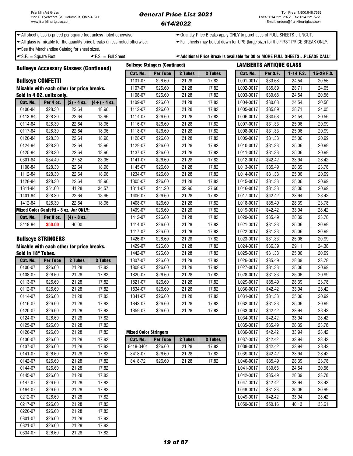### General Price List 2021 6/14/2022

**Bullseye Stringers (Continued)** 

← All sheet glass is priced per square foot unless noted otherwise.  $\leftarrow$ Quantity Price Breaks apply ONLY to purchases of FULL SHEETS...UNCUT.

All glass is mixable for the quantity price breaks unless noted otherwise. Full sheets may be cut down for UPS (large size) for the FIRST PRICE BREAK ONLY.

See the Merchandise Catalog for sheet sizes.

 $\bullet$  S.F.  $=$  Square Foot  $\bullet$  F.S.  $=$  Full Sheet  $\bullet$  Additional Price Break is available for 30 or MORE FULL SHEETS...PLEASE CALL!

Bullseye Accessory Glasses (Continued)

### **Bullseye CONFETTI**

| Cat. No. | Per 4 oz.                                     | $(2) - 4$ oz. | $(4+) - 4$ oz. |
|----------|-----------------------------------------------|---------------|----------------|
| 0100-84  | \$28.30                                       | 22.64         | 18.96          |
| 0113-84  | \$28.30                                       | 22.64         | 18.96          |
| 0114-84  | \$28.30                                       | 22.64         | 18.96          |
| 0117-84  | \$28.30                                       | 22.64         | 18.96          |
| 0120-84  | \$28.30                                       | 22.64         | 18.96          |
| 0124-84  | \$28.30                                       | 22.64         | 18.96          |
| 0125-84  | \$28.30                                       | 22.64         | 18.96          |
| 0301-84  | \$34.40                                       | 27.52         | 23.05          |
| 1108-84  | \$28.30                                       | 22.64         | 18.96          |
| 1112-84  | \$28.30                                       | 22.64         | 18.96          |
| 1128-84  | \$28.30                                       | 22.64         | 18.96          |
| 1311-84  | \$51.60                                       | 41.28         | 34.57          |
| 1401-84  | \$28.30                                       | 22.64         | 18.96          |
| 1412-84  | \$28.30                                       | 22.64         | 18.96          |
|          | <b>Mixed Color Confetti - 8 oz. Jar ONLY:</b> |               |                |
| Cat. No. | Per 8 oz.                                     | $(4) - 8$ oz. |                |
| 8418-84  | \$50.00                                       | 40.00         |                |

### **Bullseye STRINGERS**

| Cat. No. | <b>Per Tube</b> | 2 Tubes | 3 Tubes | 1807-07   | \$26.60                      | 21.28   | 17.82   | L026-0017 | \$35.49 | 28.39 | 23.78 |
|----------|-----------------|---------|---------|-----------|------------------------------|---------|---------|-----------|---------|-------|-------|
| 0100-07  | \$26.60         | 21.28   | 17.82   | 1808-07   | \$26.60                      | 21.28   | 17.82   | L027-0017 | \$31.33 | 25.06 | 20.99 |
| 0108-07  | \$26.60         | 21.28   | 17.82   | 1820-07   | \$26.60                      | 21.28   | 17.82   | L028-0017 | \$31.33 | 25.06 | 20.99 |
| 0113-07  | \$26.60         | 21.28   | 17.82   | 1821-07   | \$26.60                      | 21.28   | 17.82   | L029-0017 | \$35.49 | 28.39 | 23.78 |
| 0112-07  | \$26.60         | 21.28   | 17.82   | 1834-07   | \$26.60                      | 21.28   | 17.82   | L030-0017 | \$42.42 | 33.94 | 28.42 |
| 0114-07  | \$26.60         | 21.28   | 17.82   | 1841-07   | \$26.60                      | 21.28   | 17.82   | L031-0017 | \$31.33 | 25.06 | 20.99 |
| 0116-07  | \$26.60         | 21.28   | 17.82   | 1842-07   | \$26.60                      | 21.28   | 17.82   | L032-0017 | \$31.33 | 25.06 | 20.99 |
| 0120-07  | \$26.60         | 21.28   | 17.82   | 1859-07   | \$26.60                      | 21.28   | 17.82   | L033-0017 | \$42.42 | 33.94 | 28.42 |
| 0124-07  | \$26.60         | 21.28   | 17.82   |           |                              |         |         | L034-0017 | \$42.42 | 33.94 | 28.42 |
| 0125-07  | \$26.60         | 21.28   | 17.82   |           |                              |         |         | L035-0017 | \$35.49 | 28.39 | 23.78 |
| 0126-07  | \$26.60         | 21.28   | 17.82   |           | <b>Mixed Color Stringers</b> |         |         | L036-0017 | \$42.42 | 33.94 | 28.42 |
| 0136-07  | \$26.60         | 21.28   | 17.82   | Cat. No.  | <b>Per Tube</b>              | 2 Tubes | 3 Tubes | L037-0017 | \$42.42 | 33.94 | 28.42 |
| 0137-07  | \$26.60         | 21.28   | 17.82   | 8418-0401 | \$26.60                      | 21.28   | 17.82   | L038-0017 | \$42.42 | 33.94 | 28.42 |
| 0141-07  | \$26.60         | 21.28   | 17.82   | 8418-07   | \$26.60                      | 21.28   | 17.82   | L039-0017 | \$42.42 | 33.94 | 28.42 |
| 0142-07  | \$26.60         | 21.28   | 17.82   | 8418-72   | \$26.60                      | 21.28   | 17.82   | L040-0017 | \$35.49 | 28.39 | 23.78 |
| 0144-07  | \$26.60         | 21.28   | 17.82   |           |                              |         |         | L041-0017 | \$30.68 | 24.54 | 20.56 |
| 0145-07  | \$26.60         | 21.28   | 17.82   |           |                              |         |         | L042-0017 | \$35.49 | 28.39 | 23.78 |
| 0147-07  | \$26.60         | 21.28   | 17.82   |           |                              |         |         | L047-0017 | \$42.42 | 33.94 | 28.42 |
| 0164-07  | \$26.60         | 21.28   | 17.82   |           |                              |         |         | L048-0017 | \$31.33 | 25.06 | 20.99 |
| 0212-07  | \$26.60         | 21.28   | 17.82   |           |                              |         |         | L049-0017 | \$42.42 | 33.94 | 28.42 |
| 0217-07  | \$26.60         | 21.28   | 17.82   |           |                              |         |         | L050-0017 | \$50.16 | 40.13 | 33.61 |
| 0220-07  | \$26.60         | 21.28   | 17.82   |           |                              |         |         |           |         |       |       |
| 0301-07  | \$26.60         | 21.28   | 17.82   |           |                              |         |         |           |         |       |       |
| 0321-07  | \$26.60         | 21.28   | 17.82   |           |                              |         |         |           |         |       |       |
| 0334-07  | \$26.60         | 21.28   | 17.82   |           |                              |         |         |           |         |       |       |

|                          |               |                                                        | Cat. No.                                                                                                                         | <b>Per Tube</b> | 2 Tubes | <b>3 Tubes</b> | Per S.F. | $1-14$ F.S.                                                                                                                                                                                                                                                                                                                                                                                                                               | 15-29 F |
|--------------------------|---------------|--------------------------------------------------------|----------------------------------------------------------------------------------------------------------------------------------|-----------------|---------|----------------|----------|-------------------------------------------------------------------------------------------------------------------------------------------------------------------------------------------------------------------------------------------------------------------------------------------------------------------------------------------------------------------------------------------------------------------------------------------|---------|
| <b>Bullseye CONFETTI</b> |               |                                                        | 1101-07                                                                                                                          | \$26.60         | 21.28   | 17.82          | \$30.68  | 24.54                                                                                                                                                                                                                                                                                                                                                                                                                                     | 20.56   |
|                          |               |                                                        | 1107-07                                                                                                                          | \$26.60         | 21.28   | 17.82          | \$35.89  | 28.71                                                                                                                                                                                                                                                                                                                                                                                                                                     | 24.05   |
|                          |               |                                                        | 1108-07                                                                                                                          | \$26.60         | 21.28   | 17.82          | \$30.68  | 24.54                                                                                                                                                                                                                                                                                                                                                                                                                                     | 20.56   |
| Per 4 oz.                | $(2) - 4$ oz. | $(4+) - 4$ oz.                                         | 1109-07                                                                                                                          | \$26.60         | 21.28   | 17.82          | \$30.68  | 24.54                                                                                                                                                                                                                                                                                                                                                                                                                                     | 20.56   |
| \$28.30                  | 22.64         | 18.96                                                  | 1112-07                                                                                                                          | \$26.60         | 21.28   | 17.82          | \$35.89  | 28.71                                                                                                                                                                                                                                                                                                                                                                                                                                     | 24.05   |
| \$28.30                  | 22.64         | 18.96                                                  | 1114-07                                                                                                                          | \$26.60         | 21.28   | 17.82          | \$30.68  | 24.54                                                                                                                                                                                                                                                                                                                                                                                                                                     | 20.56   |
| \$28.30                  | 22.64         | 18.96                                                  | 1116-07                                                                                                                          | \$26.60         | 21.28   | 17.82          | \$31.33  | 25.06                                                                                                                                                                                                                                                                                                                                                                                                                                     | 20.99   |
| \$28.30                  | 22.64         | 18.96                                                  | 1118-07                                                                                                                          | \$26.60         | 21.28   | 17.82          | \$31.33  | 25.06                                                                                                                                                                                                                                                                                                                                                                                                                                     | 20.99   |
| \$28.30                  | 22.64         | 18.96                                                  | 1128-07                                                                                                                          | \$26.60         | 21.28   | 17.82          | \$31.33  | 25.06                                                                                                                                                                                                                                                                                                                                                                                                                                     | 20.99   |
| \$28.30                  | 22.64         | 18.96                                                  | 1129-07                                                                                                                          | \$26.60         | 21.28   | 17.82          | \$31.33  | 25.06                                                                                                                                                                                                                                                                                                                                                                                                                                     | 20.99   |
| \$28.30                  | 22.64         | 18.96                                                  | 1137-07                                                                                                                          | \$26.60         | 21.28   | 17.82          | \$31.33  | 25.06                                                                                                                                                                                                                                                                                                                                                                                                                                     | 20.99   |
| \$34.40                  | 27.52         | 23.05                                                  | 1141-07                                                                                                                          | \$26.60         | 21.28   | 17.82          | \$42.42  | 33.94                                                                                                                                                                                                                                                                                                                                                                                                                                     | 28.42   |
| \$28.30                  | 22.64         | 18.96                                                  | 1145-07                                                                                                                          | \$26.60         | 21.28   | 17.82          | \$35.49  | 28.39                                                                                                                                                                                                                                                                                                                                                                                                                                     | 23.78   |
| \$28.30                  | 22.64         | 18.96                                                  | 1234-07                                                                                                                          | \$26.60         | 21.28   | 17.82          | \$31.33  | 25.06                                                                                                                                                                                                                                                                                                                                                                                                                                     | 20.99   |
| \$28.30                  | 22.64         | 18.96                                                  | 1305-07                                                                                                                          | \$26.60         | 21.28   | 17.82          | \$31.33  | 25.06                                                                                                                                                                                                                                                                                                                                                                                                                                     | 20.99   |
| \$51.60                  | 41.28         | 34.57                                                  | 1311-07                                                                                                                          | \$41.20         | 32.96   | 27.60          | \$31.33  | 25.06                                                                                                                                                                                                                                                                                                                                                                                                                                     | 20.99   |
| \$28.30                  | 22.64         | 18.96                                                  | 1406-07                                                                                                                          | \$26.60         | 21.28   | 17.82          | \$42.42  | 33.94                                                                                                                                                                                                                                                                                                                                                                                                                                     | 28.42   |
| \$28.30                  | 22.64         | 18.96                                                  | 1408-07                                                                                                                          | \$26.60         | 21.28   | 17.82          | \$35.49  | 28.39                                                                                                                                                                                                                                                                                                                                                                                                                                     | 23.78   |
|                          |               |                                                        | 1409-07                                                                                                                          | \$26.60         | 21.28   | 17.82          | \$42.42  | 33.94                                                                                                                                                                                                                                                                                                                                                                                                                                     | 28.42   |
| <b>Per 8 oz.</b>         | $(4) - 8$ oz. |                                                        | 1412-07                                                                                                                          | \$26.60         | 21.28   | 17.82          | \$35.49  | 28.39                                                                                                                                                                                                                                                                                                                                                                                                                                     | 23.78   |
| \$50.00                  | 40.00         |                                                        | 1414-07                                                                                                                          | \$26.60         | 21.28   | 17.82          | \$31.33  | 25.06                                                                                                                                                                                                                                                                                                                                                                                                                                     | 20.99   |
|                          |               |                                                        | 1417-07                                                                                                                          | \$26.60         | 21.28   | 17.82          | \$31.33  | 25.06                                                                                                                                                                                                                                                                                                                                                                                                                                     | 20.99   |
|                          |               |                                                        | 1426-07                                                                                                                          | \$26.60         | 21.28   | 17.82          | \$31.33  | 25.06                                                                                                                                                                                                                                                                                                                                                                                                                                     | 20.99   |
|                          |               |                                                        | 1429-07                                                                                                                          | \$26.60         | 21.28   | 17.82          | \$36.39  | 29.11                                                                                                                                                                                                                                                                                                                                                                                                                                     | 24.38   |
| Sold in 18" Tubes.       |               |                                                        | 1442-07                                                                                                                          | \$26.60         | 21.28   | 17.82          | \$31.33  | 25.06                                                                                                                                                                                                                                                                                                                                                                                                                                     | 20.99   |
| <b>Per Tube</b>          | 2 Tubes       | 3 Tubes                                                | 1807-07                                                                                                                          | \$26.60         | 21.28   | 17.82          | \$35.49  | 28.39                                                                                                                                                                                                                                                                                                                                                                                                                                     | 23.78   |
| \$26.60                  | 21.28         | 17.82                                                  | 1808-07                                                                                                                          | \$26.60         | 21.28   | 17.82          | \$31.33  | 25.06                                                                                                                                                                                                                                                                                                                                                                                                                                     | 20.99   |
| \$26.60                  | 21.28         | 17.82                                                  | 1820-07                                                                                                                          | \$26.60         | 21.28   | 17.82          | \$31.33  | 25.06                                                                                                                                                                                                                                                                                                                                                                                                                                     | 20.99   |
| \$26.60                  | 21.28         | 17.82                                                  | 1821-07                                                                                                                          | \$26.60         | 21.28   | 17.82          | \$35.49  | 28.39                                                                                                                                                                                                                                                                                                                                                                                                                                     | 23.78   |
| \$26.60                  | 21.28         | 17.82                                                  | 1834-07                                                                                                                          | \$26.60         | 21.28   | 17.82          | \$42.42  | 33.94                                                                                                                                                                                                                                                                                                                                                                                                                                     | 28.42   |
| \$26.60                  | 21.28         | 17.82                                                  | 1841-07                                                                                                                          | \$26.60         | 21.28   | 17.82          | \$31.33  | 25.06                                                                                                                                                                                                                                                                                                                                                                                                                                     | 20.99   |
| \$26.60                  | 21.28         | 17.82                                                  | 1842-07                                                                                                                          | \$26.60         | 21.28   | 17.82          | \$31.33  | 25.06                                                                                                                                                                                                                                                                                                                                                                                                                                     | 20.99   |
| \$26.60                  | 21.28         | 17.82                                                  | 1859-07                                                                                                                          | \$26.60         | 21.28   | 17.82          | \$42.42  | 33.94                                                                                                                                                                                                                                                                                                                                                                                                                                     | 28.42   |
|                          |               | Sold in 4 OZ. units onlv.<br><b>Bullseye STRINGERS</b> | Mixable with each other for price breaks.<br>Mixed Color Confetti - 8 oz. Jar ONLY:<br>Mixable with each other for price breaks. |                 |         |                | Cat. No. | L001-0017<br>L002-0017<br>L003-0017<br>L004-0017<br>L005-0017<br>L006-0017<br>L007-0017<br>L008-0017<br>L009-0017<br>L010-0017<br>L011-0017<br>L012-0017<br>L013-0017<br>L014-0017<br>L015-0017<br>L016-0017<br>L017-0017<br>L018-0017<br>L019-0017<br>L020-0017<br>L021-0017<br>L022-0017<br>L023-0017<br>L024-0017<br>L025-0017<br>L026-0017<br>L027-0017<br>L028-0017<br>L029-0017<br>L030-0017<br>L031-0017<br>L032-0017<br>L033-0017 |         |

### **Mixed Color Stringers**

| 0136-07 | \$26.60 | 21.28 | 17.82 | Cat. No.  | <b>Per Tube</b> | 2 Tubes | 3 Tubes | L037-0017 | \$42.42 | 33.94 | 28.42 |
|---------|---------|-------|-------|-----------|-----------------|---------|---------|-----------|---------|-------|-------|
| 0137-07 | \$26.60 | 21.28 | 17.82 | 8418-0401 | \$26.60         | 21.28   | 17.82   | L038-0017 | \$42.42 | 33.94 | 28.42 |
| 0141-07 | \$26.60 | 21.28 | 7.82  | 8418-07   | \$26.60         | 21.28   | 17.82   | L039-0017 | \$42.42 | 33.94 | 28.42 |
| 0142-07 | \$26.60 | 21.28 | 17.82 | 8418-72   | \$26.60         | 21.28   | 17.82   | L040-0017 | \$35.49 | 28.39 | 23.78 |
|         |         |       |       |           |                 |         |         |           |         |       |       |

| ıliseye Stringers (Continued)<br><b>LAMBERTS ANTIQUE GLASS</b> |                 |         |         |           |          |           |            |
|----------------------------------------------------------------|-----------------|---------|---------|-----------|----------|-----------|------------|
| Cat. No.                                                       | <b>Per Tube</b> | 2 Tubes | 3 Tubes | Cat. No.  | Per S.F. | 1-14 F.S. | 15-29 F.S. |
| 1101-07                                                        | \$26.60         | 21.28   | 17.82   | L001-0017 | \$30.68  | 24.54     | 20.56      |
| 1107-07                                                        | \$26.60         | 21.28   | 17.82   | L002-0017 | \$35.89  | 28.71     | 24.05      |
| 1108-07                                                        | \$26.60         | 21.28   | 17.82   | L003-0017 | \$30.68  | 24.54     | 20.56      |
| 1109-07                                                        | \$26.60         | 21.28   | 17.82   | L004-0017 | \$30.68  | 24.54     | 20.56      |
| 1112-07                                                        | \$26.60         | 21.28   | 17.82   | L005-0017 | \$35.89  | 28.71     | 24.05      |
| 1114-07                                                        | \$26.60         | 21.28   | 17.82   | L006-0017 | \$30.68  | 24.54     | 20.56      |
| 1116-07                                                        | \$26.60         | 21.28   | 17.82   | L007-0017 | \$31.33  | 25.06     | 20.99      |
| 1118-07                                                        | \$26.60         | 21.28   | 17.82   | L008-0017 | \$31.33  | 25.06     | 20.99      |
| 1128-07                                                        | \$26.60         | 21.28   | 17.82   | L009-0017 | \$31.33  | 25.06     | 20.99      |
| 1129-07                                                        | \$26.60         | 21.28   | 17.82   | L010-0017 | \$31.33  | 25.06     | 20.99      |
| 1137-07                                                        | \$26.60         | 21.28   | 17.82   | L011-0017 | \$31.33  | 25.06     | 20.99      |
| 1141-07                                                        | \$26.60         | 21.28   | 17.82   | L012-0017 | \$42.42  | 33.94     | 28.42      |
| 1145-07                                                        | \$26.60         | 21.28   | 17.82   | L013-0017 | \$35.49  | 28.39     | 23.78      |
| 1234-07                                                        | \$26.60         | 21.28   | 17.82   | L014-0017 | \$31.33  | 25.06     | 20.99      |
| 1305-07                                                        | \$26.60         | 21.28   | 17.82   | L015-0017 | \$31.33  | 25.06     | 20.99      |
| 1311-07                                                        | \$41.20         | 32.96   | 27.60   | L016-0017 | \$31.33  | 25.06     | 20.99      |
| 1406-07                                                        | \$26.60         | 21.28   | 17.82   | L017-0017 | \$42.42  | 33.94     | 28.42      |
| 1408-07                                                        | \$26.60         | 21.28   | 17.82   | L018-0017 | \$35.49  | 28.39     | 23.78      |
| 1409-07                                                        | \$26.60         | 21.28   | 17.82   | L019-0017 | \$42.42  | 33.94     | 28.42      |
| 1412-07                                                        | \$26.60         | 21.28   | 17.82   | L020-0017 | \$35.49  | 28.39     | 23.78      |
| 1414-07                                                        | \$26.60         | 21.28   | 17.82   | L021-0017 | \$31.33  | 25.06     | 20.99      |
| 1417-07                                                        | \$26.60         | 21.28   | 17.82   | L022-0017 | \$31.33  | 25.06     | 20.99      |
| 1426-07                                                        | \$26.60         | 21.28   | 17.82   | L023-0017 | \$31.33  | 25.06     | 20.99      |
| 1429-07                                                        | \$26.60         | 21.28   | 17.82   | L024-0017 | \$36.39  | 29.11     | 24.38      |
| 1442-07                                                        | \$26.60         | 21.28   | 17.82   | L025-0017 | \$31.33  | 25.06     | 20.99      |
| 1807-07                                                        | \$26.60         | 21.28   | 17.82   | L026-0017 | \$35.49  | 28.39     | 23.78      |
| 1808-07                                                        | \$26.60         | 21.28   | 17.82   | L027-0017 | \$31.33  | 25.06     | 20.99      |
| 1820-07                                                        | \$26.60         | 21.28   | 17.82   | L028-0017 | \$31.33  | 25.06     | 20.99      |
| 1821-07                                                        | \$26.60         | 21.28   | 17.82   | L029-0017 | \$35.49  | 28.39     | 23.78      |
| 1834-07                                                        | \$26.60         | 21.28   | 17.82   | L030-0017 | \$42.42  | 33.94     | 28.42      |
| 1841-07                                                        | \$26.60         | 21.28   | 17.82   | L031-0017 | \$31.33  | 25.06     | 20.99      |
| 1842-07                                                        | \$26.60         | 21.28   | 17.82   | L032-0017 | \$31.33  | 25.06     | 20.99      |
| 1859-07                                                        | \$26.60         | 21.28   | 17.82   | L033-0017 | \$42.42  | 33.94     | 28.42      |
|                                                                |                 |         |         | L034-0017 | \$42.42  | 33.94     | 28.42      |
|                                                                |                 |         |         | L035-0017 | \$35.49  | 28.39     | 23.78      |
| ixed Color Stringers                                           |                 |         |         | L036-0017 | \$42.42  | 33.94     | 28.42      |
| Cat. No.                                                       | <b>Per Tube</b> | 2 Tubes | 3 Tubes | L037-0017 | \$42.42  | 33.94     | 28.42      |
| 418-0401                                                       | \$26.60         | 21.28   | 17.82   | L038-0017 | \$42.42  | 33.94     | 28.42      |
| 8418-07                                                        | \$26.60         | 21.28   | 17.82   | L039-0017 | \$42.42  | 33.94     | 28.42      |
| 8418-72                                                        | \$26.60         | 21.28   | 17.82   | L040-0017 | \$35.49  | 28.39     | 23.78      |
|                                                                |                 |         |         | L041-0017 | \$30.68  | 24.54     | 20.56      |
|                                                                |                 |         |         | L042-0017 | \$35.49  | 28.39     | 23.78      |
|                                                                |                 |         |         | L047-0017 | \$42.42  | 33.94     | 28.42      |
|                                                                |                 |         |         | L048-0017 | \$31.33  | 25.06     | 20.99      |
|                                                                |                 |         |         | L049-0017 | \$42.42  | 33.94     | 28.42      |
|                                                                |                 |         |         | L050-0017 | \$50.16  | 40.13     | 33.61      |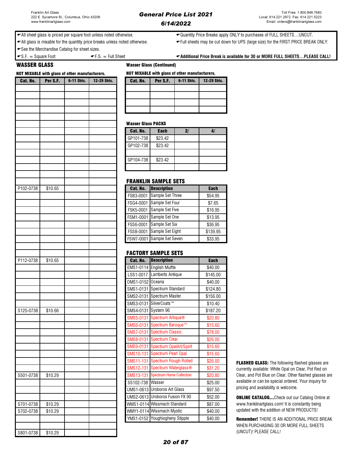All sheet glass is priced per square foot unless noted otherwise. Quantity Price Breaks apply ONLY to purchases of FULL SHEETS…UNCUT.

← All glass is mixable for the quantity price breaks unless noted otherwise. • • • Full sheets may be cut down for UPS (large size) for the FIRST PRICE BREAK ONLY.

**See the Merchandise Catalog for sheet sizes.** 

WASSER GLASS Wasser Glass (Continued)

| <b>NOT MIXABLE with glass of other manufacturers.</b> |          |            |             | <b>NOT MIXABLE with glass of other manufacturers.</b> |                                                             |            |                    |  |  |
|-------------------------------------------------------|----------|------------|-------------|-------------------------------------------------------|-------------------------------------------------------------|------------|--------------------|--|--|
| Cat. No.                                              | Per S.F. | 6-11 Shts. | 12-29 Shts. | Cat. No.                                              | Per S.F.                                                    | 6-11 Shts. | 12-29 Shts.        |  |  |
|                                                       |          |            |             |                                                       |                                                             |            |                    |  |  |
|                                                       |          |            |             |                                                       |                                                             |            |                    |  |  |
|                                                       |          |            |             |                                                       |                                                             |            |                    |  |  |
|                                                       |          |            |             |                                                       |                                                             |            |                    |  |  |
|                                                       |          |            |             |                                                       |                                                             |            |                    |  |  |
|                                                       |          |            |             | <b>Wasser Glass PACKS</b>                             |                                                             |            |                    |  |  |
|                                                       |          |            |             | Cat. No.                                              | <b>Each</b>                                                 | 2/         | 4/                 |  |  |
|                                                       |          |            |             | GP101-738                                             | \$23.42                                                     |            |                    |  |  |
|                                                       |          |            |             | GP102-738                                             | \$23.42                                                     |            |                    |  |  |
|                                                       |          |            |             |                                                       |                                                             |            |                    |  |  |
|                                                       |          |            |             | GP104-738                                             | \$23.42                                                     |            |                    |  |  |
|                                                       |          |            |             |                                                       |                                                             |            |                    |  |  |
|                                                       |          |            |             |                                                       |                                                             |            |                    |  |  |
|                                                       |          |            |             |                                                       | <b>FRANKLIN SAMPLE SETS</b>                                 |            |                    |  |  |
| P102-0738                                             | \$10.65  |            |             | Cat. No.                                              | <b>Description</b>                                          |            | <b>Each</b>        |  |  |
|                                                       |          |            |             |                                                       | FSB3-0001 Sample Set Three                                  |            | \$54.95            |  |  |
|                                                       |          |            |             |                                                       | FSG4-0001 Sample Set Four                                   |            | \$7.65             |  |  |
|                                                       |          |            |             |                                                       | FSK5-0001 Sample Set Five                                   |            | \$16.95            |  |  |
|                                                       |          |            |             |                                                       | FSM1-0001 Sample Set One                                    |            | \$13.95            |  |  |
|                                                       |          |            |             |                                                       | FSS6-0001 Sample Set Six                                    |            | \$36.95            |  |  |
|                                                       |          |            |             |                                                       | FSS8-0001 Sample Set Eight                                  |            | \$139.95           |  |  |
|                                                       |          |            |             |                                                       | FSW7-0001 Sample Set Seven                                  |            | \$33.95            |  |  |
|                                                       |          |            |             |                                                       |                                                             |            |                    |  |  |
|                                                       |          |            |             |                                                       | <b>FACTORY SAMPLE SETS</b>                                  |            |                    |  |  |
| P112-0738                                             | \$10.65  |            |             | Cat. No.                                              | <b>Description</b>                                          |            | <b>Each</b>        |  |  |
|                                                       |          |            |             |                                                       | EMS1-0114 English Muffle                                    |            | \$40.00            |  |  |
|                                                       |          |            |             |                                                       | LSS1-0017 Lamberts Antique                                  |            | \$145.00           |  |  |
|                                                       |          |            |             | OMS1-0152 Oceana                                      |                                                             |            | \$40.00            |  |  |
|                                                       |          |            |             |                                                       | SMS1-0131 Spectrum Standard                                 |            | \$124.80           |  |  |
|                                                       |          |            |             |                                                       | SMS2-0131 Spectrum Master                                   |            | \$156.00           |  |  |
|                                                       |          |            |             |                                                       | SMS3-0131 SilverCoats™                                      |            | \$10.40            |  |  |
| S125-0738                                             | \$10.66  |            |             | SMS4-0131 System 96                                   |                                                             |            | \$187.20           |  |  |
|                                                       |          |            |             |                                                       | SMS5-0131 Spectrum Artique®                                 |            | \$20.80            |  |  |
|                                                       |          |            |             |                                                       | SMS6-0131 Spectrum Baroque™                                 |            | \$15.60            |  |  |
|                                                       |          |            |             |                                                       | SMS7-0131 Spectrum Classic                                  |            | \$78.00            |  |  |
|                                                       |          |            |             |                                                       | SMS8-0131 Spectrum Clear                                    |            | \$26.00            |  |  |
|                                                       |          |            |             |                                                       | SMS9-0131 Spectrum OpalArt/Spirit                           |            | \$15.60            |  |  |
|                                                       |          |            |             |                                                       | SMS10-131 Spectrum Pearl Opal                               |            | \$15.60            |  |  |
|                                                       |          |            |             |                                                       |                                                             |            |                    |  |  |
|                                                       |          |            |             |                                                       | SMS11-131 Spectrum Rough Rolled                             |            | \$26.00            |  |  |
|                                                       |          |            |             |                                                       | SMS12-131 Spectrum Waterglass®                              |            | \$31.20            |  |  |
|                                                       | \$10.29  |            |             |                                                       | SMS13-131 Spectrum Home Collection                          |            | \$20.80            |  |  |
| S501-0738                                             |          |            |             | SS102-738 Wasser                                      |                                                             |            | \$25.00            |  |  |
|                                                       |          |            |             |                                                       | UMS1-0613 Uroboros Art Glass                                |            | \$97.50            |  |  |
|                                                       |          |            |             |                                                       | UMS2-0613 Uroboros Fusion FX 90                             |            | \$52.00            |  |  |
|                                                       | \$10.29  |            |             |                                                       | WMS1-0114 Wissmach Standard                                 |            | \$87.00            |  |  |
| S701-0738<br>S702-0738                                | \$10.29  |            |             |                                                       | WMY1-0114 Wissmach Mystic<br>YMS1-0152 Youghiogheny Stipple |            | \$40.00<br>\$40.00 |  |  |

S801-0738 \$10.29

| <b>NOT MIXABLE with glass of other manufacturers.</b> |          |            |             |  |  |  |
|-------------------------------------------------------|----------|------------|-------------|--|--|--|
| Cat. No.                                              | Per S.F. | 6-11 Shts. | 12-29 Shts. |  |  |  |
|                                                       |          |            |             |  |  |  |
|                                                       |          |            |             |  |  |  |
|                                                       |          |            |             |  |  |  |
|                                                       |          |            |             |  |  |  |
|                                                       |          |            |             |  |  |  |

### Wasser Glass PACKS

| Cat. No.  | <b>Each</b> | $\mathbf{2}$ |  |
|-----------|-------------|--------------|--|
| GP101-738 | \$23.42     |              |  |
| GP102-738 | \$23.42     |              |  |
|           |             |              |  |
| GP104-738 | \$23.42     |              |  |
|           |             |              |  |

### FRANKLIN SAMPLE SETS

| Cat. No.  | <b>Description</b>         | <b>Each</b> |
|-----------|----------------------------|-------------|
| FSB3-0001 | Sample Set Three           | \$54.95     |
| FSG4-0001 | Sample Set Four            | \$7.65      |
|           | FSK5-0001 Sample Set Five  | \$16.95     |
|           | FSM1-0001 Sample Set One   | \$13.95     |
|           | FSS6-0001 Sample Set Six   | \$36.95     |
|           | FSS8-0001 Sample Set Eight | \$139.95    |
|           | FSW7-0001 Sample Set Seven | \$33.95     |

### FACTORY SAMPLE SETS

| Cat. No.  | <b>Description</b>              | <b>Each</b> |
|-----------|---------------------------------|-------------|
| EMS1-0114 | <b>English Muffle</b>           | \$40.00     |
| LSS1-0017 | Lamberts Antique                | \$145.00    |
| OMS1-0152 | Oceana                          | \$40.00     |
| SMS1-0131 | Spectrum Standard               | \$124.80    |
| SMS2-0131 | Spectrum Master                 | \$156.00    |
| SMS3-0131 | SilverCoats™                    | \$10.40     |
| SMS4-0131 | System 96                       | \$187.20    |
| SMS5-0131 | Spectrum Artique®               | \$20.80     |
| SMS6-0131 | Spectrum Baroque™               | \$15.60     |
| SMS7-0131 | <b>Spectrum Classic</b>         | \$78.00     |
| SMS8-0131 | <b>Spectrum Clear</b>           | \$26.00     |
| SMS9-0131 | Spectrum OpalArt/Spirit         | \$15.60     |
| SMS10-131 | <b>Spectrum Pearl Opal</b>      | \$15.60     |
| SMS11-131 | <b>Spectrum Rough Rolled</b>    | \$26.00     |
| SMS12-131 | Spectrum Waterglass®            | \$31.20     |
| SMS13-131 | <b>Spectrum Home Collection</b> | \$20.80     |
| SS102-738 | Wasser                          | \$25.00     |
|           | UMS1-0613 Uroboros Art Glass    | \$97.50     |
|           | UMS2-0613 Uroboros Fusion FX 90 | \$52.00     |
|           | WMS1-0114 Wissmach Standard     | \$87.00     |
|           | WMY1-0114 Wissmach Mystic       | \$40.00     |
| YMS1-0152 | Youghiogheny Stipple            | \$40.00     |

FLASHED GLASS: The following flashed glasses are currently available: White Opal on Clear, Pot Red on Clear, and Pot Blue on Clear. Other flashed glasses are available or can be special ordered. Your inquiry for pricing and availability is welcome.

ONLINE CATALOG…Check out our Catalog Online at www.franklinartglass.com! It is constantly being updated with the addition of NEW PRODUCTS!

Remember! THERE IS AN ADDITIONAL PRICE BREAK WHEN PURCHASING 30 OR MORE FULL SHEETS (UNCUT)! PLEASE CALL!

 $\bullet$  S.F.  $=$  Square Foot  $\bullet$  F.S.  $=$  Full Sheet  $\bullet$  Additional Price Break is available for 30 or MORE FULL SHEETS...PLEASE CALL!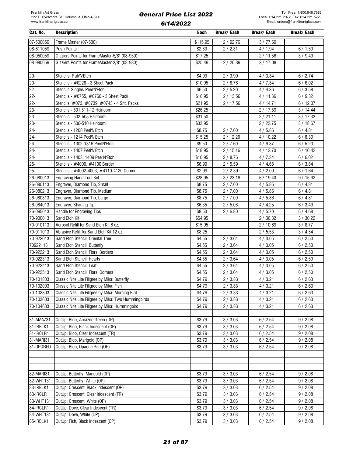| Cat. No.                 | <b>Description</b>                                   | Each     | <b>Break/ Each</b> | Break/ Each | Break/ Each |
|--------------------------|------------------------------------------------------|----------|--------------------|-------------|-------------|
| $\overline{07} - 500059$ | Frame Master (07-500)                                | \$115.95 | 2/92.76            | 3/77.69     |             |
| 08-611059                | <b>Push Points</b>                                   | \$2.89   | 2/2.31             | 4/1.94      | 6/1.59      |
| 08-950059                | Glaziers Points for FrameMaster-5/8" (08-950)        | \$17.25  |                    | 2/11.56     | 3/9.49      |
| 08-980059                | Glaziers Points for FrameMaster-3/8" (08-980)        | \$25.49  | 2/20.39            | 3/17.08     |             |
|                          |                                                      |          |                    |             |             |
| $20 -$                   | Stencils, Rub'N'Etch                                 | \$4.99   | 2/3.99             | 4/3.34      | 6/2.74      |
| $20 -$                   | Stencils - #0228 - 3 Sheet Pack                      | \$10.95  | 2/8.76             | 4/7.34      | 6/6.02      |
| $22 -$                   | Stencils-Singles-Peel'N'Etch                         | \$6.50   | 2/5.20             | 4/4.36      | 6/3.58      |
| $22 -$                   | Stencils - #0755, #0760 - 3 Sheet Pack               | \$16.95  | 2/13.56            | 4/11.36     | 6/9.32      |
| $22 -$                   | Stencils: #073, #0739, #0743 - 4 Sht. Packs          | \$21.95  | 2/17.56            | 4/14.71     | 6/12.07     |
| $23 -$                   | Stencils - 501,511-12 Heirloom                       | \$26.25  |                    | 2/17.59     | 3/14.44     |
| $23 -$                   | Stencils - 502-505 Heirloom                          | \$31.50  |                    | 2/21.11     | 3/17.33     |
| $23 -$                   | Stencils - 506-510 Heirloom                          | \$33.95  |                    | 2/22.75     | 3/18.67     |
| $24 -$                   | Stencils - 1208 Peel'N'Etch                          | \$8.75   | 2/7.00             | 4/5.86      | 6/4.81      |
| $24 -$                   | Stencils - 1214 Peel'N'Etch                          | \$15.25  | 2/12.20            | 4/10.22     | 6/8.39      |
| $24 -$                   | Stencils - 1302-1316 Peel'N'Etch                     | \$9.50   | 2/7.60             | 4/6.37      | 6/5.23      |
| $24 -$                   | Stencils - 1407 Peel'N'Etch                          | \$18.95  | 2/15.16            | 4/12.70     | 6/10.42     |
| $24 -$                   | Stencils - 1403, 1409 Peel'N'Etch                    | \$10.95  | 2/8.76             | 4/7.34      | 6/6.02      |
| $25 -$                   | Stencils - #4000. #4100 Border                       | \$6.99   | 2/5.59             | 4/4.68      | 6/3.84      |
| $25 -$                   | Stencils - #4002-4003, #4110-4120 Corner             | \$2.99   | 2/2.39             | 4/2.00      | 6/1.64      |
| 26-080013                | Engraving Hand Tool Set                              | \$28.95  | 3 / 23.16          | 6/19.40     | 9/15.92     |
| 26-080113                | Engraver, Diamond Tip, Small                         | \$8.75   | 2/7.00             | 4/5.86      | 6/4.81      |
| 26-080213                | Engraver, Diamond Tip, Medium                        | \$8.75   | 2/7.00             | 4/5.86      | 6/4.81      |
| 26-080313                | Engraver, Diamond Tip, Large                         | \$8.75   | 2/7.00             | 4/5.86      | 6/4.81      |
| 26-084013                | Engraver, Shading Tip                                | \$6.35   | 2/5.08             | 4/4.25      | 6/3.49      |
| 26-095013                | Handle for Engraving Tips                            | \$8.50   | 2/6.80             | 4/5.70      | 6/4.68      |
| 70-900013                | Sand Etch Kit                                        | \$54.95  |                    | 2/36.82     | 3/30.22     |
| 70-910113                | Aerosol Refill for Sand Etch Kit 6 oz.               | \$15.95  |                    | 2/10.69     | 3/8.77      |
| 70-911013                | Abrasive Refill for Sand Etch Kit 12 oz.             | \$8.25   |                    | 2/5.53      | 3/4.54      |
| 70-922013                | Sand Etch Stencil: Oriental Tree                     | \$4.55   | 2/3.64             | 4/3.05      | 6/2.50      |
| 70922113                 | Sand Etch Stencil: Butterfly                         | \$4.55   | 2/3.64             | 4/3.05      | 6/2.50      |
| 70-922213                | Sand Etch Stencil: Floral Borders                    | \$4.55   | 2/3.64             | 4/3.05      | 6/2.50      |
| 70-922313                | Sand Etch Stencil: Hearts                            | \$4.55   | 2/3.64             | 4/3.05      | 6/2.50      |
| 70-922413                | Sand Etch Stencil: Leaf                              | \$4.55   | 2/3.64             | 4/3.05      | 6/2.50      |
| 70-922513                | Sand Etch Stencil: Floral Corners                    | \$4.55   | 2/3.64             | 4/3.05      | 6/2.50      |
| 70-101803                | Classic Nite Lite Filigree by Mika: Butterfly        | \$4.79   | 2/3.83             | 4/3.21      | 6/2.63      |
| 70-102003                | Classic Nite Lite Filigree by Mika: Fish             | \$4.79   | 2/3.83             | 4/3.21      | 6/2.63      |
| 70-102303                | Classic Nite Lite Filigree by Mika: Morning Bird     | \$4.79   | 2 / 3.83           | 4/3.21      | 6/2.63      |
| 70-103603                | Classic Nite Lite Filigree by Mika: Two Hummingbirds | \$4.79   | 2/3.83             | 4/3.21      | 6/2.63      |
| 70-104603                | Classic Nite Lite Filigree by Mika: Hummingbird      | \$4.79   | 2/3.83             | 4/3.21      | 6/2.63      |
|                          |                                                      |          |                    |             |             |
| 81-AMAZ31                | CutUp: Blob, Amazon Green (OP)                       | \$3.79   | 3 / 3.03           | 6/2.54      | 9/2.08      |
| 81-IRBLK1                | CutUp: Blob, Black Iridescent (OP)                   | \$3.79   | 3 / 3.03           | 6/2.54      | 9/2.08      |
| 81-IRCLR1                | CutUp: Blob, Clear Iridescent (TR)                   | \$3.79   | 3 / 3.03           | 6/2.54      | 9/2.08      |
| 81-MARI31                | CutUp: Blob, Marigold (OP)                           | \$3.79   | 3 / 3.03           | 6/2.54      | 9/2.08      |
| 81-OPQRED                | CutUp: Blob, Opaque Red (OP)                         | \$3.79   | 3 / 3.03           | 6/2.54      | 9/2.08      |
|                          |                                                      |          |                    |             |             |
|                          |                                                      |          |                    |             |             |
|                          |                                                      |          |                    |             |             |
| 82-MARI31                | CutUp: Butterfly, Marigold (OP)                      | \$3.79   | 3 / 3.03           | 6/2.54      | 9/2.08      |
| 82-WHT131                | CutUp: Butterfly, White (OP)                         | \$3.79   | 3 / 3.03           | 6/2.54      | 9/2.08      |
| 83-IRBLK1                | CutUp: Crescent, Black Iridescent (OP)               | \$3.79   | 3 / 3.03           | 6/2.54      | 9/2.08      |
| 83-IRCLR1                | CutUp: Crescent, Clear Iridescent (TR)               | \$3.79   | 3 / 3.03           | 6/2.54      | 9/2.08      |
| 83-WHT131                | CutUp: Crescent, White (OP)                          | \$3.79   | 3 / 3.03           | 6/2.54      | 9/2.08      |
| 84-IRCLR1                | CutUp: Dove, Clear Iridescent (TR)                   | \$3.79   | 3 / 3.03           | 6/2.54      | 9/2.08      |
| 84-WHT131                | CutUp: Dove, White (OP)                              | \$3.79   | 3 / 3.03           | 6/2.54      | 9/2.08      |
| 85-IRBLK1                | CutUp: Fish, Black Iridescent (OP)                   | \$3.79   | 3 / 3.03           | 6/2.54      | 9/2.08      |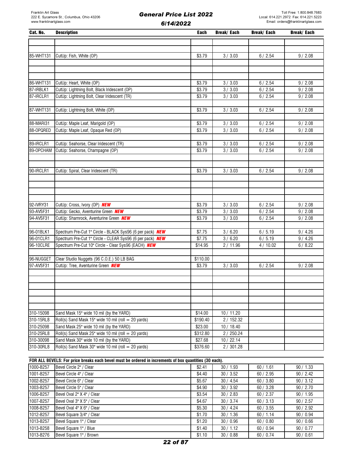| Cat. No.               | <b>Description</b>                                                                                                | Each                | <b>Break/Each</b>        | <b>Break/Each</b> | <b>Break/Each</b> |
|------------------------|-------------------------------------------------------------------------------------------------------------------|---------------------|--------------------------|-------------------|-------------------|
|                        |                                                                                                                   |                     |                          |                   |                   |
|                        |                                                                                                                   |                     |                          |                   |                   |
| 85-WHT131              | CutUp: Fish, White (OP)                                                                                           | \$3.79              | 3 / 3.03                 | 6/2.54            | 9/2.08            |
|                        |                                                                                                                   |                     |                          |                   |                   |
|                        |                                                                                                                   |                     |                          |                   |                   |
|                        |                                                                                                                   | \$3.79              |                          | 6/2.54            | 9/2.08            |
| 86-WHT131<br>87-IRBLK1 | CutUp: Heart, White (OP)<br>CutUp: Lightning Bolt, Black Iridescent (OP)                                          | \$3.79              | 3 / 3.03<br>3 / 3.03     | 6/2.54            | 9/2.08            |
| 87-IRCLR1              | CutUp: Lightning Bolt, Clear Iridescent (TR)                                                                      | \$3.79              | 3 / 3.03                 | 6/2.54            | 9/2.08            |
|                        |                                                                                                                   |                     |                          |                   |                   |
| 87-WHT131              | CutUp: Lightning Bolt, White (OP)                                                                                 | \$3.79              | 3 / 3.03                 | 6/2.54            | 9/2.08            |
|                        |                                                                                                                   |                     |                          |                   |                   |
| 88-MARI31              | CutUp: Maple Leaf, Marigold (OP)                                                                                  | \$3.79              | 3 / 3.03                 | 6/2.54            | 9/2.08            |
| 88-OPQRED              | CutUp: Maple Leaf, Opaque Red (OP)                                                                                | \$3.79              | 3/3.03                   | 6/2.54            | 9/2.08            |
|                        |                                                                                                                   |                     |                          |                   |                   |
| 89-IRCLR1              | CutUp: Seahorse, Clear Iridescent (TR)                                                                            | \$3.79              | 3 / 3.03                 | 6/2.54            | 9/2.08            |
| 89-OPCHAM              | CutUp: Seahorse, Champagne (OP)                                                                                   | \$3.79              | 3 / 3.03                 | 6/2.54            | 9/2.08            |
|                        |                                                                                                                   |                     |                          |                   |                   |
| 90-IRCLR1              | CutUp: Spiral, Clear Iridescent (TR)                                                                              | \$3.79              | 3 / 3.03                 | 6/2.54            | 9/2.08            |
|                        |                                                                                                                   |                     |                          |                   |                   |
|                        |                                                                                                                   |                     |                          |                   |                   |
|                        |                                                                                                                   |                     |                          |                   |                   |
|                        |                                                                                                                   |                     |                          |                   |                   |
| 92-IVRY31              | CutUp: Cross, Ivory (OP) NEW                                                                                      | \$3.79              | 3 / 3.03                 | 6/2.54            | 9/2.08            |
| 93-AVSF31              | CutUp: Gecko, Aventurine Green NEW                                                                                | \$3.79              | 3 / 3.03                 | 6/2.54            | 9/2.08            |
| 94-AVSF31              | CutUp: Shamrock, Aventurine Green NEW                                                                             | \$3.79              | 3 / 3.03                 | 6/2.54            | 9/2.08            |
|                        |                                                                                                                   |                     |                          |                   |                   |
| 96-01BLK1<br>96-01CLR1 | Spectrum Pre-Cut 1" Circle - BLACK Sys96 (6 per pack) NEW                                                         | \$7.75              | 3/6.20                   | 6/5.19            | 9/4.26            |
| 96-10CLRE              | Spectrum Pre-Cut 1" Circle - CLEAR Sys96 (6 per pack) NEW<br>Spectrum Pre-Cut 10" Circle - Clear Sys96 (EACH) NEW | \$7.75<br>\$14.95   | 3/6.20<br>2/11.96        | 6/5.19<br>4/10.02 | 9/4.26<br>6/8.22  |
|                        |                                                                                                                   |                     |                          |                   |                   |
| 96-NUGGET              | Clear Studio Nuggets (96 C.O.E.) 50 LB BAG                                                                        | \$110.00            |                          |                   |                   |
| 97-AVSF31              | CutUp: Tree, Aventurine Green NEW                                                                                 | \$3.79              | 3 / 3.03                 | 6/2.54            | 9/2.08            |
|                        |                                                                                                                   |                     |                          |                   |                   |
|                        |                                                                                                                   |                     |                          |                   |                   |
|                        |                                                                                                                   |                     |                          |                   |                   |
|                        |                                                                                                                   |                     |                          |                   |                   |
|                        |                                                                                                                   |                     |                          |                   |                   |
|                        |                                                                                                                   |                     |                          |                   |                   |
| 310-15098              | Sand Mask 15" wide 10 mil (by the YARD)                                                                           | \$14.00             | 10 / 11.20               |                   |                   |
| 310-15RL8<br>310-25098 | Roll(s) Sand Mask 15" wide 10 mil (roll = 20 yards)<br>Sand Mask 25" wide 10 mil (by the YARD)                    | \$190.40<br>\$23.00 | 2 / 152.32<br>10 / 18.40 |                   |                   |
| 310-25RL8              | Roll(s) Sand Mask $25$ " wide 10 mil (roll = 20 yards)                                                            | \$312.80            | 2/250.24                 |                   |                   |
| 310-30098              | Sand Mask 30" wide 10 mil (by the YARD)                                                                           | \$27.68             | 10/22.14                 |                   |                   |
| 310-30RL8              | Roll(s) Sand Mask 30" wide 10 mil (roll = 20 yards)                                                               | \$376.60            | 2 / 301.28               |                   |                   |

FOR ALL BEVELS: For price breaks each bevel must be ordered in increments of box quantities (30 each).

| 1000-B257 | Bevel Circle 2" / Clear    | \$2.41 | 30/1.93   | 60/1.61 | 90/1.33   |
|-----------|----------------------------|--------|-----------|---------|-----------|
| 1001-B257 | Bevel Circle 4" / Clear    | \$4.40 | 30 / 3.52 | 60/2.95 | 90 / 2.42 |
| 1002-B257 | Bevel Circle 6" / Clear    | \$5.67 | 30/4.54   | 60/3.80 | 90/3.12   |
| 1003-B257 | Bevel Circle 5" / Clear    | \$4.90 | 30 / 3.92 | 60/3.28 | 90 / 2.70 |
| 1006-B257 | Bevel Oval 2" X 4" / Clear | \$3.54 | 30/2.83   | 60/2.37 | 90/1.95   |
| 1007-B257 | Bevel Oval 3" X 5" / Clear | \$4.67 | 30 / 3.74 | 60/3.13 | 90/2.57   |
| 1008-B257 | Bevel Oval 4" X 6" / Clear | \$5.30 | 30/4.24   | 60/3.55 | 90 / 2.92 |
| 1012-B257 | Bevel Square 3/4" / Clear  | \$1.70 | 30/1.36   | 60/1.14 | 90/0.94   |
| 1013-B257 | Bevel Square 1" / Clear    | \$1.20 | 30/0.96   | 60/0.80 | 90/0.66   |
| 1013-B258 | Bevel Square 1" / Blue     | \$1.40 | 30/1.12   | 60/0.94 | 90/0.77   |
| 1013-B276 | Bevel Square 1" / Brown    | \$1.10 | 30/0.88   | 60/0.74 | 90/0.61   |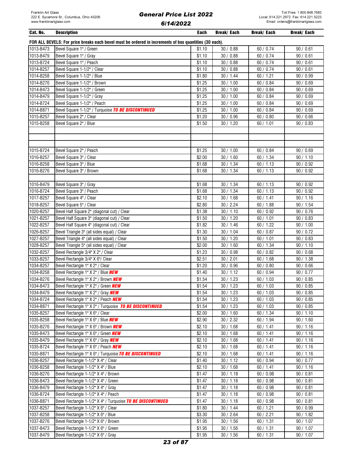| Cat. No.  | <b>Description</b>                                                                                     | Each               | Break/ Each | Break/ Each | Break/ Each |
|-----------|--------------------------------------------------------------------------------------------------------|--------------------|-------------|-------------|-------------|
|           | FOR ALL BEVELS: For price breaks each bevel must be ordered in increments of box quantities (30 each). |                    |             |             |             |
| 1013-B473 | Bevel Square 1" / Green                                                                                | \$1.10             | 30/0.88     | 60 / 0.74   | 90/0.61     |
| 1013-B479 | Bevel Square 1" / Gray                                                                                 | \$1.10             | 30/0.88     | 60/0.74     | 90/0.61     |
| 1013-B724 | Bevel Square 1" / Peach                                                                                | \$1.10             | 30/0.88     | 60 / 0.74   | 90/0.61     |
| 1014-B257 | Bevel Square 1-1/2" / Clear                                                                            | \$1.10             | 30/0.88     | 60 / 0.74   | 90/0.61     |
| 1014-B258 | Bevel Square 1-1/2" / Blue                                                                             | \$1.80             | 30/1.44     | 60 / 1.21   | 90/0.99     |
| 1014-B276 | Bevel Square 1-1/2" / Brown                                                                            | \$1.25             | 30 / 1.00   | 60 / 0.84   | 90/0.69     |
| 1014-B473 | Bevel Square 1-1/2" / Green                                                                            | \$1.25             | 30 / 1.00   | 60 / 0.84   | 90/0.69     |
| 1014-B479 | Bevel Square 1-1/2" / Gray                                                                             | \$1.25             | 30 / 1.00   | 60 / 0.84   | 90/0.69     |
| 1014-B724 | Bevel Square 1-1/2" / Peach                                                                            | \$1.25             | 30 / 1.00   | 60/0.84     | 90/0.69     |
| 1014-B871 | Bevel Square 1-1/2" / Turquoise TO BE DISCONTINUED                                                     | \$1.25             | 30 / 1.00   | 60 / 0.84   | 90/0.69     |
| 1015-B257 | Bevel Square 2" / Clear                                                                                | \$1.20             | 30 / 0.96   | 60/0.80     | 90/0.66     |
| 1015-B258 | Bevel Square 2" / Blue                                                                                 | \$1.50             | 30 / 1.20   | 60 / 1.01   | 90/0.83     |
|           |                                                                                                        |                    |             |             |             |
|           |                                                                                                        |                    |             |             |             |
|           |                                                                                                        |                    |             |             |             |
| 1015-B724 | Bevel Square 2" / Peach                                                                                | \$1.25             | 30 / 1.00   | 60/0.84     | 90/0.69     |
| 1016-B257 | Bevel Square 3" / Clear                                                                                | \$2.00             | 30/1.60     | 60 / 1.34   | 90 / 1.10   |
| 1016-B258 | Bevel Square 3" / Blue                                                                                 | \$1.68             | 30/1.34     | 60 / 1.13   | 90 / 0.92   |
| 1016-B276 | Bevel Square 3" / Brown                                                                                | \$1.68             | 30 / 1.34   | 60 / 1.13   | 90 / 0.92   |
|           |                                                                                                        |                    |             |             |             |
| 1016-B479 | Bevel Square 3" / Gray                                                                                 | \$1.68             | 30 / 1.34   | 60/1.13     | 90 / 0.92   |
| 1016-B724 | Bevel Square 3" / Peach                                                                                | \$1.68             | 30 / 1.34   | 60/1.13     | 90/0.92     |
| 1017-B257 | Bevel Square 4" / Clear                                                                                | \$2.10             | 30/1.68     | 60 / 1.41   | 90 / 1.16   |
| 1018-B257 | Bevel Square 5" / Clear                                                                                | \$2.80             | 30 / 2.24   | 60/1.88     | 90 / 1.54   |
| 1020-B257 | Bevel Half Square 2" (diagonal cut) / Clear                                                            | \$1.38             | 30/1.10     | 60 / 0.92   | 90/0.76     |
| 1021-B257 | Bevel Half Square 3" (diagonal cut) / Clear                                                            | \$1.50             | 30/1.20     | 60 / 1.01   | 90/0.83     |
| 1022-B257 | Bevel Half Square 4" (diagonal cut) / Clear                                                            | \$1.82             | 30/1.46     | 60 / 1.22   | 90 / 1.00   |
| 1026-B257 | Bevel Triangle 3" (all sides equal) / Clear                                                            | \$1.30             | 30/1.04     | 60 / 0.87   | 90/0.72     |
| 1027-B257 | Bevel Triangle 4" (all sides equal) / Clear                                                            | \$1.50             | 30/1.20     | 60 / 1.01   | 90/0.83     |
| 1028-B257 | Bevel Triangle 5" (all sides equal) / Clear                                                            | \$2.00             | 30/1.60     | 60 / 1.34   | 90 / 1.10   |
| 1032-B257 | Bevel Rectangle 3/4" X 2" / Clear                                                                      | \$1.23             | 30/0.98     | 60/0.82     | 90/0.68     |
| 1033-B257 | Bevel Rectangle 3/4" X 6"/ Clear                                                                       | \$2.51             | 30 / 2.01   | 60/1.68     | 90 / 1.38   |
| 1034-B257 | Bevel Rectangle 1" X 2" / Clear                                                                        | $\overline{$}1.20$ | 30 / 0.96   | 60/0.80     | 90/0.66     |
| 1034-B258 | Bevel Rectangle 1" X 2" / Blue <b>NEW</b>                                                              | \$1.40             | 30 / 1.12   | 60 / 0.94   | 90/0.77     |
| 1034-B276 | Bevel Rectangle 1" X 2" / Brown <b>NEW</b>                                                             | \$1.54             | 30/1.23     | 60/1.03     | 90/0.85     |
| 1034-B473 | Bevel Rectangle 1" X 2" / Green <b>NEW</b>                                                             | \$1.54             | 30 / 1.23   | 60 / 1.03   | 90/0.85     |
| 1034-B479 | Bevel Rectangle 1" X 2" / Gray NEW                                                                     | \$1.54             | 30/1.23     | 60/1.03     | 90/0.85     |
| 1034-B724 | Bevel Rectangle 1" X 2" / Peach <b>NEW</b>                                                             | \$1.54             | 30/1.23     | 60/1.03     | 90/0.85     |
| 1034-B871 | Bevel Rectangle 1" X 2" / Turquoise TO BE DISCONTINUED                                                 | \$1.54             | 30/1.23     | 60/1.03     | 90/0.85     |
| 1035-B257 | Bevel Rectangle 1" X 6" / Clear                                                                        | \$2.00             | 30/1.60     | 60/1.34     | 90 / 1.10   |
| 1035-B258 | Bevel Rectangle 1" X 6" / Blue <b>NEW</b>                                                              | \$2.90             | 30 / 2.32   | 60 / 1.94   | 90 / 1.60   |
| 1035-B276 | Bevel Rectangle 1" X 6" / Brown NEW                                                                    | \$2.10             | 30/1.68     | 60 / 1.41   | 90/1.16     |
| 1035-B473 | Bevel Rectangle 1" X 6" / Green NEW                                                                    | \$2.10             | 30/1.68     | 60/1.41     | 90/1.16     |
| 1035-B479 | Bevel Rectangle 1" X 6" / Gray NEW                                                                     | \$2.10             | 30/1.68     | 60 / 1.41   | 90 / 1.16   |
| 1035-B724 | Bevel Rectangle 1" X 6" / Peach NEW                                                                    | \$2.10             | 30/1.68     | 60 / 1.41   | 90 / 1.16   |
| 1035-B871 | Bevel Rectangle 1" X 6" / Turquoise TO BE DISCONTINUED                                                 | \$2.10             | 30/1.68     | 60 / 1.41   | 90/1.16     |
| 1036-B257 | Bevel Rectangle 1-1/2" X 4" / Clear                                                                    | \$1.40             | 30/1.12     | 60/0.94     | 90/0.77     |
| 1036-B258 | Bevel Rectangle 1-1/2" X 4" / Blue                                                                     | \$2.10             | 30/1.68     | 60/1.41     | 90/1.16     |
| 1036-B276 | Bevel Rectangle 1-1/2" X 4" / Brown                                                                    | \$1.47             | 30/1.18     | 60 / 0.98   | 90/0.81     |
| 1036-B473 | Bevel Rectangle 1-1/2" X 4" / Green                                                                    | \$1.47             | 30/1.18     | 60/0.98     | 90/0.81     |
| 1036-B479 | Bevel Rectangle 1-1/2" X 4" / Gray                                                                     | \$1.47             | 30/1.18     | 60 / 0.98   | 90/0.81     |
| 1036-B724 | Bevel Rectangle 1-1/2" X 4" / Peach                                                                    | \$1.47             | 30/1.18     | 60 / 0.98   | 90/0.81     |
| 1036-B871 | Bevel Rectangle 1-1/2" X 4" / Turquoise TO BE DISCONTINUED                                             | \$1.47             | 30/1.18     | 60 / 0.98   | 90/0.81     |
| 1037-B257 | Bevel Rectangle 1-1/2" X 6" / Clear                                                                    | \$1.80             | 30 / 1.44   | 60 / 1.21   | 90 / 0.99   |
| 1037-B258 | Bevel Rectangle 1-1/2" X 6" / Blue                                                                     | \$3.30             | 30 / 2.64   | 60 / 2.21   | 90 / 1.82   |
| 1037-B276 | Bevel Rectangle 1-1/2" X 6" / Brown                                                                    | \$1.95             | 30/1.56     | 60 / 1.31   | 90 / 1.07   |
| 1037-B473 | Bevel Rectangle 1-1/2" X 6" / Green                                                                    | \$1.95             | 30/1.56     | 60/1.31     | 90 / 1.07   |
| 1037-B479 | Bevel Rectangle 1-1/2" X 6" / Gray                                                                     | \$1.95             | 30 / 1.56   | 60 / 1.31   | 90 / 1.07   |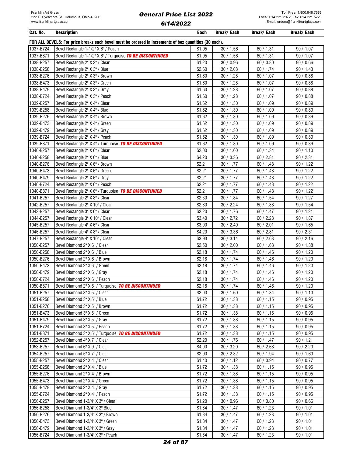| Cat. No.               | <b>Description</b>                                                                                     | Each             | Break/ Each            | Break/ Each            | <b>Break/Each</b>    |
|------------------------|--------------------------------------------------------------------------------------------------------|------------------|------------------------|------------------------|----------------------|
|                        | FOR ALL BEVELS: For price breaks each bevel must be ordered in increments of box quantities (30 each). |                  |                        |                        |                      |
| 1037-B724              | Bevel Rectangle 1-1/2" X 6" / Peach                                                                    | \$1.95           | 30 / 1.56              | 60 / 1.31              | 90 / 1.07            |
| 1037-B871              | Bevel Rectangle 1-1/2" X 6" / Turquoise TO BE DISCONTINUED                                             | \$1.95           | 30/1.56                | 60 / 1.31              | 90 / 1.07            |
| 1038-B257              | Bevel Rectangle 2" X 3" / Clear                                                                        | \$1.20           | 30 / 0.96              | 60/0.80                | 90/0.66              |
| 1038-B258              | Bevel Rectangle 2" X 3" / Blue                                                                         | \$2.60           | 30 / 2.08              | 60/1.74                | 90 / 1.43            |
| 1038-B276              | Bevel Rectangle 2" X 3" / Brown                                                                        | \$1.60           | 30/1.28                | 60 / 1.07              | 90/0.88              |
| 1038-B473              | Bevel Rectangle 2" X 3" / Green                                                                        | \$1.60           | 30/1.28                | 60/1.07                | 90/0.88              |
| 1038-B479              | Bevel Rectangle 2" X 3" / Gray                                                                         | \$1.60           | 30/1.28                | 60 / 1.07              | 90/0.88              |
| 1038-B724              | Bevel Rectangle 2" X 3" / Peach                                                                        | \$1.60           | 30/1.28                | 60 / 1.07              | 90/0.88              |
| 1039-B257              | Bevel Rectangle 2" X 4" / Clear                                                                        | \$1.62           | 30 / 1.30              | 60/1.09                | 90/0.89              |
| 1039-B258              | Bevel Rectangle 2" X 4" / Blue                                                                         | \$1.62           | 30/1.30                | 60/1.09                | 90/0.89              |
| 1039-B276              | Bevel Rectangle 2" X 4" / Brown                                                                        | \$1.62           | 30 / 1.30              | 60 / 1.09              | 90/0.89              |
| 1039-B473              | Bevel Rectangle 2" X 4" / Green                                                                        | \$1.62           | 30/1.30                | 60 / 1.09              | 90/0.89              |
| 1039-B479              | Bevel Rectangle 2" X 4" / Gray                                                                         | \$1.62           | 30 / 1.30              | 60 / 1.09              | 90 / 0.89            |
| 1039-B724              | Bevel Rectangle 2" X 4" / Peach                                                                        | \$1.62           | 30 / 1.30              | 60 / 1.09              | 90 / 0.89            |
| 1039-B871              | Bevel Rectangle 2" X 4" / Turquoise TO BE DISCONTINUED                                                 | \$1.62           | 30 / 1.30              | 60 / 1.09              | 90/0.89              |
| 1040-B257              | Bevel Rectangle 2" X 6" / Clear                                                                        | \$2.00           | 30/1.60                | 60 / 1.34              | 90 / 1.10            |
| 1040-B258              | Bevel Rectangle 2" X 6" / Blue                                                                         | \$4.20           | 30 / 3.36              | 60 / 2.81              | 90 / 2.31            |
| 1040-B276              | Bevel Rectangle 2" X 6" / Brown                                                                        | \$2.21           | 30/1.77                | 60 / 1.48              | 90/1.22              |
| 1040-B473              | Bevel Rectangle 2" X 6" / Green                                                                        | \$2.21           | 30/1.77                | 60 / 1.48              | 90 / 1.22            |
| 1040-B479              | Bevel Rectangle 2" X 6" / Gray                                                                         | \$2.21           | 30/1.77                | 60 / 1.48              | 90/1.22              |
| 1040-B724              | Bevel Rectangle 2" X 6" / Peach                                                                        | \$2.21           | 30/1.77                | 60/1.48                | 90/1.22              |
| 1040-B871              | Bevel Rectangle 2" X 6" / Turquoise TO BE DISCONTINUED                                                 | \$2.21           | 30/1.77                | 60/1.48                | 90/1.22              |
| 1041-B257              | Bevel Rectangle 2" X 8" / Clear                                                                        | \$2.30           | 30 / 1.84              | 60/1.54                | 90 / 1.27            |
| 1042-B257              | Bevel Rectangle 2" X 10" / Clear                                                                       | \$2.80           | 30 / 2.24              | 60/1.88                | 90/1.54              |
| 1043-B257              | Bevel Rectangle 3" X 6" / Clear                                                                        | \$2.20           | 30/1.76                | 60/1.47                | 90/1.21              |
| 1044-B257<br>1045-B257 | Bevel Rectangle 3" X 10" / Clear                                                                       | \$3.40           | 30 / 2.72              | 60 / 2.28              | 90 / 1.87            |
| 1046-B257              | Bevel Rectangle 4" X 6" / Clear<br>Bevel Rectangle 4" X 8" / Clear                                     | \$3.00<br>\$4.20 | 30 / 2.40<br>30 / 3.36 | 60 / 2.01<br>60 / 2.81 | 90/1.65<br>90 / 2.31 |
| 1047-B257              | Bevel Rectangle 4" X 10" / Clear                                                                       | \$3.93           | 30 / 3.14              | 60 / 2.63              | 90 / 2.16            |
| 1050-B257              | Bevel Diamond 2" X 6" / Clear                                                                          | \$2.50           | 30 / 2.00              | 60/1.68                | 90 / 1.38            |
| 1050-B258              | Bevel Diamond 2" X 6" / Blue                                                                           | \$2.18           | 30/1.74                | 60/1.46                | 90/1.20              |
| 1050-B276              | Bevel Diamond 2" X 6" / Brown                                                                          | \$2.18           | 30/1.74                | 60/1.46                | 90/1.20              |
| 1050-B473              | Bevel Diamond 2" X 6" / Green                                                                          | \$2.18           | 30/1.74                | 60/1.46                | 90 / 1.20            |
| 1050-B479              | Bevel Diamond 2" X 6" / Gray                                                                           | \$2.18           | 30/1.74                | 60/1.46                | 90 / 1.20            |
| 1050-B724              | Bevel Diamond 2" X 6" / Peach                                                                          | \$2.18           | 30/1.74                | 60/1.46                | 90/1.20              |
| 1050-B871              | Bevel Diamond 2" X 6" / Turquoise TO BE DISCONTINUED                                                   | \$2.18           | 30/1.74                | 60 / 1.46              | 90/1.20              |
| 1051-B257              | Bevel Diamond 3" X 5" / Clear                                                                          | \$2.00           | 30/1.60                | 60/1.34                | 90/1.10              |
| 1051-B258              | Bevel Diamond 3" X 5" / Blue                                                                           | \$1.72           | 30 / 1.38              | 60/1.15                | 90/0.95              |
| 1051-B276              | Bevel Diamond 3" X 5" / Brown                                                                          | \$1.72           | 30 / 1.38              | 60/1.15                | 90 / 0.95            |
| 1051-B473              | Bevel Diamond 3" X 5" / Green                                                                          | \$1.72           | 30/1.38                | 60 / 1.15              | 90 / 0.95            |
| 1051-B479              | Bevel Diamond 3" X 5" / Gray                                                                           | \$1.72           | 30 / 1.38              | 60 / 1.15              | 90 / 0.95            |
| 1051-B724              | Bevel Diamond 3" X 5" / Peach                                                                          | \$1.72           | 30 / 1.38              | 60 / 1.15              | 90/0.95              |
| 1051-B871              | Bevel Diamond 3" X 5" / Turquoise TO BE DISCONTINUED                                                   | \$1.72           | 30 / 1.38              | 60 / 1.15              | 90/0.95              |
| 1052-B257              | Bevel Diamond 4" X 7" / Clear                                                                          | \$2.20           | 30 / 1.76              | 60/1.47                | 90 / 1.21            |
| 1053-B257              | Bevel Diamond 6" X 9" / Clear                                                                          | \$4.00           | 30 / 3.20              | 60 / 2.68              | 90 / 2.20            |
| 1054-B257              | Bevel Diamond 5" X 7" / Clear                                                                          | \$2.90           | 30 / 2.32              | 60 / 1.94              | 90/1.60              |
| 1055-B257              | Bevel Diamond 2" X 4" / Clear                                                                          | \$1.40           | 30/1.12                | 60 / 0.94              | 90/0.77              |
| 1055-B258              | Bevel Diamond 2" X 4" / Blue                                                                           | \$1.72           | 30/1.38                | 60/1.15                | 90/0.95              |
| 1055-B276              | Bevel Diamond 2" X 4" / Brown                                                                          | \$1.72           | 30/1.38                | 60/1.15                | 90/0.95              |
| 1055-B473              | Bevel Diamond 2" X 4" / Green                                                                          | \$1.72           | 30/1.38                | 60/1.15                | 90/0.95              |
| 1055-B479              | Bevel Diamond 2" X 4" / Gray                                                                           | \$1.72           | 30/1.38                | 60/1.15                | 90/0.95              |
| 1055-B724              | Bevel Diamond 2" X 4" / Peach                                                                          | \$1.72           | 30 / 1.38              | 60 / 1.15              | 90 / 0.95            |
| 1056-B257              | Bevel Diamond 1-3/4" X 3" / Clear                                                                      | \$1.20           | 30/0.96                | 60/0.80                | 90 / 0.66            |
| 1056-B258              | Bevel Diamond 1-3/4" X 3" Blue                                                                         | \$1.84           | 30 / 1.47              | 60 / 1.23              | 90 / 1.01            |
| 1056-B276              | Bevel Diamond 1-3/4" X 3" / Brown                                                                      | \$1.84           | 30 / 1.47              | 60/1.23                | 90 / 1.01            |
| 1056-B473              | Bevel Diamond 1-3/4" X 3" / Green                                                                      | \$1.84           | 30 / 1.47              | 60/1.23                | 90 / 1.01            |
| 1056-B479              | Bevel Diamond 1-3/4" X 3" / Gray                                                                       | \$1.84           | 30/1.47                | 60/1.23                | 90/1.01              |
| 1056-B724              | Bevel Diamond 1-3/4" X 3" / Peach                                                                      | \$1.84           | 30 / 1.47              | 60 / 1.23              | 90 / 1.01            |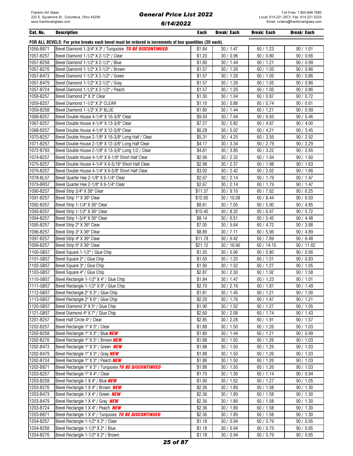| Cat. No.  | <b>Description</b>                                                                                     | <b>Each</b> | <b>Break/Each</b>     | <b>Break/Each</b>      | <b>Break/Each</b> |
|-----------|--------------------------------------------------------------------------------------------------------|-------------|-----------------------|------------------------|-------------------|
|           | FOR ALL BEVELS: For price breaks each bevel must be ordered in increments of box quantities (30 each). |             |                       |                        |                   |
| 1056-B871 | Bevel Diamond 1-3/4" X 3" / Turquoise TO BE DISCONTINUED                                               | \$1.84      | 30 / 1.47             | 60/1.23                | 90 / 1.01         |
| 1057-B257 | Bevel Diamond 1-1/2" X 2-1/2" / Clear                                                                  | \$1.20      | 30/0.96               | 60/0.80                | 90/0.66           |
| 1057-B258 | Bevel Diamond 1-1/2" X 2-1/2" / Blue                                                                   | \$1.80      | 30/1.44               | 60/1.21                | 90/0.99           |
| 1057-B276 | Bevel Diamond 1-1/2" X 2-1/2" / Brown                                                                  | \$1.57      | 30/1.26               | 60/1.05                | 90/0.86           |
| 1057-B473 | Bevel Diamond 1-1/2" X 2-1/2" / Green                                                                  | \$1.57      | 30/1.26               | 60 / 1.05              | 90/0.86           |
| 1057-B479 | Bevel Diamond 1-1/2" X 2-1/2" / Gray                                                                   | \$1.57      | 30/1.26               | 60 / 1.05              | 90/0.86           |
| 1057-B724 | Bevel Diamond 1-1/2" X 2-1/2" / Peach                                                                  | \$1.57      | 30/1.26               | 60 / 1.05              | 90/0.86           |
| 1058-B257 | Bevel Diamond 2" X 3" Clear                                                                            | \$1.30      | 30 / 1.04             | 60/0.87                | 90/0.72           |
| 1059-B257 | Bevel Diamond 1-1/2" X 3" CLEAR                                                                        | \$1.10      | 30/0.88               | 60/0.74                | 90/0.61           |
| 1059-B258 | Bevel Diamond 1-1/2" X 3" BLUE                                                                         | \$1.80      | 30 / 1.44             | 60/1.21                | 90 / 0.99         |
| 1066-B257 | Bevel Double House 4-1/4" X 16-3/8" Clear                                                              | \$9.93      | 30 / 7.94             | 60/6.65                | 90/5.46           |
| 1067-B257 | Bevel Double House 4-1/4" X 13-3/8" Clear                                                              | \$7.27      | 30/5.82               | 60 / 4.87              | 90 / 4.00         |
| 1068-B257 | Bevel Double House 4-1/4" X 12-3/8" Clear                                                              | \$6.28      | 30 / 5.02             | 60 / 4.21              | 90 / 3.45         |
| 1070-B257 | Bevel Double House 2-1/8" X 16-3/8" Long Half / Clear                                                  | \$5.31      | 30 / 4.25             | 60 / 3.56              | 90 / 2.92         |
| 1071-B257 | Bevel Double House 2-1/8" X 12-3/8" Long Half Clear                                                    | \$4.17      | 30 / 3.34             | 60 / 2.79              | 90 / 2.29         |
| 1072-B793 | Bevel Double House 2-1/8" X 13-3/8" Long 1/2 / Clear                                                   | \$4.81      | 30 / 3.85             | 60 / 3.22              | 90 / 2.65         |
| 1074-B257 | Bevel Double House 4-1/4" X 6-1/8" Short Half Clear                                                    | \$2.90      | 30 / 2.32             | 60 / 1.94              | 90/1.60           |
| 1075-B257 | Bevel Double House 4-1/4" X 6-5/16" Short Half Clear                                                   | \$2.96      | 30 / 2.37             | 60/1.98                | 90/1.63           |
| 1076-B257 | Bevel Double House 4-1/4" X 6-5/8" Short Half Clear                                                    | \$3.02      | 30 / 2.42             | 60 / 2.02              | 90/1.66           |
| 1078-BL57 | Bevel Quarter Hex 2-1/8" X 6-1/4" Clear                                                                | \$2.67      | 30 / 2.14             | 60 / 1.79              | 90 / 1.47         |
| 1079-BR57 | Bevel Quarter Hex 2-1/8" X 6-1/4" Clear                                                                | \$2.67      | 30 / 2.14             | 60 / 1.79              | 90 / 1.47         |
| 1090-B257 | Bevel Strip 3/4" X 36" Clear                                                                           | \$11.37     | 30 / 9.10             | 60 / 7.62              | 90 / 6.25         |
| 1091-B257 | Bevel Strip 1" X 36" Clear                                                                             | \$12.60     | 30 / 10.08            | 60/8.44                | 90/6.93           |
| 1092-B257 | Bevel Strip 1-1/4" X 36" Clear                                                                         | \$8.81      | 30 / 7.05             | 60 / 5.90              | 90 / 4.85         |
| 1093-B257 | Bevel Strip 1-1/2" X 36" Clear                                                                         | \$10.40     | 30/8.32               | 60/6.97                | 90/5.72           |
| 1094-B257 | Bevel Strip 1-3/4" X 36" Clear                                                                         | \$8.14      | 30/6.51               | 60/5.45                | 90 / 4.48         |
| 1095-B257 | Bevel Strip 2" X 36" Clear                                                                             | \$7.05      | 30 / 5.64             | 60 / 4.72              | 90 / 3.88         |
| 1096-B257 | Bevel Strip 3" X 36" Clear                                                                             | \$8.89      | 30 / 7.11             | 60 / 5.96              | 90 / 4.89         |
| 1097-B257 | Bevel Strip 4" X 36" Clear                                                                             | \$11.78     | 30/9.42               | 60 / 7.89              | 90/6.48           |
| 1099-B257 | Bevel Strip 6" X 36" Clear                                                                             | \$21.12     | 30 / 16.90            | 60 / 14.15             | 90 / 11.62        |
| 1100-GB57 | Bevel Square 1-1/2" / Glue Chip                                                                        | \$1.20      | 30/0.96               | 60/0.80                | 90/0.66           |
| 1101-GB57 | Bevel Square 2" / Glue Chip                                                                            | \$1.50      | 30 / 1.20             | 60/1.01                | 90/0.83           |
| 1102-GB57 | Bevel Square 3" / Glue Chip                                                                            | \$1.90      | 30 / 1.52             | 60/1.27                | 90 / 1.05         |
| 1103-GB57 | Bevel Square 4" / Glue Chip                                                                            | \$2.87      | 30 / 2.30             | 60 / 1.92              | 90 / 1.58         |
| 1110-GB57 | Bevel Rectangle 1-1/2" X 4" / Glue Chip                                                                | \$1.84      | 30/1.47               | 60 / 1.23              | 90 / 1.01         |
| 1111-GB57 | Bevel Rectangle 1-1/2" X 6" / Glue Chip                                                                | \$2.70      | $\frac{1}{30}$ / 2.16 | $\overline{60}$ / 1.81 | 90 / 1.49         |
| 1112-GB57 | Bevel Rectangle 2" X 3" / Glue Chip                                                                    | \$1.81      | 30 / 1.45             | 60 / 1.21              | 90 / 1.00         |
| 1113-GB57 | Bevel Rectangle 2" X 6" / Glue Chip                                                                    | \$2.20      | 30 / 1.76             | 60/1.47                | 90 / 1.21         |
| 1120-GB57 | Bevel Diamond 3" X 5" / Glue Chip                                                                      | \$1.90      | 30 / 1.52             | 60/1.27                | 90/1.05           |
| 1121-GB57 | Bevel Diamond 4" X 7" / Glue Chip                                                                      | \$2.60      | 30 / 2.08             | 60 / 1.74              | 90 / 1.43         |
| 1201-B257 | Bevel Half Circle 4" / Clear                                                                           | \$2.85      | 30 / 2.28             | 60/1.91                | 90 / 1.57         |
| 1202-B257 | Bevel Rectangle 1" X 3" / Clear                                                                        | \$1.88      | 30/1.50               | 60/1.26                | 90 / 1.03         |
| 1202-B258 | Bevel Rectangle 1" X 3" / Blue <b>NEW</b>                                                              | \$1.80      | 30/1.44               | 60/1.21                | 90 / 0.99         |
| 1202-B276 | Bevel Rectangle 1" X 3" / Brown <b>NEW</b>                                                             | \$1.88      | 30/1.50               | 60/1.26                | 90/1.03           |
| 1202-B473 | Bevel Rectangle 1" X 3" / Green NEW                                                                    | \$1.88      | 30/1.50               | 60/1.26                | 90/1.03           |
| 1202-B479 | Bevel Rectangle 1" X 3" / Gray NEW                                                                     | \$1.88      | 30 / 1.50             | 60/1.26                | 90/1.03           |
| 1202-B724 | Bevel Rectangle 1" X 3" / Peach <b>NEW</b>                                                             | \$1.88      | 30 / 1.50             | 60/1.26                | 90 / 1.03         |
| 1202-B871 | Bevel Rectangle 1" X 3" / Turquoise TO BE DISCONTINUED                                                 | \$1.88      | 30 / 1.50             | 60/1.26                | 90 / 1.03         |
| 1203-B257 | Bevel Rectangle 1" X 4" / Clear                                                                        | \$1.70      | 30 / 1.36             | 60 / 1.14              | 90/0.94           |
| 1203-B258 | Bevel Rectangle 1 X 4" / Blue <b>NEW</b>                                                               | \$1.90      | 30 / 1.52             | 60/1.27                | 90 / 1.05         |
| 1203-B276 | Bevel Rectangle 1 X 4" / Brown <b>NEW</b>                                                              | \$2.36      | 30/1.89               | 60/1.58                | 90 / 1.30         |
| 1203-B473 | Bevel Rectangle 1 X 4" / Green <b>NEW</b>                                                              | \$2.36      | 30/1.89               | 60/1.58                | 90 / 1.30         |
| 1203-B479 | Bevel Rectangle 1 X 4" / Gray <b>NEW</b>                                                               | \$2.36      | 30/1.89               | 60/1.58                | 90 / 1.30         |
| 1203-B724 | Bevel Rectangle 1 X 4" / Peach <b>NEW</b>                                                              | \$2.36      | 30/1.89               | 60/1.58                | 90 / 1.30         |
| 1203-B871 | Bevel Rectangle 1 X 4" / Turquoise TO BE DISCONTINUED                                                  | \$2.36      | 30/1.89               | 60 / 1.58              | 90 / 1.30         |
| 1204-B257 | Bevel Rectangle 1-1/2" X 2" / Clear                                                                    | \$1.18      | 30/0.94               | 60 / 0.79              | 90/0.65           |
| 1204-B258 | Bevel Rectangle 1-1/2" X 2" / Blue                                                                     | \$1.18      | 30/0.94               | 60/0.79                | 90/0.65           |
| 1204-B276 | Bevel Rectangle 1-1/2" X 2" / Brown                                                                    | \$1.18      | 30 / 0.94             | 60 / 0.79              | 90/0.65           |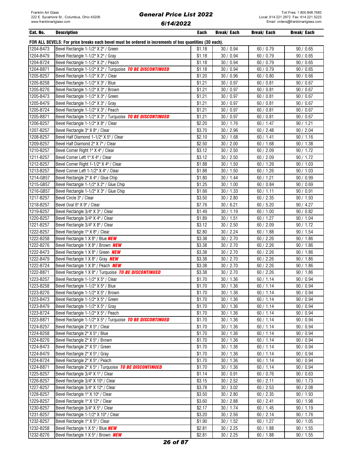| Cat. No.               | <b>Description</b>                                                                                     | Each             | Break/ Each            | Break/ Each            | Break/ Each            |
|------------------------|--------------------------------------------------------------------------------------------------------|------------------|------------------------|------------------------|------------------------|
|                        | FOR ALL BEVELS: For price breaks each bevel must be ordered in increments of box quantities (30 each). |                  |                        |                        |                        |
| 1204-B473              | Bevel Rectangle 1-1/2" X 2" / Green                                                                    | \$1.18           | 30 / 0.94              | 60 / 0.79              | 90/0.65                |
| 1204-B479              | Bevel Rectangle 1-1/2" X 2" / Gray                                                                     | \$1.18           | 30 / 0.94              | 60/0.79                | 90/0.65                |
| 1204-B724              | Bevel Rectangle 1-1/2" X 2" / Peach                                                                    | \$1.18           | 30 / 0.94              | 60/0.79                | 90/0.65                |
| 1204-B871              | Bevel Rectangle 1-1/2" X 2" / Turquoise TO BE DISCONTINUED                                             | \$1.18           | 30 / 0.94              | 60 / 0.79              | 90/0.65                |
| 1205-B257              | Bevel Rectangle 1-1/2" X 3" / Clear                                                                    | \$1.20           | 30 / 0.96              | 60/0.80                | 90/0.66                |
| 1205-B258              | Bevel Rectangle 1-1/2" X 3" / Blue                                                                     | \$1.21           | 30/0.97                | 60/0.81                | 90/0.67                |
| 1205-B276              | Bevel Rectangle 1-1/2" X 3" / Brown                                                                    | \$1.21           | 30 / 0.97              | 60/0.81                | 90/0.67                |
| 1205-B473              | Bevel Rectangle 1-1/2" X 3" / Green                                                                    | \$1.21           | 30/0.97                | 60/0.81                | 90/0.67                |
| 1205-B479              | Bevel Rectangle 1-1/2" X 3" / Gray                                                                     | \$1.21           | 30/0.97                | 60/0.81                | 90/0.67                |
| 1205-B724              | Bevel Rectangle 1-1/2" X 3" / Peach                                                                    | \$1.21           | 30/0.97                | 60/0.81                | 90/0.67                |
| 1205-B871              | Bevel Rectangle 1-1/2" X 3" / Turquoise TO BE DISCONTINUED                                             | \$1.21           | 30 / 0.97              | 60/0.81                | 90/0.67                |
| 1206-B257              | Bevel Rectangle 1-1/2" X 8" / Clear                                                                    | \$2.20           | 30 / 1.76              | 60/1.47                | 90 / 1.21              |
| 1207-B257              | Bevel Rectangle 3" X 8" / Clear                                                                        | \$3.70           | 30 / 2.96              | 60 / 2.48              | 90 / 2.04              |
| 1208-B257              | Bevel Half Diamond 1-1/2" X 5" / Clear                                                                 | \$2.10           | 30/1.68                | 60 / 1.41              | 90/1.16                |
| 1209-B257              | Bevel Half Diamond 2" X 7" / Clear                                                                     | \$2.50           | 30 / 2.00              | 60/1.68                | 90 / 1.38              |
| 1210-B257              | Bevel Corner Right 1" X 4" / Clear                                                                     | \$3.12           | 30 / 2.50              | 60 / 2.09              | 90 / 1.72              |
| 1211-B257              | Bevel Corner Left 1" X 4" / Clear                                                                      | \$3.12           | 30 / 2.50              | 60 / 2.09              | 90 / 1.72              |
| 1212-B257              | Bevel Corner Right 1-1/2" X 4" / Clear                                                                 | \$1.88           | 30/1.50                | 60 / 1.26              | 90/1.03                |
| 1213-B257              | Bevel Corner Left 1-1/2" X 4" / Clear                                                                  | \$1.88           | 30/1.50                | 60 / 1.26              | 90/1.03                |
| 1214-GB57              | Bevel Rectangle 2" X 4" / Glue Chip                                                                    | \$1.80           | 30/1.44                | 60/1.21                | 90/0.99                |
| 1215-GB57              | Bevel Rectangle 1-1/2" X 2" / Glue Chip                                                                | \$1.25           | 30/1.00                | 60 / 0.84              | 90/0.69                |
| 1216-GB57              | Bevel Rectangle 1-1/2" X 3" / Glue Chip                                                                | \$1.66           | 30/1.33                | 60 / 1.11              | 90/0.91                |
| 1217-B257              | Bevel Circle 3" / Clear                                                                                | \$3.50           | 30 / 2.80              | 60 / 2.35              | 90 / 1.93              |
| 1218-B257              | Bevel Oval 6" X 9" / Clear                                                                             | \$7.76           | 30/6.21                | 60 / 5.20              | 90 / 4.27              |
| 1219-B257              | Bevel Rectangle 3/4" X 3" / Clear                                                                      | \$1.49           | 30/1.19                | 60/1.00                | 90/0.82                |
| 1220-B257              | Bevel Rectangle 3/4" X 4" / Clear                                                                      | \$1.89           | 30/1.51                | 60/1.27                | 90 / 1.04              |
| 1221-B257              | Bevel Rectangle 3/4" X 8" / Clear                                                                      | \$3.12           | 30 / 2.50              | 60 / 2.09              | 90 / 1.72              |
| 1222-B257              | Bevel Rectangle 1" X 8" / Clear                                                                        | \$2.80           | 30 / 2.24              | 60/1.88                | 90/1.54                |
| 1222-B258              | Bevel Rectangle 1 X 8" / Blue <b>NEW</b>                                                               | \$3.38           | 30 / 2.70              | 60 / 2.26              | 90 / 1.86              |
| 1222-B276              | Bevel Rectangle 1 X 8" / Brown <b>NEW</b>                                                              | \$3.38           | 30 / 2.70              | 60 / 2.26              | 90/1.86                |
| 1222-B473              | Bevel Rectangle 1 X 8" / Green <b>NEW</b>                                                              | \$3.38           | 30 / 2.70              | 60 / 2.26              | 90/1.86                |
| 1222-B479              | Bevel Rectangle 1 X 8" / Gray NEW                                                                      | \$3.38           | 30 / 2.70              | 60 / 2.26              | 90/1.86                |
| 1222-B724              | Bevel Rectangle 1 X 8" / Peach <b>NEW</b>                                                              | \$3.38           | 30 / 2.70              | 60 / 2.26              | 90/1.86                |
| 1222-B871              | Bevel Rectangle 1 X 8" / Turquoise TO BE DISCONTINUED                                                  | \$3.38           | 30 / 2.70              | 60 / 2.26              | 90/1.86                |
| 1223-B257              | Bevel Rectangle 1-1/2" X 5" / Clear                                                                    | \$1.70           | 30/1.36                | 60/1.14                | 90/0.94                |
| 1223-B258              | Bevel Rectangle 1-1/2" X 5" / Blue                                                                     | \$1.70           | 30/1.36                | 60/1.14                | 90/0.94                |
| 1223-B276              | Bevel Rectangle 1-1/2" X 5" / Brown                                                                    | \$1.70           | 30/1.36                | 60/1.14                | 90/0.94                |
| 1223-B473              | Bevel Rectangle 1-1/2" X 5" / Green                                                                    | \$1.70           | 30/1.36                | 60 / 1.14              | 90/0.94                |
| 1223-B479              | Bevel Rectangle 1-1/2" X 5" / Gray                                                                     | \$1.70           | 30 / 1.36              | 60 / 1.14              | 90 / 0.94              |
| 1223-B724              | Bevel Rectangle 1-1/2" X 5" / Peach                                                                    | \$1.70           | 30/1.36                | 60 / 1.14              | 90/0.94                |
| 1223-B871              | Bevel Rectangle 1-1/2" X 5" / Turquoise TO BE DISCONTINUED                                             | \$1.70           | 30/1.36                | 60 / 1.14              | 90 / 0.94              |
| 1224-B257              | Bevel Rectangle 2" X 5" / Clear                                                                        | \$1.70           | 30 / 1.36              | 60 / 1.14              | 90 / 0.94              |
| 1224-B258              | Bevel Rectangle 2" X 5" / Blue                                                                         | \$1.70           | 30/1.36                | 60/1.14                | 90/0.94                |
| 1224-B276              | Bevel Rectangle 2" X 5" / Brown                                                                        | \$1.70           | 30/1.36                | 60/1.14                | 90/0.94                |
| 1224-B473              | Bevel Rectangle 2" X 5" / Green                                                                        | \$1.70           | 30/1.36                | 60/1.14                | 90 / 0.94              |
| 1224-B479              | Bevel Rectangle 2" X 5" / Gray                                                                         | \$1.70           | 30/1.36                | 60/1.14                | 90/0.94                |
| 1224-B724              | Bevel Rectangle 2" X 5" / Peach                                                                        | \$1.70           | 30/1.36                | 60/1.14                | 90 / 0.94              |
| 1224-B871              | Bevel Rectangle 2" X 5" / Turquoise TO BE DISCONTINUED                                                 | \$1.70           | 30/1.36                | 60/1.14                | 90/0.94                |
| 1225-B257              | Bevel Rectangle 3/4" X 1" / Clear                                                                      | \$1.14           | 30/0.91                | 60/0.76                | 90/0.63                |
| 1226-B257<br>1227-B257 | Bevel Rectangle 3/4" X 10" / Clear<br>Bevel Rectangle 3/4" X 12" / Clear                               | \$3.15<br>\$3.78 | 30 / 2.52<br>30 / 3.02 | 60 / 2.11<br>60 / 2.53 | 90 / 1.73<br>90 / 2.08 |
| 1228-B257              | Bevel Rectangle 1" X 10" / Clear                                                                       | \$3.50           | 30 / 2.80              | 60 / 2.35              | 90 / 1.93              |
| 1229-B257              | Bevel Rectangle 1" X 12" / Clear                                                                       | \$3.60           | 30 / 2.88              |                        |                        |
| 1230-B257              | Bevel Rectangle 3/4" X 5" / Clear                                                                      | \$2.17           | 30 / 1.74              | 60 / 2.41<br>60 / 1.45 | 90 / 1.98<br>90 / 1.19 |
| 1231-B257              | Bevel Rectangle 1-1/2" X 10" / Clear                                                                   | \$3.20           | 30 / 2.56              | 60 / 2.14              | 90 / 1.76              |
| 1232-B257              | Bevel Rectangle 1" X 5" / Clear                                                                        | \$1.90           | 30/1.52                | 60/1.27                | 90 / 1.05              |
| 1232-B258              | Bevel Rectangle 1 X 5" / Blue <b>NEW</b>                                                               | \$2.81           | 30 / 2.25              | 60/1.88                | 90 / 1.55              |
| 1232-B276              | Bevel Rectangle 1 X 5" / Brown <b>NEW</b>                                                              | \$2.81           | 30 / 2.25              | 60/1.88                | 90 / 1.55              |
|                        |                                                                                                        |                  |                        |                        |                        |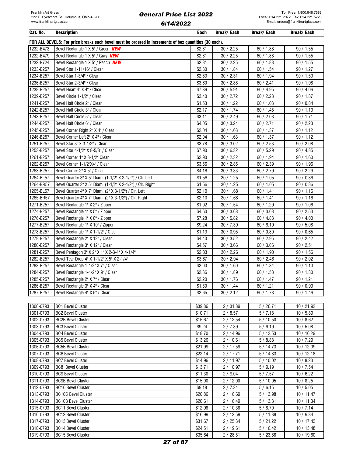| Cat. No.  | <b>Description</b>                                                                                     | Each    | Break/ Each | Break/ Each | <b>Break/Each</b> |
|-----------|--------------------------------------------------------------------------------------------------------|---------|-------------|-------------|-------------------|
|           | FOR ALL BEVELS: For price breaks each bevel must be ordered in increments of box quantities (30 each). |         |             |             |                   |
| 1232-B473 | Bevel Rectangle 1 X 5" / Green <b>NEW</b>                                                              | \$2.81  | 30 / 2.25   | 60/1.88     | 90 / 1.55         |
| 1232-B479 | Bevel Rectangle 1 X 5" / Gray <b>NEW</b>                                                               | \$2.81  | 30 / 2.25   | 60/1.88     | 90/1.55           |
| 1232-B724 | Bevel Rectangle 1 X 5" / Peach <b>NEW</b>                                                              | \$2.81  | 30 / 2.25   | 60/1.88     | 90/1.55           |
| 1233-B257 | Bevel Star 1-11/16" / Clear                                                                            | \$2.30  | 30/1.84     | 60/1.54     | 90 / 1.27         |
| 1234-B257 | Bevel Star 1-3/4" / Clear                                                                              | \$2.89  | 30 / 2.31   | 60 / 1.94   | 90/1.59           |
| 1236-B257 | Bevel Star 2-3/4" / Clear                                                                              | \$3.60  | 30 / 2.88   | 60 / 2.41   | 90 / 1.98         |
| 1238-B257 | Bevel Heart 4" X 4" / Clear                                                                            | \$7.39  | 30 / 5.91   | 60/4.95     | 90 / 4.06         |
| 1239-B257 | Bevel Circle 1-1/2" / Clear                                                                            | \$3.40  | 30 / 2.72   | 60 / 2.28   | 90/1.87           |
| 1241-B257 | Bevel Half Circle 2" / Clear                                                                           | \$1.53  | 30/1.22     | 60/1.03     | 90/0.84           |
| 1242-B257 | Bevel Half Circle 3" / Clear                                                                           | \$2.17  | 30 / 1.74   | 60/1.45     | 90/1.19           |
| 1243-B257 | Bevel Half Circle 5" / Clear                                                                           | 33.11   | 30 / 2.49   | 60 / 2.08   | 90 / 1.71         |
| 1244-B257 | Bevel Half Circle 6" / Clear                                                                           | \$4.05  | 30 / 3.24   | 60 / 2.71   | 90 / 2.23         |
| 1245-B257 | Bevel Corner Right 2" X 4" / Clear                                                                     | \$2.04  | 30 / 1.63   | 60 / 1.37   | 90 / 1.12         |
| 1246-B257 | Bevel Corner Left 2" X 4" / Clear                                                                      | \$2.04  | 30 / 1.63   | 60/1.37     | 90 / 1.12         |
| 1251-B257 | Bevel Star 3" X 3-1/2" / Clear                                                                         | \$3.78  | 30 / 3.02   | 60 / 2.53   | 90 / 2.08         |
| 1253-B257 | Bevel Star 4-1/2" X 8-5/8" / Clear                                                                     | \$7.90  | 30/6.32     | 60 / 5.29   | 90 / 4.35         |
| 1261-B257 | Bevel Corner 1" X 3-1/2" Clear                                                                         | \$2.90  | 30 / 2.32   | 60/1.94     | 90/1.60           |
| 1262-B257 | Bevel Corner 1-1/2"X4" / Clear                                                                         | \$3.56  | 30 / 2.85   | 60 / 2.39   | 90 / 1.96         |
| 1263-B257 | Bevel Corner 2" X 5" / Clear                                                                           | \$4.16  | 30 / 3.33   | 60 / 2.79   | 90 / 2.29         |
| 1264-BL57 | Bevel Quarter 3" X 5" Diam. (1-1/2" X 2-1/2") / Clr. Left                                              | \$1.56  | 30/1.25     | 60 / 1.05   | 90/0.86           |
| 1264-BR57 | Bevel Quarter 3" X 5" Diam. (1-1/2" X 2-1/2") / Clr. Right                                             | \$1.56  | 30/1.25     | 60 / 1.05   | 90/0.86           |
| 1265-BL57 | Bevel Quarter 4" X 7" Diam. (2" X 3-1/2") / Clr. Left                                                  | \$2.10  | 30/1.68     | 60 / 1.41   | 90/1.16           |
| 1265-BR57 | Bevel Quarter 4" X 7" Diam. (2" X 3-1/2") / Clr. Right                                                 | \$2.10  | 30/1.68     | 60 / 1.41   | 90/1.16           |
| 1271-B257 | Bevel Rectangle 1" X 2" / Zipper                                                                       | \$1.92  | 30/1.54     | 60/1.29     | 90 / 1.06         |
| 1274-B257 | Bevel Rectangle 1" X 5" / Zipper                                                                       | \$4.60  | 30 / 3.68   | 60 / 3.08   | 90 / 2.53         |
| 1276-B257 | Bevel Rectangle 1" X 8" / Zipper                                                                       | \$7.28  | 30/5.82     | 60/4.88     | 90 / 4.00         |
| 1277-B257 | Bevel Rectangle 1" X 10" / Zipper                                                                      | \$9.24  | 30 / 7.39   | 60/6.19     | 90 / 5.08         |
| 1278-B257 | Bevel Rectangle 1" X 1-1/2" / Clear                                                                    | \$1.19  | 30/0.95     | 60/0.80     | 90/0.65           |
| 1279-B257 | Bevel Rectangle 2" X 12" / Clear                                                                       | \$4.40  | 30 / 3.52   | 60 / 2.95   | 90 / 2.42         |
| 1280-B257 | Bevel Rectangle 3" X 12" / Clear                                                                       | \$4.57  | 30 / 3.66   | 60 / 3.06   | 90 / 2.51         |
| 1281-B257 | Bevel Pentagon 3" X 2" X 1" X 2-3/4" X 4-1/4"                                                          | \$2.83  | 30 / 2.26   | 60 / 1.90   | 90/1.56           |
| 1282-B257 | Bevel Tear Drop 4" X 1-1/2" X 5" X 2-1/4"                                                              | \$3.67  | 30 / 2.94   | 60 / 2.46   | 90 / 2.02         |
| 1283-B257 | Bevel Rectangle 1-1/2" X 7" / Clear                                                                    | \$2.00  | 30/1.60     | 60 / 1.34   | 90/1.10           |
| 1284-B257 | Bevel Rectangle 1-1/2" X 9" / Clear                                                                    | \$2.36  | 30/1.89     | 60/1.58     | 90/1.30           |
| 1285-B257 | Bevel Rectangle 2" X 7" / Clear                                                                        | \$2.20  | 30/1.76     | 60/1.47     | 90/1.21           |
| 1286-B257 | Bevel Rectangle 3" X 4" / Clear                                                                        | \$1.80  | 30/1.44     | 60/1.21     | 90/0.99           |
| 1287-B257 | Bevel Rectangle 4" X 5" / Clear                                                                        | \$2.65  | 30 / 2.12   | 60 / 1.78   | 90/1.46           |
|           |                                                                                                        |         |             |             |                   |
| 1300-0793 | <b>BC1 Bevel Cluster</b>                                                                               | \$39.86 | 2/31.89     | 5/26.71     | 10 / 21.92        |
| 1301-0793 | <b>BC2 Bevel Cluster</b>                                                                               | \$10.71 | 2/8.57      | 5/7.18      | 10/5.89           |
| 1302-0793 | <b>BC2B Bevel Cluster</b>                                                                              | \$15.67 | 2/12.54     | 5/10.50     | 10/8.62           |
| 1303-0793 | <b>BC3 Bevel Cluster</b>                                                                               | \$9.24  | 2/7.39      | 5/6.19      | 10/5.08           |
| 1304-0793 | <b>BC4 Bevel Cluster</b>                                                                               | \$18.70 | 2 / 14.96   | 5/12.53     | 10 / 10.29        |
| 1305-0793 | <b>BC5 Bevel Cluster</b>                                                                               | \$13.26 | 2/10.61     | 5/8.88      | 10 / 7.29         |
| 1306-0793 | <b>BC5B Bevel Cluster</b>                                                                              | \$21.99 | 2 / 17.59   | 5/14.73     | 10 / 12.09        |
| 1307-0793 | <b>BC6 Bevel Cluster</b>                                                                               | \$22.14 | 2/17.71     | 5/14.83     | 10/12.18          |
| 1308-0793 | <b>BC7 Bevel Cluster</b>                                                                               | \$14.96 | 2/11.97     | 5/10.02     | 10/8.23           |
| 1309-0793 | <b>BC8</b> Bevel Cluster                                                                               | \$13.71 | 2/10.97     | 5/9.19      | 10/7.54           |
| 1310-0793 | <b>BC9 Bevel Cluster</b>                                                                               | \$11.30 | 2/9.04      | 5/7.57      | 10/6.22           |
| 1311-0793 | <b>BC9B Bevel Cluster</b>                                                                              | \$15.00 | 2/12.00     | 5/10.05     | 10/8.25           |
| 1312-0793 | <b>BC10 Bevel Cluster</b>                                                                              | \$9.18  | 2/7.34      | 5/6.15      | 10/5.05           |
| 1313-0793 | <b>BC10C Bevel Cluster</b>                                                                             | \$20.86 | 2/16.69     | 5/13.98     | 10 / 11.47        |
| 1314-0793 | <b>BC10B Bevel Cluster</b>                                                                             | \$20.61 | 2/16.49     | 5/13.81     | 10/11.34          |
| 1315-0793 | <b>BC11 Bevel Cluster</b>                                                                              | \$12.98 | 2/10.38     | 5/8.70      | 10/7.14           |
| 1316-0793 | <b>BC12 Bevel Cluster</b>                                                                              | \$16.99 | 2/13.59     | 5/11.38     | 10/9.34           |
| 1317-0793 | <b>BC13 Bevel Cluster</b>                                                                              | \$31.67 | 2 / 25.34   | 5/21.22     | 10/17.42          |
| 1318-0793 | <b>BC14 Bevel Cluster</b>                                                                              | \$24.51 | 2/19.61     | 5/16.42     | 10/13.48          |
| 1319-0793 | <b>BC15 Bevel Cluster</b>                                                                              | \$35.64 | 2/28.51     | 5/23.88     | 10 / 19.60        |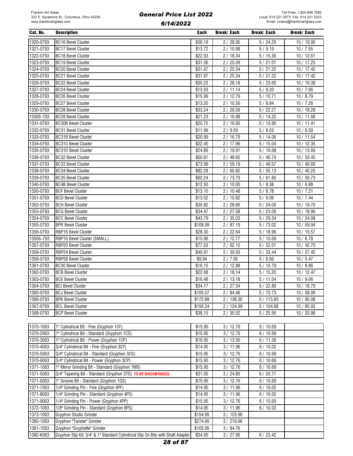| Cat. No.  | <b>Description</b>                                            | Each     | Break/ Each | <b>Break/Each</b> | <b>Break/Each</b> |
|-----------|---------------------------------------------------------------|----------|-------------|-------------------|-------------------|
| 1320-0793 | <b>BC16 Bevel Cluster</b>                                     | \$36.19  | 2/28.95     | 5/24.25           | 10 / 19.90        |
| 1321-0793 | <b>BC17 Bevel Cluster</b>                                     | \$13.72  | 2/10.98     | 5/9.19            | 10/7.55           |
| 1322-0793 | <b>BC18 Bevel Cluster</b>                                     | \$22.93  | 2/18.34     | 5/15.36           | 10/12.61          |
| 1323-0793 | <b>BC19 Bevel Cluster</b>                                     | \$31.36  | 2/25.09     | 5/21.01           | 10 / 17.25        |
| 1324-0793 | <b>BC20 Bevel Cluster</b>                                     | \$31.67  | 2/25.34     | 5/21.22           | 10/17.42          |
| 1325-0793 | <b>BC21 Bevel Cluster</b>                                     | \$31.67  | 2/25.34     | 5/21.22           | 10/17.42          |
| 1326-0793 | <b>BC22 Bevel Cluster</b>                                     | \$35.23  | 2/28.18     | 5/23.60           | 10/19.38          |
| 1327-0793 | <b>BC24 Bevel Cluster</b>                                     | \$13.93  | 2/11.14     | 5/9.33            | 10/7.66           |
| 1328-0793 | <b>BC26 Bevel Cluster</b>                                     | \$15.99  | 2/12.79     | 5/10.71           | 10/8.79           |
| 1329-0793 | <b>BC27 Bevel Cluster</b>                                     | \$13.20  | 2/10.56     | 5/8.84            | 10/7.26           |
| 1330-0793 | <b>BC28 Bevel Cluster</b>                                     | \$33.24  | 2/26.59     | 5/22.27           | 10 / 18.28        |
| 1330S-793 | <b>BC28 Bevel Cluster</b>                                     | \$21.23  | 2/16.98     | 5 / 14.22         | 10 / 11.68        |
| 1331-0793 | <b>BC30B Bevel Cluster</b>                                    | \$20.75  | 2/16.60     | 5/13.90           | 10/11.41          |
| 1332-0793 | <b>BC31 Bevel Cluster</b>                                     | \$11.99  | 2/9.59      | 5/8.03            | 10/6.59           |
| 1333-0793 | <b>BC31B Bevel Cluster</b>                                    | \$20.99  | 2 / 16.79   | 5/14.06           | 10 / 11.54        |
| 1334-0793 | <b>BC31C Bevel Cluster</b>                                    | \$22.45  | 2 / 17.96   | 5/15.04           | 10/12.35          |
| 1335-0793 | <b>BC31D Bevel Cluster</b>                                    | \$24.89  | 2/19.91     | 5/16.68           | 10 / 13.69        |
| 1336-0793 | <b>BC32 Bevel Cluster</b>                                     | \$60.81  | 2/48.65     | 5/40.74           | 10/33.45          |
| 1337-0793 | <b>BC33 Bevel Cluster</b>                                     | \$73.99  | 2/59.19     | 5/49.57           | 10 / 40.69        |
| 1338-0793 | <b>BC34 Bevel Cluster</b>                                     | \$82.28  | 2/65.82     | 5/55.13           | 10 / 45.25        |
| 1339-0793 | <b>BC35 Bevel Cluster</b>                                     | \$92.24  | 2 / 73.79   | 5/61.80           | 10/50.73          |
| 1340-0793 | BC4B Bevel Cluster                                            | \$12.50  | 2/10.00     | 5/8.38            | 10/6.88           |
| 1350-0793 | <b>BCF Bevel Cluster</b>                                      | \$13.10  | 2/10.48     | 5/8.78            | 10/7.21           |
| 1351-0793 | <b>BCD Bevel Cluster</b>                                      | \$13.52  | 2/10.82     | 5/9.06            | 10/7.44           |
| 1352-0793 | <b>BCH Bevel Cluster</b>                                      | \$35.82  | 2/28.66     | 5/24.00           | 10 / 19.70        |
| 1353-0793 | <b>BCG Bevel Cluster</b>                                      | \$34.47  | 2/27.58     | 5/23.09           | 10 / 18.96        |
| 1354-0793 | <b>BCC Bevel Cluster</b>                                      | \$43.79  | 2/35.03     | 5/29.34           | 10/24.08          |
| 1355-0793 | <b>BPR Bevel Cluster</b>                                      | \$108.99 | 2/87.19     | 5/73.02           | 10 / 59.94        |
| 1356-0793 | RBP16 Bevel Cluster                                           | \$28.30  | 2/22.64     | 5/18.96           | 10/15.57          |
| 1356S-793 | RBP16 Bevel Cluster (SMALL)                                   | \$15.96  | 2/12.77     | 5/10.69           | 10/8.78           |
| 1357-0793 | RBP20 Bevel Cluster                                           | \$77.63  | 2/62.10     | 5/52.01           | 10/42.70          |
| 1358-0793 | RBP24 Bevel Cluster                                           | \$49.91  | 2/39.93     | 5/33.44           | 10/27.45          |
| 1359-0793 | RBP58 Bevel Cluster                                           | \$9.94   | 2/7.95      | 5/6.66            | 10/5.47           |
| 1361-0793 | <b>BC30 Bevel Cluster</b>                                     | \$16.10  | 2/12.88     | 5/10.79           | 10/8.86           |
| 1362-0793 | <b>BCB Bevel Cluster</b>                                      | \$22.68  | 2/18.14     | 5/15.20           | 10/12.47          |
| 1363-0793 | <b>BCE Bevel Cluster</b>                                      | \$16.48  | 2/13.18     | 5/11.04           | 10/9.06           |
| 1364-0793 | <b>BCI Bevel Cluster</b>                                      | \$34.17  | 2/27.34     | 5/22.89           | 10 / 18.79        |
| 1365-0793 | <b>BCJ Bevel Cluster</b>                                      | \$105.57 | 2/84.46     | 5/70.73           | 10/58.06          |
| 1366-0793 | <b>BPK Bevel Cluster</b>                                      | \$172.88 | 2/138.30    | 5/115.83          | 10 / 95.08        |
| 1367-0793 | <b>BCL Bevel Cluster</b>                                      | \$156.24 | 2 / 124.99  | 5/104.68          | 10 / 85.93        |
| 1368-0793 | <b>BCP Bevel Cluster</b>                                      | \$38.15  | 2 / 30.52   | 5/25.56           | 10 / 20.98        |
|           |                                                               |          |             |                   |                   |
| 1370-1063 | 1" Cylindrical Bit - Fine (Gryphon 1CF)                       | \$15.95  | 3/12.76     | 6/10.69           |                   |
| 1370-2063 | 1" Cylindrical Bit - Standard (Gryphon 1CS)                   | \$15.95  | 3/12.76     | 6/10.69           |                   |
| 1370-3063 | 1" Cylindrical Bit - Power (Gryphon 1CP)                      | \$16.95  | 3/13.56     | 6/11.36           |                   |
| 1370-4063 | 3/4" Cylindrical Bit - Fine (Gryphon 3CF)                     | \$14.95  | 3/11.96     | 6/10.02           |                   |
| 1370-5063 | 3/4" Cylindrical Bit - Standard (Gryphon 3CS)                 | \$15.95  | 3/12.76     | 6/10.69           |                   |
| 1370-6063 | 3/4" Cylindrical Bit - Power (Gryphon 3CP)                    | \$15.95  | 3/12.76     | 6/10.69           |                   |
| 1371-1063 | 1" Mirror Grinding Bit - Standard (Gryphon 1MS)               | \$15.95  | 3/12.76     | 6/10.69           |                   |
| 1371-5063 | 3/4" Tapering Bit - Standard (Gryphon 3TS) TO BE DISCONTINUED | \$31.00  | 3 / 24.80   | 6/20.77           |                   |
| 1371-6063 | 1" Groove Bit - Standard (Gryphon 1GS)                        | \$15.95  | 3/12.76     | 6/10.69           |                   |
| 1371-7063 | 1/4" Grinding Pin - Fine (Gryphon 4PF)                        | \$14.95  | 3/11.96     | 6/10.02           |                   |
| 1371-8063 | 1/4" Grinding Pin - Standard (Gryphon 4PS)                    | \$14.95  | 3/11.96     | 6/10.02           |                   |
| 1371-9063 | 1/4" Grinding Pin - Power (Gryphon 4PP)                       | \$15.95  | 3/12.76     | 6/10.69           |                   |
| 1372-1063 | 1/8" Grinding Pin - Standard (Gryphon 8PS)                    | \$14.95  | 3/11.96     | 6/10.02           |                   |

1373-1063 Gryphon Studio Grinder \$154.95 3/ 123.96 1380-1063 Gryphon "Twister" Grinder **1380-1063** 3/219.96 1381-1063 Gryphon "Gryphette" Grinder \$105.95 3/ 84.76

1382-K063 Gryphon Slip Kit: 3/4" & 1" Standard Cylindrical Slip On Bits with Shaft Adapter \$34.95 3/ 27.96 6/ 23.42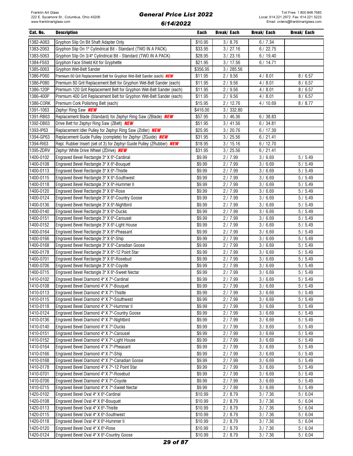| Cat. No.               | <b>Description</b>                                                                 | Each             | Break/ Each      | Break/ Each      | Break/ Each      |
|------------------------|------------------------------------------------------------------------------------|------------------|------------------|------------------|------------------|
| 1382-A063              | Gryphon Slip On Bit Shaft Adapter Only                                             | \$10.95          | 3/8.76           | 6/7.34           |                  |
| 1383-2063              | Gryphon Slip On 1" Cylindrical Bit - Standard (TWO IN A PACK)                      | \$33.95          | 3 / 27.16        | 6/22.75          |                  |
| 1383-5063              | Gryphon Slip On 3/4" Cylindrical Bit - Standard (TWO IN A PACK)                    | \$28.95          | 3/23.16          | 6/19.40          |                  |
| 1384-FS63              | Gryphon Face Shield Kit for Gryphette                                              | \$21.95          | 3/17.56          | 6/14.71          |                  |
| 1385-0063              | Gryphon Wet-Belt Sander                                                            | \$356.95         | 3/285.56         |                  |                  |
| 1386-P060              | Premium 60 Grit Replacement Belt for Gryphon Wet-Belt Sander (each) <b>NEW</b>     | \$11.95          | 2/9.56           | 4/8.01           | 8/6.57           |
| 1386-P080              | Premium 80 Grit Replacement Belt for Gryphon Wet-Belt Sander (each)                | \$11.95          | 2/9.56           | 4/8.01           | 8/6.57           |
| 1386-120P              | Premium 120 Grit Replacement Belt for Gryphon Wet-Belt Sander (each)               | \$11.95          | 2/9.56           | 4/8.01           | 8/6.57           |
| 1386-400P              | Premium 400 Grit Replacement Belt for Gryphon Wet-Belt Sander (each)               | \$11.95          | 2/9.56           | 4/8.01           | 8/6.57           |
| 1386-CORK              | Premium Cork Polishing Belt (each)                                                 | \$15.95          | 2/12.76          | 4/10.69          | 8/8.77           |
| 1391-1063              | Zephyr Ring Saw <b>NEW</b>                                                         | \$416.00         | 3 / 332.80       |                  |                  |
| 1391-RB63              | Replacement Blade (Standard) for Zephyr Ring Saw (ZBlade) NEW                      | \$57.95          | 3 / 46.36        | 6/38.83          |                  |
| 1392-DB63              | Drive Belt for Zephyr Ring Saw (ZBelt) NEW                                         | \$51.95          | 3/41.56          | 6/34.81          |                  |
| 1393-IP63              | Replacement Idler Pulley for Zephyr Ring Saw (ZIdler) NEW                          | \$25.95          | 3 / 20.76        | 6/17.39          |                  |
| 1394-GP63              | Replacement Guide Pulley (complete) for Zephyr (ZGuide) NEW                        | \$31.95          | 3 / 25.56        | 6/21.41          |                  |
| 1394-RI63              | Repl. Rubber Insert (set of 3) for Zephyr Guide Pulley (ZRubber) NEW               | \$18.95          | 3/15.16          | 6/12.70          |                  |
| 1395-ZDRV              | Zephyr White Drive Wheel (ZDrive) NEW                                              | \$31.95          | 3 / 25.56        | 6/21.41          |                  |
| 1400-0102              | Engraved Bevel Rectangle 3" X 6"-Cardinal                                          | \$9.99           | 2/7.99           | 3/6.69           | 5/5.49           |
| 1400-0108              | Engraved Bevel Rectangle 3" X 6"-Bouquet                                           | \$9.99           | 2/7.99           | 3/6.69           | 5/5.49           |
| 1400-0113              | Engraved Bevel Rectangle 3" X 6"-Thistle                                           | \$9.99           | 2/7.99           | 3/6.69           | 5/5.49           |
| 1400-0115              | Engraved Bevel Rectangle 3" X 6"-Southwest                                         | \$9.99           | 2/7.99           | 3/6.69           | 5/5.49           |
| 1400-0118              | Engraved Bevel Rectangle 3" X 6"-Hummer II                                         | \$9.99           | 2/7.99           | 3/6.69           | 5/5.49           |
| 1400-0120              | Engraved Bevel Rectangle 3" X 6"-Rose                                              | \$9.99           | 2/7.99           | 3/6.69           | 5/5.49           |
| 1400-0124              | Engraved Bevel Rectangle 3" X 6"-Country Goose                                     | \$9.99           | 2/7.99           | 3/6.69           | 5/5.49           |
| 1400-0136              | Engraved Bevel Rectangle 3" X 6"-Nightbird                                         | \$9.99           | 2/7.99           | 3/6.69           | 5/5.49           |
| 1400-0140              | Engraved Bevel Rectangle 3" X 6"-Ducks                                             | \$9.99           | 2/7.99           | 3/6.69           | 5/5.49           |
| 1400-0151              | Engraved Bevel Rectangle 3" X 6"-Carousel                                          | \$9.99           | 2/7.99           | 3/6.69           | 5/5.49           |
| 1400-0152<br>1400-0164 | Engraved Bevel Rectangle 3" X 6"-Light House                                       | \$9.99           | 2/7.99           | 3/6.69           | 5/5.49           |
| 1400-0166              | Engraved Bevel Rectangle 3" X 6"-Pheasant<br>Engraved Bevel Rectangle 3" X 6"-Ship | \$9.99<br>\$9.99 | 2/7.99<br>2/7.99 | 3/6.69<br>3/6.69 | 5/5.49<br>5/5.49 |
| 1400-0168              | Engraved Bevel Rectangle 3" X 6"-Canadian Goose                                    | \$9.99           | 2/7.99           | 3/6.69           | 5/5.49           |
| 1400-0178              | Engraved Bevel Rectangle 3" X 6"-12 Point Star                                     | \$9.99           | 2/7.99           | 3/6.69           | 5/5.49           |
| 1400-0701              | Engraved Bevel Rectangle 3" X 6"-Rosebud                                           | \$9.99           | 2/7.99           | 3/6.69           | 5/5.49           |
| 1400-0706              | Engraved Bevel Rectangle 3" X 6"-Coyote                                            | \$9.99           | 2/7.99           | 3/6.69           | 5/5.49           |
| 1400-0715              | Engraved Bevel Rectangle 3" X 6"-Sweet Nectar                                      | \$9.99           | 2/7.99           | 3/6.69           | 5/5.49           |
| 1410-0102              | Engraved Bevel Diamond 4" X 7"-Cardinal                                            | \$9.99           | 2/7.99           | 3/6.69           | 5/5.49           |
| 1410-0108              | Engraved Bevel Diamond 4" X 7"-Bouquet                                             | \$9.99           | 2/7.99           | 3/6.69           | 5/5.49           |
| 1410-0113              | Engraved Bevel Diamond 4" X 7"-Thistle                                             | \$9.99           | 2/7.99           | 3/6.69           | 5/5.49           |
| 1410-0115              | Engraved Bevel Diamond 4" X 7"-Southwest                                           | \$9.99           | 2/7.99           | 3/6.69           | 5/5.49           |
| 1410-0118              | Engraved Bevel Diamond 4" X 7"-Hummer II                                           | \$9.99           | 2/7.99           | 3/6.69           | 5/5.49           |
| 1410-0124              | Engraved Bevel Diamond 4" X 7"-Country Goose                                       | \$9.99           | 2/7.99           | 3/6.69           | 5/5.49           |
| 1410-0136              | Engraved Bevel Diamond 4" X 7"-Nightbird                                           | \$9.99           | 2/7.99           | 3/6.69           | 5/5.49           |
| 1410-0140              | Engraved Bevel Diamond 4" X 7"-Ducks                                               | \$9.99           | 2/7.99           | 3/6.69           | 5/5.49           |
| 1410-0151              | Engraved Bevel Diamond 4" X 7"-Carousel                                            | \$9.99           | 2/7.99           | 3/6.69           | 5/5.49           |
| 1410-0152              | Engraved Bevel Diamond 4" X 7"-Light House                                         | \$9.99           | 2/7.99           | 3/6.69           | 5/5.49           |
| 1410-0164              | Engraved Bevel Diamond 4" X 7"-Pheasant                                            | \$9.99           | 2/7.99           | 3/6.69           | 5/5.49           |
| 1410-0166              | Engraved Bevel Diamond 4" X 7"-Ship                                                | \$9.99           | 2/7.99           | 3/6.69           | 5/5.49           |
| 1410-0168              | Engraved Bevel Diamond 4" X 7"-Canadian Goose                                      | \$9.99           | 2/7.99           | 3/6.69           | 5/5.49           |
| 1410-0178              | Engraved Bevel Diamond 4" X 7"-12 Point Star                                       | \$9.99           | 2/7.99           | 3/6.69           | 5/5.49           |
| 1410-0701              | Engraved Bevel Diamond 4" X 7"-Rosebud                                             | \$9.99           | 2/7.99           | 3/6.69           | 5/5.49           |
| 1410-0706              | Engraved Bevel Diamond 4" X 7"-Coyote                                              | \$9.99           | 2/7.99           | 3/6.69           | 5/5.49           |
| 1410-0715              | Engraved Bevel Diamond 4" X 7"-Sweet Nectar                                        | \$9.99           | 2/7.99           | 3/6.69           | 5/5.49           |
| 1420-0102              | Engraved Bevel Oval 4" X 6"-Cardinal                                               | \$10.99          | 2/8.79           | 3/7.36           | 5/6.04           |
| 1420-0108              | Engraved Bevel Oval 4" X 6"-Bouguet                                                | \$10.99          | 2/8.79           | 3/7.36           | 5/6.04           |
| 1420-0113              | Engraved Bevel Oval 4" X 6"-Thistle                                                | \$10.99          | 2/8.79           | 3/7.36           | 5/6.04           |
| 1420-0115              | Engraved Bevel Oval 4" X 6"-Southwest                                              | \$10.99          | 2/8.79           | 3/7.36           | 5/6.04           |
| 1420-0118              | Engraved Bevel Oval 4" X 6"-Hummer II                                              | \$10.99          | 2/8.79           | 3/7.36           | 5/6.04           |
| 1420-0120              | Engraved Bevel Oval 4" X 6"-Rose                                                   | \$10.99          | 2/8.79           | 3/7.36           | 5/6.04           |
| 1420-0124              | Engraved Bevel Oval 4" X 6"-Country Goose                                          | \$10.99          | 2/8.79           | 3/7.36           | 5/6.04           |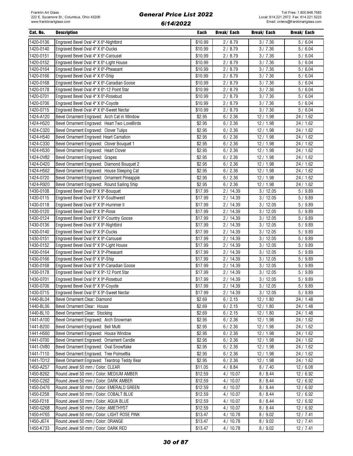| Cat. No.  | <b>Description</b>                           | Each    | Break/ Each | Break/ Each | Break/ Each |
|-----------|----------------------------------------------|---------|-------------|-------------|-------------|
| 1420-0136 | Engraved Bevel Oval 4" X 6"-Nightbird        | \$10.99 | 2/8.79      | 3/7.36      | 5/6.04      |
| 1420-0140 | Engraved Bevel Oval 4" X 6"-Ducks            | \$10.99 | 2/8.79      | 3/7.36      | 5/6.04      |
| 1420-0151 | Engraved Bevel Oval 4" X 6"-Carousel         | \$10.99 | 2/8.79      | 3/7.36      | 5/6.04      |
| 1420-0152 | Engraved Bevel Oval 4" X 6"-Light House      | \$10.99 | 2/8.79      | 3/7.36      | 5/6.04      |
| 1420-0164 | Engraved Bevel Oval 4" X 6"-Pheasant         | \$10.99 | 2/8.79      | 3/7.36      | 5/6.04      |
| 1420-0166 | Engraved Bevel Oval 4" X 6"-Ship             | \$10.99 | 2/8.79      | 3/7.36      | 5/6.04      |
| 1420-0168 | Engraved Bevel Oval 4" X 6"-Canadian Goose   | \$10.99 | 2/8.79      | 3/7.36      | 5/6.04      |
| 1420-0178 | Engraved Bevel Oval 4" X 6"-12 Point Star    | \$10.99 | 2/8.79      | 3/7.36      | 5/6.04      |
| 1420-0701 | Engraved Bevel Oval 4" X 6"-Rosebud          | \$10.99 | 2/8.79      | 3/7.36      | 5/6.04      |
| 1420-0706 | Engraved Bevel Oval 4" X 6"-Coyote           | \$10.99 | 2/8.79      | 3/7.36      | 5/6.04      |
| 1420-0715 | Engraved Bevel Oval 4" X 6"-Sweet Nectar     | \$10.99 | 2/8.79      | 3/7.36      | 5/6.04      |
| 1424-A120 | Bevel Ornament Engraved: Arch Cat in Window  | \$2.95  | 6/2.36      | 12/1.98     | 24 / 1.62   |
| 1424-H520 | Bevel Ornament Engraved: Heart Two LoveBirds | \$2.95  | 6/2.36      | 12/1.98     | 24 / 1.62   |
| 1424-C320 | Bevel Ornament Engraved: Clover Tulips       | \$2.95  | 6/2.36      | 12/1.98     | 24 / 1.62   |
| 1424-H540 | Bevel Ornament Engraved: Heart Carnation     | \$2.95  | 6/2.36      | 12/1.98     | 24 / 1.62   |
| 1424-C330 | Bevel Ornament Engraved: Clover Bouquet 1    | \$2.95  | 6/2.36      | 12/1.98     | 24 / 1.62   |
| 1424-H530 | Bevel Ornament Engraved: Heart Clover        | \$2.95  | 6/2.36      | 12/1.98     | 24 / 1.62   |
| 1424-0V82 | Bevel Ornament Engraved: Grapes              | \$2.95  | 6/2.36      | 12/1.98     | 24 / 1.62   |
| 1424-D420 | Bevel Ornament Engraved: Diamond Bouquet 2   | \$2.95  | 6/2.36      | 12/1.98     | 24 / 1.62   |
| 1424-H562 | Bevel Ornament Engraved: House Sleeping Cat  | \$2.95  | 6/2.36      | 12/1.98     | 24 / 1.62   |
| 1424-0720 | Bevel Ornament Engraved: Ornament Pineapple  | \$2.95  | 6/2.36      | 12/1.98     | 24 / 1.62   |
| 1424-R920 | Bevel Ornament Engraved: Round Sailing Ship  | \$2.95  | 6/2.36      | 12/1.98     | 24 / 1.62   |
| 1430-0108 | Engraved Bevel Oval 6" X 9"-Bouquet          | \$17.99 | 2/14.39     | 3/12.05     | 5/9.89      |
| 1430-0115 | Engraved Bevel Oval 6" X 9"-Southwest        | \$17.99 | 2/14.39     | 3/12.05     | 5/9.89      |
| 1430-0118 | Engraved Bevel Oval 6" X 9"-Hummer II        | \$17.99 | 2/14.39     | 3/12.05     | 5/9.89      |
| 1430-0120 | Engraved Bevel Oval 6" X 9"-Rose             | \$17.99 | 2/14.39     | 3/12.05     | 5/9.89      |
| 1430-0124 | Engraved Bevel Oval 6" X 9"-Country Goose    | \$17.99 | 2/14.39     | 3/12.05     | 5/9.89      |
| 1430-0136 | Engraved Bevel Oval 6" X 9"-Nightbird        | \$17.99 | 2/14.39     | 3/12.05     | 5/9.89      |
| 1430-0140 | Engraved Bevel Oval 6" X 9"-Ducks            | \$17.99 | 2/14.39     | 3/12.05     | 5/9.89      |
| 1430-0151 | Engraved Bevel Oval 6" X 9"-Carousel         | \$17.99 | 2/14.39     | 3/12.05     | 5/9.89      |
| 1430-0152 | Engraved Bevel Oval 6" X 9"-Light House      | \$17.99 | 2 / 14.39   | 3/12.05     | 5/9.89      |
| 1430-0164 | Engraved Bevel Oval 6" X 9"-Pheasant         | \$17.99 | 2/14.39     | 3/12.05     | 5/9.89      |
| 1430-0166 | Engraved Bevel Oval 6" X 9"-Ship             | \$17.99 | 2/14.39     | 3/12.05     | 5/9.89      |
| 1430-0168 | Engraved Bevel Oval 6" X 9"-Canadian Goose   | \$17.99 | 2/14.39     | 3/12.05     | 5/9.89      |
| 1430-0178 | Engraved Bevel Oval 6" X 9"-12 Point Star    | \$17.99 | 2/14.39     | 3/12.05     | 5/9.89      |
| 1430-0701 | Engraved Bevel Oval 6" X 9"-Rosebud          | \$17.99 | 2/14.39     | 3/12.05     | 5/9.89      |
| 1430-0706 | Engraved Bevel Oval 6" X 9"-Coyote           | \$17.99 | 2/14.39     | 3/12.05     | 5/9.89      |
| 1430-0715 | Engraved Bevel Oval 6" X 9"-Sweet Nectar     | \$17.99 | 2 / 14.39   | 3/12.05     | 5/9.89      |
| 1440-BL04 | Bevel Ornament Clear: Diamond                | \$2.69  | 6/2.15      | 12/1.80     | 24 / 1.48   |
| 1440-BL06 | Bevel Ornament Clear: House                  | \$2.69  | 6/2.15      | 12/1.80     | 24 / 1.48   |
| 1440-BL10 | Bevel Ornament Clear: Stocking               | \$2.69  | 6/2.15      | 12/1.80     | 24 / 1.48   |
| 1441-A100 | Bevel Ornament Engraved: Arch Snowman        | \$2.95  | 6/2.36      | 12 / 1.98   | 24 / 1.62   |
| 1441-B200 | Bevel Ornament Engraved: Bell Multi          | \$2.95  | 6/2.36      | 12 / 1.98   | 24/1.62     |
| 1441-H560 | Bevel Ornament Engraved: House Window        | \$2.95  | 6/2.36      | 12/1.98     | 24/1.62     |
| 1441-0700 | Bevel Ornament Engraved: Ornament Candle     | \$2.95  | 6/2.36      | 12/1.98     | 24 / 1.62   |
| 1441-0V80 | Bevel Ornament Engraved: Oval Snowflake      | \$2.95  | 6/2.36      | 12/1.98     | 24/1.62     |
| 1441-T110 | Bevel Ornament Engraved: Tree Poinsettia     | \$2.95  | 6/2.36      | 12/1.98     | 24 / 1.62   |
| 1441-TD12 | Bevel Ornament Engraved: Teardrop Teddy Bear | \$2.95  | 6/2.36      | 12 / 1.98   | 24 / 1.62   |
| 1450-A257 | Round Jewel 50 mm / Color: CLEAR             | \$11.05 | 4 / 8.84    | 8/7.40      | 12/6.08     |
| 1450-B262 | Round Jewel 50 mm / Color: MEDIUM AMBER      | \$12.59 | 4/10.07     | 8/8.44      | 12/6.92     |
| 1450-C262 | Round Jewel 50 mm / Color: DARK AMBER        | \$12.59 | 4/10.07     | 8/8.44      | 12/6.92     |
| 1450-D476 | Round Jewel 50 mm / Color: EMERALD GREEN     | \$12.59 | 4/10.07     | 8/8.44      | 12/6.92     |
| 1450-E258 | Round Jewel 50 mm / Color: COBALT BLUE       | \$12.59 | 4/10.07     | 8/8.44      | 12/6.92     |
| 1450-F218 | Round Jewel 50 mm / Color: AQUA BLUE         | \$12.59 | 4/10.07     | 8 / 8.44    | 12 / 6.92   |
| 1450-G268 | Round Jewel 50 mm / Color: AMETHYST          | \$12.59 | 4/10.07     | 8 / 8.44    | 12 / 6.92   |
| 1450-H765 | Round Jewel 50 mm / Color: LIGHT ROSE PINK   | \$13.47 | 4/10.78     | 8/9.02      | 12/7.41     |
| 1450-J674 | Round Jewel 50 mm / Color: ORANGE            | \$13.47 | 4/10.78     | 8/9.02      | 12/7.41     |
| 1450-K733 | Round Jewel 50 mm / Color: DARK RED          | \$13.47 | 4/10.78     | 8/9.02      | 12/7.41     |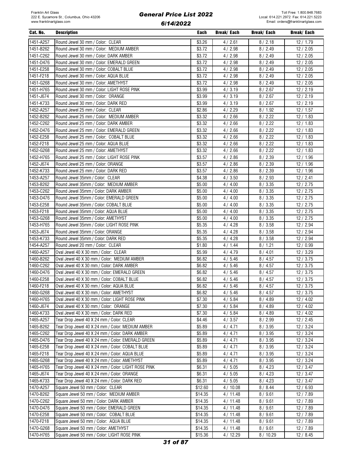| Cat. No.  | <b>Description</b>                                  | Each    | Break/ Each | Break/ Each | Break/ Each |
|-----------|-----------------------------------------------------|---------|-------------|-------------|-------------|
| 1451-A257 | Round Jewel 30 mm / Color: CLEAR                    | \$3.26  | 4/2.61      | 8/2.18      | 12/1.79     |
| 1451-B262 | Round Jewel 30 mm / Color: MEDIUM AMBER             | \$3.72  | 4/2.98      | 8/2.49      | 12/2.05     |
| 1451-C262 | Round Jewel 30 mm / Color: DARK AMBER               | \$3.72  | 4/2.98      | 8/2.49      | 12/2.05     |
| 1451-D476 | Round Jewel 30 mm / Color: EMERALD GREEN            | \$3.72  | 4/2.98      | 8 / 2.49    | 12/2.05     |
| 1451-E258 | Round Jewel 30 mm / Color: COBALT BLUE              | \$3.72  |             |             | 12/2.05     |
| 1451-F218 |                                                     | \$3.72  | 4/2.98      | 8/2.49      |             |
|           | Round Jewel 30 mm / Color: AQUA BLUE                |         | 4/2.98      | 8 / 2.49    | 12/2.05     |
| 1451-G268 | Round Jewel 30 mm / Color: AMETHYST                 | \$3.72  | 4/2.98      | 8 / 2.49    | 12/2.05     |
| 1451-H765 | Round Jewel 30 mm / Color: LIGHT ROSE PINK          | \$3.99  | 4/3.19      | 8/2.67      | 12/2.19     |
| 1451-J674 | Round Jewel 30 mm / Color: ORANGE                   | \$3.99  | 4/3.19      | 8/2.67      | 12/2.19     |
| 1451-K733 | Round Jewel 30 mm / Color: DARK RED                 | \$3.99  | 4/3.19      | 8/2.67      | 12/2.19     |
| 1452-A257 | Round Jewel 25 mm / Color: CLEAR                    | \$2.86  | 4/2.29      | 8/1.92      | 12/1.57     |
| 1452-B262 | Round Jewel 25 mm / Color: MEDIUM AMBER             | \$3.32  | 4/2.66      | 8/2.22      | 12/1.83     |
| 1452-C262 | Round Jewel 25 mm / Color: DARK AMBER               | \$3.32  | 4/2.66      | 8/2.22      | 12/1.83     |
| 1452-D476 | Round Jewel 25 mm / Color: EMERALD GREEN            | \$3.32  | 4/2.66      | 8/2.22      | 12/1.83     |
| 1452-E258 | Round Jewel 25 mm / Color: COBALT BLUE              | \$3.32  | 4/2.66      | 8/2.22      | 12/1.83     |
| 1452-F218 | Round Jewel 25 mm / Color: AQUA BLUE                | \$3.32  | 4/2.66      | 8/2.22      | 12/1.83     |
| 1452-G268 | Round Jewel 25 mm / Color: AMETHYST                 | \$3.32  | 4/2.66      | 8/2.22      | 12/1.83     |
| 1452-H765 | Round Jewel 25 mm / Color: LIGHT ROSE PINK          | \$3.57  | 4/2.86      | 8/2.39      | 12/1.96     |
| 1452-J674 | Round Jewel 25 mm / Color: ORANGE                   | \$3.57  | 4/2.86      | 8/2.39      | 12/1.96     |
| 1452-K733 | Round Jewel 25 mm / Color: DARK RED                 | \$3.57  | 4/2.86      | 8/2.39      | 12/1.96     |
| 1453-A257 | Round Jewel 35mm / Color: CLEAR                     | \$4.38  | 4/3.50      | 8/2.93      | 12/2.41     |
| 1453-B262 | Round Jewel 35mm / Color: MEDIUM AMBER              | \$5.00  | 4/4.00      | 8 / 3.35    | 12/2.75     |
| 1453-C262 | Round Jewel 35mm / Color: DARK AMBER                | \$5.00  | 4/4.00      | 8/3.35      | 12/2.75     |
| 1453-D476 | Round Jewel 35mm / Color: EMERALD GREEN             | \$5.00  | 4/4.00      | 8/3.35      | 12/2.75     |
| 1453-E258 | Round Jewel 35mm / Color: COBALT BLUE               | \$5.00  | 4/4.00      | 8/3.35      | 12/2.75     |
| 1453-F218 | Round Jewel 35mm / Color: AQUA BLUE                 | \$5.00  | 4/4.00      | 8/3.35      | 12/2.75     |
| 1453-G268 | Round Jewel 35mm / Color: AMETHYST                  | \$5.00  | 4/4.00      | 8 / 3.35    | 12/2.75     |
| 1453-H765 | Round Jewel 35mm / Color: LIGHT ROSE PINK           | \$5.35  | 4/4.28      | 8/3.58      | 12 / 2.94   |
| 1453-J674 | Round Jewel 35mm / Color: ORANGE                    | \$5.35  | 4/4.28      | 8/3.58      | 12 / 2.94   |
| 1453-K733 | Round Jewel 35mm / Color: DARK RED                  | \$5.35  | 4/4.28      | 8/3.58      | 12 / 2.94   |
| 1454-A257 | Round Jewel 20 mm / Color: CLEAR                    | \$1.80  | 4/1.44      | 8/1.21      | 12/0.99     |
| 1460-A257 | Oval Jewel 40 X 30 mm / Color: CLEAR                | \$5.99  | 4/4.79      | 8/4.01      | 12/3.29     |
| 1460-B262 | Oval Jewel 40 X 30 mm / Color: MEDIUM AMBER         | \$6.82  | 4/5.46      | 8/4.57      | 12/3.75     |
| 1460-C262 | Oval Jewel 40 X 30 mm / Color: DARK AMBER           | \$6.82  | 4/5.46      | 8/4.57      | 12/3.75     |
| 1460-D476 | Oval Jewel 40 X 30 mm / Color: EMERALD GREEN        | \$6.82  | 4/5.46      | 8/4.57      | 12/3.75     |
| 1460-E258 | Oval Jewel 40 X 30 mm / Color: COBALT BLUE          | \$6.82  | 4/5.46      | 8/4.57      | 12/3.75     |
| 1460-F218 | Oval Jewel 40 X 30 mm / Color: AQUA BLUE            | \$6.82  | 4/5.46      | 8/4.57      | 12/3.75     |
| 1460-G268 | Oval Jewel 40 X 30 mm / Color: AMETHYST             | \$6.82  |             | 8/4.57      |             |
| 1460-H765 |                                                     |         | 4/5.46      | 8/4.89      | 12/3.75     |
|           | Oval Jewel 40 X 30 mm / Color: LIGHT ROSE PINK      | \$7.30  | 4/5.84      |             | 12/4.02     |
| 1460-J674 | Oval Jewel 40 X 30 mm / Color: ORANGE               | \$7.30  | 4/5.84      | 8/4.89      | 12/4.02     |
| 1460-K733 | Oval Jewel 40 X 30 mm / Color: DARK RED             | \$7.30  | 4/5.84      | 8/4.89      | 12/4.02     |
| 1465-A257 | Tear Drop Jewel 40 X 24 mm / Color: CLEAR           | \$4.46  | 4/3.57      | 8/2.99      | 12 / 2.45   |
| 1465-B262 | Tear Drop Jewel 40 X 24 mm / Color: MEDIUM AMBER    | \$5.89  | 4/4.71      | 8/3.95      | 12/3.24     |
| 1465-C262 | Tear Drop Jewel 40 X 24 mm / Color: DARK AMBER      | \$5.89  | 4/4.71      | 8 / 3.95    | 12/3.24     |
| 1465-D476 | Tear Drop Jewel 40 X 24 mm / Color: EMERALD GREEN   | \$5.89  | 4/4.71      | 8 / 3.95    | 12/3.24     |
| 1465-E258 | Tear Drop Jewel 40 X 24 mm / Color: COBALT BLUE     | \$5.89  | 4/4.71      | 8 / 3.95    | 12/3.24     |
| 1465-F218 | Tear Drop Jewel 40 X 24 mm / Color: AQUA BLUE       | \$5.89  | 4/4.71      | 8/3.95      | 12/3.24     |
| 1465-G268 | Tear Drop Jewel 40 X 24 mm / Color: AMETHYST        | \$5.89  | 4/4.71      | 8/3.95      | 12 / 3.24   |
| 1465-H765 | Tear Drop Jewel 40 X 24 mm / Color: LIGHT ROSE PINK | \$6.31  | 4/5.05      | 8/4.23      | 12/3.47     |
| 1465-J674 | Tear Drop Jewel 40 X 24 mm / Color: ORANGE          | \$6.31  | 4/5.05      | 8/4.23      | 12/3.47     |
| 1465-K733 | Tear Drop Jewel 40 X 24 mm / Color: DARK RED        | \$6.31  | 4/5.05      | 8/4.23      | 12/3.47     |
| 1470-A257 | Square Jewel 50 mm / Color: CLEAR                   | \$12.60 | 4 / 10.08   | 8/8.44      | 12/6.93     |
| 1470-B262 | Square Jewel 50 mm / Color: MEDIUM AMBER            | \$14.35 | 4/11.48     | 8/9.61      | 12/7.89     |
| 1470-C262 | Square Jewel 50 mm / Color: DARK AMBER              | \$14.35 | 4 / 11.48   | 8/9.61      | 12 / 7.89   |
| 1470-D476 | Square Jewel 50 mm / Color: EMERALD GREEN           | \$14.35 | 4/11.48     | 8/9.61      | 12 / 7.89   |
| 1470-E258 | Square Jewel 50 mm / Color: COBALT BLUE             | \$14.35 | 4/11.48     | 8/9.61      | 12 / 7.89   |
| 1470-F218 | Square Jewel 50 mm / Color: AQUA BLUE               | \$14.35 | 4/11.48     | 8/9.61      | 12/7.89     |
| 1470-G268 | Square Jewel 50 mm / Color: AMETHYST                | \$14.35 | 4/11.48     | 8/9.61      | 12 / 7.89   |
| 1470-H765 | Square Jewel 50 mm / Color: LIGHT ROSE PINK         | \$15.36 | 4/12.29     | 8 / 10.29   | 12/8.45     |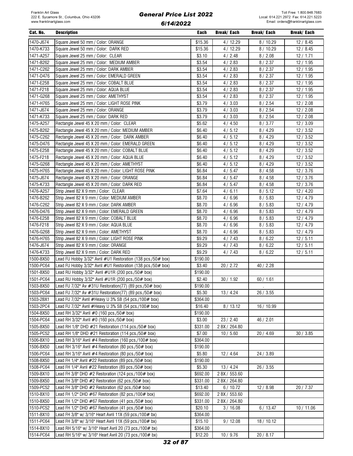| Cat. No.  | <b>Description</b>                                           | Each               | Break/ Each   | Break/ Each | Break/ Each |
|-----------|--------------------------------------------------------------|--------------------|---------------|-------------|-------------|
| 1470-J674 | Square Jewel 50 mm / Color: ORANGE                           | \$15.36            | 4 / 12.29     | 8/10.29     | 12/8.45     |
| 1470-K733 | Square Jewel 50 mm / Color: DARK RED                         | \$15.36            | 4/12.29       | 8/10.29     | 12/8.45     |
| 1471-A257 | Square Jewel 25 mm / Color: CLEAR                            | \$3.10             | 4/2.48        | 8/2.08      | 12/1.71     |
| 1471-B262 | Square Jewel 25 mm / Color: MEDIUM AMBER                     | \$3.54             | 4/2.83        | 8 / 2.37    | 12/1.95     |
| 1471-C262 | Square Jewel 25 mm / Color: DARK AMBER                       | \$3.54             | 4/2.83        | 8/2.37      | 12/1.95     |
| 1471-D476 | Square Jewel 25 mm / Color: EMERALD GREEN                    | \$3.54             | 4/2.83        | 8/2.37      | 12/1.95     |
|           |                                                              |                    |               |             |             |
| 1471-E258 | Square Jewel 25 mm / Color: COBALT BLUE                      | \$3.54             | 4/2.83        | 8/2.37      | 12/1.95     |
| 1471-F218 | Square Jewel 25 mm / Color: AQUA BLUE                        | \$3.54             | 4/2.83        | 8/2.37      | 12/1.95     |
| 1471-G268 | Square Jewel 25 mm / Color: AMETHYST                         | \$3.54             | 4/2.83        | 8/2.37      | 12/1.95     |
| 1471-H765 | Square Jewel 25 mm / Color: LIGHT ROSE PINK                  | \$3.79             | 4/3.03        | 8 / 2.54    | 12/2.08     |
| 1471-J674 | Square Jewel 25 mm / Color: ORANGE                           | \$3.79             | 4/3.03        | 8 / 2.54    | 12/2.08     |
| 1471-K733 | Square Jewel 25 mm / Color: DARK RED                         | \$3.79             | 4/3.03        | 8 / 2.54    | 12/2.08     |
| 1475-A257 | Rectangle Jewel 45 X 20 mm / Color: CLEAR                    | \$5.62             | 4/4.50        | 8/3.77      | 12/3.09     |
| 1475-B262 | Rectangle Jewel 45 X 20 mm / Color: MEDIUM AMBER             | \$6.40             | 4/5.12        | 8/4.29      | 12/3.52     |
| 1475-C262 | Rectangle Jewel 45 X 20 mm / Color: DARK AMBER               | \$6.40             | 4/5.12        | 8/4.29      | 12/3.52     |
| 1475-D476 | Rectangle Jewel 45 X 20 mm / Color: EMERALD GREEN            | \$6.40             | 4/5.12        | 8/4.29      | 12/3.52     |
| 1475-E258 | Rectangle Jewel 45 X 20 mm / Color: COBALT BLUE              | \$6.40             | 4/5.12        | 8/4.29      | 12/3.52     |
| 1475-F218 | Rectangle Jewel 45 X 20 mm / Color: AQUA BLUE                | \$6.40             | 4/5.12        | 8/4.29      | 12/3.52     |
| 1475-G268 | Rectangle Jewel 45 X 20 mm / Color: AMETHYST                 | \$6.40             | 4/5.12        | 8/4.29      | 12/3.52     |
| 1475-H765 | Rectangle Jewel 45 X 20 mm / Color: LIGHT ROSE PINK          | \$6.84             | 4/5.47        | 8/4.58      | 12/3.76     |
| 1475-J674 | Rectangle Jewel 45 X 20 mm / Color: ORANGE                   | \$6.84             | 4/5.47        | 8/4.58      | 12/3.76     |
| 1475-K733 | Rectangle Jewel 45 X 20 mm / Color: DARK RED                 | \$6.84             | 4/5.47        | 8/4.58      | 12/3.76     |
| 1476-A257 | Strip Jewel 82 X 9 mm / Color: CLEAR                         | \$7.64             | 4/6.11        | 8/5.12      | 12/4.20     |
| 1476-B262 | Strip Jewel 82 X 9 mm / Color: MEDIUM AMBER                  | \$8.70             | 4/6.96        | 8/5.83      | 12 / 4.79   |
| 1476-C262 | Strip Jewel 82 X 9 mm / Color: DARK AMBER                    | \$8.70             | 4/6.96        | 8/5.83      | 12 / 4.79   |
| 1476-D476 | Strip Jewel 82 X 9 mm / Color: EMERALD GREEN                 | \$8.70             | 4/6.96        | 8/5.83      | 12 / 4.79   |
| 1476-E258 | Strip Jewel 82 X 9 mm / Color: COBALT BLUE                   | \$8.70             | 4/6.96        | 8/5.83      | 12 / 4.79   |
| 1476-F218 | Strip Jewel 82 X 9 mm / Color: AQUA BLUE                     | \$8.70             | 4/6.96        | 8/5.83      | 12 / 4.79   |
| 1476-G268 | Strip Jewel 82 X 9 mm / Color: AMETHYST                      | \$8.70             | 4/6.96        | 8/5.83      | 12 / 4.79   |
| 1476-H765 | Strip Jewel 82 X 9 mm / Color: LIGHT ROSE PINK               | \$9.29             | 4/7.43        | 8/6.22      | 12/5.11     |
| 1476-J674 | Strip Jewel 82 X 9 mm / Color: ORANGE                        | \$9.29             | 4/7.43        | 8/6.22      | 12/5.11     |
| 1476-K733 | Strip Jewel 82 X 9 mm / Color: DARK RED                      |                    |               |             |             |
| 1500-BX50 |                                                              | \$9.29<br>\$190.00 | 4/7.43        | 8/6.22      | 12/5.11     |
| 1500-PC64 | Lead FU Hobby 3/32" Avril #U1 Restoration (138 pcs./50# box) |                    |               |             |             |
|           | Lead FU Hobby 3/32" Avril #U1 Restoration (138 pcs./50# box) | \$3.40             | 20 / 2.72     | 40 / 2.28   |             |
| 1501-BX50 | Lead RU Hobby 3/32" Avril #U1R (200 pcs./50# box)            | \$190.00           |               |             |             |
| 1501-PC64 | Lead RU Hobby 3/32" Avril #U1R (200 pcs./50# box)            | \$2.40             | 30/1.92       | 60 / 1.61   |             |
| 1503-BX50 | Lead FU 7/32" Av #31U Restoration(77) (89 pcs./50# box)      | \$190.00           |               | $\cdot$     |             |
| 1503-PC64 | Lead FU 7/32" Av #31U Restoration(77) (89 pcs./50# box)      | \$5.30             | 13/4.24       | 26 / 3.55   |             |
| 1503-2BX1 | Lead FU 7/32" Avril #Heavy U 3% SB (54 pcs./100# box)        | \$364.00           |               |             |             |
| 1503-2PC4 | Lead FU 7/32" Avril #Heavy U 3% SB (54 pcs./100# box)        | \$16.40            | 8/13.12       | 16 / 10.99  |             |
| 1504-BX50 | Lead RH 3/32" Avril #0 (160 pcs./50# box)                    | \$190.00           |               |             |             |
| 1504-PC64 | Lead RH 3/32" Avril #0 (160 pcs./50# box)                    | \$3.00             | 23 / 2.40     | 46 / 2.01   |             |
| 1505-BX50 | Lead RH 1/8" DHD $#21$ Restoration (114 pcs./50 $#$ box)     | \$331.00           | 2 BX / 264.80 |             |             |
| 1505-PC52 | Lead RH 1/8" DHD #21 Restoration (114 pcs./50# box)          | \$7.00             | 10/5.60       | 20/4.69     | 30 / 3.85   |
| 1506-BX10 | Lead RH 3/16" Avril #4 Restoration (160 pcs./100# box)       | \$364.00           |               |             |             |
| 1506-BX50 | Lead RH 3/16" Avril #4 Restoration (80 pcs./50# box)         | \$190.00           |               |             |             |
| 1506-PC64 | Lead RH 3/16" Avril #4 Restoration (80 pcs./50# box)         | \$5.80             | 12/4.64       | 24/3.89     |             |
| 1508-BX50 | Lead FH 1/4" Avril #22 Restoration (89 pcs./50# box)         | \$190.00           |               |             |             |
| 1508-PC64 | Lead FH 1/4" Avril #22 Restoration (89 pcs./50# box)         | \$5.30             | 13/4.24       | 26 / 3.55   |             |
| 1509-BX10 | Lead FH 3/8" DHD $\#2$ Restoration (124 pcs./100 $\#$ box)   | \$692.00           | 2 BX / 553.60 |             |             |
| 1509-BX50 | Lead FH 3/8" DHD $\#2$ Restoration (62 pcs./50 $\#$ box)     | \$331.00           | 2 BX / 264.80 |             |             |
| 1509-PC52 | ead FH 3/8" DHD #2 Restoration (62 pcs./50# box)             | \$13.40            | 6/10.72       | 12 / 8.98   | 20 / 7.37   |
| 1510-BX10 | Lead FH 1/2" DHD #67 Restoration (82 pcs./100# box)          | \$692.00           | 2 BX / 553.60 |             |             |
| 1510-BX50 | Lead FH 1/2" DHD $\#67$ Restoration (41 pcs./50 $\#$ box)    | \$331.00           | 2 BX / 264.80 |             |             |
| 1510-PC52 | Lead FH 1/2" DHD $\#67$ Restoration (41 pcs./50 $\#$ box)    | \$20.10            | 3/16.08       | 6/13.47     | 10 / 11.06  |
| 1511-BX10 | Lead FH 3/8" w/ 3/16" Heart Avril 11X (59 pcs./100# bx)      | \$364.00           |               |             |             |
| 1511-PC64 | ead FH 3/8" w/ 3/16" Heart Avril 11X (59 pcs./100# bx)       | \$15.10            | 9/12.08       | 18/10.12    |             |
| 1514-BX10 | Lead RH 5/16" w/ 3/16" Heart Avril 20 (73 pcs./100# bx)      | \$364.00           |               |             |             |
|           |                                                              |                    |               |             |             |
| 1514-PC64 | Lead RH 5/16" w/ 3/16" Heart Avril 20 (73 pcs./100# bx)      | \$12.20            | 10/9.76       | 20/8.17     |             |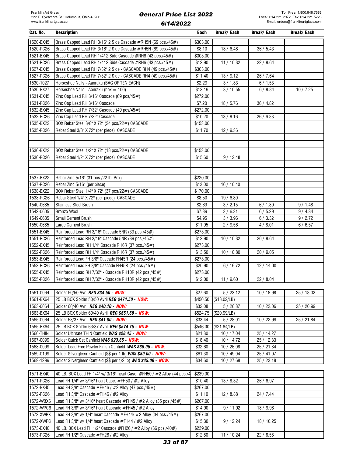| Cat. No.  | <b>Description</b>                                                       | Each     | Break/ Each  | Break/ Each | Break/ Each |
|-----------|--------------------------------------------------------------------------|----------|--------------|-------------|-------------|
| 1520-BX45 | Brass Capped Lead RH 3/16" 2 Side Cascade #RH5N (69 pcs./45#)            | \$303.00 |              |             |             |
| 1520-PC26 | Brass Capped Lead RH 3/16" 2 Side Cascade #RH5N (69 pcs./45#)            | \$8.10   | 18/6.48      | 36 / 5.43   |             |
| 1521-BX45 | Brass Capped Lead RH 1/4" 2 Side Cascade #RH6 (43 pcs./45#)              | \$303.00 |              |             |             |
| 1521-PC26 | Brass Capped Lead RH 1/4" 2 Side Cascade #RH6 (43 pcs./45#)              | \$12.90  | 11 / 10.32   | 22 / 8.64   |             |
| 1527-BX45 | Brass Capped Lead RH 7/32" 2 Side - CASCADE RH4 (49 pcs./45#)            | \$303.00 |              |             |             |
| 1527-PC26 | Brass Capped Lead RH 7/32" 2 Side - CASCADE RH4 (49 pcs./45#)            | \$11.40  | 13/9.12      | 26 / 7.64   |             |
| 1530-1027 | Horseshoe Nails - Aanraku (BAG OF TEN EACH)                              | \$2.29   | 3/1.83       | 6/1.53      |             |
| 1530-BX27 | Horseshoe Nails - Aanraku (box = 100)                                    | \$13.19  | 3/10.55      | 6/8.84      | 10/7.25     |
| 1531-BX45 | Zinc Cap Lead RH 3/16" Cascade (69 pcs/45#)                              | \$272.00 |              |             |             |
| 1531-PC26 | Zinc Cap Lead RH 3/16" Cascade                                           | \$7.20   | 18 / 5.76    | 36/4.82     |             |
| 1532-BX45 | Zinc Cap Lead RH 7/32" Cascade (49 pcs/45#)                              | \$272.00 |              |             |             |
| 1532-PC26 | Zinc Cap Lead RH 7/32" Cascade                                           | \$10.20  | 13/8.16      | 26/6.83     |             |
| 1535-BX22 | BOX Rebar Steel 3/8" X 72" (24 pcs/22#) CASCADE                          | \$153.00 |              |             |             |
| 1535-PC26 | Rebar Steel 3/8" X 72" (per piece) CASCADE                               | \$11.70  | 12/9.36      |             |             |
|           |                                                                          |          |              |             |             |
|           |                                                                          |          |              |             |             |
| 1536-BX22 | BOX Rebar Steel 1/2" X 72" (18 pcs/22#) CASCADE                          | \$153.00 |              |             |             |
| 1536-PC26 | Rebar Steel 1/2" X 72" (per piece) CASCADE                               | \$15.60  | 9/12.48      |             |             |
|           |                                                                          |          |              |             |             |
|           |                                                                          |          |              |             |             |
| 1537-BX22 | Rebar Zinc 5/16" (31 pcs./22 lb. Box)                                    | \$220.00 |              |             |             |
| 1537-PC26 | Rebar Zinc 5/16" (per piece)                                             | \$13.00  | 16/10.40     |             |             |
| 1538-BX22 | BOX Rebar Steel 1/4" X 72" (37 pcs/22#) CASCADE                          | \$170.00 |              |             |             |
| 1538-PC26 | Rebar Steel 1/4" X 72" (per piece) CASCADE                               | \$8.50   | 19/6.80      |             |             |
| 1540-0685 | <b>Stainless Steel Brush</b>                                             | \$2.69   | 3 / 2.15     | 6/1.80      | 9/1.48      |
| 1542-0605 | Bronzo Wool                                                              | \$7.89   | 3/6.31       | 6/5.29      | 9/4.34      |
| 1549-0685 | Small Cement Brush                                                       | \$4.95   | 3/3.96       | 6/3.32      | 9/2.72      |
| 1550-0685 | Large Cement Brush                                                       | \$11.95  | 2/9.56       | 4/8.01      | 6/6.57      |
| 1551-BX45 | Reinforced Lead RH 3/16" Cascade 5NR (39 pcs./45#)                       | \$273.00 |              |             |             |
| 1551-PC26 | Reinforced Lead RH 3/16" Cascade 5NR (39 pcs./45#)                       | \$12.90  | 10 / 10.32   | 20 / 8.64   |             |
| 1552-BX45 | Reinforced Lead RH 1/4" Cascade RH6R (37 pcs./45#)                       | \$273.00 |              |             |             |
| 1552-PC26 | Reinforced Lead RH 1/4" Cascade RH6R (37 pcs./45#)                       | \$13.50  | 10/10.80     | 20/9.05     |             |
| 1553-BX45 | Reinforced Lead FH 3/8" Cascade FH45R (24 pcs./45#)                      | \$273.00 |              |             |             |
| 1553-PC26 | Reinforced Lead FH 3/8" Cascade FH45R (24 pcs./45#)                      | \$20.90  | 6/16.72      | 12 / 14.00  |             |
| 1555-BX45 | Reinforced Lead RH 7/32" - Cascade RH10R (42 pcs./45#)                   | \$273.00 |              |             |             |
| 1555-PC26 | Reinforced Lead RH 7/32" - Cascade RH10R (42 pcs./45#)                   | \$12.00  | 11/9.60      | 22 / 8.04   |             |
|           |                                                                          |          |              |             |             |
| 1561-0064 | Solder 50/50 Avril REG \$34.50 - NOW:                                    | \$27.60  | 5/23.12      | 10 / 18.98  | 25 / 18.02  |
| 1561-BX64 | 25 LB BOX Solder 50/50 Avril REG \$474.50 - NOW:                         | \$450.50 | (\$18.02/LB) |             |             |
| 1563-0064 | Solder 60/40 Avril REG \$40.10 - NOW:                                    | \$32.08  | 5/26.87      | 10 / 22.06  | 25 / 20.99  |
| 1563-BX64 | 25 LB BOX Solder 60/40 Avril REG \$551.50 - NOW:                         | \$524.75 | (\$20.99/LB) |             |             |
| 1565-0064 | Solder 63/37 Avril REG \$41.80 - NOW:                                    | \$33.44  | 5/28.01      | 10 / 22.99  | 25 / 21.84  |
| 1565-BX64 | 25 LB BOX Solder 63/37 Avril REG \$574.75 - NOW:                         | \$546.00 | (\$21.84/LB) |             |             |
| 1566-THIN | Solder Ultimate THIN Canfield WAS \$28.45 - NOW:                         | \$21.30  | 10 / 17.04   | 25 / 14.27  |             |
| 1567-0099 | Solder Quick Set Canfield WAS \$23.65 - NOW:                             | \$18.40  | 10/14.72     | 25 / 12.33  |             |
| 1568-0099 | Solder Lead Free Pewter Finish Canfield WAS \$39.95 - NOW:               | \$32.60  | 10/26.08     | 25 / 21.84  |             |
| 1569-0199 | Solder Silvergleem Canfield (\$\$ per 1 lb) WAS \$89.00 - NOW:           | \$61.30  | 10 / 49.04   | 25 / 41.07  |             |
| 1569-1299 | Solder Silvergleem Canfield (\$\$ per 1/2 lb) WAS \$45.00 - NOW:         | \$34.60  | 10/27.68     | 25 / 23.18  |             |
|           |                                                                          |          |              |             |             |
| 1571-BX40 | 40 LB. BOX Lead FH 1/4" w/ 3/16" heart Casc. #FH50 / #2 Alloy (44 pcs./4 | \$239.00 |              |             |             |
| 1571-PC26 | Lead FH 1/4" w/ 3/16" heart Casc. #FH50 / #2 Alloy                       | \$10.40  | 13 / 8.32    | 26 / 6.97   |             |
| 1572-BX45 | Lead FH 3/8" Cascade #FH46 / #2 Alloy (47 pcs./45#)                      | \$267.00 |              |             |             |
| 1572-PC26 | Lead FH 3/8" Cascade #FH46 / #2 Alloy                                    | \$11.10  | 12/8.88      | 24 / 7.44   |             |
| 1572-WBX6 | Lead FH 3/8" w/ 3/16" heart Cascade #FH45 / #2 Alloy (35 pcs./45#)       | \$267.00 |              |             |             |
| 1572-WPC6 | Lead FH 3/8" w/ 3/16" heart Cascade #FH45 / #2 Alloy                     | \$14.90  | 9/11.92      | 18 / 9.98   |             |
| 1572-XWBX | Lead FH 3/8" w/ 1/4" heart Cascade #FH44/ #2 Alloy (34 pcs./45#)         | \$267.00 |              |             |             |
| 1572-XWPC | Lead FH 3/8" w/ 1/4" heart Cascade #FH44 / #2 Alloy                      | \$15.30  | 9/12.24      | 18 / 10.25  |             |
| 1573-BX40 | 40 LB. BOX Lead FH 1/2" Cascade #FH26 / #2 Alloy (36 pcs./40#)           | \$239.00 |              |             |             |

1573-PC26 Lead FH 1/2" Cascade #FH26 / #2 Alloy \$12.80 11 / 10.24 22 / 8.58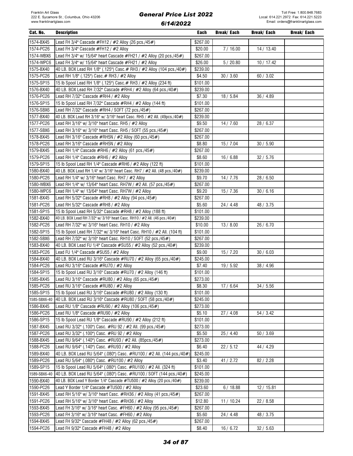| Cat. No.     | <b>Description</b>                                                         | Each     | Break/ Each | Break/ Each | Break/ Each |
|--------------|----------------------------------------------------------------------------|----------|-------------|-------------|-------------|
| 1574-BX45    | Lead FH 3/4" Cascade #FH12 / #2 Alloy (26 pcs./45#)                        | \$267.00 |             |             |             |
| 1574-PC26    | Lead FH 3/4" Cascade #FH12 / #2 Alloy                                      | \$20.00  | 7/16.00     | 14 / 13.40  |             |
| 1574-WBX6    | Lead FH 3/4" w/ 15/64" heart Cascade #FH21 / #2 Alloy (20 pcs./45#)        | \$267.00 |             |             |             |
| 1574-WPC6    | Lead FH 3/4" w/ 15/64" heart Cascade #FH21 / #2 Alloy                      | \$26.00  | 5/20.80     | 10 / 17.42  |             |
| 1575-BX40    | 40 LB. BOX Lead RH 1/8" (.125") Casc.# RH3 / #2 Alloy (104 pcs./40#)       | \$239.00 |             |             |             |
| 1575-PC26    | Lead RH 1/8" (.125") Casc. # RH3 / #2 Alloy                                | \$4.50   | 30 / 3.60   | 60 / 3.02   |             |
| 1575-SP15    | 15 lb Spool Lead RH 1/8" (.125") Casc. # RH3 / #2 Alloy (234 ft)           | \$101.00 |             |             |             |
| 1576-BX40    | 40 LB. BOX Lead RH 7/32" Cascade #RH4 / #2 Alloy (64 pcs./40#)             | \$239.00 |             |             |             |
| 1576-PC26    | Lead RH 7/32" Cascade #RH4 / #2 Alloy                                      | \$7.30   | 18 / 5.84   | 36 / 4.89   |             |
| 1576-SP15    | 15 lb Spool Lead RH 7/32" Cascade #RH4 / #2 Alloy (144 ft)                 | \$101.00 |             |             |             |
| 1576-SBX6    | Lead RH 7/32" Cascade #RH4 / SOFT (72 pcs./45#)                            | \$267.00 |             |             |             |
| 1577-BX40    | 40 LB. BOX Lead RH 3/16" w/ 3/16" heart Casc. RH5 / #2 All. (49pcs./40#)   | \$239.00 |             |             |             |
| 1577-PC26    | Lead RH 3/16" w/ 3/16" heart Casc. RH5 / #2 Alloy                          | \$9.50   | 14/7.60     | 28 / 6.37   |             |
| 1577-SBX6    | Lead RH 3/16" w/ 3/16" heart Casc. RH5 / SOFT (55 pcs./45#)                | \$267.00 |             |             |             |
| 1578-BX45    | Lead RH 3/16" Cascade #RH5N / #2 Alloy (60 pcs./45#)                       | \$267.00 |             |             |             |
| 1578-PC26    | Lead RH 3/16" Cascade #RH5N / #2 Alloy                                     | \$8.80   | 15/7.04     | 30 / 5.90   |             |
| 1579-BX45    |                                                                            | \$267.00 |             |             |             |
|              | Lead RH 1/4" Cascade #RH6 / #2 Alloy (61 pcs./45#)                         |          |             |             |             |
| 1579-PC26    | Lead RH 1/4" Cascade #RH6 / #2 Alloy                                       | \$8.60   | 16/6.88     | 32 / 5.76   |             |
| 1579-SP15    | 15 lb Spool Lead RH 1/4" Cascade #RH6 / #2 Alloy (122 ft)                  | \$101.00 |             |             |             |
| 1580-BX40    | 40 LB. BOX Lead RH 1/4" w/ 3/16" heart Casc. RH7 / #2 All. (48 pcs./40#)   | \$239.00 |             |             |             |
| 1580-PC26    | Lead RH 1/4" w/ 3/16" heart Casc. RH7 / #2 Alloy                           | \$9.70   | 14 / 7.76   | 28 / 6.50   |             |
| 1580-WBX6    | Lead RH 1/4" w/ 13/64" heart Casc. RH7W / #2 All. (57 pcs./45#)            | \$267.00 |             |             |             |
| 1580-WPC6    | Lead RH 1/4" w/ 13/64" heart Casc. RH7W / #2 Alloy                         | \$9.20   | 15/7.36     | 30/6.16     |             |
| 1581-BX45    | Lead RH 5/32" Cascade #RH8 / #2 Alloy (94 pcs./45#)                        | \$267.00 |             |             |             |
| 1581-PC26    | Lead RH 5/32" Cascade #RH8 / #2 Alloy                                      | \$5.60   | 24 / 4.48   | 48 / 3.75   |             |
| 1581-SP15    | 15 lb Spool Lead RH 5/32" Cascade #RH8 / #2 Alloy (188 ft)                 | \$101.00 |             |             |             |
| 1582-BX40    | 40 LB. BOX Lead RH 7/32" w/ 3/16" heart Casc. RH10 / #2 All. (46 pcs./40#) | \$239.00 |             |             |             |
| 1582-PC26    | Lead RH 7/32" w/ 3/16" heart Casc. RH10 / #2 Alloy                         | \$10.00  | 13/8.00     | 26 / 6.70   |             |
| 1582-SP15    | 15 lb Spool Lead RH 7/32" w/ 3/16" heart Casc. RH10 / #2 All. (104 ft)     | \$101.00 |             |             |             |
| 1582-SBX6    | Lead RH 7/32" w/ 3/16" heart Casc. RH10 / SOFT (52 pcs./45#)               | \$267.00 |             |             |             |
| 1583-BX40    | 40 LB. BOX Lead FU 1/4" Cascade #SU55 / #2 Alloy (52 pcs./40#)             | \$239.00 |             |             |             |
| 1583-PC26    | Lead FU 1/4" Cascade #SU55 / #2 Alloy                                      | \$9.00   | 15/7.20     | 30/6.03     |             |
| 1584-BX40    | 40 LB. BOX Lead RU 3/16" Cascade #RU70 / #2 Alloy (65 pcs./40#)            | \$245.00 |             |             |             |
| 1584-PC26    | Lead RU 3/16" Cascade #RU70 / #2 Alloy                                     | \$7.40   | 19 / 5.92   | 38/4.96     |             |
| 1584-SP15    | 15 lb Spool Lead RU 3/16" Cascade #RU70 / #2 Alloy (146 ft)                | \$101.00 |             |             |             |
| 1585-BX45    | Lead RU 3/16" Cascade #RU80 / #2 Alloy (65 pcs./45#)                       | \$273.00 |             |             |             |
| 1585-PC26    | Lead RU 3/16" Cascade #RU80 / #2 Alloy                                     | \$8.30   | 17/6.64     | 34 / 5.56   |             |
| 1585-SP15    | 15 lb Spool Lead RU 3/16" Cascade #RU80 / #2 Alloy (130 ft)                | \$101.00 |             |             |             |
| 1585-SBX6-40 | 40 LB. BOX Lead RU 3/16" Cascade #RU80 / SOFT (58 pcs./40#)                | \$245.00 |             |             |             |
| 1586-BX45    | Lead RU 1/8" Cascade #RU90 / #2 Alloy (106 pcs./45#)                       | \$273.00 |             |             |             |
| 1586-PC26    | Lead RU 1/8" Cascade #RU90 / #2 Alloy                                      | \$5.10   | 27 / 4.08   | 54 / 3.42   |             |
| 1586-SP15    | 15 lb Spool Lead RU 1/8" Cascade #RU90 / #2 Alloy (212 ft)                 | \$101.00 |             |             |             |
| 1587-BX45    | Lead RU 3/32" (.100") Casc. #RU 92 / #2 All. (99 pcs./45#)                 | \$273.00 |             |             |             |
| 1587-PC26    | Lead RU 3/32" (.100") Casc. #RU 92 / #2 Alloy                              | \$5.50   | 25/4.40     | 50/3.69     |             |
| 1588-BX45    | Lead RU 9/64" (.140") Casc. #RU93 / #2 All. (85pcs./45#)                   | \$273.00 |             |             |             |
| 1588-PC26    | Lead RU 9/64" (.140") Casc. #RU93 / #2 Alloy                               | \$6.40   | 22/5.12     | 44 / 4.29   |             |
| 1589-BX40    | 40 LB. BOX Lead RU 5/64" (.080") Casc. #RU100 / #2 All. (144 pcs./40#)     | \$245.00 |             |             |             |
| 1589-PC26    | Lead RU 5/64" (.080") Casc. #RU100 / #2 Alloy                              | \$3.40   | 41 / 2.72   | 82 / 2.28   |             |
| 1589-SP15    | 15 lb Spool Lead RU 5/64" (.080") Casc. #RU100 / #2 All. (324 ft)          | \$101.00 |             |             |             |
| 1589-SBX6-40 | 40 LB. BOX Lead RU 5/64" (.080") Casc. #RU100 / SOFT (144 pcs./40#)        | \$245.00 |             |             |             |
| 1590-BX40    | 40 LB. BOX Lead Y Border 1/4" Cascade #TU500 / #2 Alloy (20 pcs./40#)      | \$239.00 |             |             |             |
| 1590-PC26    | Lead Y Border 1/4" Cascade #TU500 / #2 Alloy                               | \$23.60  | 6/18.88     | 12/15.81    |             |
| 1591-BX45    | Lead RH 5/16" w/ 3/16" heart Casc. #RH36 / #2 Alloy (41 pcs./45#)          | \$267.00 |             |             |             |
| 1591-PC26    | Lead RH 5/16" w/ 3/16" heart Casc. #RH36 / #2 Alloy                        | \$12.80  | 11 / 10.24  | 22 / 8.58   |             |
| 1593-BX45    | Lead FH 3/16" w/ 3/16" heart Casc. #FH60 / #2 Alloy (95 pcs./45#)          | \$267.00 |             |             |             |
| 1593-PC26    | Lead FH 3/16" w/ 3/16" heart Casc. #FH60 / #2 Alloy                        | \$5.60   | 24/4.48     | 48 / 3.75   |             |
| 1594-BX45    | Lead FH 9/32" Cascade #FH48 / #2 Alloy (62 pcs./45#)                       | \$267.00 |             |             |             |
| 1594-PC26    | Lead FH 9/32" Cascade #FH48 / #2 Alloy                                     | \$8.40   | 16/6.72     | 32 / 5.63   |             |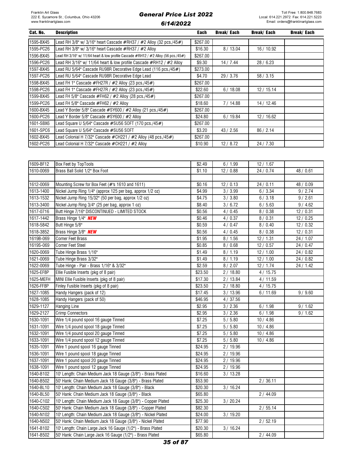| Cat. No.  | <b>Description</b>                                                                           | Each     | Break/ Each | Break/ Each | Break/ Each |
|-----------|----------------------------------------------------------------------------------------------|----------|-------------|-------------|-------------|
| 1595-BX45 | Lead RH 3/8" w/ 3/16" heart Cascade #RH37 / #2 Alloy (32 pcs./45#)                           | \$267.00 |             |             |             |
| 1595-PC26 | Lead RH 3/8" w/ 3/16" heart Cascade #RH37 / #2 Alloy                                         | \$16.30  | 8/13.04     | 16 / 10.92  |             |
| 1596-BX45 | Lead RH 3/16" w/ 11/64 heart & low profile Cascade $\#RH12$ / $\#2$ Alloy (56 pcs./45 $\#$ ) | \$267.00 |             |             |             |
| 1596-PC26 | Lead RH 3/16" w/ 11/64 heart & low profile Cascade #RH12 / #2 Alloy                          | \$9.30   | 14/7.44     | 28/6.23     |             |
| 1597-BX45 | Lead RU 5/64" Cascade RU98R Decorative Edge Lead (116 pcs./45#)                              | \$273.00 |             |             |             |
| 1597-PC26 | Lead RU 5/64" Cascade RU98R Decorative Edge Lead                                             | \$4.70   | 29 / 3.76   | 58/3.15     |             |
| 1598-BX45 | Lead FH 1" Cascade #FH27R / #2 Alloy (23 pcs./45#)                                           | \$267.00 |             |             |             |
| 1598-PC26 | Lead FH 1" Cascade #FH27R / #2 Alloy (23 pcs./45#)                                           | \$22.60  | 6/18.08     | 12/15.14    |             |
| 1599-BX45 | Lead FH 5/8" Cascade #FH62 / #2 Alloy (28 pcs./45#)                                          | \$267.00 |             |             |             |
| 1599-PC26 | Lead FH 5/8" Cascade #FH62 / #2 Allov                                                        | \$18.60  | 7/14.88     | 14 / 12.46  |             |
| 1600-BX45 | Lead Y Border 5/8" Cascade #SY600 / #2 Alloy (21 pcs./45#)                                   | \$267.00 |             |             |             |
| 1600-PC26 | Lead Y Border 5/8" Cascade #SY600 / #2 Alloy                                                 | \$24.80  | 6/19.84     | 12 / 16.62  |             |
| 1601-SBX6 | Lead Square U 5/64" Cascade #SU56 SOFT (170 pcs./45#)                                        | \$267.00 |             |             |             |
| 1601-SPC6 | Lead Square U 5/64" Cascade #SU56 SOFT                                                       | \$3.20   | 43 / 2.56   | 86/2.14     |             |
| 1602-BX45 | Lead Colonial H 7/32" Cascade #CH221 / #2 Alloy (48 pcs./45#)                                | \$267.00 |             |             |             |
| 1602-PC26 | Lead Colonial H 7/32" Cascade #CH221 / #2 Alloy                                              | \$10.90  | 12/8.72     | 24/7.30     |             |

| 1609-BF12 | Box Feet by TopTools                                          | \$2.49  | 6/1.99    | 12/1.67   |           |
|-----------|---------------------------------------------------------------|---------|-----------|-----------|-----------|
| 1610-0069 | Brass Ball Solid 1/2" Box Foot                                | \$1.10  | 12/0.88   | 24 / 0.74 | 48 / 0.61 |
|           |                                                               |         |           |           |           |
| 1612-0069 | Mounting Screw for Box Feet (#'s 1610 and 1611)               | \$0.16  | 12/0.13   | 24/0.11   | 48 / 0.09 |
| 1613-1400 | Nickel Jump Ring 1/4" (approx 125 per bag, approx 1/2 oz)     | \$4.99  | 3 / 3.99  | 6/3.34    | 9/2.74    |
| 1613-1532 | Nickel Jump Ring 15/32" (50 per bag, approx 1/2 oz)           | \$4.75  | 3 / 3.80  | 6/3.18    | 9/2.61    |
| 1613-3400 | Nickel Jump Ring 3/4" (25 per bag, approx 1 oz)               | \$8.40  | 3/6.72    | 6/5.63    | 9/4.62    |
| 1617-0716 | Butt Hinge 7/16" DISCONTINUED - LIMITED STOCK                 | \$0.56  | 4/0.45    | 8/0.38    | 12/0.31   |
| 1617-1442 | Brass Hinge 1/4" NEW                                          | \$0.46  | 4/0.37    | 8/0.31    | 12/0.25   |
| 1618-5842 | Butt Hinge 5/8"                                               | \$0.59  | 4/0.47    | 8/0.40    | 12/0.32   |
| 1618-3852 | Brass Hinge 3/8" NEW                                          | \$0.56  | 4/0.45    | 8/0.38    | 12/0.31   |
| 1619B-069 | Corner Feet Brass                                             | \$1.95  | 8/1.56    | 12 / 1.31 | 24 / 1.07 |
| 1619S-069 | <b>Corner Feet Steel</b>                                      | \$0.85  | 8/0.68    | 12/0.57   | 24 / 0.47 |
| 1620-0069 | Tube Hinge Brass 1/16"                                        | \$1.49  | 8/1.19    | 12/1.00   | 24 / 0.82 |
| 1621-0069 | Tube Hinge Brass 3/32"                                        | \$1.49  | 8/1.19    | 12/1.00   | 24 / 0.82 |
| 1622-0069 | Tube Hinge - Pair - Brass 1/16" & 3/32"                       | \$2.59  | 8/2.07    | 12/1.74   | 24 / 1.42 |
| 1625-EF8P | Ellie Fusible Inserts (pkg of 8 pair)                         | \$23.50 | 2/18.80   | 4/15.75   |           |
| 1625-MEFH | MINI Ellie Fusible Inserts (pkg of 8 pair)                    | \$17.30 | 2/13.84   | 4/11.59   |           |
| 1626-FF8P | Finley Fusible Inserts (pkg of 8 pair)                        | \$23.50 | 2/18.80   | 4/15.75   |           |
| 1627-1085 | Handy Hangers (pack of 12)                                    | \$17.45 | 3/13.96   | 6/11.69   | 9/9.60    |
| 1628-1085 | Handy Hangers (pack of 50)                                    | \$46.95 | 4/37.56   |           |           |
| 1629-1127 | <b>Hanging Line</b>                                           | \$2.95  | 3 / 2.36  | 6/1.98    | 9/1.62    |
| 1629-2127 | <b>Crimp Connectors</b>                                       | \$2.95  | 3 / 2.36  | 6/1.98    | 9/1.62    |
| 1630-1091 | Wire 1/4 pound spool 16 gauge Tinned                          | \$7.25  | 5/5.80    | 10/4.86   |           |
| 1631-1091 | Wire 1/4 pound spool 18 gauge Tinned                          | \$7.25  | 5/5.80    | 10/4.86   |           |
| 1632-1091 | Wire 1/4 pound spool 20 gauge Tinned                          | \$7.25  | 5/5.80    | 10/4.86   |           |
| 1633-1091 | Wire 1/4 pound spool 12 gauge Tinned                          | \$7.25  | 5/5.80    | 10/4.86   |           |
| 1635-1091 | Wire 1 pound spool 16 gauge Tinned                            | \$24.95 | 2/19.96   |           |           |
| 1636-1091 | Wire 1 pound spool 18 gauge Tinned                            | \$24.95 | 2/19.96   |           |           |
| 1637-1091 | Wire 1 pound spool 20 gauge Tinned                            | \$24.95 | 2/19.96   |           |           |
| 1638-1091 | Wire 1 pound spool 12 gauge Tinned                            | \$24.95 | 2/19.96   |           |           |
| 1640-B102 | 10' Length: Chain Medium Jack 18 Gauge (3/8") - Brass Plated  | \$16.60 | 3/13.28   |           |           |
| 1640-B502 | 50' Hank: Chain Medium Jack 18 Gauge (3/8") - Brass Plated    | \$53.90 |           | 2/36.11   |           |
| 1640-BL10 | 10' Length: Chain Medium Jack 18 Gauge (3/8") - Black         | \$20.30 | 3/16.24   |           |           |
| 1640-BL50 | 50' Hank: Chain Medium Jack 18 Gauge (3/8") - Black           | \$65.80 |           | 2/44.09   |           |
| 1640-C102 | 10' Length: Chain Medium Jack 18 Gauge (3/8") - Copper Plated | \$25.30 | 3 / 20.24 |           |           |
| 1640-C502 | 50' Hank: Chain Medium Jack 18 Gauge (3/8") - Copper Plated   | \$82.30 |           | 2/55.14   |           |
| 1640-N102 | 10' Length: Chain Medium Jack 18 Gauge (3/8") - Nickel Plated | \$24.00 | 3/19.20   |           |           |
| 1640-N502 | 50' Hank: Chain Medium Jack 18 Gauge (3/8") - Nickel Plated   | \$77.90 |           | 2/52.19   |           |
| 1641-B102 | 10' Length: Chain Large Jack 16 Gauge (1/2") - Brass Plated   | \$20.30 | 3/16.24   |           |           |
| 1641-B502 | 50' Hank: Chain Large Jack 16 Gauge (1/2") - Brass Plated     | \$65.80 |           | 2/44.09   |           |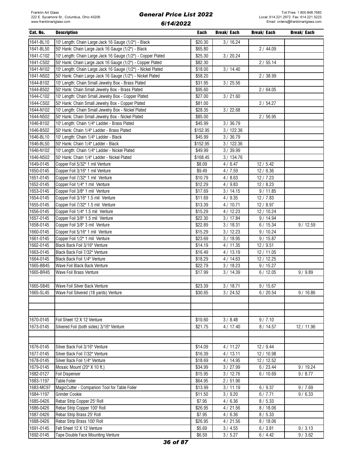| Cat. No.  | <b>Description</b>                                           | Each     | Break/ Each | Break/ Each | <b>Break/Each</b> |
|-----------|--------------------------------------------------------------|----------|-------------|-------------|-------------------|
| 1641-BL10 | 10' Length: Chain Large Jack 16 Gauge (1/2") - Black         | \$20.30  | 3/16.24     |             |                   |
| 1641-BL50 | 50' Hank: Chain Large Jack 16 Gauge (1/2") - Black           | \$65.80  |             | 2/44.09     |                   |
| 1641-C102 | 10' Length: Chain Large Jack 16 Gauge (1/2") - Copper Plated | \$25.30  | 3 / 20.24   |             |                   |
| 1641-C502 | 50' Hank: Chain Large Jack 16 Gauge (1/2") - Copper Plated   | \$82.30  |             | 2/55.14     |                   |
| 1641-N102 | 10' Length: Chain Large Jack 16 Gauge (1/2") - Nickel Plated | \$18.00  | 3/14.40     |             |                   |
| 1641-N502 | 50' Hank: Chain Large Jack 16 Gauge (1/2") - Nickel Plated   | \$58.20  |             | 2 / 38.99   |                   |
| 1644-B102 | 10' Length: Chain Small Jewelry Box - Brass Plated           | \$31.95  | 3 / 25.56   |             |                   |
| 1644-B502 | 50' Hank: Chain Small Jewelry Box - Brass Plated             | \$95.60  |             | 2/64.05     |                   |
| 1644-C102 | 10' Length: Chain Small Jewelry Box - Copper Plated          | \$27.00  | 3/21.60     |             |                   |
| 1644-C502 | 50' Hank: Chain Small Jewelry Box - Copper Plated            | \$81.00  |             | 2/54.27     |                   |
| 1644-N102 | 10' Length: Chain Small Jewelry Box - Nickel Plated          | \$28.35  | 3/22.68     |             |                   |
| 1644-N502 | 50' Hank: Chain Small Jewelry Box - Nickel Plated            | \$85.00  |             | 2/56.95     |                   |
| 1646-B102 | 10' Length: Chain 1/4" Ladder - Brass Plated                 | \$45.99  | 3 / 36.79   |             |                   |
| 1646-B502 | 50' Hank: Chain 1/4" Ladder - Brass Plated                   | \$152.95 | 3 / 122.36  |             |                   |
| 1646-BL10 | 10' Length: Chain 1/4" Ladder - Black                        | \$45.99  | 3/36.79     |             |                   |
| 1646-BL50 | 50' Hank: Chain 1/4" Ladder - Black                          | \$152.95 | 3/122.36    |             |                   |
| 1646-N102 | 10' Length: Chain 1/4" Ladder - Nickel Plated                | \$49.99  | 3/39.99     |             |                   |
| 1646-N502 | 50' Hank: Chain 1/4" Ladder - Nickel Plated                  | \$168.45 | 3/134.76    |             |                   |
| 1649-0145 | Copper Foil 5/32" 1 mil Venture                              | \$8.09   | 4/6.47      | 12/5.42     |                   |
| 1650-0145 | Copper Foil 3/16" 1 mil Venture                              | \$9.49   | 4/7.59      | 12/6.36     |                   |
| 1651-0145 | Copper Foil 7/32" 1 mil Venture                              | \$10.79  | 4/8.63      | 12/7.23     |                   |
| 1652-0145 | Copper Foil 1/4" 1 mil Venture                               | \$12.29  | 4/9.83      | 12/8.23     |                   |
| 1653-0145 | Copper Foil 3/8" 1 mil Venture                               | \$17.69  | 3/14.15     | 9/11.85     |                   |
| 1654-0145 | Copper Foil 3/16" 1.5 mil Venture                            | \$11.69  | 4/9.35      | 12/7.83     |                   |
| 1655-0145 | Copper Foil 7/32" 1.5 mil Venture                            | \$13.39  | 4/10.71     | 12/8.97     |                   |
| 1656-0145 | Copper Foil 1/4" 1.5 mil Venture                             | \$15.29  | 4/12.23     | 12 / 10.24  |                   |
| 1657-0145 | Copper Foil 3/8" 1.5 mil Venture                             | \$22.30  | 3/17.84     | 9/14.94     |                   |
| 1658-0145 | Copper Foil 3/8" 3 mil Venture                               | \$22.89  | 3/18.31     | 6/15.34     | 9/12.59           |
| 1660-0145 | Copper Foil 5/16" 1 mil Venture                              | \$15.29  | 3/12.23     | 9/10.24     |                   |
| 1661-0145 | Copper Foil 1/2" 1 mil Venture                               | \$23.69  | 3/18.95     | 9/15.87     |                   |
| 1662-0145 | Black Back Foil 3/16" Venture                                | \$14.19  | 4/11.35     | 12/9.51     |                   |
| 1663-0145 | Black Back Foil 7/32" Venture                                | \$16.49  | 4/13.19     | 12 / 11.05  |                   |
| 1664-0145 | Black Back Foil 1/4" Venture                                 | \$18.29  | 4/14.63     | 12 / 12.25  |                   |
| 1665-BB45 | Wave Foil Black Back Venture                                 | \$22.79  | 3/18.23     | 9/15.27     |                   |
| 1665-BR45 | Wave Foil Brass Venture                                      | \$17.99  | 3/14.39     | 6/12.05     | 9/9.89            |
|           |                                                              |          |             |             |                   |
| 1665-SB45 | Wave Foil Silver Back Venture                                | \$23.39  | 3/18.71     | 9/15.67     |                   |
| 1665-SL45 | Wave Foil Silvered (18 yards) Venture                        | \$30.65  | 3 / 24.52   | 6/20.54     | 9/16.86           |
|           |                                                              |          |             |             |                   |
|           |                                                              |          |             |             |                   |
|           |                                                              |          |             |             |                   |
| 1670-0145 | Foil Sheet 12 X 12 Venture                                   | \$10.60  | 3 / 8.48    | 9/7.10      |                   |
| 1673-0145 | Silvered Foil (both sides) 3/16" Venture                     | \$21.75  | 4/17.40     | 8/14.57     | 12 / 11.96        |
|           |                                                              |          |             |             |                   |
|           |                                                              |          |             |             |                   |
| 1676-0145 | Silver Back Foil 3/16" Venture                               | \$14.09  | 4/11.27     | 12 / 9.44   |                   |
| 1677-0145 | Silver Back Foil 7/32" Venture                               | \$16.39  | 4/13.11     | 12 / 10.98  |                   |
| 1678-0145 | Silver Back Foil 1/4" Venture                                | \$18.69  | 4 / 14.95   | 12 / 12.52  |                   |
| 1679-0145 | Mosaic Mount (20" X 10 ft.)                                  | \$34.99  | 3 / 27.99   | 6/23.44     | 9/19.24           |
| 1682-0127 | <b>Foil Dispenser</b>                                        | \$15.95  | 3/12.76     | 6/10.69     | 9/8.77            |
| 1683-1197 | <b>Table Foiler</b>                                          | \$64.95  | 2/51.96     |             |                   |
| 1683-MC97 | MagicCutter - Companion Tool for Table Foiler                | \$13.99  | 3/11.19     | 6/9.37      | 9/7.69            |
| 1684-1197 | <b>Grinder Cookie</b>                                        | \$11.50  | 3 / 9.20    | 6/7.71      | 9/6.33            |
| 1685-0426 | Rebar Strip Copper 25' Roll                                  | \$7.95   | 4/6.36      | 8/5.33      |                   |
| 1686-0426 | Rebar Strip Copper 100' Roll                                 | \$26.95  | 4/21.56     | 8/18.06     |                   |
| 1687-0426 | Rebar Strip Brass 25' Roll                                   | \$7.95   | 4/6.36      | 8/5.33      |                   |
| 1688-0426 | Rebar Strip Brass 100' Roll                                  | \$26.95  | 4/21.56     | 8/18.06     |                   |
| 1691-0145 | Felt Sheet 12 X 12 Venture                                   | \$5.69   | 3 / 4.55    | 6/3.81      | 9/3.13            |
| 1692-0145 | Tape Double Face Mounting Venture                            | \$6.59   | 3 / 5.27    | 6/4.42      | 9/3.62            |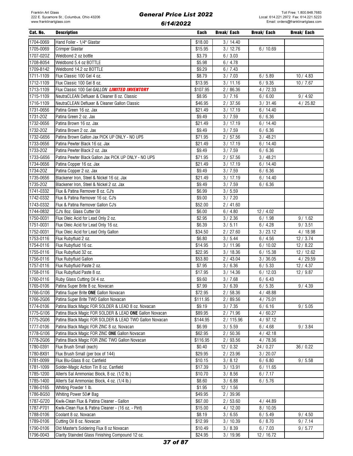| Cat. No.  | <b>Description</b>                                      | Each                | Break/ Each | Break/ Each | Break/ Each |
|-----------|---------------------------------------------------------|---------------------|-------------|-------------|-------------|
| 1704-0069 | Hand Foiler - 1/4" Glastar                              | \$18.00             | 3/14.40     |             |             |
| 1705-0069 | Crimper Glastar                                         | \$15.95             | 3/12.76     | 6/10.69     |             |
| 1707-020Z | Weldbond 2 oz bottle                                    | \$3.79              | 6/3.03      |             |             |
| 1708-B054 | Weldbond 5.4 oz BOTTLE                                  | \$5.98              | 6/4.78      |             |             |
| 1709-B142 | Weldbond 14.2 oz BOTTLE                                 | \$9.29              | 6/7.43      |             |             |
| 1711-1109 | Flux Classic 100 Gel 4 oz.                              | \$8.79              | 3 / 7.03    | 6/5.89      | 10/4.83     |
| 1712-1109 | Flux Classic 100 Gel 8 oz.                              | $\overline{$}13.95$ | 3/11.16     | 6/9.35      | 10/7.67     |
| 1713-1109 | Flux Classic 100 Gel GALLON LIMITED INVENTORY           | \$107.95            | 2/86.36     | 4/72.33     |             |
| 1715-1109 | NeutraCLEAN Defluxer & Cleaner 8 oz. Classic            | \$8.95              | 3/7.16      | 6/6.00      | 9/4.92      |
| 1716-1109 | NeutraCLEAN Defluxer & Cleaner Gallon Classic           | \$46.95             | 2/37.56     | 3 / 31.46   | 4/25.82     |
| 1731-0656 | Patina Green 16 oz. Jax                                 | \$21.49             | 3/17.19     | 6/14.40     |             |
| 1731-20Z  | Patina Green 2 oz. Jax                                  | \$9.49              | 3 / 7.59    | 6/6.36      |             |
| 1732-0656 | Patina Brown 16 oz. Jax                                 | \$21.49             | 3/17.19     | 6/14.40     |             |
| 1732-20Z  | Patina Brown 2 oz. Jax                                  | \$9.49              | 3 / 7.59    | 6/6.36      |             |
| 1732-G656 | Patina Brown Gallon Jax PICK UP ONLY - NO UPS           | \$71.95             | 2/57.56     | 3/48.21     |             |
| 1733-0656 | Patina Pewter Black 16 oz. Jax                          | \$21.49             | 3/17.19     | 6/14.40     |             |
| 1733-20Z  | Patina Pewter Black 2 oz. Jax                           | \$9.49              | 3 / 7.59    | 6/6.36      |             |
| 1733-G656 | Patina Pewter Black Gallon Jax PICK UP ONLY - NO UPS    | \$71.95             | 2/57.56     | 3/48.21     |             |
| 1734-0656 | Patina Copper 16 oz. Jax                                | \$21.49             | 3/17.19     | 6/14.40     |             |
| 1734-20Z  | Patina Copper 2 oz. Jax                                 | \$9.49              | 3/7.59      | 6/6.36      |             |
| 1735-0656 | Blackener Iron, Steel & Nickel 16 oz. Jax               | \$21.49             | 3/17.19     | 6/14.40     |             |
| 1735-20Z  | Blackener Iron, Steel & Nickel 2 oz. Jax                | \$9.49              | 3/7.59      | 6/6.36      |             |
| 1741-0332 | Flux & Patina Remover 8 oz. CJ's                        | \$6.99              | 3 / 5.59    |             |             |
| 1742-0332 | Flux & Patina Remover 16 oz. CJ's                       | \$9.00              | 3/7.20      |             |             |
| 1743-0332 | Flux & Patina Remover Gallon CJ's                       | \$52.00             | 2 / 41.60   |             |             |
| 1744-0832 | CJ's 8oz. Glass Cutter Oil                              | \$6.00              | 6/4.80      | 12/4.02     |             |
| 1750-0031 | Flux Oleic Acid for Lead Only 2 oz.                     | \$2.95              | 3 / 2.36    | 6/1.98      | 9/1.62      |
| 1751-0031 | Flux Oleic Acid for Lead Only 16 oz.                    | \$6.39              | 3/5.11      | 6/4.28      | 9/3.51      |
| 1752-0031 | Flux Oleic Acid for Lead Only Gallon                    | \$34.50             | 2/27.60     | 3/23.12     | 4/18.98     |
| 1753-0116 | Flux Rubyfluid 2 oz.                                    | \$6.80              | 3 / 5.44    | 6/4.56      | 12/3.74     |
| 1754-0116 | Flux Rubyfluid 16 oz.                                   | \$14.95             | 3/11.96     | 6/10.02     | 12/8.22     |
| 1755-0116 | Flux Rubyfluid 32 oz.                                   | 322.95              | 3/18.36     | 6/15.38     | 12 / 12.62  |
| 1756-0116 | Flux Rubyfluid Gallon                                   | \$53.80             | 2/43.04     | 3/36.05     | 4/29.59     |
| 1757-0116 | Flux Rubyfluid Paste 2 oz.                              | \$7.95              | 3/6.36      | 6/5.33      | 12/4.37     |
| 1758-0116 | Flux Rubyfluid Paste 8 oz.                              | \$17.95             | 3/14.36     | 6/12.03     | 12/9.87     |
| 1760-0116 | Ruby Glass Cutting Oil 4 oz.                            | \$9.60              | 3 / 7.68    | 6/6.43      |             |
| 1765-0106 | Patina Super Brite 8 oz. Novacan                        | \$7.99              | 3/6.39      | 6/5.35      | 9/4.39      |
| 1766-G106 | Patina Super Brite ONE Gallon Novacan                   | \$72.95             | 2/58.36     | 4 / 48.88   |             |
| 1766-2G06 | Patina Super Brite TWO Gallon Novacan                   | \$111.95            | 2/89.56     | 4/75.01     |             |
| 1774-0106 | Patina Black Magic FOR SOLDER & LEAD 8 oz. Novacan      | \$9.19              | 3/7.35      | 6/6.16      | 9/5.05      |
| 1775-G106 | Patina Black Magic FOR SOLDER & LEAD ONE Gallon Novacan | \$89.95             | 2/71.96     | 4/60.27     |             |
| 1775-2G06 | Patina Black Magic FOR SOLDER & LEAD TWO Gallon Novacan | \$144.95            | 2/115.96    | 4/97.12     |             |
| 1777-0106 | Patina Black Magic FOR ZINC 8 oz. Novacan               | \$6.99              | 3/5.59      | 6/4.68      | 9/3.84      |
| 1778-G106 | Patina Black Magic FOR ZINC ONE Gallon Novacan          | \$62.95             | 2/50.36     | 4/42.18     |             |
| 1778-2G06 | Patina Black Magic FOR ZINC TWO Gallon Novacan          | \$116.95            | 2/93.56     | 4/78.36     |             |
| 1780-0391 | Flux Brush Small (each)                                 | \$0.40              | 12/0.32     | 24 / 0.27   | 36 / 0.22   |
| 1780-BX91 | Flux Brush Small (per box of 144)                       | \$29.95             | 2/23.96     | 3/20.07     |             |
| 1781-0099 | Flux Blu-Glass 8 oz. Canfield                           | \$10.15             | 3/8.12      | 6/6.80      | 9/5.58      |
| 1781-1099 | Solder-Magic Action Tin 8 oz. Canfield                  | \$17.39             | 3/13.91     | 6/11.65     |             |
| 1785-1200 | Allen's Sal Ammoniac Block, 8 oz. (1/2 lb.)             | \$10.70             | 3/8.56      | 6/7.17      |             |
| 1785-1400 | Allen's Sal Ammoniac Block, 4 oz. (1/4 lb.)             | \$8.60              | 3/6.88      | 6/5.76      |             |
| 1786-0165 | Whiting Powder 1 lb.                                    | \$1.95              | 12 / 1.56   |             |             |
| 1786-BG50 | Whiting Power 50# Bag                                   | \$49.95             | 2 / 39.96   |             |             |
| 1787-G720 | Kwik-Clean Flux & Patina Cleaner - Gallon               | \$67.00             | 2/53.60     | 4 / 44.89   |             |
| 1787-P701 | Kwik-Clean Flux & Patina Cleaner - (16 oz. - Pint)      | \$15.00             | 4/12.00     | 8/10.05     |             |
| 1788-0106 | Coolant 8 oz. Novacan                                   | \$8.19              | 3/6.55      | 6/5.49      | 9/4.50      |
| 1789-0106 | Cutting Oil 8 oz. Novacan                               | \$12.99             | 3/10.39     | 6/8.70      | 9/7.14      |
| 1790-0106 | Old Master's Soldering Flux 8 oz Novacan                | \$10.49             | 3 / 8.39    | 6/7.03      | 9/5.77      |
| 1796-0043 | Clarity Stainded Glass Finishing Compound 12 oz.        | \$24.95             | 3/19.96     | 12/16.72    |             |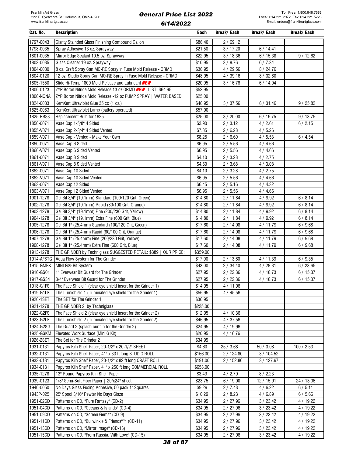| Cat. No.   | <b>Description</b>                                                        | Each     | Break/ Each | Break/ Each | Break/ Each |
|------------|---------------------------------------------------------------------------|----------|-------------|-------------|-------------|
| 1797-0043  | Clarity Stainded Glass Finishing Compound Gallon                          | \$86.40  | 2/69.12     |             |             |
| 1798-0035  | Spray Adhesive 13 oz. Sprayway                                            | \$21.50  | 3 / 17.20   | 6/14.41     |             |
| 1801-0035  | Mirror Edge Sealant 10.5 oz. Sprayway                                     | \$22.95  | 3/18.36     | 6/15.38     | 9/12.62     |
| 1803-0035  | Glass Cleaner 19 oz. Sprayway                                             | \$10.95  | 3 / 8.76    | 6/7.34      |             |
| 1804-0080  | 8 oz. Craft Spray Can MO-RE Spray 'n Fuse Mold Release - ORMD             | \$36.95  | 4/29.56     | 8/24.76     |             |
| 1804-0120  |                                                                           | \$48.95  |             |             |             |
|            | 12 oz. Studio Spray Can MO-RE Spray 'n Fuse Mold Release - ORMD           |          | 4/39.16     | 8/32.80     |             |
| 1805-1550  | Slide Hi-Temp 1800 Mold Release and Lubricant <b>NEW</b>                  | \$20.95  | 3/16.76     | 6/14.04     |             |
| 1806-0123  | ZYP Boron Nitride Mold Release 13 oz ORMD <b>NEW</b> LIST: \$64.95        | \$52.95  |             |             |             |
| 1806-NONA  | ZYP Boron Nitride Mold Release -12 oz PUMP SPRAY   WATER BASED            | \$25.00  |             |             |             |
| 1824-0083  | KemXert Ultraviolet Glue 35 cc (1 oz.)                                    | \$46.95  | 3 / 37.56   | 6/31.46     | 9/25.82     |
| 1825-0083  | KemXert Ultraviolet Lamp (battery operated)                               | \$57.00  |             |             |             |
| 1825-RB83  | Replacement Bulb for 1825                                                 | \$25.00  | 3/20.00     | 6/16.75     | 9/13.75     |
| 1850-0071  | Vase Cap 1-5/8" 4 Sided                                                   | \$3.90   | 2/3.12      | 4/2.61      | 6/2.15      |
| 1855-V071  | Vase Cap 2-3/4" 4 Sided Vented                                            | \$7.85   | 2/6.28      | 4/5.26      |             |
| 1859-V071  | Vase Cap - Vented - Make Your Own                                         | \$8.25   | 2/6.60      | 4/5.53      | 6/4.54      |
| 1860-0071  | Vase Cap 6 Sided                                                          | \$6.95   | 2/5.56      | 4/4.66      |             |
| 1860-V071  | Vase Cap 6 Sided Vented                                                   | \$6.95   | 2/5.56      | 4/4.66      |             |
| 1861-0071  | Vase Cap 8 Sided                                                          | \$4.10   | 2/3.28      | 4/2.75      |             |
| 1861-V071  | Vase Cap 8 Sided Vented                                                   | \$4.60   | 2/3.68      | 4/3.08      |             |
| 1862-0071  | Vase Cap 10 Sided                                                         | \$4.10   | 2/3.28      | 4/2.75      |             |
| 1862-V071  | Vase Cap 10 Sided Vented                                                  | \$6.95   | 2/5.56      | 4/4.66      |             |
| 1863-0071  | Vase Cap 12 Sided                                                         | \$6.45   | 2/5.16      | 4/4.32      |             |
| 1863-V071  | Vase Cap 12 Sided Vented                                                  | \$6.95   | 2/5.56      | 4/4.66      |             |
| 1901-1278  | Gel Bit 3/4" (19.1mm) Standard (100/120 Grit, Green)                      | \$14.80  | 2/11.84     | 4/9.92      | 6/8.14      |
| 1902-1278  | Gel Bit 3/4" (19.1mm) Rapid (80/100 Grit, Orange)                         | \$14.80  | 2/11.84     | 4/9.92      | 6/8.14      |
| 1903-1278  | Gel Bit 3/4" (19.1mm) Fine (200/230 Grit, Yellow)                         | \$14.80  | 2/11.84     | 4/9.92      | 6/8.14      |
| 1904-1278  | Gel Bit 3/4" (19.1mm) Extra Fine (600 Grit, Blue)                         | \$14.80  | 2/11.84     | 4/9.92      | 6/8.14      |
| 1905-1278  | Gel Bit 1" (25.4mm) Standard (100/120 Grit, Green)                        | \$17.60  | 2/14.08     | 4/11.79     | 6/9.68      |
|            |                                                                           |          |             |             |             |
| 1906-1278  | Gel Bit 1" (25.4mm) Rapid (80/100 Grit, Orange)                           | \$17.60  | 2/14.08     | 4/11.79     | 6/9.68      |
| 1907-1278  | Gel Bit 1" (25.4mm) Fine (200/230 Grit, Yellow)                           | \$17.60  | 2/14.08     | 4/11.79     | 6/9.68      |
| 1908-1278  | Gel Bit 1" (25.4mm) Extra Fine (600 Grit, Blue)                           | \$17.60  | 2/14.08     | 4/11.79     | 6/9.68      |
| 1913-1278  | THE GRINDER by Techniglass SUGGESTED RETAIL: \$389  <br><b>OUR PRICE:</b> | \$359.00 |             |             |             |
| 1914-AFSTG | Aqua Flow System for The Grinder                                          | \$17.00  | 2/13.60     | 4/11.39     | 6/9.35      |
| 1915-GMBK  | MINI G® Bit System                                                        | \$43.00  | 2/34.40     | 4/28.81     | 6/23.65     |
| 1916-GS01  | 1" Everwear Bit Guard for The Grinder                                     | \$27.95  | 2/22.36     | 4/18.73     | 6/15.37     |
| 1917-GS34  | 3/4" Everwear Bit Guard for The Grinder                                   | \$27.95  | 2/22.36     | 4/18.73     | 6/15.37     |
| 1918-G1FS  | The Face Shield 1 (clear eye shield insert for the Grinder 1)             | \$14.95  | 4/11.96     |             |             |
| 1919-G1LK  | The Lumishield 1 (illuminated eye shield for the Grinder 1)               | \$56.95  | 4/45.56     |             |             |
| 1920-1SET  | The SET for The Grinder 1                                                 | \$36.95  |             |             |             |
| 1921-1278  | THE GRINDER 2 by Techniglass                                              | \$225.00 |             |             |             |
| 1922-G2FS  | The Face Shield 2 (clear eye shield insert for the Grinder 2)             | \$12.95  | 4/10.36     |             |             |
| 1923-G2LK  | The Lumishield 2 (illuminated eye shield for the Grinder 2)               | \$46.95  | 4/37.56     |             |             |
| 1924-G2SG  | The Guard 2 (splash curtain for the Grinder 2)                            | \$24.95  | 4/19.96     |             |             |
| 1925-GSKM  | Elevated Work Surface (Mini G Kit)                                        | \$20.95  | 4/16.76     |             |             |
| 1926-2SET  | The Set for The Grinder 2                                                 | \$34.95  |             |             |             |
| 1931-0131  | Papyros Kiln Shelf Paper, 20-1/2" x 20-1/2" SHEET                         | \$4.60   | 25 / 3.68   | 50/3.08     | 100 / 2.53  |
| 1932-0131  | Papyros Kiln Shelf Paper, 41" x 33 ft long STUDIO ROLL                    | \$156.00 | 2/124.80    | 3/104.52    |             |
| 1933-0131  | Papyros Kiln Shelf Paper, 20-1/2" x 82 ft long CRAFT ROLL                 | \$191.00 | 2/152.80    | 3/127.97    |             |
| 1934-0131  | Papyros Kiln Shelf Paper, 41" x 250 ft long COMMERCIAL ROLL               | \$658.00 |             |             |             |
| 1935-1278  | 13" Round Papyros Kiln Shelf Paper                                        | \$3.49   | 4/2.79      | 8/2.23      |             |
| 1939-0123  | 1/8" Semi-Soft Fiber Paper   20"x24" sheet                                | \$23.75  | 6/19.00     | 12 / 15.91  | 24 / 13.06  |
| 1940-0050  | No Days Glass Fusing Adhesive, 50 pack 1" Squares                         | \$9.29   | 2/7.43      | 4/6.22      | 6/5.11      |
| 1943P-025  | 25' Spool 3/16" Pewter No Days Glaze                                      | \$10.29  | 2/8.23      | 4/6.89      | 6/5.66      |
|            |                                                                           |          |             |             |             |
| 1951-02CD  | Patterns on CD, "Pure Fantasy" (CD-2)                                     | \$34.95  | 2 / 27.96   | 3/23.42     | 4 / 19.22   |
| 1951-04CD  | Patterns on CD, "Oceans & Islands" (CD-4)                                 | \$34.95  | 2 / 27.96   | 3 / 23.42   | 4 / 19.22   |
| 1951-09CD  | Patterns on CD, "Screen Gems" (CD-9)                                      | \$34.95  | 2 / 27.96   | 3/23.42     | 4 / 19.22   |
| 1951-11CD  | Patterns on CD, "Bullwinkle & Friends"™ (CD-11)                           | \$34.95  | 2 / 27.96   | 3 / 23.42   | 4/19.22     |
| 1951-13CD  | Patterns on CD, "Mirror Image" (CD-13)                                    | \$34.95  | 2 / 27.96   | 3 / 23.42   | 4/19.22     |
| 1951-15CD  | Patterns on CD, "From Russia, With Love" (CD-15)                          | \$34.95  | 2 / 27.96   | 3 / 23.42   | 4/19.22     |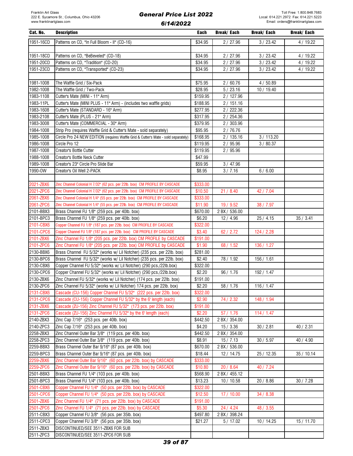| Cat. No.  | <b>Description</b>                                                                 | Each     | Break/ Each   | Break/ Each | Break/ Each |
|-----------|------------------------------------------------------------------------------------|----------|---------------|-------------|-------------|
| 1951-16CD | Patterns on CD, "In Full Bloom - II" (CD-16)                                       | \$34.95  | 2/27.96       | 3/23.42     | 4/19.22     |
|           |                                                                                    |          |               |             |             |
| 1951-18CD | Patterns on CD, "BeBeveled" (CD-18)                                                | \$34.95  | 2/27.96       | 3 / 23.42   | 4/19.22     |
| 1951-20CD | Patterns on CD, "Tradition" (CD-20)                                                | \$34.95  | 2/27.96       | 3 / 23.42   | 4 / 19.22   |
| 1951-23CD | Patterns on CD, "Transported" (CD-23)                                              | \$34.95  | 2 / 27.96     | 3 / 23.42   | 4/19.22     |
|           |                                                                                    |          |               |             |             |
| 1981-1008 | The Waffle Grid / Six-Pack                                                         | \$75.95  | 2/60.76       | 4/50.89     |             |
| 1982-1008 | The Waffle Grid / Two-Pack                                                         | \$28.95  | 5/23.16       | 10 / 19.40  |             |
| 1983-1108 | Cutter's Mate (MINI - 11" Arm)                                                     | \$159.95 | 2 / 127.96    |             |             |
| 1983-11PL | Cutter's Mate (MINI PLUS - 11" Arm) - (includes two waffle grids)                  | \$188.95 | 2/151.16      |             |             |
| 1983-1608 | Cutter's Mate (STANDARD - 16" Arm)                                                 | \$277.95 | 2/222.36      |             |             |
| 1983-2108 | Cutter's Mate (PLUS - 21" Arm)                                                     | \$317.95 | 2 / 254.36    |             |             |
| 1983-3008 | Cutter's Mate (COMMERCIAL - 30" Arm)                                               | \$379.95 | 2 / 303.96    |             |             |
| 1984-1008 | Strip Pro (requires Waffle Grid & Cutter's Mate - sold separately)                 | \$95.95  | 2/76.76       |             |             |
|           |                                                                                    |          |               |             |             |
| 1985-1008 | Circle Pro 24 NEW EDITION (requires Waffle Grid & Cutter's Mate - sold separately) | \$168.95 | 2/135.16      | 3/113.20    |             |
| 1986-1008 | Circle Pro 12                                                                      | \$119.95 | 2/95.96       | 3/80.37     |             |
| 1987-1008 | Creator's Bottle Cutter                                                            | \$119.95 | 2/95.96       |             |             |
| 1988-1008 | Creator's Bottle Neck Cutter                                                       | \$47.99  |               |             |             |
| 1989-1008 | Creator's 23" Circle Pro Slide Bar                                                 | \$59.95  | 3/47.96       |             |             |
| 1990-0W   | Creator's Oil Well 2-PACK                                                          | \$8.95   | 3/7.16        | 6/6.00      |             |
|           |                                                                                    |          |               |             |             |
| 2021-ZBX6 | Zinc Channel Colonial H 7/32" (62 pcs. per 22lb. box) CM PROFILE BY CASCADE        | \$333.00 |               |             |             |
| 2021-ZPC6 | Zinc Channel Colonial H 7/32" (62 pcs. per 22lb. box) CM PROFILE BY CASCADE        | \$10.50  | 21/8.40       | 42 / 7.04   |             |
| 2061-ZBX6 | Zinc Channel Colonial H 1/4" (55 pcs. per 22lb. box) CM PROFILE BY CASCADE         | \$333.00 |               |             |             |
| 2061-ZPC6 | Zinc Channel Colonial H 1/4" (55 pcs. per 22lb. box) CM PROFILE BY CASCADE         | \$11.90  | 19/9.52       | 38 / 7.97   |             |
| 2101-BBX3 | Brass Channel FU 1/8" (259 pcs. per 40lb. box)                                     | \$670.00 | 2 BX / 536.00 |             |             |
| 2101-BPC3 | Brass Channel FU 1/8" (259 pcs. per 40lb. box)                                     | \$6.20   | 12/4.96       | 25/4.15     | 35/3.41     |
| 2101-CBX6 | Copper Channel FU 1/8" (187 pcs. per 22lb. box) CM PROFILE BY CASCADE              | \$322.00 |               |             |             |
| 2101-CPC6 | Copper Channel FU 1/8" (187 pcs. per 22lb. box) CM PROFILE BY CASCADE              | \$3.40   | 62 / 2.72     | 124 / 2.28  |             |
| 2101-ZBX6 | Zinc Channel FU 1/8" (205 pcs. per 22lb. box) CM PROFILE by CASCADE                | \$191.00 |               |             |             |
| 2101-ZPC6 | Zinc Channel FU 1/8" (205 pcs. per 22lb. box) CM PROFILE by CASCADE                | \$1.90   | 68 / 1.52     | 136 / 1.27  |             |
| 2130-BBX6 | Brass Channel FU 5/32" (works w/ Lil Notcher) (235 pcs. per 22lb. box)             | \$281.00 |               |             |             |
| 2130-BPC6 | Brass Channel FU 5/32" (works w/ Lil Notcher) (235 pcs. per 22lb. box)             | \$2.40   | 78 / 1.92     | 156/1.61    |             |
| 2130-CBX6 | Copper Channel FU 5/32" (works w/ Lil Notcher) (290 pcs./22lb.box)                 | \$322.00 |               |             |             |
| 2130-CPC6 | Copper Channel FU 5/32" (works w/ Lil Notcher) (290 pcs./22lb.box)                 | \$2.20   | 96/1.76       | 192 / 1.47  |             |
| 2130-ZBX6 | Zinc Channel FU 5/32" (works w/ Lil Notcher) (174 pcs. per 22lb. box)              | \$191.00 |               |             |             |
| 2130-ZPC6 | Zinc Channel FU 5/32" (works w/ Lil Notcher) 174 pcs. per 22lb. box)               | \$2.20   | 58 / 1.76     | 116/1.47    |             |
| 2131-CBX6 | Cascade (CU-156) Copper Channel FU 5/32" (222 pcs. per 22lb. box)                  | \$322.00 |               |             |             |
| 2131-CPC6 | Cascade (CU-156) Copper Channel FU 5/32" by the 6' length (each)                   | \$2.90   | 74 / 2.32     | 148 / 1.94  |             |
| 2131-ZBX6 | Cascade (ZU-156) Zinc Channel FU 5/32" (173 pcs. per 22lb. box)                    | \$191.00 |               |             |             |
| 2131-ZPC6 | Cascade (ZU-156) Zinc Channel FU 5/32" by the 6' length (each)                     | \$2.20   | 57/1.76       | 114/1.47    |             |
| 2140-ZBX3 | Zinc Cap 7/16" (253 pcs. per 40lb. box)                                            | \$442.50 | 2 BX / 354.00 |             |             |
| 2140-ZPC3 | Zinc Cap 7/16" (253 pcs. per 40lb. box)                                            | \$4.20   | 15/3.36       | 30 / 2.81   | 40 / 2.31   |
| 2258-ZBX3 | Zinc Channel Outer Bar 3/8" (119 pcs. per 40lb. box)                               | \$442.50 | 2 BX / 354.00 |             |             |
| 2258-ZPC3 | Zinc Channel Outer Bar 3/8" (119 pcs. per 40lb. box)                               | \$8.91   | 15/7.13       | 30/5.97     | 40 / 4.90   |
| 2259-BBX3 | Brass Channel Outer Bar 9/16" (87 pcs. per 40lb. box)                              | \$670.00 | 2 BX / 536.00 |             |             |
| 2259-BPC3 | Brass Channel Outer Bar 9/16" (87 pcs. per 40lb. box)                              | \$18.44  | 12/14.75      | 25 / 12.35  | 35/10.14    |
| 2259-ZBX6 | Zinc Channel Outer Bar 9/16" (60 pcs. per 22lb. box) by CASCADE                    | \$333.00 |               |             |             |
| 2259-ZPC6 | Zinc Channel Outer Bar 9/16" (60 pcs. per 22lb. box) by CASCADE                    | \$10.80  | 20 / 8.64     | 40 / 7.24   |             |
| 2501-BBX3 | Brass Channel FU 1/4" (103 pcs. per 40lb. box)                                     | \$568.90 | 2 BX / 455.12 |             |             |
| 2501-BPC3 | Brass Channel FU 1/4" (103 pcs. per 40lb. box)                                     | \$13.23  | 10 / 10.58    | 20 / 8.86   | 30 / 7.28   |
| 2501-CBX6 | Copper Channel FU 1/4" (50 pcs. per 22lb. box) by CASCADE                          | \$322.00 |               |             |             |
| 2501-CPC6 | Copper Channel FU 1/4" (50 pcs. per 22lb. box) by CASCADE                          | \$12.50  | 17 / 10.00    | 34 / 8.38   |             |
| 2501-ZBX6 | Zinc Channel FU 1/4" (71 pcs. per 22lb. box) by CASCADE                            | \$191.00 |               |             |             |
| 2501-ZPC6 | Zinc Channel FU 1/4" (71 pcs. per 22lb. box) by CASCADE                            | \$5.30   | 24 / 4.24     | 48 / 3.55   |             |
| 2511-CBX3 | Copper Channel FU 3/8" (56 pcs. per 35lb. box)                                     | \$497.80 | 2 BX / 398.24 |             |             |
| 2511-CPC3 | Copper Channel FU 3/8" (56 pcs. per 35lb. box)                                     | \$21.27  | 5/17.02       | 10/14.25    | 15 / 11.70  |
| 2511-ZBX3 | DISCONTINUED/SEE 3511-ZBX6 FOR SUB                                                 |          |               |             |             |
| 2511-ZPC3 | DISCONTINUED/SEE 3511-ZPC6 FOR SUB                                                 |          |               |             |             |
|           |                                                                                    |          |               |             |             |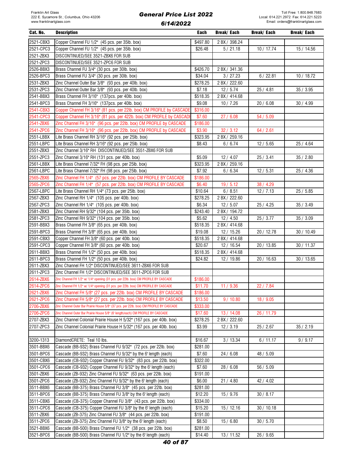| Cat. No.  | <b>Description</b>                                                                      | Each     | Break/ Each   | Break/ Each | Break/ Each |
|-----------|-----------------------------------------------------------------------------------------|----------|---------------|-------------|-------------|
| 2521-CBX3 | Copper Channel FU 1/2" (45 pcs. per 35lb. box)                                          | \$497.80 | 2 BX / 398.24 |             |             |
| 2521-CPC3 | Copper Channel FU 1/2" (45 pcs. per 35lb. box)                                          | \$26.48  | 5/21.18       | 10 / 17.74  | 15 / 14.56  |
| 2521-ZBX3 | DISCONTINUED/SEE 3521-ZBX6 FOR SUB                                                      |          |               |             |             |
| 2521-ZPC3 | DISCONTINUED/SEE 3521-ZPC6 FOR SUB                                                      |          |               |             |             |
| 2526-BBX3 | Brass Channel FU 3/4" (30 pcs. per 30lb. box)                                           | \$426.70 | 2 BX / 341.36 |             |             |
| 2526-BPC3 | Brass Channel FU 3/4" (30 pcs. per 30lb. box)                                           | \$34.04  | 3/27.23       | 6/22.81     | 10 / 18.72  |
| 2531-ZBX3 | Zinc Channel Outer Bar 3/8" (93 pcs. per 40lb. box)                                     | \$278.25 | 2 BX / 222.60 |             |             |
| 2531-ZPC3 | Zinc Channel Outer Bar 3/8" (93 pcs. per 40lb. box)                                     | \$7.18   | 12/5.74       | 25 / 4.81   | 35/3.95     |
| 2541-BBX3 | Brass Channel FH 3/16" (137pcs. per 40lb. box)                                          | \$518.35 | 2 BX / 414.68 |             |             |
| 2541-BPC3 | Brass Channel FH 3/16" (137pcs. per 40lb. box)                                          | \$9.08   |               |             |             |
| 2541-CBX3 | Copper Channel FH 3/16" (81 pcs. per 22lb. box) CM PROFILE by CASCADE                   | \$316.00 | 10/7.26       | 20/6.08     | 30/4.99     |
|           |                                                                                         |          |               |             |             |
| 2541-CPC3 | Copper Channel FH 3/16" (81 pcs. per 422b. box) CM PROFILE by CASCADE                   | \$7.60   | 27/6.08       | 54 / 5.09   |             |
| 2541-ZBX6 | Zinc Channel FH 3/16" (96 pcs. per 22lb. box) CM PROFILE by CASCADE                     | \$186.00 |               |             |             |
| 2541-ZPC6 | Zinc Channel FH 3/16" (96 pcs. per 22lb. box) CM PROFILE by CASCADE                     | \$3.90   | 32 / 3.12     | 64 / 2.61   |             |
| 2551-LBBX | Lite Brass Channel RH 3/16" (92 pcs. per 25lb. box)                                     | \$323.95 | 2 BX / 259.16 |             |             |
| 2551-LBPC | Lite Brass Channel RH 3/16" (92 pcs. per 25lb. box)                                     | \$8.43   | 6/6.74        | 12/5.65     | 25 / 4.64   |
| 2551-ZBX3 | Zinc Channel 3/16" RH DISCONTINUED/SEE 3551-ZBX6 FOR SUB                                |          |               |             |             |
| 2551-ZPC3 | Zinc Channel 3/16" RH (131 pcs. per 40lb. box)                                          | \$5.09   | 12/4.07       | 25/3.41     | 35/2.80     |
| 2561-LBBX | Lite Brass Channel 7/32" FH (98 pcs. per 25lb. box)                                     | \$323.95 | 2 BX / 259.16 |             |             |
| 2561-LBPC | Lite Brass Channel 7/32" FH (98 pcs. per 25lb. box)                                     | \$7.92   | 6/6.34        | 12/5.31     | 25 / 4.36   |
| 2565-ZBX6 | Zinc Channel FH 1/4" (57 pcs. per 22lb. box) CM PROFILE BY CASCADE                      | \$186.00 |               |             |             |
| 2565-ZPC6 | Zinc Channel FH 1/4" (57 pcs. per 22lb. box) CM PROFILE BY CASCADE                      | \$6.40   | 19/5.12       | 38/4.29     |             |
| 2567-LBPC | Lite Brass Channel RH 1/4" (73 pcs. per 25lb. box)                                      | \$10.64  | 6/8.51        | 12/7.13     | 25 / 5.85   |
| 2567-ZBX3 | Zinc Channel RH 1/4" (105 pcs. per 40lb. box)                                           | \$278.25 | 2 BX / 222.60 |             |             |
| 2567-ZPC3 | Zinc Channel RH 1/4" (105 pcs. per 40lb. box)                                           | \$6.34   | 12/5.07       | 25 / 4.25   | 35/3.49     |
| 2581-ZBX3 | Zinc Channel RH 9/32" (104 pcs. per 35lb. box)                                          | \$243.40 | 2 BX / 194.72 |             |             |
| 2581-ZPC3 | Zinc Channel RH 9/32" (104 pcs. per 35lb. box)                                          | \$5.62   | 12/4.50       | 25 / 3.77   | 35/3.09     |
| 2591-BBX3 | Brass Channel FH 3/8" (65 pcs. per 40lb. box)                                           | \$518.35 | 2 BX / 414.68 |             |             |
| 2591-BPC3 | Brass Channel FH 3/8" (65 pcs. per 40lb. box)                                           | \$19.08  | 12 / 15.26    | 20 / 12.78  | 30/10.49    |
| 2591-CBX3 | Copper Channel FH 3/8" (60 pcs. per 40lb. box)                                          | \$518.35 | 2 BX / 414.68 |             |             |
| 2591-CPC3 | Copper Channel FH 3/8" (60 pcs. per 40lb. box)                                          | \$20.67  | 12 / 16.54    | 20 / 13.85  | 30 / 11.37  |
| 2611-BBX3 | Brass Channel FH 1/2" (50 pcs. per 40lb. box)                                           | \$518.35 | 2 BX / 414.68 |             |             |
| 2611-BPC3 | Brass Channel FH 1/2" (50 pcs. per 40lb. box)                                           | \$24.82  | 12 / 19.86    | 20 / 16.63  | 30 / 13.65  |
| 2611-ZBX3 | Zinc Channel FH 1/2" DISCONTINUED/SEE 3611-ZBX6 FOR SUB                                 |          |               |             |             |
| 2611-ZPC3 | Zinc Channel FH 1/2" DISCONTINUED/SEE 3611-ZPC6 FOR SUB                                 |          |               |             |             |
| 2614-ZBX6 | Zinc Channel FH 1/2" w/ 1/4" opening (31 pcs. per 22lb. box) CM PROFILE BY CASCADE      | \$186.00 |               |             |             |
| 2614-ZPC6 | Zinc Channel FH 1/2" w/ 1/4" opening (31 pcs. per 22lb. box) CM PROFILE BY CASCADE      | \$11.70  | 11/9.36       | 22 / 7.84   |             |
| 2621-ZBX6 | Zinc Channel FH 5/8" (27 pcs. per 22lb. box) CM PROFILE BY CASCADE                      | \$186.00 |               |             |             |
| 2621-ZPC6 | Zinc Channel FH 5/8" (27 pcs. per 22lb. box) CM PROFILE BY CASCADE                      | \$13.50  | 9/10.80       | 18 / 9.05   |             |
| 2706-ZBX6 | Zinc Channel Outer Bar Prairie House 5/8" (37 pcs. per 22lb. box) CM PROFILE BY CASCADE | \$333.00 |               |             |             |
| 2706-ZPC6 | Zinc Channel Outer Bar Prairie House 5/8" (6' length/each) CM PROFILE BY CASCADE        | \$17.60  | 13 / 14.08    | 26 / 11.79  |             |
| 2707-ZBX3 | Zinc Channel Colonial Prairie House H 5/32" (167 pcs. per 40lb. box)                    | \$278.25 | 2 BX / 222.60 |             |             |
| 2707-ZPC3 | Zinc Channel Colonial Prairie House H 5/32" (167 pcs. per 40lb. box)                    | \$3.99   | 12/3.19       | 25 / 2.67   | 35/2.19     |
|           |                                                                                         |          |               |             |             |
| 3200-1313 | DiamondCRETE: Teal 10 lbs.                                                              | \$16.67  | 3/13.34       | 6/11.17     | 9/9.17      |
| 3501-BBX6 | Cascade (BB-932) Brass Channel FU 9/32" (72 pcs. per 22lb. box)                         |          |               |             |             |
|           |                                                                                         | \$281.00 |               |             |             |
| 3501-BPC6 | Cascade (BB-932) Brass Channel FU 9/32" by the 6' length (each)                         | \$7.60   | 24/6.08       | 48 / 5.09   |             |
| 3501-CBX6 | Cascade (CB-932) Copper Channel FU 9/32" (83 pcs. per 22lb. box)                        | \$322.00 |               |             |             |
| 3501-CPC6 | Cascade (CB-932) Copper Channel FU 9/32" by the 6' length (each)                        | \$7.60   | 28/6.08       | 56 / 5.09   |             |
| 3501-ZBX6 | Cascade (ZB-932) Zinc Channel FU 9/32" (63 pcs. per 22lb. box)                          | \$191.00 |               |             |             |
| 3501-ZPC6 | Cascade (ZB-932) Zinc Channel FU 9/32" by the 6' length (each)                          | \$6.00   | 21/4.80       | 42 / 4.02   |             |
| 3511-BBX6 | Cascade (BB-375) Brass Channel FU 3/8" (45 pcs. per 22lb. box)                          | \$281.00 |               |             |             |
| 3511-BPC6 | Cascade (BB-375) Brass Channel FU 3/8" by the 6' length (each)                          | \$12.20  | 15/9.76       | 30/8.17     |             |
| 3511-CBX6 | Cascade (CB-375) Copper Channel FU 3/8" (43 pcs. per 22lb. box)                         | \$334.00 |               |             |             |
| 3511-CPC6 | Cascade (CB-375) Copper Channel FU 3/8" by the 6' length (each)                         | \$15.20  | 15 / 12.16    | 30/10.18    |             |
| 3511-ZBX6 | Cascade (ZB-375) Zinc Channel FU 3/8" (44 pcs. per 22lb. box)                           | \$191.00 |               |             |             |
| 3511-ZPC6 | Cascade (ZB-375) Zinc Channel FU 3/8" by the 6' length (each)                           | \$8.50   | 15/6.80       | 30/5.70     |             |
| 3521-BBX6 | Cascade (BB-500) Brass Channel FU 1/2" (38 pcs. per 22lb. box)                          | \$281.00 |               |             |             |
| 3521-BPC6 | Cascade (BB-500) Brass Channel FU 1/2" by the 6' length (each)                          | \$14.40  | 13 / 11.52    | 26 / 9.65   |             |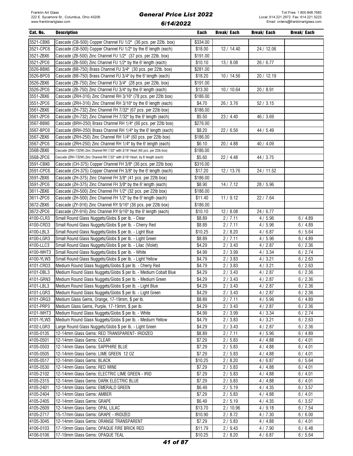| Cat. No.               | <b>Description</b>                                                               | Each             | Break/ Each      | Break/ Each      | Break/ Each      |
|------------------------|----------------------------------------------------------------------------------|------------------|------------------|------------------|------------------|
| 3521-CBX6              | Cascade (CB-500) Copper Channel FU 1/2" (36 pcs. per 22lb. box)                  | \$334.00         |                  |                  |                  |
| 3521-CPC6              | Cascade (CB-500) Copper Channel FU 1/2" by the 6' length (each)                  | \$18.00          | 12 / 14.40       | 24 / 12.06       |                  |
| 3521-ZBX6              | Cascade (ZB-500) Zinc Channel FU 1/2" (37 pcs. per 22lb. box)                    | \$191.00         |                  |                  |                  |
| 3521-ZPC6              | Cascade (ZB-500) Zinc Channel FU 1/2" by the 6' length (each)                    | \$10.10          | 13/8.08          | 26 / 6.77        |                  |
| 3526-BBX6              | Cascade (BB-750) Brass Channel FU 3/4" (30 pcs. per 22lb. box)                   | \$281.00         |                  |                  |                  |
| 3526-BPC6              | Cascade (BB-750) Brass Channel FU 3/4" by the 6' length (each)                   | \$18.20          | 10/14.56         | 20 / 12.19       |                  |
| 3526-ZBX6              | Cascade (ZB-750) Zinc Channel FU 3/4" (28 pcs. per 22lb. box)                    | \$191.00         |                  |                  |                  |
| 3526-ZPC6              | Cascade (ZB-750) Zinc Channel FU 3/4" by the 6' length (each)                    | \$13.30          | 10/10.64         | 20 / 8.91        |                  |
| 3551-ZBX6              | Cascade (ZRH-316) Zinc Channel RH 3/16" (78 pcs. per 22lb box)                   | \$186.00         |                  |                  |                  |
| 3551-ZPC6              | Cascade (ZRH-316) Zinc Channel RH 3/16" by the 6' length (each)                  | \$4.70           | 26 / 3.76        | 52 / 3.15        |                  |
| 3561-ZBX6              | Cascade (ZH-732) Zinc Channel FH 7/32" (67 pcs. per 22lb box)                    | \$186.00         |                  |                  |                  |
| 3561-ZPC6              | Cascade (ZH-732) Zinc Channel FH 7/32" by the 6' length (each)                   | \$5.50           | 23/4.40          | 46 / 3.69        |                  |
| 3567-BBX6              | Cascade (BRH-250) Brass Channel RH 1/4" (66 pcs. per 22lb box)                   | \$276.00         |                  |                  |                  |
| 3567-BPC6              | Cascade (BRH-250) Brass Channel RH 1/4" by the 6' length (each)                  | \$8.20           | 22/6.56          | 44 / 5.49        |                  |
| 3567-ZBX6              | Cascade (ZRH-250) Zinc Channel RH 1/4" (60 pcs. per 22lb box)                    | \$186.00         |                  |                  |                  |
| 3567-ZPC6              | Cascade (ZRH-250) Zinc Channel RH 1/4" by the 6' length (each)                   | \$6.10           | 20 / 4.88        | 40 / 4.09        |                  |
| 3568-ZBX6              | Cascade (ZRH-732W) Zinc Channel RH 7/32" with 3/16" Heart (65 pcs. per 22lb box) | \$186.00         |                  |                  |                  |
| 3568-ZPC6              | Cascade (ZRH-732W) Zinc Channel RH 7/32" with 3/16" Heart, by 6' length (each)   | \$5.60           | 22 / 4.48        | 44 / 3.75        |                  |
| 3591-CBX6              | Cascade (CH-375) Copper Channel FH 3/8" (36 pcs. per 22lb box)                   | \$316.00         |                  |                  |                  |
| 3591-CPC6              | Cascade (CH-375) Copper Channel FH 3/8" by the 6' length (each)                  | \$17.20          | 12 / 13.76       | 24 / 11.52       |                  |
| 3591-ZBX6              | Cascade (ZH-375) Zinc Channel FH 3/8" (41 pcs. per 22lb box)                     | \$186.00         |                  |                  |                  |
| 3591-ZPC6              | Cascade (ZH-375) Zinc Channel FH 3/8" by the 6' length (each)                    | \$8.90           | 14/7.12          | 28 / 5.96        |                  |
| 3611-ZBX6              | Cascade (ZH-500) Zinc Channel FH 1/2" (32 pcs. per 22lb box)                     | \$186.00         |                  |                  |                  |
| 3611-ZPC6              | Cascade (ZH-500) Zinc Channel FH 1/2" by the 6' length (each)                    | \$11.40          | 11/9.12          | 22 / 7.64        |                  |
| 3672-ZBX6              | Cascade (ZY-916) Zinc Channel RY 9/16" (36 pcs. per 22lb box)                    | \$186.00         |                  |                  |                  |
| 3672-ZPC6              | Cascade (ZY-916) Zinc Channel RY 9/16" by the 6' length (each)                   | \$10.10          | 12/8.08          | 24 / 6.77        |                  |
| 4100-CLR3              | Small Round Glass Nuggets/Globs \$ per lb. - Clear                               | \$8.89           | 2/7.11           | 4/5.96           | 6/4.89           |
| 4100-CRD3              | Small Round Glass Nuggets/Globs \$ per lb. - Cherry Red                          | \$8.89           | 2/7.11           | 4/5.96           | 6/4.89           |
| 4100-LBL3              | Small Round Glass Nuggets/Globs \$ per lb. - Light Blue                          | \$10.25          | 2/8.20           | 4/6.87           | 6/5.64           |
| 4100-LGR3              | Small Round Glass Nuggets/Globs \$ per lb. - Light Green                         | \$8.89           | 2/7.11           | 4/5.96           | 6/4.89           |
| 4100-LLC3              | Small Round Glass Nuggets/Globs \$ per lb. - Lilac (Violet)                      | \$4.29           | 2/3.43           | 4/2.87           | 6/2.36           |
| 4100-WHT3              | Small Round Glass Nuggets/Globs \$ per lb. - White                               | \$4.99           | 2/3.99           | 4/3.34           | 6/2.74           |
| 4100-YLW3              | Small Round Glass Nuggets/Globs \$ per lb. - Light Yellow                        | \$4.79           | 2/3.83           | 4/3.21           | 6/2.63           |
| 4101-CRD3              | Medium Round Glass Nuggets/Globs \$ per lb. - Cherry Red                         | \$4.79           | 2/3.83           | 4/3.21           | 6/2.63           |
| 4101-DBL3              | Medium Round Glass Nuggets/Globs \$ per lb. - Medium Cobalt Blue                 | \$4.29           | 2/3.43           | 4/2.87           | 6/2.36           |
| 4101-GRN3              | Medium Round Glass Nuggets/Globs \$ per lb. - Medium Green                       | \$4.29           | 2/3.43           | 4/2.87           | 6/2.36           |
| 4101-LBL3              | Medium Round Glass Nuggets/Globs \$ per lb. - Light Blue                         | \$4.29           | 2 / 3.43         | 4/2.87           | 6/2.36           |
| 4101-LGR3              | Medium Round Glass Nuggets/Globs \$ per lb. - Light Green                        | \$4.29           | 2 / 3.43         | 4/2.87           | 6/2.36           |
| 4101-0RG3              | Medium Glass Gems, Orange, 17-19mm, \$ per lb.                                   | \$8.89           | 2/7.11           | 4/5.96           | 6/4.89           |
| 4101-PRP3              | Medium Glass Gems, Purple, 17-19mm, \$ per lb.                                   | \$4.29           | 2 / 3.43         | 4/2.87           | 6/2.36           |
| 4101-WHT3              | Medium Round Glass Nuggets/Globs \$ per lb. - White                              | \$4.99           | 2/3.99           | 4 / 3.34         | 6/2.74           |
| 4101-YLW3              | Medium Round Glass Nuggets/Globs \$ per lb. - Medium Yellow                      | \$4.79           | 2/3.83           | 4/3.21           | 6/2.63           |
| 4102-LGR3              | Large Round Glass Nuggets/Globs \$ per lb. - Light Green                         | \$4.29           | 2 / 3.43         | 4/2.87           | 6/2.36           |
| 4105-0135              | 12-14mm Glass Gems: RED TRANSPARENT- IRIDIZED                                    | \$8.89           | 2/7.11           | 4/5.96           | 6/4.89           |
| 4105-0501              | 12-14mm Glass Gems: CLEAR                                                        | \$7.29           | 2/5.83           | 4/4.88           | 6/4.01           |
| 4105-0503              | 12-14mm Glass Gems: SAPPHIRE BLUE                                                | \$7.29           | 2/5.83           | 4/4.88           | 6/4.01           |
| 4105-0505              | 12-14mm Glass Gems: LIME GREEN 12 OZ                                             | \$7.29           | 2/5.83           | 4/4.88           | 6/4.01           |
| 4105-0517              | 12-14mm Glass Gems: BLACK                                                        | \$10.25          | 2/8.20           | 4/6.87           | 6/5.64           |
| 4105-0530              | 12-14mm Glass Gems: RED WINE                                                     | \$7.29           | 2/5.83           | 4/4.88           | 6/4.01           |
| 4105-2102              | 12-14mm Glass Gems: ELECTRIC LIME GREEN - IRID                                   | \$7.29           | 2/5.83           | 4/4.88           | 6/4.01           |
| 4105-2315              | 12-14mm Glass Gems: DARK ELECTRIC BLUE                                           | \$7.29           | 2/5.83           | 4/4.88           | 6/4.01           |
| 4105-2401<br>4105-2404 | 12-14mm Glass Gems: EMERALD GREEN<br>12-14mm Glass Gems: AMBER                   | \$6.49<br>\$7.29 | 2/5.19<br>2/5.83 | 4/4.35           | 6/3.57<br>6/4.01 |
| 4105-2405              | 12-14mm Glass Gems: GRAPE                                                        | \$6.49           | 2/5.19           | 4/4.88<br>4/4.35 | 6/3.57           |
| 4105-2609              | 12-14mm Glass Gems: OPAL LILAC                                                   | \$13.70          | 2/10.96          | 4/9.18           | 6/7.54           |
| 4105-2717              | 15-17mm Glass Gems: GRAPE - IRIDIZED                                             | \$10.90          | 2/8.72           | 4/7.30           | 6/6.00           |
| 4105-3045              | 12-14mm Glass Gems: ORANGE TRANSPARENT                                           | \$7.29           | 2/5.83           | 4/4.88           | 6/4.01           |
| 4106-0103              | 17-19mm Glass Gems: OPAQUE FIRE BRICK RED                                        | \$11.79          | 2/9.43           | 4/7.90           | 6/6.48           |
| 4106-0106              | 17-19mm Glass Gems: OPAQUE TEAL                                                  | \$10.25          | 2/8.20           | 4/6.87           | 6/5.64           |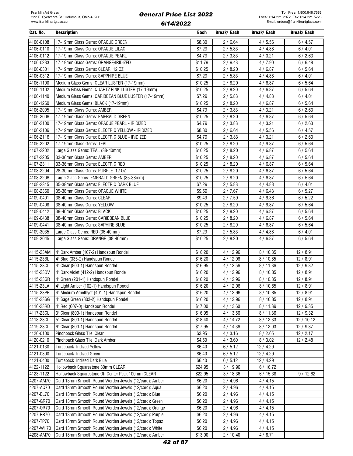| Cat. No.  | <b>Description</b>                                     | Each    | <b>Break/Each</b> | Break/ Each | Break/ Each |
|-----------|--------------------------------------------------------|---------|-------------------|-------------|-------------|
| 4106-0108 | 17-19mm Glass Gems: OPAQUE GREEN                       | \$8.30  | 2/6.64            | 4/5.56      | 6/4.57      |
| 4106-0110 | 17-19mm Glass Gems: OPAQUE LILAC                       | \$7.29  | 2/5.83            | 4/4.88      | 6/4.01      |
| 4106-0112 | 17-19mm Glass Gems: OPAQUE PEARL                       | \$4.79  | 2/3.83            | 4/3.21      | 6/2.63      |
| 4106-0233 | 17-19mm Glass Gems: ORANGE/IRIDIZED                    | \$11.79 | 2/9.43            | 4/7.90      | 6/6.48      |
| 4106-0301 | 17-19mm Glass Gems: CLEAR 12 OZ                        | \$10.25 | 2/8.20            | 4/6.87      | 6/5.64      |
| 4106-0312 | 17-19mm Glass Gems: SAPPHIRE BLUE                      | \$7.29  |                   |             |             |
|           |                                                        |         | 2/5.83            | 4/4.88      | 6/4.01      |
| 4106-1100 | Medium Glass Gems: CLEAR LUSTER (17-19mm)              | \$10.25 | 2/8.20            | 4/6.87      | 6/5.64      |
| 4106-1102 | Medium Glass Gems: QUARTZ PINK LUSTER (17-19mm)        | \$10.25 | 2/8.20            | 4/6.87      | 6/5.64      |
| 4106-1140 | Medium Glass Gems: CARIBBEAN BLUE LUSTER (17-19mm)     | \$7.29  | 2/5.83            | 4/4.88      | 6/4.01      |
| 4106-1260 | Medium Glass Gems: BLACK (17-19mm)                     | \$10.25 | 2/8.20            | 4/6.87      | 6/5.64      |
| 4106-2005 | 17-19mm Glass Gems: AMBER                              | \$4.79  | 2/3.83            | 4/3.21      | 6/2.63      |
| 4106-2006 | 17-19mm Glass Gems: EMERALD GREEN                      | \$10.25 | 2/8.20            | 4/6.87      | 6/5.64      |
| 4106-2100 | 17-19mm Glass Gems: OPAQUE PEARL - IRIDIZED            | \$4.79  | 2/3.83            | 4/3.21      | 6/2.63      |
| 4106-2109 | 17-19mm Glass Gems: ELECTRIC YELLOW - IRIDIZED         | \$8.30  | 2/6.64            | 4/5.56      | 6/4.57      |
| 4106-2116 | 17-19mm Glass Gems: ELECTRIC BLUE - IRIDIZED           | \$4.79  | 2/3.83            | 4/3.21      | 6/2.63      |
| 4106-2202 | 17-19mm Glass Gems: TEAL                               | \$10.25 | 2/8.20            | 4/6.87      | 6/5.64      |
| 4107-2202 | Large Glass Gems: TEAL (38-40mm)                       | \$10.25 | 2/8.20            | 4/6.87      | 6/5.64      |
| 4107-2205 | 33-36mm Glass Gems: AMBER                              | \$10.25 | 2/8.20            | 4/6.87      | 6/5.64      |
| 4107-2311 | 33-36mm Glass Gems: ELECTRIC RED                       | \$10.25 | 2/8.20            | 4/6.87      | 6/5.64      |
| 4108-2204 | 28-30mm Glass Gems: PURPLE 12 0Z                       | \$10.25 | 2/8.20            | 4/6.87      | 6/5.64      |
| 4108-2206 | Large Glass Gems: EMERALD GREEN (35-38mm)              | \$10.25 | 2/8.20            | 4/6.87      | 6/5.64      |
| 4108-2315 | 35-38mm Glass Gems: ELECTRIC DARK BLUE                 | \$7.29  | 2/5.83            | 4/4.88      | 6/4.01      |
| 4108-2360 | 35-38mm Glass Gems: OPAQUE WHITE                       | \$9.59  | 2/7.67            | 4/6.43      | 6/5.27      |
| 4109-0401 | 38-40mm Glass Gems: CLEAR                              | \$9.49  | 2/7.59            | 4/6.36      | 6/5.22      |
| 4109-0408 | 38-40mm Glass Gems: YELLOW                             | \$10.25 | 2/8.20            | 4/6.87      | 6/5.64      |
| 4109-0412 | 38-40mm Glass Gems: BLACK                              | \$10.25 | 2/8.20            | 4/6.87      | 6/5.64      |
| 4109-0438 | 38-40mm Glass Gems: CARIBBEAN BLUE                     | \$10.25 | 2/8.20            | 4/6.87      | 6/5.64      |
| 4109-0441 | 38-40mm Glass Gems: SAPHIRE BLUE                       | \$10.25 | 2/8.20            | 4/6.87      | 6/5.64      |
| 4109-3035 | Large Glass Gems: RED (36-40mm)                        | \$7.29  | 2/5.83            | 4/4.88      | 6/4.01      |
| 4109-3045 |                                                        | \$10.25 |                   |             |             |
|           | Large Glass Gems: ORANGE (38-40mm)                     |         | 2/8.20            | 4/6.87      | 6/5.64      |
|           |                                                        |         |                   |             |             |
| 4115-23AM | 4" Dark Amber (107-2) Handspun Rondel                  | \$16.20 | 4/12.96           | 8/10.85     | 12/8.91     |
| 4115-23BL | 4" Blue (335-2) Handspun Rondel                        | \$16.20 | 4 / 12.96         | 8/10.85     | 12/8.91     |
| 4115-23CL | 4" Clear (800-1) Handspun Rondel                       | \$16.95 | 4/13.56           | 8/11.36     | 12/9.32     |
| 4115-23DV | 4" Dark Violet (412-2) Handspun Rondel                 | \$16.20 | 4/12.96           | 8/10.85     | 12/8.91     |
| 4115-23GR | 4" Green (201-1) Handspun Rondel                       | \$16.20 | 4 / 12.96         | 8/10.85     | 12/8.91     |
| 4115-23LA | 4" Light Amber (102-1) Handspun Rondel                 | \$16.20 | 4/12.96           | 8/10.85     | 12/8.91     |
| 4115-23PR | 4" Medium Amethyst (401-1) Handspun Rondel             | \$16.20 | 4/12.96           | 8/10.85     | 12/8.91     |
| 4115-23SG | 4" Sage Green (803-2) Handspun Rondel                  | \$16.20 | 4/12.96           | 8/10.85     | 12/8.91     |
| 4116-23RD | 4" Red (607-0) Handspun Rondel                         | \$17.00 | 4/13.60           | 8/11.39     | 12 / 9.35   |
| 4117-23CL | 3" Clear (800-1) Handspun Rondel                       | \$16.95 | 4/13.56           | 8/11.36     | 12 / 9.32   |
| 4118-23CL | 5" Clear (800-1) Handspun Rondel                       | \$18.40 | 4/14.72           | 8/12.33     | 12/10.12    |
| 4119-23CL | 6" Clear (800-1) Handspun Rondel                       | \$17.95 | 4 / 14.36         | 8/12.03     | 12/9.87     |
| 4120-0100 | Pinchback Glass Tile Clear                             | \$3.95  | 4/3.16            | 8/2.65      | 12/2.17     |
| 4120-0210 | Pinchback Glass Tile Dark Amber                        | \$4.50  | 4/3.60            | 8/3.02      | 12/2.48     |
| 4121-0130 | Turtleback Iridized Yellow                             | \$6.40  | 6/5.12            | 12 / 4.29   |             |
| 4121-0300 | Turtleback Iridized Green                              | \$6.40  | 6/5.12            | 12/4.29     |             |
| 4121-0400 | Turtleback Iridized Dark Blue                          | \$6.40  | 6/5.12            | 12 / 4.29   |             |
| 4122-1122 | Hollowback Squarestone 80mm CLEAR                      | \$24.95 | 3/19.96           | 6/16.72     |             |
| 4123-1122 | Hollowback Squarestone Off Center Peak 100mm CLEAR     | \$22.95 | 3/18.36           | 6/15.38     | 9/12.62     |
| 4207-AM70 | Card 13mm Smooth Round Worden Jewels (12/card): Amber  | \$6.20  | 2/4.96            | 4/4.15      |             |
| 4207-AQ70 | Card 13mm Smooth Round Worden Jewels (12/card): Aqua   | \$6.20  | 2/4.96            | 4/4.15      |             |
| 4207-BL70 | Card 13mm Smooth Round Worden Jewels (12/card): Blue   | \$6.20  | 2/4.96            | 4/4.15      |             |
| 4207-GR70 | Card 13mm Smooth Round Worden Jewels (12/card): Green  | \$6.20  | 2/4.96            | 4/4.15      |             |
| 4207-0R70 | Card 13mm Smooth Round Worden Jewels (12/card): Orange | \$6.20  | 2/4.96            | 4/4.15      |             |
| 4207-PR70 | Card 13mm Smooth Round Worden Jewels (12/card): Purple | \$6.20  |                   |             |             |
|           |                                                        |         | 2/4.96            | 4/4.15      |             |
| 4207-TP70 | Card 13mm Smooth Round Worden Jewels (12/card): Topaz  | \$6.20  | 2/4.96            | 4/4.15      |             |
| 4207-WH70 | Card 13mm Smooth Round Worden Jewels (12/card): White  | \$6.20  | 2/4.96            | 4/4.15      |             |
| 4208-AM70 | Card 18mm Smooth Round Worden Jewels (12/card): Amber  | \$13.00 | 2/10.40           | 4/8.71      |             |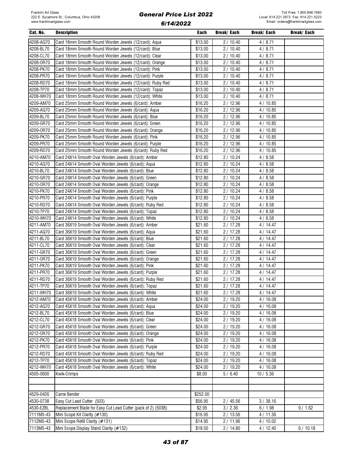| Cat. No.               | <b>Description</b>                                                                                            | Each               | <b>Break/Each</b>  | Break/ Each          | <b>Break/Each</b> |
|------------------------|---------------------------------------------------------------------------------------------------------------|--------------------|--------------------|----------------------|-------------------|
| 4208-AQ70              | Card 18mm Smooth Round Worden Jewels (12/card): Aqua                                                          | \$13.00            | 2/10.40            | 4/8.71               |                   |
| 4208-BL70              | Card 18mm Smooth Round Worden Jewels (12/card): Blue                                                          | \$13.00            | 2/10.40            | 4/8.71               |                   |
| 4208-CL70              | Card 18mm Smooth Round Worden Jewels (12/card): Clear                                                         | \$13.00            | 2/10.40            | 4/8.71               |                   |
| 4208-OR70              | Card 18mm Smooth Round Worden Jewels (12/card): Orange                                                        | \$13.00            | 2/10.40            | 4 / 8.71             |                   |
| 4208-PK70              | Card 18mm Smooth Round Worden Jewels (12/card): Pink                                                          | \$13.00            | 2 / 10.40          | 4/8.71               |                   |
| 4208-PR70              | Card 18mm Smooth Round Worden Jewels (12/card): Purple                                                        | \$13.00            | 2 / 10.40          | 4/8.71               |                   |
| 4208-RD70              | Card 18mm Smooth Round Worden Jewels (12/card): Ruby Red                                                      | \$13.00            | 2/10.40            | 4/8.71               |                   |
| 4208-TP70              | Card 18mm Smooth Round Worden Jewels (12/card): Topaz                                                         | \$13.00            | 2/10.40            | 4/8.71               |                   |
| 4208-WH70              | Card 18mm Smooth Round Worden Jewels (12/card): White                                                         | \$13.00            | 2/10.40            | 4/8.71               |                   |
| 4209-AM70              | Card 25mm Smooth Round Worden Jewels (6/card): Amber                                                          | \$16.20            | 2/12.96            | 4/10.85              |                   |
| 4209-AQ70              | Card 25mm Smooth Round Worden Jewels (6/card): Aqua                                                           | \$16.20            | 2/12.96            | 4/10.85              |                   |
| 4209-BL70              | Card 25mm Smooth Round Worden Jewels (6/card): Blue                                                           | \$16.20            | 2/12.96            | 4/10.85              |                   |
| 4209-GR70              | Card 25mm Smooth Round Worden Jewels (6/card): Green                                                          | \$16.20            | 2/12.96            | 4/10.85              |                   |
| 4209-0R70              | Card 25mm Smooth Round Worden Jewels (6/card): Orange                                                         | \$16.20            | 2/12.96            | 4/10.85              |                   |
| 4209-PK70              | Card 25mm Smooth Round Worden Jewels (6/card): Pink                                                           | \$16.20            | 2/12.96            | 4/10.85              |                   |
| 4209-PR70              | Card 25mm Smooth Round Worden Jewels (6/card): Purple                                                         | \$16.20            | 2/12.96            | 4/10.85              |                   |
| 4209-RD70              | Card 25mm Smooth Round Worden Jewels (6/card): Ruby Red                                                       | \$16.20            | 2/12.96            | 4/10.85              |                   |
| 4210-AM70              | Card 24X14 Smooth Oval Worden Jewels (6/card): Amber                                                          | \$12.80            | 2/10.24            | 4/8.58               |                   |
| 4210-AQ70              | Card 24X14 Smooth Oval Worden Jewels (6/card): Aqua                                                           | \$12.80            | 2/10.24            | 4/8.58               |                   |
| 4210-BL70              | Card 24X14 Smooth Oval Worden Jewels (6/card): Blue                                                           | \$12.80            | 2/10.24            | 4/8.58               |                   |
| 4210-GR70              | Card 24X14 Smooth Oval Worden Jewels (6/card): Green                                                          | \$12.80            | 2/10.24            | 4/8.58               |                   |
| 4210-0R70              | Card 24X14 Smooth Oval Worden Jewels (6/card): Orange                                                         | \$12.80            | 2/10.24            | 4/8.58               |                   |
| 4210-PK70              | Card 24X14 Smooth Oval Worden Jewels (6/card): Pink                                                           | \$12.80            | 2/10.24            | 4/8.58               |                   |
| 4210-PR70              | Card 24X14 Smooth Oval Worden Jewels (6/card): Purple                                                         | \$12.80            | 2/10.24            | 4/8.58               |                   |
| 4210-RD70              | Card 24X14 Smooth Oval Worden Jewels (6/card): Ruby Red                                                       | \$12.80            | 2/10.24            | 4/8.58               |                   |
| 4210-TP70              | Card 24X14 Smooth Oval Worden Jewels (6/card): Topaz                                                          | \$12.80            | 2/10.24            | 4/8.58               |                   |
| 4210-WH70              | Card 24X14 Smooth Oval Worden Jewels (6/card): White                                                          | \$12.80            | 2/10.24            | 4/8.58               |                   |
| 4211-AM70              | Card 36X19 Smooth Oval Worden Jewels (6/card): Amber                                                          | \$21.60            | 2/17.28            | 4 / 14.47            |                   |
| 4211-AQ70              | Card 36X19 Smooth Oval Worden Jewels (6/card): Aqua                                                           | \$21.60            | 2/17.28            | 4 / 14.47            |                   |
| 4211-BL70              | Card 36X19 Smooth Oval Worden Jewels (6/card): Blue                                                           | \$21.60            | 2/17.28            | 4 / 14.47            |                   |
| 4211-CL70<br>4211-GR70 | Card 36X19 Smooth Oval Worden Jewels (6/card): Clear                                                          | \$21.60            | 2/17.28            | 4/14.47              |                   |
| 4211-0R70              | Card 36X19 Smooth Oval Worden Jewels (6/card): Green<br>Card 36X19 Smooth Oval Worden Jewels (6/card): Orange | \$21.60<br>\$21.60 | 2/17.28<br>2/17.28 | 4 / 14.47<br>4/14.47 |                   |
| 4211-PK70              | Card 36X19 Smooth Oval Worden Jewels (6/card): Pink                                                           | \$21.60            | 2/17.28            | 4 / 14.47            |                   |
| 4211-PR70              | Card 36X19 Smooth Oval Worden Jewels (6/card): Purple                                                         | \$21.60            | 2/17.28            | 4/14.47              |                   |
| 4211-RD70              | Card 36X19 Smooth Oval Worden Jewels (6/card): Ruby Red                                                       | \$21.60            | 2/17.28            | 4/14.47              |                   |
| 4211-TP70              | Card 36X19 Smooth Oval Worden Jewels (6/card): Topaz                                                          | \$21.60            | 2/17.28            | 4/14.47              |                   |
| 4211-WH70              | Card 36X19 Smooth Oval Worden Jewels (6/card): White                                                          | \$21.60            | 2/17.28            | 4/14.47              |                   |
| 4212-AM70              | Card 45X18 Smooth Oval Worden Jewels (6/card): Amber                                                          | \$24.00            | 2/19.20            | 4/16.08              |                   |
| 4212-AQ70              | Card 45X18 Smooth Oval Worden Jewels (6/card): Aqua                                                           | \$24.00            | 2/19.20            | 4/16.08              |                   |
| 4212-BL70              | Card 45X18 Smooth Oval Worden Jewels (6/card): Blue                                                           | \$24.00            | 2 / 19.20          | 4/16.08              |                   |
| 4212-CL70              | Card 45X18 Smooth Oval Worden Jewels (6/card): Clear                                                          | \$24.00            | 2/19.20            | 4/16.08              |                   |
| 4212-GR70              | Card 45X18 Smooth Oval Worden Jewels (6/card): Green                                                          | \$24.00            | 2/19.20            | 4/16.08              |                   |
| 4212-0R70              | Card 45X18 Smooth Oval Worden Jewels (6/card): Orange                                                         | \$24.00            | 2/19.20            | 4/16.08              |                   |
| 4212-PK70              | Card 45X18 Smooth Oval Worden Jewels (6/card): Pink                                                           | \$24.00            | 2/19.20            | 4/16.08              |                   |
| 4212-PR70              | Card 45X18 Smooth Oval Worden Jewels (6/card): Purple                                                         | \$24.00            | 2/19.20            | 4/16.08              |                   |
| 4212-RD70              | Card 45X18 Smooth Oval Worden Jewels (6/card): Ruby Red                                                       | \$24.00            | 2/19.20            | 4/16.08              |                   |
| 4212-TP70              | Card 45X18 Smooth Oval Worden Jewels (6/card): Topaz                                                          | \$24.00            | 2/19.20            | 4/16.08              |                   |
| 4212-WH70              | Card 45X18 Smooth Oval Worden Jewels (6/card): White                                                          | \$24.00            | 2/19.20            | 4/16.08              |                   |
| 4505-0600              | <b>Kwik-Crimps</b>                                                                                            | \$8.00             | 5/6.40             | 10/5.36              |                   |
|                        |                                                                                                               |                    |                    |                      |                   |
|                        |                                                                                                               |                    |                    |                      |                   |
| 4529-0426              | Came Bender                                                                                                   | \$252.00           |                    |                      |                   |
| 4530-0738              | Easy Cut Lead Cutter (503)                                                                                    | \$56.95            | 2/45.56            | 3/38.16              |                   |
| 4530-EZBL              | Replacement Blade for Easy Cut Lead Cutter (pack of 2) (503B)                                                 | \$2.95             | 3 / 2.36           | 6/1.98               | 9/1.62            |
| 7111MS-43              | Mini Scope Kit Clarity (#130)                                                                                 | \$16.95            | 2/13.56            | 4/11.36              |                   |
| 7112MS-43              | Mini Scope Refill Clarity (#131)                                                                              | \$14.95            | 2/11.96            | 4/10.02              |                   |
| 7113MS-43              | Mini Scope Display Stand Clarity (#132)                                                                       | \$18.50            | 2/14.80            | 4/12.40              | 6/10.18           |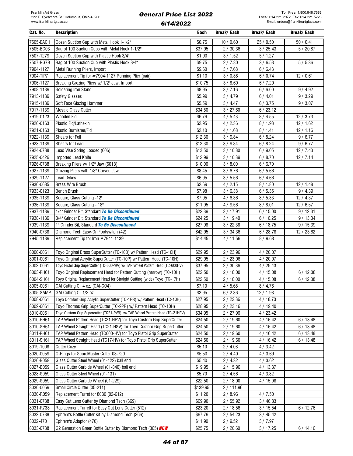| Cat. No.  | <b>Description</b>                                                            | Each     | Break/ Each | Break/ Each | Break/ Each |
|-----------|-------------------------------------------------------------------------------|----------|-------------|-------------|-------------|
| 7505-EACH | Dozen Suction Cup with Metal Hook 1-1/2"                                      | \$0.75   | 10/0.60     | 25/0.50     | 50/0.41     |
| 7505-BG03 | Bag of 100 Suction Cups with Metal Hook 1-1/2"                                | \$37.95  | 2/30.36     | 3 / 25.43   | 5/20.87     |
| 7507-1279 | Dozen Suction Cup with Plastic Hook 3/4"                                      | \$1.90   | 3/1.52      | 5/1.27      |             |
| 7507-BG79 | Bag of 100 Suction Cup with Plastic Hook 3/4"                                 | \$9.75   | 2/7.80      | 3/6.53      | 5/5.36      |
| 7904-1127 | Metal Running Pliers, Import                                                  | \$9.60   | 3/7.68      | 6/6.43      |             |
| 7904-TIP7 | Replacement Tip for #7904-1127 Running Plier (pair)                           | \$1.10   | 3/0.88      | 6/0.74      | 12/0.61     |
| 7906-1127 | Breaking Grozing Pliers w/ 1/2" Jaw, Import                                   | \$10.75  | 3/8.60      | 6/7.20      |             |
| 7908-1139 | Soldering Iron Stand                                                          | \$8.95   | 3/7.16      | 6/6.00      | 9/4.92      |
| 7913-1139 | Safety Glasses                                                                | \$5.99   | 3/4.79      | 6/4.01      | 9/3.29      |
| 7915-1139 | Soft Face Glazing Hammer                                                      | \$5.59   | 3 / 4.47    | 6/3.75      | 9/3.07      |
| 7917-1139 | Mosaic Glass Cutter                                                           | \$34.50  | 3 / 27.60   | 6/23.12     |             |
| 7919-0123 | Wooden Fid                                                                    | \$6.79   | 4/5.43      | 8/4.55      | 12/3.73     |
| 7920-0163 | Plastic Fid/Lathekin                                                          | \$2.95   | 4/2.36      | 8/1.98      | 12/1.62     |
| 7921-0163 | Plastic Burnisher/Fid                                                         | \$2.10   | 4/1.68      | 8/1.41      | 12/1.16     |
| 7922-1139 | Shears for Foil                                                               | \$12.30  | 3 / 9.84    | 6/8.24      | 9/6.77      |
| 7923-1139 | Shears for Lead                                                               | \$12.30  | 3/9.84      | 6/8.24      | 9/6.77      |
| 7924-0738 | Lead Vise Spring Loaded (606)                                                 | \$13.50  | 3/10.80     | 6/9.05      | 12/7.43     |
| 7925-0426 | Imported Lead Knife                                                           | \$12.99  | 3/10.39     | 6/8.70      | 12/7.14     |
| 7926-0738 | Breaking Pliers w/ 1/2" Jaw (601B)                                            | \$10.00  | 3 / 8.00    | 6/6.70      |             |
| 7927-1139 | Grozing Pliers with 1/8" Curved Jaw                                           | \$8.45   | 3/6.76      | 6/5.66      |             |
| 7929-1127 | Lead Dykes                                                                    | \$6.95   | 3/5.56      | 6/4.66      |             |
| 7930-0685 | <b>Brass Wire Brush</b>                                                       | \$2.69   | 4/2.15      | 8/1.80      | 12/1.48     |
| 7933-0123 | <b>Bench Brush</b>                                                            | \$7.98   | 3/6.38      | 6/5.35      | 9/4.39      |
| 7935-1139 | Square, Glass Cutting -12"                                                    | \$7.95   | 4/6.36      | 8/5.33      | 12/4.37     |
| 7936-1139 | Square, Glass Cutting - 18"                                                   | \$11.95  | 4/9.56      | 8/8.01      | 12/6.57     |
| 7937-1139 | 1/4" Grinder Bit, Standard To Be Discontinued                                 | \$22.39  | 3/17.91     | 6/15.00     | 9/12.31     |
| 7938-1139 | 3/4" Grinder Bit, Standard To Be Discontinued                                 | \$24.25  | 3/19.40     | 6/16.25     | 9/13.34     |
| 7939-1139 | 1" Grinder Bit, Standard To Be Discontinued                                   | \$27.98  | 3 / 22.38   | 6/18.75     | 9/15.39     |
| 7940-0738 | Diamond Tech Easy-On Footswitch (42)                                          | \$42.95  | 3 / 34.36   | 6/28.78     | 12 / 23.62  |
| 7945-1139 | Replacement Tip for Iron #7941-1139                                           | \$14.45  | 4/11.56     | 8/9.68      |             |
| 8000-0061 | Toyo Original Brass SuperCutter (TC-10B) w/ Pattern Head (TC-10H)             | \$29.95  | 2 / 23.96   | 4/20.07     |             |
| 8001-0061 | Toyo Original Acrylic SuperCutter (TC-10P) w/ Pattern Head (TC-10H)           | \$29.95  | 2/23.96     | 4/20.07     |             |
| 8002-0061 | Toyo Pistol Grip SuperCutter (TC-600PRV) w/ TAP Wheel Pattern Head (TC-600HV) | \$37.95  | 2/30.36     | 4/25.43     |             |
| 8003-PH61 | Toyo Original Replacement Head for Pattern Cutting (narrow) (TC-10H)          | \$22.50  | 2/18.00     | 4/15.08     | 6/12.38     |
| 8004-SH61 | Toyo Original Replacement Head for Straight Cutting (wide) Toyo (TC-17H)      | \$22.50  | 2/18.00     | 4/15.08     | 6/12.38     |
| 8005-0061 | GAI Cutting Oil 4 oz. (GAI-CO4)                                               | \$7.10   | 4/5.68      | 8/4.76      |             |
| 8005-SAMP | GAI Cutting Oil 1/2 oz.                                                       | \$2.95   | 6/2.36      | 12/1.98     |             |
| 8008-0061 | Toyo Comfort Grip Acrylic SuperCutter (TC-1PR) w/ Pattern Head (TC-10H)       | \$27.95  | 2 / 22.36   | 4/18.73     |             |
| 8009-0061 | Toyo Thomas Grip SuperCutter (TC-9PR) w/ Pattern Head (TC-10H)                | \$28.95  | 2/23.16     | 4/19.40     |             |
| 8010-0061 | Toyo Custom Grip Supercutter (TC21-PVR) w/ TAP Wheel Pattern Head (TC-21HPV)  | \$34.95  | 2 / 27.96   | 4 / 23.42   |             |
| 8010-PH61 | TAP Wheel Pattern Head (TC21-HPV) for Toyo Custom Grip SuperCutter            | \$24.50  | 2/19.60     | 4 / 16.42   | 6/13.48     |
| 8010-SH61 | TAP Wheel Straight Head (TC21-HSV) for Toyo Custom Grip SuperCutter           | \$24.50  | 2/19.60     | 4/16.42     | 6/13.48     |
| 8011-PH61 | TAP Wheel Pattern Head (TC600-HV) for Toyo Pistol Grip SuperCutter            | \$24.50  | 2/19.60     | 4/16.42     | 6/13.48     |
| 8011-SH61 | TAP Wheel Straight Head (TC17-HV) for Toyo Pistol Grip SuperCutter            | \$24.50  | 2/19.60     | 4/16.42     | 6/13.48     |
| 8019-1008 | <b>Cutter Cozy</b>                                                            | \$5.10   | 2/4.08      | 4/3.42      |             |
| 8020-0059 | O-Rings for ScoreMaster Cutter 03-720                                         | \$5.50   | 2/4.40      | 4/3.69      |             |
| 8026-B059 | Glass Cutter Steel Wheel (01-122) ball end                                    | \$5.40   | 2/4.32      | 4/3.62      |             |
| 8027-B059 | Glass Cutter Carbide Wheel (01-840) ball end                                  | \$19.95  | 2/15.96     | 4/13.37     |             |
| 8028-S059 | Glass Cutter Steel Wheel (01-131)                                             | \$5.70   | 2/4.56      | 4/3.82      |             |
| 8029-S059 | Glass Cutter Carbide Wheel (01-229)                                           | \$22.50  | 2/18.00     | 4/15.08     |             |
| 8030-0059 | Small Circle Cutter (05-211)                                                  | \$139.95 | 2/111.96    |             |             |
| 8030-R059 | Replacement Turret for 8030 (02-612)                                          | \$11.20  | 2/8.96      | 4/7.50      |             |
| 8031-0738 | Easy Cut Lens Cutter by Diamond Tech (369)                                    | \$69.90  | 2/55.92     | 3/46.83     |             |
| 8031-R738 | Replacement Turrett for Easy Cut Lens Cutter (512)                            | \$23.20  | 2/18.56     | 3/15.54     | 6/12.76     |
| 8032-0738 | Ephrem's Bottle Cutter Kit by Diamond Tech (366)                              | \$67.79  | 2/54.23     | 3 / 45.42   |             |
| 8032-470  | Ephrem's Adaptor (470)                                                        | \$11.90  | 2/9.52      | 3/7.97      |             |
| 8033-0738 | G2 Generation Green Bottle Cutter by Diamond Tech (365) NEW                   | \$25.75  | 2/20.60     | 3/17.25     | 6/14.16     |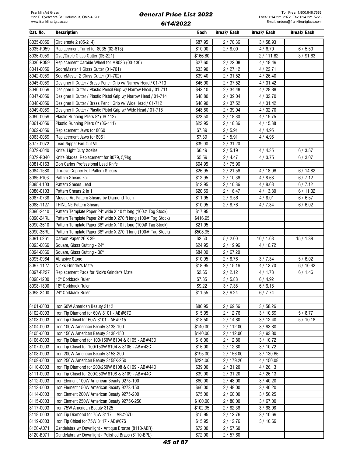| Cat. No.  | <b>Description</b>                                               | Each     | Break/ Each | Break/ Each | Break/ Each |
|-----------|------------------------------------------------------------------|----------|-------------|-------------|-------------|
| 8035-0059 | Circlemate 2 (05-214)                                            | \$87.95  | 2/70.36     | 3/58.93     |             |
| 8035-R059 | Replacement Turret for 8035 (02-613)                             | \$10.00  | 2/8.00      | 4/6.70      | 6/5.50      |
| 8036-0059 | Oval/Circle Glass Cutter (05-221)                                | \$166.60 |             | 2/111.62    | 3/91.63     |
| 8036-R059 | Replacement Carbide Wheel for #8036 (03-130)                     | \$27.60  | 2/22.08     | 4/18.49     |             |
| 8041-0059 | ScoreMaster 1 Glass Cutter (01-701)                              | \$33.90  | 2/27.12     | 4/22.71     |             |
| 8042-0059 | ScoreMaster 2 Glass Cutter (01-702)                              | \$39.40  | 2/31.52     | 4/26.40     |             |
| 8045-0059 | Designer II Cutter / Brass Pencil Grip w/ Narrow Head / 01-713   | \$46.90  | 2/37.52     | 4/31.42     |             |
| 8046-0059 | Designer II Cutter / Plastic Pencil Grip w/ Narrow Head / 01-711 | \$43.10  | 2/34.48     | 4/28.88     |             |
| 8047-0059 | Designer II Cutter / Plastic Pistol Grip w/ Narrow Head / 01-714 | \$48.80  | 2/39.04     | 4/32.70     |             |
| 8048-0059 | Designer II Cutter / Brass Pencil Grip w/ Wide Head / 01-712     | \$46.90  | 2/37.52     | 4/31.42     |             |
| 8049-0059 | Designer II Cutter / Plastic Pistol Grip w/ Wide Head / 01-715   | \$48.80  | 2/39.04     | 4/32.70     |             |
| 8060-0059 | Plastic Running Pliers 8" (06-112)                               | \$23.50  | 2/18.80     | 4/15.75     |             |
| 8061-0059 | Plastic Running Pliers 6" (06-111)                               | \$22.95  | 2/18.36     | 4/15.38     |             |
| 8062-0059 | Replacement Jaws for 8060                                        | \$7.39   | 2/5.91      | 4/4.95      |             |
| 8063-0059 | Replacement Jaws for 8061                                        | \$7.39   | 2/5.91      | 4/4.95      |             |
| 8077-0072 | Lead Nipper Fan-Out VII                                          | \$39.00  | 2/31.20     |             |             |
| 8079-0040 | Knife, Light Duty Xcelite                                        | \$6.49   | 2/5.19      | 4/4.35      | 6/3.57      |
| 8079-R040 | Knife Blades, Replacement for 8079, 5/Pkg.                       | \$5.59   | 2/4.47      | 4/3.75      | 6/3.07      |
| 8081-0163 | Don Carlos Professional Lead Knife                               | \$94.95  | 3/75.96     |             |             |
| 8084-1580 | Jim-eze Copper Foil Pattern Shears                               | \$26.95  | 2/21.56     | 4/18.06     | 6/14.82     |
| 8085-F103 | Pattern Shears Foil                                              | \$12.95  | 2/10.36     | 4/8.68      | 6/7.12      |
| 8085-L103 | Pattern Shears Lead                                              | \$12.95  | 2/10.36     | 4/8.68      | 6/7.12      |
| 8086-0103 | Pattern Shears 2 in 1                                            | \$20.59  | 2/16.47     | 4/13.80     | 6/11.32     |
| 8087-0738 | Mosaic Art Pattern Shears by Diamond Tech                        | \$11.95  | 2/9.56      | 4/8.01      | 6/6.57      |
| 8088-1127 | <b>THINLINE Pattern Shears</b>                                   | \$10.95  | 2/8.76      | 4/7.34      | 6/6.02      |
| 8090-2410 | Pattern Template Paper 24" wide X 10 ft long (100# Tag Stock)    | \$17.95  |             |             |             |
| 8090-24RL | Pattern Template Paper 24" wide X 270 ft long (100# Tag Stock)   | \$416.95 |             |             |             |
| 8090-3610 | Pattern Template Paper 36" wide X 10 ft long (100# Tag Stock)    | \$21.95  |             |             |             |
| 8090-36RL | Pattern Template Paper 36" wide X 270 ft long (100# Tag Stock)   | \$508.95 |             |             |             |
| 8091-0261 | Carbon Paper 26 X 39                                             | \$2.50   | 5/2.00      | 10/1.68     | 15/1.38     |
| 8093-0069 | Square, Glass Cutting - 24"                                      | \$24.95  | 2 / 19.96   | 4/16.72     |             |
| 8094-0069 | Square, Glass Cutting - 36"                                      | \$84.00  | 2/67.20     |             |             |
| 8095-0964 | <b>Abrasive Stone</b>                                            | \$10.95  | 2/8.76      | 3/7.34      | 5/6.02      |
| 8097-1127 | Nick's Grinder's Mate                                            | \$18.95  | 2/15.16     | 4/12.70     | 6/10.42     |
| 8097-RP27 | Replacement Pads for Nick's Grinder's Mate                       | \$2.65   | 2/2.12      | 4/1.78      | 6/1.46      |
| 8098-1200 | 12" Corkback Ruler                                               | \$7.35   | 3/5.88      | 6/4.92      |             |
| 8098-1800 | 18" Corkback Ruler                                               | \$9.22   | 3 / 7.38    | 6/6.18      |             |
| 8098-2400 | 24" Corkback Ruler                                               | \$11.55  | 3 / 9.24    | 6/7.74      |             |
|           |                                                                  |          |             |             |             |
| 8101-0003 | Iron 60W American Beauty 3112                                    | \$86.95  | 2/69.56     | 3/58.26     |             |
| 8102-0003 | Iron Tip Diamond for 60W 8101 - AB#67D                           | \$15.95  | 2/12.76     | 3/10.69     | 5/8.77      |
| 8103-0003 | Iron Tip Chisel for 60W 8101 - AB#715                            | \$18.50  | 2/14.80     | 3 / 12.40   | 5/10.18     |
| 8104-0003 | Iron 100W American Beauty 3138-100                               | \$140.00 | 2/112.00    | 3/93.80     |             |
| 8105-0003 | Iron 150W American Beauty 3138-150                               | \$140.00 | 2/112.00    | 3/93.80     |             |
| 8106-0003 | Iron Tip Diamond for 100/150W 8104 & 8105 - AB#43D               | \$16.00  | 2/12.80     | 3/10.72     |             |
| 8107-0003 | Iron Tip Chisel for 100/150W 8104 & 8105 - AB#43C                | \$16.00  | 2/12.80     | 3/10.72     |             |
| 8108-0003 | Iron 200W American Beauty 3158-200                               | \$195.00 | 2/156.00    | 3/130.65    |             |
| 8109-0003 | Iron 250W American Beauty 3158X-250                              | \$224.00 | 2 / 179.20  | 4/150.08    |             |
| 8110-0003 | Iron Tip Diamond for 200/250W 8108 & 8109 - AB#44D               | \$39.00  | 2/31.20     | 4/26.13     |             |
| 8111-0003 | Iron Tip Chisel for 200/250W 8108 & 8109 - AB#44C                | \$39.00  | 2/31.20     | 4/26.13     |             |
| 8112-0003 | Iron Element 100W American Beauty 9273-100                       | \$60.00  | 2/48.00     | 3/40.20     |             |
| 8113-0003 | Iron Element 150W American Beauty 9273-150                       | \$60.00  | 2/48.00     | 3/40.20     |             |
| 8114-0003 | Iron Element 200W American Beauty 9275-200                       | \$75.00  | 2/60.00     | 3/50.25     |             |
| 8115-0003 | Iron Element 250W American Beauty 9275X-250                      | \$100.00 | 2/80.00     | 3/67.00     |             |
| 8117-0003 | Iron 75W American Beauty 3125                                    | \$102.95 | 2/82.36     | 3/68.98     |             |
| 8118-0003 | Iron Tip Diamond for 75W 8117 - AB#67D                           | \$15.95  | 2/12.76     | 3/10.69     |             |
| 8119-0003 | Iron Tip Chisel for 75W 8117 - AB#67S                            | \$15.95  | 2/12.76     | 3/10.69     |             |
| 8120-A071 | Candelabra w/ Downlight - Antique Bronze (8110-ABR)              | \$72.00  | 2/57.60     |             |             |
| 8120-B071 | Candelabra w/ Downlight - Polished Brass (8110-BPL)              | \$72.00  | 2/57.60     |             |             |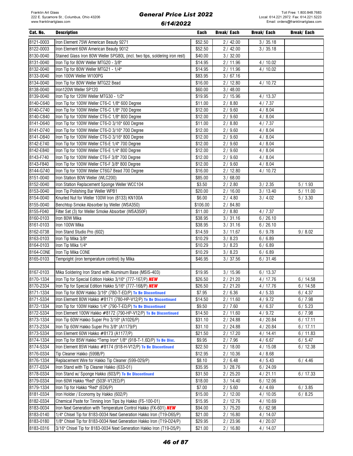| Cat. No.               | <b>Description</b>                                                                                                                           | Each     | Break/ Each          | Break/ Each | <b>Break/Each</b> |
|------------------------|----------------------------------------------------------------------------------------------------------------------------------------------|----------|----------------------|-------------|-------------------|
| 8121-0003              | Iron Element 75W American Beauty 9271                                                                                                        | \$52.50  | 2/42.00              | 3 / 35.18   |                   |
| 8122-0003              | Iron Element 60W American Beauty 9012                                                                                                        | \$52.50  | 2/42.00              | 3/35.18     |                   |
| 8130-0040              | Stained Glass Iron 80W Weller SPG80L (incl. two tips, soldering iron rest)                                                                   | \$40.00  | 3 / 32.00            |             |                   |
| 8131-0040              | Iron Tip for 80W Weller MTG20 - 3/8"                                                                                                         | \$14.95  | 2/11.96              | 4/10.02     |                   |
| 8132-0040              | Iron Tip for 80W Weller MTG21 - 1/4"                                                                                                         | \$14.95  | 2/11.96              | 4/10.02     |                   |
| 8133-0040              | Iron 100W Weller W100PG                                                                                                                      | \$83.95  | 3/67.16              |             |                   |
| 8134-0040              | Iron Tip for 80W Weller MTG22 Bead                                                                                                           | \$16.00  | 2/12.80              | 4/10.72     |                   |
| 8138-0040              | Iron120W Weller SP120                                                                                                                        | \$60.00  | 3 / 48.00            |             |                   |
| 8139-0040              | Iron Tip for 120W Weller MTG30 - 1/2"                                                                                                        | \$19.95  | 2/15.96              | 4/13.37     |                   |
| 8140-C640              | Iron Tip for 100W Weller CT6-C 1/8" 600 Degree                                                                                               | \$11.00  | 2/8.80               | 4/7.37      |                   |
| 8140-C740              | Iron Tip for 100W Weller CT6-C 1/8" 700 Degree                                                                                               | \$12.00  | $\frac{1}{2}$ / 9.60 | 4/8.04      |                   |
| 8140-C840              | Iron Tip for 100W Weller CT6-C 1/8" 800 Degree                                                                                               | \$12.00  | 2/9.60               | 4/8.04      |                   |
| 8141-D640              | Iron Tip for 100W Weller CT6-D 3/16" 600 Degree                                                                                              | \$11.00  | 2/8.80               | 4/7.37      |                   |
| 8141-D740              | Iron Tip for 100W Weller CT6-D 3/16" 700 Degree                                                                                              | \$12.00  | 2/9.60               | 4/8.04      |                   |
| 8141-D840              | Iron Tip for 100W Weller CT6-D 3/16" 800 Degree                                                                                              | \$12.00  | 2/9.60               | 4/8.04      |                   |
| 8142-E740              | Iron Tip for 100W Weller CT6-E 1/4" 700 Degree                                                                                               | \$12.00  | 2/9.60               | 4/8.04      |                   |
| 8142-E840              | Iron Tip for 100W Weller CT6-E 1/4" 800 Degree                                                                                               | \$12.00  | 2/9.60               | 4/8.04      |                   |
| 8143-F740              | Iron Tip for 100W Weller CT6-F 3/8" 700 Degree                                                                                               | \$12.00  | 2/9.60               | 4/8.04      |                   |
| 8143-F840              | Iron Tip for 100W Weller CT6-F 3/8" 800 Degree                                                                                               | \$12.00  | 2/9.60               | 4/8.04      |                   |
| 8144-G740              | Iron Tip for 100W Weller CT6G7 Bead 700 Degree                                                                                               | \$16.00  | 2/12.80              | 4/10.72     |                   |
| 8151-0040              | Iron Station 80W Weller (WLC200)                                                                                                             | \$85.00  | 3/68.00              |             |                   |
| 8152-0040              | Iron Station Replacement Sponge Weller WCC104                                                                                                | \$3.50   | 2/2.80               | 3 / 2.35    | 5/1.93            |
| 8153-0040              | Iron Tip Polishing Bar Weller WPB1                                                                                                           | \$20.00  | 2/16.00              | 3/13.40     | 5/11.00           |
| 8154-0040              | Knurled Nut for Weller 100W Iron (8133) KN100A                                                                                               | \$6.00   | 2/4.80               | 3/4.02      | 5/3.30            |
| 8155-0040              | Benchtop Smoke Absorber by Weller (WSA350)                                                                                                   | \$106.00 | 2/84.80              |             |                   |
| 8155-F040              | Filter Set (3) for Weller Smoke Absorber (WSA350F)                                                                                           | \$11.00  | 2/8.80               | 4/7.37      |                   |
| 8160-0103              | Iron 80W Mika                                                                                                                                | \$38.95  | 3/31.16              | 6/26.10     |                   |
| 8161-0103              | Iron 100W Mika                                                                                                                               | \$38.95  | 3/31.16              | 6/26.10     |                   |
| 8162-0738              | Iron Stand Studio Pro (602)                                                                                                                  | \$14.59  | 3/11.67              | 6/9.78      | 9/8.02            |
| 8163-0103              | Iron Tip Mika 3/8"                                                                                                                           | \$10.29  | 3 / 8.23             | 6/6.89      |                   |
| 8164-0103              | Iron Tip Mika 1/4"                                                                                                                           | \$10.29  | 3 / 8.23             | 6/6.89      |                   |
| 8164-CONE              | Iron Tip Mika CONE                                                                                                                           | \$10.29  | 3 / 8.23             | 6/6.89      |                   |
| 8165-0103              | Tempright (iron temperature control) by Mika                                                                                                 | \$46.95  | 3 / 37.56            | 6/31.46     |                   |
| 8167-0103              | Mika Soldering Iron Stand with Aluminum Base (MSIS-403)                                                                                      | \$19.95  | 3/15.96              | 6/13.37     |                   |
| 8170-1334              | Iron Tip for Special Edition Hakko 3/16" (777-167/P) NEW                                                                                     | \$26.50  | 2/21.20              | 4/17.76     | 6/14.58           |
| 8170-2334              | Iron Tip for Special Edition Hakko 5/16" (777-168/P) NEW                                                                                     | \$26.50  | 2/21.20              | 4/17.76     | 6/14.58           |
| 8171-1334              | Iron Tip for 80W Hakko 3/16" (780-T-ED/P) To Be Discontinued                                                                                 | \$7.95   | 2/6.36               | 4/5.33      | 6/4.37            |
| 8171-5334              | Iron Element 80W Hakko #8171 (780-HP-V12/P) To Be Discontinued                                                                               | \$14.50  | 2/11.60              | 4/9.72      | 6/7.98            |
| 8172-1334              | Iron Tip for 100W Hakko 1/4" (790-T-ED/P) To Be Discontinued                                                                                 | \$9.50   | 2/7.60               | 4/6.37      | 6/5.23            |
| 8172-5334              | Iron Element 100W Hakko #8172 (790-HP-V12/P) To Be Discontinued                                                                              | \$14.50  | 2/11.60              | 4/9.72      | 6/7.98            |
| 8173-1334              | Iron Tip 60W Hakko Super Pro 3/16" (A1026/P)                                                                                                 | \$31.10  | 2 / 24.88            | 4/20.84     | 6/17.11           |
| 8173-2334              | Iron Tip 60W Hakko Super Pro 3/8" (A1179/P)                                                                                                  | \$31.10  | 2/24.88              | 4/20.84     | 6/17.11           |
| 8173-5334              | Iron Element 60W Hakko #8173 (A1177/P)                                                                                                       | \$21.50  | 2/17.20              | 4/14.41     | 6/11.83           |
| 8174-1334              | Iron Tip for 85W Hakko "Temp Iron" 1/8" (918-T-1.6D/P) To Be Disc.                                                                           | \$9.95   | 2/7.96               | 4/6.67      | 6/5.47            |
| 8174-5334              | Iron Element 85W Hakko #8174 (918-H-V12/P) To Be Discontinued                                                                                | \$22.50  | 2/18.00              | 4/15.08     | 6/12.38           |
| 8176-0334              | Tip Cleaner Hakko (599B/P)                                                                                                                   | \$12.95  | 2/10.36              | 4/8.68      |                   |
| 8176-1334              | Replacement Wire for Hakko Tip Cleaner (599-029/P)                                                                                           | \$8.10   | 2/6.48               | 4/5.43      | 6/4.46            |
| 8177-0334              | Iron Stand with Tip Cleaner Hakko (633-01)                                                                                                   | \$35.95  | 3/28.76              | 6/24.09     |                   |
| 8178-0334              | Iron Stand w/ Sponge Hakko (603/P) To Be Discontinued                                                                                        | \$31.50  | 2/25.20              | 4/21.11     | 6/17.33           |
| 8179-0334              | Iron 60W Hakko "Red" (503F-V12ED/P)                                                                                                          | \$18.00  | 3/14.40              | 6/12.06     |                   |
| 8179-1334              | Iron Tip for Hakko "Red" (ED6/P)                                                                                                             | \$7.00   | 2/5.60               | 4/4.69      | 6/3.85            |
| 8181-0334              | Iron Holder / Economy by Hakko (602/P)                                                                                                       | \$15.00  | 2/12.00              | 4/10.05     | 6/8.25            |
| 8182-0334              | Chemical Paste for Tinning Iron Tips by Hakko (FS-100-01)                                                                                    | \$15.95  | 2/12.76              | 4/10.69     |                   |
| 8183-0034              | Iron Next Generation with Temperature Control Hakko (FX-601) NEW                                                                             | \$94.00  | 3/75.20              | 6/62.98     |                   |
| 8183-0140              | 1/4" Chisel Tip for 8183-0034 Next Generation Hakko Iron (T19-D65/P)                                                                         | \$21.00  | 2/16.80              | 4 / 14.07   |                   |
| 8183-0180<br>8183-0316 | 1/8" Chisel Tip for 8183-0034 Next Generation Hakko Iron (T19-D24/P)<br>3/16" Chisel Tip for 8183-0034 Next Generation Hakko Iron (T19-D5/P) | \$29.95  | 2 / 23.96            | 4/20.07     |                   |
|                        |                                                                                                                                              | \$21.00  | 2/16.80              | 4 / 14.07   |                   |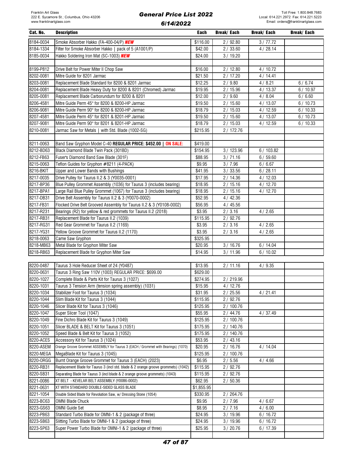| Cat. No.               | <b>Description</b>                                                                 | Each             | Break/ Each | <b>Break/Each</b> | <b>Break/Each</b> |
|------------------------|------------------------------------------------------------------------------------|------------------|-------------|-------------------|-------------------|
| 8184-0034              | Smoke Absorber Hakko (FA-400-04/P) NEW                                             | \$116.00         | 2/92.80     | 3/77.72           |                   |
| 8184-1334              | Filter for Smoke Absorber Hakko   pack of 5 (A1001/P)                              | \$42.00          | 2/33.60     | 4/28.14           |                   |
| 8185-0034              | Hakko Soldering Iron Mat (SC-1003) NEW                                             | \$24.00          | 3/19.20     |                   |                   |
|                        |                                                                                    |                  |             |                   |                   |
| 8199-P812              | Drive Belt for Power Miter II Chop Saw                                             | \$16.00          | 2/12.80     | 4/10.72           |                   |
| 8202-0081              | Mitre Guide for 8201 Jarmac                                                        | \$21.50          | 2/17.20     | 4/14.41           |                   |
| 8203-0081              | Replacement Blade Standard for 8200 & 8201 Jarmac                                  | \$12.25          | 2/9.80      | 4/8.21            | 6/6.74            |
| 8204-0081              | Replacement Blade Heavy Duty for 8200 & 8201 (Chromed) Jarmac                      | \$19.95          | 2/15.96     | 4/13.37           | 6/10.97           |
| 8205-0081              | Replacement Blade Carborundum for 8200 & 8201                                      | \$12.00          | 2/9.60      | 4/8.04            | 6/6.60            |
| 8206-4581              | Mitre Guide Perm 45° for 8200 & 8200-HP Jarmac                                     | \$19.50          | 2/15.60     | 4/13.07           | 6/10.73           |
| 8206-9081              | Mitre Guide Perm 90° for 8200 & 8200-HP Jarmac                                     | \$18.79          | 2/15.03     | 4/12.59           | 6/10.33           |
| 8207-4581              | Mitre Guide Perm 45° for 8201 & 8201-HP Jarmac                                     | \$19.50          | 2/15.60     | 4/13.07           | 6/10.73           |
| 8207-9081              | Mitre Guide Perm 90° for 8201 & 8201-HP Jarmac                                     | \$18.79          | 2/15.03     | 4/12.59           | 6/10.33           |
| 8210-0081              | Jarmac Saw for Metals   with Std. Blade (1002-SG)                                  | \$215.95         | 2/172.76    |                   |                   |
|                        |                                                                                    |                  |             |                   |                   |
| 8211-0063              | Band Saw Gryphon Model C-40 REGULAR PRICE: \$452.00   ON SALE:                     | \$419.00         |             |                   |                   |
| 8212-BD63              | Black Diamond Blade Twin Pack (301BD)                                              | \$154.95         | 3 / 123.96  | 6/103.82          |                   |
| 8212-FB63              | Fuser's Diamond Band Saw Blade (301F)                                              | \$88.95          | 3/71.16     | 6/59.60           |                   |
| 8215-0063              | Teflon Guides for Gryphon #8211 (4-PACK)                                           | \$9.95           | 3/7.96      | 6/6.67            |                   |
| 8216-BKIT              | Upper and Lower Bands with Bushings                                                | \$41.95          | 3 / 33.56   | 6/28.11           |                   |
| 8217-0035              | Drive Pulley for Taurus II.2 & 3 (Y0035-0001)                                      | \$17.95          | 2/14.36     | 4/12.03           |                   |
| 8217-BP36              | Blue Pulley Grommet Assembly (1036) for Taurus 3 (includes bearing)                | \$18.95          | 2/15.16     | 4/12.70           |                   |
| 8217-BPA1              | Large Rail Blue Pulley Grommet (1067) for Taurus 3 (includes bearing)              | \$18.95          | 2/15.16     | 4/12.70           |                   |
| 8217-DB31              | Drive Belt Assembly for Taurus II.2 & 3 (Y0070-0002)                               | \$52.95          | 4/42.36     |                   |                   |
| 8217-FB31              | Flocked Drive Belt Grooved Assembly for Taurus II.2 & 3 (Y0108-0002)               | \$56.95          | 4/45.56     |                   |                   |
| 8217-R231              | Bearings (R2) for yellow & red grommets for Taurus II.2 (2018)                     | \$3.95           | 2/3.16      | 4/2.65            |                   |
| 8217-RB31              | Replacement Blade for Taurus II.2 (1039)                                           | \$115.95         | 2/92.76     |                   |                   |
| 8217-RG31<br>8217-YG31 | Red Gear Grommet for Taurus II.2 (1169)                                            | \$3.95<br>\$3.95 | 2/3.16      | 4/2.65            |                   |
| 8218-0063              | Yellow Groove Grommet for Taurus II.2 (1170)<br>Came Saw Gryphon                   | \$325.95         | 2/3.16      | 4/2.65            |                   |
| 8218-MB63              | Metal Blade for Gryphon Miter Saw                                                  | \$20.95          | 3/16.76     | 6/14.04           |                   |
| 8218-RB63              | Replacement Blade for Gryphon Miter Saw                                            | \$14.95          | 3/11.96     | 6/10.02           |                   |
|                        |                                                                                    |                  |             |                   |                   |
| 8220-0487              | Taurus 3 Hole Reducer Sheet of 24 (Y0487)                                          | \$13.95          | 2/11.16     | 4/9.35            |                   |
| 8220-0631              | Taurus 3 Ring Saw 110V (1003) REGULAR PRICE: \$699.00                              | \$629.00         |             |                   |                   |
| 8220-1027              | Complete Blade & Parts Kit for Taurus 3 (1027)                                     | \$274.95         | 2/219.96    |                   |                   |
| 8220-1031              | Taurus 3 Tension Arm (tension spring assembly) (1031)                              | \$15.95          | 4/12.76     |                   |                   |
| 8220-1034              | Stabilizer Foot for Taurus 3 (1034)                                                | \$31.95          | 2/25.56     | 4/21.41           |                   |
| 8220-1044              | Slim Blade Kit for Taurus 3 (1044)                                                 | \$115.95         | 2/92.76     |                   |                   |
| 8220-1046              | Slicer Blade Kit for Taurus 3 (1046)                                               | \$125.95         | 2 / 100.76  |                   |                   |
| 8220-1047              | Super Slicer Tool (1047)                                                           | \$55.95          | 2/44.76     | 4/37.49           |                   |
| 8220-1049              | Fine Dichro Blade Kit for Taurus 3 (1049)                                          | \$125.95         | 2/100.76    |                   |                   |
| 8220-1051              | Slicer BLADE & BELT Kit for Taurus 3 (1051)                                        | \$175.95         | 2/140.76    |                   |                   |
| 8220-1052              | Speed Blade & Belt Kit for Taurus 3 (1052)                                         | \$175.95         | 2/140.76    |                   |                   |
| 8220-ACES              | Accessory Kit for Taurus 3 (1024)                                                  | \$53.95          | 2/43.16     |                   |                   |
| 8220-ASEM              | Orange Groove Grommet ASSEMBLY for Taurus 3 (EACH / Grommet with Bearings) (1070)  | \$20.95          | 2/16.76     | 4 / 14.04         |                   |
| 8220-MEGA              | MegaBlade Kit for Taurus 3 (1045)                                                  | \$125.95         | 2/100.76    |                   |                   |
| 8220-ORGG              | Burnt Orange Groove Grommet for Taurus 3 (EACH) (2023)                             | \$6.95           | 2/5.56      | 4/4.66            |                   |
| 8220-RB31              | Replacement Blade for Taurus 3 (incl std. blade & 2 orange groove grommets) (1042) | \$115.95         | 2/92.76     |                   |                   |
| 8220-SB31              | Separating Blade for Taurus 3 (incl blade & 2 orange groove grommets) (1043)       | \$115.95         | 2/92.76     |                   |                   |
| 8221-0086              | XT BELT - KEVELAR BELT ASSEMBLY (Y0086-0002)                                       | \$62.95          | 2/50.36     |                   |                   |
| 8221-0631              | XT WITH STANDARD DOUBLE-SIDED GLASS BLADE                                          | \$1,855.95       |             |                   |                   |
| 8221-1054              | Double Sided Blade for Revolution Saw, w/ Dressing Stone (1054)                    | \$330.95         | 2/264.76    |                   |                   |
| 8223-BC63              | OMNI Blade Chuck                                                                   | \$9.95           | 2/7.96      | 4/6.67            |                   |
| 8223-GS63              | <b>OMNI Guide Set</b>                                                              | \$8.95           | 2/7.16      | 4/6.00            |                   |
| 8223-PB63              | Standard Turbo Blade for OMNI-1 & 2 (package of three)                             | \$24.95          | 3/19.96     | 6/16.72           |                   |
| 8223-SB63              | Slitting Turbo Blade for OMNI-1 & 2 (package of three)                             | \$24.95          | 3/19.96     | 6/16.72           |                   |
| 8223-SP63              | Super Power Turbo Blade for OMNI-1 & 2 (package of three)                          | \$25.95          | 3 / 20.76   | 6/17.39           |                   |
|                        |                                                                                    |                  |             |                   |                   |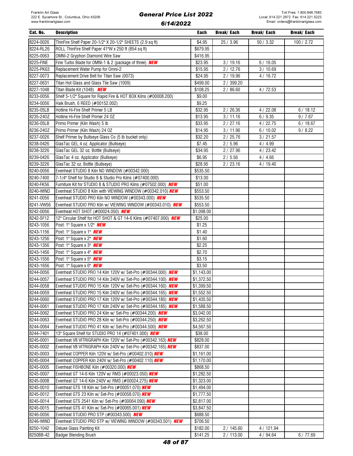| Cat. No.  | <b>Description</b>                                               | Each       | Break/ Each | Break/ Each | Break/ Each |
|-----------|------------------------------------------------------------------|------------|-------------|-------------|-------------|
| 8224-0026 | ThinFire Shelf Paper 20-1/2" X 20-1/2" SHEETS (2.9 sq ft)        | \$4.95     | 25 / 3.96   | 50/3.32     | 100 / 2.72  |
| 8224-RL26 | ROLL ThinFire Shelf Paper 41"W x 250 ft (854 sq ft)              | \$679.95   |             |             |             |
| 8225-0063 | OMNI-2 Gryphon Diamond Wire Saw                                  | \$416.95   |             |             |             |
| 8225-FINE | Fine Turbo Blade for OMNI-1 & 2 (package of three) <b>NEW</b>    | \$23.95    | 3/19.16     | 6/16.05     |             |
| 8225-PK63 | Replacement Water Pump for Omni-2                                | \$15.95    | 2/12.76     | 3/10.69     |             |
| 8227-0073 | Replacement Drive Belt for Titan Saw (0073)                      | \$24.95    | 2/19.96     | 4/16.72     |             |
| 8227-0631 | Titan Hot Glass and Glass Tile Saw (1009)                        | \$499.00   | 2/399.20    |             |             |
| 8227-1048 | Titan Blade Kit (1048) NEW                                       | \$108.25   | 2/86.60     | 4/72.53     |             |
| 8233-0056 | Shelf 5-1/2" Square for Rapid Fire & HOT BOX Kilns (#00008.200)  | \$9.00     |             |             |             |
| 8234-0056 | Haik Brush, 6 REED (#00152.002)                                  | \$9.25     |             |             |             |
| 8235-05LB | Hotline Hi-Fire Shelf Primer 5 LB                                | \$32.95    | 2/26.36     | 4/22.08     | 6/18.12     |
| 8235-240Z | Hotline Hi-Fire Shelf Primer 24 OZ                               | \$13.95    | 3/11.16     | 6/9.35      | 9/7.67      |
| 8236-05LB | Primo Primer (Kiln Wash) 5 lb                                    | \$33.95    | 2/27.16     | 4/22.75     | 6/18.67     |
| 8236-240Z | Primo Primer (Kiln Wash) 24 OZ                                   | \$14.95    | 3/11.96     | 6/10.02     | 9/8.22      |
| 8237-0026 | Shelf Primer by Bullseye Glass Co (5 lb bucket only)             | \$32.20    | 2/25.76     | 3 / 21.57   |             |
| 8238-0426 | GlasTac GEL 4 oz. Applicator (Bullseye)                          | \$7.45     | 2/5.96      | 4/4.99      |             |
| 8238-3226 | GlasTac GEL 32 oz. Bottle (Bullseye)                             | \$34.95    | 2/27.96     | 4/23.42     |             |
| 8239-0426 | GlasTac 4 oz. Applicator (Bullseye)                              | \$6.95     | 2/5.56      | 4/4.66      |             |
| 8239-3226 | GlasTac 32 oz. Bottle (Bullseye)                                 | \$28.95    | 2/23.16     | 4/19.40     |             |
| 8240-0056 | Evenheat STUDIO 8 Kiln NO WINDOW (#00342.000)                    | \$535.50   |             |             |             |
| 8240-7400 | 7-1/4" Shelf for Studio 8 & Studio Pro Kilns (#07400.000)        | \$13.00    |             |             |             |
| 8240-FK56 | Furniture Kit for STUDIO 8 & STUDIO PRO Kilns (#07502.000) NEW   | \$51.00    |             |             |             |
| 8240-WIND | Evenheat STUDIO 8 Kiln with VIEWING WINDOW (#00342.010) NEW      | \$553.50   |             |             |             |
| 8241-0056 | Evenheat STUDIO PRO Kiln NO WINDOW (#00343.000) NEW              | \$535.50   |             |             |             |
| 8241-VW56 | Evenheat STUDIO PRO Kiln w/ VIEWING WINDOW (#00343.010) NEW      | \$553.50   |             |             |             |
| 8242-0056 | Evenheat HOT SHOT (#00024.050) NEW                               | \$1,098.00 |             |             |             |
| 8242-SF12 | 12" Circular Shelf for HOT SHOT & GT 14-6 Kilns (#07407.000) NEW | \$25.00    |             |             |             |
| 8243-1056 | Post: 1" Square x 1/2" <b>NEW</b>                                | \$1.25     |             |             |             |
| 8243-1156 | Post: 1" Square x 1" <b>NEW</b>                                  | \$1.40     |             |             |             |
| 8243-1256 | Post: 1" Square x 2" NEW                                         | \$1.60     |             |             |             |
| 8243-1356 | Post: 1" Square x 3" <b>NEW</b>                                  | \$2.25     |             |             |             |
| 8243-1456 | Post: 1" Square x 4" NEW                                         | \$2.70     |             |             |             |
| 8243-1556 | Post: 1" Square x 5" NEW                                         | \$3.15     |             |             |             |
| 8243-1656 | Post: 1" Square x 6" NEW                                         | \$3.50     |             |             |             |
| 8244-0056 | Evenheat STUDIO PRO 14 Kiln 120V w/ Set-Pro (#00344.000) NEW     | \$1,143.00 |             |             |             |
| 8244-0057 | Evenheat STUDIO PRO 14 Kiln 240V w/ Set-Pro (#00344.100) NEW     | \$1,372.50 |             |             |             |
| 8244-0058 | Evenheat STUDIO PRO 15 Kiln 120V w/ Set-Pro (#00344.160) NEW     | \$1,399.50 |             |             |             |
| 8244-0059 | Evenheat STUDIO PRO 15 Kiln 240V w/ Set-Pro (#00344.165) NEW     | \$1,552.50 |             |             |             |
| 8244-0060 | Evenheat STUDIO PRO 17 Kiln 120V w/ Set-Pro (#00344.180) NEW     | \$1,435.50 |             |             |             |
| 8244-0061 | Evenheat STUDIO PRO 17 Kiln 240V w/ Set-Pro (#00344.185) NEW     | \$1,588.50 |             |             |             |
| 8244-0062 | Evenheat STUDIO PRO 24 Kiln w/ Set-Pro (#00344.200) NEW          | \$3,042.00 |             |             |             |
| 8244-0063 | Evenheat STUDIO PRO 28 Kiln w/ Set-Pro (#00344.250) NEW          | \$3,262.50 |             |             |             |
| 8244-0064 | Evenheat STUDIO PRO 41 Kiln w/ Set-Pro (#00344.500) NEW          | \$4,567.50 |             |             |             |
| 8244-7401 | 13" Square Shelf for STUDIO PRO 14 (#07401.000) NEW              | \$38.00    |             |             |             |
| 8245-0001 | Evenheat V8 VITRIGRAPH Kiln 120V w/ Set-Pro (#00342.163) NEW     | \$828.00   |             |             |             |
| 8245-0002 | Evenheat V8 VITRIGRAPH Kiln 240V w/ Set-Pro (#00342.165) NEW     | \$837.00   |             |             |             |
| 8245-0003 | Evenheat COPPER Kiln 120V w/ Set-Pro (#00402.010) NEW            | \$1,161.00 |             |             |             |
| 8245-0004 | Evenheat COPPER Kiln 240V w/ Set-Pro (#00402.110) NEW            | \$1,170.00 |             |             |             |
| 8245-0005 | Evenheat FISHBONE Kiln (#00320.000) NEW                          | \$868.50   |             |             |             |
| 8245-0007 | Evenheat GT 14-6 Kiln 120V w/ RM3 (#00023.050) NEW               | \$1,282.50 |             |             |             |
| 8245-0008 | Evenheat GT 14-6 Kiln 240V w/ RM3 (#00024.275) NEW               | \$1,323.00 |             |             |             |
| 8245-0010 | Evenheat GTS 18 Kiln w/ Set-Pro (#00051.070) NEW                 | \$1,494.00 |             |             |             |
| 8245-0012 | Evenheat GTS 23 Kiln w/ Set-Pro (#00058.070) NEW                 | \$1,777.50 |             |             |             |
| 8245-0014 | Evenheat GTS 2541 Kiln w/ Set-Pro (#00064.090) NEW               | \$2,817.00 |             |             |             |
| 8245-0015 | Evenheat GTS 41 Kiln w/ Set-Pro (#00065.001) NEW                 | \$3,847.50 |             |             |             |
| 8246-0056 | Evenheat STUDIO PRO STP (#00343.500) NEW                         | \$688.50   |             |             |             |
| 8246-WIND | Evenheat STUDIO PRO STP w/ VIEWING WINDOW (#00343.501) NEW       | \$706.50   |             |             |             |
| 8250-1042 | Deluxe Glass Painting Kit                                        | \$182.00   | 2 / 145.60  | 4 / 121.94  |             |
| 8250BB-42 | <b>Badger Blending Brush</b>                                     | \$141.25   | 2/113.00    | 4 / 94.64   | 6/77.69     |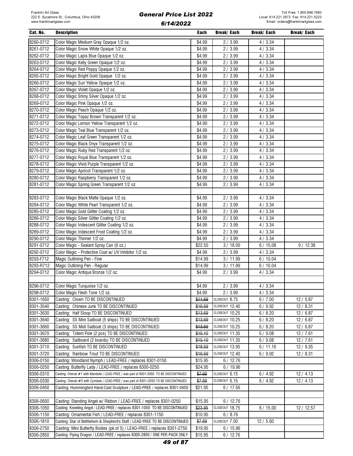| Cat. No.  | <b>Description</b>                                                                      | Each               | Break/ Each    | Break/ Each | Break/ Each |
|-----------|-----------------------------------------------------------------------------------------|--------------------|----------------|-------------|-------------|
| 8260-0712 | Color Magic Medium Gray Opaque 1/2 oz.                                                  | \$4.99             | 2/3.99         | 4 / 3.34    |             |
| 8261-0712 | Color Magic Snow White Opaque 1/2 oz.                                                   | \$4.99             | 2/3.99         | 4 / 3.34    |             |
| 8262-0712 | Color Magic Lapis Blue Opaque 1/2 oz.                                                   | \$4.99             | 2/3.99         | 4 / 3.34    |             |
| 8263-0712 | Color Magic Kelly Green Opaque 1/2 oz.                                                  | \$4.99             | 2/3.99         | 4 / 3.34    |             |
| 8264-0712 | Color Magic Red Poppy Opaque 1/2 oz.                                                    | \$4.99             | 2/3.99         | 4 / 3.34    |             |
| 8265-0712 | Color Magic Bright Gold Opaque 1/2 oz.                                                  | \$4.99             | 2/3.99         | 4 / 3.34    |             |
| 8266-0712 | Color Magic Sun Yellow Opaque 1/2 oz.                                                   | \$4.99             | 2/3.99         | 4/3.34      |             |
| 8267-0712 | Color Magic Violet Opaque 1/2 oz.                                                       | \$4.99             | 2/3.99         | 4/3.34      |             |
| 8268-0712 | Color Magic Shiny Silver Opaque 1/2 oz.                                                 | $\overline{$}4.99$ | 2/3.99         | 4 / 3.34    |             |
| 8269-0712 |                                                                                         |                    |                |             |             |
|           | Color Magic Pink Opaque 1/2 oz.                                                         | \$4.99             | 2/3.99         | 4/3.34      |             |
| 8270-0712 | Color Magic Peach Opaque 1/2 oz.                                                        | \$4.99             | 2/3.99         | 4/3.34      |             |
| 8271-0712 | Color Magic Topaz Brown Transparent 1/2 oz.                                             | \$4.99             | 2/3.99         | 4/3.34      |             |
| 8272-0712 | Color Magic Lemon Yellow Transparent 1/2 oz.                                            | \$4.99             | 2/3.99         | 4/3.34      |             |
| 8273-0712 | Color Magic Teal Blue Transparent 1/2 oz.                                               | \$4.99             | 2/3.99         | 4/3.34      |             |
| 8274-0712 | Color Magic Leaf Green Transparent 1/2 oz.                                              | \$4.99             | 2/3.99         | 4/3.34      |             |
| 8275-0712 | Color Magic Black Onyx Transparent 1/2 oz.                                              | \$4.99             | 2/3.99         | 4/3.34      |             |
| 8276-0712 | Color Magic Ruby Red Transparent 1/2 oz.                                                | \$4.99             | 2/3.99         | 4/3.34      |             |
| 8277-0712 | Color Magic Royal Blue Transparent 1/2 oz.                                              | \$4.99             | 2/3.99         | 4/3.34      |             |
| 8278-0712 | Color Magic Vivid Purple Transparent 1/2 oz.                                            | \$4.99             | 2/3.99         | 4/3.34      |             |
| 8279-0712 | Color Magic Apricot Transparent 1/2 oz.                                                 | \$4.99             | 2/3.99         | 4/3.34      |             |
| 8280-0712 | Color Magic Raspberry Transparent 1/2 oz.                                               | \$4.99             | 2/3.99         | 4/3.34      |             |
| 8281-0712 | Color Magic Spring Green Transparent 1/2 oz.                                            | \$4.99             | 2/3.99         | 4 / 3.34    |             |
|           |                                                                                         |                    |                |             |             |
| 8283-0712 | Color Magic Black Matte Opaque 1/2 oz.                                                  | \$4.99             | 2/3.99         | 4/3.34      |             |
| 8284-0712 | Color Magic White Pearl Transparent 1/2 oz.                                             | \$4.99             | 2/3.99         | 4/3.34      |             |
| 8285-0712 | Color Magic Gold Glitter Coating 1/2 oz.                                                | \$4.99             | 2/3.99         | 4/3.34      |             |
| 8286-0712 | Color Magic Silver Glitter Coating 1/2 oz.                                              | \$4.99             | 2/3.99         | 4 / 3.34    |             |
| 8288-0712 | Color Magic Iridescent Glitter Coating 1/2 oz.                                          | \$4.99             | 2/3.99         | 4/3.34      |             |
| 8289-0712 | Color Magic Iridescent Frost Coating 1/2 oz.                                            | \$4.99             | 2/3.99         | 4/3.34      |             |
| 8290-0712 | Color Magic Thinner 1/2 oz.                                                             | \$4.99             | 2/3.99         | 4 / 3.34    |             |
| 8291-0712 | Color Magic - Sealant Spray Can (6 oz.)                                                 | \$22.50            | 3/18.00        | 6/15.08     | 9/12.38     |
| 8292-0712 | Color Magic - Protective Coat w/ UV Inhibitor 1/2 oz.                                   | \$4.99             | 2/3.99         | 4/3.34      |             |
| 8293-F712 | Magic Outlining Pen - Fine                                                              | \$14.99            | 3/11.99        | 6/10.04     |             |
| 8293-R712 | Magic Outlining Pen - Regular                                                           | \$14.99            | 3/11.99        | 6/10.04     |             |
| 8294-0712 | Color Magic Antique Bronze 1/2 oz.                                                      | \$4.99             | 2/3.99         | 4 / 3.34    |             |
|           |                                                                                         |                    |                |             |             |
| 8296-0712 | Color Magic Turquoise 1/2 oz.                                                           | \$4.99             | 2/3.99         | 4/3.34      |             |
| 8298-0712 | Color Magic Flesh Tone 1/2 oz.                                                          | \$4.99             | 2/3.99         | 4/3.34      |             |
| 8301-1650 | Casting: Clown TO BE DISCONTINUED                                                       | \$11.69            | CLOSEOUT 8.75  | 6/7.00      | 12/5.87     |
| 8301-3540 | Casting: Chinese Junk TO BE DISCONTINUED                                                | \$16.59            | CLOSEOUT 12.40 | 6/9.92      | 12/8.31     |
| 8301-3630 | Casting: Half Sloop TO BE DISCONTINUED                                                  | \$13.69            | CLOSEOUT 10.25 | 6/8.20      | 12/6.87     |
|           |                                                                                         | \$13.69            |                | 6/8.20      |             |
| 8301-3640 | Casting: SS Mini Sailboat (5 ships) TO BE DISCONTINUED                                  |                    | CLOSEOUT 10.25 |             | 12/6.87     |
| 8301-3660 | Casting: SS Midi Sailboat (3 ships) TO BE DISCONTINUED                                  | \$13.69            | CLOSEOUT 10.25 | 6/8.20      | 12/6.87     |
| 8301-3670 | Casting: Totem Pole (2 pcs) TO BE DISCONTINUED                                          | \$15.10            | CLOSEOUT 11.35 | 6/9.08      | 12/7.61     |
| 8301-3680 | Casting: Sailboard (2 boards) TO BE DISCONTINUED                                        | \$15.10            | CLOSEOUT 11.35 | 6/9.08      | 12/7.61     |
| 8301-3710 | Casting: Sunfish TO BE DISCONTINUED                                                     | \$18.59            | CLOSEOUT 13.95 | 6/11.16     | 12/9.35     |
| 8301-3720 | Casting: Rainbow Trout TO BE DISCONTINUED                                               | \$16.59            | CLOSEOUT 12.40 | 6/9.92      | 12/8.31     |
| 8306-0150 | Casting: Woodland Nymph / LEAD-FREE / replaces 8301-0150                                | \$15.95            | 6/12.76        |             |             |
| 8306-0250 | Casting: Butterfly Lady / LEAD-FREE / replaces 8300-0250                                | \$24.95            | 6/19.96        |             |             |
| 8306-0310 | Casting: Cherub #1 with Mandolin / LEAD-FREE / was part of 8301-0350 TO BE DISCONTINUED | \$7.69             | CLOSEOUT 6.15  | 6/4.92      | 12/4.13     |
| 8306-0330 | Casting: Cherub #3 with Cymbals / LEAD-FREE / was part of 8301-0350 TO BE DISCONTINUED  | \$7.69             | CLOSEOUT 6.15  | 6/4.92      | 12/4.13     |
| 8306-0450 | Casting: Hummingbird Hand-Cast Sculpture / LEAD-FREE / replaces 8301-0450               | \$21.95            | 6/17.56        |             |             |
|           |                                                                                         |                    |                |             |             |
| 8306-0650 | Casting: Standing Angel w/ Ribbon / LEAD-FREE / replaces 8301-0250                      | \$15.95            | 6/12.76        |             |             |
| 8306-1050 | Casting: Kneeling Angel / LEAD-FREE / replaces 8301-1050 TO BE DISCONTINUED             | \$23.95            | CLOSEOUT 18.75 | 6/15.00     | 12 / 12.57  |
| 8306-1150 | Casting: Ornamental Fish / LEAD-FREE / replaces 8301-1150                               | \$10.95            | 6/8.76         |             |             |
| 8306-1810 | Casting: Star of Bethlehem & Shepherd's Staff / LEAD-FREE TO BE DISCONTINUED            | \$7.69             | CLOSEOUT 7.00  | 12/5.60     |             |
| 8306-2750 | Casting: Mini Butterfly Bodies (pk of 5) / LEAD-FREE / replaces 8301-2750               | \$19.95            | 6/15.96        |             |             |
| 8306-2850 | Casting: Flying Dragon / LEAD-FREE / replaces 8300-2850 / ONE PER PACK ONLY             | \$15.95            | 6/12.76        |             |             |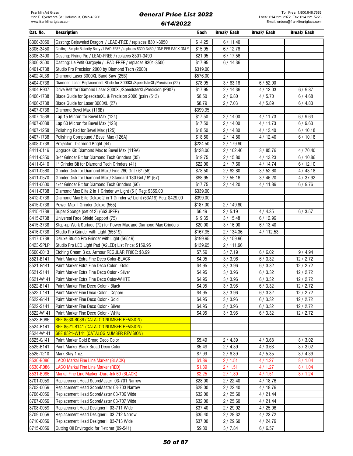| Cat. No.               | <b>Description</b>                                                                  | Each             | Break/ Each          | Break/ Each      | Break/ Each        |
|------------------------|-------------------------------------------------------------------------------------|------------------|----------------------|------------------|--------------------|
| 8306-3050              | Casting: Bejeweled Dragon / LEAD-FREE / replaces 8301-3050                          | \$14.25          | 6/11.40              |                  |                    |
| 8306-3450              | Casting: Simple Butterfly Body / LEAD-FREE / replaces 8300-3450 / ONE PER PACK ONLY | \$15.95          | 6/12.76              |                  |                    |
| 8306-3490              | Casting: Flying Pig / LEAD-FREE / replaces 8301-3490                                | \$21.95          | 6/17.56              |                  |                    |
| 8306-3500              | Casting: Le Petit Gargoyle / LEAD-FREE / replaces 8301-3500                         | \$17.95          | 6/14.36              |                  |                    |
| 8401-0738              | Studio Pro Precision 2000 by Diamond Tech (2000)                                    | \$319.00         |                      |                  |                    |
| 8402-XL38              | Diamond Laser 3000XL Band Saw (25B)                                                 | \$576.00         |                      |                  |                    |
| 8404-0738              | Diamond Laser Replacement Blade for 3000XL/SpeedsterXL/Precision (22)               | \$78.95          | 3/63.16              | 6/52.90          |                    |
| 8404-P907              | Drive Belt for Diamond Laser 3000XL/SpeedsterXL/Precision (P907)                    | \$17.95          | 2/14.36              | 4/12.03          | 6/9.87             |
| 8406-1738              | Blade Guide for SpeedsterXL & Precision 2000 (pair) (513)                           | \$8.50           | 2/6.80               | 4/5.70           | 6/4.68             |
| 8406-3738              | Blade Guide for Laser 3000XL (27)                                                   | \$8.79           | 2/7.03               | 4/5.89           | 6/4.83             |
| 8407-0738              | Diamond Bevel Max (116B)                                                            | \$399.95         |                      |                  |                    |
| 8407-1538              | Lap 15 Micron for Bevel Max (124)                                                   | \$17.50          | 2/14.00              | 4/11.73          | 6/9.63             |
| 8407-6038              | Lap 60 Micron for Bevel Max (123)                                                   | \$17.50          | 2/14.00              | 4/11.73          | 6/9.63             |
| 8407-1258              | Polishing Pad for Bevel Max (125)                                                   | \$18.50          | 2/14.80              | 4/12.40          | 6/10.18            |
| 8407-1738              | Polishing Compound / Bevel Max (126A)                                               | \$18.50          | 2/14.80              | 4/12.40          | 6/10.18            |
| 8408-0738              | Projector: Diamond Bright (44)                                                      | \$224.50         | 2 / 179.60           |                  |                    |
| 8411-0119              | Upgrade Kit: Diamond Max to Bevel Max (119A)                                        | \$128.00         | 2/102.40             | 3 / 85.76        | 4/70.40            |
| 8411-0350              | 3/4" Grinder Bit for Diamond Tech Grinders (35)                                     | \$19.75          | 2/15.80              | 4/13.23          | 6/10.86            |
| 8411-0410              | 1" Grinder Bit for Diamond Tech Grinders (41)                                       | \$22.00          | 2/17.60              | 4/14.74          | 6/12.10            |
| 8411-0560              | Grinder Disk for Diamond Max / Fine 260 Grit / 6" (56)                              | \$78.50          | 2/62.80              | 3/52.60          | 4/43.18            |
| 8411-0570              | Grinder Disk for Diamond Max / Standard 180 Grit / 6" (57)                          | \$68.95          | 2/55.16              | 3/46.20          | 4/37.92            |
| 8411-0600              | 1/4" Grinder Bit for Diamond Tech Grinders (60)                                     | \$17.75          | 2/14.20              | 4/11.89          | 6/9.76             |
| 8411-0738              | Diamond Max Elite 2 in 1 Grinder w/ Light (51) Reg: \$359.00                        | \$339.00         |                      |                  |                    |
| 8412-0738              | Diamond Max Elite Deluxe 2 in 1 Grinder w/ Light (53A19) Reg: \$429.00              | \$399.00         |                      |                  |                    |
| 8415-0738              | Power Max II Grinder Deluxe (565)                                                   | \$187.00         | 2/149.60             |                  |                    |
| 8415-1738              | Super Sponge (set of 2) (66SUPER)                                                   | \$6.49           | 2/5.19               | 4/4.35           | 6/3.57             |
| 8415-2738              | Universal Face Shield Support (75)                                                  | \$19.35          | 3/15.48              | 6/12.96          |                    |
| 8415-3738              | Step-up Work Surface (72) for Power Max and Diamond Max Grinders                    | \$20.00          | 3/16.00              | 6/13.40          |                    |
| 8416-0738              | Studio Pro Grinder with Light (55519)                                               | \$167.95         | 2/134.36             | 4/112.53         |                    |
| 8417-0738              | Deluxe Studio Pro Grinder with Light (56519)                                        | \$199.95         | 3/159.96             |                  |                    |
| 8423-SPLP              | Studio Pro LED Light Pad (A2LED) List Price: \$159.95                               | \$139.95         | 2/111.96             |                  |                    |
| 8500-0013              | Etching Cream 3 oz. Armour REGULAR PRICE: \$8.99                                    | \$7.59           | 3/7.19               | 6/6.02           | 9/4.94             |
| 8521-B141              | Paint Marker Extra Fine Deco Color-BLACK                                            | \$4.95           | 3/3.96               | 6/3.32           | 12/2.72            |
| 8521-G141              | Paint Marker Extra Fine Deco Color - Gold                                           | \$4.95           | 3/3.96               | 6/3.32           | 12/2.72            |
| 8521-S141              | Paint Marker Extra Fine Deco Color - Silver                                         | \$4.95           | 3 / 3.96             | 6/3.32           | 12/2.72            |
| 8521-W141              | Paint Marker Extra Fine Deco Color-WHITE                                            | \$4.95           | 3 / 3.96             | 6/3.32           | 12/2.72            |
| 8522-B141<br>8522-C141 | Paint Marker Fine Deco Color - Black                                                | \$4.95           | 3/3.96               | 6/3.32           | 12/2.72            |
|                        | Paint Marker Fine Deco Color - Copper                                               | \$4.95           | 3/3.96               | 6/3.32           | 12/2.72            |
| 8522-G141              | Paint Marker Fine Deco Color - Gold<br>Paint Marker Fine Deco Color - Silver        | \$4.95<br>\$4.95 | 3/3.96               | 6/3.32           | 12/2.72            |
| 8522-S141<br>8522-W141 | Paint Marker Fine Deco Color - White                                                | \$4.95           | 3 / 3.96<br>3 / 3.96 | 6/3.32<br>6/3.32 | 12/2.72<br>12/2.72 |
| 8523-B086              | SEE 8530-B086 (CATALOG NUMBER REVISION)                                             |                  |                      |                  |                    |
| 8524-B141              | SEE 8521-B141 (CATALOG NUMBER REVISION)                                             |                  |                      |                  |                    |
| 8524-W141              | SEE 8521-W141 (CATALOG NUMBER REVISION)                                             |                  |                      |                  |                    |
| 8525-G141              | Paint Marker Gold Broad Deco Color                                                  | \$5.49           | 2/4.39               | 4/3.68           | 8/3.02             |
| 8525-B141              | Paint Marker Black Broad Deco Color                                                 | \$5.49           | 2/4.39               | 4/3.68           | 8/3.02             |
| 8526-1210              | Mark Stay 1 oz.                                                                     | \$7.99           | 2/6.39               | 4/5.35           | 8/4.39             |
| 8530-B086              | <b>LACO Markal Fine Line Marker (BLACK)</b>                                         | \$1.89           | 2/1.51               | 4/1.27           | 8/1.04             |
| 8530-R086              | <b>LACO Markal Fine Line Marker (RED)</b>                                           | \$1.89           | 2/1.51               | 4/1.27           | 8/1.04             |
| 8531-B086              | Markal Fine Line Marker -Dura-Ink 60 (BLACK)                                        | \$2.25           | 2/1.80               | 4/1.51           | 8/1.24             |
| 8701-0059              | Replacement Head ScoreMaster 03-701 Narrow                                          | \$28.00          | 2/22.40              | 4/18.76          |                    |
| 8703-0059              | Replacement Head ScoreMaster 03-703 Narrow                                          | \$28.00          | 2/22.40              | 4/18.76          |                    |
| 8706-0059              | Replacement Head ScoreMaster 03-706 Wide                                            | \$32.00          | 2/25.60              | 4/21.44          |                    |
| 8707-0059              | Replacement Head ScoreMaster 03-707 Wide                                            | \$32.00          | 2/25.60              | 4 / 21.44        |                    |
| 8708-0059              | Replacement Head Designer II 03-711 Wide                                            | \$37.40          | 2 / 29.92            | 4/25.06          |                    |
| 8709-0059              | Replacement Head Designer II 03-712 Narrow                                          | \$35.40          | 2/28.32              | 4/23.72          |                    |
| 8710-0059              | Replacement Head Designer II 03-713 Wide                                            | \$37.00          | 2/29.60              | 4/24.79          |                    |
| 8715-0059              | Cutting Oil Envirogold for Fletcher (09-541)                                        | \$9.80           | 3/7.84               | 6/6.57           |                    |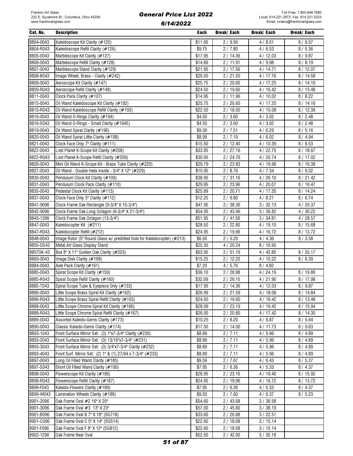| Cat. No.  | <b>Description</b>                                                       | Each    | Break/ Each | Break/ Each | Break/ Each |
|-----------|--------------------------------------------------------------------------|---------|-------------|-------------|-------------|
| 8804-0043 | Kaleidoscope Kit Clarity (#125)                                          | \$11.95 | 2/9.56      | 4/8.01      | 8/6.57      |
| 8804-R043 | Kaleidoscope Refill Clarity (#126)                                       | \$9.75  | 2/7.80      | 4/6.53      | 8/5.36      |
| 8805-0043 | Marblescope Kit Clarity (#127)                                           | \$17.95 | 2/14.36     | 4/12.03     | 8/9.87      |
| 8806-0043 | Marblescope Refill Clarity (#128)                                        | \$14.89 | 2/11.91     | 4/9.98      | 8/8.19      |
| 8807-0043 | Marblescope Stand Clarity (#129)                                         | \$21.95 | 2 / 17.56   | 4/14.71     | 8/12.07     |
| 8808-B043 | Image Wheel, Brass - Clarity (#242)                                      | \$26.50 | 2/21.20     | 4/17.76     | 8/14.58     |
| 8809-0043 | Aeroscope Kit Clarity (#147)                                             | \$25.75 | 2/20.60     | 4/17.25     | 8/14.16     |
| 8809-R043 | Aeroscope Refill Clarity (#148)                                          | \$24.50 | 2/19.60     | 4/16.42     | 8/13.48     |
| 8811-0043 | Clock Pack Clarity (#107)                                                | \$14.95 | 2/11.96     | 4/10.02     | 8/8.22      |
| 8815-0043 | Oil Wand Kaleidoscope Kit Clarity (#192)                                 | \$25.75 | 2/20.60     | 4/17.25     | 8/14.16     |
| 8815-R043 | Oil Wand Kaleidoscope Refill Clarity (#193)                              |         |             |             |             |
|           |                                                                          | \$22.50 | 2/18.00     | 4/15.08     | 8/12.38     |
| 8816-0043 | Oil Wand O-Rings Clarity (#194)                                          | \$4.50  | 2/3.60      | 4/3.02      | 8 / 2.48    |
| 8816-S043 | Oil Wand O-Rings - Small Clarity (#194S)                                 | \$4.50  | 2/3.60      | 4/3.02      | 8 / 2.48    |
| 8819-0043 | Oil Wand Spiral Clarity (#196)                                           | \$9.39  | 2/7.51      | 4/6.29      | 8/5.16      |
| 8820-0043 | Oil Wand Spiral Little Clarity (#198)                                    | \$8.99  | 2/7.19      | 4/6.02      | 8/4.94      |
| 8821-0043 | Clock Face Only 7" Clarity (#111)                                        | \$15.50 | 2/12.40     | 4/10.39     | 8/8.53      |
| 8822-0043 | Lost Planet K-Scope Kit Clarity (#208)                                   | \$33.95 | 2/27.16     | 4/22.75     | 8/18.67     |
| 8822-R043 | Lost Planet K-Scope Refill Clarity (#209)                                | \$30.95 | 2/24.76     | 4/20.74     | 8 / 17.02   |
| 8826-0043 | Mini Oil Wand K-Scope Kit - Brass Tube Clarity (#220)                    | \$29.79 | 2/23.83     | 4 / 19.96   | 8/16.38     |
| 8827-0043 | Oil Wand - Double Helix Inside - 3/4" X 12" (#229)                       | \$10.95 | 2/8.76      | 4/7.34      | 8/6.02      |
| 8830-0043 | Pendulum Clock Kit Clarity (#109)                                        | \$38.95 | 2/31.16     | 4/26.10     | 8/21.42     |
| 8831-0043 | Pendulum Clock Pack Clarity (#110)                                       | \$29.95 | 2/23.96     | 4/20.07     | 8/16.47     |
| 8835-0043 | Pedestal Clock Kit Clarity (#113)                                        | \$25.89 | 2/20.71     | 4/17.35     | 8/14.24     |
| 8837-0043 | Clock Face Only 5" Clarity (#112)                                        | \$12.25 | 2/9.80      | 4/8.21      | 8/6.74      |
| 8841-9096 | Clock Frame Oak Rectangle (9-3/4" X 15-3/4")                             | \$47.95 | 2/38.36     | 3 / 32.13   | 4/26.37     |
| 8842-9096 | Clock Frame Oak Long Octagon (9-3/4" X 21-3/4")                          | \$54.95 | 2/43.96     | 3/36.82     | 4/30.22     |
| 8843-1396 | Clock Frame Oak Octagon (13-3/4")                                        | \$51.95 | 2/41.56     | 3/34.81     | 4/28.57     |
| 8847-0043 | Kaleidocopter Kit (#211)                                                 | \$28.50 | 2/22.80     | 4/19.10     | 8/15.68     |
| 8847-R043 | Kaleidocopter Refill (#212)                                              | \$24.95 | 2/19.96     | 4/16.72     | 8/13.72     |
| 8848-0043 | Image Rotor (5" Round Glass w/ predrilled hole for Kaleidocopter) (#213) | \$6.50  | 2/5.20      | 4/4.36      | 8/3.58      |
| 8855-DS43 | Metal Art Glass Display Stand                                            | \$25.30 | 4/20.24     | 8/16.95     |             |
| 88570K-43 | Box 8" X 11" Golden Oak Clarity (#203)                                   | \$63.95 | 2/51.16     | 4/42.85     | 8/35.17     |
| 8869-0043 | Image Disk Clarity (#168)                                                | \$15.25 | 2/12.20     | 4/10.22     | 8/8.39      |
| 8884-0043 | Axle Pack Clarity (#161)                                                 | \$7.20  | 4/5.76      | 8/4.82      |             |
| 8885-0043 | Spiral Scope Kit Clarity (#159)                                          | \$36.10 | 2/28.88     | 4 / 24.19   | 8/19.86     |
| 8885-R043 | Spiral Scope Refill Clarity (#160)                                       | \$32.69 | 2/26.15     | 4/21.90     | 8/17.98     |
| 8885-T043 | Spiral Scope Tube & Eyepiece Only (#133)                                 | \$17.95 | 2/14.36     | 4/12.03     | 8/9.87      |
| 8886-0043 | Little Scope Brass Spiral Kit Clarity (#162)                             | \$26.99 | 2/21.59     | 4/18.08     | 8/14.84     |
| 8886-R043 | Little Scope Brass Spiral Refill Clarity (#163)                          | \$24.50 | 2/19.60     | 4 / 16.42   | 8/13.48     |
| 8888-0043 | Little Scope Chrome Spiral Kit Clarity (#166)                            | \$28.99 | 2/23.19     | 4 / 19.42   | 8/15.94     |
| 8888-R043 | Little Scope Chrome Spiral Refill Clarity (#167)                         | \$26.00 | 2/20.80     | 4 / 17.42   | 8/14.30     |
| 8889-0043 | Assorted Kaleido-Gems Clarity (#173)                                     | \$10.25 | 2/8.20      | 4/6.87      | 8/5.64      |
| 8890-0043 | Classic Kaleido-Gems Clarity (#174)                                      | \$17.50 | 2/14.00     | 4/11.73     | 8/9.63      |
| 8893-1043 | Front Surface Mirror Set: (3) 1"x7-3/4" Clarity (#230)                   | \$8.89  | 2/7.11      | 4/5.96      | 8/4.89      |
| 8893-2043 | Front Surface Mirror Set: (3) 13/16"x7-3/4" (#231)                       | \$8.89  | 2/7.11      | 4/5.96      | 8/4.89      |
| 8893-3043 | Front Surface Mirror Set: (3) 3/4"x7-3/4" Clarity (#232)                 | \$8.89  | 2/7.11      | 4/5.96      | 8/4.89      |
| 8893-4043 | Front Surf. Mirror Set: (2) 1" & (1) 27/64 x 7-3/4" (#233)               | \$8.89  | 2/7.11      | 4/5.96      | 8/4.89      |
| 8897-0043 | Long Oil Filled Wand Clarity (#185)                                      | \$9.59  | 2/7.67      | 4/6.43      | 8/5.27      |
| 8897-S043 | Short Oil Filled Wand Clarity (#190)                                     | \$7.95  | 2/6.36      | 4/5.33      | 8/4.37      |
| 8898-0043 | Flowerscope Kit Clarity (#186)                                           | \$28.95 | 2/23.16     | 4/19.40     | 8/15.92     |
| 8898-R043 | Flowerscope Refill Clarity (#187)                                        | \$24.95 | 2/19.96     | 4/16.72     | 8/13.72     |
| 8899-F043 | Kaleido-Flowers Clarity (#189)                                           | \$7.95  |             |             |             |
|           |                                                                          |         | 2/6.36      | 4/5.33      | 8/4.37      |
| 8899-W043 | Lamination Wheels Clarity (#188)                                         | \$9.50  | 2/7.60      | 4/6.37      | 8/5.23      |
| 8901-2096 | Oak Frame Oval #2 16" X 20"                                              | \$54.60 | 2/43.68     | 3/36.58     |             |
| 8901-3096 | Oak Frame Oval #3 13" X 23"                                              | \$57.00 | 2/45.60     | 3/38.19     |             |
| 8901-B096 | Oak Frame Oval B 7" X 18" (SG718)                                        | \$33.60 | 2/26.88     | 3/22.51     |             |
| 8901-C096 | Oak Frame Oval C 5" X 14" (SG514)                                        | \$22.60 | 2/18.08     | 3/15.14     |             |
| 8901-F096 | Oak Frame Oval F 8" X 12" (SG812)                                        | \$22.60 | 2/18.08     | 3/15.14     |             |
| 8902-1296 | Oak Frame Near Oval                                                      | \$52.50 | 2/42.00     | 3 / 35.18   |             |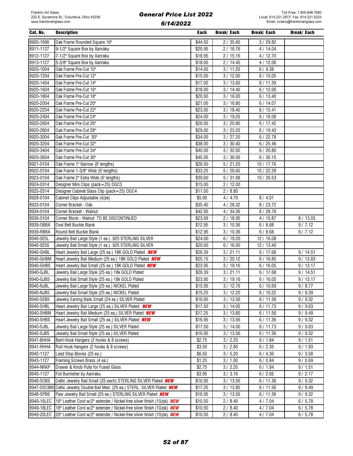#### Cat. No. Description Each Break/ Each Break/ Each Break/ Each 8905-1696 Oak Frame Rounded Square 16" \$44.50 2 / 35.60 3 / 29.82 8911-1127 9-1/2" Square Box by Aanraku \$20.95 2 / 16.76 4 / 14.04 8912-1127 7-1/2" Square Box by Aanraku \$18.95 2 / 15.16 4 / 12.70 8913-1127 | 5-3/8" Square Box by Aanraku  $\parallel$  \$18.00 | 2/ 14.40 | 4/ 12.06 8920-1004 Oak Frame Pre-Cut 10" \$14.00 3 / 11.20 6 / 9.38 8920-1204 Oak Frame Pre-Cut 12" \$15.00 3 / 12.00 6 / 10.05 8920-1404 Oak Frame Pre-Cut 14" \$17.00 3 / 13.60 6 / 11.39 8920-1604 Oak Frame Pre-Cut 16" \$18.00 3 / 14.40 6 / 12.06 8920-1804 Oak Frame Pre-Cut 18" \$20.00 3 / 16.00 6 / 13.40 8920-2004 Oak Frame Pre-Cut 20" \$21.00 3 / 16.80 6 / 14.07 8920-2204 Oak Frame Pre-Cut 22" \$23.00 3/ 18.40 6/ 15.41 8920-2404 Oak Frame Pre-Cut 24" \$24.00 3 / 19.20 6 / 16.08 8920-2604 | Oak Frame Pre-Cut 26" \$26.00 | 3/20.80 | 6/17.42 8920-2804 Oak Frame Pre-Cut 28" \$29.00 3 / 23.20 6 / 19.43 8920-3004 Oak Frame Pre-Cut 30" \$34.00 3 / 27.20 6 / 22.78 8920-3204 Oak Frame Pre-Cut 32" \$38.00 3 / 30.40 6 / 25.46 8920-3404 | Oak Frame Pre-Cut 34" \$40.00 | 3 / 32.00 | 6 / 26.80 8920-3604 Oak Frame Pre-Cut 36" \$45.00 3 / 36.00 6 / 30.15 8921-0104 Oak Frame 1" Narrow (6' lengths) \$26.50 \$26.50 5/21.20 10/17.76 8922-0104 Oak Frame 1-3/8" Wide (6' lengths)  $\begin{array}{|l|l|}\n833.25 & 5/26.60 & 10/22.28\n\end{array}$ 8923-0104 Oak Frame 2" Extra Wide (6' lengths) 6923-0104 5 / 31.68 10 / 26.53 8924-0314 Designer Mini Clips (pack=25) DGC3 \$15.00 \$15.00 2 / 12.00 8925-0314 Designer Cabinet Glass Clip (pack=25) DGC4 \$11.00 \$11.00 2 / 8.80 8928-0104 Cabinet Clips Adjustable (4/pk) \$5.99 4 / 4.79 8 / 4.01 8933-0104 Corner Bracket - Oak \$35.40 4 / 28.32 8 / 23.72 8934-0104 Corner Bracket - Walnut \$42.95 4 / 34.36 8 / 28.78 8936-0104 Corner Block - Walnut TO BE DISCONTINUED \$23.69 323.69 2 / 18.95 4 / 15.87 8 / 13.03 8939-OBBA Oval Belt Buckle Blank \$12.95 3 / 10.36 6 / 8.68 9 / 7.12 8939-RBBA Round Belt Buckle Blank \$12.95 | \$12.95 | 3/ 10.36 | 6/ 8.68 | 9/ 7.12 8940-925L | Jewelry Bail Large Style (1 ea.) .925 STERLING SILVER | \$24.00 | 6 / 19.20 12 / 16.08 8940-925S Jewelry Bail Small Style (1 ea.) .925 STERLING SILVER \$20.00 \$\$20.00 6 / 16.00 12 / 13.40 8940-GHBL |Heart Jewelry Bail Large (25 ea.) 18K GOLD Plated *NEW* \$26.39 | 3 / 21.11 | 6 / 17.68 | 9 / 14.51 8940-GHBM Heart Jewelry Bail Medium (25 ea.) 18K GOLD Plated *NEW* \$25.15 \$25.15 3 / 20.12 \$6 / 16.85 \$9 / 13.83 8940-GHBS |Heart Jewelry Bail Small (25 ea.) 18K GOLD Plated *NEW* | \$23.95 | 3 / 19.16 | 6 / 16.05 | 9 / 13.17 8940-GJBL Jewelry Bail Large Style (25 ea.) 18k GOLD Plated \$26.39 3/ 21.11 6/ 17.68 9/ 14.51 8940-GJBS | Jewelry Bail Small Style (25 ea.) 18k GOLD Plated \$23.95 | 3/ 19.16 | 6/ 16.05 | 9/ 13.17 8940-NJBL Jewelry Bail Large Style (25 ea.) NICKEL Plated \$15.95 3/ \$15.95 3/ 12.76 6 / 10.69 9 / 8.77 8940-NJBS | Jewelry Bail Small Style (25 ea.) NICKEL Plated  $\begin{array}{|l|} \hline \text{$15.25} & \text{$3/12.20} & \text{6/10.22} & \text{9/8.39} \hline \end{array}$ 8940-SEBS | Jewelry Earring Bails Small (24 ea.) SILVER Plated  $\begin{array}{|l} \hline \text{$16.95} & \text{$3/13.56} & \text{6/11.36} & \text{9/9.32} \\ \hline \end{array}$ 8940-SHBL Heart Jewelry Bail Large (25 ea.) SILVER Plated **NEW | \$17.50 | 3/ 14.00 | 6/ 11.73 | 9/ 9.63** 8940-SHBM Heart Jewelry Bail Medium (25 ea.) SILVER Plated *NEW* \$17.25 \$17.25 3/ 13.80 6/ 11.56 \$9/ 9.49 8940-SHBS Heart Jewelry Bail Small (25 ea.) SILVER Plated *NEW* | \$16.95 | 3/ 13.56 | 6/ 11.36 | 9/ 9.32 8940-SJBL Jewelry Bail Large Style (25 ea.) SILVER Plated \$17.50 3 / 14.00 6 / 11.73 9 / 9.63 8940-SJBS Jewelry Bail Small Style (25 ea.) SILVER Plated \$16.95 3 / 13.56 6 / 11.36 9 / 9.32 8941-BHHA Bent Hook Hangers (2 hooks & 8 screws) \$2.75 | 3/ 2.20 6 / 1.84 9 / 1.51 8941-RHHA ROII Hook Hangers (2 hooks & 8 screws) \$3.50  $\vert$  3 / 2.80  $\vert$  6 / 2.35  $\vert$  9 / 1.93 8942-1127 Lead Stop Blocks (25 ea.) \$6.50 3 / 5.20 6 / 4.36 9 / 3.58 8943-1127 Framing Screws Brass (4 ea.) 6/0.69 121.25 3/1.00 6/0.84 9/0.69 8944-NRKP Drawer & Knob Pulls for Fused Glass 6.15 1.51 3/ 2.20 6/ 1.84 9/ 1.51 8945-1127 Foil Burnisher by Aanraku #3.95 | 37.3.16 6/ 2.65 9/ 2.17 8946-SCBS Celtic Jewelry Bail Small (25 each) STERLING SILVER Plated *NEW* \$16.95 3 / 13.56 6 / 11.36 9 / 9.32 8947-DSCBM Celtic Jewelry Double Bail Med. (25 ea.) STERL. SILVER Plated *NEW*  $\parallel$  \$17.25  $\parallel$  3 / 13.80  $\parallel$  6 / 11.56  $\parallel$  9 / 9.49 8948-SPBS Paw Jewelry Bail Small (25 ea.) STERLING SILVER Plated *NEW* \$16.95 3/ 13.56 6 / 11.36 9/ 9.32 8949-16LEC | 16" Leather Cord w/2" extender / Nickel-free silver finish (10/pk) NEW | \$10.50 | 2 / 8.40 | 4 / 7.04 | 6 / 5.78 8949-18LEC 18" Leather Cord w/2" extender / Nickel-free silver finish (10/pk) *NEW* \$10.50 2 / 8.40 4 / 7.04 6 / 5.78 8949-20LEC 20" Leather Cord w/2" extender / Nickel-free silver finish (10/pk) NEW \$10.50 2 / 8.40 4 / 7.04 6 / 5.78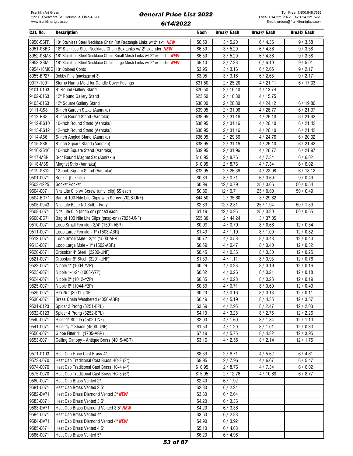| Cat. No.   | <b>Description</b>                                                     | Each    | Break/ Each | Break/ Each | Break/ Each |
|------------|------------------------------------------------------------------------|---------|-------------|-------------|-------------|
| 8950-SSFR  | 18" Stainless Steel Necklace Chain Flat Rectangle Links w/ 2" ext. NEW | \$6.50  | 3/5.20      | 6/4.36      | 9/3.58      |
| 8951-SSBC  | 18" Stainless Steel Necklace Chain Box Links w/ 2" extender NEW        | \$6.50  | 3/5.20      | 6/4.36      | 9/3.58      |
| 8952-SSMS  | 18" Stainless Steel Necklace Chain Small Mesh Links w/ 2" extender NEW | \$6.50  | 3 / 5.20    | 6/4.36      | 9/3.58      |
| 8953-SSML  | 18" Stainless Steel Necklace Chain Large Mesh Links w/ 2" extender NEW | \$9.10  | 3/7.28      | 6/6.10      | 9/5.01      |
| 8954-18MCC | 18" Colored Cords                                                      | \$3.95  | 3 / 3.16    | 6/2.65      | 9/2.17      |
| 8955-BP27  | Bobby Pins (package of 3)                                              | \$3.95  | 3 / 3.16    | 6/2.65      | 9/2.17      |
| 9017-1001  | Slump Hump Mold for Candle Cover Fusings                               | \$31.50 | 2/25.20     | 4/21.11     | 6/17.33     |
| 9101-0163  | 8" Round Gallery Stand                                                 | \$20.50 | 2/16.40     | 4/13.74     |             |
| 9102-0163  | 12" Round Gallery Stand                                                | \$23.50 | 2/18.80     | 4/15.75     |             |
| 9103-0163  | 12" Square Gallery Stand                                               | \$36.00 | 2/28.80     | 4/24.12     | 6/19.80     |
| 9111-GS8   | 8-inch Garden Stake (Aanraku)                                          | \$39.95 | 2/31.96     | 4/26.77     | 6/21.97     |
| 9112-RS8   | 8-inch Round Stand (Aanraku)                                           | \$38.95 | 2/31.16     | 4/26.10     | 6/21.42     |
| 9112-RS10  | 10-inch Round Stand (Aanraku)                                          | \$38.95 | 2/31.16     | 4/26.10     | 6/21.42     |
| 9113-RS12  | 12-inch Round Stand (Aanraku)                                          | \$38.95 | 2/31.16     | 4/26.10     | 6/21.42     |
| 9114-AS6   | 6-inch Angled Stand (Aanraku)                                          | \$36.95 | 2 / 29.56   | 4/24.76     | 6/20.32     |
| 9115-SS8   | 8-inch Square Stand (Aanraku)                                          | \$38.95 | 2/31.16     | 4/26.10     | 6/21.42     |
| 9116-SS10  | 10-inch Square Stand (Aanraku)                                         | 39.95   | 2/31.96     | 4/26.77     | 6/21.97     |
| 9117-MSR   | 3/4" Round Magnet Set (Aanraku)                                        | \$10.95 | 2/8.76      | 4/7.34      | 6/6.02      |
| 9118-MSS   | Magnet Strip (Aanraku)                                                 | \$10.95 | 2/8.76      | 4/7.34      | 6/6.02      |
| 9119-SS12  | 12-inch Square Stand (Aanraku)                                         | \$32.95 | 2/26.36     | 4/22.08     | 6/18.12     |
| 9501-0071  | Socket (bakelite)                                                      | \$0.89  | 3/0.71      | 6/0.60      | 9/0.49      |
| 9503-1225  | Socket Pocket                                                          | \$0.99  | 12 / 0.79   | 25 / 0.66   | 50/0.54     |
| 9504-0071  | Nite Lite Clip w/ Screw (univ. clip) \$\$ each                         | \$0.89  | 12/0.71     | 25 / 0.60   | 50/0.49     |
| 9504-BG71  | Bag of 100 Nite Lite Clips with Screw (7026-UNF)                       | \$44.50 | 2/35.60     | 3 / 29.82   |             |
| 9505-0943  | Nite Lite Base NO Bulb - Ivory                                         | \$2.89  | 12/2.31     | 25 / 1.94   | 50/1.59     |
| 9508-0071  | Nite Lite Clip (snap on) priced each                                   | \$1.19  | 12/0.95     | 25 / 0.80   | 50/0.65     |
| 9508-BG71  | Bag of 100 Nite Lite Clips (snap-on) (7025-UNF)                        | \$55.30 | 2/44.24     | 3 / 37.05   |             |
| 9510-0071  | Loop Small Female - 3/4" (1501-ABR)                                    | \$0.99  | 4/0.79      | 8/0.66      | 12/0.54     |
| 9511-0071  | Loop Large Female - 1" (1503-ABR)                                      | \$1.49  | 4/1.19      | 8/1.00      | 12/0.82     |
| 9512-0071  | Loop Small Male - 3/4" (1500-ABR)                                      | \$0.72  | 4/0.58      | 8/0.48      | 12/0.40     |
| 9513-0071  | Loop Large Male - 1" (1502-ABR)                                        | \$0.59  | 4/0.47      | 8/0.40      | 12/0.32     |
| 9520-0071  | Crossbar 4" Steel (3200-UNF)                                           | \$0.45  | 4/0.36      | 8/0.30      | 12/0.25     |
| 9521-0071  | Crossbar 6" Steel (3201-UNF)                                           | \$1.39  | 4/1.11      | 8/0.93      | 12/0.76     |
| 9522-0071  | Nipple 1" (1004-YZP)                                                   | \$0.29  | 4/0.23      | 8/0.19      | 12/0.16     |
| 9523-0071  | Nipple 1-1/2" (1008-YZP)                                               | \$0.32  | 4/0.26      | 8/0.21      | 12/0.18     |
| 9524-0071  | Nipple 2" (1012-YZP)                                                   | \$0.35  | 4/0.28      | 8/0.23      | 12/0.19     |
| 9525-0071  | Nipple 6" (1044-YZP)                                                   | \$0.89  | 4/0.71      | 8/0.60      | 12/0.49     |
| 9526-0071  | Hex Nut (3001-UNF)                                                     | \$0.20  | 4/0.16      | 8/0.13      | 12/0.11     |
| 9530-0071  | Brass Chain Weathered (4050-ABR)                                       | \$6.49  | 4/5.19      | 8/4.35      | 12 / 3.57   |
| 9531-0123  | Spider 3 Prong (3251-BPL)                                              | \$3.69  | 4 / 2.95    | 8/2.47      | 12/2.03     |
| 9532-0123  | Spider 4 Prong (3252-BPL)                                              | \$4.10  | 4 / 3.28    | 8/2.75      | 12/2.26     |
| 9540-0071  | Riser 1" Shade (4502-UNF)                                              | \$2.00  | 4/1.60      | 8/1.34      | 12/1.10     |
| 9541-0071  | Riser 1/2" Shade (4500-UNF)                                            | \$1.50  | 4/1.20      | 8/1.01      | 12/0.83     |
| 9550-0071  | Globe Fitter 4" (1705-ABR)                                             | \$7.19  | 4/5.75      | 8/4.82      | 12/3.95     |
| 9553-0071  | Ceiling Canopy - Antique Brass (4015-ABR)                              | \$3.19  | 4/2.55      | 8/2.14      | 12/1.75     |
|            |                                                                        |         |             |             |             |
| 9571-0103  | Heat Cap Rose Cast Brass 4"                                            | \$8.39  | 2/6.71      | 4/5.62      | 6/4.61      |
| 9573-0070  | Heat Cap Traditional Cast Brass HC-3 (3")                              | \$9.95  | 2/7.96      | 4/6.67      | 6/5.47      |
| 9574-0070  | Heat Cap Traditional Cast Brass HC-4 (4")                              | \$10.95 | 2/8.76      | 4/7.34      | 6/6.02      |
| 9575-0070  | Heat Cap Traditional Cast Brass HC-5 (5")                              | \$15.95 | 2/12.76     | 4/10.69     | 6/8.77      |
| 9580-0071  | Heat Cap Brass Vented 2"                                               | \$2.40  | 6/1.92      |             |             |
| 9581-0071  | Heat Cap Brass Vented 2.5"                                             | \$2.80  | 6/2.24      |             |             |
| 9582-DV71  | Heat Cap Brass Diamond Vented 3" NEW                                   | \$3.30  | 6/2.64      |             |             |
| 9583-0071  | Heat Cap Brass Vented 3.5"                                             | \$4.20  | 6/3.36      |             |             |
| 9583-DV71  | Heat Cap Brass Diamond Vented 3.5" NEW                                 | \$4.20  | 6/3.36      |             |             |
| 9584-0071  | Heat Cap Brass Vented 4"                                               | \$3.60  | 6/2.88      |             |             |
| 9584-DV71  | Heat Cap Brass Diamond Vented 4" NEW                                   | \$4.90  | 6/3.92      |             |             |
| 9585-0071  | Heat Cap Brass Vented 4.5"                                             | \$5.10  | 6/4.08      |             |             |
| 9586-0071  | Heat Cap Brass Vented 5"                                               | \$6.20  | 6/4.96      |             |             |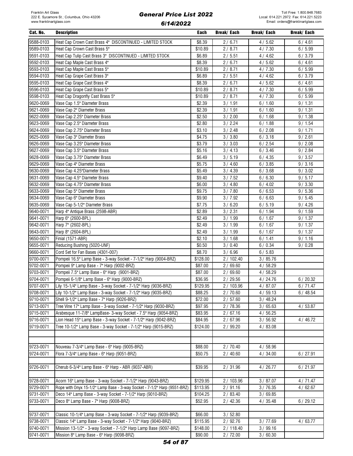| Cat. No.  | <b>Description</b>                                                       | Each             | Break/ Each        | Break/ Each | Break/ Each |
|-----------|--------------------------------------------------------------------------|------------------|--------------------|-------------|-------------|
| 9588-0103 | Heat Cap Crown Cast Brass 4" DISCONTINUED - LIMITED STOCK                | \$8.39           | 2/6.71             | 4/5.62      | 6/4.61      |
| 9589-0103 | Heat Cap Crown Cast Brass 5"                                             | \$10.89          | 2/8.71             | 4/7.30      | 6/5.99      |
| 9591-0103 | Heat Cap Tulip Cast Brass 3" DISCONTINUED - LIMITED STOCK                | \$6.89           | 2/5.51             | 4/4.62      | 6/3.79      |
| 9592-0103 | Heat Cap Maple Cast Brass 4"                                             | \$8.39           | 2/6.71             | 4/5.62      | 6/4.61      |
| 9593-0103 | Heat Cap Maple Cast Brass 5"                                             | \$10.89          | 2/8.71             | 4/7.30      | 6/5.99      |
| 9594-0103 | Heat Cap Grape Cast Brass 3"                                             | \$6.89           | 2/5.51             | 4/4.62      | 6/3.79      |
| 9595-0103 | Heat Cap Grape Cast Brass 4"                                             | \$8.39           | 2/6.71             | 4/5.62      | 6/4.61      |
| 9596-0103 | Heat Cap Grape Cast Brass 5"                                             | \$10.89          | 2/8.71             | 4/7.30      | 6/5.99      |
| 9598-0103 | Heat Cap Dragonfly Cast Brass 5"                                         | \$10.89          | 2/8.71             | 4/7.30      | 6/5.99      |
| 9620-0069 |                                                                          |                  |                    |             |             |
| 9621-0069 | Vase Cap 1.5" Diameter Brass                                             | \$2.39           | 3 / 1.91<br>3/1.91 | 6/1.60      | 9/1.31      |
| 9622-0069 | Vase Cap 2" Diameter Brass                                               | \$2.39<br>\$2.50 | 3 / 2.00           | 6/1.60      | 9/1.31      |
|           | Vase Cap 2.25" Diameter Brass                                            |                  |                    | 6/1.68      | 9/1.38      |
| 9623-0069 | Vase Cap 2.5" Diameter Brass                                             | \$2.80           | 3 / 2.24           | 6/1.88      | 9/1.54      |
| 9624-0069 | Vase Cap 2.75" Diameter Brass                                            | \$3.10           | 3 / 2.48           | 6/2.08      | 9/1.71      |
| 9625-0069 | Vase Cap 3" Diameter Brass                                               | \$4.75           | 3 / 3.80           | 6/3.18      | 9/2.61      |
| 9626-0069 | Vase Cap 3.25" Diameter Brass                                            | \$3.79           | 3 / 3.03           | 6/2.54      | 9/2.08      |
| 9627-0069 | Vase Cap 3.5" Diameter Brass                                             | \$5.16           | 3 / 4.13           | 6/3.46      | 9/2.84      |
| 9628-0069 | Vase Cap 3.75" Diameter Brass                                            | \$6.49           | 3/5.19             | 6/4.35      | 9/3.57      |
| 9629-0069 | Vase Cap 4" Diameter Brass                                               | \$5.75           | 3 / 4.60           | 6/3.85      | 9/3.16      |
| 9630-0069 | Vase Cap 4.25"Diameter Brass                                             | \$5.49           | 3 / 4.39           | 6/3.68      | 9/3.02      |
| 9631-0069 | Vase Cap 4.5" Diameter Brass                                             | \$9.40           | 3 / 7.52           | 6/6.30      | 9/5.17      |
| 9632-0069 | Vase Cap 4.75" Diameter Brass                                            | \$6.00           | 3/4.80             | 6/4.02      | 9/3.30      |
| 9633-0069 | Vase Cap 5" Diameter Brass                                               | \$9.75           | 3/7.80             | 6/6.53      | 9/5.36      |
| 9634-0069 | Vase Cap 6" Diameter Brass                                               | \$9.90           | 3/7.92             | 6/6.63      | 9/5.45      |
| 9635-0069 | Vase Cap 5-1/2" Diameter Brass                                           | \$7.75           | 3/6.20             | 6/5.19      | 9/4.26      |
| 9640-0071 | Harp 4" Antique Brass (2598-ABR)                                         | \$2.89           | 3 / 2.31           | 6/1.94      | 9/1.59      |
| 9641-0071 | Harp 6" (2600-BPL)                                                       | \$2.49           | 3/1.99             | 6/1.67      | 9/1.37      |
| 9642-0071 | Harp 7" (2602-BPL)                                                       | \$2.49           | 3/1.99             | 6/1.67      | 9/1.37      |
| 9643-0071 | Harp 8" (2604-BPL)                                                       | \$2.49           | 3/1.99             | 6/1.67      | 9/1.37      |
| 9650-0071 | Finial (1571-ABR)                                                        | \$2.10           | 3/1.68             | 6/1.41      | 9/1.16      |
| 9655-0071 | Reducing Bushing (5020-UNF)                                              | \$0.50           | 3/0.40             | 6/0.34      | 9/0.28      |
| 9660-0071 | Cord Set for Fan Bases (4301-007)                                        | \$8.70           | 3/6.96             | 6/5.83      |             |
| 9700-0071 | Pompeii 16.5" Lamp Base - 3-way Socket - 7-1/2" Harp (9004-BRZ)          | \$128.00         | 2/102.40           | 3/85.76     |             |
| 9702-0071 | Pompeii 9" Lamp Base - 7" Harp (9002-BRZ)                                | \$87.00          | 2/69.60            | 4/58.29     |             |
| 9703-0071 | Pompeii 7.5" Lamp Base - 6" Harp (9001-BRZ)                              | \$87.00          | 2/69.60            | 4/58.29     |             |
| 9704-0071 | Pompeii 6-1/8" Lamp Base - 6" Harp (9000-BRZ)                            | \$36.95          | 2/29.56            | 4/24.76     | 6/20.32     |
| 9707-0071 | Lily 15-1/4" Lamp Base - 3-way Socket - 7-1/2" Harp (9036-BRZ)           | \$129.95         | 2 / 103.96         | 4/87.07     | 6/71.47     |
| 9708-0071 | Lily 10-1/2" Lamp Base - 3-way Socket - 7-1/2" Harp (9035-BRZ)           | \$88.25          | 2/70.60            | 4/59.13     | 6/48.54     |
| 9710-0071 | Shell 9-1/2" Lamp Base - 7" Harp (9026-BRZ)                              | \$72.00          | 2/57.60            | 3/48.24     |             |
| 9713-0071 | Tree Vine 17" Lamp Base - 3-way Socket - 7-1/2" Harp (9030-BRZ)          | \$97.95          | 2/78.36            | 3/65.63     | 4/53.87     |
| 9715-0071 | Arabesque 11-7/8" LampBase- 3-way Socket - 7.5" Harp (9054-BRZ)          | \$83.95          | 2/67.16            | 4/56.25     |             |
| 9716-0071 | Lion Head 15" Lamp Base - 3-way Socket - 7-1/2" Harp (9042-BRZ)          | \$84.95          | 2/67.96            | 3/56.92     | 4/46.72     |
| 9719-0071 | Tree 10-1/2" Lamp Base - 3-way Socket - 7-1/2" Harp (9015-BRZ)           | \$124.00         | 2/99.20            | 4/83.08     |             |
|           |                                                                          |                  |                    |             |             |
|           |                                                                          |                  |                    |             |             |
| 9723-0071 | Nouveau 7-3/4" Lamp Base - 6" Harp (9005-BRZ)                            | \$88.00          | 2/70.40            | 4/58.96     |             |
| 9724-0071 | Flora 7-3/4" Lamp Base - 6" Harp (9051-BRZ)                              | \$50.75          | 2/40.60            | 4/34.00     | 6/27.91     |
|           |                                                                          |                  |                    |             |             |
| 9726-0071 | Cherub 6-3/4" Lamp Base - 6" Harp - ABR (9037-ABR)                       | \$39.95          | 2 / 31.96          | 4 / 26.77   | 6/21.97     |
|           |                                                                          |                  |                    |             |             |
| 9728-0071 | Acorn 16" Lamp Base - 3-way Socket - 7-1/2" Harp (9043-BRZ)              | \$129.95         | 2/103.96           | 3/87.07     | 4/71.47     |
| 9729-0071 | Rope with Onyx 15-1/2" Lamp Base - 3-way Socket - 7-1/2" Harp (9551-BRZ) | \$113.95         | 2/91.16            | 3/76.35     | 4/62.67     |
| 9731-0071 | Deco 14" Lamp Base - 3-way Socket - 7-1/2" Harp (9010-BRZ)               | \$104.25         | 2/83.40            | 3/69.85     |             |
| 9733-0071 | Deco 8" Lamp Base - 7" Harp (9008-BRZ)                                   | \$52.95          | 2 / 42.36          | 4/35.48     | 6/29.12     |
|           |                                                                          |                  |                    |             |             |
| 9737-0071 | Classic 10-1/4" Lamp Base - 3-way Socket - 7-1/2" Harp (9039-BRZ)        | \$66.00          | 3/52.80            |             |             |
| 9738-0071 | Classic 14" Lamp Base - 3-way Socket - 7-1/2" Harp (9040-BRZ)            | \$115.95         | 2 / 92.76          | 3/77.69     | 4/63.77     |
| 9740-0071 | Mission 13-1/2" - 3-way Socket - 7-1/2" Harp Lamp Base (9097-BRZ)        | \$148.00         | 2 / 118.40         | 3/99.16     |             |
| 9741-0071 | Mission 8" Lamp Base - 6" Harp (9098-BRZ)                                | \$90.00          | 2/72.00            | 3/60.30     |             |
|           |                                                                          |                  |                    |             |             |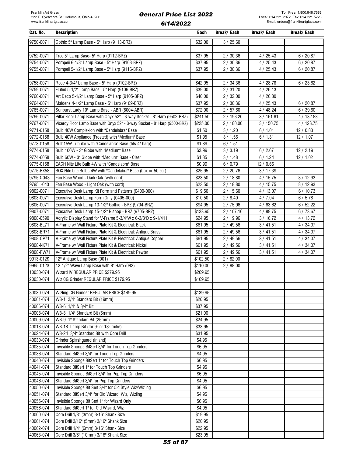| Cat. No.  | <b>Description</b>                                                        | <b>Each</b> | <b>Break/Each</b> | Break/ Each | Break/ Each |
|-----------|---------------------------------------------------------------------------|-------------|-------------------|-------------|-------------|
| 9750-0071 | Gothic 5" Lamp Base - 5" Harp (9113-BRZ)                                  | \$32.00     | 3/25.60           |             |             |
|           |                                                                           |             |                   |             |             |
| 9752-0071 | Tree 5" Lamp Base- 5" Harp (9112-BRZ)                                     | \$37.95     | 2/30.36           | 4/25.43     | 6/20.87     |
| 9754-0071 | Pompeii 6-1/8" Lamp Base - 5" Harp (9103-BRZ)                             | \$37.95     | 2/30.36           | 4/25.43     | 6/20.87     |
| 9755-0071 | Pompeii 5-1/2" Lamp Base - 5" Harp (9116-BRZ)                             | \$37.95     | 2/30.36           | 4/25.43     | 6/20.87     |
|           |                                                                           |             |                   |             |             |
| 9758-0071 | Rose 4-3/4" Lamp Base - 5" Harp (9102-BRZ)                                | \$42.95     | 2/34.36           | 4/28.78     | 6/23.62     |
| 9759-0071 | Fluted 5-1/2" Lamp Base - 5" Harp (9106-BRZ)                              | \$39.00     | 2/31.20           | 4/26.13     |             |
| 9760-0071 | Art Deco 5-1/2" Lamp Base - 5" Harp (9105-BRZ)                            | \$40.00     | 2/32.00           | 4/26.80     |             |
| 9764-0071 | Maidens 4-1/2" Lamp Base - 5" Harp (9109-BRZ)                             | \$37.95     | 2/30.36           | 4/25.43     | 6/20.87     |
| 9765-0071 | Sunburst Lady 10" Lamp Base - ABR (8004-ABR)                              | \$72.00     | 2/57.60           | 4/48.24     |             |
|           |                                                                           |             | 2 / 193.20        | 3/161.81    | 6/39.60     |
| 9766-0071 | Pillar Floor Lamp Base with Onyx 52" - 3-way Socket - 8" Harp (9502-BRZ)  | \$241.50    |                   |             | 4/132.83    |
| 9767-0071 | Viceroy Floor Lamp Base with Onyx 52" - 3-way Socket - 8" Harp (9500-BRZ) | \$225.00    | 2/180.00          | 3/150.75    | 4/123.75    |
| 9771-0158 | Bulb 40W Complexion with "Candelabra" Base                                | \$1.50      | 3/1.20            | 6/1.01      | 12/0.83     |
| 9772-0158 | Bulb 40W Appliance (Frosted) with "Medium" Base                           | \$1.95      | 3/1.56            | 6/1.31      | 12/1.07     |
| 9773-0158 | Bulb15W Tubular with "Candelabra" Base (fits 4" harp)                     | \$1.89      | 6/1.51            |             |             |
| 9774-0158 | Bulb 100W - 3" Globe with "Medium" Base                                   | \$3.99      | 3/3.19            | 6/2.67      | 12/2.19     |
| 9774-6058 | Bulb 60W - 3" Globe with "Medium" Base - Clear                            | \$1.85      | 3/1.48            | 6/1.24      | 12/1.02     |
| 9775-0158 | EACH Nite Lite Bulb 4W with "Candelabra" Base                             | \$0.99      | 6/0.79            | 12 / 0.66   |             |
| 9775-BX58 | BOX Nite Lite Bulbs 4W with "Candelabra" Base (box $=$ 50 ea.)            | \$25.95     | 2/20.76           | 3/17.39     |             |
| 9795D-043 | Fan Base Wood - Dark Oak (with cord)                                      | \$23.50     | 2/18.80           | 4/15.75     | 8/12.93     |
| 9795L-043 | Fan Base Wood - Light Oak (with cord)                                     | \$23.50     | 2/18.80           | 4/15.75     | 8/12.93     |
| 9802-0071 | Executive Desk Lamp Kit Form and Patterns (0400-000)                      | \$19.50     | 2/15.60           | 4/13.07     | 6/10.73     |
| 9803-0071 | Executive Desk Lamp Form Only (0405-000)                                  | \$10.50     | 2/8.40            | 4/7.04      | 6/5.78      |
| 9806-0071 | Executive Desk Lamp 13-1/2" Gothic - BRZ (9704-BRZ)                       | \$94.95     | 2/75.96           | 4/63.62     | 6/52.22     |
| 9807-0071 | Executive Desk Lamp 15-1/2" Bishop - BRZ (9705-BRZ)                       | \$133.95    | 2/107.16          | 4/89.75     | 6/73.67     |
| 9808-0590 | Acrylic Display Stand for V-Frame 5-3/4"W x 6-3/8"D x 9-1/4"H             | \$24.95     | 2/19.96           | 3/16.72     | 4/13.72     |
| 9808-BL71 | V-Frame w/ Wall Fixture Plate Kit & Electrical: Black                     | \$61.95     | 2/49.56           | 3/41.51     | 4/34.07     |
| 9808-BR71 | V-Frame w/ Wall Fixture Plate Kit & Electrical: Antique Brass             | \$61.95     | 2/49.56           | 3/41.51     | 4/34.07     |
| 9808-CP71 | V-Frame w/ Wall Fixture Plate Kit & Electrical: Antique Copper            | \$61.95     | 2/49.56           | 3/41.51     | 4/34.07     |
| 9808-NK71 | V-Frame w/ Wall Fixture Plate Kit & Electrical: Nickel                    | \$61.95     | 2 / 49.56         | 3/41.51     | 4/34.07     |
| 9808-PW71 | V-Frame w/ Wall Fixture Plate Kit & Electrical: Pewter                    | \$61.95     | 2 / 49.56         | 3/41.51     | 4/34.07     |
| 9913-012S | 12" Antique Lamp Base (001)                                               | \$102.50    | 2/82.00           |             |             |
| 9965-012S | 12-1/2" Wave Lamp Base with 8" Harp (082)                                 | \$110.00    | 2/88.00           |             |             |
| 10030-074 | Wizard IV REGULAR PRICE \$279.95                                          | \$269.95    |                   |             |             |
| 20030-074 | Wiz CG Grinder REGULAR PRICE \$179.95                                     | \$169.95    |                   |             |             |
|           |                                                                           |             |                   |             |             |
| 30030-074 | Wizling CG Grinder REGULAR PRICE \$149.95                                 | \$139.95    |                   |             |             |
| 40001-074 | WB-1 3/4" Standard Bit (19mm)                                             | \$20.95     |                   |             |             |
| 40006-074 | WB-6 1/4" & 3/4" Bit                                                      | \$37.95     |                   |             |             |
| 40008-074 | WB-8 1/4" Standard Bit (6mm)                                              | \$21.00     |                   |             |             |
| 40009-074 | WB-9 1" Standard Bit (25mm)                                               | \$24.95     |                   |             |             |
| 40018-074 | WB-18 Lamp Bit (for 9° or 18° mitre)                                      | \$33.95     |                   |             |             |
| 40024-074 | WB-24 3/4" Standard Bit with Core Drill                                   | \$31.95     |                   |             |             |
| 40030-074 | Grinder Splashguard (Inland)                                              | \$4.95      |                   |             |             |
| 40035-074 | Invisible Sponge BitSert 3/4" for Touch Top Grinders                      | \$6.95      |                   |             |             |
| 40036-074 | Standard BitSert 3/4" for Touch Top Grinders                              | \$4.95      |                   |             |             |
| 40040-074 | Invisible Sponge BitSert 1" for Touch Top Grinders                        | \$6.95      |                   |             |             |
| 40041-074 | Standard BitSert 1" for Touch Top Grinders                                | \$4.95      |                   |             |             |
| 40045-074 | Invisible Sponge BitSert 3/4" for Pop Top Grinders                        | \$6.95      |                   |             |             |
| 40046-074 | Standard BitSert 3/4" for Pop Top Grinders                                | \$4.95      |                   |             |             |
| 40050-074 | Invisible Sponge Bit Sert 3/4" for Old Style Wiz/Wizling                  | \$6.95      |                   |             |             |
| 40051-074 | Standard BitSert 3/4" for Old Wizard, Wiz, Wizling                        | \$4.95      |                   |             |             |
| 40055-074 | Invisible Sponge Bit Sert 1" for Wizard Only                              | \$6.95      |                   |             |             |
| 40056-074 | Standard BitSert 1" for Old Wizard, Wiz                                   | \$4.95      |                   |             |             |
| 40060-074 | Core Drill 1/8" (3mm) 3/16" Shank Size                                    | \$19.95     |                   |             |             |
| 40061-074 | Core Drill 3/16" (5mm) 3/16" Shank Size                                   | \$20.95     |                   |             |             |
| 40062-074 | Core Drill 1/4" (6mm) 3/16" Shank Size                                    | \$22.95     |                   |             |             |
| 40063-074 | Core Drill 3/8" (10mm) 3/16" Shank Size                                   | \$23.95     |                   |             |             |
|           |                                                                           |             |                   |             |             |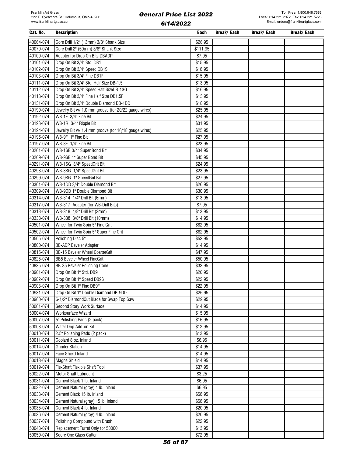#### Cat. No. Description Each Break/ Each Break/ Each Break/ Each 40064-074 Core Drill 1/2" (13mm) 3/8" Shank Size \$26.95 40070-074 Core Drill 2" (50mm) 3/8" Shank Size \$111.95 40100-074 Adapter for Drop On Bits DBADP \$7.95 40101-074 Drop On Bit 3/4" Std. DB1 \$15.95 40102-074 Drop On Bit 3/4" Speed DB1S \$18.95 40103-074 Drop On Bit 3/4" Fine DB1F \$15.95 40111-074 Drop On Bit 3/4" Std. Half Size DB-1.5 \$13.95 40112-074 Drop On Bit 3/4" Speed Half SizeDB-1SG \$16.95 40113-074 Drop On Bit 3/4" Fine Half Size DB1.5F \$13.95 40131-074 Drop On Bit 3/4" Double Diamond DB-1DD \$18.95 40190-074 Jewelry Bit w/ 1.0 mm groove (for 20/22 gauge wires) \$25.95 40192-074 | WB-1F 3/4" Fine Bit  $$24.95$ 40193-074 | WB-1R 3/4" Ripple Bit  $$31.95$ 40194-074 Jewelry Bit w/ 1.4 mm groove (for 16/18 gauge wires) \$25.95 40196-074 WB-9F 1" Fine Bit \$27.95 40197-074 WB-8F 1/4" Fine Bit \$23.95 40201-074 WB-1SB 3/4" Super Bond Bit \$34.95 40209-074 WB-9SB 1" Super Bond Bit \$45.95 40291-074 WB-1SG 3/4" SpeedGrit Bit \$24.95 40298-074 WB-8SG 1/4" SpeedGrit Bit \$23.95 40299-074 WB-9SG 1" SpeedGrit Bit \$27.95 40301-074 WB-1DD 3/4" Double Diamond Bit \$26.95 40309-074 WB-9DD 1" Double Diamond Bit \$30.95 40314-074 WB-314 1/4" Drill Bit (6mm) \$13.95 40317-074 WB-317 Adapter (for WB-Drill Bits) \$7.95 40318-074 WB-318 1/8" Drill Bit (3mm) \$13.95 40338-074 WB-338 3/8" Drill Bit (10mm) \$14.95 40501-074 Wheel for Twin Spin 5" Fine Grit **\$82.95** Spin 5" Fine Grit \$82.95 40502-074 Wheel for Twin Spin 5" Super Fine Grit  $$82.95$ 40505-074 Polishing Disc 5" \$52.95 40800-074 BB-ADP Beveler Adapter \$14.95 40815-074 BB-15 Beveler Wheel CoarseGrit \$47.95 40825-074 BB5 Beveler Wheel FineGrit \$50.95 40835-074 BB-35 Beveler Polishing Cone **\$32.95** \$32.95 40901-074 Drop On Bit 1" Std. DB9 \$20.95 40902-074 Drop On Bit 1" Speed DB9S \$22.95 40903-074 Drop On Bit 1" Fine DB9F \$22.95 40931-074 Drop On Bit 1" Double Diamond DB-9DD \$26.95 40960-074 6-1/2" DiamondCut Blade for Swap Top Saw \$29.95 50001-074 Second Story Work Surface \$14.95 50004-074 Worksurface Wizard \$15.95 50007-074 5" Polishing Pads (2 pack) \$16.95 50008-074 Water Drip Add-on Kit \$12.95 50010-074 2.5" Polishing Pads (2 pack) \$13.95 50011-074 Coolant 8 oz. Inland \$6.95 50014-074 Grinder Station \$14.95 50017-074 Face Shield Inland \$14.95 50018-074 Magna Shield \$14.95 50019-074 FlexShaft Flexible Shaft Tool \$37.95 50022-074 Motor Shaft Lubricant **\$3.25** 50031-074 Cement Black 1 lb. Inland \$6.95 50032-074 Cement Natural (gray) 1 lb. Inland \$6.95 50033-074 Cement Black 15 lb. Inland \$58.95 50034-074 Cement Natural (gray) 15 lb. Inland \$58.95 50035-074 Cement Black 4 lb. Inland \$20.95 50036-074 Cement Natural (gray) 4 lb. Inland \$20.95 50037-074 Polishing Compound with Brush \$22.95 50043-074 Replacement Turret Only for 50060 \$13.95 50050-074 Score One Glass Cutter \$72.95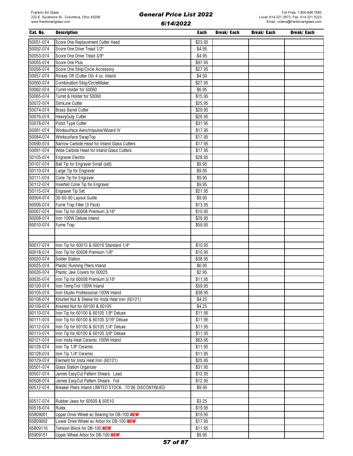| Cat. No.  | <b>Description</b>                                    | Each    | Break/ Each | Break/ Each | Break/ Each |
|-----------|-------------------------------------------------------|---------|-------------|-------------|-------------|
| 50051-074 | Score One Replacement Cutter Head                     | \$23.95 |             |             |             |
| 50052-074 | Score One Drive Tread 1/2"                            | \$4.95  |             |             |             |
| 50053-074 | Score One Drive Tread 3/8"                            | \$4.95  |             |             |             |
| 50055-074 | Score One Plus                                        | \$97.95 |             |             |             |
| 50056-074 | Score One Strip/Circle Accessory                      | \$27.95 |             |             |             |
| 50057-074 | Rinses Off (Cutter Oil) 4 oz. Inland                  | \$4.50  |             |             |             |
| 50060-074 | <b>Combination Strip/CircleMaker</b>                  | \$27.95 |             |             |             |
| 50062-074 | Turret Holder for 50060                               | \$6.95  |             |             |             |
| 50065-074 | Turret & Holder for 50060                             | \$15.95 |             |             |             |
| 50072-074 | SlimLine Cutter                                       | \$25.95 |             |             |             |
| 50074-074 | <b>Brass Barrel Cutter</b>                            | \$29.95 |             |             |             |
| 50076-074 | HeavyDuty Cutter                                      | \$26.95 |             |             |             |
| 50078-074 | Pistol Type Cutter                                    | \$31.95 |             |             |             |
| 50081-074 | Worksurface Aero/Impulse/Wizard IV                    | \$17.95 |             |             |             |
| 50084-074 | Worksurface SwapTop                                   | \$17.95 |             |             |             |
| 50090-074 | Narrow Carbide Head for Inland Glass Cutters          | \$17.95 |             |             |             |
| 50091-074 | Wide Carbide Head for Inland Glass Cutters            | \$17.95 |             |             |             |
| 50105-074 | <b>Engraver Electric</b>                              | \$28.95 |             |             |             |
| 50107-074 | Ball Tip for Engraver Small (std)                     | \$9.95  |             |             |             |
| 50110-074 | Large Tip for Engraver                                | \$9.95  |             |             |             |
| 50111-074 | Cone Tip for Engraver                                 | \$9.95  |             |             |             |
| 50112-074 | Inverted Cone Tip for Engraver                        | \$9.95  |             |             |             |
| 50115-074 | <b>Engraver Tip Set</b>                               | \$21.95 |             |             |             |
| 60004-074 | 30-60-90 Layout Guide                                 | \$9.95  |             |             |             |
| 60006-074 | Fume Trap Filter (3 Pack)                             | \$13.95 |             |             |             |
| 60007-074 | Iron Tip for 60008 Premium 3/16"                      | \$10.95 |             |             |             |
| 60008-074 | Iron 100W Deluxe Inland                               | \$26.95 |             |             |             |
| 60010-074 | Fume Trap                                             | \$59.95 |             |             |             |
|           |                                                       |         |             |             |             |
|           |                                                       |         |             |             |             |
| 60017-074 | Iron Tip for 60015 & 60016 Standard 1/4"              | \$10.95 |             |             |             |
| 60018-074 | Iron Tip for 60008 Premium 1/8"                       | \$10.95 |             |             |             |
| 60020-074 | <b>Solder Station</b>                                 | \$38.95 |             |             |             |
| 60025-074 | <b>Plastic Running Pliers Inland</b>                  | \$6.95  |             |             |             |
| 60026-074 | Plastic Jaw Covers for 60025                          | \$2.95  |             |             |             |
| 60035-074 | Iron Tip for 60008 Premium 5/16"                      | \$11.95 |             |             |             |
| 60100-074 | Iron TempTrol 100W Inland                             | \$59.95 |             |             |             |
| 60105-074 | Iron Studio Professional 100W Inland                  | \$38.95 |             |             |             |
| 60108-074 | Knurled Nut & Sleeve for Insta Heat Iron (60121)      | \$4.25  |             |             |             |
| 60109-074 | Knurled Nut for 60100 & 60105                         | \$4.25  |             |             |             |
| 60110-074 | Iron Tip for 60100 & 60105 1/8" Deluxe                | \$11.95 |             |             |             |
| 60111-074 | Iron Tip for 60100 & 60105 3/16" Deluxe               | \$11.95 |             |             |             |
| 60112-074 | Iron Tip for 60100 & 60105 1/4" Deluxe                | \$11.95 |             |             |             |
| 60113-074 | Iron Tip for 60100 & 60105 3/8" Deluxe                | \$11.95 |             |             |             |
| 60121-074 | Iron Insta-Heat Ceramic 100W Inland                   | \$63.95 |             |             |             |
| 60126-074 | Iron Tip 1/8" Ceramic                                 | \$11.95 |             |             |             |
| 60128-074 | Iron Tip 1/4" Ceramic                                 | \$11.95 |             |             |             |
| 60129-074 | Element for Insta Heat Iron (60121)                   | \$25.95 |             |             |             |
| 60501-074 | <b>Glass Station Organizer</b>                        | \$31.95 |             |             |             |
| 60507-074 | James EasyCut Pattern Shears: Lead                    | \$12.95 |             |             |             |
| 60508-074 | James EasyCut Pattern Shears: Foil                    | \$12.95 |             |             |             |
| 60512-074 | Breaker Pliers Inland LIMITED STOCKTO BE DISCONTINUED | \$9.95  |             |             |             |
|           |                                                       |         |             |             |             |
| 60517-074 | Rubber Jaws for 60509 & 60510                         | \$3.25  |             |             |             |
| 60518-074 | Rulex                                                 | \$19.95 |             |             |             |
| 65809001  | Upper Drive Wheel w/ Bearing for DB-100 NEW           | \$19.95 |             |             |             |
| 65809002  | Lower Drive Wheel w/ Arbor for DB-100 NEW             | \$17.95 |             |             |             |
| 65809116  | Tension Block for DB-100 NEW                          | \$11.95 |             |             |             |
| 65909151  | Upper Wheel Arbor for DB-100 NEW                      | \$9.95  |             |             |             |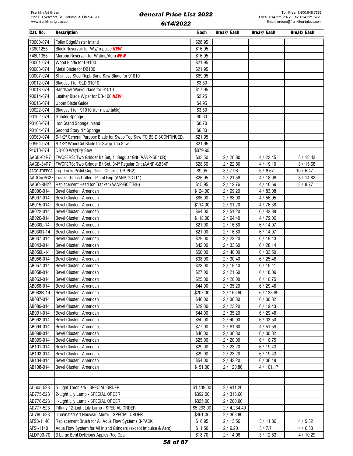| Cat. No.                                   | <b>Description</b>                                                | Each                | Break/ Each  | Break/ Each | Break/ Each |
|--------------------------------------------|-------------------------------------------------------------------|---------------------|--------------|-------------|-------------|
| 70000-074                                  | Foiler EdgeMaster Inland                                          | \$28.95             |              |             |             |
| 73801253                                   | Black Reservoir for Wiz/Impulse NEW                               | \$16.95             |              |             |             |
| 74801353                                   | Maroon Reservoir for Wizling/Aero <b>NEW</b>                      | \$16.95             |              |             |             |
| 90001-074                                  | Wood Blade for DB100                                              | \$21.95             |              |             |             |
| 90003-074                                  | Metal Blade for DB100                                             | \$21.95             |              |             |             |
| 90007-074                                  |                                                                   | \$69.95             |              |             |             |
|                                            | Stainless Steel Repl. Band Saw Blade for 91010                    |                     |              |             |             |
| 90012-074                                  | Bladesert for OLD 91010                                           | \$3.50              |              |             |             |
| 90013-074                                  | Bandsaw Worksurface for 91010                                     | \$17.95             |              |             |             |
| 90014-074                                  | Leather Blade Wiper for DB-100 NEW                                | \$2.25              |              |             |             |
| 90016-074                                  | Upper Blade Guide                                                 | \$4.95              |              |             |             |
| 90022-074                                  | Bladesert for 91010 (for metal table)                             | \$3.50              |              |             |             |
| 90102-074                                  | <b>Grinder Sponge</b>                                             | \$0.60              |              |             |             |
| 90103-074                                  | Iron Stand Sponge Inland                                          | \$0.70              |              |             |             |
| 90104-074                                  | Second Story "L" Sponge                                           | \$0.80              |              |             |             |
| 90960-074                                  | 6-1/2" General Purpose Blade for Swap Top Saw TO BE DISCONTINUED. | \$21.95             |              |             |             |
| 90964-074                                  | 6-1/2" WoodCut Blade for Swap Top Saw                             | \$21.95             |              |             |             |
| 91010-074                                  | DB100 Wet/Dry Saw                                                 | \$379.95            |              |             |             |
| AAGB-01R7                                  | TWOFERS: Two Grinder Bit Set, 1" Regular Grit (AANP-GB10R)        | \$33.50             | 2/26.80      | 4/22.45     | 8/18.43     |
| AAGB-34R7                                  | TWOFERS: Two Grinder Bit Set, 3/4" Regular Grit (AANP-GB34R       | \$28.50             | 2/22.80      | 4/19.10     | 8/15.68     |
|                                            | AAGC-TOPPG2 Top Tools Pistol Grip Glass Cutter (TOP-PG2)          | \$9.95              | 3/7.96       | 5/6.67      | 10/5.47     |
| $\overline{\mathsf{AAGC}} = \mathsf{PG27}$ | Tracker Glass Cutter - Pistol Grip (AANP-GCTT1)                   | \$26.95             | 2/21.56      | 4/18.06     | 8 / 14.82   |
| AAGC-RH27                                  | Replacement Head for Tracker (AANP-GCTTRH)                        | \$15.95             | 2/12.76      | 4/10.69     | 8/8.77      |
| AB006-014                                  | Bevel Cluster: American                                           | \$124.00            | 2 / 99.20    | 4/83.08     |             |
| AB007-014                                  | Bevel Cluster: American                                           | \$85.00             | 2/68.00      | 4/56.95     |             |
| AB015-014                                  | Bevel Cluster: American                                           | \$114.00            | 2/91.20      | 4/76.38     |             |
|                                            |                                                                   |                     |              |             |             |
| AB022-014                                  | Bevel Cluster: American                                           | \$64.00             | 2/51.20      | 6/42.88     |             |
| AB026-014                                  | Bevel Cluster: American                                           | \$118.00            | 2/94.40      | 4/79.06     |             |
| AB030L-14                                  | Bevel Cluster: American                                           | \$21.00             | 2/16.80      | 6/14.07     |             |
| AB030R-14                                  | Bevel Cluster: American                                           | \$21.00             | 2/16.80      | 6/14.07     |             |
| AB037-014                                  | Bevel Cluster: American                                           | \$29.00             | 2/23.20      | 6/19.43     |             |
| AB043-014                                  | Bevel Cluster: American                                           | \$42.00             | 2/33.60      | 6/28.14     |             |
| AB050L-14                                  | Bevel Cluster: American                                           | \$50.00             | 2/40.00      | 6/33.50     |             |
| AB056-014                                  | Bevel Cluster: American                                           | \$38.00             | 2/30.40      | 6/25.46     |             |
| AB057-014                                  | Bevel Cluster: American                                           | $\overline{$}23.00$ | 2/18.40      | 6/15.41     |             |
| AB058-014                                  | Bevel Cluster: American                                           | \$27.00             | 2/21.60      | 6/18.09     |             |
| AB063-014                                  | Bevel Cluster: American                                           | \$25.00             | 2/20.00      | 6/16.75     |             |
| AB068-014                                  | Bevel Cluster: American                                           | \$44.00             | 2/35.20      | 6/29.48     |             |
| AB083R-14                                  | Bevel Cluster: American                                           | \$207.00            | 2/165.60     | 6/138.69    |             |
| AB087-014                                  | Bevel Cluster: American                                           | \$46.00             | 2/36.80      | 6/30.82     |             |
| AB089-014                                  | Bevel Cluster: American                                           | \$29.00             | 2/23.20      | 6/19.43     |             |
| AB091-014                                  | Bevel Cluster: American                                           | \$44.00             | 2/35.20      | 6/29.48     |             |
| AB092-014                                  | Bevel Cluster: American                                           | \$50.00             | 2/40.00      | 6/33.50     |             |
| AB094-014                                  | Bevel Cluster: American                                           | \$77.00             | 2/61.60      | 4/51.59     |             |
| AB098-014                                  | Bevel Cluster: American                                           | \$46.00             | 2/36.80      | 6/30.82     |             |
| AB099-014                                  | Bevel Cluster: American                                           | \$25.00             | 2/20.00      | 6/16.75     |             |
| AB101-014                                  | Bevel Cluster: American                                           | \$29.00             | 2/23.20      | 6/19.43     |             |
| AB103-014                                  | Bevel Cluster: American                                           | \$29.00             | 2/23.20      | 6/19.43     |             |
| AB104-014                                  | Bevel Cluster: American                                           | \$54.00             | 2 / 43.20    | 6/36.18     |             |
| AB108-014                                  | Bevel Cluster: American                                           | \$151.00            | 2/120.80     | 4/101.17    |             |
|                                            |                                                                   |                     |              |             |             |
|                                            |                                                                   |                     |              |             |             |
|                                            |                                                                   |                     |              |             |             |
| AD605-523                                  | 5-Light Torchiere - SPECIAL ORDER                                 | \$1,139.00          | 2/911.20     |             |             |
| AD775-523                                  | 2-Light Lily Lamp - SPECIAL ORDER                                 | \$392.00            | 2/313.60     |             |             |
| AD776-523                                  | 1-Light Lily Lamp - SPECIAL ORDER                                 | \$325.00            | 2/260.00     |             |             |
| AD777-523                                  | Tiffany 12-Light Lily Lamp - SPECIAL ORDER                        | \$5,293.00          | 2 / 4,234.40 |             |             |
| AD780-523                                  | Illuminated Art Nouveau Mirror - SPECIAL ORDER                    | \$461.00            | 2/368.80     |             |             |
| AFSB-1140                                  | Replacement Brush for All Aqua Flow Systems 3-PACK                | \$16.95             | 2/13.56      | 3/11.36     | 4/9.32      |
| AFSI-1140                                  | Aqua Flow System for All Inland Grinders (except Impulse & Aero)  | \$11.50             | 2/9.20       | 3/7.71      | 4/6.33      |
| ALDR03-70                                  | 3 Large Bent Delicious Apples Red Opal                            | \$18.70             | 2 / 14.96    | 3/12.53     | 4/10.29     |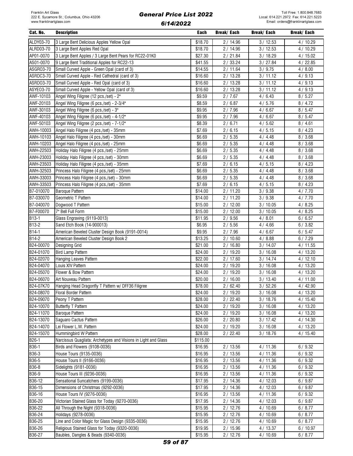| Cat. No.          | <b>Description</b>                                             | Each     | Break/ Each | Break/ Each | <b>Break/Each</b> |
|-------------------|----------------------------------------------------------------|----------|-------------|-------------|-------------------|
| ALDY03-70         | 3 Large Bent Delicious Apples Yellow Opal                      | \$18.70  | 2/14.96     | 3/12.53     | 4/10.29           |
| ALRD03-70         | 3 Large Bent Apples Red Opal                                   | \$18.70  | 2/14.96     | 3/12.53     | 4/10.29           |
| AP01-0070         | 3 Large Bent Apples / 3 Large Bent Pears for RC22-01K0         | \$27.30  | 2/21.84     | 3/18.29     | 4/15.02           |
| AS01-0070         | 9 Large Bent Traditional Apples for RC22-13                    | \$41.55  | 2/33.24     | 3 / 27.84   | 4/22.85           |
| ASGR03-70         | Small Curved Apple - Green Opal (card of 3)                    | \$14.55  | 2/11.64     | 3 / 9.75    | 4/8.00            |
| ASRDC3-70         | Small Curved Apple - Red Cathedral (card of 3)                 | \$16.60  | 2/13.28     | 3/11.12     | 4/9.13            |
|                   |                                                                |          |             |             |                   |
| ASRD03-70         | Small Curved Apple - Red Opal (card of 3)                      | \$16.60  | 2/13.28     | 3/11.12     | 4/9.13            |
| ASYE03-70         | Small Curved Apple - Yellow Opal (card of 3)                   | \$16.60  | 2/13.28     | 3/11.12     | 4/9.13            |
| AWF-10103         | Angel Wing Filigree (12 pcs./set) - 2"                         | \$9.59   | 2/7.67      | 4/6.43      | 8/5.27            |
| AWF-20103         | Angel Wing Filigree (6 pcs./set) - 2-3/4"                      | \$8.59   | 2/6.87      | 4/5.76      | 8/4.72            |
| AWF-30103         | Angel Wing Filigree (6 pcs./set) - 3"                          | \$9.95   | 2/7.96      | 4/6.67      | 8/5.47            |
| AWF-40103         | Angel Wing Filigree (6 pcs./set) - 4-1/2"                      | \$9.95   | 2/7.96      | 4/6.67      | 8/5.47            |
| AWF-50103         | Angel Wing Filigree (2 pcs./set) - 7-1/2"                      | \$8.39   | 2/6.71      | 4/5.62      | 8/4.61            |
| AWH-10003         | Angel Halo Filigree (4 pcs./set) - 35mm                        | \$7.69   | 2/6.15      | 4/5.15      | 8/4.23            |
| AWH-10103         | Angel Halo Filigree (4 pcs./set) - 30mm                        | \$6.69   | 2/5.35      | 4/4.48      | 8/3.68            |
| AWH-10203         | Angel Halo Filigree (4 pcs./set) - 25mm                        | \$6.69   | 2/5.35      | 4/4.48      | 8/3.68            |
| <b>AWH-22503</b>  | Holiday Halo Filigree (4 pcs./set) - 25mm                      | \$6.69   | 2/5.35      | 4/4.48      | 8/3.68            |
| AWH-23003         | Holiday Halo Filigree (4 pcs./set) - 30mm                      | \$6.69   | 2/5.35      | 4/4.48      | 8/3.68            |
| AWH-23503         | Holiday Halo Filigree (4 pcs./set) - 35mm                      | \$7.69   | 2/6.15      | 4/5.15      | 8/4.23            |
| AWH-32503         | Princess Halo Filigree (4 pcs./set) - 25mm                     | \$6.69   | 2/5.35      | 4/4.48      | 8/3.68            |
| AWH-33003         | Princess Halo Filigree (4 pcs./set) - 30mm                     | \$6.69   | 2/5.35      | 4/4.48      | 8/3.68            |
| AWH-33503         | Princess Halo Filigree (4 pcs./set) - 35mm                     | \$7.69   | 2/6.15      | 4/5.15      | 8/4.23            |
| B7-010070         | Baroque Pattern                                                | \$14.00  | 2/11.20     | 3/9.38      | 4/7.70            |
| B7-030070         | Geometric T Pattern                                            | \$14.00  | 2/11.20     | 3/9.38      | 4/7.70            |
| B7-040070         | Dogwood T Pattern                                              | \$15.00  | 2/12.00     | 3/10.05     | 4/8.25            |
| B7-F00070         | 7" Bell Full Form                                              | \$15.00  | 2/12.00     | 3/10.05     | 4/8.25            |
| $B13-1$           | Glass Engraving (9119-0013)                                    | \$11.95  | 2/9.56      | 4/8.01      | 6/6.57            |
| B13-2             | Sand Etch Book (14-900013)                                     | \$6.95   | 2/5.56      | 4/4.66      | 6/3.82            |
|                   |                                                                |          |             |             |                   |
| B14-1<br>$B14-2$  | American Beveled Cluster Design Book (9191-0014)               | \$9.95   | 2/7.96      | 4/6.67      | 6/5.47            |
|                   | American Beveled Cluster Design Book 2                         | \$13.25  | 2/10.60     | 4/8.88      | 6/7.29            |
| B24-00070         | Designing Grid                                                 | \$21.00  | 2/16.80     | 3/14.07     | 4/11.55           |
| B24-01070         | <b>Bird Lamp Pattern</b>                                       | \$24.00  | 2/19.20     | 3/16.08     | 4/13.20           |
| B24-02070         | Hanging Leaves Pattern                                         | \$22.00  | 2/17.60     | 3/14.74     | 4/12.10           |
| B24-04070         | Louis XIV Pattern                                              | \$24.00  | 2/19.20     | 3/16.08     | 4/13.20           |
| B24-05070         | Flower & Bow Pattern                                           | \$24.00  | 2/19.20     | 3/16.08     | 4/13.20           |
| B24-06070         | Art Nouveau Pattern                                            | \$20.00  | 2/16.00     | 3/13.40     | 4/11.00           |
| B24-07K70         | Hanging Head Dragonfly T Pattern w/ DFF36 Filigree             | \$78.00  | 2/62.40     | 3/52.26     | 4/42.90           |
| B24-08070         | Floral Border Pattern                                          | \$24.00  | 2/19.20     | 3/16.08     | 4/13.20           |
| B24-09070         | Peony T Pattern                                                | \$28.00  | 2/22.40     | 3/18.76     | 4/15.40           |
| B24-10070         | <b>Butterfly T Pattern</b>                                     | \$24.00  | 2/19.20     | 3/16.08     | 4/13.20           |
| B24-11070         | Baroque Pattern                                                | \$24.00  | 2/19.20     | 3/16.08     | 4/13.20           |
| B24-13070         | Saguaro Cactus Pattern                                         | \$26.00  | 2/20.80     | 3/17.42     | 4/14.30           |
| B24-14070         | Lei Flower L.W. Pattern                                        | \$24.00  | 2/19.20     | 3/16.08     | 4/13.20           |
| B24-15070         | Hummingbird W Pattern                                          | \$28.00  | 2/22.40     | 3/18.76     | 4/15.40           |
| B <sub>26-1</sub> | Narcissus Quagliata: Archetypes and Visions in Light and Glass | \$115.00 |             |             |                   |
| B36-1             | Birds and Flowers (9108-0036)                                  | \$16.95  | 2/13.56     | 4/11.36     | 6/9.32            |
| B36-3             | House Tours (9135-0036)                                        | \$16.95  | 2/13.56     | 4/11.36     | 6/9.32            |
| B36-5             | House Tours II (9166-0036)                                     | \$16.95  | 2/13.56     | 4/11.36     | 6/9.32            |
| B36-8             | Sidelights (9181-0036)                                         | \$16.95  | 2/13.56     | 4/11.36     | 6/9.32            |
| B36-9             | House Tours III (9236-0036)                                    | \$16.95  | 2/13.56     | 4/11.36     | 6/9.32            |
| B36-12            | Sensational Suncatchers (9199-0036)                            | \$17.95  | 2/14.36     | 4/12.03     | 6/9.87            |
| B36-15            | Dimensions of Christmas (9292-0036)                            | \$17.95  | 2/14.36     | 4/12.03     | 6/9.87            |
|                   |                                                                |          |             |             |                   |
| B36-16            | House Tours IV (9276-0036)                                     | \$16.95  | 2/13.56     | 4/11.36     | 6/9.32            |
| B36-20            | Victorian Stained Glass for Today (9270-0036)                  | \$17.95  | 2/14.36     | 4/12.03     | 6/9.87            |
| B36-22            | All Through the Night (9318-0036)                              | \$15.95  | 2/12.76     | 4/10.69     | 6/8.77            |
| B36-24            | Holidays (9278-0036)                                           | \$15.95  | 2/12.76     | 4/10.69     | 6/8.77            |
| B36-25            | Line and Color Magic for Glass Design (9335-0036)              | \$15.95  | 2/12.76     | 4/10.69     | 6/8.77            |
| B36-26            | Religious Stained Glass for Today (9320-0036)                  | \$19.95  | 2/15.96     | 4/13.37     | 6/10.97           |
| B36-27            | Baubles, Dangles & Beads (9340-0036)                           | \$15.95  | 2/12.76     | 4/10.69     | 6/8.77            |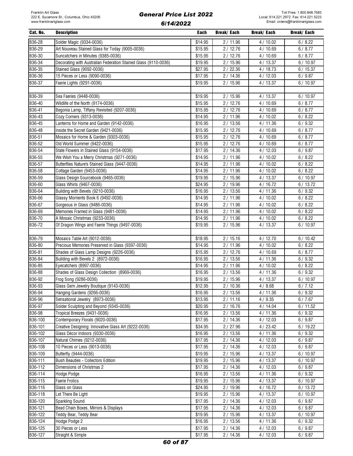| Cat. No. | <b>Description</b>                                              | Each    | Break/ Each | Break/ Each | <b>Break/Each</b> |
|----------|-----------------------------------------------------------------|---------|-------------|-------------|-------------------|
| B36-28   | Solder Magic (9334-0036)                                        | \$14.95 | 2/11.96     | 4/10.02     | 6/8.22            |
| B36-29   | Art Nouveau Stained Glass for Today (9005-0036)                 | \$15.95 | 2/12.76     | 4/10.69     | 6/8.77            |
| B36-30   | Suncatchers in Minutes (9385-0036)                              | \$15.95 | 2/12.76     | 4/10.69     | 6/8.77            |
| B36-34   | Decorating with Australian Federation Stained Glass (9110-0036) | \$19.95 | 2/15.96     | 4/13.37     | 6/10.97           |
| B36-35   | Stained Glass (9092-0036)                                       | \$27.95 | 2/22.36     | 4/18.73     | 6/15.37           |
|          |                                                                 |         |             |             |                   |
| B36-36   | 15 Pieces or Less (9090-0036)                                   | \$17.95 | 2/14.36     | 4/12.03     | 6/9.87            |
| B36-37   | Faerie Lights (9291-0036)                                       | \$19.95 | 2 / 15.96   | 4/13.37     | 6/10.97           |
|          |                                                                 |         |             |             |                   |
| B36-39   | Sea Faeries (9448-0036)                                         | \$19.95 | 2/15.96     | 4/13.37     | 6/10.97           |
| B36-40   | Wildlife of the North (9174-0036)                               | \$15.95 | 2/12.76     | 4/10.69     | 6/8.77            |
| B36-41   | Begonia Lamp, Tiffany Revisited (9207-0036)                     | \$15.95 | 2/12.76     | 4/10.69     | 6/8.77            |
| B36-43   | Cozy Corners (9313-0036)                                        | \$14.95 | 2/11.96     | 4/10.02     | 6/8.22            |
| B36-45   | Lanterns for Home and Garden (9142-0036)                        | \$16.95 | 2/13.56     | 4/11.36     | 6/9.32            |
| B36-48   | Inside the Secret Garden (9421-0036)                            | \$15.95 | 2/12.76     | 4/10.69     | 6/8.77            |
| B36-51   | Mosaics for Home & Garden (9303-0036)                           | \$15.95 | 2/12.76     | 4/10.69     | 6/8.77            |
| B36-52   | Old World Summer (9422-0036)                                    | \$15.95 | 2/12.76     | 4/10.69     | 6/8.77            |
| B36-54   | State Flowers in Stained Glass (9154-0036)                      | \$17.95 | 2/14.36     | 4/12.03     | 6/9.87            |
| B36-55   | We Wish You a Merry Christmas (9271-0036)                       | \$14.95 | 2/11.96     | 4/10.02     | 6/8.22            |
| B36-57   | Butterflies Nature's Stained Glass (9447-0036)                  | \$14.95 | 2/11.96     | 4/10.02     | 6/8.22            |
| B36-58   | Cottage Garden (9453-0036)                                      | \$14.95 | 2/11.96     | 4/10.02     | 6/8.22            |
| B36-59   | Glass Design Sourcebook (9465-0036)                             | \$19.95 | 2/15.96     | 4/13.37     | 6/10.97           |
| B36-60   | Glass Whirls (9467-0036)                                        | \$24.95 | 2/19.96     | 4/16.72     | 6/13.72           |
| B36-64   | Building with Bevels (9210-0036)                                | \$16.95 | 2/13.56     | 4/11.36     | 6/9.32            |
| B36-66   | Glassy Moments Book 6 (9492-0036)                               | \$14.95 | 2/11.96     | 4/10.02     | 6/8.22            |
| B36-67   | Gorgeous in Glass (9486-0036)                                   | \$14.95 | 2/11.96     | 4/10.02     | 6/8.22            |
| B36-69   | Memories Framed in Glass (9481-0036)                            | \$14.95 | 2/11.96     | 4/10.02     | 6/8.22            |
| B36-70   | A Mosaic Christmas (9233-0036)                                  | \$14.95 | 2/11.96     | 4/10.02     | 6/8.22            |
| B36-72   | Of Dragon Wings and Faerie Things (9497-0036)                   | \$19.95 | 2/15.96     | 4/13.37     | 6/10.97           |
|          |                                                                 |         |             |             |                   |
| B36-79   | Mosaics Table Art (9012-0036)                                   | \$18.95 | 2/15.16     | 4/12.70     | 6/10.42           |
| B36-80   | Precious Memories Preserved in Glass (9397-0036)                | \$14.95 | 2 / 11.96   | 4/10.02     | 6/8.22            |
| B36-81   | Shades of Glass Lamp Designs (9226-0036)                        | \$15.95 | 2/12.76     | 4/10.69     | 6/8.77            |
| B36-84   | Building with Bevels 2 (8972-0036)                              | \$16.95 | 2/13.56     | 4/11.36     | 6/9.32            |
| B36-85   | Eyecatchers (8997-0036)                                         | \$14.95 | 2/11.96     | 4/10.02     | 6/8.22            |
| B36-88   | Shades of Glass Design Collection (8969-0036)                   | \$16.95 | 2/13.56     | 4/11.36     | 6/9.32            |
|          |                                                                 |         |             |             |                   |
| B36-92   | Frog Song (9286-0036)                                           | \$19.95 | 2/15.96     | 4/13.37     | 6/10.97           |
| B36-93   | Glass Gem Jewelry Boutique (9143-0036)                          | \$12.95 | 2/10.36     | 4/8.68      | 6/7.12            |
| B36-94   | Hanging Gardens (9266-0036)                                     | \$16.95 | 2/13.56     | 4/11.36     | 6/9.32            |
| B36-96   | Sensational Jewelry (8973-0036)                                 | \$13.95 | 2/11.16     | 4/9.35      | 6/7.67            |
| B36-97   | Solder Sculpting and Beyond (9345-0036)                         | \$20.95 | 2/16.76     | 4/14.04     | 6/11.52           |
| B36-98   | Tropical Breezes (9431-0036)                                    | \$16.95 | 2/13.56     | 4/11.36     | 6/9.32            |
| B36-100  | Contemporary Florals (9020-0036)                                | \$17.95 | 2/14.36     | 4/12.03     | 6/9.87            |
| B36-101  | Creative Designing: Innovative Glass Art (9222-0036)            | \$34.95 | 2 / 27.96   | 4 / 23.42   | 6/19.22           |
| B36-102  | Glass Décor Indoors (9330-0036)                                 | \$16.95 | 2/13.56     | 4/11.36     | 6/9.32            |
| B36-107  | Natural Chimes (9212-0036)                                      | \$17.95 | 2/14.36     | 4/12.03     | 6/9.87            |
| B36-108  | 10 Pieces or Less (9013-0036)                                   | \$17.95 | 2/14.36     | 4/12.03     | 6/9.87            |
| B36-109  | Butterfly (9444-0036)                                           | \$19.95 | 2/15.96     | 4/13.37     | 6/10.97           |
| B36-111  | Bush Beauties - Collectors Edition                              | \$19.95 | 2/15.96     | 4/13.37     | 6/10.97           |
| B36-112  | Dimensions of Christmas 2                                       | \$17.95 | 2/14.36     | 4/12.03     | 6/9.87            |
| B36-114  | Hodge Podge                                                     | \$16.95 | 2/13.56     | 4/11.36     | 6/9.32            |
| B36-115  | Faerie Frolics                                                  | \$19.95 | 2 / 15.96   | 4/13.37     | 6/10.97           |
| B36-116  | Glass on Glass                                                  | \$24.95 | 2 / 19.96   | 4/16.72     | 6/13.72           |
| B36-118  | Let There Be Light                                              | \$19.95 | 2/15.96     | 4/13.37     | 6/10.97           |
| B36-120  | Sparkling Sound                                                 | \$17.95 | 2/14.36     | 4/12.03     | 6/9.87            |
| B36-121  | Bead Chain Boxes, Mirrors & Displays                            | \$17.95 | 2/14.36     | 4/12.03     | 6/9.87            |
| B36-122  | Teddy Bear, Teddy Bear                                          | \$19.95 | 2/15.96     | 4/13.37     | 6/10.97           |
| B36-124  | Hodge Podge 2                                                   | \$16.95 | 2/13.56     | 4/11.36     | 6/9.32            |
| B36-125  | 30 Pieces or Less                                               | \$17.95 | 2/14.36     | 4/12.03     | 6/9.87            |
| B36-127  | Straight & Simple                                               | \$17.95 | 2 / 14.36   | 4/12.03     | 6/9.87            |
|          |                                                                 |         |             |             |                   |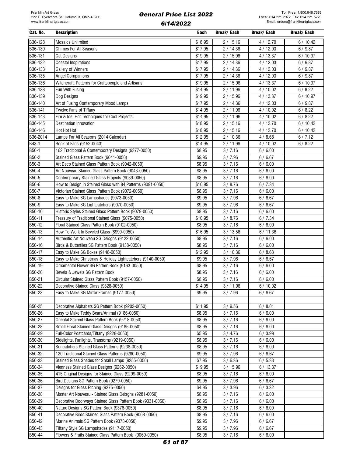| Cat. No.         | <b>Description</b>                                                                      | Each             | Break/ Each      | Break/ Each      | Break/ Each |
|------------------|-----------------------------------------------------------------------------------------|------------------|------------------|------------------|-------------|
| B36-128          | <b>Mosaics Unlimited</b>                                                                | \$18.95          | 2/15.16          | 4/12.70          | 6/10.42     |
| B36-130          | <b>Chimes For All Seasons</b>                                                           | \$17.95          | 2/14.36          | 4/12.03          | 6/9.87      |
| B36-131          | <b>Cat Designs</b>                                                                      | \$19.95          | 2/15.96          | 4/13.37          | 6/10.97     |
| B36-132          | <b>Coastal Inspirations</b>                                                             | \$17.95          | 2/14.36          | 4/12.03          | 6/9.87      |
| B36-133          | Gallery of Winners                                                                      | \$17.95          | 2/14.36          | 4/12.03          | 6/9.87      |
| B36-135          | Angel Companions                                                                        | \$17.95          | 2/14.36          | 4/12.03          | 6/9.87      |
| B36-136          | Witchcraft, Patterns for Craftspeople and Artisans                                      | \$19.95          | 2/15.96          | 4/13.37          | 6/10.97     |
| B36-138          | Fun With Fusing                                                                         | \$14.95          | 2/11.96          | 4/10.02          | 6/8.22      |
| B36-139          | Dog Designs                                                                             | \$19.95          | 2/15.96          | 4/13.37          | 6/10.97     |
| B36-140          | Art of Fusing Contemporary Mood Lamps                                                   | \$17.95          | 2/14.36          | 4/12.03          | 6/9.87      |
| B36-141          | Twelve Fans of Tiffany                                                                  | \$14.95          | 2/11.96          | 4/10.02          | 6/8.22      |
| B36-143          | Fire & Ice, Hot Techniques for Cool Projects                                            | \$14.95          | 2/11.96          | 4/10.02          | 6/8.22      |
| B36-145          | Destination Innovation                                                                  | \$18.95          | 2/15.16          | 4/12.70          | 6/10.42     |
| B36-146          | Hot Hot Hot                                                                             | \$18.95          | 2/15.16          | 4/12.70          | 6/10.42     |
| B36-2014         | Lamps For All Seasons (2014 Calendar)                                                   | \$12.95          | 2/10.36          | 4/8.68           | 6/7.12      |
| B43-1            | Book of Fans (9152-0043)                                                                | \$14.95          | 2/11.96          | 4/10.02          | 6/8.22      |
| $B50-1$          | 162 Traditional & Contemporary Designs (9377-0050)                                      | \$8.95           | 3/7.16           | 6/6.00           |             |
| $B50-2$          | Stained Glass Pattern Book (9041-0050)                                                  | \$9.95           | 3/7.96           | 6/6.67           |             |
| B50-3            | Art Deco Stained Glass Pattern Book (9042-0050)                                         | \$8.95           | 3/7.16           | 6/6.00           |             |
| B50-4            | Art Nouveau Stained Glass Pattern Book (9043-0050)                                      | \$8.95           | 3/7.16           | 6/6.00           |             |
| B50-5            | Contemporary Stained Glass Projects (9039-0050)                                         | \$8.95           | 3/7.16           | 6/6.00           |             |
| B50-6            | How to Design in Stained Glass with 84 Patterns (9091-0050)                             | \$10.95          | 3 / 8.76         | 6/7.34           |             |
| B50-7            | Victorian Stained Glass Pattern Book (9072-0050)                                        | \$8.95           | 3/7.16           | 6/6.00           |             |
| B50-8            | Easy to Make SG Lampshades (9073-0050)                                                  | \$9.95           | 3/7.96           | 6/6.67           |             |
| B50-9            | Easy to Make SG Lightcatchers (9070-0050)                                               | \$9.95           | 3/7.96           | 6/6.67           |             |
| B50-10           | Historic Styles Stained Glass Pattern Book (9079-0050)                                  | \$8.95           | 3/7.16           | 6/6.00           |             |
| B50-11           | Treasury of Traditional Stained Glass (9075-0050)                                       | \$10.95          | 3 / 8.76         | 6/7.34           |             |
| B50-12           | Floral Stained Glass Pattern Book (9102-0050)                                           | \$8.95           | 3/7.16           | 6/6.00           |             |
| B50-13           | How To Work In Beveled Glass (8990-0050)                                                | \$16.95          | 3/13.56          | 6/11.36          |             |
| B50-14           | Authentic Art Nouveau SG Deisgns (9122-0050)                                            | \$8.95           | 3/7.16           | 6/6.00           |             |
| B50-16           | Birds & Butterflies SG Pattern Book (9138-0050)                                         | \$8.95           | 3/7.16           | 6/6.00           |             |
| B50-17           | Easy to Make SG Boxes (9146-0050)                                                       | \$12.95          | 3/10.36          | 6/8.68           |             |
| B50-18           | Easy to Make Christmas & Holiday Lightcatchers (9140-0050)                              | \$9.95           | 3/7.96           | 6/6.67           |             |
| B50-19           | Ornamental Flower SG Pattern Book (9163-0050)                                           | \$8.95           | 3/7.16           | 6/6.00           |             |
| B50-20           | Bevels & Jewels SG Pattern Book                                                         | \$8.95           | 3 / 7.16         | 6/6.00           |             |
| B50-21           | Circular Stained Glass Pattern Book (9157-0050)                                         | \$8.95           | 3/7.16           | 6/6.00           |             |
| B50-22           | Decorative Stained Glass (9328-0050)                                                    | \$14.95          | 3/11.96          | 6/10.02          |             |
| B50-23           | Easy to Make SG Mirror Frames (9177-0050)                                               | \$9.95           | 3/7.96           | 6/6.67           |             |
|                  |                                                                                         |                  |                  |                  |             |
| B50-25           | Decorative Alphabets SG Pattern Book (9202-0050)                                        | \$11.95          | 3/9.56           | 6/8.01           |             |
| B50-26<br>B50-27 | Easy to Make Teddy Bears/Animal (9186-0050)                                             | \$8.95           | 3/7.16           | 6/6.00           |             |
| B50-28           | Oriental Stained Glass Pattern Book (9218-0050)                                         | \$8.95           | 3/7.16           | 6/6.00           |             |
| B50-29           | Small Floral Stained Glass Deisgns (9185-0050)                                          | \$8.95           | 3/7.16           | 6/6.00           |             |
| B50-30           | Full-Color Postcards/Tiffany (9228-0050)<br>Sidelights, Fanlights, Transoms (9219-0050) | \$5.95<br>\$8.95 | 3/4.76<br>3/7.16 | 6/3.99           |             |
| B50-31           | Suncatchers Stained Glass Patterns (9238-0050)                                          |                  |                  | 6/6.00           |             |
| B50-32           | 120 Traditional Stained Glass Patterns (9280-0050)                                      | \$8.95<br>\$9.95 | 3/7.16<br>3/7.96 | 6/6.00<br>6/6.67 |             |
| B50-33           | Stained Glass Shades for Small Lamps (9255-0050)                                        | \$7.95           | 3/6.36           | 6/5.33           |             |
| B50-34           | Viennese Stained Glass Designs (9262-0050)                                              | \$19.95          | 3/15.96          | 6/13.37          |             |
| B50-35           | 415 Original Designs for Stained Glass (9299-0050)                                      | \$8.95           | 3/7.16           | 6/6.00           |             |
| B50-36           | Bird Designs SG Pattern Book (9279-0050)                                                | \$9.95           | 3/7.96           | 6/6.67           |             |
| B50-37           | Deisgns for Glass Etching (9375-0050)                                                   | \$4.95           | 3/3.96           | 6/3.32           |             |
| B50-38           | Master Art Nouveau - Stained Glass Deisgns (9281-0050)                                  | \$8.95           | 3/7.16           | 6/6.00           |             |
| B50-39           | Decorative Doorways Stained Glass Pattern Book (9331-0050)                              | \$8.95           | 3/7.16           | 6/6.00           |             |
| B50-40           | Nature Designs SG Pattern Book (9376-0050)                                              | \$8.95           | 3/7.16           | 6/6.00           |             |
| B50-41           | Decorative Birds Stained Glass Pattern Book (9068-0050)                                 | \$8.95           | 3/7.16           | 6/6.00           |             |
| B50-42           | Marine Animals SG Pattern Book (9378-0050)                                              | \$9.95           | 3/7.96           | 6/6.67           |             |
| B50-43           | Tiffany Style SG Lampshades (9117-0050)                                                 | \$9.95           | 3/7.96           | 6/6.67           |             |
| B50-44           | Flowers & Fruits Stained Glass Pattern Book (9069-0050)                                 | \$8.95           | 3 / 7.16         | 6/6.00           |             |
|                  |                                                                                         |                  |                  |                  |             |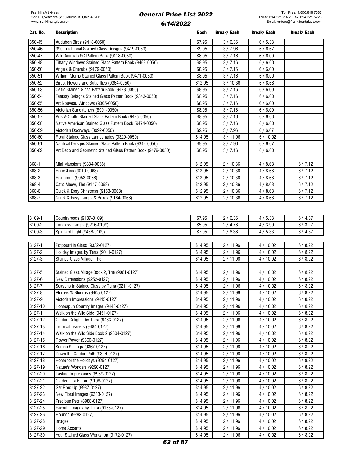| Cat. No.           | <b>Description</b>                                            | Each    | Break/ Each          | Break/ Each | Break/ Each |
|--------------------|---------------------------------------------------------------|---------|----------------------|-------------|-------------|
| B50-45             | Audubon Birds (9418-0050)                                     | \$7.95  | 3/6.36               | 6/5.33      |             |
| B50-46             | 390 Traditional Stained Glass Deisgns (9419-0050)             | \$9.95  | 3/7.96               | 6/6.67      |             |
| B50-47             | Wild Animals SG Pattern Book (9118-0050)                      | \$8.95  | 3/7.16               | 6/6.00      |             |
| B50-48             | Tiffany Windows Stained Glass Pattern Book (9468-0050)        | \$8.95  | 3/7.16               | 6/6.00      |             |
| B50-50             | Angels & Cherubs (9179-0050)                                  | \$8.95  | 3/7.16               | 6/6.00      |             |
| B50-51             | William Morris Stained Glass Pattern Book (9471-0050)         | \$8.95  | 3/7.16               | 6/6.00      |             |
| B50-52             | Birds, Flowers and Butterflies (9364-0050)                    | \$12.95 | 3/10.36              | 6/8.68      |             |
| B50-53             | Celtic Stained Glass Pattern Book (9478-0050)                 | \$8.95  | 3/7.16               | 6/6.00      |             |
| B50-54             | Fantasy Deisgns Stained Glass Pattern Book (9343-0050)        | \$8.95  | 3/7.16               | 6/6.00      |             |
| B50-55             | Art Nouveau Windows (9365-0050)                               | \$8.95  | 3/7.16               | 6/6.00      |             |
| B50-56             | Victorian Suncatchers (8991-0050)                             | \$8.95  | 3/7.16               | 6/6.00      |             |
| B50-57             | Arts & Crafts Stained Glass Pattern Book (9475-0050)          | \$8.95  | 3/7.16               | 6/6.00      |             |
|                    |                                                               |         | $\frac{1}{3}$ / 7.16 |             |             |
| B50-58             | Native American Stained Glass Pattern Book (9474-0050)        | \$8.95  |                      | 6/6.00      |             |
| B50-59             | Victorian Doorways (8992-0050)                                | \$9.95  | 3/7.96               | 6/6.67      |             |
| B50-60             | Floral Stained Glass Lampshades (9329-0050)                   | \$14.95 | 3/11.96              | 6/10.02     |             |
| B50-61             | Nautical Deisgns Stained Glass Pattern Book (9342-0050)       | \$9.95  | 3/7.96               | 6/6.67      |             |
| B50-62             | Art Deco and Geometric Stained Glass Pattern Book (9479-0050) | \$8.95  | 3/7.16               | 6/6.00      |             |
|                    |                                                               |         |                      |             |             |
| B68-1              | Mini Mansions (9384-0068)                                     | \$12.95 | 2/10.36              | 4/8.68      | 6/7.12      |
| B68-2              | HourGlass (9010-0068)                                         | \$12.95 | 2/10.36              | 4/8.68      | 6/7.12      |
| B68-3              | Heirlooms (9053-0068)                                         | \$12.95 | 2/10.36              | 4/8.68      | 6/7.12      |
| B68-4              | Cat's Meow, The (9147-0068)                                   | \$12.95 | 2/10.36              | 4/8.68      | 6/7.12      |
| B68-6              | Quick & Easy Christmas (9153-0068)                            | \$12.95 | 2/10.36              | 4/8.68      | 6/7.12      |
| B68-7              | Quick & Easy Lamps & Boxes (9164-0068)                        | \$12.95 | 2/10.36              | 4/8.68      | 6/7.12      |
|                    |                                                               |         |                      |             |             |
|                    |                                                               |         |                      |             |             |
| B <sub>109-1</sub> | Countryroads (9187-0109)                                      | \$7.95  | 2/6.36               | 4/5.33      | 6/4.37      |
| B109-2             | Timeless Lamps (9216-0109)                                    | \$5.95  | 2/4.76               | 4/3.99      | 6/3.27      |
| B109-3             | Spirits of Light (9436-0109)                                  | \$7.95  | 2/6.36               | 4/5.33      | 6/4.37      |
|                    |                                                               |         |                      |             |             |
| B <sub>127-1</sub> | Potpourri in Glass (9332-0127)                                | \$14.95 | 2/11.96              | 4/10.02     | 6/8.22      |
| B127-2             | Holiday Images by Terra (9011-0127)                           | \$14.95 | 2/11.96              | 4/10.02     | 6/8.22      |
| B127-3             | Stained Glass Village, The                                    | \$14.95 | 2/11.96              | 4/10.02     | 6/8.22      |
|                    |                                                               |         |                      |             |             |
| B127-5             | Stained Glass Village Book 2, The (9061-0127)                 | \$14.95 | 2/11.96              | 4/10.02     | 6/8.22      |
| B127-6             | New Dimensions (9252-0127)                                    | \$14.95 | 2/11.96              | 4/10.02     | 6/8.22      |
| B127-7             | Seasons in Stained Glass by Terra (9211-0127)                 | \$14.95 | 2/11.96              | 4/10.02     | 6/8.22      |
| B127-8             | Plumes 'N Blooms (9405-0127)                                  | \$14.95 | 2/11.96              | 4/10.02     | 6/8.22      |
| B127-9             | Victorian Impressions (9415-0127)                             | \$14.95 | 2/11.96              | 4/10.02     | 6/8.22      |
| B127-10            | Homespun Country Images (9443-0127)                           | \$14.95 | 2/11.96              | 4/10.02     | 6/8.22      |
| B127-11            | Walk on the Wild Side (9451-0127)                             | \$14.95 | 2/11.96              | 4/10.02     | 6/8.22      |
| B127-12            | Garden Delights by Terra (9483-0127)                          | \$14.95 | 2/11.96              | 4/10.02     | 6/8.22      |
| B127-13            | Tropical Teasers (9484-0127)                                  | \$14.95 | 2/11.96              | 4/10.02     | 6/8.22      |
| B127-14            | Walk on the Wild Side Book 2 (9304-0127)                      | \$14.95 | 2/11.96              | 4/10.02     | 6/8.22      |
| B127-15            | Flower Power (9366-0127)                                      | \$14.95 | 2/11.96              | 4/10.02     | 6/8.22      |
| B127-16            | Serene Settings (9367-0127)                                   | \$14.95 | 2/11.96              | 4/10.02     | 6/8.22      |
| B127-17            | Down the Garden Path (9324-0127)                              | \$14.95 | 2/11.96              | 4/10.02     | 6/8.22      |
| B127-18            | Home for the Holidays (9254-0127)                             | \$14.95 | 2/11.96              | 4/10.02     | 6/8.22      |
| B127-19            | Nature's Wonders (9290-0127)                                  | \$14.95 | 2/11.96              | 4/10.02     | 6/8.22      |
| B127-20            | Lasting Impressions (8989-0127)                               | \$14.95 | 2/11.96              | 4/10.02     | 6/8.22      |
| B127-21            | Garden in a Bloom (9198-0127)                                 | \$14.95 | 2/11.96              | 4/10.02     | 6/8.22      |
|                    |                                                               |         |                      |             |             |
| B127-22            | Get Fired Up (8987-0127)                                      | \$14.95 | 2/11.96              | 4/10.02     | 6/8.22      |
| B127-23            | New Floral Images (9383-0127)                                 | \$14.95 | 2/11.96              | 4/10.02     | 6/8.22      |
| B127-24            | Precious Pets (8988-0127)                                     | \$14.95 | 2/11.96              | 4/10.02     | 6/8.22      |
| B127-25            | Favorite Images by Terra (9155-0127)                          | \$14.95 | 2/11.96              | 4 / 10.02   | 6/8.22      |
| B127-26            | Flourish (9282-0127)                                          | \$14.95 | 2/11.96              | 4/10.02     | 6/8.22      |
| B127-28            | Images                                                        | \$14.95 | 2/11.96              | 4/10.02     | 6/8.22      |
| B127-29            | Home Accents                                                  | \$14.95 | 2/11.96              | 4/10.02     | 6/8.22      |
| B127-30            | Your Stained Glass Workshop (9172-0127)                       | \$14.95 | 2/11.96              | 4/10.02     | 6/8.22      |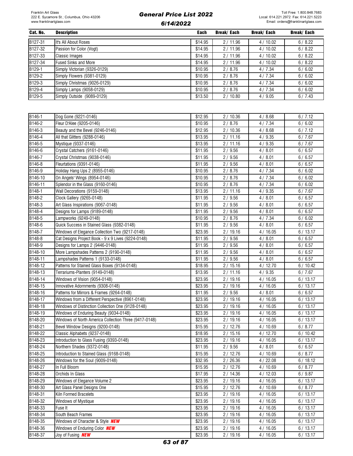Toll Free: 1.800.848.7683 Local: 614.221.2972 Fax: 614.221.5223 Email: orders@franklinartglass.com

| Cat. No. | <b>Description</b>           | Each    | Break/ Each | Break/ Each | Break/ Each |
|----------|------------------------------|---------|-------------|-------------|-------------|
| B127-31  | It's All About Roses         | \$14.95 | 2/11.96     | 4/10.02     | 6/8.22      |
| B127-32  | Passion for Color (Vogt)     | \$14.95 | 2/11.96     | 4/10.02     | 6/8.22      |
| B127-33  | <b>Classic Images</b>        | \$14.95 | 2/11.96     | 4/10.02     | 6/8.22      |
| B127-34  | <b>Fused Sinks and More</b>  | \$14.95 | 2/11.96     | 4/10.02     | 6/8.22      |
| B129-1   | Simply Victorian (9326-0129) | \$10.95 | 2/8.76      | 4 / 7.34    | 6/6.02      |
| B129-2   | Simply Flowers (9381-0129)   | \$10.95 | 2/8.76      | 4 / 7.34    | 6/6.02      |
| B129-3   | Simply Christmas (9026-0129) | \$10.95 | 2/8.76      | 4 / 7.34    | 6/6.02      |
| B129-4   | Simply Lamps (9058-0129)     | \$10.95 | 2/8.76      | 4 / 7.34    | 6/6.02      |
| B129-5   | Simply Outside (9089-0129)   | \$13.50 | 2/10.80     | 4/9.05      | 6/7.43      |

| B146-1  | Dog Gone (9221-0146)                                  | \$12.95 | 2/10.36            | 4/8.68  | 6/7.12  |
|---------|-------------------------------------------------------|---------|--------------------|---------|---------|
| B146-2  | Fleur D'Alee (9205-0146)                              | \$10.95 | 2/8.76             | 4/7.34  | 6/6.02  |
| B146-3  | Beauty and the Bevel (9246-0146)                      | \$12.95 | 2/10.36            | 4/8.68  | 6/7.12  |
| B146-4  | All that Glitters (9288-0146)                         | \$13.95 | 2/11.16            | 4/9.35  | 6/7.67  |
| B146-5  | Mystique (9337-0146)                                  | \$13.95 | 2/11.16            | 4/9.35  | 6/7.67  |
| B146-6  | Crystal Catchers (9161-0146)                          | \$11.95 | 2/9.56             | 4/8.01  | 6/6.57  |
| B146-7  | Crystal Christmas (9038-0146)                         | \$11.95 | 2/9.56             | 4/8.01  | 6/6.57  |
| B146-8  | Fleurtations (9391-0146)                              | \$11.95 | 2/9.56             | 4/8.01  | 6/6.57  |
| B146-9  | Holiday Hang Ups 2 (8955-0146)                        | \$10.95 | 2/8.76             | 4/7.34  | 6/6.02  |
| B146-10 | On Angels' Wings (8954-0146)                          | \$10.95 | 2/8.76             | 4/7.34  | 6/6.02  |
| B146-11 | Splendor in the Glass (9160-0146)                     | \$10.95 | 2/8.76             | 4/7.34  | 6/6.02  |
| B148-1  | Wall Decorations (9159-0148)                          | \$13.95 | 2/11.16            | 4/9.35  | 6/7.67  |
| B148-2  | Clock Gallery (9265-0148)                             | \$11.95 | 2/9.56             | 4/8.01  | 6/6.57  |
| B148-3  | Art Glass Inspirations (9067-0148)                    | \$11.95 | 2/9.56             | 4/8.01  | 6/6.57  |
| B148-4  | Designs for Lamps (9189-0148)                         | \$11.95 | 2/9.56             | 4/8.01  | 6/6.57  |
| B148-5  | Lampworks (9249-0148)                                 | \$10.95 | 2/8.76             | 4/7.34  | 6/6.02  |
| B148-6  | Quick Success in Stained Glass (9382-0148)            | \$11.95 | 2/9.56             | 4/8.01  | 6/6.57  |
| B148-7  | Windows of Elegance Collection Two (9217-0148)        | \$23.95 | 2/19.16            | 4/16.05 | 6/13.17 |
| B148-8  | Cat Designs Project Book - 9 x 9 Lives (9224-0148)    | \$11.95 | 2/9.56             | 4/8.01  | 6/6.57  |
| B148-9  | Designs for Lamps 2 (9446-0148)                       | \$11.95 | 2/9.56             | 4/8.01  | 6/6.57  |
| B148-10 | More Lampshades Patterns 2 (9190-0148)                | \$11.95 | 2/9.56             | 4/8.01  | 6/6.57  |
| B148-11 | Lampshades Patterns 1 (9133-0148)                     | \$11.95 | 2/9.56             | 4/8.01  | 6/6.57  |
| B148-12 | Patterns for Stained Glass Boxes (9134-0148)          | \$18.95 | 2/15.16            | 4/12.70 | 6/10.42 |
| B148-13 | Terrariums-Planters (9149-0148)                       | \$13.95 | 2/11.16            | 4/9.35  | 6/7.67  |
| B148-14 | Windows of Vision (9054-0148)                         | \$23.95 | 2/19.16            | 4/16.05 | 6/13.17 |
| B148-15 | Innovative Adornments (9308-0148)                     | \$23.95 | 2/19.16            | 4/16.05 | 6/13.17 |
| B148-16 | Patterns for Mirrors & Frames (9264-0148)             | \$11.95 | 2/9.56             | 4/8.01  | 6/6.57  |
| B148-17 | Windows from a Different Perspective (8961-0148)      | \$23.95 | 2/19.16            | 4/16.05 | 6/13.17 |
| B148-18 | Windows of Distinction Collection One (9128-0148)     | \$23.95 | 2/19.16            | 4/16.05 | 6/13.17 |
| B148-19 | Windows of Enduring Beauty (9034-0148)                | \$23.95 | 2/19.16            | 4/16.05 | 6/13.17 |
| B148-20 | Windows of North America Collection Three (9417-0148) | \$23.95 | 2/19.16            | 4/16.05 | 6/13.17 |
| B148-21 | Bevel Window Designs (9200-0148)                      | \$15.95 | 2/12.76            | 4/10.69 | 6/8.77  |
| B148-22 | Classic Alphabets (9237-0148)                         | \$18.95 | 2/15.16            | 4/12.70 | 6/10.42 |
| B148-23 | Introduction to Glass Fusing (9393-0148)              | \$23.95 | 2/19.16            | 4/16.05 | 6/13.17 |
| B148-24 | Northern Shades (9372-0148)                           | \$11.95 | 2/9.56             | 4/8.01  | 6/6.57  |
| B148-25 | Introduction to Stained Glass (9168-0148)             | \$15.95 | 2/12.76            | 4/10.69 | 6/8.77  |
| B148-26 | Windows for the Soul (9009-0148)                      | \$32.95 | 2/26.36            | 4/22.08 | 6/18.12 |
| B148-27 | In Full Bloom                                         | \$15.95 | 2/12.76            | 4/10.69 | 6/8.77  |
| B148-28 | Orchids In Glass                                      | \$17.95 | 2/14.36            | 4/12.03 | 6/9.87  |
| B148-29 | Windows of Elegance Volume 2                          | \$23.95 | 2/19.16            | 4/16.05 | 6/13.17 |
| B148-30 | Art Glass Panel Designs One                           | \$15.95 | 2/12.76            | 4/10.69 | 6/8.77  |
| B148-31 | Kiln Formed Bracelets                                 | \$23.95 | 2/19.16            | 4/16.05 | 6/13.17 |
| B148-32 | Windows of Mystique                                   | \$23.95 | 2/19.16            | 4/16.05 | 6/13.17 |
| B148-33 | Fuse It                                               | \$23.95 | 2/19.16            | 4/16.05 | 6/13.17 |
| B148-34 | South Beach Frames                                    | \$23.95 | 2/19.16            | 4/16.05 | 6/13.17 |
| B148-35 | Windows of Character & Style <b>NEW</b>               | \$23.95 |                    | 4/16.05 |         |
| B148-36 | Windows of Enduring Color <b>NEW</b>                  |         | 2/19.16<br>2/19.16 |         | 6/13.17 |
|         |                                                       | \$23.95 |                    | 4/16.05 | 6/13.17 |
| B148-37 | Joy of Fusing <b>NEW</b>                              | \$23.95 | 2/19.16            | 4/16.05 | 6/13.17 |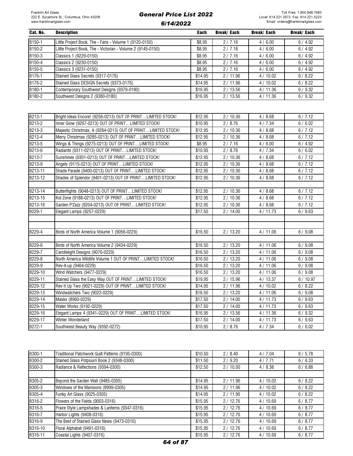| Cat. No.           | <b>Description</b>                                          | Each    | Break/ Each | Break/ Each | Break/ Each |
|--------------------|-------------------------------------------------------------|---------|-------------|-------------|-------------|
| B150-1             | Little Project Book, The - Fans - Volume 1 (9120-0150)      | \$8.95  | 2/7.16      | 4/6.00      | 6/4.92      |
| B150-2             | Little Project Book, The - Victorian - Volume 2 (9145-0150) | \$8.95  | 2/7.16      | 4/6.00      | 6/4.92      |
| B <sub>150-3</sub> | Classics 1 (9229-0150)                                      | \$8.95  | 2/7.16      | 4/6.00      | 6/4.92      |
| B150-4             | Classics 2 (9230-0150)                                      | \$8.95  | 2/7.16      | 4/6.00      | 6/4.92      |
| B150-5             | Classics 3 (9231-0150)                                      | \$8.95  | 2/7.16      | 4/6.00      | 6/4.92      |
| B176-1             | Stained Glass Secrets (9317-0176)                           | \$14.95 | 2/11.96     | 4/10.02     | 6/8.22      |
| B176-2             | Stained Glass DESIGN Secrets (9373-0176)                    | \$14.95 | 2/11.96     | 4/10.02     | 6/8.22      |
| B180-1             | Contemporary Southwest Designs (9379-0180)                  | \$16.95 | 2/13.56     | 4 / 11.36   | 6/9.32      |
| B180-2             | Southwest Deisgns 2 (9380-0180)                             | \$16.95 | 2/13.56     | 4/11.36     | 6/9.32      |

| B213-1  | Bright Ideas Encore! (9256-0213) OUT OF PRINTLIMITED STOCK!  | \$12.95             | 2/10.36 | 4/8.68  | 6/7.12  |
|---------|--------------------------------------------------------------|---------------------|---------|---------|---------|
| B213-2  | Inner Glow (9267-0213) OUT OF PRINTLIMITED STOCK!            | \$10.95             | 2/8.76  | 4/7.34  | 6/6.02  |
| B213-3  | Majestic Christmas, A (9284-0213) OUT OF PRINTLIMITED STOCK! | \$12.95             | 2/10.36 | 4/8.68  | 6/7.12  |
| B213-4  | Merry Christmas (9285-0213) OUT OF PRINTLIMITED STOCK!       | \$12.95             | 2/10.36 | 4/8.68  | 6/7.12  |
| B213-5  | Wings & Things (9275-0213) OUT OF PRINTLIMITED STOCK!        | \$8.95              | 2/7.16  | 4/6.00  | 6/4.92  |
| B213-6  | Radiants (9311-0213) OUT OF PRINTLIMITED STOCK!              | \$10.95             | 2/8.76  | 4/7.34  | 6/6.02  |
| B213-7  | Sunshines (9301-0213) OUT OF PRINTLIMITED STOCK!             | \$12.95             | 2/10.36 | 4/8.68  | 6/7.12  |
| B213-9  | Angels (9115-0213) OUT OF PRINTLIMITED STOCK!                | \$12.95             | 2/10.36 | 4/8.68  | 6/7.12  |
| B213-11 | Shade Parade (9400-0213) OUT OF PRINTLIMITED STOCK!          | \$12.95             | 2/10.36 | 4/8.68  | 6/7.12  |
| B213-12 | Shades of Splendor (9401-0213) OUT OF PRINTLIMITED STOCK!    | \$12.95             | 2/10.36 | 4/8.68  | 6/7.12  |
|         |                                                              |                     |         |         |         |
| B213-14 | Butterflights (9048-0213) OUT OF PRINTLIMITED STOCK!         | \$12.95             | 2/10.36 | 4/8.68  | 6/7.12  |
| B213-15 | Kid Zone (9188-0213) OUT OF PRINTLIMITED STOCK!              | \$12.95             | 2/10.36 | 4/8.68  | 6/7.12  |
| B213-16 | Garden P'Zazz (9204-0213) OUT OF PRINTLIMITED STOCK!         | \$12.95             | 2/10.36 | 4/8.68  | 6/7.12  |
| B229-1  | Elegant Lamps (9257-0229)                                    | \$17.50             | 2/14.00 | 4/11.73 | 6/9.63  |
|         |                                                              |                     |         |         |         |
|         |                                                              |                     |         |         |         |
| B229-4  | Birds of North America Volume 1 (9056-0229)                  | \$16.50             | 2/13.20 | 4/11.06 | 6/9.08  |
|         |                                                              |                     |         |         |         |
| B229-6  | Birds of North America Volume 2 (9434-0229)                  | \$16.50             | 2/13.20 | 4/11.06 | 6/9.08  |
| B229-7  | Candlelight Designs (9076-0229)                              | \$16.50             | 2/13.20 | 4/11.06 | 6/9.08  |
| B229-8  | North America Wildlife Volume 1 OUT OF PRINTLIMITED STOCK!   | \$16.50             | 2/13.20 | 4/11.06 | 6/9.08  |
| B229-9  | Rev-it-up (9464-0229)                                        | \$16.50             | 2/13.20 | 4/11.06 | 6/9.08  |
| B229-10 | Wind Watchers (9477-0229)                                    | \$16.50             | 2/13.20 | 4/11.06 | 6/9.08  |
| B229-11 | Stained Glass the Easy Way OUT OF PRINTLIMITED STOCK!        | \$19.95             | 2/15.96 | 4/13.37 | 6/10.97 |
| B229-12 | Rev It Up Two (9021-0229) OUT OF PRINTLIMITED STOCK!         | $\overline{$}14.95$ | 2/11.96 | 4/10.02 | 6/8.22  |
| B229-13 | Windwatchers Two (9022-0229)                                 | \$16.50             | 2/13.20 | 4/11.06 | 6/9.08  |
| B229-14 | Masks (8960-0229)                                            | \$17.50             | 2/14.00 | 4/11.73 | 6/9.63  |
| B229-15 | Water Works (9192-0229)                                      | \$17.50             | 2/14.00 | 4/11.73 | 6/9.63  |
| B229-16 | Elegant Lamps 4 (9341-0229) OUT OF PRINTLIMITED STOCK!       | \$16.95             | 2/13.56 | 4/11.36 | 6/9.32  |
| B229-17 | Winter Wonderland                                            | \$17.50             | 2/14.00 | 4/11.73 | 6/9.63  |
| B272-1  | Southwest Beauty Way (9392-0272)                             | \$10.95             | 2/8.76  | 4/7.34  | 6/6.02  |

| B300-1  | Traditional Patchwork Quilt Patterns (9195-0300) | \$10.50 | 2/8.40  | 4/7.04  | 6/5.78 |
|---------|--------------------------------------------------|---------|---------|---------|--------|
| B300-2  | Stained Glass Potpourri Book 2 (9348-0300)       | \$11.50 | 2/9.20  | 4/7.71  | 6/6.33 |
| B300-3  | Radiance & Reflections (9394-0300)               | \$12.50 | 2/10.00 | 4/8.38  | 6/6.88 |
|         |                                                  |         |         |         |        |
| B305-2  | Beyond the Garden Wall (9485-0305)               | \$14.95 | 2/11.96 | 4/10.02 | 6/8.22 |
| B305-3  | Windows of the Mansions (8999-0305)              | \$14.95 | 2/11.96 | 4/10.02 | 6/8.22 |
| B305-4  | Funky Art Glass (9025-0305)                      | \$14.95 | 2/11.96 | 4/10.02 | 6/8.22 |
| B316-2  | Flowers of the Fields (9003-0316)                | \$15.95 | 2/12.76 | 4/10.69 | 6/8.77 |
| B316-5  | Praire Style Lampshades & Lanterns (9347-0316)   | \$15.95 | 2/12.76 | 4/10.69 | 6/8.77 |
| B316-7  | Harbor Lights (9408-0316)                        | \$15.95 | 2/12.76 | 4/10.69 | 6/8.77 |
| B316-9  | The Best of Stained Glass News (9473-0316)       | \$15.95 | 2/12.76 | 4/10.69 | 6/8.77 |
| B316-10 | Floral Alphabet (9491-0316)                      | \$15.95 | 2/12.76 | 4/10.69 | 6/8.77 |
| B316-11 | Coastal Lights (9407-0316)                       | \$15.95 | 2/12.76 | 4/10.69 | 6/8.77 |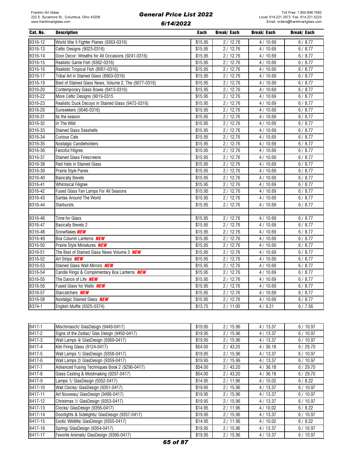| Cat. No. | <b>Description</b>                                    | Each    | Break/ Each | Break/ Each | <b>Break/Each</b> |
|----------|-------------------------------------------------------|---------|-------------|-------------|-------------------|
| B316-12  | World War II Fighter Planes (9363-0316)               | \$15.95 | 2/12.76     | 4 / 10.69   | 6/8.77            |
| B316-13  | Celtic Designs (9023-0316)                            | \$15.95 | 2/12.76     | 4/10.69     | 6/8.77            |
| B316-14  | Door Decor: Wreaths for All Occasions (9241-0316)     | \$15.95 | 2/12.76     | 4/10.69     | 6/8.77            |
| B316-15  | Realistic Game Fish (9362-0316)                       | \$15.95 | 2/12.76     | 4/10.69     | 6/8.77            |
| B316-16  | Realistic Tropical Fish (8951-0316)                   | \$15.95 | 2/12.76     | 4/10.69     | 6/8.77            |
| B316-17  | Tribal Art in Stained Glass (8963-0316)               | \$15.95 | 2/12.76     | 4/10.69     | 6/8.77            |
| B316-19  | Best of Stained Glass News, Volume 2, The (9077-0316) | \$15.95 | 2/12.76     | 4/10.69     | 6/8.77            |
| B316-20  | Contemporary Glass Boxes (9413-0316)                  | \$15.95 | 2/12.76     | 4/10.69     | 6/8.77            |
| B316-22  | More Celtic Designs (9019-0315                        | \$15.95 | 2/12.76     | 4/10.69     | 6/8.77            |
| B316-23  | Realistic Duck Decoys in Stained Glass (9472-0316)    | \$15.95 | 2/12.76     | 4/10.69     | 6/8.77            |
| B316-26  | Sunseekers (9046-0316)                                | \$15.95 | 2/12.76     | 4/10.69     | 6/8.77            |
| B316-31  | tis the season                                        | \$15.95 | 2/12.76     | 4/10.69     | 6/8.77            |
| B316-32  | In The Wild                                           | \$15.95 | 2/12.76     | 4/10.69     | 6/8.77            |
| B316-33  | <b>Stained Glass Seashells</b>                        | \$15.95 | 2/12.76     | 4/10.69     | 6/8.77            |
| B316-34  | Curious Cats                                          | \$15.95 | 2/12.76     | 4/10.69     | 6/8.77            |
| B316-35  | Nostalgic Candleholders                               | \$15.95 | 2/12.76     | 4/10.69     | 6/8.77            |
| B316-36  | <b>Fanciful Filigree</b>                              | \$15.95 | 2/12.76     | 4/10.69     | 6/8.77            |
| B316-37  | <b>Stained Glass Firescreens</b>                      | \$15.95 | 2/12.76     | 4/10.69     | 6/8.77            |
| B316-38  | Red Hats in Stained Glass                             | \$15.95 | 2/12.76     | 4/10.69     | 6/8.77            |
| B316-39  | Prairie Style Panes                                   | \$15.95 | 2/12.76     | 4/10.69     | 6/8.77            |
| B316-40  | <b>Basically Bevels</b>                               | \$15.95 | 2/12.76     | 4/10.69     | 6/8.77            |
| B316-41  | <b>Whimsical Filigree</b>                             | \$15.95 | 2/12.76     | 4/10.69     | 6/8.77            |
| B316-42  | Fused Glass Fan Lamps For All Seasons                 | \$15.95 | 2/12.76     | 4/10.69     | 6/8.77            |
| B316-43  | Santas Around The World                               | \$15.95 | 2/12.76     | 4/10.69     | 6/8.77            |
| B316-44  | Starbursts                                            | \$15.95 | 2/12.76     | 4/10.69     | 6/8.77            |
|          |                                                       |         |             |             |                   |
| B316-46  | Time for Glass                                        | \$15.95 | 2/12.76     | 4/10.69     | 6/8.77            |
| B316-47  | <b>Basically Bevels 2</b>                             | \$15.95 | 2/12.76     | 4/10.69     | 6/8.77            |
| B316-48  | Snowflakes <b>NEW</b>                                 | \$15.95 | 2/12.76     | 4/10.69     | 6/8.77            |
| B316-49  | Box Column Lanterns <b>NEW</b>                        | \$15.95 | 2/12.76     | 4/10.69     | 6/8.77            |
| B316-50  | Prairie Style Miniatures <b>NEW</b>                   | \$15.95 | 2/12.76     | 4/10.69     | 6/8.77            |
| B316-51  | The Best of Stained Glass News Volume 3 <b>NEW</b>    | \$15.95 | 2/12.76     | 4 / 10.69   | 6/8.77            |
| B316-52  | Art Strips <b>NEW</b>                                 | \$15.95 | 2/12.76     | 4/10.69     | 6/8.77            |
| B316-53  | Stained Glass Wall Mirrors <b>NEW</b>                 | \$15.95 | 2/12.76     | 4/10.69     | 6/8.77            |
| B316-54  | Candle Rings & Complimentary Box Lanterns <b>NEW</b>  | \$15.95 | 2/12.76     | 4/10.69     | 6/8.77            |
| B316-55  | The Dance of Life <b>NEW</b>                          | \$15.95 | 2/12.76     | 4/10.69     | 6/8.77            |
| B316-56  | Fused Glass for Walls <b>NEW</b>                      | \$15.95 | 2/12.76     | 4/10.69     | 6/8.77            |
| B316-57  | Starcatchers <b>NEW</b>                               | \$15.95 | 2/12.76     | 4/10.69     | 6/8.77            |
| B316-58  | Nostalgic Stained Glass <b>NEW</b>                    | \$15.95 | 2/12.76     | 4/10.69     | 6/8.77            |
| B374-1   | English Muffle (9325-0374)                            | \$13.75 | 2/11.00     | 4/9.21      | 6/7.56            |

| B417-1  | Mischmasch/ GlasDesign (9449-0417)              | \$19.95 | 2/15.96 | 4/13.37 | 6/10.97 |
|---------|-------------------------------------------------|---------|---------|---------|---------|
| B417-2  | Signs of the Zodiac/ Glas Design (9450-0417)    | \$19.95 | 2/15.96 | 4/13.37 | 6/10.97 |
| B417-3  | Wall Lamps 4/ GlasDesign (9369-0417)            | \$19.95 | 2/15.96 | 4/13.37 | 6/10.97 |
| B417-4  | Kiln Firing Glass (9124-0417)                   | \$54.00 | 2/43.20 | 4/36.18 | 6/29.70 |
| B417-5  | Wall Lamps 1/ GlasDesign (9358-0417)            | \$19.95 | 2/15.96 | 4/13.37 | 6/10.97 |
| B417-6  | Wall Lamps 2/ GlasDesign (9359-0417)            | \$19.95 | 2/15.96 | 4/13.37 | 6/10.97 |
| B417-7  | Advanced Fusing Techniques Book 2 (9296-0417)   | \$54.00 | 2/43.20 | 4/36.18 | 6/29.70 |
| B417-8  | Glass Casting & Moldmaking (9297-0417)          | \$54.00 | 2/43.20 | 4/36.18 | 6/29.70 |
| B417-9  | Lamps 1/ GlasDesign (9352-0417)                 | \$14.95 | 2/11.96 | 4/10.02 | 6/8.22  |
| B417-10 | Wall Clocks/ GlasDesign (9351-0417)             | \$19.95 | 2/15.96 | 4/13.37 | 6/10.97 |
| B417-11 | Art Nouveau/ GlasDesign (9496-0417)             | \$19.95 | 2/15.96 | 4/13.37 | 6/10.97 |
| B417-12 | Christmas 1/ GlasDesign (9353-0417)             | \$19.95 | 2/15.96 | 4/13.37 | 6/10.97 |
| B417-13 | Clocks/ GlasDesign (9356-0417)                  | \$14.95 | 2/11.96 | 4/10.02 | 6/8.22  |
| B417-14 | Doorlights & Sidelights/ GlasDesign (9357-0417) | \$19.95 | 2/15.96 | 4/13.37 | 6/10.97 |
| B417-15 | Exotic Wildlife/ GlasDesign (9355-0417)         | \$14.95 | 2/11.96 | 4/10.02 | 6/8.22  |
| B417-16 | Spring/ GlasDesign (9354-0417)                  | \$19.95 | 2/15.96 | 4/13.37 | 6/10.97 |
| B417-17 | Favorite Animals/ GlasDesign (9396-0417)        | \$19.95 | 2/15.96 | 4/13.37 | 6/10.97 |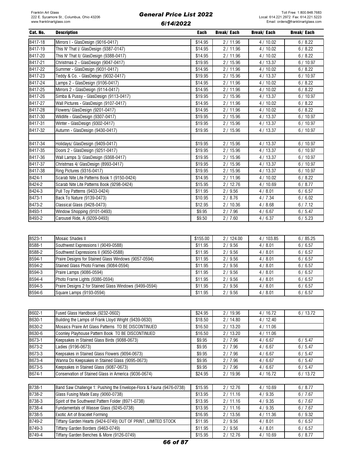| Cat. No. | <b>Description</b>                           | <b>Each</b> | Break/ Each | <b>Break/Each</b> | <b>Break/Each</b> |
|----------|----------------------------------------------|-------------|-------------|-------------------|-------------------|
| B417-18  | Mirrors I - GlasDesign (9016-0417)           | \$14.95     | 2/11.96     | 4/10.02           | 6/8.22            |
| B417-19  | This N' That I/ GlasDesign (9387-0147)       | \$14.95     | 2/11.96     | 4/10.02           | 6/8.22            |
| B417-20  | This N' That II/ GlasDesign (9388-0417)      | \$14.95     | 2/11.96     | 4/10.02           | 6/8.22            |
| B417-21  | Christmas 2 - GlasDesign (9047-0417)         | \$19.95     | 2/15.96     | 4/13.37           | 6/10.97           |
| B417-22  | Summer - GlasDesign (9031-0417)              | \$14.95     | 2/11.96     | 4/10.02           | 6/8.22            |
| B417-23  | Teddy & Co. - GlasDeisgn (9032-0417)         | \$19.95     | 2/15.96     | 4/13.37           | 6/10.97           |
| B417-24  | Lamps 2 - GlasDesign (9106-0417)             | \$14.95     | 2/11.96     | 4/10.02           | 6/8.22            |
| B417-25  | Mirrors 2 - GlasDesign (9114-0417)           | \$14.95     | 2/11.96     | 4/10.02           | 6/8.22            |
| B417-26  | Simba & Pussy - GlasDesign (9113-0417)       | \$19.95     | 2/15.96     | 4/13.37           | 6/10.97           |
| B417-27  | Wall Pictures - GlasDesign (9107-0417)       | \$14.95     | 2/11.96     | 4/10.02           | 6/8.22            |
| B417-28  | Flowers/ GlasDesign (9201-0417)              | \$14.95     | 2/11.96     | 4/10.02           | 6/8.22            |
| B417-30  | Wildlife - GlasDesign (9307-0417)            | \$19.95     | 2/15.96     | 4/13.37           | 6/10.97           |
| B417-31  | Winter - GlasDesign (9302-0417)              | \$19.95     | 2/15.96     | 4/13.37           | 6/10.97           |
| B417-32  | Autumn - GlasDesign (9430-0417)              | \$19.95     | 2/15.96     | 4/13.37           | 6/10.97           |
|          |                                              |             |             |                   |                   |
| B417-34  | Holidays/ GlasDesign (9409-0417)             | \$19.95     | 2/15.96     | 4/13.37           | 6/10.97           |
| B417-35  | Doors 2 - GlasDesign (9251-0417)             | \$19.95     | 2/15.96     | 4/13.37           | 6/10.97           |
| B417-36  | Wall Lamps 3/ GlasDesign (9368-0417)         | \$19.95     | 2/15.96     | 4/13.37           | 6/10.97           |
| B417-37  | Christmas 4/ GlasDesign (8993-0417)          | \$19.95     | 2/15.96     | 4/13.37           | 6/10.97           |
| B417-38  | Ring Pictures (9316-0417)                    | \$19.95     | 2/15.96     | 4/13.37           | 6/10.97           |
| B424-1   | Scarab Nite Lite Patterns Book 1 (9150-0424) | \$14.95     | 2/11.96     | 4/10.02           | 6/8.22            |
| B424-2   | Scarab Nite Lite Patterns Book (9298-0424)   | \$15.95     | 2/12.76     | 4/10.69           | 6/8.77            |
| B424-3   | Pull Toy Patterns (9433-0424)                | \$11.95     | 2/9.56      | 4/8.01            | 6/6.57            |
| B473-1   | Back To Nature (9139-0473)                   | \$10.95     | 2/8.76      | 4/7.34            | 6/6.02            |
| B473-2   | Classical Glass (9428-0473)                  | \$12.95     | 2/10.36     | 4/8.68            | 6/7.12            |
| B493-1   | Window Shopping (9101-0493)                  | \$9.95      | 2/7.96      | 4/6.67            | 6/5.47            |
| B493-2   | Carousel Ride, A (9209-0493)                 | \$9.50      | 2/7.60      | 4/6.37            | 6/5.23            |

| B523-1 | Mosaic Shades II                                       | \$155.00 | 2/124.00 | 4/103.85 | 6/85.25 |
|--------|--------------------------------------------------------|----------|----------|----------|---------|
| B588-1 | Southwest Expressions I (9049-0588)                    | \$11.95  | 2/9.56   | 4/8.01   | 6/6.57  |
| B588-2 | Southwest Expressions II (9050-0588)                   | \$11.95  | 2/9.56   | 4/8.01   | 6/6.57  |
| B594-1 | Praire Designs for Stained Glass Windows (9057-0594)   | \$11.95  | 2/9.56   | 4/8.01   | 6/6.57  |
| B594-2 | Stained Glass Photo Frames (9084-0594)                 | \$11.95  | 2/9.56   | 4/8.01   | 6/6.57  |
| B594-3 | Praire Lamps (9086-0594)                               | \$11.95  | 2/9.56   | 4/8.01   | 6/6.57  |
| B594-4 | Photo Frame Lights (9386-0594)                         | \$11.95  | 2/9.56   | 4/8.01   | 6/6.57  |
| B594-5 | Praire Designs 2 for Stained Glass Windows (9499-0594) | \$11.95  | 2/9.56   | 4/8.01   | 6/6.57  |
| B594-6 | Square Lamps (9193-0594)                               | \$11.95  | 2/9.56   | 4/8.01   | 6/6.57  |

| B602-1 | Fused Glass Handbook (9232-0602)                                     | \$24.95 | 2/19.96 | 4/16.72 | 6/13.72 |
|--------|----------------------------------------------------------------------|---------|---------|---------|---------|
| B630-1 | Building the Lamps of Frank Lloyd Wright (9439-0630)                 | \$18.50 | 2/14.80 | 4/12.40 |         |
| B630-2 | Mosaics Praire Art Glass Patterns TO BE DISCONTINUED                 | \$16.50 | 2/13.20 | 4/11.06 |         |
| B630-6 | Coonley Playhouse Pattern Book TO BE DISCONTINUED                    | \$16.50 | 2/13.20 | 4/11.06 |         |
| B673-1 | Keepsakes in Stained Glass Birds (9088-0673)                         | \$9.95  | 2/7.96  | 4/6.67  | 6/5.47  |
| B673-2 | Ladies (9196-0673)                                                   | \$9.95  | 2/7.96  | 4/6.67  | 6/5.47  |
| B673-3 | Keepsakes in Stained Glass Flowers (9094-0673)                       | \$9.95  | 2/7.96  | 4/6.67  | 6/5.47  |
| B673-4 | Wanna Do Keepsakes in Stained Glass (9095-0673)                      | \$9.95  | 2/7.96  | 4/6.67  | 6/5.47  |
| B673-5 | Keepsakes in Stained Glass (9087-0673)                               | \$9.95  | 2/7.96  | 4/6.67  | 6/5.47  |
| B674-1 | Conservation of Stained Glass in America (9036-0674)                 | \$24.95 | 2/19.96 | 4/16.72 | 6/13.72 |
|        |                                                                      |         |         |         |         |
| B738-1 | Band Saw Challenge 1: Pushing the Envelope-Flora & Fauna (9476-0738) | \$15.95 | 2/12.76 | 4/10.69 | 6/8.77  |
| B738-2 | Glass Fusing Made Easy (9060-0738)                                   | \$13.95 | 2/11.16 | 4/9.35  | 6/7.67  |
| B738-3 | Spirit of the Southwest Pattern Folder (8971-0738)                   | \$13.95 | 2/11.16 | 4/9.35  | 6/7.67  |
| B738-4 | Fundamentals of Wasser Glass (9245-0738)                             | \$13.95 | 2/11.16 | 4/9.35  | 6/7.67  |
| B738-5 | Exotic Art of Bracelet Forming                                       | \$16.95 | 2/13.56 | 4/11.36 | 6/9.32  |
| B749-2 | Tiffany Garden Hearts (9424-0749) OUT OF PRINT, LIMITED STOCK        | \$11.95 | 2/9.56  | 4/8.01  | 6/6.57  |
| B749-3 | Tiffany Garden Borders (9463-0749)                                   | \$11.95 | 2/9.56  | 4/8.01  | 6/6.57  |
| B749-4 | Tiffany Garden Benches & More (9126-0749)                            | \$15.95 | 2/12.76 | 4/10.69 | 6/8.77  |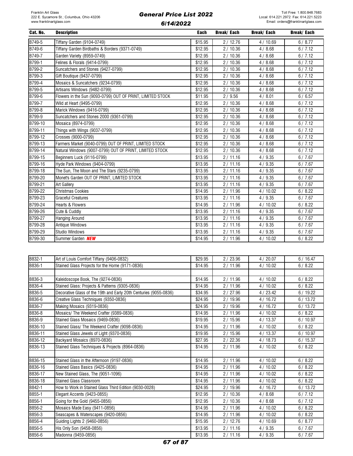| Cat. No. | <b>Description</b>                                         | Each    | Break/ Each | <b>Break/Each</b> | <b>Break/Each</b> |
|----------|------------------------------------------------------------|---------|-------------|-------------------|-------------------|
| B749-5   | Tiffany Garden (9104-0749)                                 | \$15.95 | 2/12.76     | 4/10.69           | 6/8.77            |
| B749-6   | Tiffany Garden Birdbaths & Borders (9371-0749)             | \$12.95 | 2/10.36     | 4/8.68            | 6/7.12            |
| B749-7   | Garden Variety (8959-0749)                                 | \$12.95 | 2/10.36     | 4/8.68            | 6/7.12            |
| B799-1   | Felines & Florals (9414-0799)                              | \$12.95 | 2/10.36     | 4/8.68            | 6/7.12            |
| B799-2   | Suncatchers and Stones (9427-0799)                         | \$12.95 | 2/10.36     | 4/8.68            | 6/7.12            |
| B799-3   | Gift Boutique (9437-0799)                                  | \$12.95 | 2/10.36     | 4/8.68            | 6/7.12            |
| B799-4   | Mosaics & Suncatchers (9234-0799)                          | \$12.95 | 2/10.36     | 4/8.68            | 6/7.12            |
| B799-5   | Artisans Windows (9482-0799)                               | \$12.95 | 2/10.36     | 4/8.68            | 6/7.12            |
| B799-6   | Flowers in the Sun (9093-0799) OUT OF PRINT, LIMITED STOCK | \$11.95 | 2/9.56      | 4/8.01            | 6/6.57            |
| B799-7   | Wild at Heart (9495-0799)                                  | \$12.95 | 2/10.36     | 4/8.68            | 6/7.12            |
| B799-8   | Marick Windows (9416-0799)                                 | \$12.95 | 2/10.36     | 4/8.68            | 6/7.12            |
| B799-9   | Suncatchers and Stones 2000 (9361-0799)                    | \$12.95 | 2/10.36     | 4/8.68            | 6/7.12            |
| B799-10  | Mosaica (8974-0799)                                        | \$12.95 | 2/10.36     | 4/8.68            | 6/7.12            |
| B799-11  | Things with Wings (9037-0799)                              | \$12.95 | 2/10.36     | 4/8.68            | 6/7.12            |
| B799-12  | Crosses (9000-0799)                                        | \$12.95 | 2/10.36     | 4/8.68            | 6/7.12            |
| B799-13  | Farmers Market (9040-0799) OUT OF PRINT, LIMITED STOCK     | \$12.95 | 2/10.36     | 4/8.68            | 6/7.12            |
| B799-14  | Natural Windows (9007-0799) OUT OF PRINT, LIMITED STOCK    | \$12.95 | 2/10.36     | 4/8.68            | 6/7.12            |
| B799-15  | Beginners Luck (9116-0799)                                 | \$13.95 | 2/11.16     | 4/9.35            | 6/7.67            |
| B799-16  | Hyde Park Windows (9404-0799)                              | \$13.95 | 2/11.16     | 4/9.35            | 6/7.67            |
| B799-18  | The Sun, The Moon and The Stars (9235-0799)                | \$13.95 | 2/11.16     | 4/9.35            | 6/7.67            |
| B799-20  | Monet's Garden OUT OF PRINT, LIMITED STOCK                 | \$13.95 | 2/11.16     | 4/9.35            | 6/7.67            |
| B799-21  | Art Gallery                                                | \$13.95 | 2/11.16     | 4/9.35            | 6/7.67            |
| B799-22  | <b>Christmas Cookies</b>                                   | \$14.95 | 2/11.96     | 4/10.02           | 6/8.22            |
| B799-23  | <b>Graceful Creatures</b>                                  | \$13.95 | 2/11.16     | 4/9.35            | 6/7.67            |
| B799-24  | Hearts & Flowers                                           | \$14.95 | 2/11.96     | 4/10.02           | 6/8.22            |
| B799-26  | Cute & Cuddly                                              | \$13.95 | 2/11.16     | 4/9.35            | 6/7.67            |
| B799-27  | Hanging Around                                             | \$13.95 | 2/11.16     | 4/9.35            | 6/7.67            |
| B799-28  | Antique Windows                                            | \$13.95 | 2/11.16     | 4/9.35            | 6/7.67            |
| B799-29  | Studio Windows                                             | \$13.95 | 2/11.16     | 4/9.35            | 6/7.67            |
| B799-30  | Summer Garden <b>NEW</b>                                   | \$14.95 | 2/11.96     | 4/10.02           | 6/8.22            |

| B832-1  | Art of Louis Comfort Tiffany (9406-0832)                          | \$29.95 | 2/23.96 | 4/20.07 | 6/16.47 |
|---------|-------------------------------------------------------------------|---------|---------|---------|---------|
| B836-1  | Stained Glass Projects for the Home (9171-0836)                   | \$14.95 | 2/11.96 | 4/10.02 | 6/8.22  |
|         |                                                                   |         |         |         |         |
| B836-3  | Kaleidoscope Book, The (9274-0836)                                | \$14.95 | 2/11.96 | 4/10.02 | 6/8.22  |
| B836-4  | Stained Glass: Projects & Patterns (9305-0836)                    | \$14.95 | 2/11.96 | 4/10.02 | 6/8.22  |
| B836-5  | Decorative Glass of the 19th and Early 20th Centuries (9055-0836) | \$34.95 | 2/27.96 | 4/23.42 | 6/19.22 |
| B836-6  | Creative Glass Techniques (9350-0836)                             | \$24.95 | 2/19.96 | 4/16.72 | 6/13.72 |
| B836-7  | Making Mosaics (9319-0836)                                        | \$24.95 | 2/19.96 | 4/16.72 | 6/13.72 |
| B836-8  | Mosaics/ The Weekend Crafter (9389-0836)                          | \$14.95 | 2/11.96 | 4/10.02 | 6/8.22  |
| B836-9  | Stained Glass Mosaics (9469-0836)                                 | \$19.95 | 2/15.96 | 4/13.37 | 6/10.97 |
| B836-10 | Stained Glass/ The Weekend Crafter (9098-0836)                    | \$14.95 | 2/11.96 | 4/10.02 | 6/8.22  |
| B836-11 | Stained Glass Jewels of Light (9370-0836)                         | \$19.95 | 2/15.96 | 4/13.37 | 6/10.97 |
| B836-12 | Backyard Mosaics (8970-0836)                                      | \$27.95 | 2/22.36 | 4/18.73 | 6/15.37 |
| B836-13 | Stained Glass Techniques & Projects (8964-0836)                   | \$14.95 | 2/11.96 | 4/10.02 | 6/8.22  |
|         |                                                                   |         |         |         |         |
| B836-15 | Stained Glass in the Afternoon (9197-0836)                        | \$14.95 | 2/11.96 | 4/10.02 | 6/8.22  |
| B836-16 | Stained Glass Basics (9425-0836)                                  | \$14.95 | 2/11.96 | 4/10.02 | 6/8.22  |
| B836-17 | New Stained Glass, The (9051-1096)                                | \$14.95 | 2/11.96 | 4/10.02 | 6/8.22  |
| B836-18 | <b>Stained Glass Classroom</b>                                    | \$14.95 | 2/11.96 | 4/10.02 | 6/8.22  |
| B842-1  | How to Work in Stained Glass Third Edition (9030-0028)            | \$24.95 | 2/19.96 | 4/16.72 | 6/13.72 |
| B855-1  | Elegant Accents (9423-0855)                                       | \$12.95 | 2/10.36 | 4/8.68  | 6/7.12  |
| B856-1  | Going for the Gold (9455-0856)                                    | \$12.95 | 2/10.36 | 4/8.68  | 6/7.12  |
| B856-2  | Mosaics Made Easy (9411-0856)                                     | \$14.95 | 2/11.96 | 4/10.02 | 6/8.22  |
| B856-3  | Seascapes & Waterscapes (9420-0856)                               | \$14.95 | 2/11.96 | 4/10.02 | 6/8.22  |
| B856-4  | Guiding Lights 2 (9460-0856)                                      | \$15.95 | 2/12.76 | 4/10.69 | 6/8.77  |
| B856-5  | His Only Son (9458-0856)                                          | \$13.95 | 2/11.16 | 4/9.35  | 6/7.67  |
| B856-6  | Madonna (9459-0856)                                               | \$13.95 | 2/11.16 | 4/9.35  | 6/7.67  |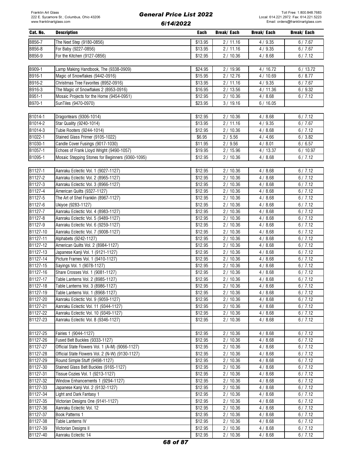| Cat. No. | <b>Description</b>                               | Each    | Break/ Each | Break/ Each | Break/ Each |
|----------|--------------------------------------------------|---------|-------------|-------------|-------------|
| B856-7   | The Next Step (9180-0856)                        | \$13.95 | 2/11.16     | 4/9.35      | 6/7.67      |
| B856-8   | For Baby (9227-0856)                             | \$13.95 | 2/11.16     | 4/9.35      | 6/7.67      |
| B856-9   | For the Kitchen (9127-0856)                      | \$12.95 | 2/10.36     | 4/8.68      | 6/7.12      |
|          |                                                  |         |             |             |             |
| B909-1   | Lamp Making Handbook, The (9338-0909)            | \$24.95 | 2 / 19.96   | 4/16.72     | 6/13.72     |
| B916-1   | Magic of Snowflakes (9442-0916)                  | \$15.95 | 2/12.76     | 4/10.69     | 6/8.77      |
| B916-2   | Christmas Tree Favorites (8952-0916)             |         |             |             |             |
|          |                                                  | \$13.95 | 2/11.16     | 4/9.35      | 6/7.67      |
| B916-3   | The Magic of Snowflakes 2 (8953-0916)            | \$16.95 | 2/13.56     | 4/11.36     | 6/9.32      |
| B951-1   | Mosaic Projects for the Home (9454-0951)         | \$12.95 | 2/10.36     | 4/8.68      | 6/7.12      |
| B970-1   | SunTiles (9470-0970)                             | \$23.95 | 3/19.16     | 6/16.05     |             |
|          |                                                  |         |             |             |             |
| B1014-1  | Dragontears (9306-1014)                          | \$12.95 | 2/10.36     | 4/8.68      | 6/7.12      |
| B1014-2  | Star Quality (9240-1014)                         | \$13.95 | 2/11.16     | 4/9.35      | 6/7.67      |
| B1014-3  | Tubie Rooters (9244-1014)                        | \$12.95 | 2/10.36     | 4/8.68      | 6/7.12      |
| B1022-1  | Stained Glass Primer (9105-1022)                 | \$6.95  | 2/5.56      | 4/4.66      | 6/3.82      |
| B1030-1  | Candle Cover Fusings (9017-1030)                 | \$11.95 | 2/9.56      | 4/8.01      | 6/6.57      |
| B1057-1  | Echoes of Frank Lloyd Wright (9490-1057)         | \$19.95 | 2/15.96     | 4/13.37     | 6/10.97     |
| B1095-1  | Mosaic Stepping Stones for Beginners (9360-1095) | \$12.95 | 2/10.36     | 4/8.68      | 6/7.12      |
|          |                                                  |         |             |             |             |
| B1127-1  | Aanraku Eclectic Vol. 1 (9027-1127)              | \$12.95 | 2/10.36     | 4/8.68      | 6/7.12      |
| B1127-2  | Aanraku Eclectic Vol. 2 (8965-1127)              | \$12.95 | 2/10.36     | 4/8.68      | 6/7.12      |
| B1127-3  | Aanraku Eclectic Vol. 3 (8966-1127)              | \$12.95 | 2/10.36     | 4/8.68      | 6/7.12      |
| B1127-4  | American Quilts (9327-1127)                      | \$12.95 | 2/10.36     | 4/8.68      | 6/7.12      |
| B1127-5  | The Art of Shel Franklin (8967-1127)             | \$12.95 | 2/10.36     | 4/8.68      | 6/7.12      |
| B1127-6  | Ukiyoe (9283-1127)                               | \$12.95 | 2 / 10.36   | 4/8.68      | 6/7.12      |
| B1127-7  | Aanraku Eclectic Vol. 4 (8983-1127)              | \$12.95 | 2/10.36     | 4/8.68      | 6/7.12      |
| B1127-8  | Aanraku Eclectic Vol. 5 (9489-1127)              | \$12.95 | 2/10.36     | 4/8.68      | 6/7.12      |
| B1127-9  | Aanraku Eclectic Vol. 6 (9259-1127)              | \$12.95 | 2/10.36     | 4/8.68      | 6/7.12      |
| B1127-10 | Aanraku Eclectic Vol. 7 (9008-1127)              | \$12.95 | 2/10.36     | 4/8.68      | 6/7.12      |
| B1127-11 | Alphabets (9242-1127)                            | \$12.95 | 2/10.36     | 4/8.68      | 6/7.12      |
| B1127-12 | American Quilts Vol. 2 (8984-1127)               | \$12.95 | 2/10.36     | 4/8.68      | 6/7.12      |
| B1127-13 | Japanese Kanji Vol. 1 (9121-1127)                | \$12.95 | 2/10.36     | 4/8.68      | 6/7.12      |
| B1127-14 | Picture Frames Vol. 1 (9410-1127)                | \$12.95 | 2/10.36     | 4/8.68      | 6/7.12      |
| B1127-15 | Sayings Vol. 1 (9078-1127)                       | \$12.95 | 2/10.36     | 4/8.68      | 6/7.12      |
|          |                                                  |         |             |             |             |
| B1127-16 | Share Crosses Vol. 1 (9081-1127)                 | \$12.95 | 2/10.36     | 4/8.68      | 6/7.12      |
| B1127-17 | Table Lanterns Vol. 2 (8985-1127)                | \$12.95 | 2/10.36     | 4/8.68      | 6/7.12      |
| B1127-18 | Table Lanterns Vol. 3 (8986-1127)                | \$12.95 | 2/10.36     | 4/8.68      | 6/7.12      |
| B1127-19 | Table Lanterns Vol. 1 (8968-1127)                | \$12.95 | 2/10.36     | 4/8.68      | 6/7.12      |
| B1127-20 | Aanraku Eclectic Vol. 9 (9059-1127)              | \$12.95 | 2/10.36     | 4/8.68      | 6/7.12      |
| B1127-21 | Aanraku Eclectic Vol. 11 (9344-1127)             | \$12.95 | 2/10.36     | 4/8.68      | 6/7.12      |
| B1127-22 | Aanraku Eclectic Vol. 10 (9349-1127)             | \$12.95 | 2/10.36     | 4/8.68      | 6/7.12      |
| B1127-23 | Aanraku Eclectic Vol. 8 (9346-1127)              | \$12.95 | 2/10.36     | 4/8.68      | 6/7.12      |
|          |                                                  |         |             |             |             |
| B1127-25 | Fairies 1 (9044-1127)                            | \$12.95 | 2/10.36     | 4/8.68      | 6/7.12      |
| B1127-26 | Fused Belt Buckles (9333-1127)                   | \$12.95 | 2/10.36     | 4/8.68      | 6/7.12      |
| B1127-27 | Official State Flowers Vol. 1 (A-M) (9066-1127)  | \$12.95 | 2/10.36     | 4/8.68      | 6/7.12      |
| B1127-28 | Official State Flowers Vol. 2 (N-W) (9130-1127)  | \$12.95 | 2/10.36     | 4/8.68      | 6/7.12      |
| B1127-29 | Round Simple Stuff (9498-1127)                   | \$12.95 | 2/10.36     | 4/8.68      | 6/7.12      |
| B1127-30 | Stained Glass Belt Buckles (9165-1127)           | \$12.95 | 2/10.36     | 4/8.68      | 6/7.12      |
| B1127-31 | Tissue Cozies Vol. 1 (9213-1127)                 | \$12.95 | 2/10.36     | 4/8.68      | 6/7.12      |
| B1127-32 | Window Enhancements 1 (9294-1127)                | \$12.95 | 2/10.36     | 4/8.68      | 6/7.12      |
| B1127-33 | Japanese Kanji Vol. 2 (9132-1127)                | \$12.95 | 2/10.36     | 4/8.68      | 6/7.12      |
| B1127-34 | Light and Dark Fantasy 1                         | \$12.95 | 2/10.36     | 4/8.68      | 6/7.12      |
| B1127-35 | Victorian Designs One (9141-1127)                | \$12.95 | 2/10.36     | 4/8.68      | 6/7.12      |
| B1127-36 | Aanraku Eclectic Vol. 12                         | \$12.95 | 2/10.36     | 4/8.68      | 6/7.12      |
| B1127-37 | Book Patterns 1                                  | \$12.95 | 2/10.36     | 4/8.68      | 6/7.12      |
| B1127-38 | Table Lanterns IV                                | \$12.95 | 2/10.36     | 4/8.68      | 6/7.12      |
| B1127-39 | Victorian Designs II                             | \$12.95 | 2/10.36     | 4/8.68      | 6/7.12      |
| B1127-40 | Aanraku Eclectic 14                              | \$12.95 | 2/10.36     | 4/8.68      | 6/7.12      |
|          |                                                  |         |             |             |             |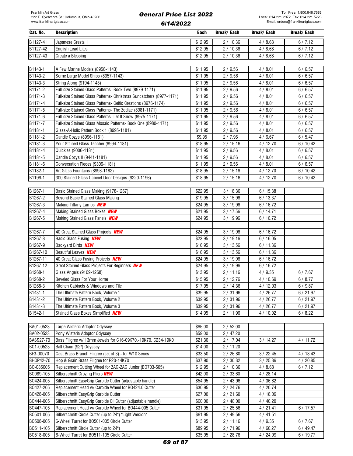| Cat. No. | <b>Description</b>        | Each    | Break/ Each | Break/ Each | Break/ Each |
|----------|---------------------------|---------|-------------|-------------|-------------|
| B1127-41 | Japanese Crests 1         | \$12.95 | 2/10.36     | 4/8.68      | 6/7.12      |
| B1127-42 | <b>English Lead Lites</b> | \$12.95 | 2/10.36     | 4/8.68      | 6/7.12      |
| B1127-43 | Create a Blessing         | \$12.95 | 2/10.36     | 4/8.68      | 6/7.12      |

| B1143-1             | A Few Marine Models (8956-1143)                                     | \$11.95 | 2/9.56  | 4/8.01  | 6/6.57  |
|---------------------|---------------------------------------------------------------------|---------|---------|---------|---------|
| B1143-2             | Some Large Model Ships (8957-1143)                                  | \$11.95 | 2/9.56  | 4/8.01  | 6/6.57  |
| B1143-3             | String Along (9194-1143)                                            | \$11.95 | 2/9.56  | 4/8.01  | 6/6.57  |
| B <sub>1171-2</sub> | Full-size Stained Glass Patterns- Book Two (8979-1171)              | \$11.95 | 2/9.56  | 4/8.01  | 6/6.57  |
| B1171-3             | Full-size Stained Glass Patterns- Christmas Suncatchers (8977-1171) | \$11.95 | 2/9.56  | 4/8.01  | 6/6.57  |
| B1171-4             | Full-size Stained Glass Patterns- Celtic Creations (8976-1174)      | \$11.95 | 2/9.56  | 4/8.01  | 6/6.57  |
| B1171-5             | Full-size Stained Glass Patterns- The Zodiac (8981-1171)            | \$11.95 | 2/9.56  | 4/8.01  | 6/6.57  |
| B1171-6             | Full-size Stained Glass Patterns- Let It Snow (8975-1171)           | \$11.95 | 2/9.56  | 4/8.01  | 6/6.57  |
| B1171-7             | Full-size Stained Glass Mosaic Patterns- Book One (8980-1171)       | \$11.95 | 2/9.56  | 4/8.01  | 6/6.57  |
| B1181-1             | Glass-A-Holic Pattern Book 1 (8995-1181)                            | \$11.95 | 2/9.56  | 4/8.01  | 6/6.57  |
| B1181-2             | Candle Cozys (8996-1181)                                            | \$9.95  | 2/7.96  | 4/6.67  | 6/5.47  |
| B1181-3             | Your Stained Glass Teacher (8994-1181)                              | \$18.95 | 2/15.16 | 4/12.70 | 6/10.42 |
| B1181-4             | Quickies (9006-1181)                                                | \$11.95 | 2/9.56  | 4/8.01  | 6/6.57  |
| B1181-5             | Candle Cozys II (9441-1181)                                         | \$11.95 | 2/9.56  | 4/8.01  | 6/6.57  |
| B1181-6             | Conversation Pieces (9309-1181)                                     | \$11.95 | 2/9.56  | 4/8.01  | 6/6.57  |
| B1182-1             | Art Glass Fountains (8998-1182)                                     | \$18.95 | 2/15.16 | 4/12.70 | 6/10.42 |
| B1196-1             | 300 Stained Glass Cabinet Door Designs (9220-1196)                  | \$18.95 | 2/15.16 | 4/12.70 | 6/10.42 |

| B1267-1  | Basic Stained Glass Making (9178-1267)                | \$22.95 | 3/18.36 | 6/15.38 |         |
|----------|-------------------------------------------------------|---------|---------|---------|---------|
| B1267-2  | Beyond Basic Stained Glass Making                     | \$19.95 | 3/15.96 | 6/13.37 |         |
| B1267-3  | Making Tiffany Lamps <b>NEW</b>                       | \$24.95 | 3/19.96 | 6/16.72 |         |
| B1267-4  | Making Stained Glass Boxes NEW                        | \$21.95 | 3/17.56 | 6/14.71 |         |
| B1267-5  | Making Stained Glass Panels <b>NEW</b>                | \$24.95 | 3/19.96 | 6/16.72 |         |
|          |                                                       |         |         |         |         |
| B1267-7  | 40 Great Stained Glass Projects <b>NEW</b>            | \$24.95 | 3/19.96 | 6/16.72 |         |
| B1267-8  | Basic Glass Fusing <b>NEW</b>                         | \$23.95 | 3/19.16 | 6/16.05 |         |
| B1267-9  | Backyard Birds <b>NEW</b>                             | \$16.95 | 3/13.56 | 6/11.36 |         |
| B1267-10 | <b>Beautiful Leaves NEW</b>                           | \$16.95 | 3/13.56 | 6/11.36 |         |
| B1267-11 | 40 Great Glass Fusing Projects <b>NEW</b>             | \$24.95 | 3/19.96 | 6/16.72 |         |
| B1267-12 | Great Stained Glass Projects For Beginners <b>NEW</b> | \$24.95 | 3/19.96 | 6/16.72 |         |
| B1268-1  | Glass Angels (9109-1268)                              | \$13.95 | 2/11.16 | 4/9.35  | 6/7.67  |
| B1268-2  | Beveled Glass For Your Home                           | \$15.95 | 2/12.76 | 4/10.69 | 6/8.77  |
| B1268-3  | Kitchen Cabinets & Windows and Tile                   | \$17.95 | 2/14.36 | 4/12.03 | 6/9.87  |
| B1431-1  | The Ultimate Pattern Book, Volume 1                   | \$39.95 | 2/31.96 | 4/26.77 | 6/21.97 |
| B1431-2  | The Ultimate Pattern Book, Volume 2                   | \$39.95 | 2/31.96 | 4/26.77 | 6/21.97 |
| B1431-3  | The Ultimate Pattern Book, Volume 3                   | \$39.95 | 2/31.96 | 4/26.77 | 6/21.97 |
| B1542-1  | Stained Glass Boxes Simplified <b>NEW</b>             | \$14.95 | 2/11.96 | 4/10.02 | 6/8.22  |

| BA01-0523        | Large Wisteria Adaptor Odyssey                                | \$65.00 | 2/52.00   |           |         |
|------------------|---------------------------------------------------------------|---------|-----------|-----------|---------|
| BA02-0523        | Pony Wisteria Adaptor Odyssey                                 | \$59.00 | 2/47.20   |           |         |
| <b>BASS27-70</b> | Bass Filigree w/ 13mm Jewels for C16-09K70,-19K70, C234-19K0  | \$21.30 | 2/17.04   | 3/14.27   | 4/11.72 |
| BC1-00523        | Ball Chain (92") Odyssey                                      | \$14.00 | 2/11.20   |           |         |
| BF3-00070        | Cast Brass Branch Filigree (set of 3) - for W10 Series        | \$33.50 | 2/26.80   | 3 / 22.45 | 4/18.43 |
| BH0P42-70        | Hop & Grain Brass Filigree for P20-14K70                      | \$37.90 | 2/30.32   | 3/25.39   | 4/20.85 |
| BO-085605        | Replacement Cutting Wheel for ZAG-ZAG Junior (BO703-505)      | \$12.95 | 2/10.36   | 4/8.68    | 6/7.12  |
| B0089-105        | Silberschnitt Grozing Pliers NEW                              | \$42.00 | 2/33.60   | 4/28.14   |         |
| B0424-005        | Silberschnitt EasyGrip Carbide Cutter (adjustable handle)     | \$54.95 | 2/43.96   | 4/36.82   |         |
| B0427-205        | Replacement Head w/ Carbide Wheel for B0424.0 Cutter          | \$30.95 | 2/24.76   | 4/20.74   |         |
| B0428-005        | Silberschnitt EasyGrip Carbide Cutter                         | \$27.00 | 2/21.60   | 4/18.09   |         |
| B0444-005        | Silberschnitt EasyGrip Carbide Oil Cutter (adjustable handle) | \$60.00 | 2/48.00   | 4/40.20   |         |
| B0447-105        | Replacement Head w/ Carbide Wheel for B0444-005 Cutter        | \$31.95 | 2/25.56   | 4/21.41   | 6/17.57 |
| B0501-005        | Silberschnitt Circle Cutter (up to 24") "Light Version"       | \$61.95 | 2 / 49.56 | 4/41.51   |         |
| B0508-005        | 6-Wheel Turret for B0501-005 Circle Cutter                    | \$13.95 | 2/11.16   | 4/9.35    | 6/7.67  |
| B0511-105        | Silberschnitt Circle Cutter (up to 24")                       | \$89.95 | 2 / 71.96 | 4/60.27   | 6/49.47 |
| B0518-005        | 6-Wheel Turret for B0511-105 Circle Cutter                    | \$35.95 | 2/28.76   | 4/24.09   | 6/19.77 |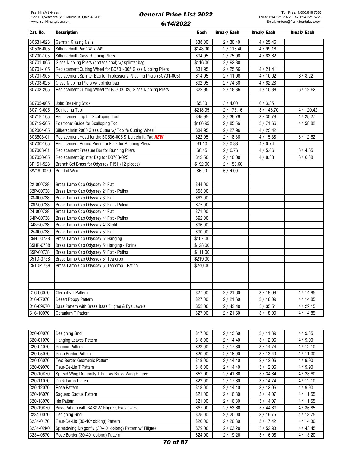| Cat. No.  | <b>Description</b>                                                    | Each                | Break/ Each | Break/ Each | <b>Break/Each</b> |
|-----------|-----------------------------------------------------------------------|---------------------|-------------|-------------|-------------------|
| B0531-023 | German Glazing Nails                                                  | \$38.00             | 2/30.40     | 4/25.46     |                   |
| B0536-005 | Silberschnitt Pad 24" x 24"                                           | \$148.00            | 2/118.40    | 4/99.16     |                   |
| B0700-105 | Silberschnitt Glass Running Pliers                                    | $\overline{$}94.95$ | 2 / 75.96   | 4/63.62     |                   |
| B0701-005 | Glass Nibbling Pliers (professional) w/ splinter bag                  | \$116.00            | 3/92.80     |             |                   |
| B0701-105 | Replacement Cutting Wheel for B0701-005 Glass Nibbling Pliers         | \$31.95             | 2/25.56     | 4/21.41     |                   |
| B0701-905 | Replacement Splinter Bag for Professional Nibbling Pliers (B0701-005) | \$14.95             | 2/11.96     | 4/10.02     | 6/8.22            |
| B0703-025 | Glass Nibbling Pliers w/ splinter bag                                 | \$92.95             | 2/74.36     | 4/62.28     |                   |
| B0703-205 | Replacement Cutting Wheel for BO703-025 Glass Nibbling Pliers         | \$22.95             | 2/18.36     | 4/15.38     | 6/12.62           |
|           |                                                                       |                     |             |             |                   |
| B0705-005 | <b>Jobo Breaking Stick</b>                                            | \$5.00              | 3/4.00      | 6/3.35      |                   |
| B0719-005 | <b>Scalloping Tool</b>                                                | \$218.95            | 2/175.16    | 3/146.70    | 4/120.42          |
| B0719-105 | Replacement Tip for Scalloping Tool                                   | \$45.95             | 2/36.76     | 3/30.79     | 4/25.27           |
| B0719-505 | Positioner Guide for Scalloping Tool                                  | \$106.95            | 2/85.56     | 3/71.66     | 4/58.82           |
| B02004-05 | Silberschnitt 2000 Glass Cutter w/ Toplife Cutting Wheel              | \$34.95             | 2/27.96     | 4/23.42     |                   |
| B03603-01 | Replacement Head for the B0536-005 Silberschnitt Pad NEW              | \$22.95             | 2/18.36     | 4/15.38     | 6/12.62           |
| B07002-05 | Replacement Round Pressure Plate for Running Pliers                   | \$1.10              | 2/0.88      | 4/0.74      |                   |
| B07003-01 | Replacement Pressure Bar for Running Pliers                           | $\overline{$8.45}$  | 2/6.76      | 4/5.66      | 6/4.65            |
| B07050-05 | Replacement Splinter Bag for B0703-025                                | \$12.50             | 2/10.00     | 4/8.38      | 6/6.88            |
| BR151-523 | Branch Set Brass for Odyssey T151 (12 pieces)                         | \$192.00            | 2/153.60    |             |                   |
| BW18-0070 | <b>Braided Wire</b>                                                   | \$5.00              | 6/4.00      |             |                   |
|           |                                                                       |                     |             |             |                   |
| C2-000738 | Brass Lamp Cap Odyssey 2" Flat                                        | \$44.00             |             |             |                   |
| C2P-00738 | Brass Lamp Cap Odyssey 2" Flat - Patina                               | \$58.00             |             |             |                   |
| C3-000738 | Brass Lamp Cap Odyssey 3" Flat                                        | \$62.00             |             |             |                   |
| C3P-00738 | Brass Lamp Cap Odyssey 3" Flat - Patina                               | \$75.00             |             |             |                   |
| C4-000738 | Brass Lamp Cap Odyssey 4" Flat                                        | \$71.00             |             |             |                   |
| C4P-00738 | Brass Lamp Cap Odyssey 4" Flat - Patina                               | \$92.00             |             |             |                   |
| C4SF-0738 | Brass Lamp Cap Odyssey 4" Slipfit                                     | \$96.00             |             |             |                   |
| C5-000738 | Brass Lamp Cap Odyssey 5" Flat                                        | \$90.00             |             |             |                   |
| C5H-00738 | Brass Lamp Cap Odyssey 5" Hanging                                     | \$107.00            |             |             |                   |
| C5HP-0738 | Brass Lamp Cap Odyssey 5" Hanging - Patina                            | \$128.00            |             |             |                   |
| C5P-00738 | Brass Lamp Cap Odyssey 5" Flat - Patina                               | \$111.00            |             |             |                   |
| C5TD-0738 | Brass Lamp Cap Odyssey 5" Teardrop                                    | \$219.00            |             |             |                   |
| C5TDP-738 | Brass Lamp Cap Odyssey 5" Teardrop - Patina                           | \$240.00            |             |             |                   |
|           |                                                                       |                     |             |             |                   |
|           |                                                                       |                     |             |             |                   |
|           |                                                                       |                     |             |             |                   |
| C16-06070 | Clematis T Pattern                                                    | \$27.00             | 2/21.60     | 3/18.09     | 4/14.85           |
| C16-07070 | Desert Poppy Pattern                                                  | $\overline{$}27.00$ | 2/21.60     | 3/18.09     | 4/14.85           |
| C16-09K70 | Bass Pattern with Brass Bass Filigree & Eye Jewels                    | \$53.00             | 2/42.40     | 3 / 35.51   | 4/29.15           |
| C16-10070 | Geranium T Pattern                                                    | \$27.00             | 2/21.60     | 3/18.09     | 4/14.85           |

| C20-00070 | Designing Grid                                           | \$17.00 | 2/13.60 | 3/11.39   | 4/9.35  |
|-----------|----------------------------------------------------------|---------|---------|-----------|---------|
| C20-01070 | Hanging Leaves Pattern                                   | \$18.00 | 2/14.40 | 3/12.06   | 4/9.90  |
| C20-04070 | Rococo Pattern                                           | \$22.00 | 2/17.60 | 3/14.74   | 4/12.10 |
| C20-05070 | Rose Border Pattern                                      | \$20.00 | 2/16.00 | 3/13.40   | 4/11.00 |
| C20-06070 | Two Border Geometric Pattern                             | \$18.00 | 2/14.40 | 3/12.06   | 4/9.90  |
| C20-09070 | Fleur-De-Lis T Pattern                                   | \$18.00 | 2/14.40 | 3/12.06   | 4/9.90  |
| C20-10K70 | Spread Wing Dragonfly T Patt.w/ Brass Wing Filigree      | \$52.00 | 2/41.60 | 3 / 34.84 | 4/28.60 |
| C20-11070 | Duck Lamp Pattern                                        | \$22.00 | 2/17.60 | 3/14.74   | 4/12.10 |
| C20-12070 | Rose Pattern                                             | \$18.00 | 2/14.40 | 3/12.06   | 4/9.90  |
| C20-16070 | Saquaro Cactus Pattern                                   | \$21.00 | 2/16.80 | 3/14.07   | 4/11.55 |
| C20-18070 | <b>Iris Pattern</b>                                      | \$21.00 | 2/16.80 | 3/14.07   | 4/11.55 |
| C20-19K70 | Bass Pattern with BASS27 Filigree, Eye Jewels            | \$67.00 | 2/53.60 | 3/44.89   | 4/36.85 |
| C234-0070 | Designing Grid                                           | \$25.00 | 2/20.00 | 3/16.75   | 4/13.75 |
| C234-0170 | Fleur-De-Lis (30-40" oblong) Pattern                     | \$26.00 | 2/20.80 | 3/17.42   | 4/14.30 |
| C234-02K0 | Spreadwing Dragonfly (30-40" oblong) Pattern w/ Filigree | \$79.00 | 2/63.20 | 3 / 52.93 | 4/43.45 |
| C234-0570 | Rose Border (30-40" oblong) Pattern                      | \$24.00 | 2/19.20 | 3/16.08   | 4/13.20 |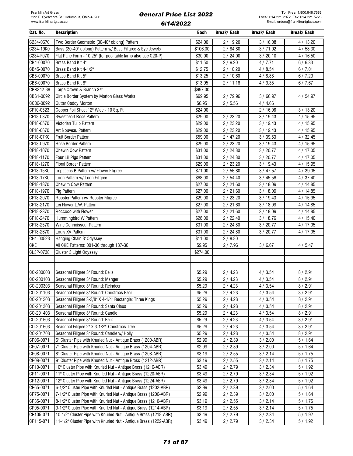| Cat. No.               | <b>Description</b>                                                                                                           | Each             | Break/ Each      | Break/ Each          | Break/ Each      |
|------------------------|------------------------------------------------------------------------------------------------------------------------------|------------------|------------------|----------------------|------------------|
| C234-0670              | Two Border Geometric (30-40" oblong) Pattern                                                                                 | \$24.00          | 2/19.20          | 3/16.08              | 4/13.20          |
| C234-19K0              | Bass (30-40" oblong) Pattern w/ Bass Filigree & Eye Jewels                                                                   | \$106.00         | 2/84.80          | 3/71.02              | 4/58.30          |
| C234-F070              | Flat Pane Form - 10.25" (for pool table lamp also use C20-P)                                                                 | \$30.00          | 2/24.00          | 3/20.10              | 4/16.50          |
| CB4-00070              | Brass Band Kit 4"                                                                                                            | \$11.50          | 2/9.20           | 4/7.71               | 6/6.33           |
| CB45-0070              | Brass Band Kit 4-1/2"                                                                                                        | \$12.75          | 2/10.20          | 4/8.54               | 6/7.01           |
| CB5-00070              | Brass Band Kit 5"                                                                                                            | \$13.25          | 2/10.60          | 4/8.88               | 6/7.29           |
| CB6-00070              | Brass Band Kit 6"                                                                                                            | \$13.95          | 2/11.16          | 4/9.35               | 6/7.67           |
| CBR342-38              | Large Crown & Branch Set                                                                                                     | \$997.00         |                  |                      |                  |
| CBS1-0092              | Circle Border System by Morton Glass Works                                                                                   | \$99.95          | 2 / 79.96        | 3/66.97              | 4 / 54.97        |
| CC06-0092              | Cutter Caddy Morton                                                                                                          | \$6.95           | 2/5.56           | 4/4.66               |                  |
| CF10-0523              | Copper Foil Sheet 12" Wide - 10 Sq. Ft.                                                                                      | \$24.00          |                  | 2/16.08              | 3/13.20          |
| CF18-0370              | Sweetheart Rose Pattern                                                                                                      | \$29.00          | 2/23.20          | 3/19.43              | 4/15.95          |
| CF18-0570              | Victorian Tulip Pattern                                                                                                      | \$29.00          | 2/23.20          | 3/19.43              | 4/15.95          |
| CF18-0670              | Art Nouveau Pattern                                                                                                          | \$29.00          | 2/23.20          | 3/19.43              | 4/15.95          |
| CF18-07K0              | Fruit Border Pattern                                                                                                         | \$59.00          | 2/47.20          | 3 / 39.53            | 4/32.45          |
| CF18-0970              | Rose Border Pattern                                                                                                          | \$29.00          | 2/23.20          | 3/19.43              | 4/15.95          |
| CF18-1070              | Chew'n Cow Pattern                                                                                                           | \$31.00          | 2/24.80          | 3/20.77              | 4/17.05          |
| CF18-1170              | Four Lil' Pigs Pattern                                                                                                       | \$31.00          | 2/24.80          | 3/20.77              | 4/17.05          |
| CF18-1270              | Floral Border Pattern                                                                                                        | \$29.00          | 2/23.20          | 3/19.43              | 4/15.95          |
| CF18-15K0              | Impatiens B Pattern w/ Flower Filigree                                                                                       | \$71.00          | 2/56.80          | 3 / 47.57            | 4/39.05          |
| CF18-17K0              | Loon Pattern w/ Loon Filigree                                                                                                | \$68.00          | 2/54.40          | 3/45.56              | 4/37.40          |
| CF18-1870              | Chew 'n Cow Pattern                                                                                                          | \$27.00          | 2/21.60          | 3/18.09              | 4/14.85          |
| CF18-1970              | Pig Pattern                                                                                                                  | \$27.00          | 2/21.60          | 3/18.09              | 4/14.85          |
| CF18-2070              | Rooster Pattern w/ Rooster Filigree                                                                                          | \$29.00          | 2/23.20          | 3/19.43              | 4/15.95          |
| CF18-2170              | Lei Flower L.W. Pattern                                                                                                      | \$27.00          | 2/21.60          | 3/18.09              | 4/14.85          |
| CF18-2370              | Roccoco with Flower                                                                                                          | \$27.00          | 2/21.60          | 3/18.09              | 4/14.85          |
| CF18-2470              | Hummingbird W Pattern                                                                                                        | \$28.00          | 2/22.40          | 3/18.76              | 4/15.40          |
| CF18-2570              | Wine Connoisseur Pattern                                                                                                     | \$31.00          | 2/24.80          | 3/20.77              | 4/17.05          |
| CF18-2670              | Louis XV Pattern                                                                                                             | \$31.00          | 2/24.80          | 3/20.77              | 4/17.05          |
| CH1-00523              | Hanging Chain 3' Odyssey                                                                                                     | \$11.00          | 2/8.80           |                      |                  |
| <b>CKE</b>             | All CKE Patterns: 001-36 through 187-36                                                                                      | \$9.95           | 2/7.96           | 3/6.67               | 4/5.47           |
| CL3P-0738              | Cluster 3 Light Odyssey                                                                                                      | \$274.00         |                  |                      |                  |
|                        |                                                                                                                              |                  |                  |                      |                  |
|                        |                                                                                                                              |                  |                  |                      |                  |
| CO-200003              | Seasonal Filigree 3" Round: Bells                                                                                            | \$5.29           | 2/4.23           | 4/3.54               | 8/2.91           |
| CO-200103              | Seasonal Filigree 3" Round: Manger                                                                                           | \$5.29           | 2/4.23           | 4 / 3.54             | 8/2.91           |
| CO-200303              | Seasonal Filigree 3" Round: Reindeer                                                                                         | \$5.29           | 2/4.23           | 4/3.54               | 8/2.91           |
| CO-201103              | Seasonal Filigree 3" Round: Christmas Bear                                                                                   | \$5.29           | 2/4.23           | 4 / 3.54             | 8/2.91           |
| CO-201203              | Seasonal Filigree 3-3/8" X 4-1/4" Rectangle: Three Kings                                                                     | \$5.29           | 2/4.23           | 4/3.54               | 8/2.91           |
| CO-201303              | Seasonal Filigree 3" Round: Santa Claus                                                                                      | \$5.29           | 2/4.23           | 4/3.54               | 8/2.91           |
| CO-201403              | Seasonal Filigree 3" Round: Candle                                                                                           | \$5.29           | 2/4.23           | 4/3.54               | 8/2.91           |
| CO-201503              | Seasonal Filigree 3" Round: Bells                                                                                            | \$5.29           | 2/4.23           | 4/3.54               | 8/2.91           |
| CO-201603              | Seasonal Filigree 2" X 3-1/2": Christmas Tree                                                                                | \$5.29           | 2/4.23           | 4/3.54               | 8/2.91           |
| CO-201703              | Seasonal Filigree 3" Round: Candle w/ Holly                                                                                  | \$5.29           | 2/4.23           | 4/3.54               | 8/2.91           |
| CP06-0071              | 6" Cluster Pipe with Knurled Nut - Antique Brass (1200-ABR)                                                                  | \$2.99           | 2/2.39           | 3/2.00               | 5/1.64           |
| CP07-0071              | 7" Cluster Pipe with Knurled Nut - Antique Brass (1204-ABR)                                                                  | \$2.99           | 2/2.39           | 3 / 2.00             | 5/1.64           |
| CP08-0071<br>CP09-0071 | 8" Cluster Pipe with Knurled Nut - Antique Brass (1208-ABR)<br>9" Cluster Pipe with Knurled Nut - Antique Brass (1212-ABR)   | \$3.19<br>\$3.19 | 2/2.55           | 3/2.14               | 5/1.75           |
|                        |                                                                                                                              |                  | 2/2.55           | 3/2.14               | 5/1.75           |
| CP10-0071              | 10" Cluster Pipe with Knurled Nut - Antique Brass (1216-ABR)                                                                 | \$3.49           | 2/2.79           | 3 / 2.34             | 5/1.92           |
| CP11-0071<br>CP12-0071 | 11" Cluster Pipe with Knurled Nut - Antique Brass (1220-ABR)<br>12" Cluster Pipe with Knurled Nut - Antique Brass (1224-ABR) | \$3.49<br>\$3.49 | 2/2.79<br>2/2.79 | 3 / 2.34<br>3 / 2.34 | 5/1.92<br>5/1.92 |
| CP65-0071              | 6-1/2" Cluster Pipe with Knurled Nut - Antique Brass (1202-ABR)                                                              | \$2.99           |                  |                      |                  |
| CP75-0071              | 7-1/2" Cluster Pipe with Knurled Nut - Antique Brass (1206-ABR)                                                              | \$2.99           | 2/2.39<br>2/2.39 | 3/2.00<br>3/2.00     | 5/1.64<br>5/1.64 |
| CP85-0071              | 8-1/2" Cluster Pipe with Knurled Nut - Antique Brass (1210-ABR)                                                              | \$3.19           | 2/2.55           | 3/2.14               | 5/1.75           |
| CP95-0071              | 9-1/2" Cluster Pipe with Knurled Nut - Antique Brass (1214-ABR)                                                              | \$3.19           | 2/2.55           | 3/2.14               | 5/1.75           |
| CP105-071              | 10-1/2" Cluster Pipe with Knurled Nut - Antique Brass (1218-ABR)                                                             | \$3.49           | 2/2.79           | 3 / 2.34             | 5/1.92           |
| CP115-071              | 11-1/2" Cluster Pipe with Knurled Nut - Antique Brass (1222-ABR)                                                             | \$3.49           | 2/2.79           | 3 / 2.34             | 5/1.92           |
|                        |                                                                                                                              |                  |                  |                      |                  |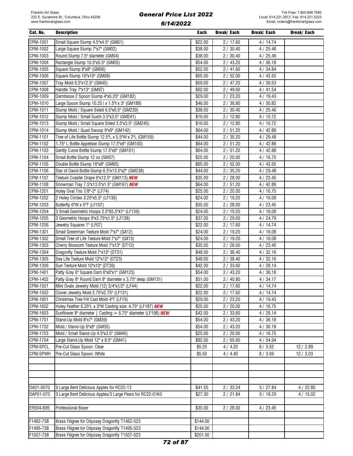| Cat. No.  | <b>Description</b>                                           | Each               | Break/ Each | Break/ Each | Break/ Each |
|-----------|--------------------------------------------------------------|--------------------|-------------|-------------|-------------|
| CPM-1001  | Small Square Slump 4.5"x4.5" (GM01)                          | \$22.00            | 2/17.60     | 4/14.74     |             |
| CPM-1002  | Large Square Slump 7"x7" (GM02)                              | \$38.00            | 2/30.40     | 4/25.46     |             |
| CPM-1003  | Round Slump 7.5" diameter (GM04)                             | \$38.00            | 2/30.40     | 4 / 25.46   |             |
| CPM-1004  | Rectangle Slump 10.5"x5.5" (GM05)                            | \$54.00            | 2/43.20     | 4/36.18     |             |
| CPM-1005  | Square Slump 8"x8" (GM06)                                    | \$52.00            | 2/41.60     | 4 / 34.84   |             |
| CPM-1006  | Square Slump 10"x10" (GM08)                                  | \$65.00            | 2/52.00     | 4/43.55     |             |
| CPM-1007  | Tray Mold 6.5"x12.5" (GM45)                                  | \$59.00            | 2/47.20     | 4/39.53     |             |
| CPM-1008  | Handle Tray 7"x13" (GM97)                                    | \$62.00            | 2/49.60     | 4/41.54     |             |
| CPM-1009  | Demitasse 2 Spoon Slump 4"x5.25" (GM182)                     | \$29.00            | 2/23.20     | 4/19.43     |             |
| CPM-1010  | Large Spoon Slump 10.25 l x 1.5"t x 3" (GM188)               | \$46.00            | 2 / 36.80   | 4/30.82     |             |
| CPM-1011  |                                                              |                    |             |             |             |
| CPM-1012  | Slump Mold / Square Sided 6.5"x6.5" (GM239)                  | \$38.00<br>\$16.00 | 2/30.40     | 4/25.46     |             |
|           | Slump Mold / Small Sushi 3.5"x3.5" (GM241)                   |                    | 2/12.80     | 4/10.72     |             |
| CPM-1013  | Slump Mold / Small Square Sided 3.5"x3.5" (GM240)            | \$16.00            | 2/12.80     | 4/10.72     |             |
| CPM-1014  | Slump Mold / Quad Swoop 9"x9" (GM142)                        | \$64.00            | 2/51.20     | 4/42.88     |             |
| CPM-1101  | Tree of Life Bottle Slump 12.5"L x 5.5"W x 2"L (GM159)       | \$44.00            | 2/35.20     | 4/29.48     |             |
| CPM-1102  | 1.75" L Bottle Appetiser Slump 17.5"x6" (GM100)              | \$64.00            | 2/51.20     | 4/42.88     |             |
| CPM-1103  | Gently Curve Bottle Slump 17.5"x6" (GM101)                   | \$64.00            | 2/51.20     | 4/42.88     |             |
| CPM-1104  | Small Bottle Slump 12 oz (GM37)                              | \$25.00            | 2/20.00     | 4/16.75     |             |
| CPM-1105  | Double Bottle Slump 16"x8" (GM65)                            | \$65.00            | 2/52.00     | 4/43.55     |             |
| CPM-1106  | Star of David Bottle Slump 6.5"x13.5"x2" (GM238)             | \$44.00            | 2/35.20     | 4/29.48     |             |
| CPM-1107  | Texture Coaster Drape 6"x12.5" (GM113) NEW                   | \$35.00            | 2/28.00     | 4/23.45     |             |
| CPM-1108  | Snowman Tray 7.5"x13.5"x1.5" (GM167) NEW                     | \$64.00            | 2/51.20     | 4/42.88     |             |
| CPM-1201  | Holey Oval Trio 7/8"-2" (LF74)                               | \$25.00            | 2/20.00     | 4/16.75     |             |
| CPM-1202  | 2 Holey Circles 3.25"x5.5" (LF130)                           | \$24.00            | 2/19.20     | 4/16.08     |             |
| CPM-1203  | Butterfly 6"W x 5"T (LF107)                                  | \$35.00            | 2/28.00     | 4/23.45     |             |
| CPM-1204  | 3 Small Geometric Hoops 2.5"X5.5"X1" (LF139)                 | \$24.00            | 2/19.20     | 4 / 16.08   |             |
| CPM-1205  | 3 Geometric Hoops 9"x3.75"x1.5" (LF138)                      | \$37.00            | 2/29.60     | 4/24.79     |             |
| CPM-1206  | Jewelry Squares 1" (LF07)                                    | \$22.00            | 2/17.60     | 4 / 14.74   |             |
| CPM-1301  | Small Greenman Texture Mold 7"x7" (GX12)                     | \$24.00            | 2/19.20     | 4/16.08     |             |
| CPM-1302  | Small Tree of Life Texture Mold 7"x7" (GX13)                 | \$24.00            | 2/19.20     | 4/16.08     |             |
| CPM-1303  | Cherry Blossom Texture Mold 7"x13" (DT12)                    | \$35.00            | 2/28.00     | 4/23.45     |             |
| CPM-1304  | Dragonfly Texture Mold 7"x13" (DT31)                         | \$48.00            | 2/38.40     | 4/32.16     |             |
| CPM-1305  | Sea Life Texture Mold 12"x12" (DT23)                         | \$48.00            | 2/38.40     | 4/32.16     |             |
| CPM-1306  | Sun Texture Mold 10"x10" (DT39)                              | \$42.00            | 2/33.60     | 4/28.14     |             |
| CPM-1401  | Patty Gray 6" Square Dam 6"x6"x1" (GM123)                    | \$54.00            | 2/43.20     | 4/36.18     |             |
| CPM-1402  | Patty Gray 8" Round Dam 8" diameter x 3.75" deep (GM131)     | \$51.00            | 2/40.80     | 4/34.17     |             |
| CPM-1501  | Mini Ovals Jewelry Mold (12) 3/4"x1/2" (LF44)                | \$22.00            | 2/17.60     | 4/14.74     |             |
| CPM-1502  | Clover Jewelry Mold 2.75"x2.75" (LF131)                      | \$22.00            | 2/17.60     | 4/14.74     |             |
| CPM-1601  | Christmas Tree Frit Cast Mold 4"T (LF19)                     | \$29.00            | 2/23.20     | 4/19.43     |             |
| CPM-1602  | Holey Feather 6.25"L x 3"W Casting size: 4.75" (LF187) NEW   | \$25.00            | 2/20.00     | 4/16.75     |             |
| CPM-1603  | Sunflower 8" diameter   Casting = 6.75" diameter (LF198) NEW | \$42.00            | 2/33.60     | 4/28.14     |             |
| CPM-1701  | Stand-Up Mold 8"x7" (GM39)                                   | \$54.00            | 2/43.20     | 4/36.18     |             |
| CPM-1702  | Mold / Stand-Up 6"x8" (GM35)                                 | \$54.00            | 2/43.20     | 4/36.18     |             |
| CPM-1703  | Mold / Small Stand-Up 4.5"x3.5" (GM40)                       | \$25.00            | 2/20.00     | 4/16.75     |             |
| CPM-1704  | Large Stand-Up Mold 12" x 8.5" (GM41)                        | \$82.00            | 2/65.60     | 4/54.94     |             |
| CPM-SPCL  | Pre-Cut Glass Spoon: Clear                                   | \$5.25             | 4/4.20      | 8/3.52      | 12/2.89     |
| CPM-SPWH  | Pre-Cut Glass Spoon: White                                   | \$5.50             | 4/4.40      | 8/3.69      | 12/3.03     |
|           |                                                              |                    |             |             |             |
|           |                                                              |                    |             |             |             |
|           |                                                              |                    |             |             |             |
|           |                                                              |                    |             |             |             |
|           |                                                              |                    |             |             |             |
| DA01-0070 | 9 Large Bent Delicious Apples for RC22-13                    | \$41.55            | 2/33.24     | 3 / 27.84   | 4/22.85     |
| DAP01-070 | 3 Large Bent Delicious Apples/3 Large Pears for RC22-01K0    | \$27.30            | 2/21.84     | 3/18.29     | 4/15.02     |
|           |                                                              |                    |             |             |             |
| ER504-695 | Professional Boxer                                           | \$35.00            | 2/28.00     | 4/23.45     |             |
|           |                                                              |                    |             |             |             |
| F1462-738 | Brass Filigree for Odyssey Dragonfly T1462-523               | \$144.00           |             |             |             |
| F1495-738 | Brass Filigree for Odyssey Dragonfly T1495-523               | \$144.00           |             |             |             |
| F1507-738 | Brass Filigree for Odyssey Dragonfly T1507-523               | \$201.00           |             |             |             |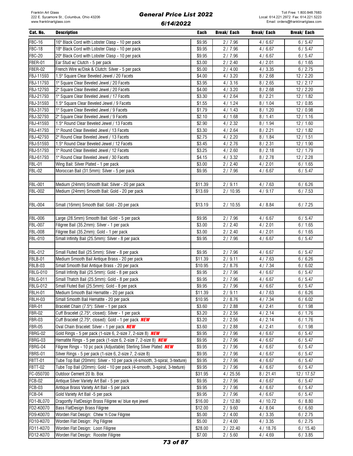| Cat. No.        | <b>Description</b>                                                         | Each               | Break/ Each | Break/ Each | Break/ Each |
|-----------------|----------------------------------------------------------------------------|--------------------|-------------|-------------|-------------|
| <b>FBC-16</b>   | 16" Black Cord with Lobster Clasp - 10 per pack                            | \$9.95             | 2/7.96      | 4/6.67      | 6/5.47      |
| <b>FBC-18</b>   | 18" Black Cord with Lobster Clasp - 10 per pack                            | \$9.95             | 2/7.96      | 4/6.67      | 6/5.47      |
| <b>FBC-20</b>   | 20" Black Cord with Lobster Clasp - 10 per pack                            | \$9.95             | 2/7.96      | 4/6.67      | 6/5.47      |
| FBER-01         | Ear Stud w/ Clutch - 5 per pack                                            | \$3.00             | 2/2.40      | 4/2.01      | 6/1.65      |
| <b>FBER-02</b>  | French Wire w/Disk & Clutch: Silver - 5 per pack                           | \$5.00             | 2/4.00      | 4 / 3.35    | 6/2.75      |
| FBJ-11593       | 1.5" Square Clear Beveled Jewel / 20 Facets                                | \$4.00             | 4/3.20      | 8/2.68      |             |
|                 |                                                                            |                    |             |             | 12/2.20     |
| FBJ-11793       | 1" Square Clear Beveled Jewel / 20 Facets                                  | \$3.95             | 4/3.16      | 8/2.65      | 12/2.17     |
| FBJ-12793       | 2" Square Clear Beveled Jewel / 20 Facets                                  | \$4.00             | 4/3.20      | 8/2.68      | 12/2.20     |
| FBJ-21793       | 1" Square Clear Beveled Jewel / 17 Facets                                  | $\overline{$}3.30$ | 4/2.64      | 8/2.21      | 12/1.82     |
| FBJ-31593       | 1.5" Square Clear Beveled Jewel / 9 Facets                                 | \$1.55             | 4/1.24      | 8/1.04      | 12/0.85     |
| FBJ-31793       | 1" Square Clear Beveled Jewel / 9 Facets                                   | \$1.79             | 4/1.43      | 8/1.20      | 12/0.98     |
| FBJ-32793       | 2" Square Clear Beveled Jewel / 9 Facets                                   | \$2.10             | 4/1.68      | 8/1.41      | 12/1.16     |
| FBJ-41593       | 1.5" Round Clear Beveled Jewel / 13 Facets                                 | \$2.90             | 4/2.32      | 8/1.94      | 12/1.60     |
| FBJ-41793       | 1" Round Clear Beveled Jewel / 13 Facets                                   | \$3.30             | 4/2.64      | 8/2.21      | 12/1.82     |
| FBJ-42793       | 2" Round Clear Beveled Jewel / 13 Facets                                   | \$2.75             | 4/2.20      | 8/1.84      | 12/1.51     |
| FBJ-51593       | 1.5" Round Clear Beveled Jewel / 12 Facets                                 | \$3.45             | 4/2.76      | 8/2.31      | 12/1.90     |
| FBJ-51793       | 1" Round Clear Beveled Jewel / 12 Facets                                   | \$3.25             | 4/2.60      | 8/2.18      | 12/1.79     |
| FBJ-61793       | 1" Round Clear Beveled Jewel / 30 Facets                                   | \$4.15             | 4/3.32      | 8 / 2.78    | 12/2.28     |
| <b>FBL-01</b>   | Wing Bail: Silver Plated - 1 per pack                                      | \$3.00             | 2/2.40      | 4/2.01      | 6/1.65      |
| <b>FBL-02</b>   | Moroccan Bail (31.5mm): Silver - 5 per pack                                | \$9.95             | 2/7.96      | 4/6.67      | 6/5.47      |
|                 |                                                                            |                    |             |             |             |
| FBL-001         | Medium (24mm) Smooth Bail: Silver - 20 per pack                            | \$11.39            | 2/9.11      | 4/7.63      | 6/6.26      |
| FBL-002         | Medium (24mm) Smooth Bail: Gold - 20 per pack                              | \$13.69            | 2/10.95     | 4/9.17      | 6/7.53      |
|                 |                                                                            |                    |             |             |             |
| FBL-004         | Small (16mm) Smooth Bail: Gold - 20 per pack                               | \$13.19            | 2/10.55     | 4/8.84      | 6/7.25      |
|                 |                                                                            |                    |             |             |             |
| FBL-006         | Large (28.5mm) Smooth Bail: Gold - 5 per pack                              | \$9.95             | 2/7.96      | 4/6.67      | 6/5.47      |
| <b>FBL-007</b>  | Filigree Bail (35.2mm): Silver - 1 per pack                                | \$3.00             | 2/2.40      | 4/2.01      | 6/1.65      |
| FBL-008         | Filigree Bail (35.2mm): Gold - 1 per pack                                  | \$3.00             | 2/2.40      | 4/2.01      | 6/1.65      |
| FBL-010         | Small Infinity Bail (25.5mm): Silver - 8 per pack                          | \$9.95             | 2/7.96      | 4/6.67      | 6/5.47      |
|                 |                                                                            |                    |             |             |             |
| FBL-012         | Small Fluted Bail (25.5mm): Silver - 8 per pack                            | \$9.95             | 2/7.96      | 4/6.67      | 6/5.47      |
| FBLB-01         | Medium Smooth Bail Antique Brass - 20 per pack                             | \$11.39            | 2/9.11      | 4/7.63      | 6/6.26      |
| FBLB-03         | Small Smooth Bail Antique Brass - 20 per pack                              | \$10.95            | 2/8.76      | 4/7.34      | 6/6.02      |
| <b>FBLG-010</b> | Small Infinity Bail (25.5mm): Gold - 8 per pack                            | \$9.95             | 2/7.96      | 4/6.67      | 6/5.47      |
| <b>FBLG-011</b> | Small Thatch Bail (25.5mm): Gold - 8 per pack                              | \$9.95             | 2/7.96      | 4/6.67      | 6/5.47      |
| <b>FBLG-012</b> | Small Fluted Bail (25.5mm): Gold - 8 per pack                              | \$9.95             | 2/7.96      | 4/6.67      | 6/5.47      |
| FBLH-01         | Medium Smooth Bail Hematite - 20 per pack                                  | \$11.39            | 2/9.11      | 4/7.63      | 6/6.26      |
| FBLH-03         | Small Smooth Bail Hematite - 20 per pack                                   | \$10.95            | 2/8.76      | 4/7.34      | 6/6.02      |
| <b>FBR-01</b>   |                                                                            |                    |             |             | 6/1.98      |
| <b>FBR-02</b>   | Bracelet Chain (7.5"): Silver - 1 per pack                                 | \$3.60             | 2/2.88      | 4/2.41      |             |
|                 | Cuff Bracelet (2.75", closed): Silver - 1 per pack                         | \$3.20             | 2/2.56      | 4/2.14      | 6/1.76      |
| <b>FBR-03</b>   | Cuff Bracelet (2.75", closed): Gold - 1 per pack <b>NEW</b>                | \$3.20             | 2/2.56      | 4/2.14      | 6/1.76      |
| <b>FBR-05</b>   | Oval Chain Bracelet: Silver - 1 per pack <b>NEW</b>                        | \$3.60             | 2/2.88      | 4/2.41      | 6/1.98      |
| FBRG-02         | Gold Rings - 5 per pack (1-size 6, 2-size 7, 2-size 8) NEW                 | \$9.95             | 2/7.96      | 4/6.67      | 6/5.47      |
| FBRG-03         | Hematite Rings - 5 per pack (1-size 6, 2-size 7, 2-size 8) <b>NEW</b>      | \$9.95             | 2/7.96      | 4/6.67      | 6/5.47      |
| FBRG-04         | Filigree Rings - 10 pc pack (Adjustable) Sterling Silver Plated <b>NEW</b> | \$9.95             | 2/7.96      | 4/6.67      | 6/5.47      |
| <b>FBRS-01</b>  | Silver Rings - 5 per pack (1-size 6, 2-size 7, 2-size 8)                   | \$9.95             | 2/7.96      | 4/6.67      | 6/5.47      |
| <b>FBTT-01</b>  | Tube Top Bail (20mm): Silver - 10 per pack (4-smooth, 3-spiral, 3-texture) | \$9.95             | 2/7.96      | 4/6.67      | 6/5.47      |
| FBTT-02         | Tube Top Bail (20mm): Gold - 10 per pack (4-smooth, 3-spiral, 3-texture)   | \$9.95             | 2/7.96      | 4/6.67      | 6/5.47      |
| FC-050700       | Outdoor Cement 20 lb. Box                                                  | \$31.95            | 4/25.56     | 8/21.41     | 12 / 17.57  |
| <b>FCB-02</b>   | Antique Silver Variety Art Bail - 5 per pack                               | \$9.95             | 2/7.96      | 4/6.67      | 6/5.47      |
| FCB-03          | Antique Brass Variety Art Bail - 5 per pack                                | \$9.95             | 2/7.96      | 4/6.67      | 6/5.47      |
| FCB-04          | Gold Variety Art Bail -5 per pack                                          | \$9.95             | 2/7.96      | 4/6.67      | 6/5.47      |
| FD1-BL070       | Dragonfly FlatDesign Brass Filigree w/ blue eye jewel                      | \$16.00            | 2/12.80     | 4/10.72     | 6/8.80      |
| FD2-K0070       | Bass FlatDesign Brass Filigree                                             | \$12.00            | 2/9.60      | 4/8.04      | 6/6.60      |
| FD9-K0070       | Worden Flat Design: Chew 'n Cow Filigree                                   | \$5.00             | 2/4.00      | 4 / 3.35    | 6/2.75      |
| FD10-K070       | Worden Flat Design: Pig Filigree                                           | \$5.00             | 2/4.00      | 4/3.35      | 6/2.75      |
| FD11-K070       | Worden Flat Design: Loon Filigree                                          | \$28.00            | 2/22.40     | 4/18.76     | 6/15.40     |
| FD12-K070       | Worden Flat Design: Rooster Filigree                                       | \$7.00             | 2/5.60      | 4/4.69      | 6/3.85      |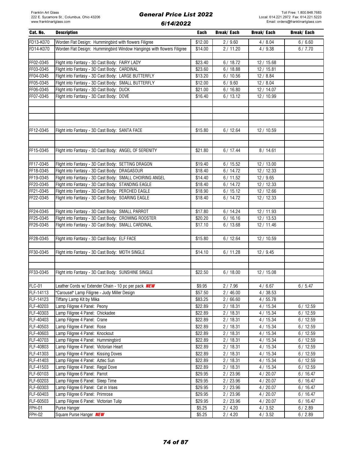| FD13-K070<br>Worden Flat Design: Hummingbird with flowers Filigree<br>\$12.00<br>2/9.60<br>4/8.04<br>6/6.60<br>FD14-K070<br>Worden Flat Design: Hummingbird Window Hangings with flowers Filigree<br>\$14.00<br>2/11.20<br>6/7.70<br>4/9.38<br>FF02-0345<br>Flight into Fantasy - 3D Cast Body: FAIRY LADY<br>\$23.40<br>6/18.72<br>12 / 15.68<br>FF03-0345<br>Flight into Fantasy - 3D Cast Body: CARDINAL<br>6/18.88<br>\$23.60<br>12/15.81<br>FF04-0345<br>Flight into Fantasy - 3D Cast Body: LARGE BUTTERFLY<br>\$13.20<br>6/10.56<br>12/8.84<br>FF05-0345<br>Flight into Fantasy - 3D Cast Body: SMALL BUTTERFLY<br>\$12.00<br>6/9.60<br>12/8.04<br>FF06-0345<br>Flight into Fantasy - 3D Cast Body: DUCK<br>\$21.00<br>6/16.80<br>12 / 14.07<br>FF07-0345<br>Flight into Fantasy - 3D Cast Body: DOVE<br>6/13.12<br>\$16.40<br>12 / 10.99<br>Flight into Fantasy - 3D Cast Body: SANTA FACE<br>12 / 10.59<br>FF12-0345<br>\$15.80<br>6/12.64<br>FF15-0345<br>6/17.44<br>8/14.61<br>Flight into Fantasy - 3D Cast Body: ANGEL OF SERENITY<br>\$21.80<br>FF17-0345<br>12/13.00<br>Flight into Fantasy - 3D Cast Body: SETTING DRAGON<br>\$19.40<br>6/15.52<br>FF18-0345<br>Flight into Fantasy - 3D Cast Body: DRAGASOUR<br>6/14.72<br>12/12.33<br>\$18.40<br>FF19-0345<br>Flight into Fantasy - 3D Cast Body: SMALL CHOIRING ANGEL<br>6/11.52<br>\$14.40<br>12/9.65<br>FF20-0345<br>Flight into Fantasy - 3D Cast Body: STANDING EAGLE<br>6/14.72<br>\$18.40<br>12/12.33<br>FF21-0345<br>Flight into Fantasy - 3D Cast Body: PERCHED EAGLE<br>\$18.90<br>6/15.12<br>12 / 12.66<br>Flight into Fantasy - 3D Cast Body: SOARING EAGLE<br>FF22-0345<br>\$18.40<br>6/14.72<br>12/12.33<br>FF24-0345<br>Flight into Fantasy - 3D Cast Body: SMALL PARROT<br>\$17.80<br>12 / 11.93<br>6/14.24<br>FF25-0345<br>Flight into Fantasy - 3D Cast Body: CROWING ROOSTER<br>6/16.16<br>\$20.20<br>12/13.53<br>FF26-0345<br>Flight into Fantasy - 3D Cast Body: SMALL CARDINAL<br>6/13.68<br>\$17.10<br>12 / 11.46<br>FF28-0345<br>Flight into Fantasy - 3D Cast Body: ELF FACE<br>\$15.80<br>6/12.64<br>12 / 10.59<br>FF30-0345<br>Flight into Fantasy - 3D Cast Body: MOTH SINGLE<br>\$14.10<br>6/11.28<br>12 / 9.45<br>FF33-0345<br>Flight into Fantasy - 3D Cast Body: SUNSHINE SINGLE<br>\$22.50<br>6/18.00<br>12/15.08<br><b>FLC-01</b><br>6/5.47<br>Leather Cords w/ Extender Chain - 10 pc per pack <b>NEW</b><br>\$9.95<br>2/7.96<br>4/6.67<br>FLF-14113<br>"Carousel" Lamp Filigree - Judy Miller Design<br>\$57.50<br>2/46.00<br>4/38.53<br>Tiffany Lamp Kit by Mika<br>FLF-14123<br>\$83.25<br>2/66.60<br>4/55.78<br>FLF-40203<br>Lamp Filigree 4 Panel: Peony<br>6/12.59<br>\$22.89<br>2/18.31<br>4 / 15.34<br>FLF-40303<br>Lamp Filigree 4 Panel: Chickadee<br>\$22.89<br>2/18.31<br>4/15.34<br>6/12.59<br>FLF-40403<br>4/15.34<br>6/12.59<br>Lamp Filigree 4 Panel: Crane<br>\$22.89<br>2/18.31<br>FLF-40503<br>\$22.89<br>2/18.31<br>4/15.34<br>6/12.59<br>Lamp Filigree 4 Panel: Rose<br>FLF-40603<br>2/18.31<br>Lamp Filigree 4 Panel: Knockout<br>\$22.89<br>4 / 15.34<br>6/12.59<br>FLF-40703<br>Lamp Filigree 4 Panel: Hummingbird<br>\$22.89<br>2/18.31<br>4 / 15.34<br>6/12.59<br>FLF-40803<br>Lamp Filigree 4 Panel: Victorian Heart<br>\$22.89<br>2/18.31<br>4/15.34<br>6/12.59<br>FLF-41303<br>Lamp Filigree 4 Panel: Kissing Doves<br>\$22.89<br>2/18.31<br>4/15.34<br>6/12.59<br>FLF-41403<br>Lamp Filigree 4 Panel: Aztec Sun<br>\$22.89<br>2/18.31<br>4 / 15.34<br>6/12.59<br>FLF-41503<br>Lamp Filigree 4 Panel: Regal Dove<br>\$22.89<br>2/18.31<br>4/15.34<br>6/12.59<br>FLF-60103<br>Lamp Filigree 6 Panel: Parrot<br>\$29.95<br>2 / 23.96<br>4/20.07<br>6/16.47<br>FLF-60203<br>Lamp Filigree 6 Panel: Sleep Time<br>\$29.95<br>2 / 23.96<br>4/20.07<br>6/16.47<br>FLF-60303<br>Lamp Filigree 6 Panel: Cat in Irises<br>\$29.95<br>2 / 23.96<br>4/20.07<br>6/16.47<br>FLF-60403<br>Lamp Filigree 6 Panel: Primrose<br>\$29.95<br>2 / 23.96<br>4/20.07<br>6/16.47<br>FLF-60503<br>Lamp Filigree 6 Panel: Victorian Tulip<br>\$29.95<br>2/23.96<br>4/20.07<br>6/16.47<br><b>FPH-01</b><br>2/4.20<br>6/2.89<br>Purse Hanger<br>\$5.25<br>4/3.52<br>FPH-02<br>Square Purse Hanger <b>NEW</b><br>\$5.25<br>4 / 3.52<br>6/2.89<br>2/4.20 | Cat. No. | <b>Description</b> | Each | <b>Break/Each</b> | Break/ Each | Break/ Each |
|---------------------------------------------------------------------------------------------------------------------------------------------------------------------------------------------------------------------------------------------------------------------------------------------------------------------------------------------------------------------------------------------------------------------------------------------------------------------------------------------------------------------------------------------------------------------------------------------------------------------------------------------------------------------------------------------------------------------------------------------------------------------------------------------------------------------------------------------------------------------------------------------------------------------------------------------------------------------------------------------------------------------------------------------------------------------------------------------------------------------------------------------------------------------------------------------------------------------------------------------------------------------------------------------------------------------------------------------------------------------------------------------------------------------------------------------------------------------------------------------------------------------------------------------------------------------------------------------------------------------------------------------------------------------------------------------------------------------------------------------------------------------------------------------------------------------------------------------------------------------------------------------------------------------------------------------------------------------------------------------------------------------------------------------------------------------------------------------------------------------------------------------------------------------------------------------------------------------------------------------------------------------------------------------------------------------------------------------------------------------------------------------------------------------------------------------------------------------------------------------------------------------------------------------------------------------------------------------------------------------------------------------------------------------------------------------------------------------------------------------------------------------------------------------------------------------------------------------------------------------------------------------------------------------------------------------------------------------------------------------------------------------------------------------------------------------------------------------------------------------------------------------------------------------------------------------------------------------------------------------------------------------------------------------------------------------------------------------------------------------------------------------------------------------------------------------------------------------------------------------------------------------------------------------------------------------------------------------------------------------------------------------------------------------------------------------------------------------------------------------------------------------------------------------------------------------------------------------------------------------------------------------------------------------------------------------------------------------------------------------------------------------------------------------------------------------------------------------------------------------------------------------------------------------------------------------------------------------------------------------------------------|----------|--------------------|------|-------------------|-------------|-------------|
|                                                                                                                                                                                                                                                                                                                                                                                                                                                                                                                                                                                                                                                                                                                                                                                                                                                                                                                                                                                                                                                                                                                                                                                                                                                                                                                                                                                                                                                                                                                                                                                                                                                                                                                                                                                                                                                                                                                                                                                                                                                                                                                                                                                                                                                                                                                                                                                                                                                                                                                                                                                                                                                                                                                                                                                                                                                                                                                                                                                                                                                                                                                                                                                                                                                                                                                                                                                                                                                                                                                                                                                                                                                                                                                                                                                                                                                                                                                                                                                                                                                                                                                                                                                                                                                               |          |                    |      |                   |             |             |
|                                                                                                                                                                                                                                                                                                                                                                                                                                                                                                                                                                                                                                                                                                                                                                                                                                                                                                                                                                                                                                                                                                                                                                                                                                                                                                                                                                                                                                                                                                                                                                                                                                                                                                                                                                                                                                                                                                                                                                                                                                                                                                                                                                                                                                                                                                                                                                                                                                                                                                                                                                                                                                                                                                                                                                                                                                                                                                                                                                                                                                                                                                                                                                                                                                                                                                                                                                                                                                                                                                                                                                                                                                                                                                                                                                                                                                                                                                                                                                                                                                                                                                                                                                                                                                                               |          |                    |      |                   |             |             |
|                                                                                                                                                                                                                                                                                                                                                                                                                                                                                                                                                                                                                                                                                                                                                                                                                                                                                                                                                                                                                                                                                                                                                                                                                                                                                                                                                                                                                                                                                                                                                                                                                                                                                                                                                                                                                                                                                                                                                                                                                                                                                                                                                                                                                                                                                                                                                                                                                                                                                                                                                                                                                                                                                                                                                                                                                                                                                                                                                                                                                                                                                                                                                                                                                                                                                                                                                                                                                                                                                                                                                                                                                                                                                                                                                                                                                                                                                                                                                                                                                                                                                                                                                                                                                                                               |          |                    |      |                   |             |             |
|                                                                                                                                                                                                                                                                                                                                                                                                                                                                                                                                                                                                                                                                                                                                                                                                                                                                                                                                                                                                                                                                                                                                                                                                                                                                                                                                                                                                                                                                                                                                                                                                                                                                                                                                                                                                                                                                                                                                                                                                                                                                                                                                                                                                                                                                                                                                                                                                                                                                                                                                                                                                                                                                                                                                                                                                                                                                                                                                                                                                                                                                                                                                                                                                                                                                                                                                                                                                                                                                                                                                                                                                                                                                                                                                                                                                                                                                                                                                                                                                                                                                                                                                                                                                                                                               |          |                    |      |                   |             |             |
|                                                                                                                                                                                                                                                                                                                                                                                                                                                                                                                                                                                                                                                                                                                                                                                                                                                                                                                                                                                                                                                                                                                                                                                                                                                                                                                                                                                                                                                                                                                                                                                                                                                                                                                                                                                                                                                                                                                                                                                                                                                                                                                                                                                                                                                                                                                                                                                                                                                                                                                                                                                                                                                                                                                                                                                                                                                                                                                                                                                                                                                                                                                                                                                                                                                                                                                                                                                                                                                                                                                                                                                                                                                                                                                                                                                                                                                                                                                                                                                                                                                                                                                                                                                                                                                               |          |                    |      |                   |             |             |
|                                                                                                                                                                                                                                                                                                                                                                                                                                                                                                                                                                                                                                                                                                                                                                                                                                                                                                                                                                                                                                                                                                                                                                                                                                                                                                                                                                                                                                                                                                                                                                                                                                                                                                                                                                                                                                                                                                                                                                                                                                                                                                                                                                                                                                                                                                                                                                                                                                                                                                                                                                                                                                                                                                                                                                                                                                                                                                                                                                                                                                                                                                                                                                                                                                                                                                                                                                                                                                                                                                                                                                                                                                                                                                                                                                                                                                                                                                                                                                                                                                                                                                                                                                                                                                                               |          |                    |      |                   |             |             |
|                                                                                                                                                                                                                                                                                                                                                                                                                                                                                                                                                                                                                                                                                                                                                                                                                                                                                                                                                                                                                                                                                                                                                                                                                                                                                                                                                                                                                                                                                                                                                                                                                                                                                                                                                                                                                                                                                                                                                                                                                                                                                                                                                                                                                                                                                                                                                                                                                                                                                                                                                                                                                                                                                                                                                                                                                                                                                                                                                                                                                                                                                                                                                                                                                                                                                                                                                                                                                                                                                                                                                                                                                                                                                                                                                                                                                                                                                                                                                                                                                                                                                                                                                                                                                                                               |          |                    |      |                   |             |             |
|                                                                                                                                                                                                                                                                                                                                                                                                                                                                                                                                                                                                                                                                                                                                                                                                                                                                                                                                                                                                                                                                                                                                                                                                                                                                                                                                                                                                                                                                                                                                                                                                                                                                                                                                                                                                                                                                                                                                                                                                                                                                                                                                                                                                                                                                                                                                                                                                                                                                                                                                                                                                                                                                                                                                                                                                                                                                                                                                                                                                                                                                                                                                                                                                                                                                                                                                                                                                                                                                                                                                                                                                                                                                                                                                                                                                                                                                                                                                                                                                                                                                                                                                                                                                                                                               |          |                    |      |                   |             |             |
|                                                                                                                                                                                                                                                                                                                                                                                                                                                                                                                                                                                                                                                                                                                                                                                                                                                                                                                                                                                                                                                                                                                                                                                                                                                                                                                                                                                                                                                                                                                                                                                                                                                                                                                                                                                                                                                                                                                                                                                                                                                                                                                                                                                                                                                                                                                                                                                                                                                                                                                                                                                                                                                                                                                                                                                                                                                                                                                                                                                                                                                                                                                                                                                                                                                                                                                                                                                                                                                                                                                                                                                                                                                                                                                                                                                                                                                                                                                                                                                                                                                                                                                                                                                                                                                               |          |                    |      |                   |             |             |
|                                                                                                                                                                                                                                                                                                                                                                                                                                                                                                                                                                                                                                                                                                                                                                                                                                                                                                                                                                                                                                                                                                                                                                                                                                                                                                                                                                                                                                                                                                                                                                                                                                                                                                                                                                                                                                                                                                                                                                                                                                                                                                                                                                                                                                                                                                                                                                                                                                                                                                                                                                                                                                                                                                                                                                                                                                                                                                                                                                                                                                                                                                                                                                                                                                                                                                                                                                                                                                                                                                                                                                                                                                                                                                                                                                                                                                                                                                                                                                                                                                                                                                                                                                                                                                                               |          |                    |      |                   |             |             |
|                                                                                                                                                                                                                                                                                                                                                                                                                                                                                                                                                                                                                                                                                                                                                                                                                                                                                                                                                                                                                                                                                                                                                                                                                                                                                                                                                                                                                                                                                                                                                                                                                                                                                                                                                                                                                                                                                                                                                                                                                                                                                                                                                                                                                                                                                                                                                                                                                                                                                                                                                                                                                                                                                                                                                                                                                                                                                                                                                                                                                                                                                                                                                                                                                                                                                                                                                                                                                                                                                                                                                                                                                                                                                                                                                                                                                                                                                                                                                                                                                                                                                                                                                                                                                                                               |          |                    |      |                   |             |             |
|                                                                                                                                                                                                                                                                                                                                                                                                                                                                                                                                                                                                                                                                                                                                                                                                                                                                                                                                                                                                                                                                                                                                                                                                                                                                                                                                                                                                                                                                                                                                                                                                                                                                                                                                                                                                                                                                                                                                                                                                                                                                                                                                                                                                                                                                                                                                                                                                                                                                                                                                                                                                                                                                                                                                                                                                                                                                                                                                                                                                                                                                                                                                                                                                                                                                                                                                                                                                                                                                                                                                                                                                                                                                                                                                                                                                                                                                                                                                                                                                                                                                                                                                                                                                                                                               |          |                    |      |                   |             |             |
|                                                                                                                                                                                                                                                                                                                                                                                                                                                                                                                                                                                                                                                                                                                                                                                                                                                                                                                                                                                                                                                                                                                                                                                                                                                                                                                                                                                                                                                                                                                                                                                                                                                                                                                                                                                                                                                                                                                                                                                                                                                                                                                                                                                                                                                                                                                                                                                                                                                                                                                                                                                                                                                                                                                                                                                                                                                                                                                                                                                                                                                                                                                                                                                                                                                                                                                                                                                                                                                                                                                                                                                                                                                                                                                                                                                                                                                                                                                                                                                                                                                                                                                                                                                                                                                               |          |                    |      |                   |             |             |
|                                                                                                                                                                                                                                                                                                                                                                                                                                                                                                                                                                                                                                                                                                                                                                                                                                                                                                                                                                                                                                                                                                                                                                                                                                                                                                                                                                                                                                                                                                                                                                                                                                                                                                                                                                                                                                                                                                                                                                                                                                                                                                                                                                                                                                                                                                                                                                                                                                                                                                                                                                                                                                                                                                                                                                                                                                                                                                                                                                                                                                                                                                                                                                                                                                                                                                                                                                                                                                                                                                                                                                                                                                                                                                                                                                                                                                                                                                                                                                                                                                                                                                                                                                                                                                                               |          |                    |      |                   |             |             |
|                                                                                                                                                                                                                                                                                                                                                                                                                                                                                                                                                                                                                                                                                                                                                                                                                                                                                                                                                                                                                                                                                                                                                                                                                                                                                                                                                                                                                                                                                                                                                                                                                                                                                                                                                                                                                                                                                                                                                                                                                                                                                                                                                                                                                                                                                                                                                                                                                                                                                                                                                                                                                                                                                                                                                                                                                                                                                                                                                                                                                                                                                                                                                                                                                                                                                                                                                                                                                                                                                                                                                                                                                                                                                                                                                                                                                                                                                                                                                                                                                                                                                                                                                                                                                                                               |          |                    |      |                   |             |             |
|                                                                                                                                                                                                                                                                                                                                                                                                                                                                                                                                                                                                                                                                                                                                                                                                                                                                                                                                                                                                                                                                                                                                                                                                                                                                                                                                                                                                                                                                                                                                                                                                                                                                                                                                                                                                                                                                                                                                                                                                                                                                                                                                                                                                                                                                                                                                                                                                                                                                                                                                                                                                                                                                                                                                                                                                                                                                                                                                                                                                                                                                                                                                                                                                                                                                                                                                                                                                                                                                                                                                                                                                                                                                                                                                                                                                                                                                                                                                                                                                                                                                                                                                                                                                                                                               |          |                    |      |                   |             |             |
|                                                                                                                                                                                                                                                                                                                                                                                                                                                                                                                                                                                                                                                                                                                                                                                                                                                                                                                                                                                                                                                                                                                                                                                                                                                                                                                                                                                                                                                                                                                                                                                                                                                                                                                                                                                                                                                                                                                                                                                                                                                                                                                                                                                                                                                                                                                                                                                                                                                                                                                                                                                                                                                                                                                                                                                                                                                                                                                                                                                                                                                                                                                                                                                                                                                                                                                                                                                                                                                                                                                                                                                                                                                                                                                                                                                                                                                                                                                                                                                                                                                                                                                                                                                                                                                               |          |                    |      |                   |             |             |
|                                                                                                                                                                                                                                                                                                                                                                                                                                                                                                                                                                                                                                                                                                                                                                                                                                                                                                                                                                                                                                                                                                                                                                                                                                                                                                                                                                                                                                                                                                                                                                                                                                                                                                                                                                                                                                                                                                                                                                                                                                                                                                                                                                                                                                                                                                                                                                                                                                                                                                                                                                                                                                                                                                                                                                                                                                                                                                                                                                                                                                                                                                                                                                                                                                                                                                                                                                                                                                                                                                                                                                                                                                                                                                                                                                                                                                                                                                                                                                                                                                                                                                                                                                                                                                                               |          |                    |      |                   |             |             |
|                                                                                                                                                                                                                                                                                                                                                                                                                                                                                                                                                                                                                                                                                                                                                                                                                                                                                                                                                                                                                                                                                                                                                                                                                                                                                                                                                                                                                                                                                                                                                                                                                                                                                                                                                                                                                                                                                                                                                                                                                                                                                                                                                                                                                                                                                                                                                                                                                                                                                                                                                                                                                                                                                                                                                                                                                                                                                                                                                                                                                                                                                                                                                                                                                                                                                                                                                                                                                                                                                                                                                                                                                                                                                                                                                                                                                                                                                                                                                                                                                                                                                                                                                                                                                                                               |          |                    |      |                   |             |             |
|                                                                                                                                                                                                                                                                                                                                                                                                                                                                                                                                                                                                                                                                                                                                                                                                                                                                                                                                                                                                                                                                                                                                                                                                                                                                                                                                                                                                                                                                                                                                                                                                                                                                                                                                                                                                                                                                                                                                                                                                                                                                                                                                                                                                                                                                                                                                                                                                                                                                                                                                                                                                                                                                                                                                                                                                                                                                                                                                                                                                                                                                                                                                                                                                                                                                                                                                                                                                                                                                                                                                                                                                                                                                                                                                                                                                                                                                                                                                                                                                                                                                                                                                                                                                                                                               |          |                    |      |                   |             |             |
|                                                                                                                                                                                                                                                                                                                                                                                                                                                                                                                                                                                                                                                                                                                                                                                                                                                                                                                                                                                                                                                                                                                                                                                                                                                                                                                                                                                                                                                                                                                                                                                                                                                                                                                                                                                                                                                                                                                                                                                                                                                                                                                                                                                                                                                                                                                                                                                                                                                                                                                                                                                                                                                                                                                                                                                                                                                                                                                                                                                                                                                                                                                                                                                                                                                                                                                                                                                                                                                                                                                                                                                                                                                                                                                                                                                                                                                                                                                                                                                                                                                                                                                                                                                                                                                               |          |                    |      |                   |             |             |
|                                                                                                                                                                                                                                                                                                                                                                                                                                                                                                                                                                                                                                                                                                                                                                                                                                                                                                                                                                                                                                                                                                                                                                                                                                                                                                                                                                                                                                                                                                                                                                                                                                                                                                                                                                                                                                                                                                                                                                                                                                                                                                                                                                                                                                                                                                                                                                                                                                                                                                                                                                                                                                                                                                                                                                                                                                                                                                                                                                                                                                                                                                                                                                                                                                                                                                                                                                                                                                                                                                                                                                                                                                                                                                                                                                                                                                                                                                                                                                                                                                                                                                                                                                                                                                                               |          |                    |      |                   |             |             |
|                                                                                                                                                                                                                                                                                                                                                                                                                                                                                                                                                                                                                                                                                                                                                                                                                                                                                                                                                                                                                                                                                                                                                                                                                                                                                                                                                                                                                                                                                                                                                                                                                                                                                                                                                                                                                                                                                                                                                                                                                                                                                                                                                                                                                                                                                                                                                                                                                                                                                                                                                                                                                                                                                                                                                                                                                                                                                                                                                                                                                                                                                                                                                                                                                                                                                                                                                                                                                                                                                                                                                                                                                                                                                                                                                                                                                                                                                                                                                                                                                                                                                                                                                                                                                                                               |          |                    |      |                   |             |             |
|                                                                                                                                                                                                                                                                                                                                                                                                                                                                                                                                                                                                                                                                                                                                                                                                                                                                                                                                                                                                                                                                                                                                                                                                                                                                                                                                                                                                                                                                                                                                                                                                                                                                                                                                                                                                                                                                                                                                                                                                                                                                                                                                                                                                                                                                                                                                                                                                                                                                                                                                                                                                                                                                                                                                                                                                                                                                                                                                                                                                                                                                                                                                                                                                                                                                                                                                                                                                                                                                                                                                                                                                                                                                                                                                                                                                                                                                                                                                                                                                                                                                                                                                                                                                                                                               |          |                    |      |                   |             |             |
|                                                                                                                                                                                                                                                                                                                                                                                                                                                                                                                                                                                                                                                                                                                                                                                                                                                                                                                                                                                                                                                                                                                                                                                                                                                                                                                                                                                                                                                                                                                                                                                                                                                                                                                                                                                                                                                                                                                                                                                                                                                                                                                                                                                                                                                                                                                                                                                                                                                                                                                                                                                                                                                                                                                                                                                                                                                                                                                                                                                                                                                                                                                                                                                                                                                                                                                                                                                                                                                                                                                                                                                                                                                                                                                                                                                                                                                                                                                                                                                                                                                                                                                                                                                                                                                               |          |                    |      |                   |             |             |
|                                                                                                                                                                                                                                                                                                                                                                                                                                                                                                                                                                                                                                                                                                                                                                                                                                                                                                                                                                                                                                                                                                                                                                                                                                                                                                                                                                                                                                                                                                                                                                                                                                                                                                                                                                                                                                                                                                                                                                                                                                                                                                                                                                                                                                                                                                                                                                                                                                                                                                                                                                                                                                                                                                                                                                                                                                                                                                                                                                                                                                                                                                                                                                                                                                                                                                                                                                                                                                                                                                                                                                                                                                                                                                                                                                                                                                                                                                                                                                                                                                                                                                                                                                                                                                                               |          |                    |      |                   |             |             |
|                                                                                                                                                                                                                                                                                                                                                                                                                                                                                                                                                                                                                                                                                                                                                                                                                                                                                                                                                                                                                                                                                                                                                                                                                                                                                                                                                                                                                                                                                                                                                                                                                                                                                                                                                                                                                                                                                                                                                                                                                                                                                                                                                                                                                                                                                                                                                                                                                                                                                                                                                                                                                                                                                                                                                                                                                                                                                                                                                                                                                                                                                                                                                                                                                                                                                                                                                                                                                                                                                                                                                                                                                                                                                                                                                                                                                                                                                                                                                                                                                                                                                                                                                                                                                                                               |          |                    |      |                   |             |             |
|                                                                                                                                                                                                                                                                                                                                                                                                                                                                                                                                                                                                                                                                                                                                                                                                                                                                                                                                                                                                                                                                                                                                                                                                                                                                                                                                                                                                                                                                                                                                                                                                                                                                                                                                                                                                                                                                                                                                                                                                                                                                                                                                                                                                                                                                                                                                                                                                                                                                                                                                                                                                                                                                                                                                                                                                                                                                                                                                                                                                                                                                                                                                                                                                                                                                                                                                                                                                                                                                                                                                                                                                                                                                                                                                                                                                                                                                                                                                                                                                                                                                                                                                                                                                                                                               |          |                    |      |                   |             |             |
|                                                                                                                                                                                                                                                                                                                                                                                                                                                                                                                                                                                                                                                                                                                                                                                                                                                                                                                                                                                                                                                                                                                                                                                                                                                                                                                                                                                                                                                                                                                                                                                                                                                                                                                                                                                                                                                                                                                                                                                                                                                                                                                                                                                                                                                                                                                                                                                                                                                                                                                                                                                                                                                                                                                                                                                                                                                                                                                                                                                                                                                                                                                                                                                                                                                                                                                                                                                                                                                                                                                                                                                                                                                                                                                                                                                                                                                                                                                                                                                                                                                                                                                                                                                                                                                               |          |                    |      |                   |             |             |
|                                                                                                                                                                                                                                                                                                                                                                                                                                                                                                                                                                                                                                                                                                                                                                                                                                                                                                                                                                                                                                                                                                                                                                                                                                                                                                                                                                                                                                                                                                                                                                                                                                                                                                                                                                                                                                                                                                                                                                                                                                                                                                                                                                                                                                                                                                                                                                                                                                                                                                                                                                                                                                                                                                                                                                                                                                                                                                                                                                                                                                                                                                                                                                                                                                                                                                                                                                                                                                                                                                                                                                                                                                                                                                                                                                                                                                                                                                                                                                                                                                                                                                                                                                                                                                                               |          |                    |      |                   |             |             |
|                                                                                                                                                                                                                                                                                                                                                                                                                                                                                                                                                                                                                                                                                                                                                                                                                                                                                                                                                                                                                                                                                                                                                                                                                                                                                                                                                                                                                                                                                                                                                                                                                                                                                                                                                                                                                                                                                                                                                                                                                                                                                                                                                                                                                                                                                                                                                                                                                                                                                                                                                                                                                                                                                                                                                                                                                                                                                                                                                                                                                                                                                                                                                                                                                                                                                                                                                                                                                                                                                                                                                                                                                                                                                                                                                                                                                                                                                                                                                                                                                                                                                                                                                                                                                                                               |          |                    |      |                   |             |             |
|                                                                                                                                                                                                                                                                                                                                                                                                                                                                                                                                                                                                                                                                                                                                                                                                                                                                                                                                                                                                                                                                                                                                                                                                                                                                                                                                                                                                                                                                                                                                                                                                                                                                                                                                                                                                                                                                                                                                                                                                                                                                                                                                                                                                                                                                                                                                                                                                                                                                                                                                                                                                                                                                                                                                                                                                                                                                                                                                                                                                                                                                                                                                                                                                                                                                                                                                                                                                                                                                                                                                                                                                                                                                                                                                                                                                                                                                                                                                                                                                                                                                                                                                                                                                                                                               |          |                    |      |                   |             |             |
|                                                                                                                                                                                                                                                                                                                                                                                                                                                                                                                                                                                                                                                                                                                                                                                                                                                                                                                                                                                                                                                                                                                                                                                                                                                                                                                                                                                                                                                                                                                                                                                                                                                                                                                                                                                                                                                                                                                                                                                                                                                                                                                                                                                                                                                                                                                                                                                                                                                                                                                                                                                                                                                                                                                                                                                                                                                                                                                                                                                                                                                                                                                                                                                                                                                                                                                                                                                                                                                                                                                                                                                                                                                                                                                                                                                                                                                                                                                                                                                                                                                                                                                                                                                                                                                               |          |                    |      |                   |             |             |
|                                                                                                                                                                                                                                                                                                                                                                                                                                                                                                                                                                                                                                                                                                                                                                                                                                                                                                                                                                                                                                                                                                                                                                                                                                                                                                                                                                                                                                                                                                                                                                                                                                                                                                                                                                                                                                                                                                                                                                                                                                                                                                                                                                                                                                                                                                                                                                                                                                                                                                                                                                                                                                                                                                                                                                                                                                                                                                                                                                                                                                                                                                                                                                                                                                                                                                                                                                                                                                                                                                                                                                                                                                                                                                                                                                                                                                                                                                                                                                                                                                                                                                                                                                                                                                                               |          |                    |      |                   |             |             |
|                                                                                                                                                                                                                                                                                                                                                                                                                                                                                                                                                                                                                                                                                                                                                                                                                                                                                                                                                                                                                                                                                                                                                                                                                                                                                                                                                                                                                                                                                                                                                                                                                                                                                                                                                                                                                                                                                                                                                                                                                                                                                                                                                                                                                                                                                                                                                                                                                                                                                                                                                                                                                                                                                                                                                                                                                                                                                                                                                                                                                                                                                                                                                                                                                                                                                                                                                                                                                                                                                                                                                                                                                                                                                                                                                                                                                                                                                                                                                                                                                                                                                                                                                                                                                                                               |          |                    |      |                   |             |             |
|                                                                                                                                                                                                                                                                                                                                                                                                                                                                                                                                                                                                                                                                                                                                                                                                                                                                                                                                                                                                                                                                                                                                                                                                                                                                                                                                                                                                                                                                                                                                                                                                                                                                                                                                                                                                                                                                                                                                                                                                                                                                                                                                                                                                                                                                                                                                                                                                                                                                                                                                                                                                                                                                                                                                                                                                                                                                                                                                                                                                                                                                                                                                                                                                                                                                                                                                                                                                                                                                                                                                                                                                                                                                                                                                                                                                                                                                                                                                                                                                                                                                                                                                                                                                                                                               |          |                    |      |                   |             |             |
|                                                                                                                                                                                                                                                                                                                                                                                                                                                                                                                                                                                                                                                                                                                                                                                                                                                                                                                                                                                                                                                                                                                                                                                                                                                                                                                                                                                                                                                                                                                                                                                                                                                                                                                                                                                                                                                                                                                                                                                                                                                                                                                                                                                                                                                                                                                                                                                                                                                                                                                                                                                                                                                                                                                                                                                                                                                                                                                                                                                                                                                                                                                                                                                                                                                                                                                                                                                                                                                                                                                                                                                                                                                                                                                                                                                                                                                                                                                                                                                                                                                                                                                                                                                                                                                               |          |                    |      |                   |             |             |
|                                                                                                                                                                                                                                                                                                                                                                                                                                                                                                                                                                                                                                                                                                                                                                                                                                                                                                                                                                                                                                                                                                                                                                                                                                                                                                                                                                                                                                                                                                                                                                                                                                                                                                                                                                                                                                                                                                                                                                                                                                                                                                                                                                                                                                                                                                                                                                                                                                                                                                                                                                                                                                                                                                                                                                                                                                                                                                                                                                                                                                                                                                                                                                                                                                                                                                                                                                                                                                                                                                                                                                                                                                                                                                                                                                                                                                                                                                                                                                                                                                                                                                                                                                                                                                                               |          |                    |      |                   |             |             |
|                                                                                                                                                                                                                                                                                                                                                                                                                                                                                                                                                                                                                                                                                                                                                                                                                                                                                                                                                                                                                                                                                                                                                                                                                                                                                                                                                                                                                                                                                                                                                                                                                                                                                                                                                                                                                                                                                                                                                                                                                                                                                                                                                                                                                                                                                                                                                                                                                                                                                                                                                                                                                                                                                                                                                                                                                                                                                                                                                                                                                                                                                                                                                                                                                                                                                                                                                                                                                                                                                                                                                                                                                                                                                                                                                                                                                                                                                                                                                                                                                                                                                                                                                                                                                                                               |          |                    |      |                   |             |             |
|                                                                                                                                                                                                                                                                                                                                                                                                                                                                                                                                                                                                                                                                                                                                                                                                                                                                                                                                                                                                                                                                                                                                                                                                                                                                                                                                                                                                                                                                                                                                                                                                                                                                                                                                                                                                                                                                                                                                                                                                                                                                                                                                                                                                                                                                                                                                                                                                                                                                                                                                                                                                                                                                                                                                                                                                                                                                                                                                                                                                                                                                                                                                                                                                                                                                                                                                                                                                                                                                                                                                                                                                                                                                                                                                                                                                                                                                                                                                                                                                                                                                                                                                                                                                                                                               |          |                    |      |                   |             |             |
|                                                                                                                                                                                                                                                                                                                                                                                                                                                                                                                                                                                                                                                                                                                                                                                                                                                                                                                                                                                                                                                                                                                                                                                                                                                                                                                                                                                                                                                                                                                                                                                                                                                                                                                                                                                                                                                                                                                                                                                                                                                                                                                                                                                                                                                                                                                                                                                                                                                                                                                                                                                                                                                                                                                                                                                                                                                                                                                                                                                                                                                                                                                                                                                                                                                                                                                                                                                                                                                                                                                                                                                                                                                                                                                                                                                                                                                                                                                                                                                                                                                                                                                                                                                                                                                               |          |                    |      |                   |             |             |
|                                                                                                                                                                                                                                                                                                                                                                                                                                                                                                                                                                                                                                                                                                                                                                                                                                                                                                                                                                                                                                                                                                                                                                                                                                                                                                                                                                                                                                                                                                                                                                                                                                                                                                                                                                                                                                                                                                                                                                                                                                                                                                                                                                                                                                                                                                                                                                                                                                                                                                                                                                                                                                                                                                                                                                                                                                                                                                                                                                                                                                                                                                                                                                                                                                                                                                                                                                                                                                                                                                                                                                                                                                                                                                                                                                                                                                                                                                                                                                                                                                                                                                                                                                                                                                                               |          |                    |      |                   |             |             |
|                                                                                                                                                                                                                                                                                                                                                                                                                                                                                                                                                                                                                                                                                                                                                                                                                                                                                                                                                                                                                                                                                                                                                                                                                                                                                                                                                                                                                                                                                                                                                                                                                                                                                                                                                                                                                                                                                                                                                                                                                                                                                                                                                                                                                                                                                                                                                                                                                                                                                                                                                                                                                                                                                                                                                                                                                                                                                                                                                                                                                                                                                                                                                                                                                                                                                                                                                                                                                                                                                                                                                                                                                                                                                                                                                                                                                                                                                                                                                                                                                                                                                                                                                                                                                                                               |          |                    |      |                   |             |             |
|                                                                                                                                                                                                                                                                                                                                                                                                                                                                                                                                                                                                                                                                                                                                                                                                                                                                                                                                                                                                                                                                                                                                                                                                                                                                                                                                                                                                                                                                                                                                                                                                                                                                                                                                                                                                                                                                                                                                                                                                                                                                                                                                                                                                                                                                                                                                                                                                                                                                                                                                                                                                                                                                                                                                                                                                                                                                                                                                                                                                                                                                                                                                                                                                                                                                                                                                                                                                                                                                                                                                                                                                                                                                                                                                                                                                                                                                                                                                                                                                                                                                                                                                                                                                                                                               |          |                    |      |                   |             |             |
|                                                                                                                                                                                                                                                                                                                                                                                                                                                                                                                                                                                                                                                                                                                                                                                                                                                                                                                                                                                                                                                                                                                                                                                                                                                                                                                                                                                                                                                                                                                                                                                                                                                                                                                                                                                                                                                                                                                                                                                                                                                                                                                                                                                                                                                                                                                                                                                                                                                                                                                                                                                                                                                                                                                                                                                                                                                                                                                                                                                                                                                                                                                                                                                                                                                                                                                                                                                                                                                                                                                                                                                                                                                                                                                                                                                                                                                                                                                                                                                                                                                                                                                                                                                                                                                               |          |                    |      |                   |             |             |
|                                                                                                                                                                                                                                                                                                                                                                                                                                                                                                                                                                                                                                                                                                                                                                                                                                                                                                                                                                                                                                                                                                                                                                                                                                                                                                                                                                                                                                                                                                                                                                                                                                                                                                                                                                                                                                                                                                                                                                                                                                                                                                                                                                                                                                                                                                                                                                                                                                                                                                                                                                                                                                                                                                                                                                                                                                                                                                                                                                                                                                                                                                                                                                                                                                                                                                                                                                                                                                                                                                                                                                                                                                                                                                                                                                                                                                                                                                                                                                                                                                                                                                                                                                                                                                                               |          |                    |      |                   |             |             |
|                                                                                                                                                                                                                                                                                                                                                                                                                                                                                                                                                                                                                                                                                                                                                                                                                                                                                                                                                                                                                                                                                                                                                                                                                                                                                                                                                                                                                                                                                                                                                                                                                                                                                                                                                                                                                                                                                                                                                                                                                                                                                                                                                                                                                                                                                                                                                                                                                                                                                                                                                                                                                                                                                                                                                                                                                                                                                                                                                                                                                                                                                                                                                                                                                                                                                                                                                                                                                                                                                                                                                                                                                                                                                                                                                                                                                                                                                                                                                                                                                                                                                                                                                                                                                                                               |          |                    |      |                   |             |             |
|                                                                                                                                                                                                                                                                                                                                                                                                                                                                                                                                                                                                                                                                                                                                                                                                                                                                                                                                                                                                                                                                                                                                                                                                                                                                                                                                                                                                                                                                                                                                                                                                                                                                                                                                                                                                                                                                                                                                                                                                                                                                                                                                                                                                                                                                                                                                                                                                                                                                                                                                                                                                                                                                                                                                                                                                                                                                                                                                                                                                                                                                                                                                                                                                                                                                                                                                                                                                                                                                                                                                                                                                                                                                                                                                                                                                                                                                                                                                                                                                                                                                                                                                                                                                                                                               |          |                    |      |                   |             |             |
|                                                                                                                                                                                                                                                                                                                                                                                                                                                                                                                                                                                                                                                                                                                                                                                                                                                                                                                                                                                                                                                                                                                                                                                                                                                                                                                                                                                                                                                                                                                                                                                                                                                                                                                                                                                                                                                                                                                                                                                                                                                                                                                                                                                                                                                                                                                                                                                                                                                                                                                                                                                                                                                                                                                                                                                                                                                                                                                                                                                                                                                                                                                                                                                                                                                                                                                                                                                                                                                                                                                                                                                                                                                                                                                                                                                                                                                                                                                                                                                                                                                                                                                                                                                                                                                               |          |                    |      |                   |             |             |
|                                                                                                                                                                                                                                                                                                                                                                                                                                                                                                                                                                                                                                                                                                                                                                                                                                                                                                                                                                                                                                                                                                                                                                                                                                                                                                                                                                                                                                                                                                                                                                                                                                                                                                                                                                                                                                                                                                                                                                                                                                                                                                                                                                                                                                                                                                                                                                                                                                                                                                                                                                                                                                                                                                                                                                                                                                                                                                                                                                                                                                                                                                                                                                                                                                                                                                                                                                                                                                                                                                                                                                                                                                                                                                                                                                                                                                                                                                                                                                                                                                                                                                                                                                                                                                                               |          |                    |      |                   |             |             |
|                                                                                                                                                                                                                                                                                                                                                                                                                                                                                                                                                                                                                                                                                                                                                                                                                                                                                                                                                                                                                                                                                                                                                                                                                                                                                                                                                                                                                                                                                                                                                                                                                                                                                                                                                                                                                                                                                                                                                                                                                                                                                                                                                                                                                                                                                                                                                                                                                                                                                                                                                                                                                                                                                                                                                                                                                                                                                                                                                                                                                                                                                                                                                                                                                                                                                                                                                                                                                                                                                                                                                                                                                                                                                                                                                                                                                                                                                                                                                                                                                                                                                                                                                                                                                                                               |          |                    |      |                   |             |             |
|                                                                                                                                                                                                                                                                                                                                                                                                                                                                                                                                                                                                                                                                                                                                                                                                                                                                                                                                                                                                                                                                                                                                                                                                                                                                                                                                                                                                                                                                                                                                                                                                                                                                                                                                                                                                                                                                                                                                                                                                                                                                                                                                                                                                                                                                                                                                                                                                                                                                                                                                                                                                                                                                                                                                                                                                                                                                                                                                                                                                                                                                                                                                                                                                                                                                                                                                                                                                                                                                                                                                                                                                                                                                                                                                                                                                                                                                                                                                                                                                                                                                                                                                                                                                                                                               |          |                    |      |                   |             |             |
|                                                                                                                                                                                                                                                                                                                                                                                                                                                                                                                                                                                                                                                                                                                                                                                                                                                                                                                                                                                                                                                                                                                                                                                                                                                                                                                                                                                                                                                                                                                                                                                                                                                                                                                                                                                                                                                                                                                                                                                                                                                                                                                                                                                                                                                                                                                                                                                                                                                                                                                                                                                                                                                                                                                                                                                                                                                                                                                                                                                                                                                                                                                                                                                                                                                                                                                                                                                                                                                                                                                                                                                                                                                                                                                                                                                                                                                                                                                                                                                                                                                                                                                                                                                                                                                               |          |                    |      |                   |             |             |
|                                                                                                                                                                                                                                                                                                                                                                                                                                                                                                                                                                                                                                                                                                                                                                                                                                                                                                                                                                                                                                                                                                                                                                                                                                                                                                                                                                                                                                                                                                                                                                                                                                                                                                                                                                                                                                                                                                                                                                                                                                                                                                                                                                                                                                                                                                                                                                                                                                                                                                                                                                                                                                                                                                                                                                                                                                                                                                                                                                                                                                                                                                                                                                                                                                                                                                                                                                                                                                                                                                                                                                                                                                                                                                                                                                                                                                                                                                                                                                                                                                                                                                                                                                                                                                                               |          |                    |      |                   |             |             |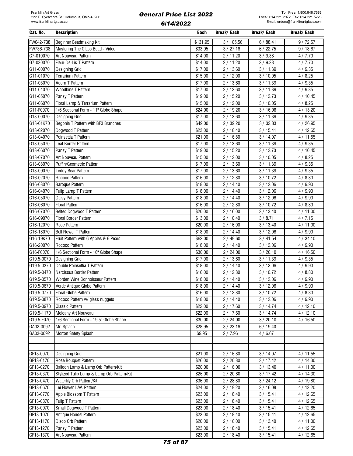| Cat. No.   | <b>Description</b>                         | Each     | <b>Break/Each</b>     | Break/ Each | Break/ Each |
|------------|--------------------------------------------|----------|-----------------------|-------------|-------------|
| FW642-738  | Beginner Beadmaking Kit                    | \$131.95 | 3/105.56              | 6/88.41     | 9/72.57     |
| FW736-738  | Mastering The Glass Bead - Video           | \$33.95  | $\frac{1}{3}$ / 27.16 | 6/22.75     | 9/18.67     |
| G7-010070  | Art Nouveau Pattern                        | \$14.00  | 2/11.20               | 3/9.38      | 4/7.70      |
| G7-030070  | Fleur-De-Lis T Pattern                     | \$14.00  | 2/11.20               | 3/9.38      | 4/7.70      |
| G11-00070  | Designing Grid                             | \$17.00  | 2/13.60               | 3/11.39     | 4/9.35      |
| G11-01070  | Terrarium Pattern                          | \$15.00  | 2/12.00               | 3/10.05     | 4/8.25      |
| G11-03070  | Acorn T Pattern                            | \$17.00  | 2/13.60               | 3/11.39     | 4/9.35      |
| G11-04070  | Woodbine T Pattern                         | \$17.00  | 2/13.60               | 3/11.39     | 4/9.35      |
| G11-05070  | Pansy T Pattern                            | \$19.00  | 2/15.20               | 3/12.73     | 4/10.45     |
| G11-06070  | Floral Lamp & Terrarium Pattern            | \$15.00  | 2/12.00               | 3/10.05     | 4/8.25      |
| G11-F0070  | 1/6 Sectional Form - 11" Globe Shape       | \$24.00  | 2/19.20               | 3/16.08     | 4/13.20     |
| G13-00070  | Designing Grid                             | \$17.00  | 2/13.60               | 3/11.39     | 4/9.35      |
| G13-01K70  | Begonia T Pattern with BF3 Branches        | \$49.00  | 2/39.20               | 3 / 32.83   | 4/26.95     |
| G13-02070  | Dogwood T Pattern                          | \$23.00  | 2/18.40               | 3/15.41     | 4/12.65     |
| G13-04070  | Poinsettia T Pattern                       | \$21.00  | 2/16.80               | 3/14.07     | 4/11.55     |
| G13-05070  | Leaf Border Pattern                        | \$17.00  | 2/13.60               | 3/11.39     | 4/9.35      |
| G13-06070  | Pansy T Pattern                            | \$19.00  | 2/15.20               | 3/12.73     | 4/10.45     |
| G13-07070  | Art Nouveau Pattern                        | \$15.00  | 2/12.00               | 3/10.05     | 4/8.25      |
| G13-08070  | Puffin/Geometric Pattern                   | \$17.00  | 2/13.60               | 3/11.39     | 4/9.35      |
| G13-09070  | <b>Teddy Bear Pattern</b>                  | \$17.00  | 2/13.60               | 3/11.39     | 4/9.35      |
| G16-02070  | Rococo Pattern                             | \$16.00  | 2/12.80               | 3/10.72     | 4/8.80      |
| G16-03070  | <b>Baroque Pattern</b>                     | \$18.00  | 2/14.40               | 3/12.06     | 4/9.90      |
| G16-04070  | Tulip Lamp T Pattern                       | \$18.00  | 2/14.40               | 3/12.06     | 4/9.90      |
| G16-05070  | Daisy Pattern                              | \$18.00  | 2/14.40               | 3/12.06     | 4/9.90      |
| G16-06070  | <b>Floral Pattern</b>                      | \$16.00  | 2/12.80               | 3/10.72     | 4/8.80      |
| G16-07070  | Belted Dogwood T Pattern                   | \$20.00  | 2/16.00               | 3/13.40     | 4/11.00     |
| G16-09070  | <b>Floral Border Pattern</b>               | \$13.00  | 2/10.40               | 3/8.71      | 4/7.15      |
| G16-12070  | Rose Pattern                               | \$20.00  | 2/16.00               | 3/13.40     | 4/11.00     |
| G16-18070  | <b>Bell Flower T Pattern</b>               | \$18.00  | 2/14.40               | 3/12.06     | 4/9.90      |
| G16-19K70  | Fruit Pattern with 6 Apples & 6 Pears      | \$62.00  | 2/49.60               | 3/41.54     | 4/34.10     |
| G16-20070  | Rococo Pattern                             | \$18.00  | 2/14.40               | 3/12.06     | 4/9.90      |
| G16-F0070  | 1/6 Sectional Form - 16" Globe Shape       | \$30.00  | 2/24.00               | 3/20.10     | 4/16.50     |
| G19.5-0070 | Designing Grid                             | \$17.00  | 2/13.60               | 3/11.39     | 4/9.35      |
| G19.5-0370 | Double Poinsettia T Pattern                | \$18.00  | 2/14.40               | 3/12.06     | 4/9.90      |
| G19.5-0470 | Narcissus Border Pattern                   | \$16.00  | 2/12.80               | 3/10.72     | 4/8.80      |
| G19.5-0570 | Worden Wine Connoisseur Pattern            | \$18.00  | 2/14.40               | 3/12.06     | 4/9.90      |
| G19.5-0670 | Verde Antique Globe Pattern                | \$18.00  | 2/14.40               | 3/12.06     | 4/9.90      |
| G19.5-0770 | Floral Globe Pattern                       | \$16.00  | 2/12.80               | 3/10.72     | 4/8.80      |
| G19.5-0870 | Rococo Pattern w/ glass nuggets            | \$18.00  | 2/14.40               | 3/12.06     | 4/9.90      |
| G19.5-0970 | <b>Classic Pattern</b>                     | \$22.00  | 2/17.60               | 3/14.74     | 4/12.10     |
| G19.5-1170 | Molcany Art Nouveau                        | \$22.00  | 2/17.60               | 3/14.74     | 4/12.10     |
| G19.5-F070 | 1/6 Sectional Form - 19.5" Globe Shape     | \$30.00  | 2/24.00               | 3 / 20.10   | 4/16.50     |
| GA02-0092  | Mr. Splash                                 | \$28.95  | 3 / 23.16             | 6/19.40     |             |
| GA03-0092  | Morton Safety Splash                       | \$9.95   | 2/7.96                | 4/6.67      |             |
|            |                                            |          |                       |             |             |
|            |                                            |          |                       |             |             |
| GF13-0070  | Designing Grid                             | \$21.00  | 2/16.80               | 3/14.07     | 4/11.55     |
| GF13-0170  | Rose Bouquet Pattern                       | \$26.00  | 2/20.80               | 3/17.42     | 4/14.30     |
| GF13-0270  | Balloon Lamp & Lamp Orb Pattern/Kit        | \$20.00  | 2/16.00               | 3/13.40     | 4/11.00     |
| GF13-0370  | Stylized Tulip Lamp & Lamp Orb Pattern/Kit | \$26.00  | 2/20.80               | 3/17.42     | 4/14.30     |
| GF13-0470  | Waterlily Orb Pattern/Kit                  | \$36.00  | 2/28.80               | 3/24.12     | 4/19.80     |
| GF13-0670  | Lei Flower L.W. Pattern                    | \$24.00  | 2/19.20               | 3/16.08     | 4/13.20     |
| GF13-0770  | Apple Blossom T Pattern                    | \$23.00  | 2/18.40               | 3/15.41     | 4/12.65     |
| GF13-0870  | Tulip T Pattern                            | \$23.00  | 2/18.40               | 3/15.41     | 4/12.65     |
| GF13-0970  | Small Dogwood T Pattern                    | \$23.00  | 2/18.40               | 3/15.41     | 4/12.65     |
| GF13-1070  | Antique Handel Pattern                     | \$23.00  | 2/18.40               | 3/15.41     | 4/12.65     |
| GF13-1170  | Disco Orb Pattern                          | \$20.00  | 2/16.00               | 3/13.40     | 4/11.00     |
| GF13-1270  | Pansy T Pattern                            | \$23.00  | 2/18.40               | 3/15.41     | 4/12.65     |
| GF13-1370  | Art Nouveau Pattern                        | \$23.00  | 2/18.40               | 3/15.41     | 4/12.65     |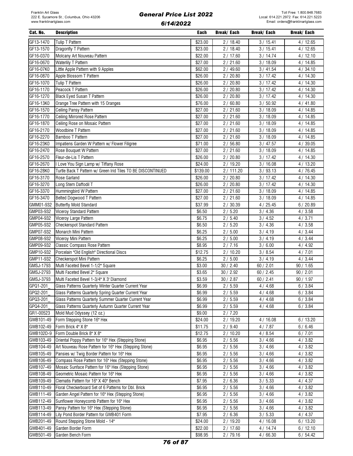| Cat. No.  | <b>Description</b>                                           | Each     | <b>Break/Each</b>    | Break/ Each | Break/ Each        |
|-----------|--------------------------------------------------------------|----------|----------------------|-------------|--------------------|
| GF13-1470 | Tulip T Pattern                                              | \$23.00  | 2/18.40              | 3/15.41     | 4/12.65            |
| GF13-1570 | Dragonfly T Pattern                                          | \$23.00  | 2/18.40              | 3/15.41     | 4/12.65            |
| GF16-0370 | Molcany Art Nouveau Pattern                                  | \$22.00  | 2/17.60              | 3/14.74     | 4/12.10            |
| GF16-0670 | Waterlily T Pattern                                          | \$27.00  | 2/21.60              | 3/18.09     | 4 / 14.85          |
| GF16-07K0 | Little Apple Pattern with 9 Apples                           | \$62.00  | 2 / 49.60            | 3/41.54     | 4/34.10            |
| GF16-0870 | Apple Blossom T Pattern                                      | \$26.00  | 2/20.80              | 3/17.42     | 4/14.30            |
| GF16-1070 | Tulip T Pattern                                              | \$26.00  | 2/20.80              | 3/17.42     | 4/14.30            |
| GF16-1170 | Peacock T Pattern                                            | \$26.00  | 2/20.80              | 3/17.42     | 4/14.30            |
| GF16-1270 | Black Eyed Susan T Pattern                                   | \$26.00  | 2/20.80              | 3/17.42     | 4/14.30            |
| GF16-13K0 | Orange Tree Pattern with 15 Oranges                          | \$76.00  | 2/60.80              | 3/50.92     | 4/41.80            |
| GF16-1570 | Ceiling Pansy Pattern                                        | \$27.00  | 2/21.60              | 3/18.09     | 4/14.85            |
| GF16-1770 | <b>Ceiling Mirrored Rose Pattern</b>                         | \$27.00  | 2/21.60              | 3/18.09     | 4/14.85            |
| GF16-1870 |                                                              | \$27.00  |                      | 3/18.09     |                    |
| GF16-2170 | Ceiling Rose on Mosaic Pattern<br>Woodbine T Pattern         | \$27.00  | 2/21.60<br>2/21.60   | 3/18.09     | 4/14.85<br>4/14.85 |
|           |                                                              |          |                      |             |                    |
| GF16-2270 | Bamboo T Pattern                                             | \$27.00  | 2/21.60              | 3/18.09     | 4/14.85            |
| GF16-23K0 | Impatiens Garden W Pattern w/ Flower Filigree                | \$71.00  | 2/56.80              | 3/47.57     | 4/39.05            |
| GF16-2470 | Rose Bouquet W Pattern                                       | \$27.00  | 2/21.60              | 3/18.09     | 4/14.85            |
| GF16-2570 | Fleur-de-Lis T Pattern                                       | \$26.00  | 2/20.80              | 3/17.42     | 4/14.30            |
| GF16-2670 | I Love You Sign Lamp w/ Tiffany Rose                         | \$24.00  | 2/19.20              | 3/16.08     | 4/13.20            |
| GF16-28K0 | Turtle Back T Pattern w/ Green Irid Tiles TO BE DISCONTINUED | \$139.00 | 2/111.20             | 3/93.13     | 4/76.45            |
| GF16-3170 | Rose Garland                                                 | \$26.00  | 2/20.80              | 3/17.42     | 4/14.30            |
| GF16-3270 | Long Stem Daffodil T                                         | \$26.00  | 2/20.80              | 3/17.42     | 4/14.30            |
| GF16-3370 | Hummingbird W Pattern                                        | \$27.00  | 2/21.60              | 3/18.09     | 4/14.85            |
| GF16-3470 | Belted Dogwood T Pattern                                     | \$27.00  | 2/21.60              | 3/18.09     | 4/14.85            |
| GMM01-932 | <b>Butterfly Mold Standard</b>                               | \$37.99  | 2/30.39              | 4/25.45     | 6/20.89            |
| GMP03-932 | <b>Viceroy Standard Pattern</b>                              | \$6.50   | 2/5.20               | 3/4.36      | 4/3.58             |
| GMP04-932 | Viceroy Large Pattern                                        | \$6.75   | 2/5.40               | 3/4.52      | 4/3.71             |
| GMP05-932 | Checkerspot Standard Pattern                                 | \$6.50   | 2/5.20               | 3/4.36      | 4/3.58             |
| GMP07-932 | Monarch Mini Pattern                                         | \$6.25   | 2/5.00               | 3/4.19      | 4/3.44             |
| GMP08-932 | Viceroy Mini Pattern                                         | \$6.25   | 2/5.00               | 3/4.19      | 4/3.44             |
| GMP09-932 | Classic Compass Rose Pattern                                 | \$8.95   | 2/7.16               | 3/6.00      | 4/4.92             |
| GMP10-932 | Porcelain "Old English" Directional Discs                    | \$12.75  | 2/10.20              | 3/8.54      | 4/7.01             |
| GMP11-932 | Checkerspot Mini Pattern                                     | \$6.25   | 2/5.00               | 3/4.19      | 4/3.44             |
| GMSJ-1793 | Multi Faceted Bevel 1-1/2" Square                            | \$3.00   | 30 / 2.40            | 60 / 2.01   | 90 / 1.65          |
| GMSJ-2793 | Multi Faceted Bevel 2" Square                                | \$3.65   | 30 / 2.92            | 60 / 2.45   | 90 / 2.01          |
| GMSJ-3793 | Multi Faceted Bevel 1-3/4" X 3' Diamond                      | \$3.59   | 30 / 2.87            | 60 / 2.41   | 90/1.97            |
| GPQ1-201  | Glass Patterns Quarterly Winter Quarter Current Year         | \$6.99   | 2/5.59               | 4/4.68      | 6/3.84             |
| GPQ2-201  | Glass Patterns Quarterly Spring Quarter Current Year         | \$6.99   | 2/5.59               | 4/4.68      | 6/3.84             |
| GPQ3-201  | Glass Patterns Quarterly Summer Quarter Current Year         | \$6.99   | 2/5.59               | 4/4.68      | 6/3.84             |
| GPQ4-201  | Glass Patterns Quarterly Autumn Quarter Current Year         | \$6.99   | 2/5.59               | 4/4.68      | 6/3.84             |
| GR1-00523 | Mold Mud Odyssey (12 oz.)                                    | \$9.00   | 2/7.20               |             |                    |
| GWB101-49 | Form Stepping Stone 16" Hex                                  | \$24.00  | 2 / 19.20            | 4/16.08     | 6/13.20            |
| GWB102-49 | Form Brick 4" X 8"                                           | \$11.75  | 2/9.40               | 4/7.87      | 6/6.46             |
| GWB102D-9 | Form Double Brick 8" X 8"                                    | \$12.75  | 2/10.20              | 4/8.54      | 6/7.01             |
| GWB103-49 | Oriental Poppy Pattern for 16" Hex (Stepping Stone)          | \$6.95   | 2/5.56               | 3/4.66      | 4/3.82             |
| GWB104-49 | Art Nouveau Rose Pattern for 16" Hex (Stepping Stone)        | \$6.95   | 2/5.56               | 3/4.66      | 4/3.82             |
| GWB105-49 | Pansies w/ Twig Border Pattern for 16" Hex                   | \$6.95   | 2/5.56               | 3/4.66      | 4/3.82             |
| GWB106-49 | Compass Rose Pattern for 16" Hex (Stepping Stone)            | \$6.95   | 2/5.56               | 3/4.66      | 4/3.82             |
| GWB107-49 | Mosaic Sunface Pattern for 16" Hex (Stepping Stone)          | \$6.95   | 2/5.56               | 3/4.66      | 4/3.82             |
| GWB108-49 | Geometric Mosaic Pattern for 16" Hex                         | \$6.95   | 2/5.56               | 3/4.66      | 4/3.82             |
| GWB109-49 | Clematis Pattern for 16" X 40" Bench                         | \$7.95   | 2/6.36               | 3/5.33      | 4/4.37             |
| GWB110-49 | Floral Checkerboard Set of 6 Patterns for Dbl. Brick         | \$6.95   | 2/5.56               | 3/4.66      | 4/3.82             |
| GWB111-49 | Garden Angel Pattern for 16" Hex (Stepping Stone)            | \$6.95   | 2/5.56               | 3/4.66      | 4/3.82             |
| GWB112-49 | Sunflower Honeycomb Pattern for 16" Hex                      | \$6.95   | 2/5.56               | 3/4.66      | 4/3.82             |
| GWB113-49 | Pansy Pattern for 16" Hex (Stepping Stone)                   | \$6.95   | 2/5.56               | 3/4.66      | 4/3.82             |
| GWB114-49 | Lily Pond Border Pattern for GWB401 Form                     | \$7.95   | 2/6.36               | 3 / 5.33    | 4/4.37             |
| GWB201-49 | Round Stepping Stone Mold - 14"                              | \$24.00  |                      | 4/16.08     |                    |
| GWB401-49 | Garden Border Form                                           | \$22.00  | 2 / 19.20<br>2/17.60 | 4/14.74     | 6/13.20<br>6/12.10 |
| GWB501-49 | Garden Bench Form                                            | \$98.95  | 2 / 79.16            | 4/66.30     | 6/54.42            |
|           |                                                              |          |                      |             |                    |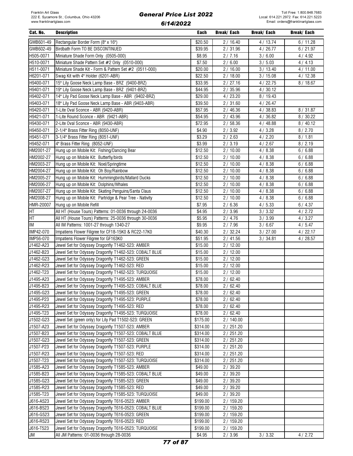| Cat. No.  | <b>Description</b>                                      | Each     | Break/ Each        | Break/ Each | Break/ Each |
|-----------|---------------------------------------------------------|----------|--------------------|-------------|-------------|
| GWB601-49 | Rectangular Border Form (8" x 16")                      | \$20.50  | 2/16.40            | 4 / 13.74   | 6/11.28     |
| GWB602-49 | Birdbath Form TO BE DISCONTINUED                        | \$39.95  | 2/31.96            | 4/26.77     | 6/21.97     |
| H505-0071 | Miniature Shade Form Only (0505-000)                    | \$8.95   | 2/7.16             | 3/6.00      | 4/4.92      |
| H510-0071 | Miniature Shade Pattern Set #2 Only (0510-000)          | \$7.50   | 2/6.00             | 3/5.03      | 4/4.13      |
| H511-0071 | Miniature Shade Kit - Form & Pattern Set #2 (0511-000)  | \$20.00  | 2/16.00            | 3/13.40     | 4/11.00     |
| H6201-071 | Swag Kit with 4" Holder (6201-ABR)                      | \$22.50  | 2/18.00            | 3/15.08     | 4/12.38     |
| H9400-071 |                                                         | \$33.95  |                    |             |             |
|           | 15" Lily Goose Neck Lamp Base - BRZ (9400-BRZ)          |          | 2/27.16            | 4/22.75     | 8/18.67     |
| H9401-071 | 19" Lily Goose Neck Lamp Base - BRZ (9401-BRZ)          | \$44.95  | 2/35.96            | 4/30.12     |             |
| H9402-071 | 14" Lily Pad Goose Neck Lamp Base - ABR (9402-BRZ)      | \$29.00  | 4/23.20            | 8 / 19.43   |             |
| H9403-071 | 18" Lily Pad Goose Neck Lamp Base - ABR (9403-ABR)      | \$39.50  | 2/31.60            | 4/26.47     |             |
| H9420-071 | 1-Lite Oval Sconce - ABR (9420-ABR)                     | \$57.95  | 2/46.36            | 4/38.83     | 8/31.87     |
| H9421-071 | 1-Lite Round Sconce - ABR (9421-ABR)                    | \$54.95  | 2/43.96            | 4/36.82     | 8/30.22     |
| H9430-071 | 2-Lite Oval Sconce - ABR (9430-ABR)                     | \$72.95  | 2/58.36            | 4/48.88     | 8/40.12     |
| H9450-071 | 2-1/4" Brass Fitter Ring (8050-UNF)                     | \$4.90   | 2/3.92             | 4/3.28      | 8/2.70      |
| H9451-071 | 3-1/4" Brass Fitter Ring (8051-UNF)                     | \$3.29   | 2/2.63             | 4/2.20      | 8/1.81      |
| H9452-071 | 4" Brass Fitter Ring (8052-UNF)                         | \$3.99   | 2/3.19             | 4/2.67      | 8/2.19      |
| HM2001-27 | Hung up on Mobile Kit: Fishing/Dancing Bear             | \$12.50  | 2/10.00            | 4/8.38      | 6/6.88      |
| HM2002-27 | Hung up on Mobile Kit: Butterfly/birds                  | \$12.50  | 2/10.00            | 4/8.38      | 6/6.88      |
| HM2003-27 | Hung up on Mobile Kit: Noel/Springtime                  | \$12.50  | 2/10.00            | 4/8.38      | 6/6.88      |
| HM2004-27 | Hung up on Mobile Kit: Oh Boy/Rainbow                   | \$12.50  | 2/10.00            | 4/8.38      | 6/6.88      |
| HM2005-27 | Hung up on Mobile Kit: Hummingbirds/Mallard Ducks       | \$12.50  | 2/10.00            | 4/8.38      | 6/6.88      |
| HM2006-27 | Hung up on Mobile Kit: Dolphins/Whales                  | \$12.50  | 2/10.00            | 4/8.38      | 6/6.88      |
| HM2007-27 | Hung up on Mobile Kit: Skating Penguins/Santa Claus     | \$12.50  | 2/10.00            | 4/8.38      | 6/6.88      |
| HM2008-27 | Hung up on Mobile Kit: Partridge & Pear Tree - Nativity | \$12.50  | 2/10.00            | 4/8.38      | 6/6.88      |
| HMR-20007 | Hung up on Mobile Refill                                | \$7.95   | 2/6.36             | 4/5.33      | 6/4.37      |
| HT        | All HT (House Tours) Patterns: 01-0036 through 24-0036  | \$4.95   | 2/3.96             | 3/3.32      | 4/2.72      |
| HT        | All HT (House Tours) Patterns: 25-0036 through 30-0036  | \$5.95   | 2/4.76             | 3 / 3.99    | 4/3.27      |
| IM        | All IM Patterns: 1001-27 through 1340-27                | \$9.95   | 2/7.96             | 3/6.67      | 4/5.47      |
| IMP42-070 | Impatiens Flower Filigree for CF18-15K0 & RC22-17K0     | \$40.30  | 2/32.24            | 3 / 27.00   | 4/22.17     |
| IMP56-070 | Impatiens Flower Filigree for GF163K0                   | \$51.95  | 2 / 41.56          | 3 / 34.81   | 4/28.57     |
| J1462-A23 | Jewel Set for Odyssey Dragonfly T1462-523: AMBER        | \$15.00  | 2/12.00            |             |             |
| J1462-B23 | Jewel Set for Odyssey Dragonfly T1462-523: COBALT BLUE  | \$15.00  | 2/12.00            |             |             |
| J1462-G23 | Jewel Set for Odyssey Dragonfly T1462-523: GREEN        | \$15.00  | 2/12.00            |             |             |
| J1462-R23 | Jewel Set for Odyssey Dragonfly T1462-523: RED          | \$15.00  | 2/12.00            |             |             |
| J1462-T23 | Jewel Set for Odyssey Dragonfly T1462-523: TURQUOISE    | \$15.00  | 2/12.00            |             |             |
| J1495-A23 | Jewel Set for Odyssey Dragonfly T1495-523: AMBER        | \$78.00  | 2/62.40            |             |             |
| J1495-B23 | Jewel Set for Odyssey Dragonfly T1495-523: COBALT BLUE  | \$78.00  | 2/62.40            |             |             |
| J1495-G23 | Jewel Set for Odyssey Dragonfly T1495-523: GREEN        | \$78.00  |                    |             |             |
| J1495-P23 |                                                         |          | 2/62.40<br>2/62.40 |             |             |
|           | Jewel Set for Odyssey Dragonfly T1495-523: PURPLE       | \$78.00  |                    |             |             |
| J1495-R23 | Jewel Set for Odyssey Dragonfly T1495-523: RED          | \$78.00  | 2/62.40            |             |             |
| J1495-T23 | Jewel Set for Odyssey Dragonfly T1495-523: TURQUOISE    | \$78.00  | 2/62.40            |             |             |
| J1502-G23 | Jewel Set (green only) for Lily Pad T1502-523: GREEN    | \$175.00 | 2/140.00           |             |             |
| J1507-A23 | Jewel Set for Odyssey Dragonfly T1507-523: AMBER        | \$314.00 | 2/251.20           |             |             |
| J1507-B23 | Jewel Set for Odyssey Dragonfly T1507-523: COBALT BLUE  | \$314.00 | 2/251.20           |             |             |
| J1507-G23 | Jewel Set for Odyssey Dragonfly T1507-523: GREEN        | \$314.00 | 2/251.20           |             |             |
| J1507-P23 | Jewel Set for Odyssey Dragonfly T1507-523: PURPLE       | \$314.00 | 2/251.20           |             |             |
| J1507-R23 | Jewel Set for Odyssey Dragonfly T1507-523: RED          | \$314.00 | 2/251.20           |             |             |
| J1507-T23 | Jewel Set for Odyssey Dragonfly T1507-523: TURQUOISE    | \$314.00 | 2/251.20           |             |             |
| J1585-A23 | Jewel Set for Odyssey Dragonfly T1585-523: AMBER        | \$49.00  | 2/39.20            |             |             |
| J1585-B23 | Jewel Set for Odyssey Dragonfly T1585-523: COBALT BLUE  | \$49.00  | 2/39.20            |             |             |
| J1585-G23 | Jewel Set for Odyssey Dragonfly T1585-523: GREEN        | \$49.00  | 2/39.20            |             |             |
| J1585-R23 | Jewel Set for Odyssey Dragonfly T1585-523: RED          | \$49.00  | 2/39.20            |             |             |
| J1585-T23 | Jewel Set for Odyssey Dragonfly T1585-523: TURQUOISE    | \$49.00  | 2/39.20            |             |             |
| J616-A523 | Jewel Set for Odyssey Dragonfly T616-0523: AMBER        | \$199.00 | 2/159.20           |             |             |
| J616-B523 | Jewel Set for Odyssey Dragonfly T616-0523: COBALT BLUE  | \$199.00 | 2/159.20           |             |             |
| J616-G523 | Jewel Set for Odyssey Dragonfly T616-0523: GREEN        | \$199.00 | 2/159.20           |             |             |
| J616-R523 | Jewel Set for Odyssey Dragonfly T616-0523: RED          | \$199.00 | 2/159.20           |             |             |
| J616-T523 | Jewel Set for Odyssey Dragonfly T616-0523: TURQUOISE    | \$199.00 | 2/159.20           |             |             |
| JM        | All JM Patterns: 01-0036 through 28-0036                | \$4.95   | 2/3.96             | 3 / 3.32    | 4/2.72      |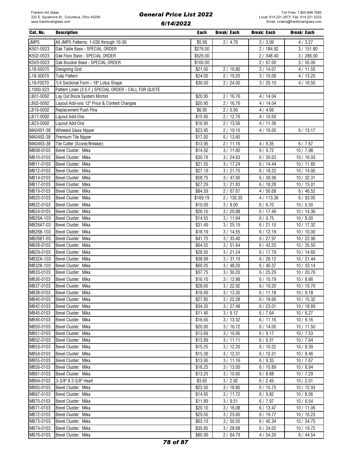| Cat. No.    | <b>Description</b>                                    | Each     | Break/ Each | Break/ Each | Break/ Each           |
|-------------|-------------------------------------------------------|----------|-------------|-------------|-----------------------|
| <b>JMPS</b> | All JMPS Patterns: 1-036 through 16-36                | \$5.95   | 2/4.76      | 3/3.99      | 4/3.27                |
| K501-0523   | Oak Table Base - SPECIAL ORDER                        | \$276.00 |             | 2 / 184.92  | 3/151.80              |
| K502-0523   | Oak Floor Base - SPECIAL ORDER                        | \$520.00 |             | 2/348.40    | 3/286.00              |
| K503-0523   | Oak Boudoir Base - SPECIAL ORDER                      | \$100.00 |             | 2/67.00     | 3/55.00               |
| L18-00070   | Designing Grid                                        | \$21.00  | 2/16.80     | 3/14.07     | 4/11.55               |
| L18-30070   | <b>Tulip Pattern</b>                                  | \$24.00  | 2 / 19.20   | 3/16.08     | 4/13.20               |
|             |                                                       |          |             |             |                       |
| L18-F0070   | 1/4 Sectional Form - 18" Lotus Shape                  | \$30.00  | 2/24.00     | 3/20.10     | 4/16.50               |
| L1000-523   | Pattern Linen (3 S.F.) SPECIAL ORDER - CALL FOR QUOTE |          |             |             |                       |
| LB01-0092   | Lay Out Block System Morton                           | \$20.95  | 2/16.76     | 4/14.04     |                       |
| LB02-0092   | Layout Add-ons 12" Price & Content Changes            | \$20.95  | 2/16.76     | 4/14.04     |                       |
| LB16-0092   | <b>Replacement Push Pins</b>                          | \$6.95   | 2/5.56      | 4/4.66      |                       |
| LB17-0092   | Layout Add-Ons                                        | \$15.95  | 2/12.76     | 4/10.69     |                       |
| LB23-0092   | Layout Add-Ons                                        | \$16.95  | 2/13.56     | 4/11.36     |                       |
| MA0491-38   | <b>Wheeled Glass Nipper</b>                           | \$23.95  | 2/19.16     | 4/16.05     | 6/13.17               |
| MA0492-38   | Premium Tile Nipper                                   | \$17.00  | 6/13.60     |             |                       |
| MA0493-38   | Tile Cutter (Scorer/Breaker)                          | \$13.95  | 2/11.16     | 4/9.35      | 6/7.67                |
| MB08-0103   | Bevel Cluster: Mika                                   | \$14.50  | 3/11.60     | 6/9.72      | 10/7.98               |
| MB10-0103   | Bevel Cluster: Mika                                   | \$30.79  | 3 / 24.63   | 6/20.63     | 10 / 16.93            |
| MB11-0103   | Bevel Cluster: Mika                                   | \$21.55  | 3/17.24     | 6/14.44     | 10/11.85              |
| MB12-0103   | Bevel Cluster: Mika                                   | \$27.19  | 3 / 21.75   | 6/18.22     | 10 / 14.95            |
| MB14-0103   | Bevel Cluster: Mika                                   | \$58.75  | 3/47.00     | 6/39.36     | 10/32.31              |
| MB17-0103   | Bevel Cluster: Mika                                   | \$27.29  | 3 / 21.83   | 6/18.28     | 10/15.01              |
| MB19-0103   | Bevel Cluster: Mika                                   | \$84.59  | 2/67.67     | 4/56.68     | 6/46.52               |
| MB20-0103   | Bevel Cluster: Mika                                   | \$169.19 | 2/135.35    | 4/113.36    | 6/93.05               |
| MB22-0103   | Bevel Cluster: Mika                                   | \$10.00  | 3/8.00      | 6/6.70      | 10/5.50               |
| MB24-0103   | Bevel Cluster: Mika                                   | \$26.10  | 3 / 20.88   | 6/17.49     | 10 / 14.36            |
| MB26A-103   | Bevel Cluster: Mika                                   | \$14.55  | 3/11.64     | 6/9.75      | 10/8.00               |
| MB26AT-03   | Bevel Cluster: Mika                                   | \$31.49  | 3 / 25.19   | 6/21.10     | 10 / 17.32            |
| MB26B-103   | Bevel Cluster: Mika                                   | \$18.19  | 3 / 14.55   | 6/12.19     | 10/10.00              |
| MB26BT-03   | Bevel Cluster: Mika                                   | \$41.75  | 3 / 33.40   | 6/27.97     | 10 / 22.96            |
| MB28-0103   | Bevel Cluster: Mika                                   | \$64.55  | 3/51.64     | 6/43.25     | 10/35.50              |
| MB29-0103   | Bevel Cluster: Mika                                   | \$26.55  | 3 / 21.24   | 6/17.79     | 10/14.60              |
| MB32A-103   | Bevel Cluster: Mika                                   | \$38.99  | 3 / 31.19   | 6/26.12     | 10 / 21.44            |
| MB32B-103   | Bevel Cluster: Mika                                   | \$60.25  | 3 / 48.20   | 6/40.37     | 10/33.14              |
| MB33-0103   | Bevel Cluster: Mika                                   | \$37.75  | 3 / 30.20   | 6/25.29     | 10 / 20.76            |
| MB36-0103   |                                                       |          |             |             |                       |
|             | Bevel Cluster: Mika                                   | \$16.10  | 3/12.88     | 6/10.79     | 10/8.86<br>10 / 15.76 |
| MB37-0103   | Bevel Cluster: Mika                                   | \$28.65  | 3 / 22.92   | 6/19.20     |                       |
| MB38-0103   | Bevel Cluster: Mika                                   | \$16.69  | 3/13.35     | 6/11.18     | 10/9.18               |
| MB40-0103   | Bevel Cluster: Mika                                   | \$27.85  | 3/22.28     | 6/18.66     | 10/15.32              |
| MB42-0103   | Bevel Cluster: Mika                                   | \$34.35  | 3 / 27.48   | 6/23.01     | 10/18.89              |
| MB45-0103   | Bevel Cluster: Mika                                   | \$11.40  | 3 / 9.12    | 6/7.64      | 10/6.27               |
| MB46-0103   | Bevel Cluster: Mika                                   | \$16.65  | 3/13.32     | 6/11.16     | 10/9.16               |
| MB50-0103   | Bevel Cluster: Mika                                   | \$20.90  | 3/16.72     | 6/14.00     | 10/11.50              |
| MB51-0103   | Bevel Cluster: Mika                                   | \$13.69  | 3/10.95     | 6/9.17      | 10/7.53               |
| MB52-0103   | Bevel Cluster: Mika                                   | \$13.89  | 3/11.11     | 6/9.31      | 10/7.64               |
| MB53-0103   | Bevel Cluster: Mika                                   | \$15.25  | 3/12.20     | 6/10.22     | 10/8.39               |
| MB54-0103   | Bevel Cluster: Mika                                   | \$15.39  | 3/12.31     | 6/10.31     | 10/8.46               |
| MB55-0103   | Bevel Cluster: Mika                                   | \$13.95  | 3/11.16     | 6/9.35      | 10/7.67               |
| MB56-0103   | Bevel Cluster: Mika                                   | \$16.25  | 3/13.00     | 6/10.89     | 10/8.94               |
| MB61-0103   | Bevel Cluster: Mika                                   | \$13.25  | 3/10.60     | 6/8.88      | 10/7.29               |
| MB64-0103   | 3-3/8" X 2-5/8" Heart                                 | \$3.65   | 3 / 2.92    | 6/2.45      | 10/2.01               |
| MB65-0103   | Bevel Cluster: Mika                                   | \$23.50  | 3/18.80     | 6/15.75     | 10/12.93              |
| MB67-0103   | Bevel Cluster: Mika                                   | \$14.65  | 3/11.72     | 6/9.82      | 10/8.06               |
| MB70-0103   | Bevel Cluster: Mika                                   | \$11.89  | 3 / 9.51    | 6/7.97      | 10/6.54               |
| MB71-0103   | Bevel Cluster: Mika                                   | \$20.10  | 3/16.08     | 6/13.47     | 10 / 11.06            |
| MB72-0103   | Bevel Cluster: Mika                                   | \$29.50  | 3 / 23.60   | 6/19.77     | 10/16.23              |
| MB73-0103   | Bevel Cluster: Mika                                   | \$63.19  | 3/50.55     | 6/42.34     | 10/34.75              |
| MB74-0103   | Bevel Cluster: Mika                                   | \$35.85  | 3 / 28.68   | 6/24.02     | 10 / 19.72            |
| MB76-0103   | Bevel Cluster: Mika                                   | \$80.99  | 2 / 64.79   | 4/54.26     | 6/44.54               |
|             |                                                       |          |             |             |                       |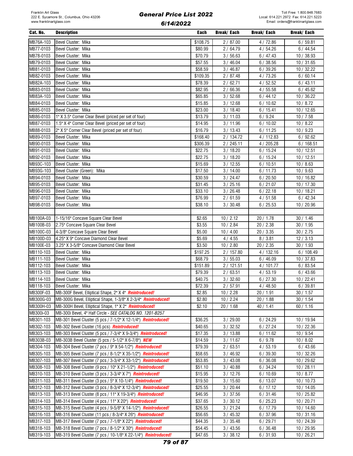#### Cat. No. Description Each Break/ Each Break/ Each Break/ Each MB76A-103 Bevel Cluster: Mika \$108.75 2 / 87.00 4 / 72.86 6 / 59.81 MB77-0103 Bevel Cluster: Mika \$80.99 2 / 64.79 4 / 54.26 6 / 44.54 MB78-0103 Bevel Cluster: Mika \$70.79 3 / 56.63 6 / 47.43 10 / 38.93 MB79-0103 Bevel Cluster: Mika \$57.55 3 / 46.04 6 / 38.56 10 / 31.65 MB81-0103 Bevel Cluster: Mika \$58.59 3 / 46.87 6 / 39.26 10 / 32.22 MB82-0103 Bevel Cluster: Mika \$109.35 2 / 87.48 4 / 73.26 6 / 60.14 MB82A-103 Bevel Cluster: Mika \$78.39 2 / 62.71 4 / 52.52 6 / 43.11 MB83-0103 Bevel Cluster: Mika \$82.95 2 / 66.36 4 / 55.58 6 / 45.62 MB83A-103 Bevel Cluster: Mika \$65.85 3 / 52.68 6 / 44.12 10 / 36.22 MB84-0103 Bevel Cluster: Mika \$15.85 3 / 12.68 6 / 10.62 10 / 8.72 MB85-0103 Bevel Cluster: Mika \$23.00 3 / 18.40 6 / 15.41 10 / 12.65 MB86-0103 1" X 3.5" Corner Clear Bevel (priced per set of four) \$13.79 3 / 11.03 6 / 9.24 10 / 7.58 MB87-0103 1.5" X 4" Corner Clear Bevel (priced per set of four) \$14.95 3/ 11.96 6/ 10.02 10/ 8.22 MB88-0103 2" X 5" Corner Clear Bevel (priced per set of four)  $$16.79$  3/ 13.43 6/ 11.25 6/ 11.25 10/ 9.23 MB89-0103 Bevel Cluster: Mika \$168.40 2 / 134.72 4 / 112.83 6 / 92.62 MB90-0103 Bevel Cluster: Mika \$306.39 2 / 245.11 4 / 205.28 6 / 168.51 MB91-0103 Bevel Cluster: Mika \$22.75 3 / 18.20 6 / 15.24 10 / 12.51 MB92-0103 Bevel Cluster: Mika \$22.75 3 / 18.20 6 / 15.24 10 / 12.51 MB93C-103 Bevel Cluster: Mika \$15.69 3 / 12.55 6 / 10.51 10 / 8.63 MB93G-103 Bevel Cluster (Green): Mika \$17.50 3/ 14.00 6/ 11.73 10/ 9.63 MB94-0103 Bevel Cluster: Mika \$30.59 3 / 24.47 6 / 20.50 10 / 16.82 MB95-0103 Bevel Cluster: Mika \$31.45 3 / 25.16 6 / 21.07 10 / 17.30 MB96-0103 Bevel Cluster: Mika \$33.10 3 / 26.48 6 / 22.18 10 / 18.21 MB97-0103 Bevel Cluster: Mika \$76.99 2 / 61.59 4 / 51.58 6 / 42.34 MB98-0103 Bevel Cluster: Mika \$38.10 3 / 30.48 6 / 25.53 10 / 20.96 MB100A-03 1-15/16" Concave Square Clear Bevel 6 10 / 2.12 20 / 1.78 30 / 1.46 MB100B-03 2.75" Concave Square Clear Bevel \$3.55 10 / 2.84 20 / 2.38 30 / 1.95 MB100C-03 4-3/8" Concave Square Clear Bevel \$5.00 1 \$5.00 1 0 / 4.00 20 / 3.35 1 30 / 2.75 MB100D-03 4.25" X 9" Concave Diamond Clear Bevel \$5.69 3.5.69 4 / 4.55 8 / 3.81 12 / 3.13 MB100E-03 3.25" X 3-5/8" Concave Diamond Clear Bevel \$3.50 10 / 2.80 20 / 2.35 30 / 1.93 MB110-103 Bevel Cluster: Mika \$197.25 2 / 157.80 4 / 132.16 6 / 108.49 MB111-103 Bevel Cluster: Mika \$68.79 3 / 55.03 6 / 46.09 10 / 37.83 MB112-103 Bevel Cluster: Mika \$151.89 2 / 121.51 4 / 101.77 6 / 83.54 MB113-103 Bevel Cluster: Mika \$79.39 2 / 63.51 4 / 53.19 6 / 43.66 MB114-103 Bevel Cluster: Mika \$40.75 3 / 32.60 6 / 27.30 10 / 22.41 MB118-103 Bevel Cluster: Mika \$72.39 2 / 57.91 4 / 48.50 6 / 39.81 MB300F-03 MB-300F Bevel, Elliptical Shape, 2" X 4" *Reintroduced!* \$2.85 10 / 2.28 20 / 1.91 20 / 1.57 MB300G-03 MB-300G Bevel, Elliptical Shape, 1-3/8" X 2-3/4" *Reintroduced!* \$2.80 10 / 2.24 20 / 1.88 30 / 1.54 MB300H-03 MB-300H Bevel, Elliptical Shape, 1" X 2" *Reintroduced!* \$2.10 20 / 1.68 40 / 1.41 60 / 1.16 MB300i-03 MB-300i Bevel, 4" Half Circle - SEE CATALOG NO. 1201-B257 MB301-103 |MB-301 Bevel Cluster (5 pcs / 7-1/2" X 12-1/4") *Reintroduced!* \$36.25 | 3 / 29.00 | 6 / 24.29 | 10 / 19.94 MB302-103 MB-302 Bevel Cluster (16 pcs) *Reintroduced!* \$40.65 3 / 32.52 6 / 27.24 10 / 22.36 MB303-103 MB-303 Bevel Cluster (5 pcs / 7-3/4" X 9-3/4") *Reintroduced!* \$17.35 3 / 13.88 6 / 11.62 10 / 9.54 MB303B-03 |MB-303B Bevel Cluster (5 pcs / 5-1/2" X 6-7/8") *NEW* | \$14.59 | 3 / 11.67 | 6 / 9.78 | 10 / 8.02 MB304-103 MB-304 Bevel Cluster (7 pcs / 9" X 54-1/2") *Reintroduced!* \$79.39 2 / 63.51 4 / 53.19 6 / 43.66 MB305-103 MB-305 Bevel Cluster (7 pcs / 8-1/2" X 35-1/2") **Reintroduced!** \$58.65 3/46.92 6/39.30 10/32.26 MB307-103 MB-307 Bevel Cluster (7 pcs / 3-3/4" X 33-1/2") Reintroduced! \$53.85 3/ 43.08 6/ 36.08 10/ 29.62 MB308-103 |MB-308 Bevel Cluster (9 pcs / 10" X 21-1/2") *Reintroduced!* \$51.10 | 3/ 40.88 | 6/ 34.24 | 10/ 28.11 MB310-103 MB-310 Bevel Cluster (3 pcs / 3-3/4" X 7") **Reintroduced!** \$15.95 3 / 12.76 6 / 10.69 10 / 8.77 MB311-103 MB-311 Bevel Cluster (3 pcs / 5" X 10-1/4") *Reintroduced!* \$19.50 3 / 15.60 6 / 13.07 10 / 10.73 MB312-103 MB-312 Bevel Cluster (3 pcs / 8-3/4" X 12-3/4") *Reintroduced!* \$25.55 3 / 20.44 6 / 17.12 10 / 14.05 MB313-103 |MB-313 Bevel Cluster (8 pcs / 11" X 19-3/4") *Reintroduced!* \$46.95 3/ 37.56 6 / 31.46 10 / 25.82 MB314-103 MB-314 Bevel Cluster (4 pcs / 11" X 20") **Reintroduced!** \$37.65 \$37.65 3/ 30.12 \$37.65 10 / 20.71 MB315-103 MB-315 Bevel Cluster (4 pcs / 9-5/8" X 14-1/2") *Reintroduced!* \$26.55 3 / 21.24 6 / 17.79 10 / 14.60 MB316-103 |MB-316 Bevel Cluster (11 pcs / 8-3/4" X 26") *Reintroduced!* \$56.65 | 3 / 45.32 | 6 / 37.96 | 10 / 31.16 MB317-103 MB-317 Bevel Cluster (7 pcs / 7-1/8" X 22") *Reintroduced!* \$44.35 3 / 35.48 6 / 29.71 10 / 24.39 MB318-103 |MB-318 Bevel Cluster (7 pcs / 8-1/2" X 30") *Reintroduced!* | \$54.45 | 3 / 43.56 | 6 / 36.48 | 10 / 29.95 MB319-103 |MB-319 Bevel Cluster (7 pcs / 10-1/8" X 22-1/4") *Reintroduced!* \$47.65 | 3/ 38.12 | 6/ 31.93 | 10/ 26.21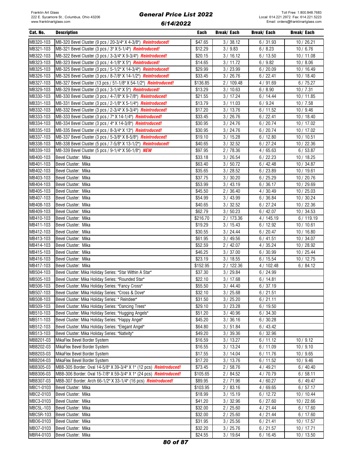| Cat. No.               | <b>Description</b>                                                                   | Each                | <b>Break/Each</b>  | Break/ Each        | <b>Break/Each</b>   |
|------------------------|--------------------------------------------------------------------------------------|---------------------|--------------------|--------------------|---------------------|
| MB320-103              | MB-320 Bevel Cluster (9 pcs / 20-3/4" X 4-3/8") Reintroduced!                        | \$47.65             | 3 / 38.12          | 6/31.93            | 10/26.21            |
| MB321-103              | MB-321 Bevel Cluster (3 pcs / 3" X 5-1/4") Reintroduced!                             | \$12.29             | 3/9.83             | 6/8.23             | 10/6.76             |
| MB322-103              | MB-322 Bevel Cluster (3 pcs / 3-3/4" X 9-3/4") Reintroduced!                         | \$20.15             | 3/16.12            | 6/13.50            | 10/11.08            |
| MB323-103              | MB-323 Bevel Cluster (3 pcs / 4-1/8" X 5") Reintroduced!                             | \$14.65             | 3/11.72            | 6/9.82             | 10/8.06             |
| MB325-103              | MB-325 Bevel Cluster (3 pcs / 5-1/2" X 14-3/4") Reintroduced!                        | \$29.99             | 3/23.99            | 6/20.09            | 10/16.49            |
| MB326-103              | MB-326 Bevel Cluster (3 pcs / 8-7/8" X 14-1/2") Reintroduced!                        | \$33.45             | 3/26.76            | 6/22.41            | 10/18.40            |
| MB327-103              | MB-327 Bevel Cluster (13 pcs / 51-1/8" X 54-1/2") Reintroduced!                      | \$136.85            | 2/109.48           | 4/91.69            | 6/75.27             |
| MB329-103              | MB-329 Bevel Cluster (3 pcs / 3-1/4" X 5") Reintroduced!                             | \$13.29             | 3/10.63            | 6/8.90             | 10/7.31             |
| MB330-103              | MB-330 Bevel Cluster (3 pcs / 4-7/8" X 9-7/8") Reintroduced!                         | \$21.55             | 3/17.24            | 6/14.44            | 10/11.85            |
| MB331-103              | MB-331 Bevel Cluster (3 pcs / 2-1/8" X 5-1/4") Reintroduced!                         | \$13.79             | 3 / 11.03          | 6/9.24             | 10/7.58             |
| MB332-103              | MB-332 Bevel Cluster (3 pcs / 2-3/4" X 9-3/4") Reintroduced!                         | \$17.20             | 3/13.76            | 6/11.52            | 10/9.46             |
| MB333-103              | MB-333 Bevel Cluster (3 pcs / 7" X 14-1/4") Reintroduced!                            | \$33.45             | 3 / 26.76          | 6/22.41            | 10/18.40            |
| MB334-103              | MB-334 Bevel Cluster (3 pcs / 4" X 14-3/8") Reintroduced!                            | \$30.95             | 3 / 24.76          | 6/20.74            | 10/17.02            |
| MB335-103              | MB-335 Bevel Cluster (4 pcs / 8-3/4" X 13") Reintroduced!                            | \$30.95             | 3 / 24.76          | 6/20.74            | 10/17.02            |
| MB337-103              | MB-337 Bevel Cluster (3 pcs / 5-3/8" X 8-5/8") Reintroduced!                         | \$19.10             | 3/15.28            | 6/12.80            | 10/10.51            |
| MB338-103              | MB-338 Bevel Cluster (5 pcs / 7-5/8" X 13-1/2") Reintroduced!                        | \$40.65             | 3 / 32.52          | 6/27.24            | 10/22.36            |
| MB339-103              | MB-339 Bevel Cluster (5 pcs / 9-1/4" X 56-1/8") NEW                                  | \$97.95             | 2/78.36            | 4/65.63            | 6/53.87             |
| MB400-103              | Bevel Cluster: Mika                                                                  | \$33.18             | 3 / 26.54          | 6/22.23            | 10/18.25            |
| MB401-103              | Bevel Cluster: Mika                                                                  | \$63.40             | 3/50.72            | 6/42.48            | 10/34.87            |
| MB402-103              | Bevel Cluster: Mika                                                                  | \$35.65             | 3 / 28.52          | 6/23.89            | 10/19.61            |
| MB403-103              | Bevel Cluster: Mika                                                                  | \$37.75             | 3 / 30.20          | 6/25.29            | 10/20.76            |
| MB404-103              | Bevel Cluster: Mika                                                                  | \$53.99             | 3/43.19            | 6/36.17            | 10 / 29.69          |
| MB405-103              | Bevel Cluster: Mika                                                                  | \$45.50             | 2/36.40            | 4/30.49            | 10/25.03            |
| MB407-103              | Bevel Cluster: Mika                                                                  | \$54.99             | 3/43.99            | 6/36.84            | 10/30.24            |
| MB408-103              | Bevel Cluster: Mika                                                                  | \$40.65             | 3 / 32.52          | 6/27.24            | 10/22.36            |
| MB409-103              | Bevel Cluster: Mika                                                                  | \$62.79             | 3 / 50.23          | 6/42.07            | 10/34.53            |
| MB410-103              | Bevel Cluster: Mika                                                                  | \$216.70            | 2/173.36           | 4 / 145.19         | 6/119.19            |
| MB411-103              | Bevel Cluster: Mika                                                                  | \$19.29             | 3/15.43            | 6/12.92            | 10/10.61            |
| MB412-103              | Bevel Cluster: Mika                                                                  | \$30.55             | 3/24.44            | 6/20.47            | 10/16.80            |
| MB413-103              | Bevel Cluster: Mika                                                                  | \$61.95             | 3/49.56            | 6/41.51            | 10/34.07            |
| MB414-103              | Bevel Cluster: Mika                                                                  | \$52.59             | 2/42.07            | 4/35.24            | 10 / 28.92          |
| MB415-103              | Bevel Cluster: Mika                                                                  | \$46.25             | 3 / 37.00          | 6/30.99            | 10/25.44            |
| MB416-103              | Bevel Cluster: Mika                                                                  | \$23.19             | 3/18.55            | 6/15.54            | 10/12.75            |
| MB417-103              | Bevel Cluster: Mika                                                                  | \$152.95            | 2/122.36           | 4/102.48           | 6/84.12             |
| MB504-103              | Bevel Cluster: Mika Holiday Series: "Star Within A Star"                             | \$37.30             | 3/29.84            | 6/24.99            |                     |
| MB505-103              | Bevel Cluster: Mika Holiday Series: "Rounded Star"                                   | \$22.10             | 3/17.68            | 6/14.81            |                     |
| MB506-103              | Bevel Cluster: Mika Holidav Series: "Fancy Cross"                                    | \$55.50             | 3/44.40            | 6/37.19            |                     |
| MB507-103              | Bevel Cluster: Mika Holiday Series: "Cross & Dove"                                   | \$32.10             | 3/25.68            | 6/21.51            |                     |
| MB508-103              | Bevel Cluster: Mika Holiday Series: " Reindeer"                                      | \$31.50             | 3 / 25.20          | 6/21.11            |                     |
| MB509-103              | Bevel Cluster: Mika Holiday Series: "Dancing Trees"                                  | \$29.10             | 3 / 23.28          | 6/19.50            |                     |
| MB510-103              | Bevel Cluster: Mika Holiday Series: "Hugging Angels"                                 | \$51.20             | 3/40.96            | 6/34.30            |                     |
| MB511-103              | Bevel Cluster: Mika Holiday Series: "Happy Angel"                                    | \$45.20             | 3/36.16            | 6/30.28            |                     |
| MB512-103              | Bevel Cluster: Mika Holiday Series: "Elegant Angel"                                  | \$64.80             | 3/51.84            | 6/43.42            |                     |
| MB513-103              | Bevel Cluster: Mika Holiday Series: "Nativity"                                       | \$49.20             | 3/39.36            | 6/32.96            |                     |
| MBB201-03              | MikaFlex Bevel Border System                                                         | \$16.59             | 3/13.27            | 6/11.12            | 10/9.12             |
| MBB202-03              | MikaFlex Bevel Border System                                                         | \$16.55             | 3/13.24            | 6/11.09            | 10/9.10             |
| MBB203-03              | MikaFlex Bevel Border System                                                         | \$17.55             | 3/14.04            | 6/11.76            | 10 / 9.65           |
| MBB204-03<br>MBB305-03 | MikaFlex Bevel Border System                                                         | \$17.20             | 3/13.76            | 6/11.52            | 10 / 9.46           |
| MBB306-03              | MBB-305 Border: Oval 14-5/8" X 39-3/4" X 1" (12 pcs) Reintroduced!                   | \$73.45             | 2/58.76            | 4/49.21            | 6/40.40             |
| MBB307-03              | MBB-306 Border: Oval 15-7/8" X 59-3/4" X 1" (24 pcs) Reintroduced!                   | \$105.65            | 2 / 84.52          | 4/70.79            | 6/58.11             |
| MBC1-0103              | MBB-307 Border: Arch 66-1/2" X 33-1/4" (16 pcs) Reintroduced!<br>Bevel Cluster: Mika | \$89.95<br>\$103.95 | 2 / 71.96          | 4/60.27            | 6/49.47             |
| MBC2-0103              | Bevel Cluster: Mika                                                                  | \$18.99             | 2/83.16<br>3/15.19 | 4/69.65<br>6/12.72 | 6/57.17<br>10/10.44 |
| MBC3-0103              | Bevel Cluster: Mika                                                                  | \$41.20             | 3 / 32.96          | 6/27.60            | 10/22.66            |
| MBC5L-103              | Bevel Cluster: Mika                                                                  | \$32.00             | 2/25.60            | 4 / 21.44          | 6/17.60             |
| MBC5R-103              | Bevel Cluster: Mika                                                                  | \$32.00             | 2/25.60            | 4 / 21.44          | 6/17.60             |
| MB06-0103              | Bevel Cluster: Mika                                                                  | \$31.95             | 3 / 25.56          | 6/21.41            | 10/17.57            |
| MB07-0103              | Bevel Cluster: Mika                                                                  | \$32.20             | 3/25.76            | 6/21.57            | 10/17.71            |
| MBR4-0103              | Bevel Cluster: Mika                                                                  | \$24.55             | 3 / 19.64          | 6/16.45            | 10 / 13.50          |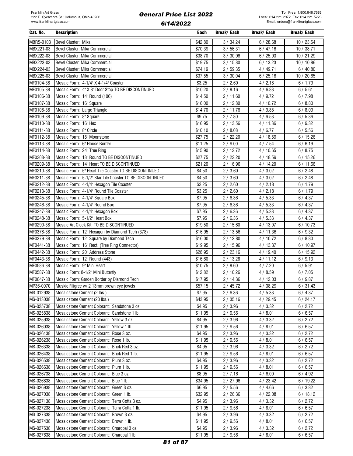| Cat. No.  | <b>Description</b>                                       | Each    | Break/ Each | Break/ Each | Break/ Each |
|-----------|----------------------------------------------------------|---------|-------------|-------------|-------------|
| MBR5-0103 | Bevel Cluster: Mika                                      | \$42.80 | 3 / 34.24   | 6/28.68     | 10 / 23.54  |
| MBX221-03 | Bevel Cluster: Mika Commercial                           | \$70.39 | 3 / 56.31   | 6/47.16     | 10/38.71    |
| MBX222-03 | Bevel Cluster: Mika Commercial                           | \$38.70 | 3/30.96     | 6/25.93     | 10 / 21.29  |
| MBX223-03 | Bevel Cluster: Mika Commercial                           | \$19.75 | 3/15.80     | 6/13.23     | 10 / 10.86  |
|           | Bevel Cluster: Mika Commercial                           |         |             |             |             |
| MBX224-03 |                                                          | \$74.19 | 2/59.35     | 4/49.71     | 6/40.80     |
| MBX225-03 | Bevel Cluster: Mika Commercial                           | \$37.55 | 3 / 30.04   | 6/25.16     | 10/20.65    |
| MF0104-38 | Mosaic Form: 4-1/4" X 4-1/4" Coaster                     | \$3.25  | 2/2.60      | 4/2.18      | 6/1.79      |
| MF0105-38 | Mosaic Form: 4" X 8" Door Stop TO BE DISCONTINUED        | \$10.20 | 2/8.16      | 4/6.83      | 6/5.61      |
| MF0106-38 | Mosaic Form: 14" Round (106)                             | \$14.50 | 2/11.60     | 4/9.72      | 6/7.98      |
| MF0107-38 | Mosaic Form: 16" Square                                  | \$16.00 | 2/12.80     | 4/10.72     | 6/8.80      |
| MF0108-38 | Mosaic Form: Large Triangle                              | \$14.70 | 2/11.76     | 4/9.85      | 6/8.09      |
| MF0109-38 | Mosaic Form: 8" Square                                   | \$9.75  | 2/7.80      | 4/6.53      | 6/5.36      |
| MF0110-38 | Mosaic Form: 16" Hex                                     | \$16.95 | 2/13.56     | 4/11.36     | 6/9.32      |
| MF0111-38 | Mosaic Form: 8" Circle                                   | \$10.10 | 2/8.08      | 4/6.77      | 6/5.56      |
| MF0112-38 | Mosaic Form: 18" Moonstone                               | \$27.75 | 2/22.20     | 4/18.59     | 6/15.26     |
| MF0113-38 | Mosaic Form: 6" House Border                             | \$11.25 | 2/9.00      | 4/7.54      | 6/6.19      |
| MF0114-38 | Mosaic Form: 24" Tree Ring                               | \$15.90 | 2/12.72     | 4/10.65     | 6/8.75      |
| MF0208-38 | Mosaic Form: 18" Round TO BE DISCONTINUED                | \$27.75 | 2/22.20     | 4/18.59     | 6/15.26     |
| MF0209-38 | Mosaic Form: 14" Heart TO BE DISCONTINUED                | \$21.20 | 2/16.96     | 4/14.20     | 6/11.66     |
| MF0210-38 | Mosaic Form: 5" Heart Tile Coaster TO BE DISCONTINUED    | \$4.50  | 2/3.60      | 4/3.02      | 6/2.48      |
|           |                                                          |         |             |             |             |
| MF0211-38 | Mosaic Form: 5-1/2" Star Tile Coaster TO BE DISCONTINUED | \$4.50  | 2/3.60      | 4/3.02      | 6/2.48      |
| MF0212-38 | Mosaic Form: 4-1/4" Hexagon Tile Coaster                 | \$3.25  | 2/2.60      | 4/2.18      | 6/1.79      |
| MF0213-38 | Mosaic Form: 4-1/4" Round Tile Coaster                   | \$3.25  | 2/2.60      | 4/2.18      | 6/1.79      |
| MF0245-38 | Mosaic Form: 4-1/4" Square Box                           | \$7.95  | 2/6.36      | 4/5.33      | 6/4.37      |
| MF0246-38 | Mosaic Form: 4-1/4" Round Box                            | \$7.95  | 2/6.36      | 4/5.33      | 6/4.37      |
| MF0247-38 | Mosaic Form: 4-1/4" Hexagon Box                          | \$7.95  | 2/6.36      | 4/5.33      | 6/4.37      |
| MF0248-38 | Mosaic Form: 5-1/2" Heart Box                            | \$7.95  | 2/6.36      | 4/5.33      | 6/4.37      |
| MF0290-38 | Mosaic Art Clock Kit TO BE DISCONTINUED                  | \$19.50 | 2/15.60     | 4/13.07     | 6/10.73     |
| MF0378-38 | Mosaic Form: 12" Hexagon by Diamond Tech (378)           | \$16.95 | 2/13.56     | 4/11.36     | 6/9.32      |
| MF0379-38 | Mosaic Form: 12" Square by Diamond Tech                  | \$16.00 | 2/12.80     | 4/10.72     | 6/8.80      |
| MF0441-38 | Mosaic Form: 16" Rect. (Tree Ring Connector)             | \$19.95 | 2/15.96     | 4/13.37     | 6/10.97     |
| MF0442-38 | Mosaic Form: 20" Address Stone                           | \$28.95 | 2/23.16     | 4/19.40     | 6/15.92     |
| MF0443-38 | Mosaic Form: 12" Round (443)                             | \$16.60 | 2/13.28     | 4/11.12     | 6/9.13      |
| MF0586-38 | Mosaic Form: 9" Mini Heart                               | \$10.75 | 2/8.60      | 4/7.20      | 6/5.91      |
| MF0587-38 | Mosaic Form: 8-1/2" Mini Butterfly                       | \$12.82 | 2/10.26     | 4/8.59      | 6/7.05      |
| MF0647-38 | Mosaic Form: Garden Border by Diamond Tech               | \$17.95 | 2/14.36     | 4/12.03     | 6/9.87      |
| MP36-0070 | Muskie Filigree w/ 2 13mm brown eye jewels               | \$57.15 | 2/45.72     | 4 / 38.29   | 6/31.43     |
|           |                                                          |         |             |             |             |
| MS-012938 | Mosaicstone Cement (2 lbs.)                              | \$7.95  | 2/6.36      | 4/5.33      | 6/4.37      |
| MS-013038 | Mosaicstone Cement (20 lbs.)                             | \$43.95 | 2/35.16     | 4/29.45     | 6/24.17     |
| MS-025738 | Mosaicstone Cement Colorant: Sandstone 3 oz.             | \$4.95  | 2/3.96      | 4/3.32      | 6/2.72      |
| MS-025838 | Mosaicstone Cement Colorant: Sandstone 1 lb.             | \$11.95 | 2/9.56      | 4/8.01      | 6/6.57      |
| MS-025938 | Mosaicstone Cement Colorant: Yellow 3 oz.                | \$4.95  | 2/3.96      | 4/3.32      | 6/2.72      |
| MS-026038 | Mosaicstone Cement Colorant: Yellow 1 lb.                | \$11.95 | 2/9.56      | 4/8.01      | 6/6.57      |
| MS-026138 | Mosaicstone Cement Colorant: Rose 3 oz.                  | \$4.95  | 2/3.96      | 4/3.32      | 6/2.72      |
| MS-026238 | Mosaicstone Cement Colorant: Rose 1 lb.                  | \$11.95 | 2/9.56      | 4/8.01      | 6/6.57      |
| MS-026338 | Mosaicstone Cement Colorant: Brick Red 3 oz.             | \$4.95  | 2/3.96      | 4/3.32      | 6/2.72      |
| MS-026438 | Mosaicstone Cement Colorant: Brick Red 1 lb.             | \$11.95 | 2/9.56      | 4/8.01      | 6/6.57      |
| MS-026538 | Mosaicstone Cement Colorant: Plum 3 oz.                  | \$4.95  | 2/3.96      | 4/3.32      | 6/2.72      |
| MS-026638 | Mosaicstone Cement Colorant: Plum 1 lb.                  | \$11.95 | 2/9.56      | 4/8.01      | 6/6.57      |
| MS-026738 | Mosaicstone Cement Colorant: Blue 3 oz.                  | \$8.95  | 2/7.16      | 4/6.00      | 6/4.92      |
| MS-026838 | Mosaicstone Cement Colorant: Blue 1 lb.                  | \$34.95 | 2/27.96     | 4/23.42     | 6/19.22     |
| MS-026938 | Mosaicstone Cement Colorant: Green 3 oz.                 | \$6.95  | 2/5.56      | 4/4.66      | 6/3.82      |
|           |                                                          |         |             |             |             |
| MS-027038 | Mosaicstone Cement Colorant: Green 1 lb.                 | \$32.95 | 2/26.36     | 4/22.08     | 6/18.12     |
| MS-027138 | Mosaicstone Cement Colorant: Terra Cotta 3 oz.           | \$4.95  | 2/3.96      | 4/3.32      | 6/2.72      |
| MS-027238 | Mosaicstone Cement Colorant: Terra Cotta 1 lb.           | \$11.95 | 2/9.56      | 4/8.01      | 6/6.57      |
| MS-027338 | Mosaicstone Cement Colorant: Brown 3 oz.                 | \$4.95  | 2/3.96      | 4/3.32      | 6/2.72      |
| MS-027438 | Mosaicstone Cement Colorant: Brown 1 lb.                 | \$11.95 | 2/9.56      | 4/8.01      | 6/6.57      |
| MS-027538 | Mosaicstone Cement Colorant: Charcoal 3 oz.              | \$4.95  | 2/3.96      | 4/3.32      | 6/2.72      |
| MS-027638 | Mosaicstone Cement Colorant: Charcoal 1 lb.              | \$11.95 | 2/9.56      | 4/8.01      | 6/6.57      |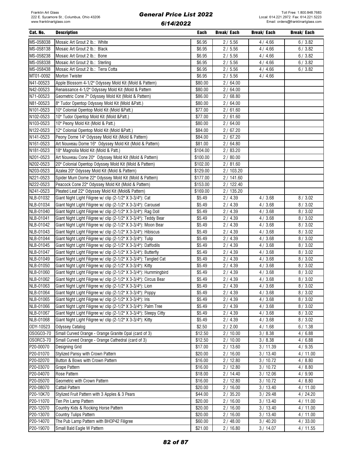#### Cat. No. Description Each Break/ Each Break/ Each Break/ Each MS-058038 Mosaic Art Grout 2 lb.: White \$6.95 2 / 5.56 4 / 4.66 6 / 3.82 MS-058138 Mosaic Art Grout 2 lb.: Black \$6.95 2 / 5.56 4 / 4.66 6 / 3.82 MS-058238 |Mosaic Art Grout 2 lb.: Bone \$6.95 2 / 5.56 2 / 5.56 4 / 4.66 6 / 3.82 MS-058338 Mosaic Art Grout 2 lb.: Sterling the state of the state of the state of the state of the state of the state of the state of the state of the state of the state of the state of the state of the state of the state MS-058438 Mosaic Art Grout 2 lb.: Terra Cotta **\$6.95 18.95 18.95 18.95** 2 / 5.56 18.95 4 / 4.66 6 / 3.82 MT01-0092 Morton Twister \$6.95 2 / 5.56 4 / 4.66 N41-00523 Apple Blossom 4-1/2" Odyssey Mold Kit (Mold & Pattern) \$80.00 360.00 2 / 64.00 N42-00523 Renaissance 4-1/2" Odyssey Mold Kit (Mold & Pattern  $\sim$  880.00 | 2/64.00 N71-00523 Geometric Cone 7" Odyssey Mold Kit (Mold & Pattern) | \$86.00 | 2/68.80 N81-00523 8" Tudor Opentop Odyssey Mold Kit (Mold &Patt.) \$80.00 2 / 64.00 N101-0523 10" Colonial Opentop Mold Kit (Mold &Patt.) 677.00 1 377.00 2 / 61.60 N102-0523 10" Tudor Opentop Mold Kit (Mold &Patt.) \$77.00 2 / 61.60 N103-0523 10" Peony Mold Kit (Mold & Patt.) \$80.00 \$80.00 2 / 64.00 N122-0523 12" Colonial Opentop Mold Kit (Mold &Patt.) \$84.00 2 / 67.20 N141-0523 Peony Dome 14" Odyssey Mold Kit (Mold & Pattern) \$84.00 \$84.00 2 / 67.20 N161-0523 Art Nouveau Dome 16" Odyssey Mold Kit (Mold & Pattern) \$81.00 2 / 64.80 N181-0523 18" Magnolia Mold Kit (Mold & Patt.) \$104.00 2 / 83.20 N201-0523 Art Nouveau Cone 20" Odyssey Mold Kit (Mold & Pattern) | \$100.00 | 2 / 80.00 N202-0523 20" Colonial Opentop Odyssey Mold Kit (Mold & Pattern) \$102.00 \$102.00 2 / 81.60 N203-0523 Azalea 20" Odyssey Mold Kit (Mold & Pattern) \$129.00 2 / 103.20 N221-0523 Spider Mum Dome 22" Odyssey Mold Kit (Mold & Pattern) \$177.00 3/ 141.60 N222-0523 Peacock Cone 22" Odyssey Mold Kit (Mold & Pattern) \$153.00 3/ 122.40 N241-0523 Pleated Leaf 22" Odyssey Mold Kit (Mold& Pattern) \$169.00 2 / 135.20 NLB-01032 Giant Night Light Filigree w/ clip (2-1/2" X 3-3/4"): Cat \$5.49 2 / 4.39 4 / 3.68 8 / 3.02 NLB-01034 Giant Night Light Filigree w/ clip (2-1/2" X 3-3/4"): Carousel \$5.49 2 / 4.39 4 / 3.68 8 / 3.02 NLB-01040 Giant Night Light Filigree w/ clip (2-1/2" X 3-3/4"): Rag Doll \$5.49 \$5.49 2 / 4.39 4 / 3.68 8 / 3.02 NLB-01041 Giant Night Light Filigree w/ clip (2-1/2" X 3-3/4"): Teddy Bear \$5.49 \$5.49 2 / 4.39 4 / 3.68 8 / 3.02 NLB-01042 Giant Night Light Filigree w/ clip (2-1/2" X 3-3/4"): Moon Bear **\$5.49 3.549 3.49 4 / 3.68 8 / 3.02** NLB-01043 Giant Night Light Filigree w/ clip (2-1/2" X 3-3/4"): Hibiscus 85.49 35.49 2 / 4.39 4 / 3.68 8 8 / 3.02 NLB-01044 Giant Night Light Filigree w/ clip (2-1/2" X 3-3/4"): Tulip \$5.49 2 / 4.39 4 / 3.68 8 / 3.02 NLB-01045 Giant Night Light Filigree w/ clip (2-1/2" X 3-3/4"): Daffodils \$5.49 2 / 4.39 4 / 3.68 8 / 3.02 NLB-01047 Giant Night Light Filigree w/ clip (2-1/2" X 3-3/4"): Butterfly **\$5.49** 55.49 2 / 4.39 4 / 3.68 8 8 / 3.02 NLB-01049 Giant Night Light Filigree w/ clip (2-1/2" X 3-3/4"): Tangled Cat \$5.49 2 / 4.39 4 / 3.68 8 / 3.02 NLB-01050 Giant Night Light Filigree w/ clip (2-1/2" X 3-3/4"): Kitty **\$5.49 8 / 3.59 / 3.02** 4 / 3.68 / 3.02 NLB-01060 Giant Night Light Filigree w/ clip (2-1/2" X 3-3/4"): Hummingbird  $\begin{array}{|l|}\n\hline\n\text{85.49} & 2 / 4.39 & 4 / 3.68 & 8 / 3.02\n\end{array}$ NLB-01062 Giant Night Light Filigree w/ clip (2-1/2" X 3-3/4"): Circus Bear \$5.49 2 / 4.39 4 / 3.68 8 / 3.02 NLB-01063 Giant Night Light Filigree w/ clip (2-1/2" X 3-3/4"): Lion \$5.49 2 / 4.39 4 / 3.68 8 / 3.02 NLB-01064 Giant Night Light Filigree w/ clip (2-1/2" X 3-3/4"): Poppy  $\begin{array}{|l} 8,49 & 2 / 4.39 & 4 / 3.68 & 8 / 3.02 \end{array}$ NLB-01065 Giant Night Light Filigree w/ clip (2-1/2" X 3-3/4"): Iris **\$5.49** 8.5.49 2 / 4.39 4 / 3.68 8 / 3.02 NLB-01066 Giant Night Light Filigree w/ clip (2-1/2" X 3-3/4"): Palm Tree \$5.49 \$5.49 2 / 4.39 4 / 3.68 8 / 3.02 NLB-01067 Giant Night Light Filigree w/ clip (2-1/2" X 3-3/4"): Sleepy Citty **\$5.49** 8.49 2 / 4.39 4 / 3.68 8 8 / 3.02 NLB-01068 Giant Night Light Filigree w/ clip (2-1/2" X 3-3/4"): Kitty  $\begin{array}{|l|}\n85.49 & 2 / 4.39 & 4 / 3.68 & 8 / 3.02\n\end{array}$ ODY-10523 Odyssey Catalog \$2.50 2 / 2.00 4 / 1.68 6 / 1.38 OSOGO3-70 Small Curved Orange - Orange Granite Opal (card of 3) \$12.50 2 / 10.00 3 / 8.38 4 / 6.88 OSORC3-70 Small Curved Orange - Orange Cathedral (card of 3) \$12.50 2 / 10.00 3 / 8.38 4 / 6.88 P20-00070 Designing Grid \$17.00 2 / 13.60 3 / 11.39 4 / 9.35 P20-01070 Stylized Pansy with Crown Pattern \$20.00 1 2 / 16.00 3 / 13.40 4 / 11.00 P20-02070 Button & Bows with Crown Pattern 1980 10 12 / 12.80 3 / 10.72 4 / 8.80 P20-03070 Grape Pattern \$16.00 2 / 12.80 3 / 10.72 4 / 8.80 P20-04070 Rose Pattern \$18.00 2 / 14.40 8 / 12.06 4 / 9.90 P20-05070 Geometric with Crown Pattern **18.80 12.80 3 / 12.80 3 / 10.72** 4 / 8.80 P20-08070 Cattail Pattern \$20.00 2 / 16.00 3 / 13.40 4 / 11.00 P20-10K70 Stylized Fruit Pattern with 3 Apples & 3 Pears \$44.00 2 / 35.20 3 / 29.48 4 / 24.20 P20-11070 Ten Pin Lamp Pattern **120.00 12 / 16.00** 3 / 13.40 4 / 11.00 P20-12070 Country Kids & Rocking Horse Pattern **1990 12 / 16.00** 2 / 16.00 3 / 13.40 4 / 11.00 P20-13070 Country Tulips Pattern \$20.00 | 2/ 16.00 | 3/ 13.40 | 4/ 11.00 P20-14070 The Pub Lamp Pattern with BHOP42 Filigree \$60.00 \ \$60.00 \ 3/48.00 3/40.20 4/33.00 P20-19070 Small Bald Eagle W Pattern \$21.00 | 2 / 16.80 3 / 14.07 | 4 / 11.55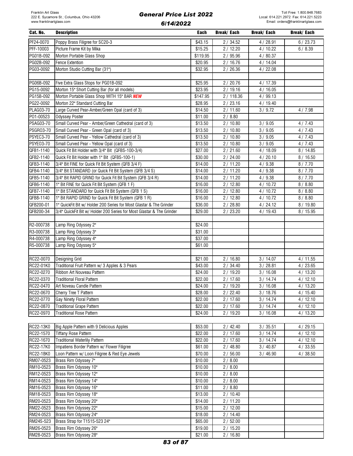| Cat. No.               | <b>Description</b>                                                    | Each               | Break/ Each        | <b>Break/Each</b> | <b>Break/Each</b> |
|------------------------|-----------------------------------------------------------------------|--------------------|--------------------|-------------------|-------------------|
| PF24-0070              | Poppy Brass Filigree for SC20-3                                       | \$43.15            | 2 / 34.52          | 4/28.91           | 6/23.73           |
| PFF-10003              | Picture Frame Kit by Mika                                             | \$15.25            | 2/12.20            | 4/10.22           | 6/8.39            |
| PG01B-092              | Morton Portable Glass Shop                                            | \$119.95           | 2/95.96            | 4/80.37           |                   |
| PG02B-092              | <b>Fence Extention</b>                                                | \$20.95            | 2/16.76            | 4/14.04           |                   |
| PG03-0092              | Morton Studio Cutting Bar (31")                                       | \$32.95            | 2/26.36            | 4/22.08           |                   |
|                        |                                                                       |                    |                    |                   |                   |
| PG06B-092              | Five Extra Glass Stops for PG01B-092                                  | \$25.95            | 2/20.76            | 4/17.39           |                   |
| PG15-0092              | Morton 15" Short Cutting Bar (for all models)                         | \$23.95            | 2/19.16            | 4/16.05           |                   |
| PG15B-092              | Morton Portable Glass Shop WITH 15" BAR NEW                           | \$147.95           | 2/118.36           | 4/99.13           |                   |
| PG22-0092              | Morton 22" Standard Cutting Bar                                       | \$28.95            | 2/23.16            | 4/19.40           |                   |
| PLAG03-70              | Large Curved Pear-Amber/Green Opal (card of 3)                        | \$14.50            | 2/11.60            | 3/9.72            | 4/7.98            |
| P01-00523              | <b>Odyssey Poster</b>                                                 | \$11.00            | 2/8.80             |                   |                   |
| PSAG03-70              | Small Curved Pear - Amber/Green Cathedral (card of 3)                 | \$13.50            | 2/10.80            | 3 / 9.05          | 4/7.43            |
| <b>PSGR03-70</b>       | Small Curved Pear - Green Opal (card of 3)                            | \$13.50            | 2/10.80            | 3/9.05            | 4/7.43            |
| PSYEC3-70              | Small Curved Pear - Yellow Cathedral (card of 3)                      | \$13.50            | 2/10.80            | 3/9.05            | 4/7.43            |
| PSYE03-70              | Small Curved Pear - Yellow Opal (card of 3)                           | \$13.50            | 2/10.80            | 3 / 9.05          | 4/7.43            |
| QFB1-1140              | Quick Fit Bit Holder with 3/4" Bit (QFBS-100-3/4)                     | \$27.00            | 2/21.60            | 4/18.09           | 8 / 14.85         |
| QFB2-1140              | Quick Fit Bit Holder with 1" Bit (QFBS-100-1)                         | \$30.00            | 2/24.00            | 4/20.10           | 8/16.50           |
| QFB3-1140              | 3/4" Bit FINE for Quick Fit Bit System (QFB 3/4 F)                    | \$14.00            | 2/11.20            | 4/9.38            | 8/7.70            |
| QFB4-1140              | 3/4" Bit STANDARD (or Quick Fit Bit System (QFB 3/4 S)                | \$14.00            | 2/11.20            | 4/9.38            | 8/7.70            |
| QFB5-1140              | 3/4" Bit RAPID GRIND for Quick Fit Bit System (QFB 3/4 R)             | \$14.00            | 2/11.20            | 4/9.38            | 8/7.70            |
| QFB6-1140              | 1" Bit FINE for Quick Fit Bit System (QFB 1 F)                        | \$16.00            | 2/12.80            | 4/10.72           | 8/8.80            |
| QFB7-1140              | 1" Bit STANDARD for Quick Fit Bit System (QFB 1 S)                    | \$16.00            | 2/12.80            | 4/10.72           | 8/8.80            |
| QFB8-1140              | 1" Bit RAPID GRIND for Quick Fit Bit System (QFB 1 R)                 | \$16.00            | 2/12.80            | 4/10.72           | 8/8.80            |
| QFB200-01              | 1" QuickFit Bit w/ Holder 200 Series for Most Glastar & The Grinder   | \$36.00            | 2/28.80            | 4/24.12           | 8/19.80           |
| QFB200-34              | 3/4" QuickFit Bit w/ Holder 200 Series for Most Glastar & The Grinder | \$29.00            | 2/23.20            | 4/19.43           | 8/15.95           |
| R2-000738              | Lamp Ring Odyssey 2"                                                  | \$24.00            |                    |                   |                   |
| R3-000738              | Lamp Ring Odyssey 3"                                                  | \$31.00            |                    |                   |                   |
| R4-000738              | Lamp Ring Odyssey 4"                                                  | \$37.00            |                    |                   |                   |
| R5-000738              | Lamp Ring Odyssey 5"                                                  | \$61.00            |                    |                   |                   |
|                        |                                                                       |                    |                    |                   |                   |
| RC22-0070              | Designing Grid                                                        | \$21.00            | 2/16.80            | 3/14.07           | 4/11.55           |
| RC22-01K0              | Traditional Fruit Pattern w/ 3 Apples & 3 Pears                       | \$43.00            | 2/34.40            | 3 / 28.81         | 4/23.65           |
| RC22-0270              | Ribbon Art Nouveau Pattern                                            | \$24.00            | 2/19.20            | 3/16.08           | 4/13.20           |
| RC22-0370              | <b>Traditional Floral Pattern</b>                                     | \$22.00            | 2/17.60            | 3/14.74           | 4/12.10           |
| RC22-0470              | Art Noveau Candle Pattern                                             | \$24.00            | 2/19.20            | 3/16.08           | 4/13.20           |
| RC22-0670              | Cherry Tree T Pattern                                                 | \$28.00            | 2/22.40            | 3/18.76           | 4/15.40           |
| RC22-0770              | Gay Ninety Floral Pattern                                             | \$22.00            | 2/17.60            | 3/14.74           | 4/12.10           |
| RC22-0870              | <b>Traditional Grape Pattern</b>                                      | \$22.00            | 2/17.60            | 3/14.74           | 4/12.10           |
| RC22-0970              | <b>Traditional Rose Pattern</b>                                       | \$24.00            | 2/19.20            | 3/16.08           | 4/13.20           |
|                        |                                                                       |                    |                    |                   |                   |
| RC22-13K0              | Big Apple Pattern with 9 Delicious Apples                             | \$53.00            | 2/42.40            | 3 / 35.51         | 4/29.15           |
| RC22-1570              | Tiffany Rose Pattern                                                  | \$22.00            | 2/17.60            | 3/14.74           | 4/12.10           |
| RC22-1670              | <b>Traditional Waterlily Pattern</b>                                  | \$22.00            | 2/17.60            | 3/14.74           | 4/12.10           |
| RC22-17K0              | Impatiens Border Pattern w/ Flower Filigree                           | \$61.00            | 2/48.80            | 3 / 40.87         | 4/33.55           |
| RC22-18K0              | Loon Pattern w/ Loon Filigree & Red Eye Jewels                        | \$70.00            | 2/56.00            | 3/46.90           | 4/38.50           |
| RM07-0523              | Brass Rim Odyssey 7"                                                  | \$10.00            | 2/8.00             |                   |                   |
| RM10-0523              | Brass Rim Odyssey 10"                                                 | \$10.00            | 2/8.00             |                   |                   |
| RM12-0523              | Brass Rim Odyssey 12"                                                 | \$10.00            | 2/8.00             |                   |                   |
| RM14-0523              | Brass Rim Odyssey 14"                                                 | \$10.00            | 2/8.00             |                   |                   |
| RM16-0523              | Brass Rim Odyssey 16"                                                 | \$11.00            | 2/8.80             |                   |                   |
| RM18-0523              | Brass Rim Odyssey 18"                                                 | \$13.00            | 2/10.40            |                   |                   |
| RM20-0523              | Brass Rim Odyssey 20"                                                 | \$14.00            | 2/11.20            |                   |                   |
| RM22-0523<br>RM24-0523 | Brass Rim Odyssey 22"<br>Brass Rim Odyssey 24"                        | \$15.00<br>\$18.00 | 2/12.00<br>2/14.40 |                   |                   |
| RM24S-523              | Brass Strap for T1515-523 24"                                         | \$65.00            | 2/52.00            |                   |                   |
| RM26-0523              | Brass Rim Odyssey 26"                                                 | \$19.00            | 2/15.20            |                   |                   |
| RM28-0523              | Brass Rim Odyssey 28"                                                 | \$21.00            | 2/16.80            |                   |                   |
|                        |                                                                       |                    |                    |                   |                   |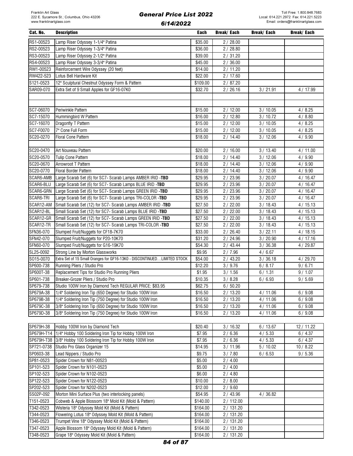| Cat. No.   | <b>Description</b>                                                      | Each     | <b>Break/Each</b> | <b>Break/Each</b> | <b>Break/Each</b> |
|------------|-------------------------------------------------------------------------|----------|-------------------|-------------------|-------------------|
| RS1-00523  | Lamp Riser Odyssey 1-1/4" Patina                                        | \$35.00  | 2/28.00           |                   |                   |
| RS2-00523  | Lamp Riser Odyssey 1-3/4" Patina                                        | \$36.00  | 2/28.80           |                   |                   |
| RS3-00523  | Lamp Riser Odyssey 2-1/2" Patina                                        | \$39.00  | 2/31.20           |                   |                   |
| RS4-00523  | Lamp Riser Odyssey 3-3/4" Patina                                        | \$45.00  | 2/36.00           |                   |                   |
| RW1-00523  | Reinforcement Wire Odyssey (20 feet)                                    | \$14.00  | 2/11.20           |                   |                   |
| RW422-523  | Lotus Bell Hardware Kit                                                 | \$22.00  | 2/17.60           |                   |                   |
| S121-0523  | 12" Sculptural Chestnut Odyssey Form & Pattern                          | \$109.00 | 2/87.20           |                   |                   |
| SAR09-070  | Extra Set of 9 Small Apples for GF16-07K0                               | \$32.70  | 2/26.16           | 3 / 21.91         | 4 / 17.99         |
|            |                                                                         |          |                   |                   |                   |
|            |                                                                         |          |                   |                   |                   |
| SC7-06070  | Periwinkle Pattern                                                      | \$15.00  | 2/12.00           | 3/10.05           | 4/8.25            |
| SC7-15070  | Hummingbird W Pattern                                                   | \$16.00  | 2/12.80           | 3/10.72           | 4/8.80            |
| SC7-16070  | Dragonfly T Pattern                                                     | \$15.00  | 2/12.00           | 3/10.05           | 4/8.25            |
| SC7-F0070  | 7" Cone Full Form                                                       | \$15.00  | 2/12.00           | 3/10.05           | 4/8.25            |
| SC20-0270  | Floral Cone Pattern                                                     | \$18.00  | 2/14.40           | 3/12.06           | 4/9.90            |
|            |                                                                         |          |                   |                   |                   |
| SC20-0470  | Art Nouveau Pattern                                                     | \$20.00  | 2/16.00           | 3/13.40           | 4/11.00           |
| SC20-0570  | Tulip Cone Pattern                                                      | \$18.00  | 2/14.40           | 3/12.06           | 4/9.90            |
| SC20-0670  | Arrowroot T Pattern                                                     | \$18.00  | 2/14.40           | 3/12.06           | 4/9.90            |
| SC20-0770  | Floral Border Pattern                                                   | \$18.00  | 2/14.40           | 3/12.06           | 4/9.90            |
| SCAR6-AMB  | Large Scarab Set (6) for SC7- Scarab Lamps AMBER IRID -TBD              | \$29.95  | 2 / 23.96         | 3/20.07           | 4/16.47           |
| SCAR6-BLU  | Large Scarab Set (6) for SC7- Scarab Lamps BLUE IRID -TBD               | \$29.95  | 2/23.96           | 3/20.07           | 4/16.47           |
| SCAR6-GRN  | Large Scarab Set (6) for SC7- Scarab Lamps GREEN IRID -TBD              | \$29.95  | 2/23.96           | 3/20.07           | 4/16.47           |
| SCAR6-TRI  | Large Scarab Set (6) for SC7- Scarab Lamps TRI-COLOR -TBD               | \$29.95  | 2/23.96           | 3 / 20.07         | 4/16.47           |
| SCAR12-AM  | Small Scarab Set (12) for SC7- Scarab Lamps AMBER IRID -TBD             | \$27.50  | 2/22.00           | 3/18.43           | 4/15.13           |
| SCAR12-BL  | Small Scarab Set (12) for SC7- Scarab Lamps BLUE IRID -TBD              | \$27.50  | 2/22.00           | 3/18.43           | 4/15.13           |
| SCAR12-GR  | Small Scarab Set (12) for SC7- Scarab Lamps GREEN IRID -TBD             | \$27.50  | 2/22.00           | 3/18.43           | 4/15.13           |
| SCAR12-TR  | Small Scarab Set (12) for SC7- Scarab Lamps TRI-COLOR -TBD              | \$27.50  | 2/22.00           | 3/18.43           | 4/15.13           |
| SFN36-070  | Slumped Fruit/Nuggets for CF18-7K70                                     | \$33.00  | 2/26.40           | 3 / 22.11         | 4/18.15           |
| SFN42-070  | Slumped Fruit/Nuggets for P20-10K70                                     | \$31.20  | 2/24.96           | 3/20.90           | 4/17.16           |
| SFN60-070  | Slumped Fruit/Nuggets for G16-19K70                                     | \$54.30  | 2/43.44           | 3/36.38           | 4/29.87           |
| SL25-0092  | Strong Line by Morton Glassworks                                        | \$9.95   | 2/7.96            | 4/6.67            |                   |
| S015-0070  | Extra Set of 15 Small Oranges for GF16-13K0 - DISCONTINUEDLIMITED STOCK | \$54.00  | 2/43.20           | 3/36.18           | 4/29.70           |
| SP600-738  | Running Pliers / Studio Pro                                             | \$12.20  | 3 / 9.76          | 6/8.17            | 9/6.71            |
| SP600T-38  | Replacement Tips for Studio Pro Running Pliers                          | \$1.95   | 3/1.56            | 6/1.31            | 9/1.07            |
| SP601-738  | Breaker-Grozer Pliers / Studio Pro                                      | \$10.35  | 3/8.28            | 6/6.93            | 9/5.69            |
| SP679-738  | Studio 100W Iron by Diamond Tech REGULAR PRICE: \$83.95                 | \$62.75  | 6/50.20           |                   |                   |
| SP679A-38  | 1/4" Soldering Iron Tip (650 Degree) for Studio 100W Iron               | \$16.50  | 2/13.20           | 4/11.06           | 6/9.08            |
| SP679B-38  | 1/4" Soldering Iron Tip (750 Degree) for Studio 100W Iron               | \$16.50  | 2/13.20           | 4/11.06           | 6/9.08            |
| SP679C-38  | 3/8" Soldering Iron Tip (650 Degree) for Studio 100W Iron               | \$16.50  | 2/13.20           | 4/11.06           | 6/9.08            |
| SP679D-38  | 3/8" Soldering Iron Tip (750 Degree) for Studio 100W Iron               | \$16.50  | 2/13.20           | 4/11.06           | 6/9.08            |
|            |                                                                         |          |                   |                   |                   |
| SP679H-38  | Hobby 100W Iron by Diamond Tech                                         | \$20.40  | 3/16.32           | 6/13.67           | 12 / 11.22        |
| SP679H-T14 | 1/4" Hobby 100 Soldering Iron Tip for Hobby 100W Iron                   | \$7.95   | 2/6.36            | 4/5.33            | 6/4.37            |
| SP679H-T38 | 3/8" Hobby 100 Soldering Iron Tip for Hobby 100W Iron                   | \$7.95   | 2/6.36            | 4/5.33            | 6/4.37            |
| SP721-0738 | Studio Pro Glass Organizer 15                                           | \$14.95  | 3/11.96           | 5/10.02           | 10/8.22           |
| SP0603-38  | Lead Nippers / Studio Pro                                               | \$9.75   | 3 / 7.80          | 6/6.53            | 9/5.36            |
| SP81-0523  | Spider Crown for N81-00523                                              | \$5.00   | 2/4.00            |                   |                   |
| SP101-523  | Spider Crown for N101-0523                                              | \$5.00   | 2/4.00            |                   |                   |
| SP102-523  | Spider Crown for N102-0523                                              | \$6.00   | 2/4.80            |                   |                   |
| SP122-523  | Spider Crown for N122-0523                                              | \$10.00  | 2/8.00            |                   |                   |
| SP202-523  | Spider Crown for N202-0523                                              | \$12.00  | 2/9.60            |                   |                   |
| SS02P-092  | Morton Mini Surface Plus (two interlocking panels)                      | \$54.95  | 2 / 43.96         | 4/36.82           |                   |
| T151-0523  | Cobweb & Apple Blossom 18" Mold Kit (Mold & Pattern)                    | \$140.00 | 2/112.00          |                   |                   |
| T342-0523  | Wisteria 18" Odyssey Mold Kit (Mold & Pattern)                          | \$164.00 | 2/131.20          |                   |                   |
| T344-0523  | Flowering Lotus 18" Odyssey Mold Kit (Mold & Pattern)                   | \$164.00 | 2/131.20          |                   |                   |
| T346-0523  | Trumpet Vine 18" Odyssey Mold Kit (Mold & Pattern)                      | \$164.00 | 2/131.20          |                   |                   |
| T347-0523  | Apple Blossom 18" Odyssey Mold Kit (Mold & Pattern)                     | \$164.00 | 2/131.20          |                   |                   |

T348-0523 Grape 18" Odyssey Mold Kit (Mold & Pattern) \$164.00 2 / 131.20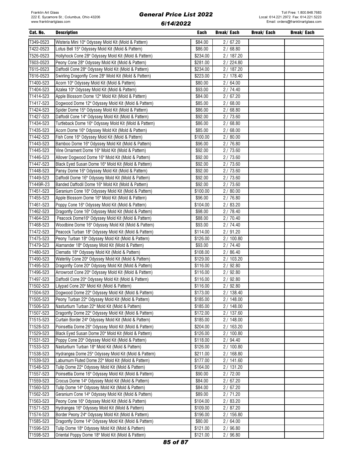| Cat. No.  | <b>Description</b>                                    | Each     | Break/ Each | Break/ Each | Break/ Each |
|-----------|-------------------------------------------------------|----------|-------------|-------------|-------------|
| T349-0523 | Wisteria Mini 10" Odyssey Mold Kit (Mold & Pattern)   | \$84.00  | 2/67.20     |             |             |
| T422-0523 | Lotus Bell 15" Odyssey Mold Kit (Mold & Pattern)      | \$86.00  | 2/68.80     |             |             |
| T526-0523 | Hollyhock Cone 28" Odyssey Mold Kit (Mold & Pattern)  | \$234.00 | 2/187.20    |             |             |
| T603-0523 | Peony Cone 28" Odyssey Mold Kit (Mold & Pattern)      | \$281.00 | 2/224.80    |             |             |
| T615-0523 | Daffodil Cone 28" Odyssey Mold Kit (Mold & Pattern)   | \$234.00 | 2/187.20    |             |             |
| T616-0523 | Swirling Dragonfly Cone 28" Mold Kit (Mold & Pattern) | \$223.00 | 2/178.40    |             |             |
| T1400-523 | Acorn 10" Odyssey Mold Kit (Mold & Pattern)           | \$80.00  | 2/64.00     |             |             |
| T1404-523 | Azalea 10" Odyssey Mold Kit (Mold & Pattern)          | \$93.00  | 2 / 74.40   |             |             |
| T1414-523 | Apple Blossom Dome 12" Mold Kit (Mold & Pattern)      | \$84.00  | 2/67.20     |             |             |
| T1417-523 | Dogwood Dome 12" Odyssey Mold Kit (Mold & Pattern)    | \$85.00  | 2/68.00     |             |             |
| T1424-523 | Spider Dome 15" Odyssey Mold Kit (Mold & Pattern)     | \$86.00  | 2/68.80     |             |             |
| T1427-523 | Daffodil Cone 14" Odyssey Mold Kit (Mold & Pattern)   | \$92.00  | 2/73.60     |             |             |
| T1434-523 | Turtleback Dome 16" Odyssey Mold Kit (Mold & Pattern) | \$86.00  | 2/68.80     |             |             |
| T1435-523 | Acorn Dome 16" Odyssey Mold Kit (Mold & Pattern)      | \$85.00  | 2/68.00     |             |             |
| T1442-523 | Fish Cone 16" Odyssey Mold Kit (Mold & Pattern)       | \$100.00 | 2/80.00     |             |             |
| T1443-523 | Bamboo Dome 16" Odyssey Mold Kit (Mold & Pattern)     | \$96.00  | 2 / 76.80   |             |             |
| T1445-523 | Vine Ornament Dome 16" Mold Kit (Mold & Pattern)      | \$92.00  | 2/73.60     |             |             |
| T1446-523 | Allover Dogwood Dome 16" Mold Kit (Mold & Pattern)    | \$92.00  | 2/73.60     |             |             |
| T1447-523 | Black Eyed Susan Dome 16" Mold Kit (Mold & Pattern)   | \$92.00  | 2/73.60     |             |             |
| T1448-523 | Pansy Dome 16" Odyssey Mold Kit (Mold & Pattern)      | \$92.00  | 2/73.60     |             |             |
| T1449-523 | Daffodil Dome 16" Odyssey Mold Kit (Mold & Pattern)   | \$92.00  | 2/73.60     |             |             |
| T1449R-23 | Banded Daffodil Dome 16" Mold Kit (Mold & Pattern)    | \$92.00  | 2/73.60     |             |             |
| T1451-523 | Geranium Cone 16" Odyssey Mold Kit (Mold & Pattern)   | \$100.00 | 2/80.00     |             |             |
| T1455-523 | Apple Blossom Dome 16" Mold Kit (Mold & Pattern)      | \$96.00  | 2/76.80     |             |             |
| T1461-523 | Poppy Cone 16" Odyssey Mold Kit (Mold & Pattern)      | \$104.00 | 2/83.20     |             |             |
| T1462-523 | Dragonfly Cone 16" Odyssey Mold Kit (Mold & Pattern)  | \$98.00  | 2/78.40     |             |             |
| T1464-523 | Peacock Dome16" Odyssey Mold Kit (Mold & Pattern)     | \$88.00  | 2/70.40     |             |             |
| T1468-523 | Woodbine Dome 16" Odyssey Mold Kit (Mold & Pattern)   | \$93.00  | 2/74.40     |             |             |
| T1472-523 | Peacock Turban 18" Odyssey Mold Kit (Mold & Pattern)  | \$114.00 | 2/91.20     |             |             |
| T1475-523 | Peony Turban 18" Odyssey Mold Kit (Mold & Pattern)    | \$126.00 | 2/100.80    |             |             |
| T1479-523 | Alamander 18" Odyssey Mold Kit (Mold & Pattern)       | \$93.00  | 2/74.40     |             |             |
| T1480-523 | Clematis 18" Odyssey Mold Kit (Mold & Pattern)        | \$108.00 | 2/86.40     |             |             |
| T1490-523 | Waterlily Cone 20" Odyssey Mold Kit (Mold & Pattern)  | \$129.00 | 2/103.20    |             |             |
| T1495-523 | Dragonfly Cone 20" Odyssey Mold Kit (Mold & Pattern)  | \$116.00 | 2/92.80     |             |             |
| T1496-523 | Arrowroot Cone 20" Odyssey Mold Kit (Mold & Pattern)  | \$116.00 | 2/92.80     |             |             |
| T1497-523 | Daffodil Cone 20" Odyssey Mold Kit (Mold & Pattern)   | \$116.00 | 2/92.80     |             |             |
| T1502-523 | Lilypad Cone 20" Mold Kit (Mold & Pattern)            | \$116.00 | 2/92.80     |             |             |
| T1504-523 | Dogwood Dome 22" Odyssey Mold Kit (Mold & Pattern)    | \$173.00 | 2/138.40    |             |             |
| T1505-523 | Peony Turban 22" Odyssey Mold Kit (Mold & Pattern)    | \$185.00 | 2/148.00    |             |             |
| T1506-523 | Nasturtium Turban 22" Mold Kit (Mold & Pattern)       | \$185.00 | 2/148.00    |             |             |
| T1507-523 | Dragonfly Dome 22" Odyssey Mold Kit (Mold & Pattern)  | \$172.00 | 2 / 137.60  |             |             |
| T1515-523 | Curtain Border 24" Odyssey Mold Kit (Mold & Pattern)  | \$185.00 | 2/148.00    |             |             |
| T1528-523 | Poinsettia Dome 26" Odyssey Mold Kit (Mold & Pattern) | \$204.00 | 2/163.20    |             |             |
| T1529-523 | Black Eyed Susan Dome 20" Mold Kit (Mold & Pattern)   | \$126.00 | 2/100.80    |             |             |
| T1531-523 | Poppy Cone 20" Odyssey Mold Kit (Mold & Pattern)      | \$118.00 | 2/94.40     |             |             |
| T1533-523 | Nasturtium Turban 18" Mold Kit (Mold & Pattern)       | \$126.00 | 2/100.80    |             |             |
| T1538-523 | Hydrangea Dome 25" Odyssey Mold Kit (Mold & Pattern)  | \$211.00 | 2/168.80    |             |             |
| T1539-523 | Laburnum Fluted Dome 22" Mold Kit (Mold & Pattern)    | \$177.00 | 2/141.60    |             |             |
| T1548-523 | Tulip Dome 22" Odyssey Mold Kit (Mold & Pattern)      | \$164.00 | 2/131.20    |             |             |
| T1557-523 | Poinsettia Dome 16" Odyssey Mold Kit (Mold & Pattern) | \$90.00  | 2/72.00     |             |             |
| T1559-523 | Crocus Dome 14" Odyssey Mold Kit (Mold & Pattern)     | \$84.00  | 2/67.20     |             |             |
| T1560-523 | Tulip Dome 14" Odyssey Mold Kit (Mold & Pattern)      | \$84.00  | 2/67.20     |             |             |
| T1562-523 | Geranium Cone 14" Odyssey Mold Kit (Mold & Pattern)   | \$89.00  | 2/71.20     |             |             |
| T1563-523 | Peony Cone 16" Odyssey Mold Kit (Mold & Pattern)      | \$104.00 | 2/83.20     |             |             |
| T1571-523 | Hydrangea 16" Odyssey Mold Kit (Mold & Pattern)       | \$109.00 | 2/87.20     |             |             |
| T1574-523 | Border Peony 24" Odyssey Mold Kit (Mold & Pattern)    | \$196.00 | 2/156.80    |             |             |
| T1585-523 | Dragonfly Dome 14" Odyssey Mold Kit (Mold & Pattern)  | \$80.00  | 2/64.00     |             |             |
| T1596-523 | Tulip Dome 18" Odyssey Mold Kit (Mold & Pattern)      | \$121.00 | 2/96.80     |             |             |
| T1598-523 | Oriental Poppy Dome 18" Mold Kit (Mold & Pattern)     | \$121.00 | 2/96.80     |             |             |
|           |                                                       |          |             |             |             |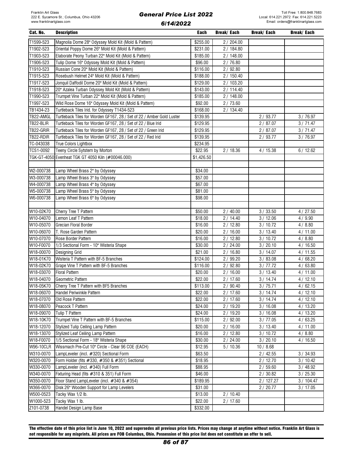| Cat. No.                      | <b>Description</b>                                                                           | Each               | Break/ Each        | Break/ Each        | Break/ Each |
|-------------------------------|----------------------------------------------------------------------------------------------|--------------------|--------------------|--------------------|-------------|
| T1599-523                     | Magnolia Dome 28" Odyssey Mold Kit (Mold & Pattern)                                          | \$255.00           | 2/204.00           |                    |             |
| T1902-523                     | Oriental Poppy Dome 26" Mold Kit (Mold & Pattern)                                            | \$231.00           | 2/184.80           |                    |             |
| T1903-523                     | Elaborate Peony Turban 22" Mold Kit (Mold & Pattern)                                         | \$185.00           | 2 / 148.00         |                    |             |
| T1906-523                     | Tulip Dome 16" Odyssey Mold Kit (Mold & Pattern)                                             | \$96.00            | 2/76.80            |                    |             |
| T1910-523                     | Russian Cone 20" Mold Kit (Mold & Pattern)                                                   | \$116.00           | 2/92.80            |                    |             |
| T1915-523                     | Rosebush Helmet 24" Mold Kit (Mold & Pattern)                                                | \$188.00           | 2/150.40           |                    |             |
| T1917-523                     | Jonquil Daffodil Dome 20" Mold Kit (Mold & Pattern)                                          | \$129.00           | 2/103.20           |                    |             |
| T1918-523                     | 20" Azalea Turban Odyssey Mold Kit (Mold & Pattern)                                          | \$143.00           | 2/114.40           |                    |             |
| T1990-523                     | Trumpet Vine Turban 22" Mold Kit (Mold & Pattern)                                            | \$185.00           | 2/148.00           |                    |             |
| T1997-523                     | Wild Rose Dome 16" Odyssey Mold Kit (Mold & Pattern)                                         | \$92.00            | 2/73.60            |                    |             |
| TB1434-23                     | Turtleback Tiles Irid. for Odyssey T1434-523                                                 | \$168.00           | 2/134.40           |                    |             |
| TB22-AMGL                     | Turtleback Tiles for Worden GF167, 28 / Set of 22 / Amber Gold Luster                        | \$139.95           |                    | 2/93.77            | 3/76.97     |
| TB22-BLIR                     | Turtleback Tiles for Worden GF167, 28 / Set of 22 / Blue Irid                                | \$129.95           |                    | 2/87.07            | 3/71.47     |
| TB22-GRIR                     | Turtleback Tiles for Worden GF167, 28 / Set of 22 / Green Irid                               | \$129.95           |                    | 2/87.07            | 3/71.47     |
| TB22-RDIR                     | Turtleback Tiles for Worden GF167, 28 / Set of 22 / Red Irid                                 | \$139.95           |                    | 2/93.77            | 3/76.97     |
| TC-043038                     | True Colors Lightbox                                                                         | \$234.95           |                    |                    |             |
| TCS1-0092                     | Teeny Circle Sytstem by Morton                                                               | \$22.95            | 2/18.36            | 4/15.38            | 6/12.62     |
|                               | TGK-GT-4050 Evenheat TGK GT 4050 Kiln (#00046.000)                                           | \$1,426.50         |                    |                    |             |
|                               |                                                                                              |                    |                    |                    |             |
| W2-000738                     | Lamp Wheel Brass 2" by Odyssey                                                               | \$34.00            |                    |                    |             |
| W3-000738                     | Lamp Wheel Brass 3" by Odyssey                                                               | \$57.00            |                    |                    |             |
| W4-000738                     | Lamp Wheel Brass 4" by Odyssey                                                               | \$67.00            |                    |                    |             |
| W5-000738                     | Lamp Wheel Brass 5" by Odyssey                                                               | \$81.00            |                    |                    |             |
| W6-000738                     | Lamp Wheel Brass 6" by Odyssey                                                               | \$98.00            |                    |                    |             |
|                               |                                                                                              |                    |                    |                    |             |
| W10-02K70                     | Cherry Tree T Pattern                                                                        | \$50.00            | 2/40.00            | 3 / 33.50          | 4/27.50     |
| W10-04070                     | Lemon Leaf T Pattern                                                                         | \$18.00            | 2/14.40            | 3/12.06            | 4/9.90      |
| W10-05070                     | Grecian Floral Border                                                                        | \$16.00            | 2/12.80            | 3/10.72            | 4/8.80      |
| W10-06070                     | T. Rose Garden Pattern                                                                       | \$20.00            | 2/16.00            | 3/13.40            | 4/11.00     |
| W10-07070                     | Rose Border Pattern                                                                          | \$16.00            | 2/12.80            | 3/10.72            | 4/8.80      |
| W10-F0070                     | 1/3 Sectional Form - 10" Wisteria Shape                                                      | \$30.00            | 2/24.00            | 3/20.10            | 4/16.50     |
| W18-00070                     | Designing Grid                                                                               | \$21.00            | 2/16.80            | 3/14.07            | 4/11.55     |
| W18-01K70                     | Wisteria T Pattern with BF-5 Branches                                                        | \$124.00           | 2/99.20            | 3/83.08            | 4/68.20     |
| W18-02K70                     | Grape Vine T Pattern with BF-5 Branches                                                      | \$116.00           | 2/92.80            | 3/77.72            | 4/63.80     |
| W18-03070                     | <b>Floral Pattern</b>                                                                        | \$20.00            | 2/16.00            | 3/13.40            | 4/11.00     |
| W18-04070                     | <b>Geometric Pattern</b>                                                                     | \$22.00            | 2/17.60            | 3/14.74            | 4/12.10     |
| W18-05K70                     | Cherry Tree T Pattern with BF5 Branches                                                      | \$113.00           | 2/90.40            | 3/75.71            | 4/62.15     |
| W18-06070                     | Handel Periwinkle Pattern                                                                    | \$22.00            | 2/17.60            | 3/14.74            | 4/12.10     |
| W18-07070                     | Old Rose Pattern                                                                             | \$22.00            | 2/17.60            | 3/14.74            | 4/12.10     |
| W18-08070                     | Peacock T Pattern                                                                            | \$24.00            | 2 / 19.20          | 3/16.08            | 4/13.20     |
| W18-09070                     | Tulip T Pattern                                                                              | \$24.00            | 2/19.20            | 3/16.08            | 4/13.20     |
| W18-10K70<br>W18-12070        | Trumpet Vine T Pattern with BF-5 Branches                                                    | \$115.00           | 2/92.00            | 3 / 77.05          | 4/63.25     |
|                               | Stylized Tulip Ceiling Lamp Pattern                                                          | \$20.00            | 2/16.00            | 3/13.40            | 4/11.00     |
| W18-13070                     | Stylized Leaf Ceiling Lamp Pattern                                                           | \$16.00<br>\$30.00 | 2/12.80            | 3/10.72            | 4/8.80      |
| W18-F0070<br><b>W96-10CLR</b> | 1/5 Sectional Form - 18" Wisteria Shape<br>Wissmach Pre-Cut 10" Circle - Clear 96 COE (EACH) |                    | 2/24.00<br>5/10.36 | 3/20.10            | 4/16.50     |
| W310-0070                     | LampLeveler (incl. #320) Sectional Form                                                      | \$12.95            |                    | 10/8.68            | 3 / 34.93   |
| W320-0070                     | Form Holder (fits #330, #350 & #351) Sectional                                               | \$63.50<br>\$18.95 |                    | 2/42.55<br>2/12.70 | 3/10.42     |
| W330-0070                     | LampLeveler (incl. #340) Full Form                                                           | \$88.95            |                    | 2/59.60            | 3/48.92     |
| W340-0070                     | Fixturing Head (fits #310 & 351) Full Form                                                   | \$46.00            |                    | 2/30.82            | 3 / 25.30   |
| W350-0070                     | Floor Stand LampLeveler (incl. #340 & #354)                                                  | \$189.95           |                    | 2/127.27           | 3/104.47    |
| W366-0070                     | Disk 26" Wooden Support for Lamp Levelers                                                    | \$31.00            |                    | 2/20.77            | 3/17.05     |
| W500-0523                     | Tacky Wax 1/2 lb.                                                                            | \$13.00            | 2/10.40            |                    |             |
| W1000-523                     | Tacky Wax 1 lb.                                                                              | \$22.00            | 2/17.60            |                    |             |
| Z101-0738                     | Handel Design Lamp Base                                                                      | \$332.00           |                    |                    |             |

The effective date of this price list is June 10, 2022 and supersedes all previous price lists. Prices may change at anytime without notice. Franklin Art Glass is not responsible for any misprints. All prices are FOB Columbus, Ohio. Possession of this price list does not constitute an offer to sell.